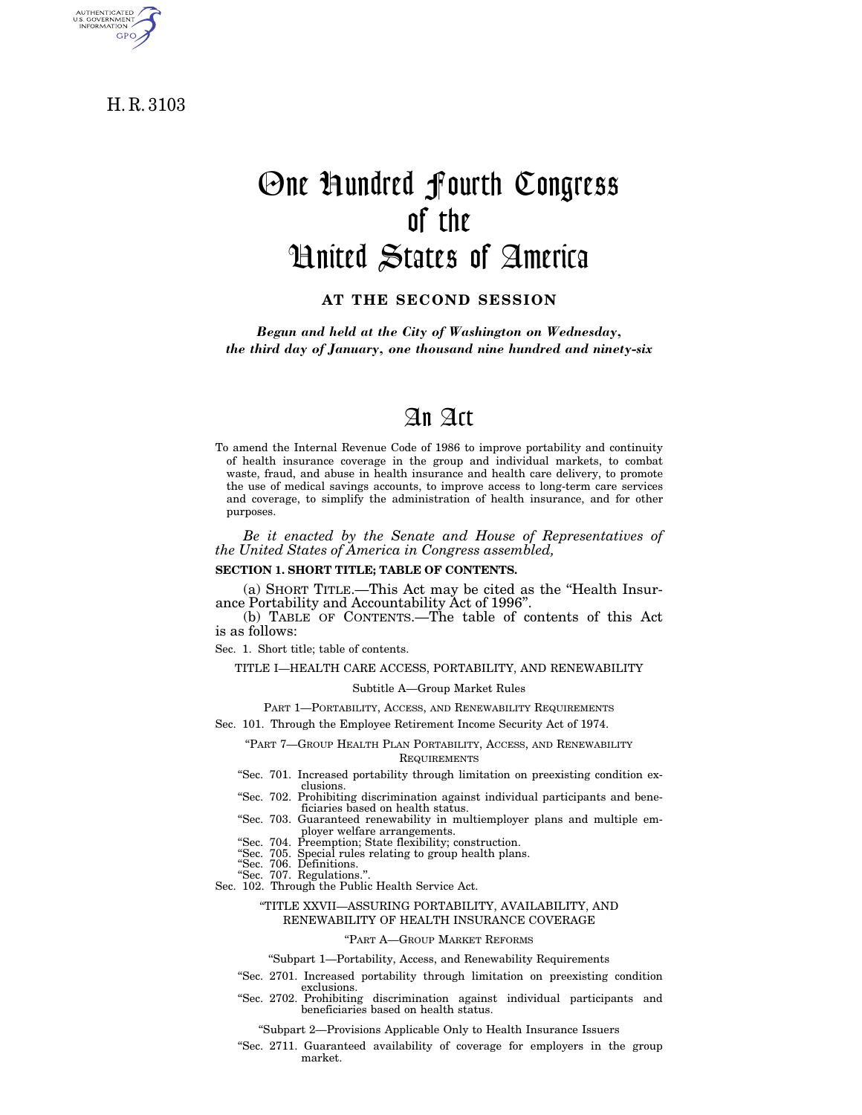H. R. 3103

AUTHENTICATED<br>U.S. GOVERNMENT<br>INFORMATION **GPO** 

# One Hundred Fourth Congress of the United States of America

# **AT THE SECOND SESSION**

*Begun and held at the City of Washington on Wednesday, the third day of January, one thousand nine hundred and ninety-six*

# An Act

To amend the Internal Revenue Code of 1986 to improve portability and continuity of health insurance coverage in the group and individual markets, to combat waste, fraud, and abuse in health insurance and health care delivery, to promote the use of medical savings accounts, to improve access to long-term care services and coverage, to simplify the administration of health insurance, and for other purposes.

*Be it enacted by the Senate and House of Representatives of the United States of America in Congress assembled,*

#### **SECTION 1. SHORT TITLE; TABLE OF CONTENTS.**

(a) SHORT TITLE.—This Act may be cited as the ''Health Insurance Portability and Accountability Act of 1996''.

(b) TABLE OF CONTENTS.—The table of contents of this Act is as follows:

Sec. 1. Short title; table of contents.

#### TITLE I—HEALTH CARE ACCESS, PORTABILITY, AND RENEWABILITY

#### Subtitle A—Group Market Rules

PART 1—PORTABILITY, ACCESS, AND RENEWABILITY REQUIREMENTS

Sec. 101. Through the Employee Retirement Income Security Act of 1974.

#### ''PART 7—GROUP HEALTH PLAN PORTABILITY, ACCESS, AND RENEWABILITY REQUIREMENTS

- ''Sec. 701. Increased portability through limitation on preexisting condition exclusions.
- ''Sec. 702. Prohibiting discrimination against individual participants and beneficiaries based on health status.
- ''Sec. 703. Guaranteed renewability in multiemployer plans and multiple employer welfare arrangements.
- ''Sec. 704. Preemption; State flexibility; construction.
- ''Sec. 705. Special rules relating to group health plans. ''Sec. 706. Definitions.
- 
- ''Sec. 707. Regulations.''. Sec. 102. Through the Public Health Service Act.
- 

#### ''TITLE XXVII—ASSURING PORTABILITY, AVAILABILITY, AND RENEWABILITY OF HEALTH INSURANCE COVERAGE

#### ''PART A—GROUP MARKET REFORMS

''Subpart 1—Portability, Access, and Renewability Requirements

''Sec. 2701. Increased portability through limitation on preexisting condition exclusions.

''Sec. 2702. Prohibiting discrimination against individual participants and beneficiaries based on health status.

#### ''Subpart 2—Provisions Applicable Only to Health Insurance Issuers

''Sec. 2711. Guaranteed availability of coverage for employers in the group market.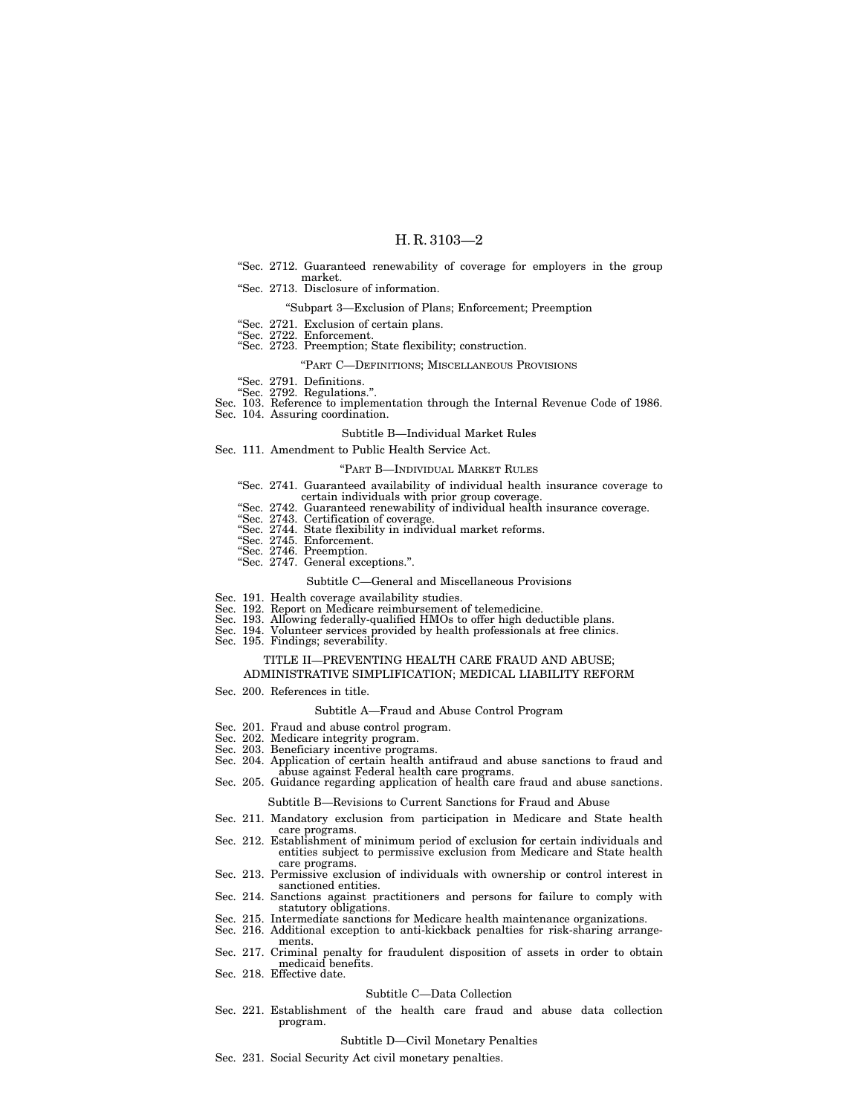#### ''Sec. 2712. Guaranteed renewability of coverage for employers in the group market.

''Sec. 2713. Disclosure of information.

#### ''Subpart 3—Exclusion of Plans; Enforcement; Preemption

- ''Sec. 2721. Exclusion of certain plans. ''Sec. 2722. Enforcement. ''Sec. 2723. Preemption; State flexibility; construction.
- 

#### ''PART C—DEFINITIONS; MISCELLANEOUS PROVISIONS

- ''Sec. 2791. Definitions.
- ''Sec. 2792. Regulations.''.
- Sec. 103. Reference to implementation through the Internal Revenue Code of 1986.

# Sec. 104. Assuring coordination.

#### Subtitle B—Individual Market Rules

Sec. 111. Amendment to Public Health Service Act.

#### ''PART B—INDIVIDUAL MARKET RULES

- ''Sec. 2741. Guaranteed availability of individual health insurance coverage to certain individuals with prior group coverage.
- ''Sec. 2742. Guaranteed renewability of individual health insurance coverage. ''Sec. 2743. Certification of coverage. ''Sec. 2744. State flexibility in individual market reforms. ''Sec. 2745. Enforcement.
- 
- 
- 
- "Sec. 2746. Preemption.
- ''Sec. 2747. General exceptions.''.

#### Subtitle C—General and Miscellaneous Provisions

- 
- Sec. 191. Health coverage availability studies. Sec. 192. Report on Medicare reimbursement of telemedicine.
- Sec. 193. Allowing federally-qualified HMOs to offer high deductible plans.
- Sec. 194. Volunteer services provided by health professionals at free clinics.
- Sec. 195. Findings; severability.

#### TITLE II—PREVENTING HEALTH CARE FRAUD AND ABUSE;

#### ADMINISTRATIVE SIMPLIFICATION; MEDICAL LIABILITY REFORM

Sec. 200. References in title.

#### Subtitle A—Fraud and Abuse Control Program

- Sec. 201. Fraud and abuse control program.
- Sec. 202. Medicare integrity program.
- Sec. 203. Beneficiary incentive programs.
- Sec. 204. Application of certain health antifraud and abuse sanctions to fraud and abuse against Federal health care programs.
- Sec. 205. Guidance regarding application of health care fraud and abuse sanctions.

#### Subtitle B—Revisions to Current Sanctions for Fraud and Abuse

- Sec. 211. Mandatory exclusion from participation in Medicare and State health care programs.
- Sec. 212. Establishment of minimum period of exclusion for certain individuals and entities subject to permissive exclusion from Medicare and State health care programs.
- Sec. 213. Permissive exclusion of individuals with ownership or control interest in sanctioned entities.
- Sec. 214. Sanctions against practitioners and persons for failure to comply with statutory obligations.
- Sec. 215. Intermediate sanctions for Medicare health maintenance organizations.
- Sec. 216. Additional exception to anti-kickback penalties for risk-sharing arrangements.
- Sec. 217. Criminal penalty for fraudulent disposition of assets in order to obtain medicaid benefits.
- Sec. 218. Effective date.

#### Subtitle C—Data Collection

Sec. 221. Establishment of the health care fraud and abuse data collection program.

# Subtitle D—Civil Monetary Penalties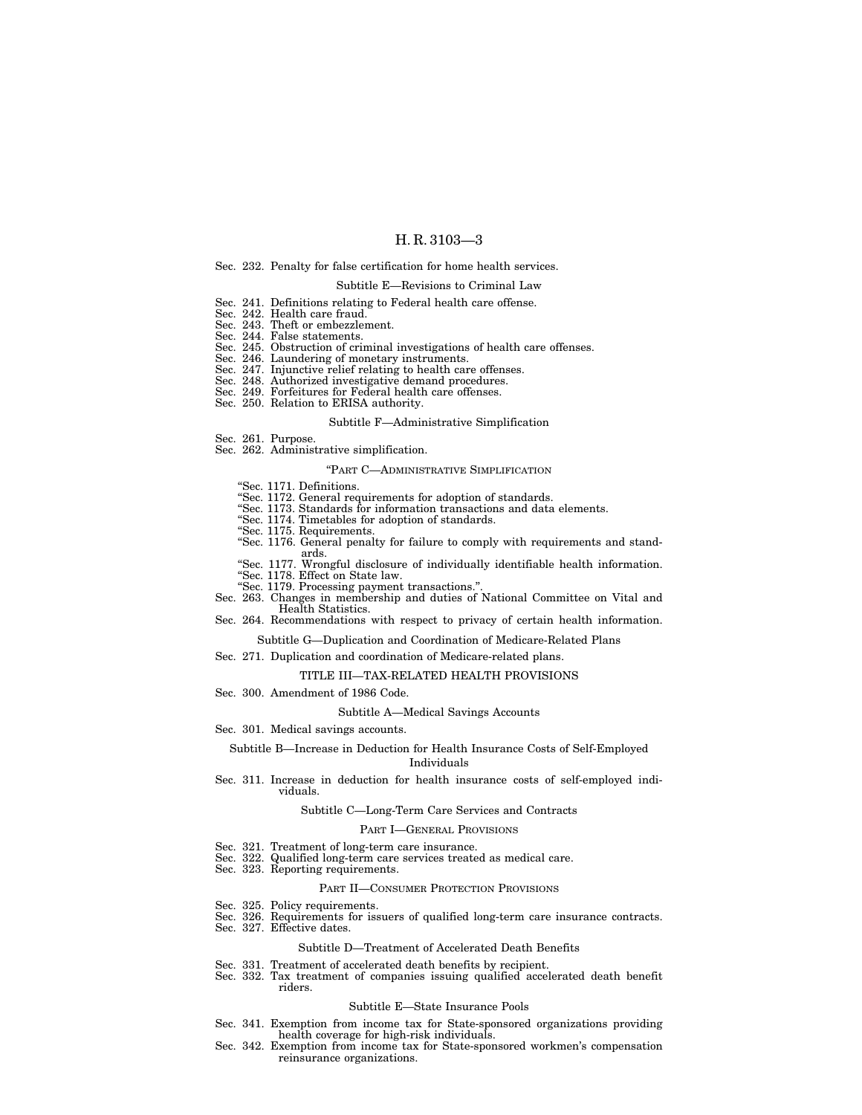#### Sec. 232. Penalty for false certification for home health services.

#### Subtitle E—Revisions to Criminal Law

- Sec. 241. Definitions relating to Federal health care offense.
- 
- Sec. 242. Health care fraud. Sec. 243. Theft or embezzlement.
- Sec. 244. False statements.
- Sec. 245. Obstruction of criminal investigations of health care offenses.
- Sec. 246. Laundering of monetary instruments.
- Sec. 247. Injunctive relief relating to health care offenses.
- Sec. 248. Authorized investigative demand procedures.
- Sec. 249. Forfeitures for Federal health care offenses. Sec. 250. Relation to ERISA authority.
- 

#### Subtitle F—Administrative Simplification

- 
- Sec. 261. Purpose. Sec. 262. Administrative simplification.

#### ''PART C—ADMINISTRATIVE SIMPLIFICATION

- 
- ''Sec. 1171. Definitions. ''Sec. 1172. General requirements for adoption of standards.
- ''Sec. 1173. Standards for information transactions and data elements.
- ''Sec. 1174. Timetables for adoption of standards.
- ''Sec. 1175. Requirements.
- "Sec. 1176. General penalty for failure to comply with requirements and stand-

ards. ''Sec. 1177. Wrongful disclosure of individually identifiable health information.

- ''Sec. 1178. Effect on State law.
- ''Sec. 1179. Processing payment transactions.''.
- Sec. 263. Changes in membership and duties of National Committee on Vital and Health Statistics.
- Sec. 264. Recommendations with respect to privacy of certain health information.

# Subtitle G—Duplication and Coordination of Medicare-Related Plans

Sec. 271. Duplication and coordination of Medicare-related plans.

#### TITLE III—TAX-RELATED HEALTH PROVISIONS

Sec. 300. Amendment of 1986 Code.

#### Subtitle A—Medical Savings Accounts

Sec. 301. Medical savings accounts.

#### Subtitle B—Increase in Deduction for Health Insurance Costs of Self-Employed Individuals

#### Sec. 311. Increase in deduction for health insurance costs of self-employed individuals.

#### Subtitle C—Long-Term Care Services and Contracts

#### PART I—GENERAL PROVISIONS

- Sec. 321. Treatment of long-term care insurance.
- Sec. 322. Qualified long-term care services treated as medical care.
- Sec. 323. Reporting requirements.

#### PART II—CONSUMER PROTECTION PROVISIONS

- Sec. 325. Policy requirements.
- Sec. 326. Requirements for issuers of qualified long-term care insurance contracts.
- Sec. 327. Effective dates.

#### Subtitle D—Treatment of Accelerated Death Benefits

- Sec. 331. Treatment of accelerated death benefits by recipient.
- Sec. 332. Tax treatment of companies issuing qualified accelerated death benefit riders.

#### Subtitle E—State Insurance Pools

- Sec. 341. Exemption from income tax for State-sponsored organizations providing health coverage for high-risk individuals.
- Sec. 342. Exemption from income tax for State-sponsored workmen's compensation reinsurance organizations.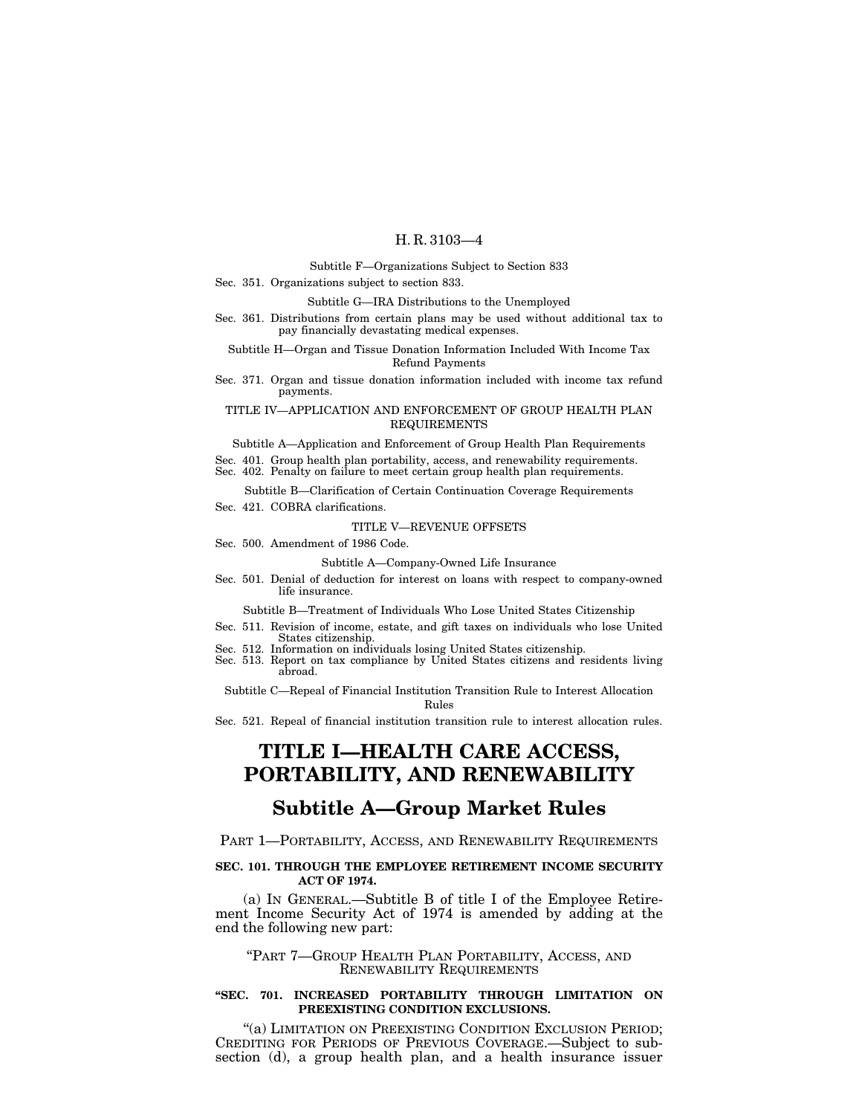#### Subtitle F—Organizations Subject to Section 833

#### Sec. 351. Organizations subject to section 833.

Subtitle G—IRA Distributions to the Unemployed

Sec. 361. Distributions from certain plans may be used without additional tax to pay financially devastating medical expenses.

Subtitle H—Organ and Tissue Donation Information Included With Income Tax Refund Payments

Sec. 371. Organ and tissue donation information included with income tax refund payments.

### TITLE IV—APPLICATION AND ENFORCEMENT OF GROUP HEALTH PLAN REQUIREMENTS

Subtitle A—Application and Enforcement of Group Health Plan Requirements

- Sec. 401. Group health plan portability, access, and renewability requirements. Sec. 402. Penalty on failure to meet certain group health plan requirements.
- 

Subtitle B—Clarification of Certain Continuation Coverage Requirements Sec. 421. COBRA clarifications.

#### TITLE V—REVENUE OFFSETS

Sec. 500. Amendment of 1986 Code.

#### Subtitle A—Company-Owned Life Insurance

Sec. 501. Denial of deduction for interest on loans with respect to company-owned life insurance.

Subtitle B—Treatment of Individuals Who Lose United States Citizenship

- Sec. 511. Revision of income, estate, and gift taxes on individuals who lose United States citizenship.
- Sec. 512. Information on individuals losing United States citizenship.
- Sec. 513. Report on tax compliance by United States citizens and residents living abroad.

Subtitle C—Repeal of Financial Institution Transition Rule to Interest Allocation Rules

Sec. 521. Repeal of financial institution transition rule to interest allocation rules.

# **TITLE I—HEALTH CARE ACCESS, PORTABILITY, AND RENEWABILITY**

# **Subtitle A—Group Market Rules**

PART 1—PORTABILITY, ACCESS, AND RENEWABILITY REQUIREMENTS

## **SEC. 101. THROUGH THE EMPLOYEE RETIREMENT INCOME SECURITY ACT OF 1974.**

(a) IN GENERAL.—Subtitle B of title I of the Employee Retirement Income Security Act of 1974 is amended by adding at the end the following new part:

''PART 7—GROUP HEALTH PLAN PORTABILITY, ACCESS, AND RENEWABILITY REQUIREMENTS

#### **''SEC. 701. INCREASED PORTABILITY THROUGH LIMITATION ON PREEXISTING CONDITION EXCLUSIONS.**

''(a) LIMITATION ON PREEXISTING CONDITION EXCLUSION PERIOD; CREDITING FOR PERIODS OF PREVIOUS COVERAGE.—Subject to subsection (d), a group health plan, and a health insurance issuer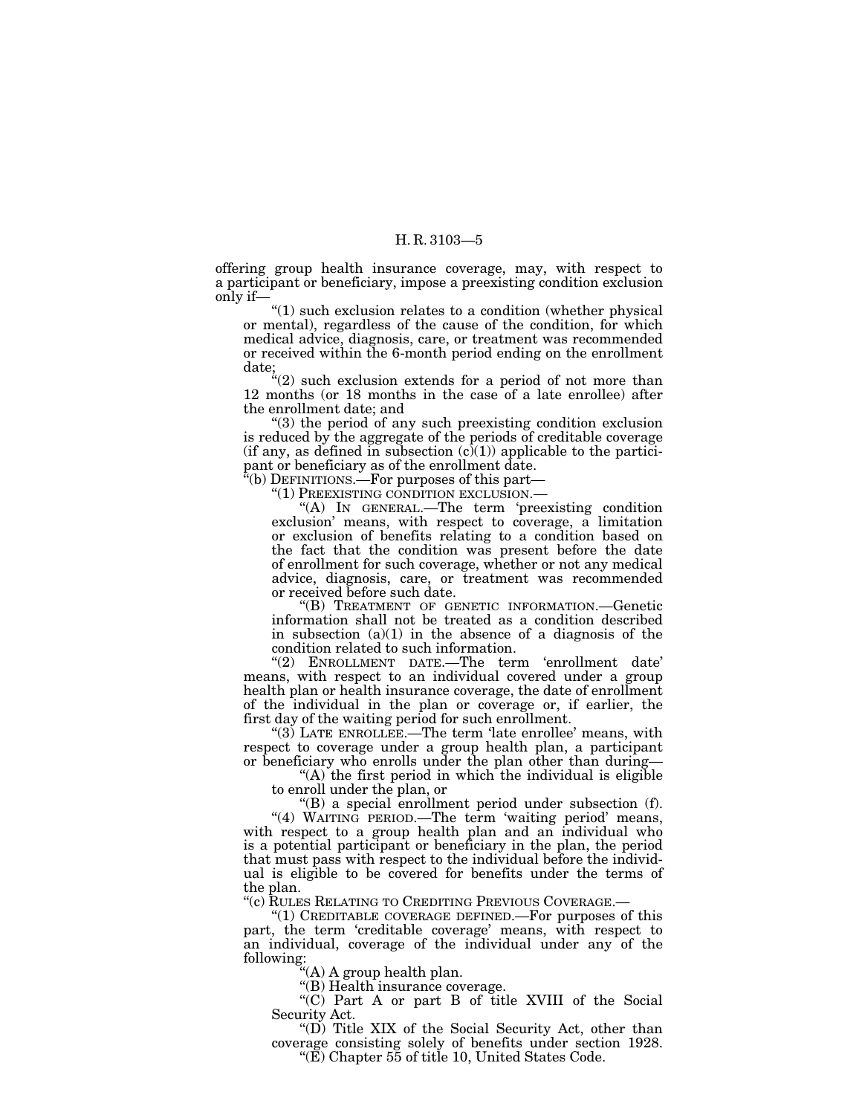offering group health insurance coverage, may, with respect to a participant or beneficiary, impose a preexisting condition exclusion only if—

" $(1)$  such exclusion relates to a condition (whether physical or mental), regardless of the cause of the condition, for which medical advice, diagnosis, care, or treatment was recommended or received within the 6-month period ending on the enrollment date;

"(2) such exclusion extends for a period of not more than 12 months (or 18 months in the case of a late enrollee) after the enrollment date; and

''(3) the period of any such preexisting condition exclusion is reduced by the aggregate of the periods of creditable coverage (if any, as defined in subsection  $(c)(1)$ ) applicable to the participant or beneficiary as of the enrollment date.

<sup>"</sup>(b) DEFINITIONS.—For purposes of this part—

''(1) PREEXISTING CONDITION EXCLUSION.—

''(A) IN GENERAL.—The term 'preexisting condition exclusion' means, with respect to coverage, a limitation or exclusion of benefits relating to a condition based on the fact that the condition was present before the date of enrollment for such coverage, whether or not any medical advice, diagnosis, care, or treatment was recommended or received before such date.

''(B) TREATMENT OF GENETIC INFORMATION.—Genetic information shall not be treated as a condition described in subsection  $(a)(1)$  in the absence of a diagnosis of the condition related to such information.

"(2) ENROLLMENT DATE.—The term 'enrollment date' means, with respect to an individual covered under a group health plan or health insurance coverage, the date of enrollment of the individual in the plan or coverage or, if earlier, the first day of the waiting period for such enrollment.

''(3) LATE ENROLLEE.—The term 'late enrollee' means, with respect to coverage under a group health plan, a participant or beneficiary who enrolls under the plan other than during—

''(A) the first period in which the individual is eligible to enroll under the plan, or

''(B) a special enrollment period under subsection (f).

"(4) WAITING PERIOD.—The term 'waiting period' means, with respect to a group health plan and an individual who is a potential participant or beneficiary in the plan, the period that must pass with respect to the individual before the individual is eligible to be covered for benefits under the terms of the plan.

''(c) RULES RELATING TO CREDITING PREVIOUS COVERAGE.—

" $(1)$  CREDITABLE COVERAGE DEFINED.—For purposes of this part, the term 'creditable coverage' means, with respect to an individual, coverage of the individual under any of the following:

''(A) A group health plan.

''(B) Health insurance coverage.

''(C) Part A or part B of title XVIII of the Social Security Act.

''(D) Title XIX of the Social Security Act, other than coverage consisting solely of benefits under section 1928.

" $(E)$  Chapter 55 of title 10, United States Code.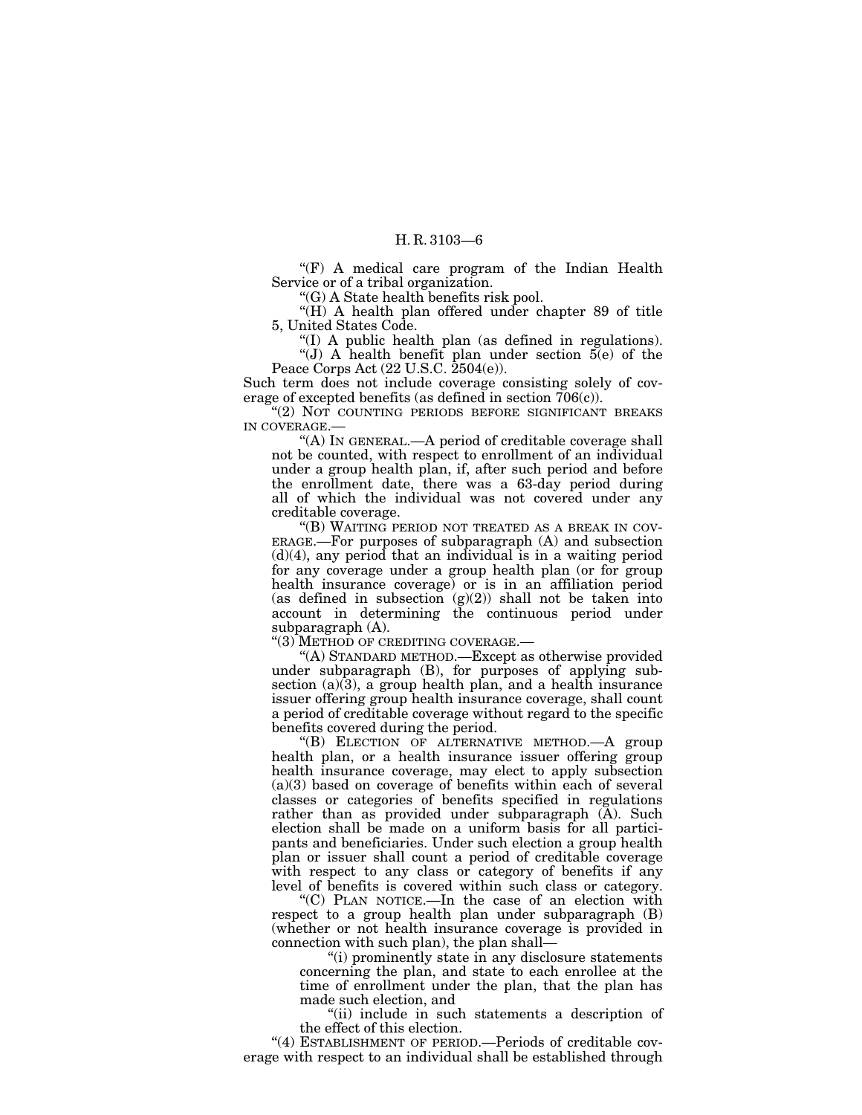"(F) A medical care program of the Indian Health Service or of a tribal organization.

''(G) A State health benefits risk pool.

''(H) A health plan offered under chapter 89 of title 5, United States Code.

''(I) A public health plan (as defined in regulations).

"(J) A health benefit plan under section  $5(e)$  of the Peace Corps Act (22 U.S.C. 2504(e)).

Such term does not include coverage consisting solely of coverage of excepted benefits (as defined in section 706(c)).

"(2) NOT COUNTING PERIODS BEFORE SIGNIFICANT BREAKS IN COVERAGE.—

''(A) IN GENERAL.—A period of creditable coverage shall not be counted, with respect to enrollment of an individual under a group health plan, if, after such period and before the enrollment date, there was a 63-day period during all of which the individual was not covered under any creditable coverage.

''(B) WAITING PERIOD NOT TREATED AS A BREAK IN COV-ERAGE.—For purposes of subparagraph (A) and subsection  $(d)(4)$ , any period that an individual is in a waiting period for any coverage under a group health plan (or for group health insurance coverage) or is in an affiliation period (as defined in subsection  $(g)(2)$ ) shall not be taken into account in determining the continuous period under subparagraph (A).

''(3) METHOD OF CREDITING COVERAGE.—

''(A) STANDARD METHOD.—Except as otherwise provided under subparagraph (B), for purposes of applying subsection  $(a)(3)$ , a group health plan, and a health insurance issuer offering group health insurance coverage, shall count a period of creditable coverage without regard to the specific benefits covered during the period.

''(B) ELECTION OF ALTERNATIVE METHOD.—A group health plan, or a health insurance issuer offering group health insurance coverage, may elect to apply subsection (a)(3) based on coverage of benefits within each of several classes or categories of benefits specified in regulations rather than as provided under subparagraph  $(A)$ . Such election shall be made on a uniform basis for all participants and beneficiaries. Under such election a group health plan or issuer shall count a period of creditable coverage with respect to any class or category of benefits if any level of benefits is covered within such class or category.

''(C) PLAN NOTICE.—In the case of an election with respect to a group health plan under subparagraph (B) (whether or not health insurance coverage is provided in connection with such plan), the plan shall—

''(i) prominently state in any disclosure statements concerning the plan, and state to each enrollee at the time of enrollment under the plan, that the plan has made such election, and

"(ii) include in such statements a description of the effect of this election.

''(4) ESTABLISHMENT OF PERIOD.—Periods of creditable coverage with respect to an individual shall be established through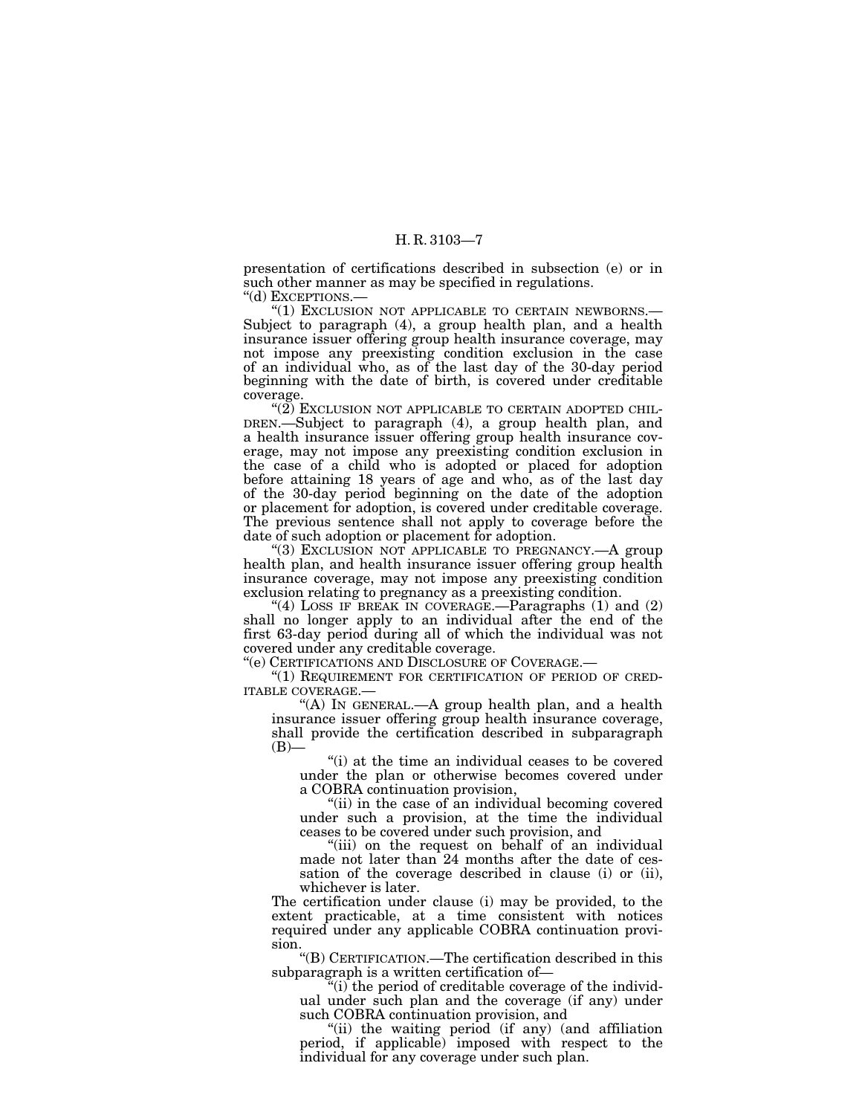presentation of certifications described in subsection (e) or in such other manner as may be specified in regulations.

''(d) EXCEPTIONS.—

"(1) EXCLUSION NOT APPLICABLE TO CERTAIN NEWBORNS.-Subject to paragraph (4), a group health plan, and a health insurance issuer offering group health insurance coverage, may not impose any preexisting condition exclusion in the case of an individual who, as of the last day of the 30-day period beginning with the date of birth, is covered under creditable coverage.

" $(2)$  Exclusion not applicable to certain adopted chil-DREN.—Subject to paragraph (4), a group health plan, and a health insurance issuer offering group health insurance coverage, may not impose any preexisting condition exclusion in the case of a child who is adopted or placed for adoption before attaining 18 years of age and who, as of the last day of the 30-day period beginning on the date of the adoption or placement for adoption, is covered under creditable coverage. The previous sentence shall not apply to coverage before the date of such adoption or placement for adoption.

''(3) EXCLUSION NOT APPLICABLE TO PREGNANCY.—A group health plan, and health insurance issuer offering group health insurance coverage, may not impose any preexisting condition exclusion relating to pregnancy as a preexisting condition.

"(4) LOSS IF BREAK IN COVERAGE.—Paragraphs  $(1)$  and  $(2)$ shall no longer apply to an individual after the end of the first 63-day period during all of which the individual was not covered under any creditable coverage.<br>"(e) CERTIFICATIONS AND DISCLOSURE OF COVERAGE.—

"(1) REQUIREMENT FOR CERTIFICATION OF PERIOD OF CRED-<br>ITABLE COVERAGE.— "(A) IN GENERAL.—A group health plan, and a health

insurance issuer offering group health insurance coverage, shall provide the certification described in subparagraph  $(B)$ —

''(i) at the time an individual ceases to be covered under the plan or otherwise becomes covered under a COBRA continuation provision,

"(ii) in the case of an individual becoming covered under such a provision, at the time the individual ceases to be covered under such provision, and

"(iii) on the request on behalf of an individual made not later than 24 months after the date of cessation of the coverage described in clause (i) or (ii), whichever is later.

The certification under clause (i) may be provided, to the extent practicable, at a time consistent with notices required under any applicable COBRA continuation provision.

''(B) CERTIFICATION.—The certification described in this subparagraph is a written certification of—

''(i) the period of creditable coverage of the individual under such plan and the coverage (if any) under such COBRA continuation provision, and

''(ii) the waiting period (if any) (and affiliation period, if applicable) imposed with respect to the individual for any coverage under such plan.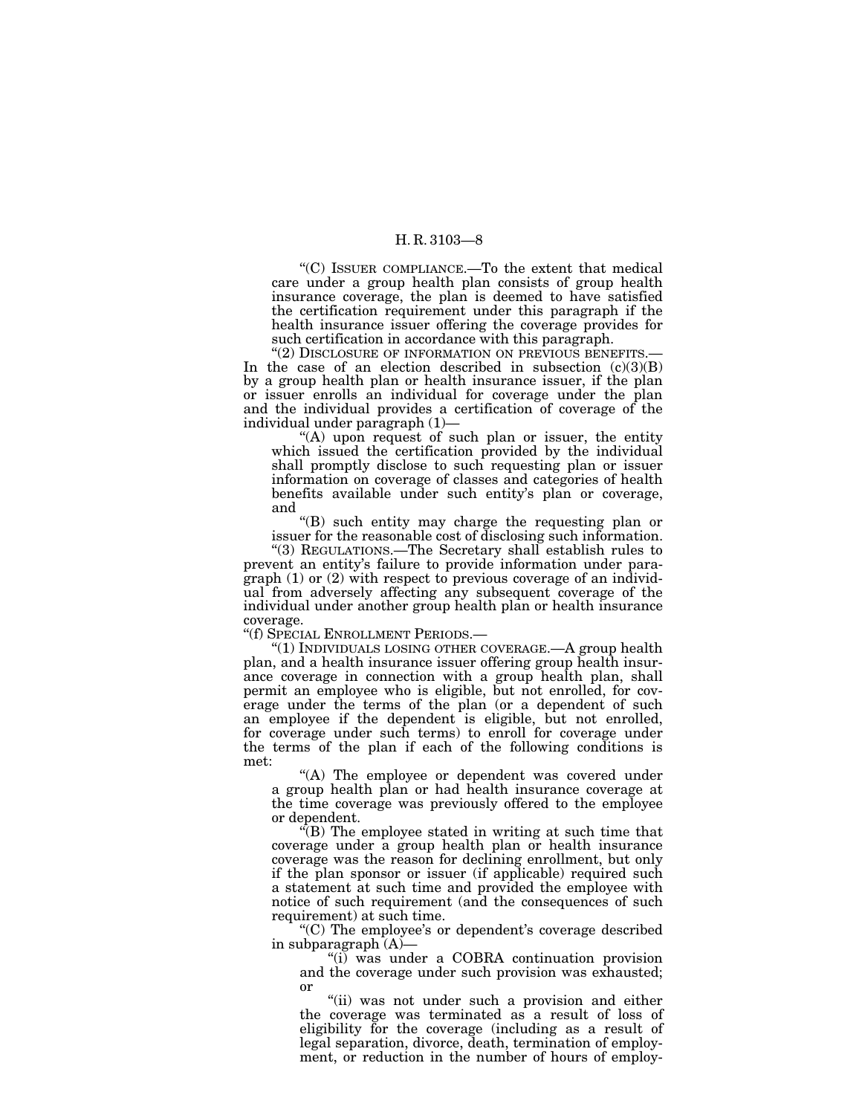''(C) ISSUER COMPLIANCE.—To the extent that medical care under a group health plan consists of group health insurance coverage, the plan is deemed to have satisfied the certification requirement under this paragraph if the health insurance issuer offering the coverage provides for such certification in accordance with this paragraph.

"(2) DISCLOSURE OF INFORMATION ON PREVIOUS BENEFITS.-In the case of an election described in subsection  $(c)(3)(B)$ by a group health plan or health insurance issuer, if the plan or issuer enrolls an individual for coverage under the plan and the individual provides a certification of coverage of the individual under paragraph (1)—

''(A) upon request of such plan or issuer, the entity which issued the certification provided by the individual shall promptly disclose to such requesting plan or issuer information on coverage of classes and categories of health benefits available under such entity's plan or coverage, and

''(B) such entity may charge the requesting plan or issuer for the reasonable cost of disclosing such information.

''(3) REGULATIONS.—The Secretary shall establish rules to prevent an entity's failure to provide information under paragraph (1) or (2) with respect to previous coverage of an individual from adversely affecting any subsequent coverage of the individual under another group health plan or health insurance coverage.

''(f) SPECIAL ENROLLMENT PERIODS.—

"(1) INDIVIDUALS LOSING OTHER COVERAGE.—A group health plan, and a health insurance issuer offering group health insurance coverage in connection with a group health plan, shall permit an employee who is eligible, but not enrolled, for coverage under the terms of the plan (or a dependent of such an employee if the dependent is eligible, but not enrolled, for coverage under such terms) to enroll for coverage under the terms of the plan if each of the following conditions is met:

"(A) The employee or dependent was covered under a group health plan or had health insurance coverage at the time coverage was previously offered to the employee or dependent.

 $\overline{f}(B)$  The employee stated in writing at such time that coverage under a group health plan or health insurance coverage was the reason for declining enrollment, but only if the plan sponsor or issuer (if applicable) required such a statement at such time and provided the employee with notice of such requirement (and the consequences of such requirement) at such time.

''(C) The employee's or dependent's coverage described in subparagraph (A)—

''(i) was under a COBRA continuation provision and the coverage under such provision was exhausted; or

"(ii) was not under such a provision and either the coverage was terminated as a result of loss of eligibility for the coverage (including as a result of legal separation, divorce, death, termination of employment, or reduction in the number of hours of employ-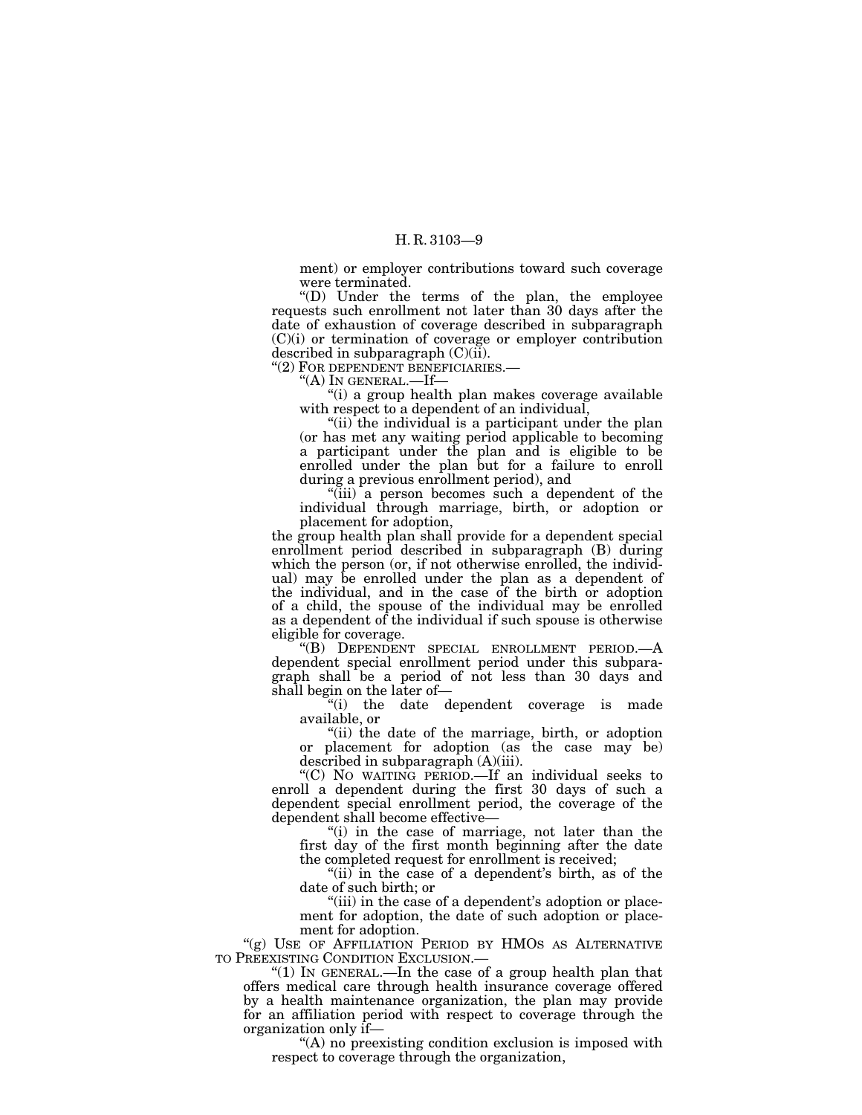ment) or employer contributions toward such coverage were terminated.

''(D) Under the terms of the plan, the employee requests such enrollment not later than 30 days after the date of exhaustion of coverage described in subparagraph (C)(i) or termination of coverage or employer contribution described in subparagraph  $(C)(ii)$ .

''(2) FOR DEPENDENT BENEFICIARIES.—

''(A) IN GENERAL.—If—

''(i) a group health plan makes coverage available with respect to a dependent of an individual,

''(ii) the individual is a participant under the plan (or has met any waiting period applicable to becoming a participant under the plan and is eligible to be enrolled under the plan but for a failure to enroll during a previous enrollment period), and

''(iii) a person becomes such a dependent of the individual through marriage, birth, or adoption or placement for adoption,

the group health plan shall provide for a dependent special enrollment period described in subparagraph (B) during which the person (or, if not otherwise enrolled, the individual) may be enrolled under the plan as a dependent of the individual, and in the case of the birth or adoption of a child, the spouse of the individual may be enrolled as a dependent of the individual if such spouse is otherwise eligible for coverage.

''(B) DEPENDENT SPECIAL ENROLLMENT PERIOD.—A dependent special enrollment period under this subparagraph shall be a period of not less than 30 days and shall begin on the later of—

''(i) the date dependent coverage is made available, or

''(ii) the date of the marriage, birth, or adoption or placement for adoption (as the case may be) described in subparagraph (A)(iii).

''(C) NO WAITING PERIOD.—If an individual seeks to enroll a dependent during the first 30 days of such a dependent special enrollment period, the coverage of the dependent shall become effective—

''(i) in the case of marriage, not later than the first day of the first month beginning after the date the completed request for enrollment is received;

" $(ii)$  in the case of a dependent's birth, as of the date of such birth; or

''(iii) in the case of a dependent's adoption or placement for adoption, the date of such adoption or placement for adoption.

"(g) USE OF AFFILIATION PERIOD BY HMOS AS ALTERNATIVE TO PREEXISTING CONDITION EXCLUSION.—

" $(1)$  In GENERAL.—In the case of a group health plan that offers medical care through health insurance coverage offered by a health maintenance organization, the plan may provide for an affiliation period with respect to coverage through the organization only if—

''(A) no preexisting condition exclusion is imposed with respect to coverage through the organization,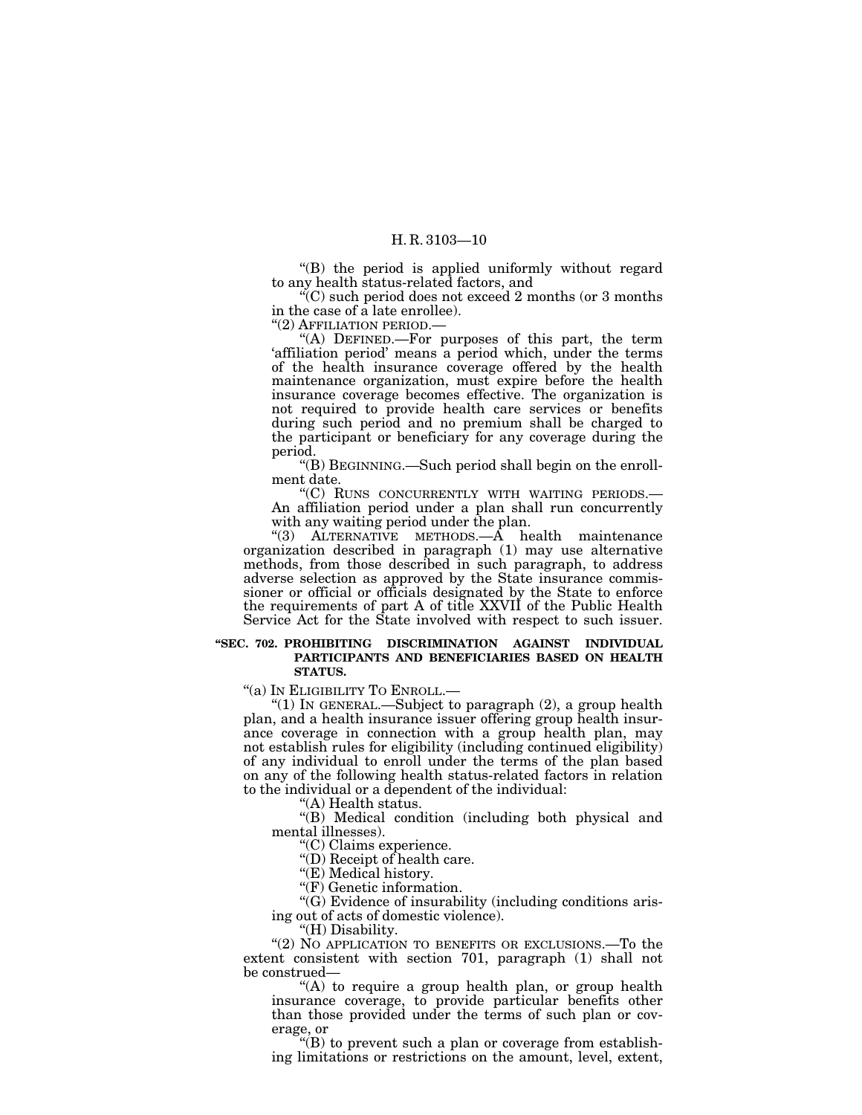''(B) the period is applied uniformly without regard to any health status-related factors, and

 $\mathcal{C}(C)$  such period does not exceed 2 months (or 3 months) in the case of a late enrollee).

''(2) AFFILIATION PERIOD.—

''(A) DEFINED.—For purposes of this part, the term 'affiliation period' means a period which, under the terms of the health insurance coverage offered by the health maintenance organization, must expire before the health insurance coverage becomes effective. The organization is not required to provide health care services or benefits during such period and no premium shall be charged to the participant or beneficiary for any coverage during the period.

''(B) BEGINNING.—Such period shall begin on the enrollment date.

''(C) RUNS CONCURRENTLY WITH WAITING PERIODS.— An affiliation period under a plan shall run concurrently with any waiting period under the plan.

"(3) ALTERNATIVE METHODS.— $\overline{A}$  health maintenance organization described in paragraph (1) may use alternative methods, from those described in such paragraph, to address adverse selection as approved by the State insurance commissioner or official or officials designated by the State to enforce the requirements of part A of title XXVII of the Public Health Service Act for the State involved with respect to such issuer.

#### **''SEC. 702. PROHIBITING DISCRIMINATION AGAINST INDIVIDUAL PARTICIPANTS AND BENEFICIARIES BASED ON HEALTH STATUS.**

''(a) IN ELIGIBILITY TO ENROLL.— ''(1) IN GENERAL.—Subject to paragraph (2), a group health plan, and a health insurance issuer offering group health insurance coverage in connection with a group health plan, may not establish rules for eligibility (including continued eligibility) of any individual to enroll under the terms of the plan based on any of the following health status-related factors in relation to the individual or a dependent of the individual:

''(A) Health status.

"(B) Medical condition (including both physical and mental illnesses).

''(C) Claims experience.

''(D) Receipt of health care.

"(E) Medical history.

''(F) Genetic information.

''(G) Evidence of insurability (including conditions arising out of acts of domestic violence).

"(H) Disability.

"(2) NO APPLICATION TO BENEFITS OR EXCLUSIONS.—To the extent consistent with section 701, paragraph (1) shall not be construed—

"(A) to require a group health plan, or group health insurance coverage, to provide particular benefits other than those provided under the terms of such plan or coverage, or

''(B) to prevent such a plan or coverage from establishing limitations or restrictions on the amount, level, extent,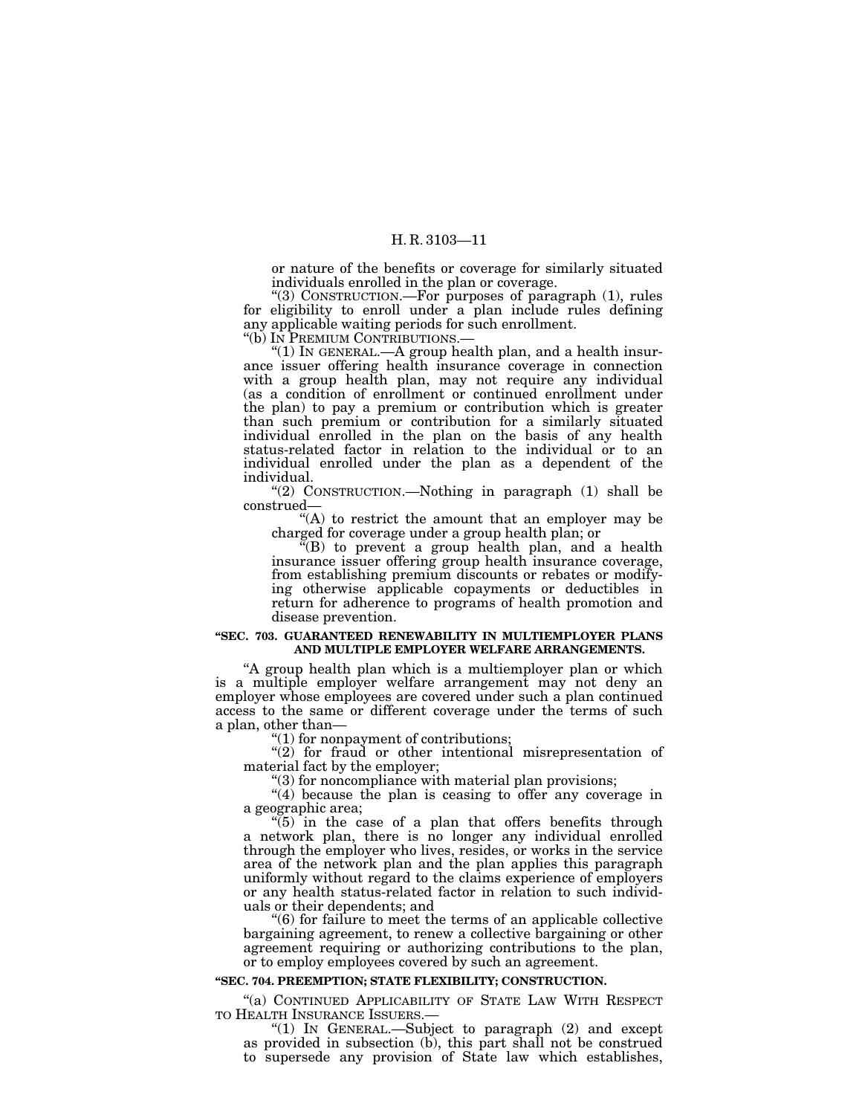or nature of the benefits or coverage for similarly situated individuals enrolled in the plan or coverage.

''(3) CONSTRUCTION.—For purposes of paragraph (1), rules for eligibility to enroll under a plan include rules defining any applicable waiting periods for such enrollment.

''(b) IN PREMIUM CONTRIBUTIONS.— ''(1) IN GENERAL.—A group health plan, and a health insurance issuer offering health insurance coverage in connection with a group health plan, may not require any individual (as a condition of enrollment or continued enrollment under the plan) to pay a premium or contribution which is greater than such premium or contribution for a similarly situated individual enrolled in the plan on the basis of any health status-related factor in relation to the individual or to an individual enrolled under the plan as a dependent of the individual.

''(2) CONSTRUCTION.—Nothing in paragraph (1) shall be construed—

"(A) to restrict the amount that an employer may be charged for coverage under a group health plan; or

 $E(E)$  to prevent a group health plan, and a health insurance issuer offering group health insurance coverage, from establishing premium discounts or rebates or modifying otherwise applicable copayments or deductibles in return for adherence to programs of health promotion and disease prevention.

#### **''SEC. 703. GUARANTEED RENEWABILITY IN MULTIEMPLOYER PLANS AND MULTIPLE EMPLOYER WELFARE ARRANGEMENTS.**

''A group health plan which is a multiemployer plan or which is a multiple employer welfare arrangement may not deny an employer whose employees are covered under such a plan continued access to the same or different coverage under the terms of such a plan, other than—

''(1) for nonpayment of contributions;

 $(2)$  for fraud or other intentional misrepresentation of material fact by the employer;

''(3) for noncompliance with material plan provisions;

 $''(4)$  because the plan is ceasing to offer any coverage in a geographic area;

 $\sqrt[4]{(5)}$  in the case of a plan that offers benefits through a network plan, there is no longer any individual enrolled through the employer who lives, resides, or works in the service area of the network plan and the plan applies this paragraph uniformly without regard to the claims experience of employers or any health status-related factor in relation to such individuals or their dependents; and

''(6) for failure to meet the terms of an applicable collective bargaining agreement, to renew a collective bargaining or other agreement requiring or authorizing contributions to the plan, or to employ employees covered by such an agreement.

# **''SEC. 704. PREEMPTION; STATE FLEXIBILITY; CONSTRUCTION.**

"(a) CONTINUED APPLICABILITY OF STATE LAW WITH RESPECT TO HEALTH INSURANCE ISSUERS.—

"(1) In GENERAL.—Subject to paragraph  $(2)$  and except as provided in subsection (b), this part shall not be construed to supersede any provision of State law which establishes,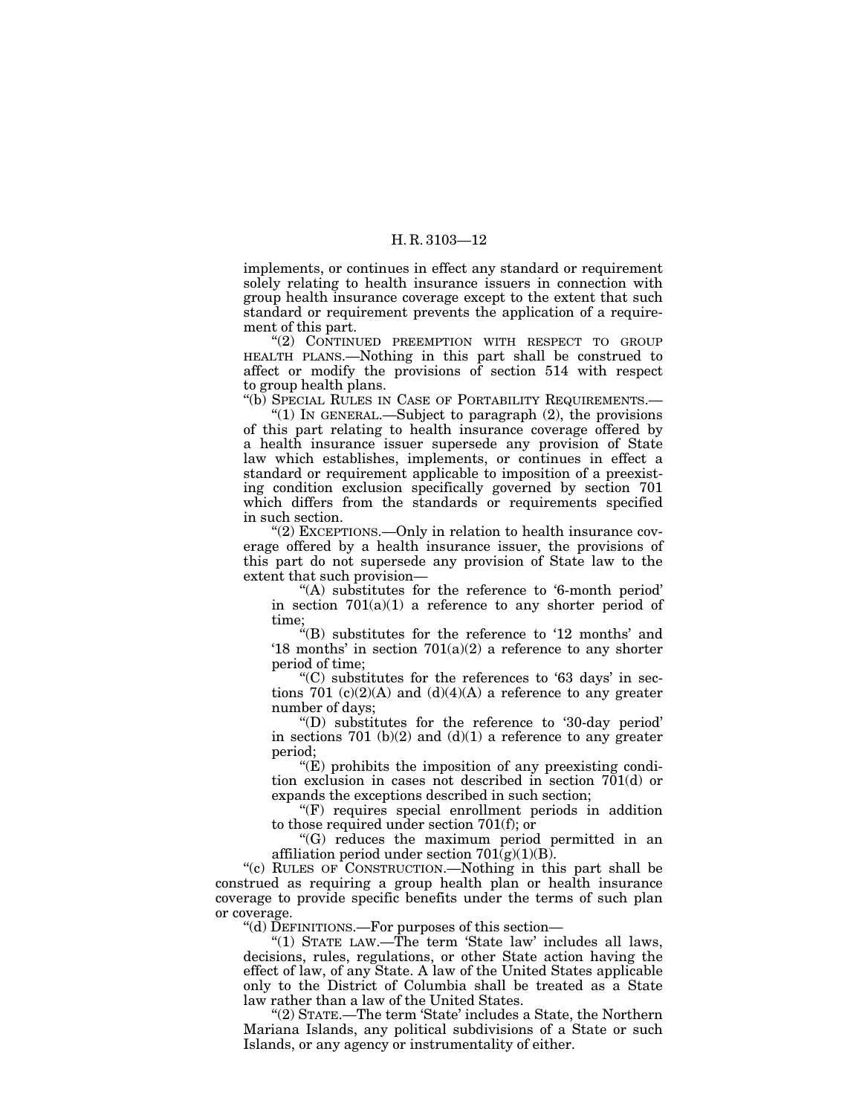implements, or continues in effect any standard or requirement solely relating to health insurance issuers in connection with group health insurance coverage except to the extent that such standard or requirement prevents the application of a requirement of this part.

''(2) CONTINUED PREEMPTION WITH RESPECT TO GROUP HEALTH PLANS.—Nothing in this part shall be construed to affect or modify the provisions of section 514 with respect to group health plans.

"(b) SPECIAL RULES IN CASE OF PORTABILITY REQUIREMENTS.—

" $(1)$  In GENERAL.—Subject to paragraph  $(2)$ , the provisions of this part relating to health insurance coverage offered by a health insurance issuer supersede any provision of State law which establishes, implements, or continues in effect a standard or requirement applicable to imposition of a preexisting condition exclusion specifically governed by section 701 which differs from the standards or requirements specified in such section.

''(2) EXCEPTIONS.—Only in relation to health insurance coverage offered by a health insurance issuer, the provisions of this part do not supersede any provision of State law to the extent that such provision—

''(A) substitutes for the reference to '6-month period' in section  $701(a)(1)$  a reference to any shorter period of time;

''(B) substitutes for the reference to '12 months' and '18 months' in section 701(a)(2) a reference to any shorter period of time;

''(C) substitutes for the references to '63 days' in sections 701 (c)(2)(A) and (d)(4)(A) a reference to any greater number of days;

''(D) substitutes for the reference to '30-day period' in sections 701 (b)(2) and (d)(1) a reference to any greater period;

" $(E)$  prohibits the imposition of any preexisting condition exclusion in cases not described in section 701(d) or expands the exceptions described in such section;

 $f(F)$  requires special enrollment periods in addition to those required under section 701(f); or

''(G) reduces the maximum period permitted in an affiliation period under section  $701(g)(1)(B)$ .

''(c) RULES OF CONSTRUCTION.—Nothing in this part shall be construed as requiring a group health plan or health insurance coverage to provide specific benefits under the terms of such plan or coverage.

''(d) DEFINITIONS.—For purposes of this section—

"(1) STATE LAW.—The term 'State law' includes all laws, decisions, rules, regulations, or other State action having the effect of law, of any State. A law of the United States applicable only to the District of Columbia shall be treated as a State law rather than a law of the United States.

''(2) STATE.—The term 'State' includes a State, the Northern Mariana Islands, any political subdivisions of a State or such Islands, or any agency or instrumentality of either.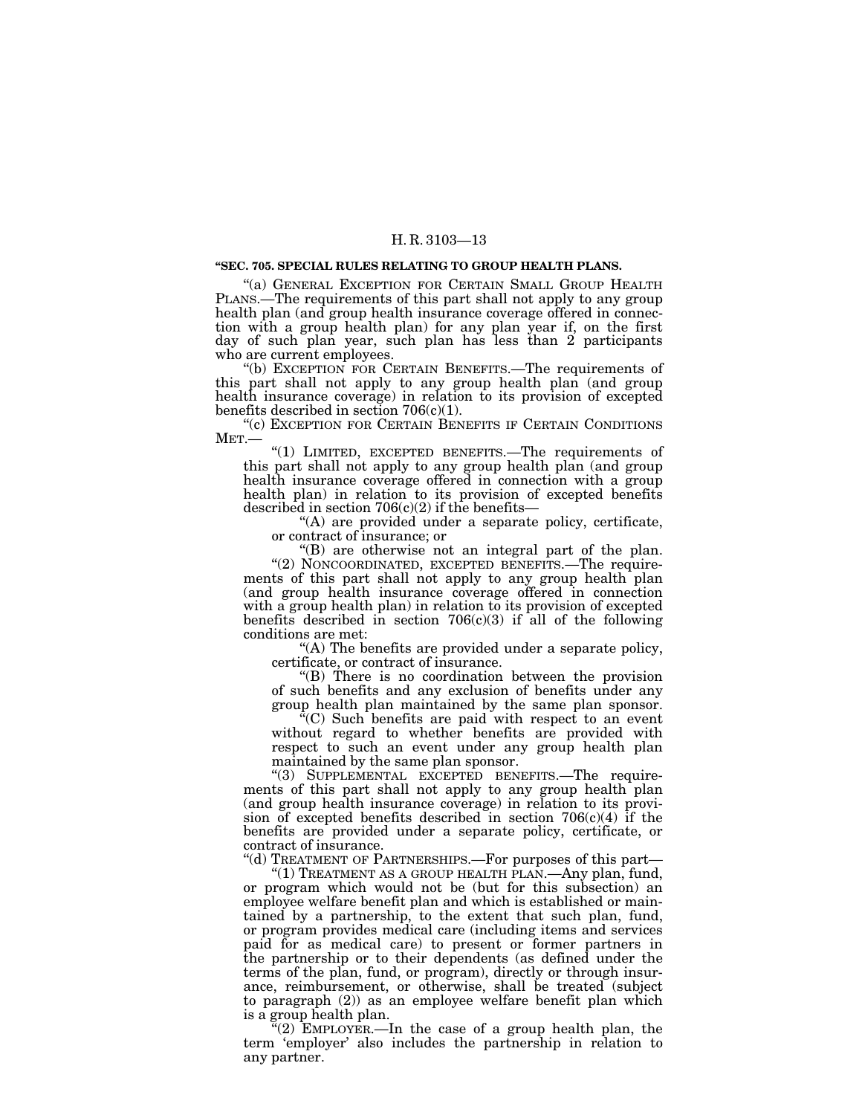# **''SEC. 705. SPECIAL RULES RELATING TO GROUP HEALTH PLANS.**

''(a) GENERAL EXCEPTION FOR CERTAIN SMALL GROUP HEALTH PLANS.—The requirements of this part shall not apply to any group health plan (and group health insurance coverage offered in connection with a group health plan) for any plan year if, on the first day of such plan year, such plan has less than 2 participants who are current employees.

''(b) EXCEPTION FOR CERTAIN BENEFITS.—The requirements of this part shall not apply to any group health plan (and group health insurance coverage) in relation to its provision of excepted benefits described in section  $706(c)(1)$ .

"(c) EXCEPTION FOR CERTAIN BENEFITS IF CERTAIN CONDITIONS  $MET$ .

 $\degree$ (1) LIMITED, EXCEPTED BENEFITS.—The requirements of this part shall not apply to any group health plan (and group health insurance coverage offered in connection with a group health plan) in relation to its provision of excepted benefits described in section  $706(c)(2)$  if the benefits—

''(A) are provided under a separate policy, certificate, or contract of insurance; or

''(B) are otherwise not an integral part of the plan. "(2) NONCOORDINATED, EXCEPTED BENEFITS.-The requirements of this part shall not apply to any group health plan (and group health insurance coverage offered in connection with a group health plan) in relation to its provision of excepted benefits described in section  $706(c)(3)$  if all of the following conditions are met:

''(A) The benefits are provided under a separate policy, certificate, or contract of insurance.

''(B) There is no coordination between the provision of such benefits and any exclusion of benefits under any group health plan maintained by the same plan sponsor.

 ${}^{\alpha}$ (C) Such benefits are paid with respect to an event without regard to whether benefits are provided with respect to such an event under any group health plan maintained by the same plan sponsor.

''(3) SUPPLEMENTAL EXCEPTED BENEFITS.—The requirements of this part shall not apply to any group health plan (and group health insurance coverage) in relation to its provision of excepted benefits described in section  $706(c)(4)$  if the benefits are provided under a separate policy, certificate, or contract of insurance.

''(d) TREATMENT OF PARTNERSHIPS.—For purposes of this part—

"(1) TREATMENT AS A GROUP HEALTH PLAN.—Any plan, fund, or program which would not be (but for this subsection) an employee welfare benefit plan and which is established or maintained by a partnership, to the extent that such plan, fund, or program provides medical care (including items and services paid for as medical care) to present or former partners in the partnership or to their dependents (as defined under the terms of the plan, fund, or program), directly or through insurance, reimbursement, or otherwise, shall be treated (subject to paragraph (2)) as an employee welfare benefit plan which is a group health plan.

 $f(2)$  EMPLOYER.—In the case of a group health plan, the term 'employer' also includes the partnership in relation to any partner.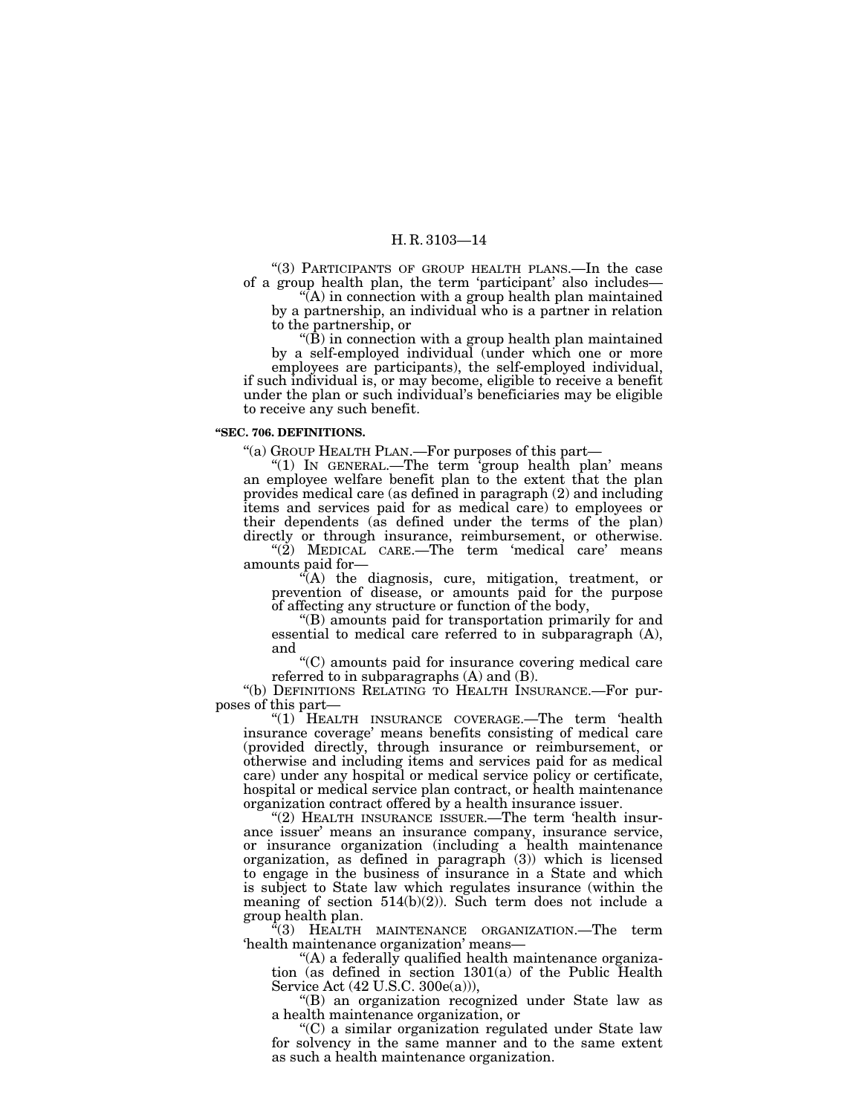''(3) PARTICIPANTS OF GROUP HEALTH PLANS.—In the case of a group health plan, the term 'participant' also includes—

''(A) in connection with a group health plan maintained by a partnership, an individual who is a partner in relation to the partnership, or

 $\angle$ (B) in connection with a group health plan maintained by a self-employed individual (under which one or more employees are participants), the self-employed individual, if such individual is, or may become, eligible to receive a benefit under the plan or such individual's beneficiaries may be eligible to receive any such benefit.

#### **''SEC. 706. DEFINITIONS.**

''(a) GROUP HEALTH PLAN.—For purposes of this part—

"(1) In GENERAL.—The term 'group health plan' means an employee welfare benefit plan to the extent that the plan provides medical care (as defined in paragraph (2) and including items and services paid for as medical care) to employees or their dependents (as defined under the terms of the plan) directly or through insurance, reimbursement, or otherwise.

"(2) MEDICAL CARE.—The term 'medical care' means amounts paid for—

''(A) the diagnosis, cure, mitigation, treatment, or prevention of disease, or amounts paid for the purpose of affecting any structure or function of the body,

''(B) amounts paid for transportation primarily for and essential to medical care referred to in subparagraph (A), and

''(C) amounts paid for insurance covering medical care referred to in subparagraphs (A) and (B).

''(b) DEFINITIONS RELATING TO HEALTH INSURANCE.—For purposes of this part—

''(1) HEALTH INSURANCE COVERAGE.—The term 'health insurance coverage' means benefits consisting of medical care (provided directly, through insurance or reimbursement, or otherwise and including items and services paid for as medical care) under any hospital or medical service policy or certificate, hospital or medical service plan contract, or health maintenance organization contract offered by a health insurance issuer.

''(2) HEALTH INSURANCE ISSUER.—The term 'health insurance issuer' means an insurance company, insurance service, or insurance organization (including a health maintenance organization, as defined in paragraph (3)) which is licensed to engage in the business of insurance in a State and which is subject to State law which regulates insurance (within the meaning of section  $514(b)(2)$ ). Such term does not include a group health plan.

''(3) HEALTH MAINTENANCE ORGANIZATION.—The term 'health maintenance organization' means—

''(A) a federally qualified health maintenance organization (as defined in section 1301(a) of the Public Health Service Act (42 U.S.C. 300e(a))),

''(B) an organization recognized under State law as a health maintenance organization, or

''(C) a similar organization regulated under State law for solvency in the same manner and to the same extent as such a health maintenance organization.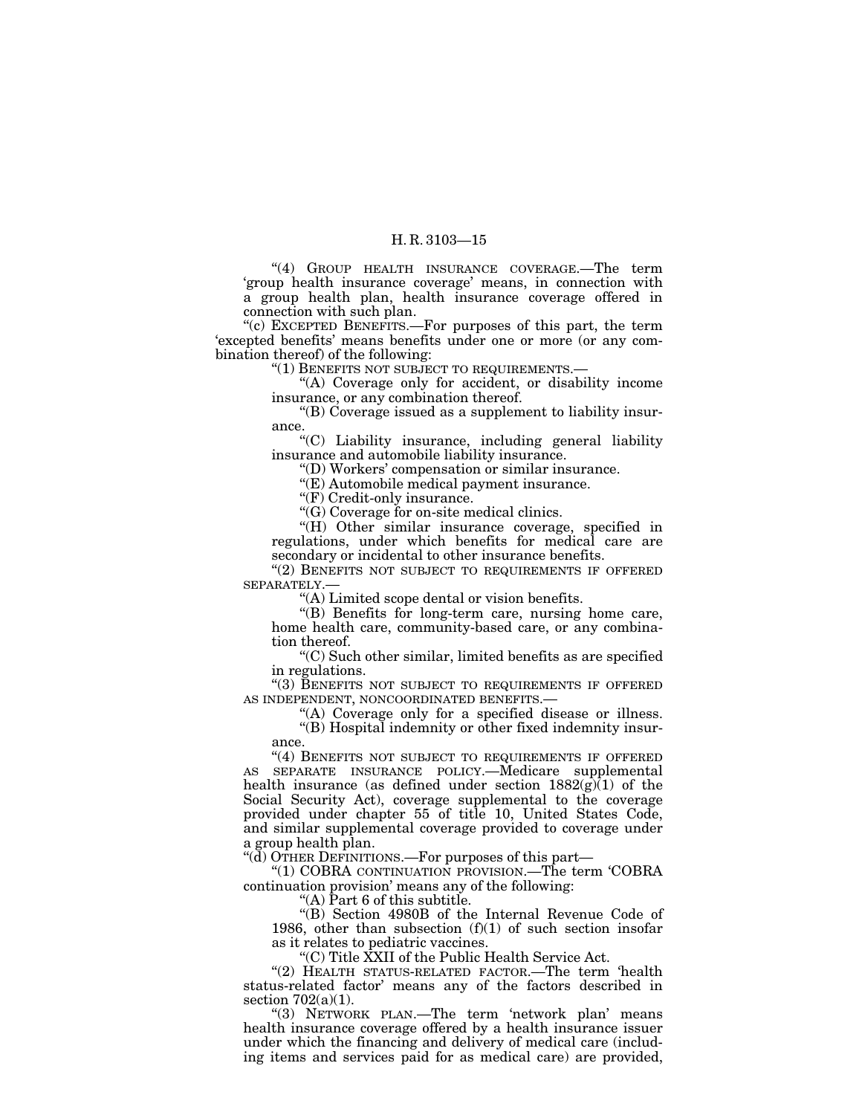''(4) GROUP HEALTH INSURANCE COVERAGE.—The term 'group health insurance coverage' means, in connection with a group health plan, health insurance coverage offered in connection with such plan.

''(c) EXCEPTED BENEFITS.—For purposes of this part, the term 'excepted benefits' means benefits under one or more (or any combination thereof) of the following:

"(1) BENEFITS NOT SUBJECT TO REQUIREMENTS.-

''(A) Coverage only for accident, or disability income insurance, or any combination thereof.

''(B) Coverage issued as a supplement to liability insurance.

''(C) Liability insurance, including general liability insurance and automobile liability insurance.

''(D) Workers' compensation or similar insurance.

''(E) Automobile medical payment insurance.

"(F) Credit-only insurance.

 $\mathcal{C}(G)$  Coverage for on-site medical clinics.

''(H) Other similar insurance coverage, specified in regulations, under which benefits for medical care are secondary or incidental to other insurance benefits.

"(2) BENEFITS NOT SUBJECT TO REQUIREMENTS IF OFFERED SEPARATELY.—

''(A) Limited scope dental or vision benefits.

''(B) Benefits for long-term care, nursing home care, home health care, community-based care, or any combination thereof.

''(C) Such other similar, limited benefits as are specified in regulations.

''(3) BENEFITS NOT SUBJECT TO REQUIREMENTS IF OFFERED AS INDEPENDENT, NONCOORDINATED BENEFITS.—

"(A) Coverage only for a specified disease or illness.

''(B) Hospital indemnity or other fixed indemnity insurance.

"(4) BENEFITS NOT SUBJECT TO REQUIREMENTS IF OFFERED AS SEPARATE INSURANCE POLICY.—Medicare supplemental health insurance (as defined under section  $1882(\hat{g})(1)$  of the Social Security Act), coverage supplemental to the coverage provided under chapter 55 of title 10, United States Code, and similar supplemental coverage provided to coverage under a group health plan.

''(d) OTHER DEFINITIONS.—For purposes of this part—

''(1) COBRA CONTINUATION PROVISION.—The term 'COBRA continuation provision' means any of the following:

''(A) Part 6 of this subtitle.

''(B) Section 4980B of the Internal Revenue Code of 1986, other than subsection  $(f)(1)$  of such section insofar as it relates to pediatric vaccines.

''(C) Title XXII of the Public Health Service Act.

"(2) HEALTH STATUS-RELATED FACTOR.—The term 'health status-related factor' means any of the factors described in section  $702(a)(1)$ .

''(3) NETWORK PLAN.—The term 'network plan' means health insurance coverage offered by a health insurance issuer under which the financing and delivery of medical care (including items and services paid for as medical care) are provided,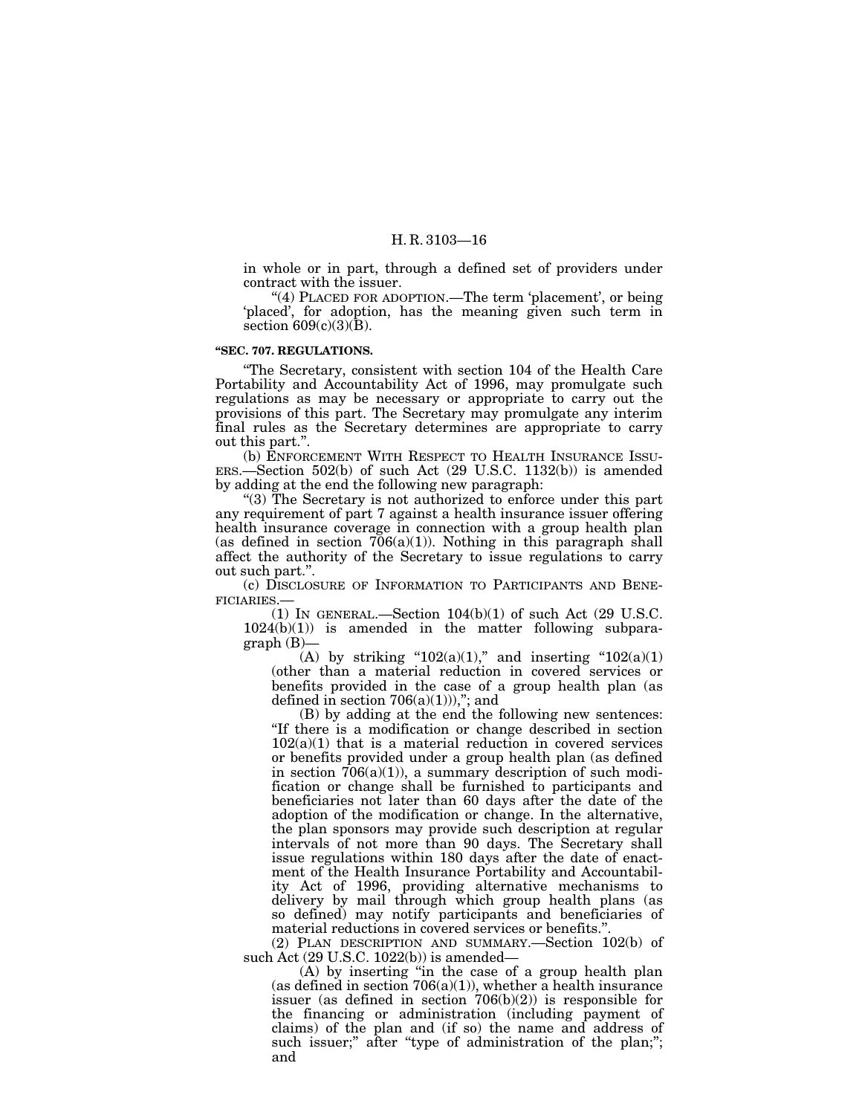in whole or in part, through a defined set of providers under contract with the issuer.

"(4) PLACED FOR ADOPTION.—The term 'placement', or being 'placed', for adoption, has the meaning given such term in section  $609(c)(3)(\bar{B})$ .

#### **''SEC. 707. REGULATIONS.**

''The Secretary, consistent with section 104 of the Health Care Portability and Accountability Act of 1996, may promulgate such regulations as may be necessary or appropriate to carry out the provisions of this part. The Secretary may promulgate any interim final rules as the Secretary determines are appropriate to carry out this part.''.

(b) ENFORCEMENT WITH RESPECT TO HEALTH INSURANCE ISSU-ERS.—Section 502(b) of such Act (29 U.S.C. 1132(b)) is amended by adding at the end the following new paragraph:

''(3) The Secretary is not authorized to enforce under this part any requirement of part 7 against a health insurance issuer offering health insurance coverage in connection with a group health plan (as defined in section  $706(a)(1)$ ). Nothing in this paragraph shall affect the authority of the Secretary to issue regulations to carry out such part.''.

(c) DISCLOSURE OF INFORMATION TO PARTICIPANTS AND BENE-FICIARIES.—

(1) IN GENERAL.—Section  $104(b)(1)$  of such Act (29 U.S.C.  $1024(b)(1)$  is amended in the matter following subparagraph (B)—

(A) by striking " $102(a)(1)$ ," and inserting " $102(a)(1)$ " (other than a material reduction in covered services or benefits provided in the case of a group health plan (as defined in section  $706(a)(1)$ ,"; and

(B) by adding at the end the following new sentences: ''If there is a modification or change described in section  $102(a)(1)$  that is a material reduction in covered services or benefits provided under a group health plan (as defined in section  $706(a)(1)$ , a summary description of such modification or change shall be furnished to participants and beneficiaries not later than 60 days after the date of the adoption of the modification or change. In the alternative, the plan sponsors may provide such description at regular intervals of not more than 90 days. The Secretary shall issue regulations within 180 days after the date of enactment of the Health Insurance Portability and Accountability Act of 1996, providing alternative mechanisms to delivery by mail through which group health plans (as so defined) may notify participants and beneficiaries of material reductions in covered services or benefits.''.

(2) PLAN DESCRIPTION AND SUMMARY.—Section 102(b) of such Act (29 U.S.C. 1022(b)) is amended—

(A) by inserting ''in the case of a group health plan (as defined in section  $706(a)(1)$ ), whether a health insurance issuer (as defined in section 706(b)(2)) is responsible for the financing or administration (including payment of claims) of the plan and (if so) the name and address of such issuer;" after "type of administration of the plan;"; and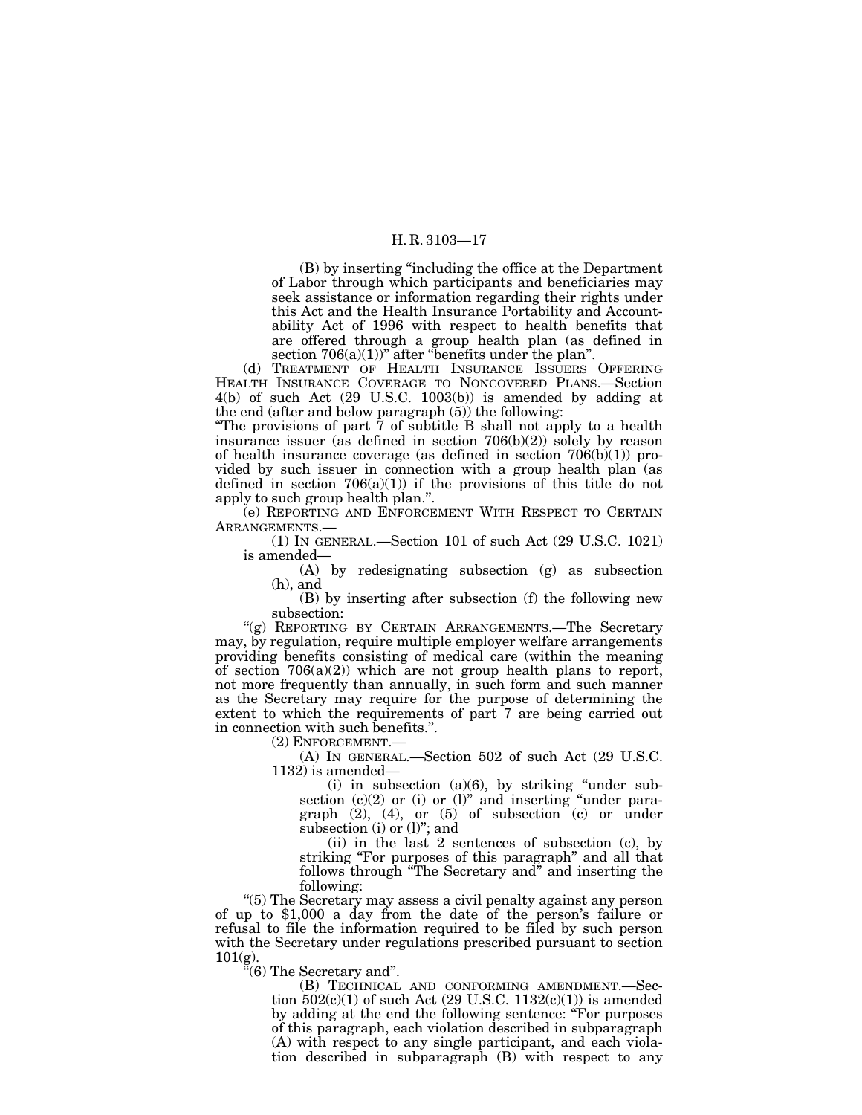(B) by inserting ''including the office at the Department of Labor through which participants and beneficiaries may seek assistance or information regarding their rights under this Act and the Health Insurance Portability and Accountability Act of 1996 with respect to health benefits that are offered through a group health plan (as defined in section  $706(a)(1)$ " after "benefits under the plan".

(d) TREATMENT OF HEALTH INSURANCE ISSUERS OFFERING HEALTH INSURANCE COVERAGE TO NONCOVERED PLANS.—Section 4(b) of such Act (29 U.S.C. 1003(b)) is amended by adding at the end (after and below paragraph (5)) the following:

"The provisions of part  $\overline{7}$  of subtitle B shall not apply to a health insurance issuer (as defined in section 706(b)(2)) solely by reason of health insurance coverage (as defined in section  $706(b)(1)$ ) provided by such issuer in connection with a group health plan (as defined in section  $706(a)(1)$  if the provisions of this title do not apply to such group health plan.''.

(e) REPORTING AND ENFORCEMENT WITH RESPECT TO CERTAIN ARRANGEMENTS.—

(1) IN GENERAL.—Section 101 of such Act (29 U.S.C. 1021) is amended—

(A) by redesignating subsection (g) as subsection (h), and

(B) by inserting after subsection (f) the following new subsection:

"(g) REPORTING BY CERTAIN ARRANGEMENTS. The Secretary may, by regulation, require multiple employer welfare arrangements providing benefits consisting of medical care (within the meaning of section  $706(a)(2)$  which are not group health plans to report, not more frequently than annually, in such form and such manner as the Secretary may require for the purpose of determining the extent to which the requirements of part 7 are being carried out in connection with such benefits.''.

(2) ENFORCEMENT.—

(A) IN GENERAL.—Section 502 of such Act (29 U.S.C. 1132) is amended—

(i) in subsection (a)(6), by striking ''under subsection (c)(2) or (i) or (l)" and inserting "under paragraph  $(2)$ ,  $(4)$ , or  $(5)$  of subsection  $(c)$  or under subsection (i) or  $(l)$ "; and

(ii) in the last 2 sentences of subsection (c), by striking ''For purposes of this paragraph'' and all that follows through "The Secretary and" and inserting the following:

''(5) The Secretary may assess a civil penalty against any person of up to \$1,000 a day from the date of the person's failure or refusal to file the information required to be filed by such person with the Secretary under regulations prescribed pursuant to section 101(g).

 $\mathbb{I}(6)$  The Secretary and".

(B) TECHNICAL AND CONFORMING AMENDMENT.—Section  $502(c)(1)$  of such Act (29 U.S.C.  $1132(c)(1)$ ) is amended by adding at the end the following sentence: ''For purposes of this paragraph, each violation described in subparagraph (A) with respect to any single participant, and each violation described in subparagraph (B) with respect to any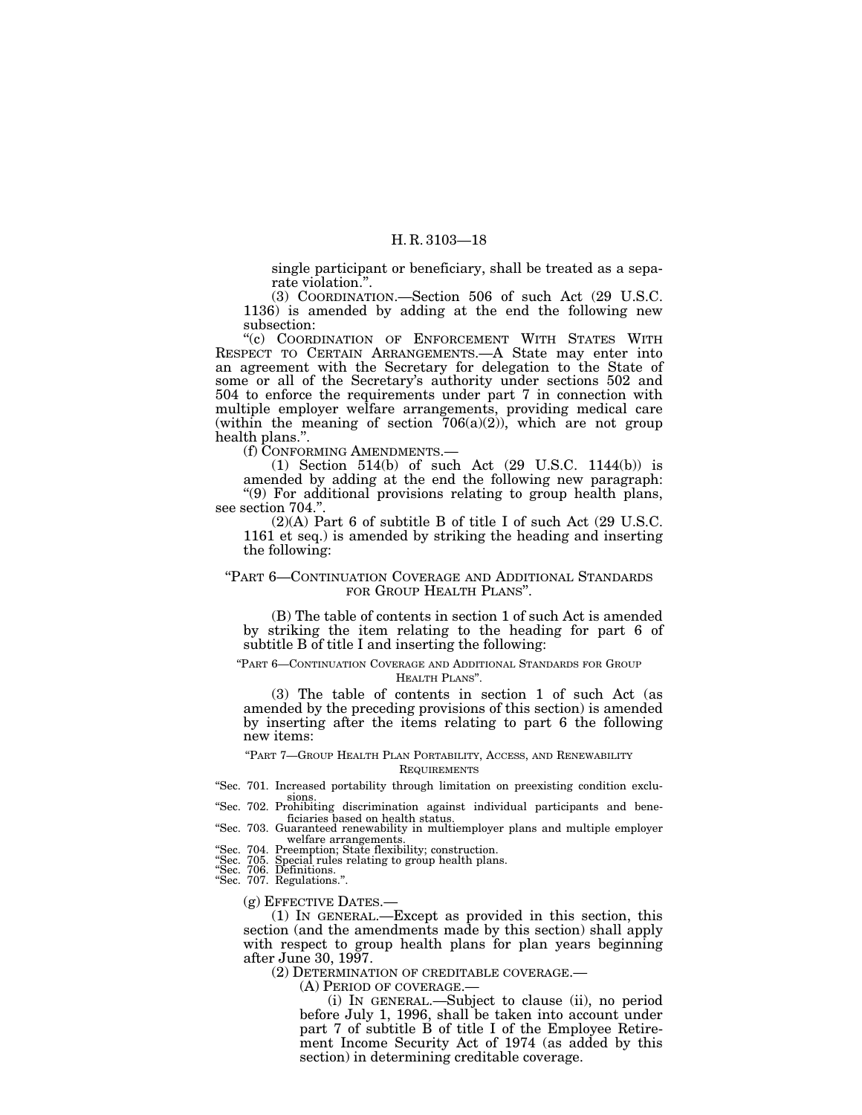single participant or beneficiary, shall be treated as a separate violation.''.

(3) COORDINATION.—Section 506 of such Act (29 U.S.C. 1136) is amended by adding at the end the following new subsection:

''(c) COORDINATION OF ENFORCEMENT WITH STATES WITH RESPECT TO CERTAIN ARRANGEMENTS.—A State may enter into an agreement with the Secretary for delegation to the State of some or all of the Secretary's authority under sections 502 and 504 to enforce the requirements under part 7 in connection with multiple employer welfare arrangements, providing medical care (within the meaning of section  $706(a)(2)$ ), which are not group health plans."

(f) CONFORMING AMENDMENTS.—

(1) Section 514(b) of such Act (29 U.S.C. 1144(b)) is amended by adding at the end the following new paragraph: ''(9) For additional provisions relating to group health plans, see section 704."

(2)(A) Part 6 of subtitle B of title I of such Act (29 U.S.C. 1161 et seq.) is amended by striking the heading and inserting the following:

#### ''PART 6—CONTINUATION COVERAGE AND ADDITIONAL STANDARDS FOR GROUP HEALTH PLANS''.

(B) The table of contents in section 1 of such Act is amended by striking the item relating to the heading for part 6 of subtitle B of title I and inserting the following:

#### ''PART 6—CONTINUATION COVERAGE AND ADDITIONAL STANDARDS FOR GROUP HEALTH PLANS''.

(3) The table of contents in section 1 of such Act (as amended by the preceding provisions of this section) is amended by inserting after the items relating to part 6 the following new items:

#### ''PART 7—GROUP HEALTH PLAN PORTABILITY, ACCESS, AND RENEWABILITY **REQUIREMENTS**

''Sec. 701. Increased portability through limitation on preexisting condition exclusions.

''Sec. 702. Prohibiting discrimination against individual participants and beneficiaries based on health status. ''Sec. 703. Guaranteed renewability in multiemployer plans and multiple employer

welfare arrangements. ''Sec. 704. Preemption; State flexibility; construction. ''Sec. 705. Special rules relating to group health plans. ''Sec. 706. Definitions. ''Sec. 707. Regulations.''.

(g) EFFECTIVE DATES.—

(1) IN GENERAL.—Except as provided in this section, this section (and the amendments made by this section) shall apply with respect to group health plans for plan years beginning after June 30, 1997.

(2) DETERMINATION OF CREDITABLE COVERAGE.—

(A) PERIOD OF COVERAGE.—

(i) IN GENERAL.—Subject to clause (ii), no period before July 1, 1996, shall be taken into account under part 7 of subtitle B of title I of the Employee Retirement Income Security Act of 1974 (as added by this section) in determining creditable coverage.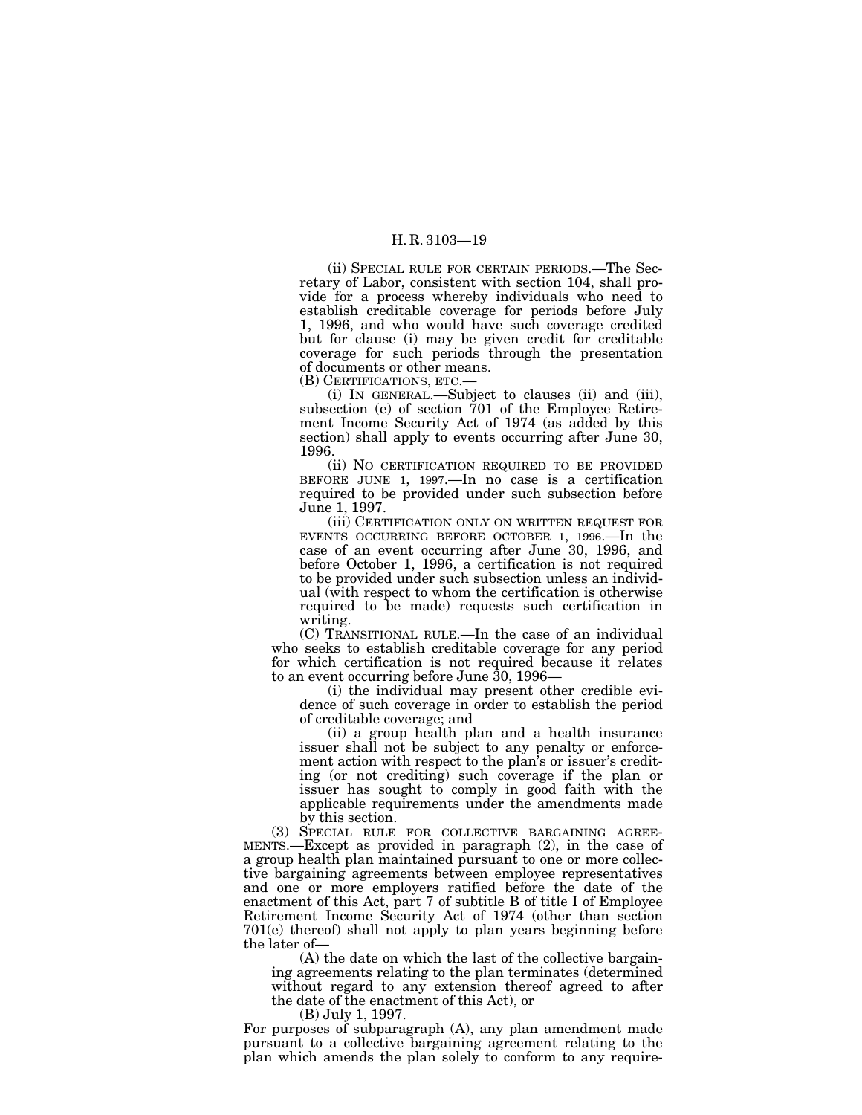(ii) SPECIAL RULE FOR CERTAIN PERIODS.—The Secretary of Labor, consistent with section 104, shall provide for a process whereby individuals who need to establish creditable coverage for periods before July 1, 1996, and who would have such coverage credited but for clause (i) may be given credit for creditable coverage for such periods through the presentation of documents or other means.

(B) CERTIFICATIONS, ETC.—

(i) IN GENERAL.—Subject to clauses (ii) and (iii), subsection (e) of section 701 of the Employee Retirement Income Security Act of 1974 (as added by this section) shall apply to events occurring after June 30, 1996.

(ii) NO CERTIFICATION REQUIRED TO BE PROVIDED BEFORE JUNE 1, 1997.—In no case is a certification required to be provided under such subsection before June 1, 1997.

(iii) CERTIFICATION ONLY ON WRITTEN REQUEST FOR EVENTS OCCURRING BEFORE OCTOBER 1, 1996.—In the case of an event occurring after June 30, 1996, and before October 1, 1996, a certification is not required to be provided under such subsection unless an individual (with respect to whom the certification is otherwise required to be made) requests such certification in writing.

(C) TRANSITIONAL RULE.—In the case of an individual who seeks to establish creditable coverage for any period for which certification is not required because it relates to an event occurring before June 30, 1996—

(i) the individual may present other credible evidence of such coverage in order to establish the period of creditable coverage; and

(ii) a group health plan and a health insurance issuer shall not be subject to any penalty or enforcement action with respect to the plan's or issuer's crediting (or not crediting) such coverage if the plan or issuer has sought to comply in good faith with the applicable requirements under the amendments made

by this section.<br>(3) SPECIAL RULE FOR COLLECTIVE BARGAINING AGREE- $MENTS.$ —Except as provided in paragraph (2), in the case of a group health plan maintained pursuant to one or more collective bargaining agreements between employee representatives and one or more employers ratified before the date of the enactment of this Act, part 7 of subtitle B of title I of Employee Retirement Income Security Act of 1974 (other than section 701(e) thereof) shall not apply to plan years beginning before the later of—

(A) the date on which the last of the collective bargaining agreements relating to the plan terminates (determined without regard to any extension thereof agreed to after the date of the enactment of this Act), or

(B) July 1, 1997.

For purposes of subparagraph (A), any plan amendment made pursuant to a collective bargaining agreement relating to the plan which amends the plan solely to conform to any require-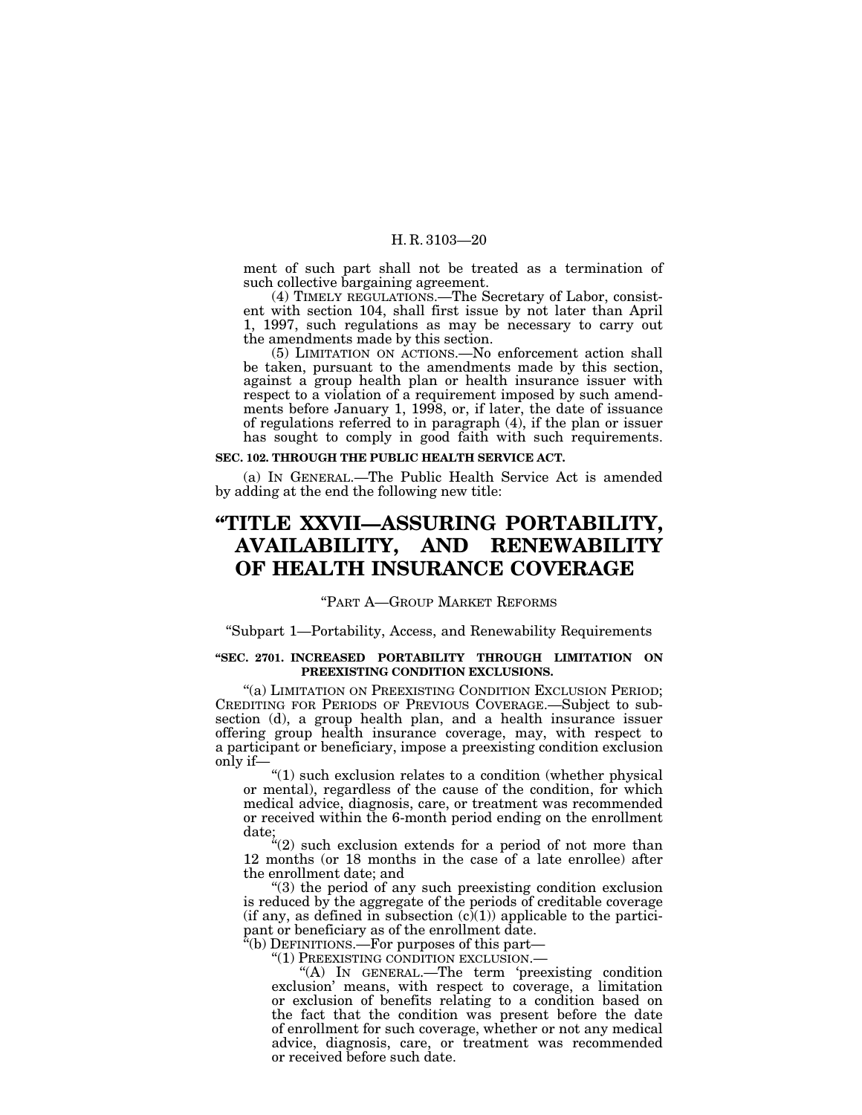ment of such part shall not be treated as a termination of such collective bargaining agreement.

(4) TIMELY REGULATIONS.—The Secretary of Labor, consistent with section 104, shall first issue by not later than April 1, 1997, such regulations as may be necessary to carry out the amendments made by this section.

(5) LIMITATION ON ACTIONS.—No enforcement action shall be taken, pursuant to the amendments made by this section, against a group health plan or health insurance issuer with respect to a violation of a requirement imposed by such amendments before January 1, 1998, or, if later, the date of issuance of regulations referred to in paragraph (4), if the plan or issuer has sought to comply in good faith with such requirements.

# **SEC. 102. THROUGH THE PUBLIC HEALTH SERVICE ACT.**

(a) IN GENERAL.—The Public Health Service Act is amended by adding at the end the following new title:

# **''TITLE XXVII—ASSURING PORTABILITY, AVAILABILITY, AND RENEWABILITY OF HEALTH INSURANCE COVERAGE**

''PART A—GROUP MARKET REFORMS

# ''Subpart 1—Portability, Access, and Renewability Requirements

#### **''SEC. 2701. INCREASED PORTABILITY THROUGH LIMITATION ON PREEXISTING CONDITION EXCLUSIONS.**

''(a) LIMITATION ON PREEXISTING CONDITION EXCLUSION PERIOD; CREDITING FOR PERIODS OF PREVIOUS COVERAGE.—Subject to subsection (d), a group health plan, and a health insurance issuer offering group health insurance coverage, may, with respect to a participant or beneficiary, impose a preexisting condition exclusion only if—

''(1) such exclusion relates to a condition (whether physical or mental), regardless of the cause of the condition, for which medical advice, diagnosis, care, or treatment was recommended or received within the 6-month period ending on the enrollment date;

 $f''(2)$  such exclusion extends for a period of not more than 12 months (or 18 months in the case of a late enrollee) after the enrollment date; and

''(3) the period of any such preexisting condition exclusion is reduced by the aggregate of the periods of creditable coverage (if any, as defined in subsection  $(c)(1)$ ) applicable to the participant or beneficiary as of the enrollment date.

''(b) DEFINITIONS.—For purposes of this part—

''(1) PREEXISTING CONDITION EXCLUSION.—

''(A) IN GENERAL.—The term 'preexisting condition exclusion' means, with respect to coverage, a limitation or exclusion of benefits relating to a condition based on the fact that the condition was present before the date of enrollment for such coverage, whether or not any medical advice, diagnosis, care, or treatment was recommended or received before such date.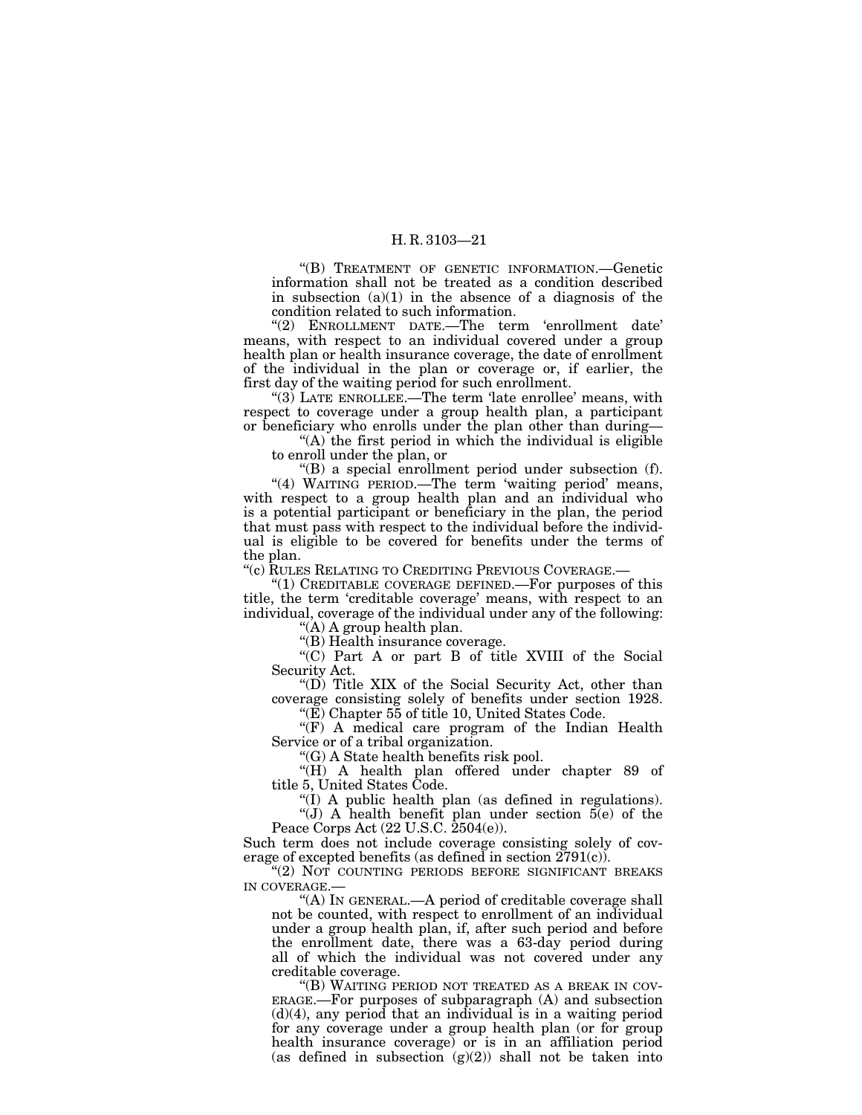''(B) TREATMENT OF GENETIC INFORMATION.—Genetic information shall not be treated as a condition described in subsection  $(a)(1)$  in the absence of a diagnosis of the condition related to such information.

''(2) ENROLLMENT DATE.—The term 'enrollment date' means, with respect to an individual covered under a group health plan or health insurance coverage, the date of enrollment of the individual in the plan or coverage or, if earlier, the first day of the waiting period for such enrollment.

''(3) LATE ENROLLEE.—The term 'late enrollee' means, with respect to coverage under a group health plan, a participant or beneficiary who enrolls under the plan other than during—

''(A) the first period in which the individual is eligible to enroll under the plan, or

''(B) a special enrollment period under subsection (f). "(4) WAITING PERIOD.—The term 'waiting period' means, with respect to a group health plan and an individual who

is a potential participant or beneficiary in the plan, the period that must pass with respect to the individual before the individual is eligible to be covered for benefits under the terms of the plan.

''(c) RULES RELATING TO CREDITING PREVIOUS COVERAGE.—

"(1) CREDITABLE COVERAGE DEFINED.—For purposes of this title, the term 'creditable coverage' means, with respect to an individual, coverage of the individual under any of the following:

''(A) A group health plan.

''(B) Health insurance coverage.

''(C) Part A or part B of title XVIII of the Social Security Act.

''(D) Title XIX of the Social Security Act, other than coverage consisting solely of benefits under section 1928. " $(E)$  Chapter 55 of title 10, United States Code.

''(F) A medical care program of the Indian Health Service or of a tribal organization.

''(G) A State health benefits risk pool.

''(H) A health plan offered under chapter 89 of title 5, United States Code.

''(I) A public health plan (as defined in regulations).

" $(J)$  A health benefit plan under section  $5(e)$  of the Peace Corps Act  $(22 \text{ U.S.C. } 2504(e))$ .

Such term does not include coverage consisting solely of coverage of excepted benefits (as defined in section 2791(c)).

"(2) NOT COUNTING PERIODS BEFORE SIGNIFICANT BREAKS IN COVERAGE.—

"(A) In GENERAL.—A period of creditable coverage shall not be counted, with respect to enrollment of an individual under a group health plan, if, after such period and before the enrollment date, there was a 63-day period during all of which the individual was not covered under any creditable coverage.

''(B) WAITING PERIOD NOT TREATED AS A BREAK IN COV-ERAGE.—For purposes of subparagraph (A) and subsection  $(d)(4)$ , any period that an individual is in a waiting period for any coverage under a group health plan (or for group health insurance coverage) or is in an affiliation period (as defined in subsection  $(g)(2)$ ) shall not be taken into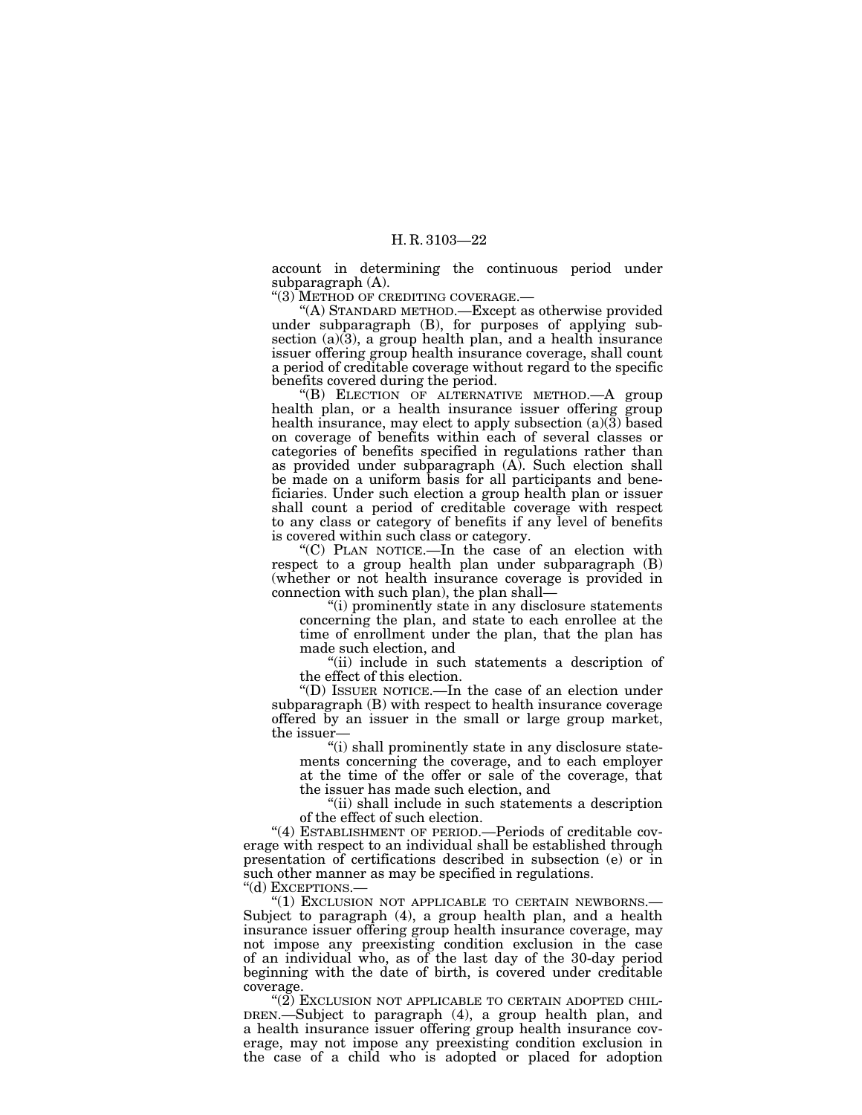account in determining the continuous period under subparagraph (A).

''(3) METHOD OF CREDITING COVERAGE.—

''(A) STANDARD METHOD.—Except as otherwise provided under subparagraph (B), for purposes of applying subsection  $(a)(3)$ , a group health plan, and a health insurance issuer offering group health insurance coverage, shall count a period of creditable coverage without regard to the specific benefits covered during the period.

''(B) ELECTION OF ALTERNATIVE METHOD.—A group health plan, or a health insurance issuer offering group health insurance, may elect to apply subsection (a)(3) based on coverage of benefits within each of several classes or categories of benefits specified in regulations rather than as provided under subparagraph (A). Such election shall be made on a uniform basis for all participants and beneficiaries. Under such election a group health plan or issuer shall count a period of creditable coverage with respect to any class or category of benefits if any level of benefits is covered within such class or category.

''(C) PLAN NOTICE.—In the case of an election with respect to a group health plan under subparagraph (B) (whether or not health insurance coverage is provided in connection with such plan), the plan shall—

''(i) prominently state in any disclosure statements concerning the plan, and state to each enrollee at the time of enrollment under the plan, that the plan has made such election, and

''(ii) include in such statements a description of the effect of this election.

''(D) ISSUER NOTICE.—In the case of an election under subparagraph (B) with respect to health insurance coverage offered by an issuer in the small or large group market, the issuer—

''(i) shall prominently state in any disclosure statements concerning the coverage, and to each employer at the time of the offer or sale of the coverage, that the issuer has made such election, and

''(ii) shall include in such statements a description of the effect of such election.

''(4) ESTABLISHMENT OF PERIOD.—Periods of creditable coverage with respect to an individual shall be established through presentation of certifications described in subsection (e) or in such other manner as may be specified in regulations.

''(d) EXCEPTIONS.—

"(1) EXCLUSION NOT APPLICABLE TO CERTAIN NEWBORNS.— Subject to paragraph (4), a group health plan, and a health insurance issuer offering group health insurance coverage, may not impose any preexisting condition exclusion in the case of an individual who, as of the last day of the 30-day period beginning with the date of birth, is covered under creditable coverage.

" $(2)$  Exclusion not applicable to certain adopted chil-DREN.—Subject to paragraph (4), a group health plan, and a health insurance issuer offering group health insurance coverage, may not impose any preexisting condition exclusion in the case of a child who is adopted or placed for adoption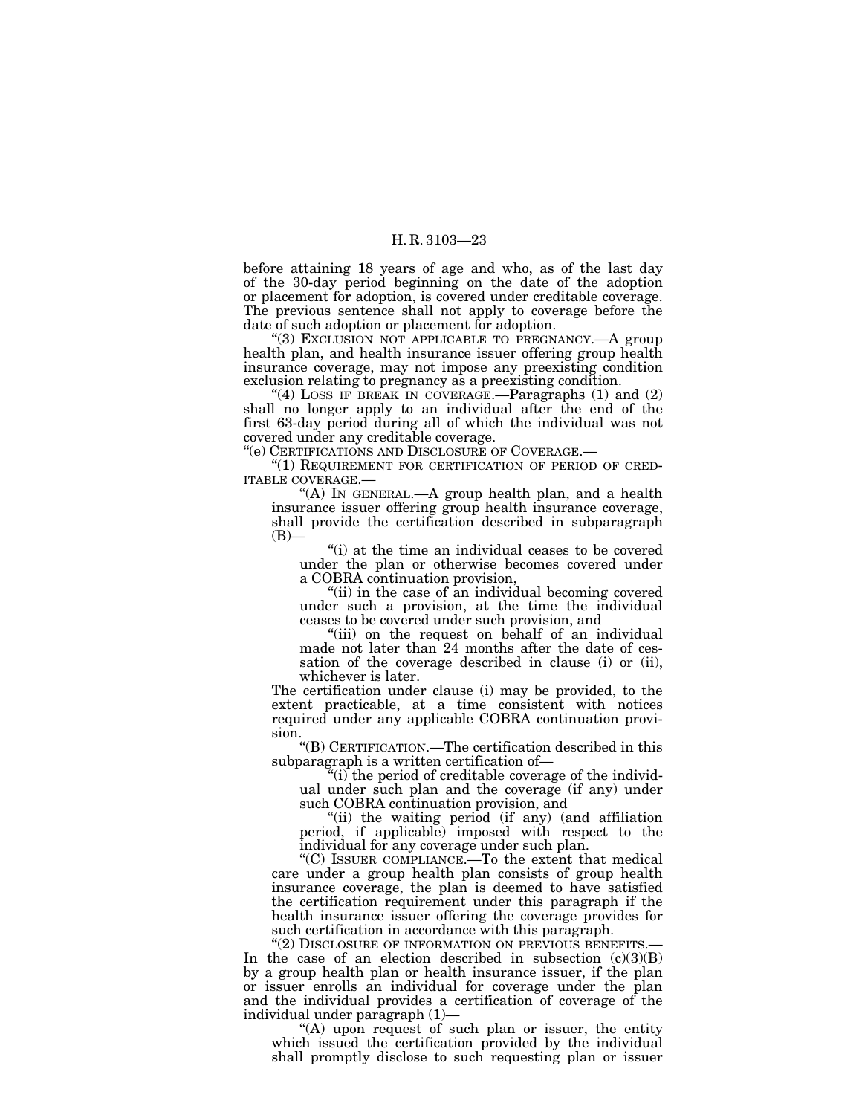before attaining 18 years of age and who, as of the last day of the 30-day period beginning on the date of the adoption or placement for adoption, is covered under creditable coverage. The previous sentence shall not apply to coverage before the date of such adoption or placement for adoption.

''(3) EXCLUSION NOT APPLICABLE TO PREGNANCY.—A group health plan, and health insurance issuer offering group health insurance coverage, may not impose any preexisting condition exclusion relating to pregnancy as a preexisting condition.

"(4) LOSS IF BREAK IN COVERAGE.—Paragraphs  $(1)$  and  $(2)$ shall no longer apply to an individual after the end of the first 63-day period during all of which the individual was not covered under any creditable coverage.

''(e) CERTIFICATIONS AND DISCLOSURE OF COVERAGE.—

"(1) REQUIREMENT FOR CERTIFICATION OF PERIOD OF CRED-ITABLE COVERAGE.—

''(A) IN GENERAL.—A group health plan, and a health insurance issuer offering group health insurance coverage, shall provide the certification described in subparagraph  $(B)$ —

"(i) at the time an individual ceases to be covered under the plan or otherwise becomes covered under a COBRA continuation provision,

"(ii) in the case of an individual becoming covered under such a provision, at the time the individual ceases to be covered under such provision, and

"(iii) on the request on behalf of an individual made not later than 24 months after the date of cessation of the coverage described in clause (i) or (ii), whichever is later.

The certification under clause (i) may be provided, to the extent practicable, at a time consistent with notices required under any applicable COBRA continuation provision.

''(B) CERTIFICATION.—The certification described in this subparagraph is a written certification of—

''(i) the period of creditable coverage of the individual under such plan and the coverage (if any) under such COBRA continuation provision, and

''(ii) the waiting period (if any) (and affiliation period, if applicable) imposed with respect to the individual for any coverage under such plan.

"(C) ISSUER COMPLIANCE.—To the extent that medical care under a group health plan consists of group health insurance coverage, the plan is deemed to have satisfied the certification requirement under this paragraph if the health insurance issuer offering the coverage provides for such certification in accordance with this paragraph.

"(2) DISCLOSURE OF INFORMATION ON PREVIOUS BENEFITS.-In the case of an election described in subsection  $(c)(3)(B)$ by a group health plan or health insurance issuer, if the plan or issuer enrolls an individual for coverage under the plan and the individual provides a certification of coverage of the individual under paragraph (1)—

"(A) upon request of such plan or issuer, the entity which issued the certification provided by the individual shall promptly disclose to such requesting plan or issuer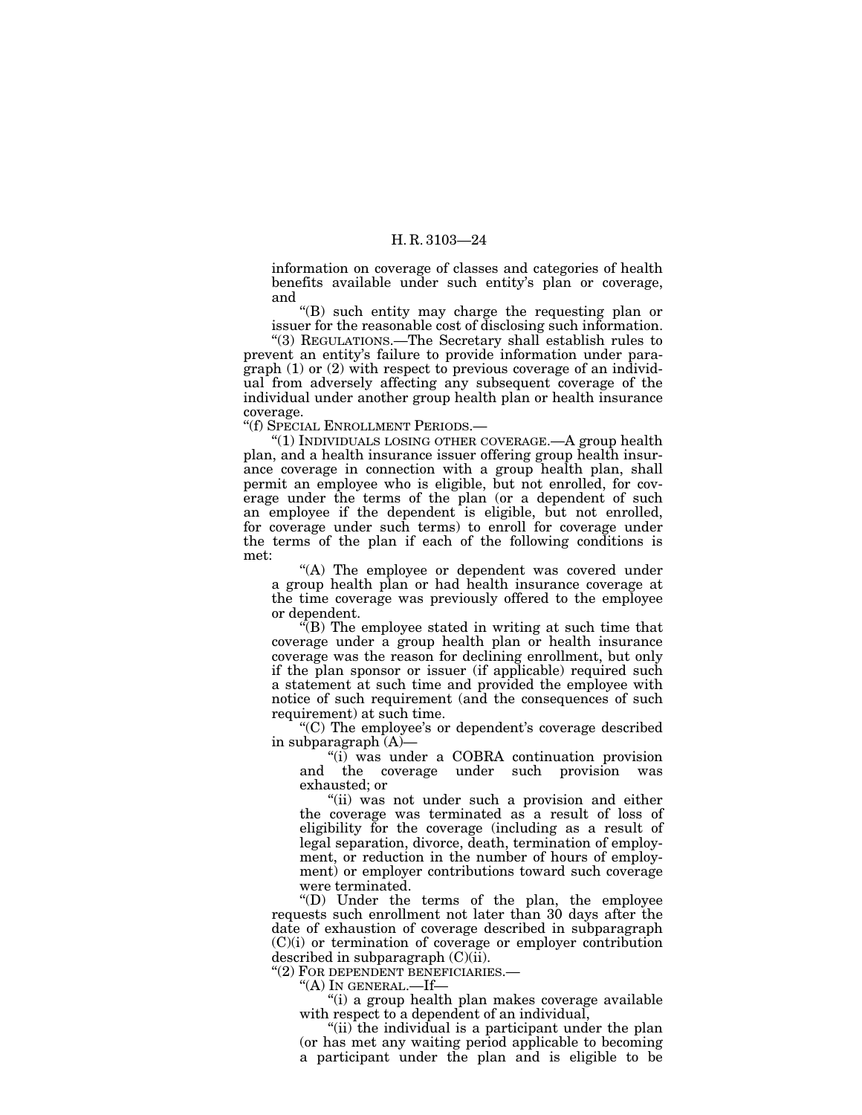information on coverage of classes and categories of health benefits available under such entity's plan or coverage, and

''(B) such entity may charge the requesting plan or issuer for the reasonable cost of disclosing such information.

''(3) REGULATIONS.—The Secretary shall establish rules to prevent an entity's failure to provide information under paragraph (1) or (2) with respect to previous coverage of an individual from adversely affecting any subsequent coverage of the individual under another group health plan or health insurance coverage.

''(f) SPECIAL ENROLLMENT PERIODS.—

''(1) INDIVIDUALS LOSING OTHER COVERAGE.—A group health plan, and a health insurance issuer offering group health insurance coverage in connection with a group health plan, shall permit an employee who is eligible, but not enrolled, for coverage under the terms of the plan (or a dependent of such an employee if the dependent is eligible, but not enrolled, for coverage under such terms) to enroll for coverage under the terms of the plan if each of the following conditions is met:

"(A) The employee or dependent was covered under a group health plan or had health insurance coverage at the time coverage was previously offered to the employee or dependent.

''(B) The employee stated in writing at such time that coverage under a group health plan or health insurance coverage was the reason for declining enrollment, but only if the plan sponsor or issuer (if applicable) required such a statement at such time and provided the employee with notice of such requirement (and the consequences of such requirement) at such time.

''(C) The employee's or dependent's coverage described in subparagraph (A)—

''(i) was under a COBRA continuation provision and the coverage under such provision was exhausted; or

"(ii) was not under such a provision and either the coverage was terminated as a result of loss of eligibility for the coverage (including as a result of legal separation, divorce, death, termination of employment, or reduction in the number of hours of employment) or employer contributions toward such coverage were terminated.

''(D) Under the terms of the plan, the employee requests such enrollment not later than 30 days after the date of exhaustion of coverage described in subparagraph  $(C)(i)$  or termination of coverage or employer contribution described in subparagraph (C)(ii).

''(2) FOR DEPENDENT BENEFICIARIES.—

''(A) IN GENERAL.—If—

''(i) a group health plan makes coverage available with respect to a dependent of an individual,

"(ii) the individual is a participant under the plan" (or has met any waiting period applicable to becoming a participant under the plan and is eligible to be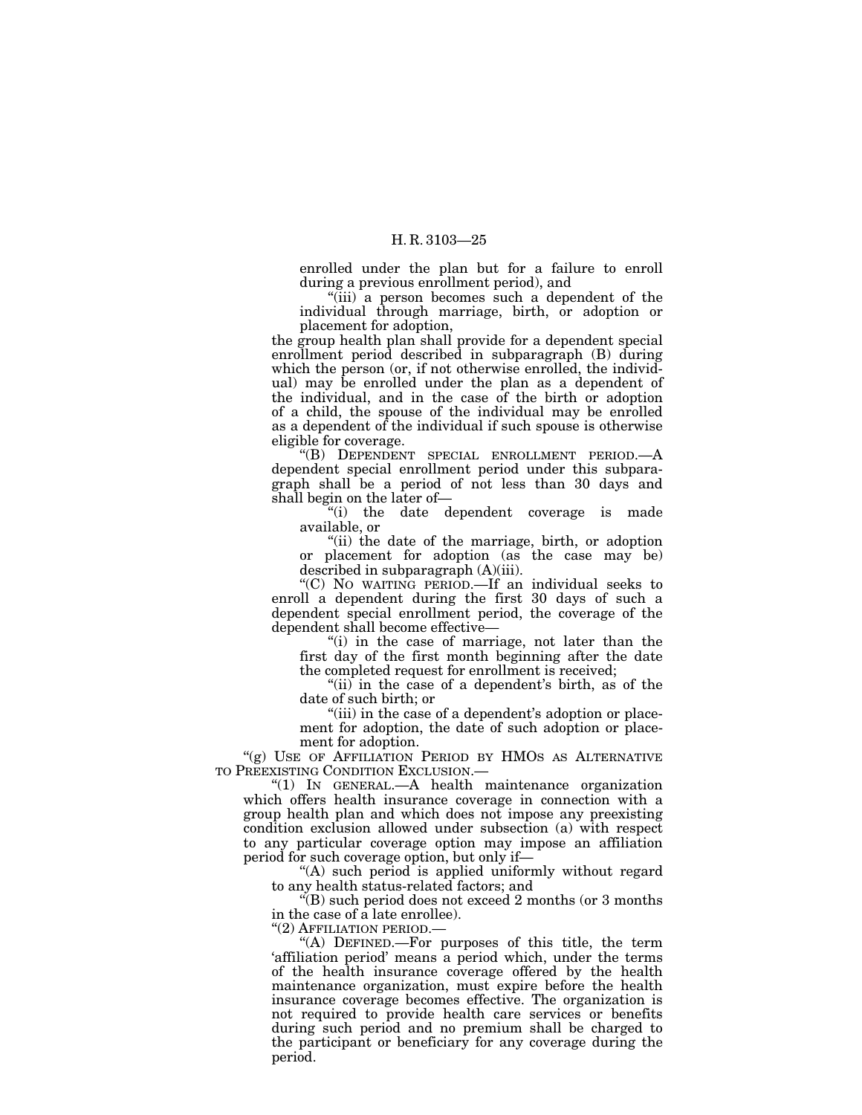enrolled under the plan but for a failure to enroll during a previous enrollment period), and

"(iii) a person becomes such a dependent of the individual through marriage, birth, or adoption or placement for adoption,

the group health plan shall provide for a dependent special enrollment period described in subparagraph (B) during which the person (or, if not otherwise enrolled, the individual) may be enrolled under the plan as a dependent of the individual, and in the case of the birth or adoption of a child, the spouse of the individual may be enrolled as a dependent of the individual if such spouse is otherwise eligible for coverage.

''(B) DEPENDENT SPECIAL ENROLLMENT PERIOD.—A dependent special enrollment period under this subparagraph shall be a period of not less than 30 days and shall begin on the later of—

''(i) the date dependent coverage is made available, or

"(ii) the date of the marriage, birth, or adoption or placement for adoption (as the case may be) described in subparagraph (A)(iii).

''(C) NO WAITING PERIOD.—If an individual seeks to enroll a dependent during the first 30 days of such a dependent special enrollment period, the coverage of the dependent shall become effective—

''(i) in the case of marriage, not later than the first day of the first month beginning after the date the completed request for enrollment is received;

" $(iii)$  in the case of a dependent's birth, as of the date of such birth; or

"(iii) in the case of a dependent's adoption or placement for adoption, the date of such adoption or placement for adoption.

"(g) USE OF AFFILIATION PERIOD BY HMOS AS ALTERNATIVE TO PREEXISTING CONDITION EXCLUSION.—

''(1) IN GENERAL.—A health maintenance organization which offers health insurance coverage in connection with a group health plan and which does not impose any preexisting condition exclusion allowed under subsection (a) with respect to any particular coverage option may impose an affiliation period for such coverage option, but only if—

"(A) such period is applied uniformly without regard to any health status-related factors; and

 $\mathcal{L}(B)$  such period does not exceed 2 months (or 3 months) in the case of a late enrollee).

''(2) AFFILIATION PERIOD.—

''(A) DEFINED.—For purposes of this title, the term 'affiliation period' means a period which, under the terms of the health insurance coverage offered by the health maintenance organization, must expire before the health insurance coverage becomes effective. The organization is not required to provide health care services or benefits during such period and no premium shall be charged to the participant or beneficiary for any coverage during the period.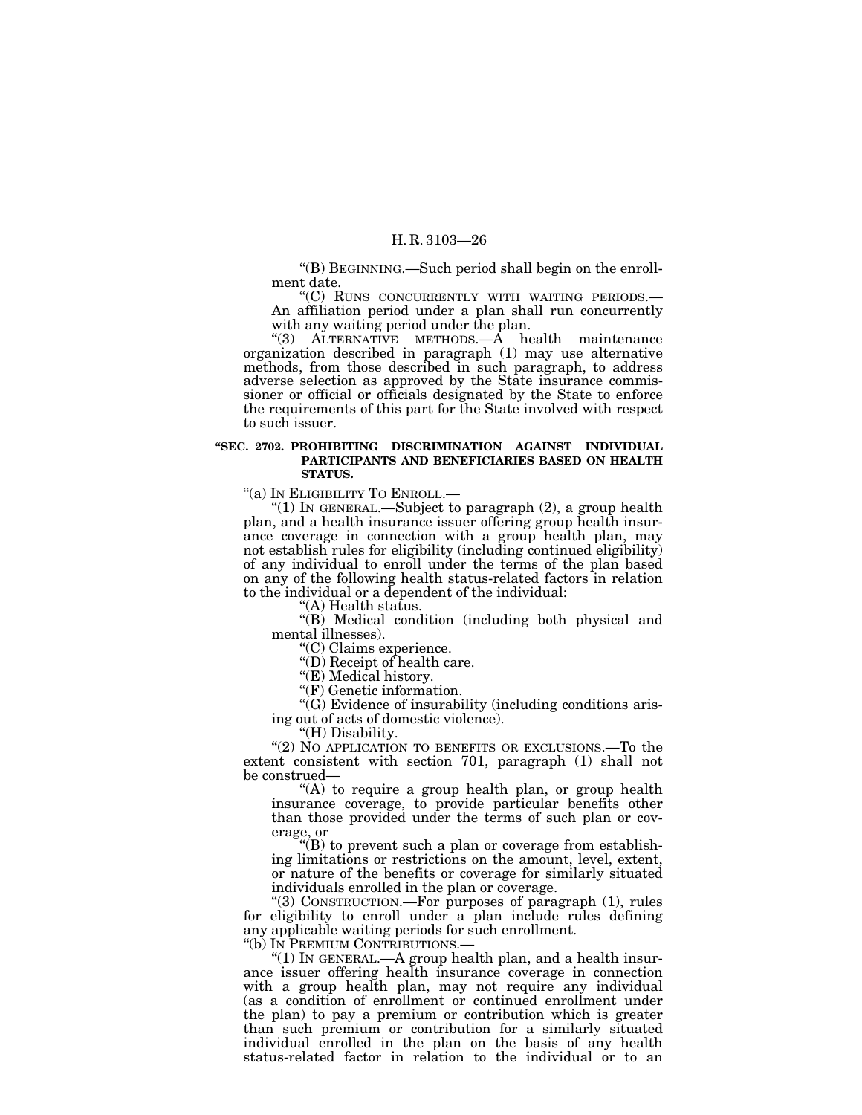''(B) BEGINNING.—Such period shall begin on the enrollment date.

''(C) RUNS CONCURRENTLY WITH WAITING PERIODS.— An affiliation period under a plan shall run concurrently with any waiting period under the plan.

''(3) ALTERNATIVE METHODS.—A health maintenance organization described in paragraph (1) may use alternative methods, from those described in such paragraph, to address adverse selection as approved by the State insurance commissioner or official or officials designated by the State to enforce the requirements of this part for the State involved with respect to such issuer.

#### **''SEC. 2702. PROHIBITING DISCRIMINATION AGAINST INDIVIDUAL PARTICIPANTS AND BENEFICIARIES BASED ON HEALTH STATUS.**

''(a) IN ELIGIBILITY TO ENROLL.—

"(1) In GENERAL.—Subject to paragraph  $(2)$ , a group health plan, and a health insurance issuer offering group health insurance coverage in connection with a group health plan, may not establish rules for eligibility (including continued eligibility) of any individual to enroll under the terms of the plan based on any of the following health status-related factors in relation to the individual or a dependent of the individual:

''(A) Health status.

''(B) Medical condition (including both physical and mental illnesses).

''(C) Claims experience.

''(D) Receipt of health care.

"(E) Medical history.

''(F) Genetic information.

''(G) Evidence of insurability (including conditions arising out of acts of domestic violence).

"(H) Disability.

"(2) NO APPLICATION TO BENEFITS OR EXCLUSIONS.—To the extent consistent with section 701, paragraph (1) shall not be construed—

"(A) to require a group health plan, or group health insurance coverage, to provide particular benefits other than those provided under the terms of such plan or coverage, or

 $\cdot$ <sup>"(B)</sup> to prevent such a plan or coverage from establishing limitations or restrictions on the amount, level, extent, or nature of the benefits or coverage for similarly situated individuals enrolled in the plan or coverage.

"(3) CONSTRUCTION.—For purposes of paragraph (1), rules for eligibility to enroll under a plan include rules defining any applicable waiting periods for such enrollment. ''(b) IN PREMIUM CONTRIBUTIONS.—

''(1) IN GENERAL.—A group health plan, and a health insurance issuer offering health insurance coverage in connection with a group health plan, may not require any individual (as a condition of enrollment or continued enrollment under the plan) to pay a premium or contribution which is greater than such premium or contribution for a similarly situated individual enrolled in the plan on the basis of any health status-related factor in relation to the individual or to an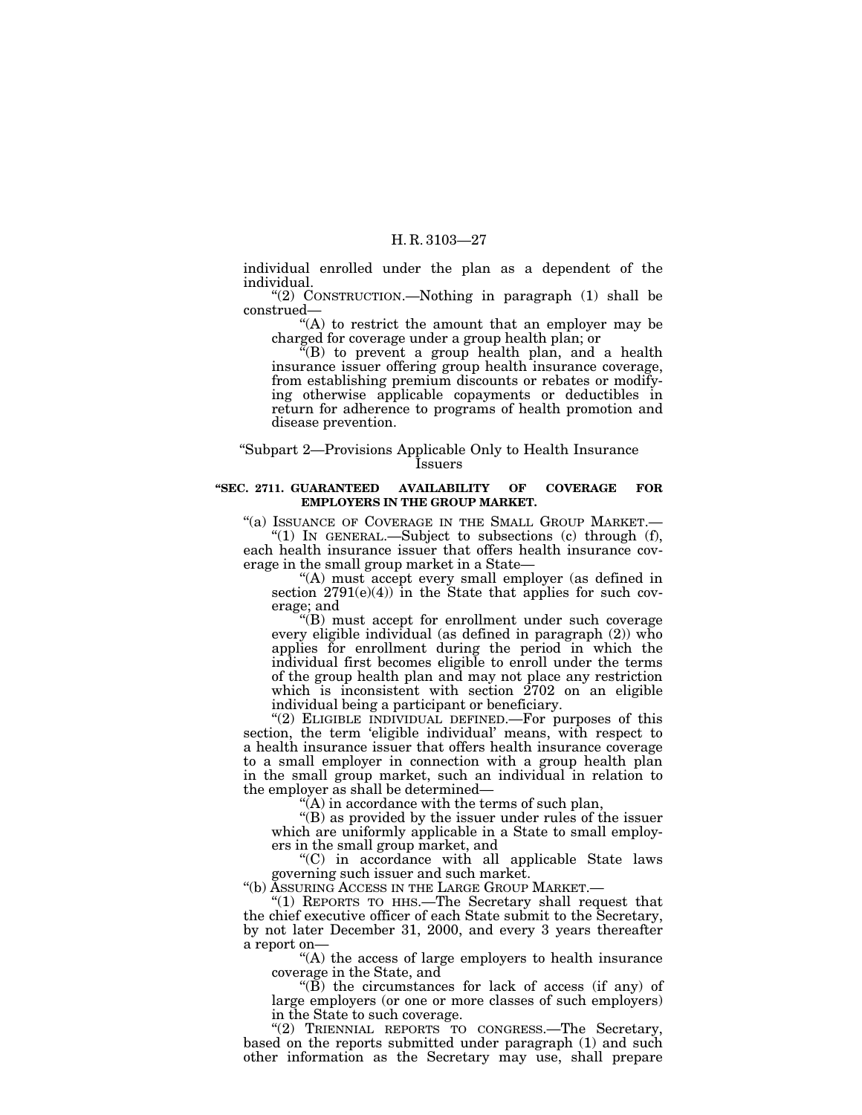individual enrolled under the plan as a dependent of the individual.

''(2) CONSTRUCTION.—Nothing in paragraph (1) shall be construed—

''(A) to restrict the amount that an employer may be charged for coverage under a group health plan; or

 $E(E)$  to prevent a group health plan, and a health insurance issuer offering group health insurance coverage, from establishing premium discounts or rebates or modifying otherwise applicable copayments or deductibles in return for adherence to programs of health promotion and disease prevention.

## ''Subpart 2—Provisions Applicable Only to Health Insurance Issuers

#### **''SEC. 2711. GUARANTEED AVAILABILITY OF COVERAGE FOR EMPLOYERS IN THE GROUP MARKET.**

"(a) ISSUANCE OF COVERAGE IN THE SMALL GROUP MARKET.—

"(1) IN GENERAL.—Subject to subsections (c) through  $(f)$ , each health insurance issuer that offers health insurance coverage in the small group market in a State—

"(A) must accept every small employer (as defined in section  $2791(e)(4)$  in the State that applies for such coverage; and

''(B) must accept for enrollment under such coverage every eligible individual (as defined in paragraph (2)) who applies for enrollment during the period in which the individual first becomes eligible to enroll under the terms of the group health plan and may not place any restriction which is inconsistent with section 2702 on an eligible individual being a participant or beneficiary.

"(2) ELIGIBLE INDIVIDUAL DEFINED.—For purposes of this section, the term 'eligible individual' means, with respect to a health insurance issuer that offers health insurance coverage to a small employer in connection with a group health plan in the small group market, such an individual in relation to the employer as shall be determined—

 $\mathcal{H}(A)$  in accordance with the terms of such plan,

''(B) as provided by the issuer under rules of the issuer which are uniformly applicable in a State to small employers in the small group market, and

''(C) in accordance with all applicable State laws governing such issuer and such market.

''(b) ASSURING ACCESS IN THE LARGE GROUP MARKET.—

''(1) REPORTS TO HHS.—The Secretary shall request that the chief executive officer of each State submit to the Secretary, by not later December 31, 2000, and every 3 years thereafter a report on—

"(A) the access of large employers to health insurance coverage in the State, and

" $(B)$  the circumstances for lack of access (if any) of large employers (or one or more classes of such employers) in the State to such coverage.

''(2) TRIENNIAL REPORTS TO CONGRESS.—The Secretary, based on the reports submitted under paragraph (1) and such other information as the Secretary may use, shall prepare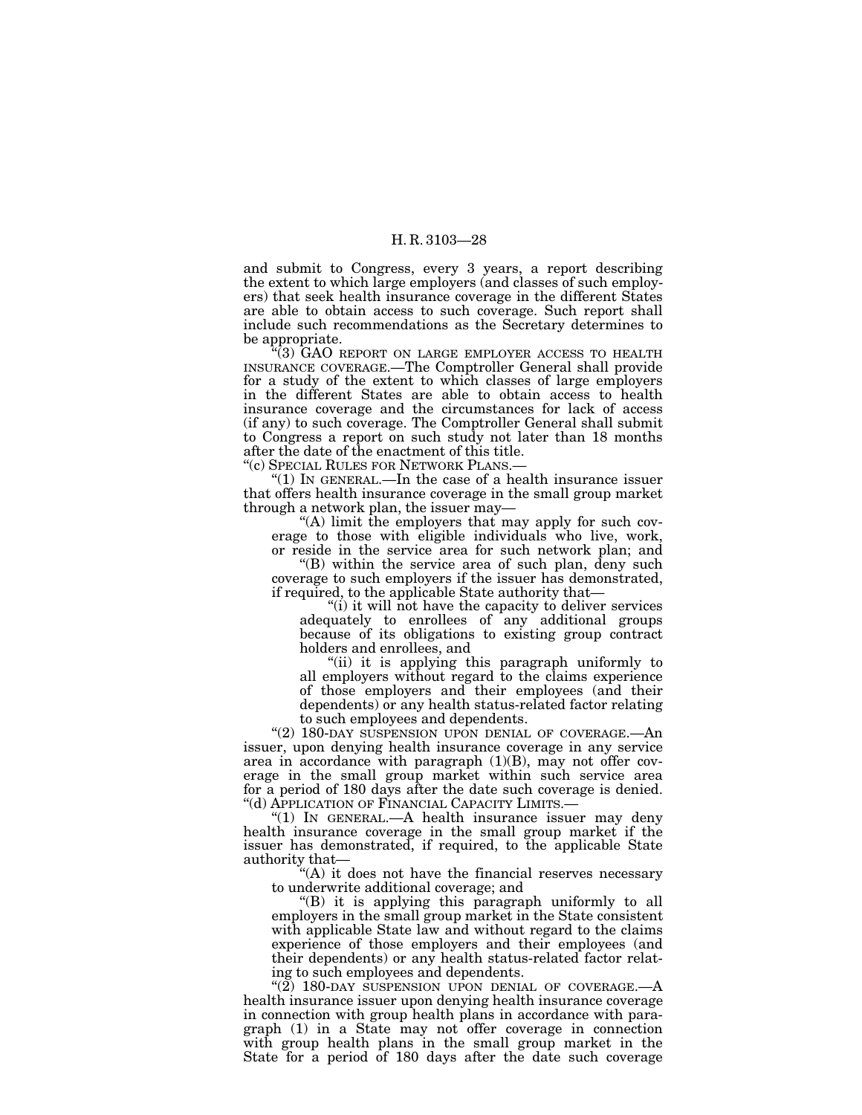and submit to Congress, every 3 years, a report describing the extent to which large employers (and classes of such employers) that seek health insurance coverage in the different States are able to obtain access to such coverage. Such report shall include such recommendations as the Secretary determines to be appropriate.

''(3) GAO REPORT ON LARGE EMPLOYER ACCESS TO HEALTH INSURANCE COVERAGE.—The Comptroller General shall provide for a study of the extent to which classes of large employers in the different States are able to obtain access to health insurance coverage and the circumstances for lack of access (if any) to such coverage. The Comptroller General shall submit to Congress a report on such study not later than 18 months after the date of the enactment of this title.

''(c) SPECIAL RULES FOR NETWORK PLANS.—

" $(1)$  In GENERAL.—In the case of a health insurance issuer that offers health insurance coverage in the small group market through a network plan, the issuer may—

''(A) limit the employers that may apply for such coverage to those with eligible individuals who live, work, or reside in the service area for such network plan; and

''(B) within the service area of such plan, deny such coverage to such employers if the issuer has demonstrated, if required, to the applicable State authority that—

"(i) it will not have the capacity to deliver services" adequately to enrollees of any additional groups because of its obligations to existing group contract holders and enrollees, and

"(ii) it is applying this paragraph uniformly to all employers without regard to the claims experience of those employers and their employees (and their dependents) or any health status-related factor relating to such employees and dependents.

"(2) 180-DAY SUSPENSION UPON DENIAL OF COVERAGE.—An issuer, upon denying health insurance coverage in any service area in accordance with paragraph  $(1)(B)$ , may not offer coverage in the small group market within such service area for a period of 180 days after the date such coverage is denied.<br>"(d) APPLICATION OF FINANCIAL CAPACITY LIMITS.—

"(1) In GENERAL.—A health insurance issuer may deny health insurance coverage in the small group market if the issuer has demonstrated, if required, to the applicable State authority that—

''(A) it does not have the financial reserves necessary to underwrite additional coverage; and

''(B) it is applying this paragraph uniformly to all employers in the small group market in the State consistent with applicable State law and without regard to the claims experience of those employers and their employees (and their dependents) or any health status-related factor relating to such employees and dependents.

" $(2)$  180-DAY SUSPENSION UPON DENIAL OF COVERAGE.—A health insurance issuer upon denying health insurance coverage in connection with group health plans in accordance with paragraph (1) in a State may not offer coverage in connection with group health plans in the small group market in the State for a period of 180 days after the date such coverage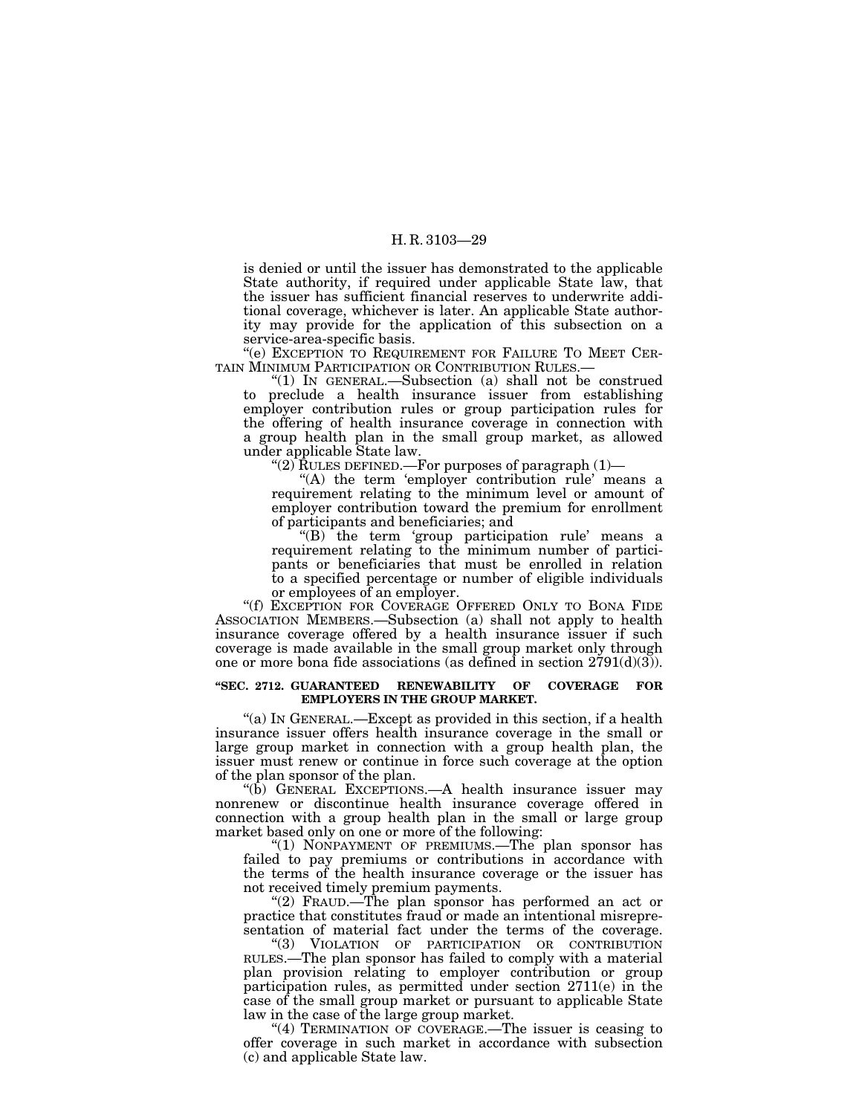is denied or until the issuer has demonstrated to the applicable State authority, if required under applicable State law, that the issuer has sufficient financial reserves to underwrite additional coverage, whichever is later. An applicable State authority may provide for the application of this subsection on a service-area-specific basis.

''(e) EXCEPTION TO REQUIREMENT FOR FAILURE TO MEET CER-TAIN MINIMUM PARTICIPATION OR CONTRIBUTION RULES.—

''(1) IN GENERAL.—Subsection (a) shall not be construed to preclude a health insurance issuer from establishing employer contribution rules or group participation rules for the offering of health insurance coverage in connection with a group health plan in the small group market, as allowed under applicable State law.

"(2) RULES DEFINED.—For purposes of paragraph  $(1)$ —

"(A) the term 'employer contribution rule' means a requirement relating to the minimum level or amount of employer contribution toward the premium for enrollment of participants and beneficiaries; and

"(B) the term 'group participation rule' means a requirement relating to the minimum number of participants or beneficiaries that must be enrolled in relation to a specified percentage or number of eligible individuals or employees of an employer.

"(f) EXCEPTION FOR COVERAGE OFFERED ONLY TO BONA FIDE ASSOCIATION MEMBERS.—Subsection (a) shall not apply to health insurance coverage offered by a health insurance issuer if such coverage is made available in the small group market only through one or more bona fide associations (as defined in section  $2791(d)(3)$ ).

### **''SEC. 2712. GUARANTEED RENEWABILITY OF COVERAGE FOR EMPLOYERS IN THE GROUP MARKET.**

''(a) IN GENERAL.—Except as provided in this section, if a health insurance issuer offers health insurance coverage in the small or large group market in connection with a group health plan, the issuer must renew or continue in force such coverage at the option of the plan sponsor of the plan.

''(b) GENERAL EXCEPTIONS.—A health insurance issuer may nonrenew or discontinue health insurance coverage offered in connection with a group health plan in the small or large group market based only on one or more of the following:

"(1) NONPAYMENT OF PREMIUMS.—The plan sponsor has failed to pay premiums or contributions in accordance with the terms of the health insurance coverage or the issuer has not received timely premium payments.

''(2) FRAUD.—The plan sponsor has performed an act or practice that constitutes fraud or made an intentional misrepresentation of material fact under the terms of the coverage.

''(3) VIOLATION OF PARTICIPATION OR CONTRIBUTION RULES.—The plan sponsor has failed to comply with a material plan provision relating to employer contribution or group participation rules, as permitted under section 2711(e) in the case of the small group market or pursuant to applicable State law in the case of the large group market.

"(4) TERMINATION OF COVERAGE.—The issuer is ceasing to offer coverage in such market in accordance with subsection (c) and applicable State law.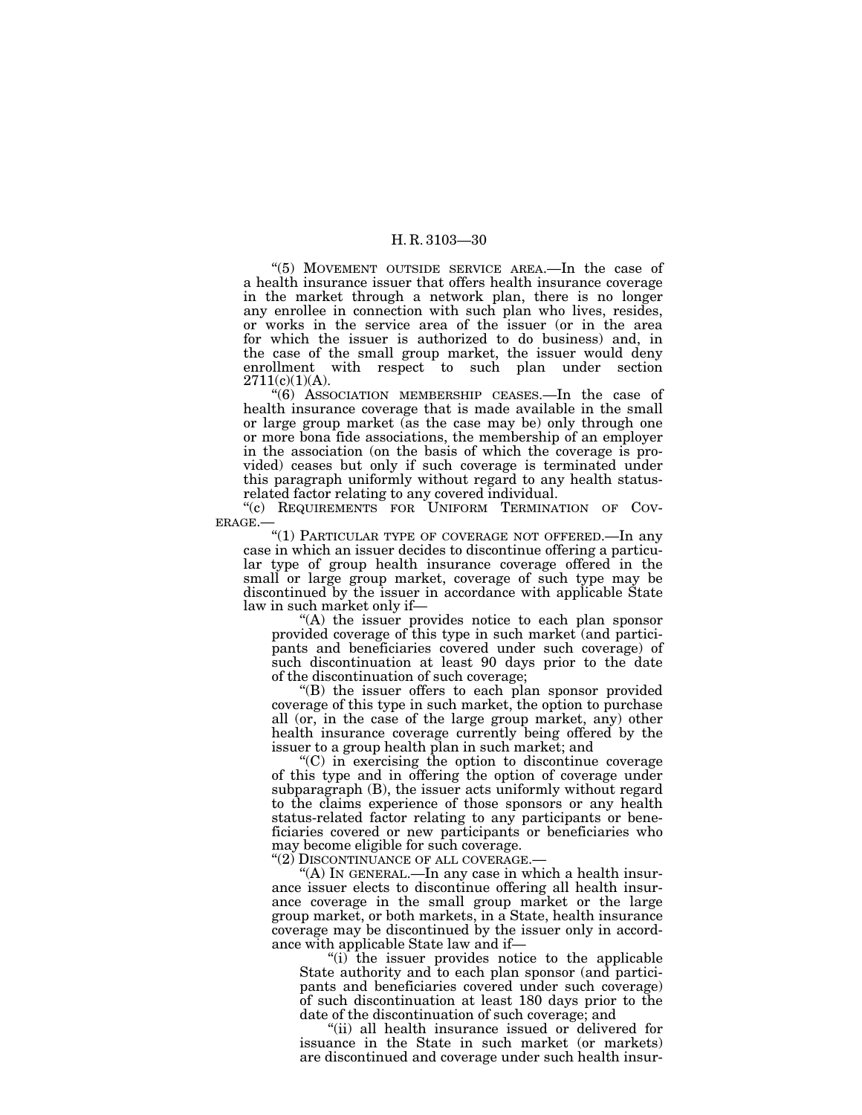''(5) MOVEMENT OUTSIDE SERVICE AREA.—In the case of a health insurance issuer that offers health insurance coverage in the market through a network plan, there is no longer any enrollee in connection with such plan who lives, resides, or works in the service area of the issuer (or in the area for which the issuer is authorized to do business) and, in the case of the small group market, the issuer would deny enrollment with respect to such plan under section  $2711(c)(1)(A)$ .

''(6) ASSOCIATION MEMBERSHIP CEASES.—In the case of health insurance coverage that is made available in the small or large group market (as the case may be) only through one or more bona fide associations, the membership of an employer in the association (on the basis of which the coverage is provided) ceases but only if such coverage is terminated under this paragraph uniformly without regard to any health statusrelated factor relating to any covered individual.

"(c) REQUIREMENTS FOR UNIFORM TERMINATION OF COV-ERAGE.—

''(1) PARTICULAR TYPE OF COVERAGE NOT OFFERED.—In any case in which an issuer decides to discontinue offering a particular type of group health insurance coverage offered in the small or large group market, coverage of such type may be discontinued by the issuer in accordance with applicable State law in such market only if—

''(A) the issuer provides notice to each plan sponsor provided coverage of this type in such market (and participants and beneficiaries covered under such coverage) of such discontinuation at least 90 days prior to the date of the discontinuation of such coverage;

''(B) the issuer offers to each plan sponsor provided coverage of this type in such market, the option to purchase all (or, in the case of the large group market, any) other health insurance coverage currently being offered by the issuer to a group health plan in such market; and

''(C) in exercising the option to discontinue coverage of this type and in offering the option of coverage under subparagraph (B), the issuer acts uniformly without regard to the claims experience of those sponsors or any health status-related factor relating to any participants or beneficiaries covered or new participants or beneficiaries who may become eligible for such coverage.<br>"(2) DISCONTINUANCE OF ALL COVERAGE.-

"(A) IN GENERAL.—In any case in which a health insurance issuer elects to discontinue offering all health insurance coverage in the small group market or the large group market, or both markets, in a State, health insurance coverage may be discontinued by the issuer only in accordance with applicable State law and if—

''(i) the issuer provides notice to the applicable State authority and to each plan sponsor (and participants and beneficiaries covered under such coverage) of such discontinuation at least 180 days prior to the date of the discontinuation of such coverage; and

''(ii) all health insurance issued or delivered for issuance in the State in such market (or markets) are discontinued and coverage under such health insur-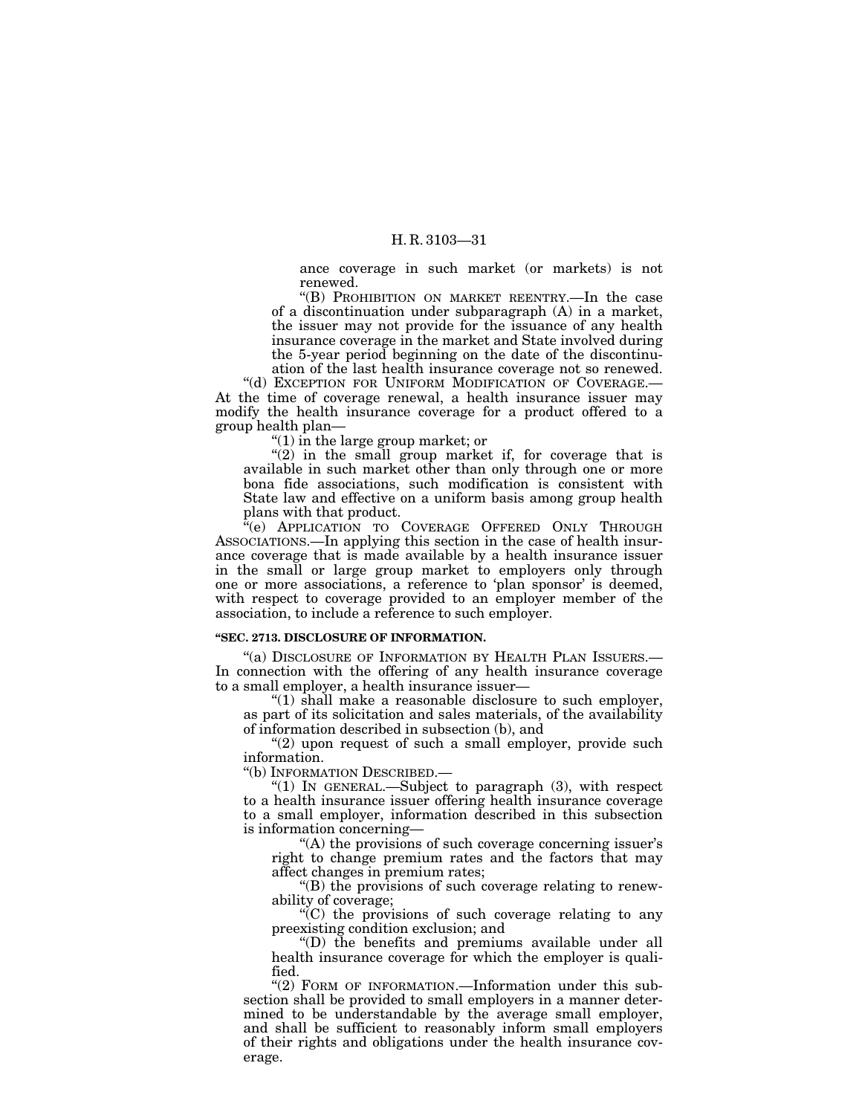ance coverage in such market (or markets) is not renewed.

''(B) PROHIBITION ON MARKET REENTRY.—In the case of a discontinuation under subparagraph (A) in a market, the issuer may not provide for the issuance of any health insurance coverage in the market and State involved during the 5-year period beginning on the date of the discontinuation of the last health insurance coverage not so renewed.

"(d) EXCEPTION FOR UNIFORM MODIFICATION OF COVERAGE.-At the time of coverage renewal, a health insurance issuer may modify the health insurance coverage for a product offered to a group health plan—

''(1) in the large group market; or

"(2) in the small group market if, for coverage that is available in such market other than only through one or more bona fide associations, such modification is consistent with State law and effective on a uniform basis among group health plans with that product.

''(e) APPLICATION TO COVERAGE OFFERED ONLY THROUGH ASSOCIATIONS.—In applying this section in the case of health insurance coverage that is made available by a health insurance issuer in the small or large group market to employers only through one or more associations, a reference to 'plan sponsor' is deemed, with respect to coverage provided to an employer member of the association, to include a reference to such employer.

#### **''SEC. 2713. DISCLOSURE OF INFORMATION.**

"(a) DISCLOSURE OF INFORMATION BY HEALTH PLAN ISSUERS.— In connection with the offering of any health insurance coverage to a small employer, a health insurance issuer—

''(1) shall make a reasonable disclosure to such employer, as part of its solicitation and sales materials, of the availability of information described in subsection (b), and

"(2) upon request of such a small employer, provide such information.

''(b) INFORMATION DESCRIBED.—

" $(1)$  In GENERAL.—Subject to paragraph  $(3)$ , with respect to a health insurance issuer offering health insurance coverage to a small employer, information described in this subsection is information concerning—

 $(A)$  the provisions of such coverage concerning issuer's right to change premium rates and the factors that may affect changes in premium rates;

''(B) the provisions of such coverage relating to renewability of coverage;

 $(C)$  the provisions of such coverage relating to any preexisting condition exclusion; and

''(D) the benefits and premiums available under all health insurance coverage for which the employer is qualified.

"(2) FORM OF INFORMATION.—Information under this subsection shall be provided to small employers in a manner determined to be understandable by the average small employer, and shall be sufficient to reasonably inform small employers of their rights and obligations under the health insurance coverage.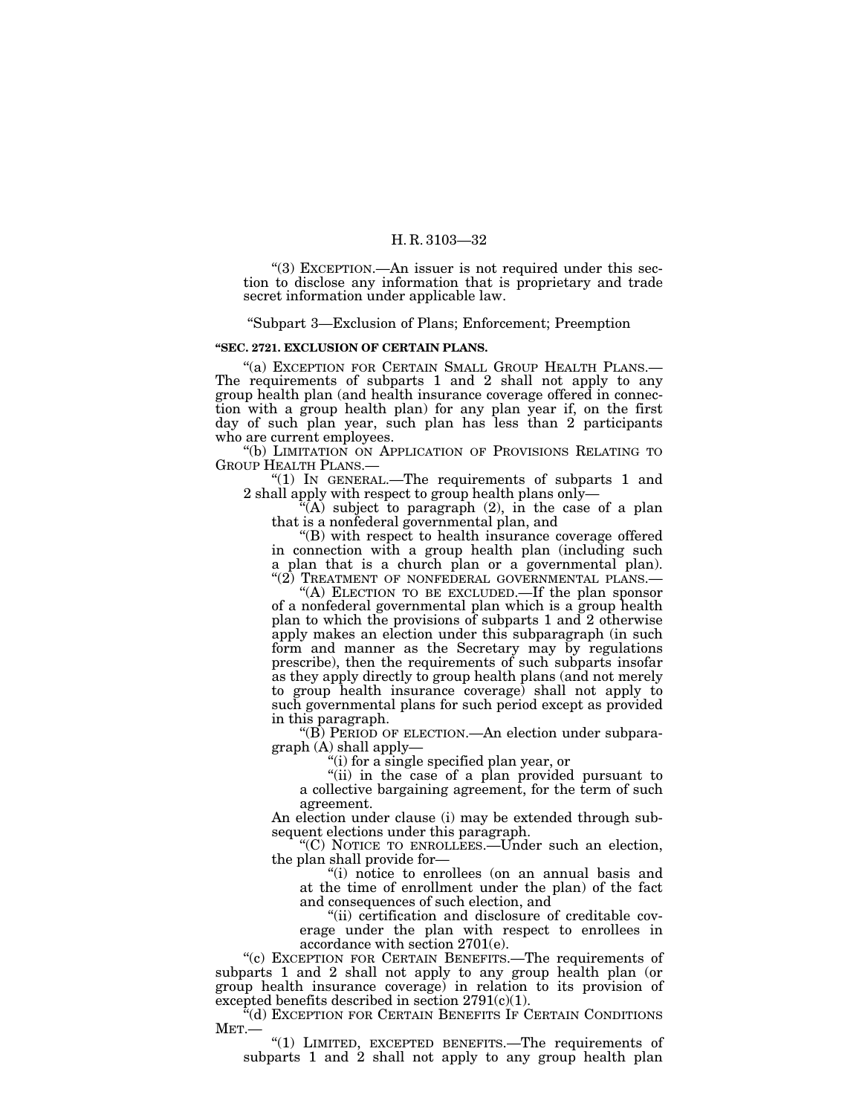"(3) EXCEPTION.—An issuer is not required under this section to disclose any information that is proprietary and trade secret information under applicable law.

''Subpart 3—Exclusion of Plans; Enforcement; Preemption

#### **''SEC. 2721. EXCLUSION OF CERTAIN PLANS.**

''(a) EXCEPTION FOR CERTAIN SMALL GROUP HEALTH PLANS.— The requirements of subparts 1 and 2 shall not apply to any group health plan (and health insurance coverage offered in connection with a group health plan) for any plan year if, on the first day of such plan year, such plan has less than 2 participants who are current employees.

''(b) LIMITATION ON APPLICATION OF PROVISIONS RELATING TO GROUP HEALTH PLANS.—

''(1) IN GENERAL.—The requirements of subparts 1 and 2 shall apply with respect to group health plans only—

 $\hat{f}(A)$  subject to paragraph (2), in the case of a plan that is a nonfederal governmental plan, and

''(B) with respect to health insurance coverage offered in connection with a group health plan (including such a plan that is a church plan or a governmental plan). "(2) TREATMENT OF NONFEDERAL GOVERNMENTAL PLANS.-

"(A) ELECTION TO BE EXCLUDED.—If the plan sponsor of a nonfederal governmental plan which is a group health plan to which the provisions of subparts 1 and 2 otherwise apply makes an election under this subparagraph (in such form and manner as the Secretary may by regulations prescribe), then the requirements of such subparts insofar as they apply directly to group health plans (and not merely to group health insurance coverage) shall not apply to such governmental plans for such period except as provided in this paragraph.

''(B) PERIOD OF ELECTION.—An election under subparagraph (A) shall apply—

''(i) for a single specified plan year, or

"(ii) in the case of a plan provided pursuant to a collective bargaining agreement, for the term of such agreement.

An election under clause (i) may be extended through subsequent elections under this paragraph.

''(C) NOTICE TO ENROLLEES.—Under such an election, the plan shall provide for—

''(i) notice to enrollees (on an annual basis and at the time of enrollment under the plan) of the fact and consequences of such election, and

''(ii) certification and disclosure of creditable coverage under the plan with respect to enrollees in accordance with section 2701(e).

"(c) EXCEPTION FOR CERTAIN BENEFITS.—The requirements of subparts 1 and 2 shall not apply to any group health plan (or group health insurance coverage) in relation to its provision of excepted benefits described in section  $2791(c)(1)$ .

"(d) EXCEPTION FOR CERTAIN BENEFITS IF CERTAIN CONDITIONS MET.—

"(1) LIMITED, EXCEPTED BENEFITS.—The requirements of subparts 1 and 2 shall not apply to any group health plan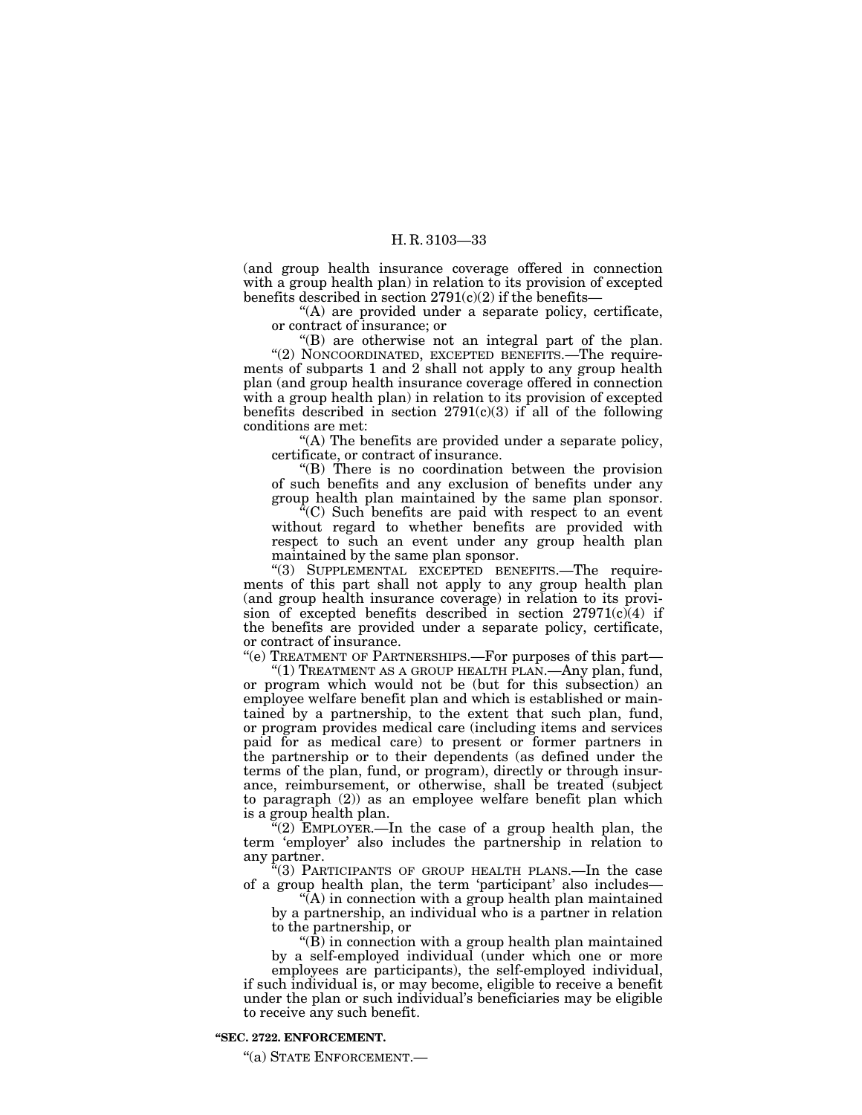(and group health insurance coverage offered in connection with a group health plan) in relation to its provision of excepted benefits described in section  $2791(c)(2)$  if the benefits—

''(A) are provided under a separate policy, certificate, or contract of insurance; or

''(B) are otherwise not an integral part of the plan. "(2) NONCOORDINATED, EXCEPTED BENEFITS.-The requirements of subparts 1 and 2 shall not apply to any group health plan (and group health insurance coverage offered in connection with a group health plan) in relation to its provision of excepted benefits described in section  $2791(c)(3)$  if all of the following conditions are met:

''(A) The benefits are provided under a separate policy, certificate, or contract of insurance.

''(B) There is no coordination between the provision of such benefits and any exclusion of benefits under any group health plan maintained by the same plan sponsor.

 $\sqrt{C}$  Such benefits are paid with respect to an event without regard to whether benefits are provided with respect to such an event under any group health plan maintained by the same plan sponsor.

''(3) SUPPLEMENTAL EXCEPTED BENEFITS.—The requirements of this part shall not apply to any group health plan (and group health insurance coverage) in relation to its provision of excepted benefits described in section  $27971(c)(4)$  if the benefits are provided under a separate policy, certificate, or contract of insurance.

''(e) TREATMENT OF PARTNERSHIPS.—For purposes of this part—

" $(1)$  TREATMENT AS A GROUP HEALTH PLAN.—Any plan, fund, or program which would not be (but for this subsection) an employee welfare benefit plan and which is established or maintained by a partnership, to the extent that such plan, fund, or program provides medical care (including items and services paid for as medical care) to present or former partners in the partnership or to their dependents (as defined under the terms of the plan, fund, or program), directly or through insurance, reimbursement, or otherwise, shall be treated (subject to paragraph (2)) as an employee welfare benefit plan which is a group health plan.

"(2) EMPLOYER.—In the case of a group health plan, the term 'employer' also includes the partnership in relation to any partner.

''(3) PARTICIPANTS OF GROUP HEALTH PLANS.—In the case of a group health plan, the term 'participant' also includes—

 $\sqrt{\left(\text{A}\right)}$  in connection with a group health plan maintained by a partnership, an individual who is a partner in relation to the partnership, or

 $\mathcal{L}(\bar{B})$  in connection with a group health plan maintained by a self-employed individual (under which one or more employees are participants), the self-employed individual, if such individual is, or may become, eligible to receive a benefit under the plan or such individual's beneficiaries may be eligible to receive any such benefit.

# **''SEC. 2722. ENFORCEMENT.**

''(a) STATE ENFORCEMENT.—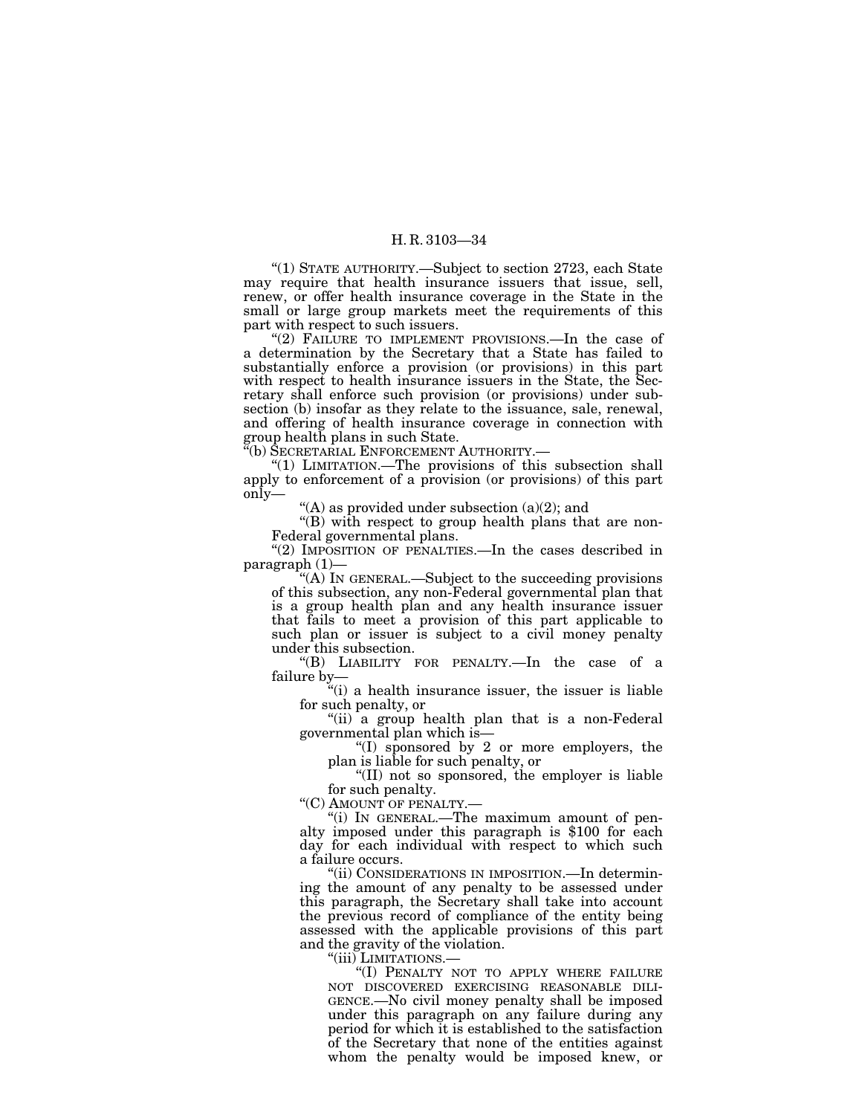''(1) STATE AUTHORITY.—Subject to section 2723, each State may require that health insurance issuers that issue, sell, renew, or offer health insurance coverage in the State in the small or large group markets meet the requirements of this part with respect to such issuers.

"(2) FAILURE TO IMPLEMENT PROVISIONS.—In the case of a determination by the Secretary that a State has failed to substantially enforce a provision (or provisions) in this part with respect to health insurance issuers in the State, the Secretary shall enforce such provision (or provisions) under subsection (b) insofar as they relate to the issuance, sale, renewal, and offering of health insurance coverage in connection with group health plans in such State.

''(b) SECRETARIAL ENFORCEMENT AUTHORITY.—

''(1) LIMITATION.—The provisions of this subsection shall apply to enforcement of a provision (or provisions) of this part only—

"(A) as provided under subsection  $(a)(2)$ ; and

''(B) with respect to group health plans that are non-Federal governmental plans.

"(2) IMPOSITION OF PENALTIES.—In the cases described in paragraph (1)—

''(A) IN GENERAL.—Subject to the succeeding provisions of this subsection, any non-Federal governmental plan that is a group health plan and any health insurance issuer that fails to meet a provision of this part applicable to such plan or issuer is subject to a civil money penalty under this subsection.

''(B) LIABILITY FOR PENALTY.—In the case of a failure by—

''(i) a health insurance issuer, the issuer is liable for such penalty, or

"(ii) a group health plan that is a non-Federal governmental plan which is—

''(I) sponsored by 2 or more employers, the plan is liable for such penalty, or

''(II) not so sponsored, the employer is liable

for such penalty.<br>"(C) AMOUNT OF PENALTY.-

''(C) AMOUNT OF PENALTY.— ''(i) IN GENERAL.—The maximum amount of pen- alty imposed under this paragraph is \$100 for each day for each individual with respect to which such a failure occurs.

''(ii) CONSIDERATIONS IN IMPOSITION.—In determining the amount of any penalty to be assessed under this paragraph, the Secretary shall take into account the previous record of compliance of the entity being assessed with the applicable provisions of this part and the gravity of the violation.

''(iii) LIMITATIONS.—

(I) PENALTY NOT TO APPLY WHERE FAILURE NOT DISCOVERED EXERCISING REASONABLE DILI-GENCE.—No civil money penalty shall be imposed under this paragraph on any failure during any period for which it is established to the satisfaction of the Secretary that none of the entities against whom the penalty would be imposed knew, or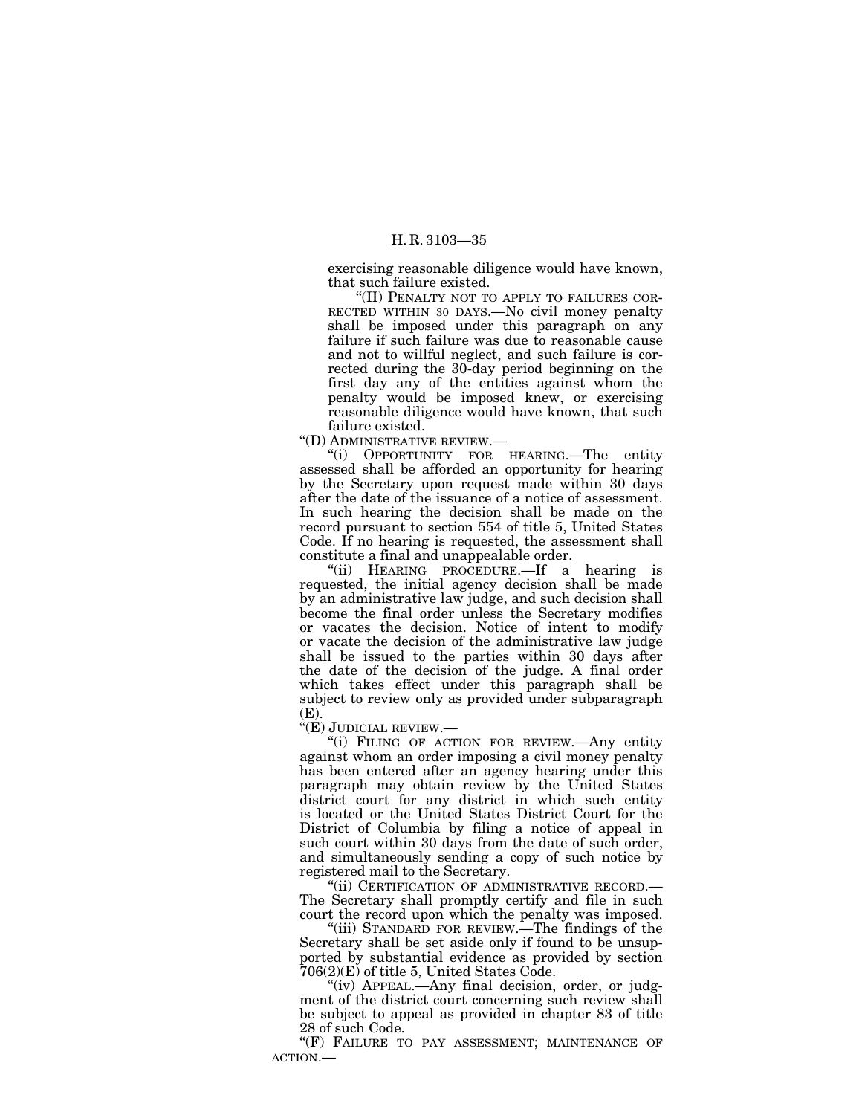exercising reasonable diligence would have known, that such failure existed.

''(II) PENALTY NOT TO APPLY TO FAILURES COR-RECTED WITHIN 30 DAYS.—No civil money penalty shall be imposed under this paragraph on any failure if such failure was due to reasonable cause and not to willful neglect, and such failure is corrected during the 30-day period beginning on the first day any of the entities against whom the penalty would be imposed knew, or exercising reasonable diligence would have known, that such failure existed.

''(D) ADMINISTRATIVE REVIEW.—

''(i) OPPORTUNITY FOR HEARING.—The entity assessed shall be afforded an opportunity for hearing by the Secretary upon request made within 30 days after the date of the issuance of a notice of assessment. In such hearing the decision shall be made on the record pursuant to section 554 of title 5, United States Code. If no hearing is requested, the assessment shall constitute a final and unappealable order.

"(ii) HEARING PROCEDURE.—If a hearing is requested, the initial agency decision shall be made by an administrative law judge, and such decision shall become the final order unless the Secretary modifies or vacates the decision. Notice of intent to modify or vacate the decision of the administrative law judge shall be issued to the parties within 30 days after the date of the decision of the judge. A final order which takes effect under this paragraph shall be subject to review only as provided under subparagraph (E).

''(E) JUDICIAL REVIEW.—

''(i) FILING OF ACTION FOR REVIEW.—Any entity against whom an order imposing a civil money penalty has been entered after an agency hearing under this paragraph may obtain review by the United States district court for any district in which such entity is located or the United States District Court for the District of Columbia by filing a notice of appeal in such court within 30 days from the date of such order, and simultaneously sending a copy of such notice by registered mail to the Secretary.

"(ii) CERTIFICATION OF ADMINISTRATIVE RECORD.— The Secretary shall promptly certify and file in such court the record upon which the penalty was imposed.

''(iii) STANDARD FOR REVIEW.—The findings of the Secretary shall be set aside only if found to be unsupported by substantial evidence as provided by section 706(2)(E) of title 5, United States Code.

"(iv) APPEAL.—Any final decision, order, or judgment of the district court concerning such review shall be subject to appeal as provided in chapter 83 of title 28 of such Code.

"(F) FAILURE TO PAY ASSESSMENT; MAINTENANCE OF  $ACTION$  —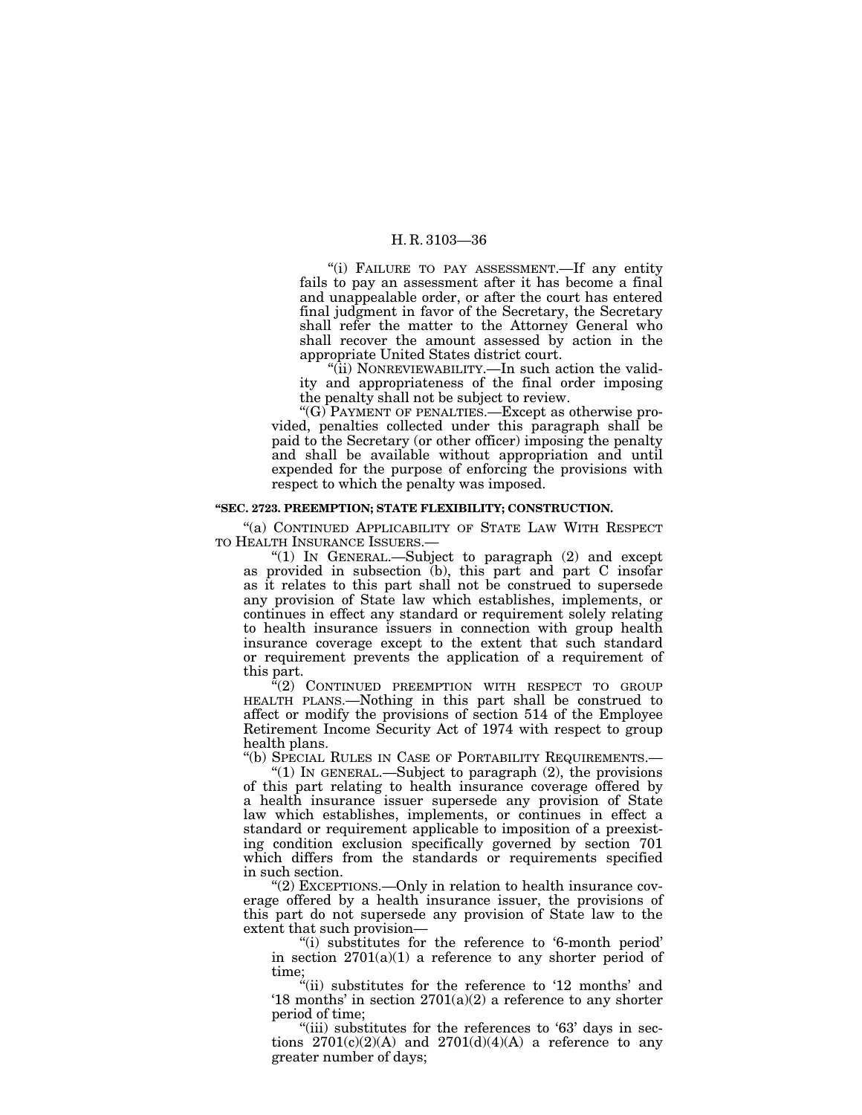''(i) FAILURE TO PAY ASSESSMENT.—If any entity fails to pay an assessment after it has become a final and unappealable order, or after the court has entered final judgment in favor of the Secretary, the Secretary shall refer the matter to the Attorney General who shall recover the amount assessed by action in the appropriate United States district court.

"(ii) NONREVIEWABILITY.—In such action the validity and appropriateness of the final order imposing the penalty shall not be subject to review.

''(G) PAYMENT OF PENALTIES.—Except as otherwise provided, penalties collected under this paragraph shall be paid to the Secretary (or other officer) imposing the penalty and shall be available without appropriation and until expended for the purpose of enforcing the provisions with respect to which the penalty was imposed.

#### **''SEC. 2723. PREEMPTION; STATE FLEXIBILITY; CONSTRUCTION.**

"(a) CONTINUED APPLICABILITY OF STATE LAW WITH RESPECT TO HEALTH INSURANCE ISSUERS.—

''(1) IN GENERAL.—Subject to paragraph (2) and except as provided in subsection (b), this part and part C insofar as it relates to this part shall not be construed to supersede any provision of State law which establishes, implements, or continues in effect any standard or requirement solely relating to health insurance issuers in connection with group health insurance coverage except to the extent that such standard or requirement prevents the application of a requirement of this part.

 $F(2)$  CONTINUED PREEMPTION WITH RESPECT TO GROUP HEALTH PLANS.—Nothing in this part shall be construed to affect or modify the provisions of section 514 of the Employee Retirement Income Security Act of 1974 with respect to group health plans.

"(b) SPECIAL RULES IN CASE OF PORTABILITY REQUIREMENTS.—

"(1) IN GENERAL.—Subject to paragraph  $(2)$ , the provisions of this part relating to health insurance coverage offered by a health insurance issuer supersede any provision of State law which establishes, implements, or continues in effect a standard or requirement applicable to imposition of a preexisting condition exclusion specifically governed by section 701 which differs from the standards or requirements specified in such section.

"(2) EXCEPTIONS.—Only in relation to health insurance coverage offered by a health insurance issuer, the provisions of this part do not supersede any provision of State law to the extent that such provision—

''(i) substitutes for the reference to '6-month period' in section  $2701(a)(1)$  a reference to any shorter period of time;

''(ii) substitutes for the reference to '12 months' and '18 months' in section  $2701(a)(2)$  a reference to any shorter period of time;

"(iii) substitutes for the references to '63' days in sections  $2701(c)(2)(A)$  and  $2701(d)(4)(A)$  a reference to any greater number of days;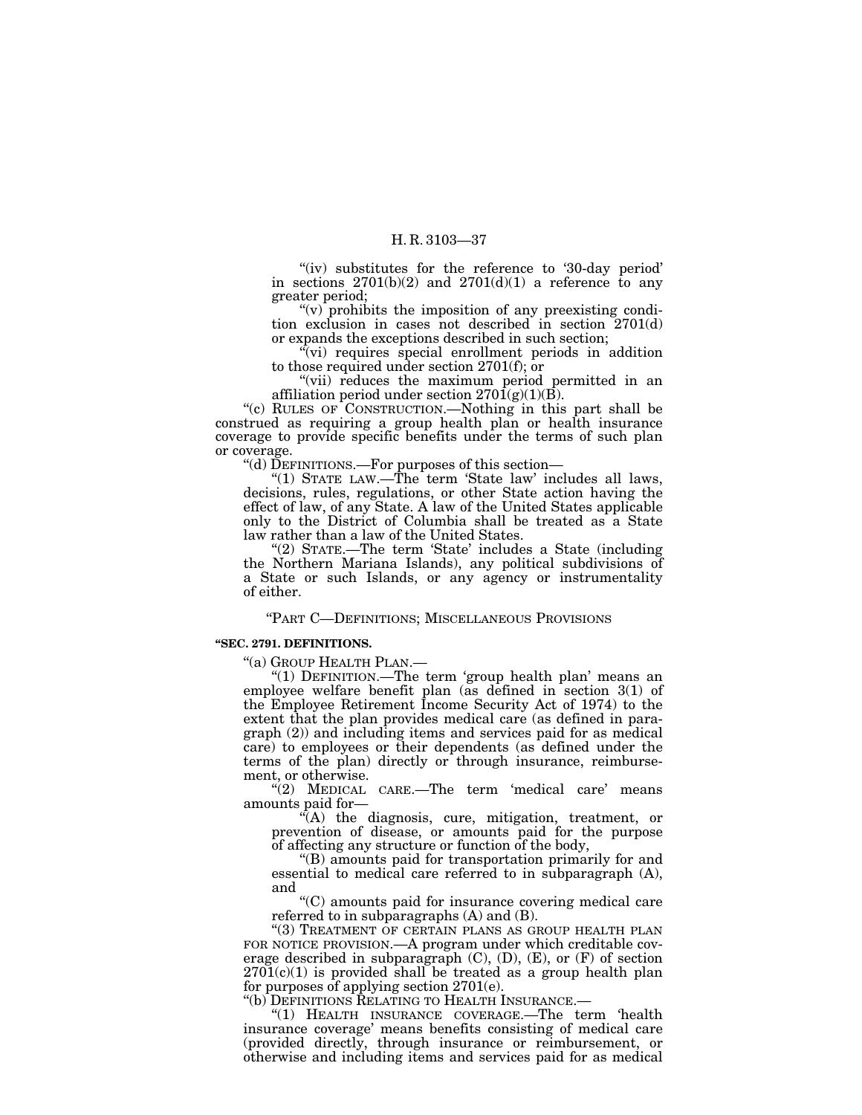"(iv) substitutes for the reference to '30-day period' in sections  $2701(b)(2)$  and  $2701(d)(1)$  a reference to any greater period;

" $(v)$  prohibits the imposition of any preexisting condition exclusion in cases not described in section  $2701(d)$ or expands the exceptions described in such section;

"(vi) requires special enrollment periods in addition to those required under section 2701(f); or

"(vii) reduces the maximum period permitted in an affiliation period under section  $270\text{I(g)}(1)(\text{B}).$ 

''(c) RULES OF CONSTRUCTION.—Nothing in this part shall be construed as requiring a group health plan or health insurance coverage to provide specific benefits under the terms of such plan or coverage.

''(d) DEFINITIONS.—For purposes of this section—

"(1) STATE LAW.—The term 'State law' includes all laws, decisions, rules, regulations, or other State action having the effect of law, of any State. A law of the United States applicable only to the District of Columbia shall be treated as a State law rather than a law of the United States.

''(2) STATE.—The term 'State' includes a State (including the Northern Mariana Islands), any political subdivisions of a State or such Islands, or any agency or instrumentality of either.

## ''PART C—DEFINITIONS; MISCELLANEOUS PROVISIONS

### **''SEC. 2791. DEFINITIONS.**

''(a) GROUP HEALTH PLAN.— ''(1) DEFINITION.—The term 'group health plan' means an employee welfare benefit plan (as defined in section 3(1) of the Employee Retirement Income Security Act of 1974) to the extent that the plan provides medical care (as defined in paragraph (2)) and including items and services paid for as medical care) to employees or their dependents (as defined under the terms of the plan) directly or through insurance, reimbursement, or otherwise.

 $''(2)$  MEDICAL CARE.—The term 'medical care' means amounts paid for—

''(A) the diagnosis, cure, mitigation, treatment, or prevention of disease, or amounts paid for the purpose of affecting any structure or function of the body,

''(B) amounts paid for transportation primarily for and essential to medical care referred to in subparagraph (A), and

''(C) amounts paid for insurance covering medical care referred to in subparagraphs (A) and (B).

"(3) TREATMENT OF CERTAIN PLANS AS GROUP HEALTH PLAN FOR NOTICE PROVISION.—A program under which creditable coverage described in subparagraph (C), (D), (E), or (F) of section  $2701(c)(1)$  is provided shall be treated as a group health plan for purposes of applying section 2701(e).

''(b) DEFINITIONS RELATING TO HEALTH INSURANCE.—

''(1) HEALTH INSURANCE COVERAGE.—The term 'health insurance coverage' means benefits consisting of medical care (provided directly, through insurance or reimbursement, or otherwise and including items and services paid for as medical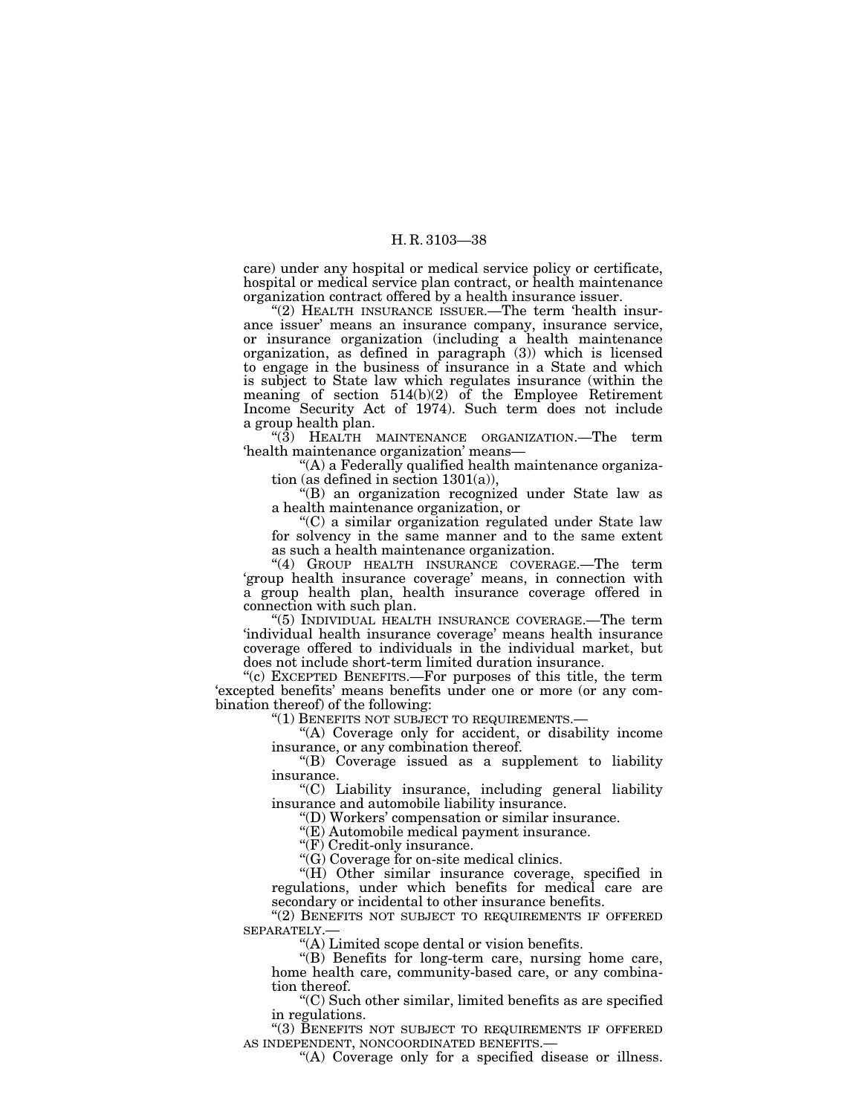care) under any hospital or medical service policy or certificate, hospital or medical service plan contract, or health maintenance organization contract offered by a health insurance issuer.

''(2) HEALTH INSURANCE ISSUER.—The term 'health insurance issuer' means an insurance company, insurance service, or insurance organization (including a health maintenance organization, as defined in paragraph (3)) which is licensed to engage in the business of insurance in a State and which is subject to State law which regulates insurance (within the meaning of section 514(b)(2) of the Employee Retirement Income Security Act of 1974). Such term does not include a group health plan.

''(3) HEALTH MAINTENANCE ORGANIZATION.—The term 'health maintenance organization' means—

''(A) a Federally qualified health maintenance organization (as defined in section 1301(a)),

''(B) an organization recognized under State law as a health maintenance organization, or

''(C) a similar organization regulated under State law for solvency in the same manner and to the same extent as such a health maintenance organization.

''(4) GROUP HEALTH INSURANCE COVERAGE.—The term 'group health insurance coverage' means, in connection with a group health plan, health insurance coverage offered in connection with such plan.

''(5) INDIVIDUAL HEALTH INSURANCE COVERAGE.—The term 'individual health insurance coverage' means health insurance coverage offered to individuals in the individual market, but does not include short-term limited duration insurance.

''(c) EXCEPTED BENEFITS.—For purposes of this title, the term 'excepted benefits' means benefits under one or more (or any combination thereof) of the following:

''(1) BENEFITS NOT SUBJECT TO REQUIREMENTS.— ''(A) Coverage only for accident, or disability income insurance, or any combination thereof.

''(B) Coverage issued as a supplement to liability insurance.

''(C) Liability insurance, including general liability insurance and automobile liability insurance.

''(D) Workers' compensation or similar insurance.

''(E) Automobile medical payment insurance.

 $\widetilde{f(F)}$  Credit-only insurance.

 $\mathcal{C}(G)$  Coverage for on-site medical clinics.

"(H) Other similar insurance coverage, specified in regulations, under which benefits for medical care are secondary or incidental to other insurance benefits.

''(2) BENEFITS NOT SUBJECT TO REQUIREMENTS IF OFFERED SEPARATELY.—

(A) Limited scope dental or vision benefits.

"(B) Benefits for long-term care, nursing home care, home health care, community-based care, or any combination thereof.

''(C) Such other similar, limited benefits as are specified in regulations.

"(3) BENEFITS NOT SUBJECT TO REQUIREMENTS IF OFFERED AS INDEPENDENT, NONCOORDINATED BENEFITS.—

"(A) Coverage only for a specified disease or illness.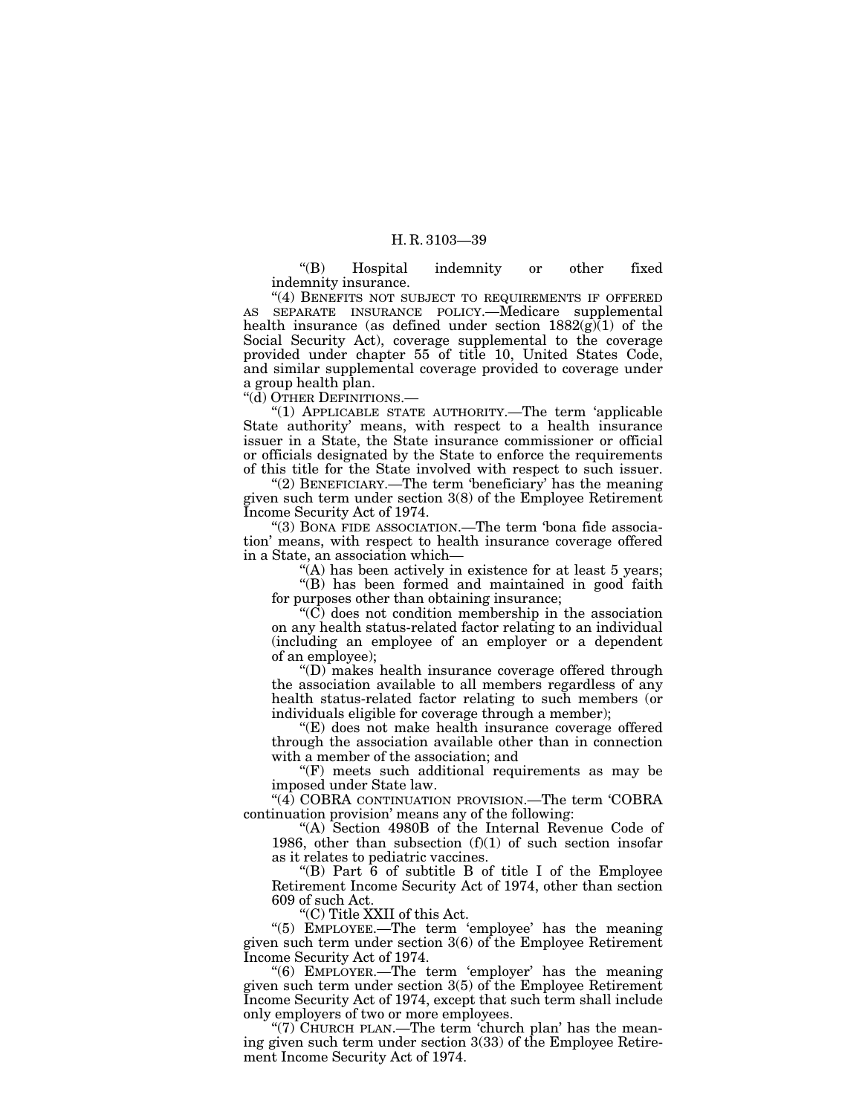''(B) Hospital indemnity or other fixed indemnity insurance.

"(4) BENEFITS NOT SUBJECT TO REQUIREMENTS IF OFFERED AS SEPARATE INSURANCE POLICY.—Medicare supplemental health insurance (as defined under section  $1882(g)(1)$  of the Social Security Act), coverage supplemental to the coverage provided under chapter 55 of title 10, United States Code, and similar supplemental coverage provided to coverage under a group health plan.

''(d) OTHER DEFINITIONS.—

"(1) APPLICABLE STATE AUTHORITY.—The term 'applicable State authority' means, with respect to a health insurance issuer in a State, the State insurance commissioner or official or officials designated by the State to enforce the requirements of this title for the State involved with respect to such issuer.

"(2) BENEFICIARY.—The term 'beneficiary' has the meaning given such term under section 3(8) of the Employee Retirement Income Security Act of 1974.

''(3) BONA FIDE ASSOCIATION.—The term 'bona fide association' means, with respect to health insurance coverage offered in a State, an association which—

"(A) has been actively in existence for at least 5 years; ''(B) has been formed and maintained in good faith

for purposes other than obtaining insurance;  $\rm C$ ) does not condition membership in the association

on any health status-related factor relating to an individual (including an employee of an employer or a dependent of an employee);

''(D) makes health insurance coverage offered through the association available to all members regardless of any health status-related factor relating to such members (or individuals eligible for coverage through a member);

''(E) does not make health insurance coverage offered through the association available other than in connection with a member of the association; and

"(F) meets such additional requirements as may be imposed under State law.

''(4) COBRA CONTINUATION PROVISION.—The term 'COBRA continuation provision' means any of the following:

''(A) Section 4980B of the Internal Revenue Code of 1986, other than subsection  $(f)(1)$  of such section insofar as it relates to pediatric vaccines.

"(B) Part  $\overline{6}$  of subtitle B of title I of the Employee Retirement Income Security Act of 1974, other than section 609 of such Act.

''(C) Title XXII of this Act.

''(5) EMPLOYEE.—The term 'employee' has the meaning given such term under section 3(6) of the Employee Retirement Income Security Act of 1974.

"(6) EMPLOYER.—The term 'employer' has the meaning given such term under section 3(5) of the Employee Retirement Income Security Act of 1974, except that such term shall include only employers of two or more employees.

"(7) CHURCH PLAN.—The term 'church plan' has the meaning given such term under section 3(33) of the Employee Retirement Income Security Act of 1974.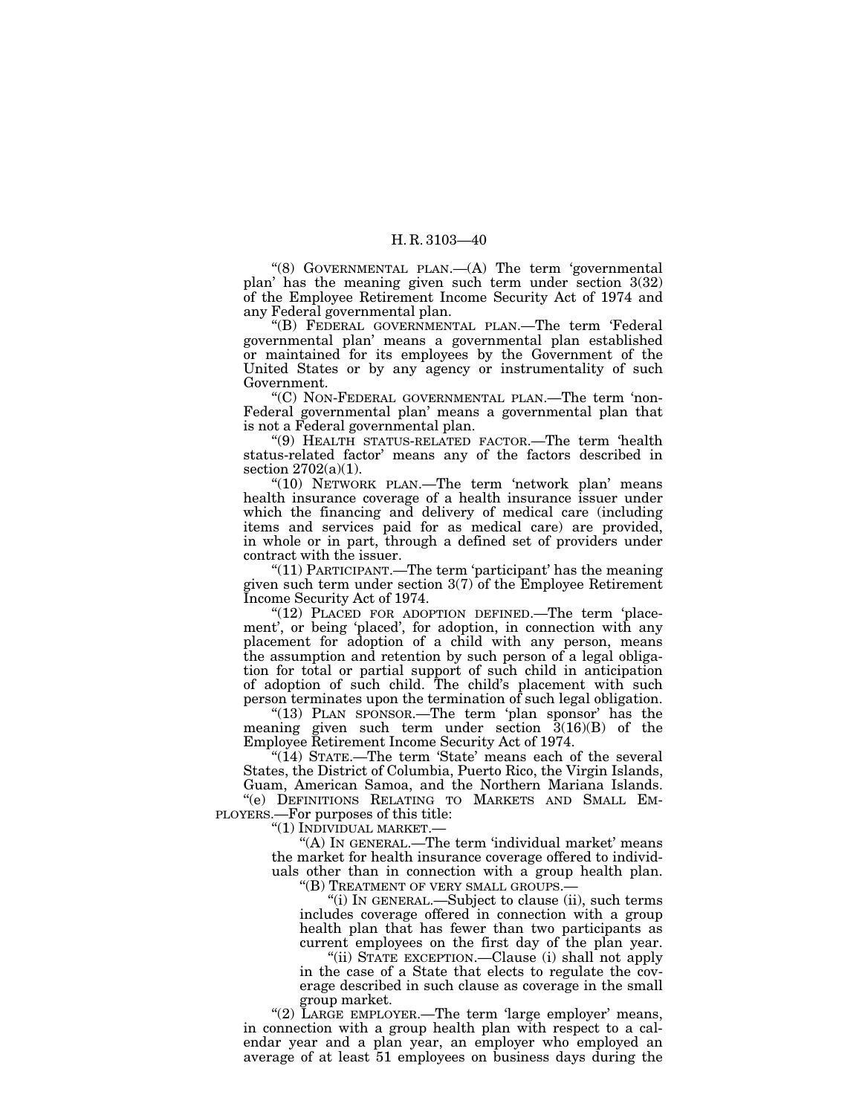"(8) GOVERNMENTAL PLAN.— $(A)$  The term 'governmental plan' has the meaning given such term under section 3(32) of the Employee Retirement Income Security Act of 1974 and any Federal governmental plan.

''(B) FEDERAL GOVERNMENTAL PLAN.—The term 'Federal governmental plan' means a governmental plan established or maintained for its employees by the Government of the United States or by any agency or instrumentality of such Government.

''(C) NON-FEDERAL GOVERNMENTAL PLAN.—The term 'non-Federal governmental plan' means a governmental plan that is not a Federal governmental plan.

''(9) HEALTH STATUS-RELATED FACTOR.—The term 'health status-related factor' means any of the factors described in section  $2702(a)(1)$ .

"(10) NETWORK PLAN.—The term 'network plan' means health insurance coverage of a health insurance issuer under which the financing and delivery of medical care (including items and services paid for as medical care) are provided, in whole or in part, through a defined set of providers under contract with the issuer.

''(11) PARTICIPANT.—The term 'participant' has the meaning given such term under section 3(7) of the Employee Retirement Income Security Act of 1974.

"(12) PLACED FOR ADOPTION DEFINED.—The term 'placement', or being 'placed', for adoption, in connection with any placement for adoption of a child with any person, means the assumption and retention by such person of a legal obligation for total or partial support of such child in anticipation of adoption of such child. The child's placement with such person terminates upon the termination of such legal obligation.

"(13) PLAN SPONSOR.—The term 'plan sponsor' has the meaning given such term under section 3(16)(B) of the Employee Retirement Income Security Act of 1974.

" $(14)$  STATE.—The term 'State' means each of the several States, the District of Columbia, Puerto Rico, the Virgin Islands, Guam, American Samoa, and the Northern Mariana Islands.

''(e) DEFINITIONS RELATING TO MARKETS AND SMALL EM-PLOYERS.—For purposes of this title:

''(1) INDIVIDUAL MARKET.—

"(A) IN GENERAL.—The term 'individual market' means the market for health insurance coverage offered to individuals other than in connection with a group health plan. "(B) TREATMENT OF VERY SMALL GROUPS.-

''(i) IN GENERAL.—Subject to clause (ii), such terms includes coverage offered in connection with a group health plan that has fewer than two participants as current employees on the first day of the plan year.

"(ii) STATE EXCEPTION.—Clause (i) shall not apply in the case of a State that elects to regulate the coverage described in such clause as coverage in the small group market.

"(2) LARGE EMPLOYER.—The term 'large employer' means, in connection with a group health plan with respect to a calendar year and a plan year, an employer who employed an average of at least 51 employees on business days during the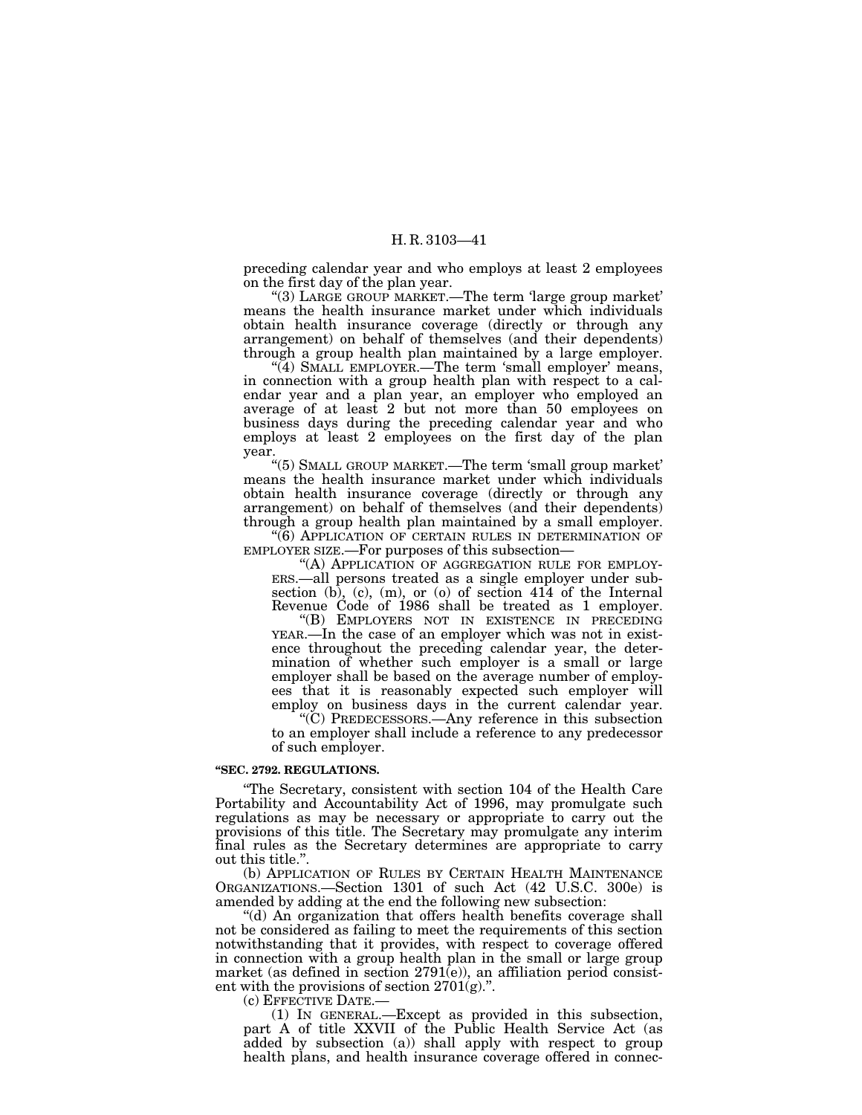preceding calendar year and who employs at least 2 employees on the first day of the plan year.

''(3) LARGE GROUP MARKET.—The term 'large group market' means the health insurance market under which individuals obtain health insurance coverage (directly or through any arrangement) on behalf of themselves (and their dependents) through a group health plan maintained by a large employer.

"(4) SMALL EMPLOYER.—The term 'small employer' means, in connection with a group health plan with respect to a calendar year and a plan year, an employer who employed an average of at least 2 but not more than 50 employees on business days during the preceding calendar year and who employs at least 2 employees on the first day of the plan year.

''(5) SMALL GROUP MARKET.—The term 'small group market' means the health insurance market under which individuals obtain health insurance coverage (directly or through any arrangement) on behalf of themselves (and their dependents) through a group health plan maintained by a small employer.

''(6) APPLICATION OF CERTAIN RULES IN DETERMINATION OF EMPLOYER SIZE.—For purposes of this subsection—

"(A) APPLICATION OF AGGREGATION RULE FOR EMPLOY-ERS.—all persons treated as a single employer under subsection  $(b)$ ,  $(c)$ ,  $(m)$ , or  $(o)$  of section  $414$  of the Internal Revenue Code of 1986 shall be treated as 1 employer.

''(B) EMPLOYERS NOT IN EXISTENCE IN PRECEDING YEAR.—In the case of an employer which was not in existence throughout the preceding calendar year, the determination of whether such employer is a small or large employer shall be based on the average number of employees that it is reasonably expected such employer will employ on business days in the current calendar year.

" $(C)$  PREDECESSORS.—Any reference in this subsection to an employer shall include a reference to any predecessor of such employer.

## **''SEC. 2792. REGULATIONS.**

''The Secretary, consistent with section 104 of the Health Care Portability and Accountability Act of 1996, may promulgate such regulations as may be necessary or appropriate to carry out the provisions of this title. The Secretary may promulgate any interim final rules as the Secretary determines are appropriate to carry out this title.''.

(b) APPLICATION OF RULES BY CERTAIN HEALTH MAINTENANCE ORGANIZATIONS.—Section 1301 of such Act (42 U.S.C. 300e) is amended by adding at the end the following new subsection:

''(d) An organization that offers health benefits coverage shall not be considered as failing to meet the requirements of this section notwithstanding that it provides, with respect to coverage offered in connection with a group health plan in the small or large group market (as defined in section 2791(e)), an affiliation period consistent with the provisions of section  $2701(g)$ .".

(c) EFFECTIVE DATE.—

(1) IN GENERAL.—Except as provided in this subsection, part A of title XXVII of the Public Health Service Act (as added by subsection (a)) shall apply with respect to group health plans, and health insurance coverage offered in connec-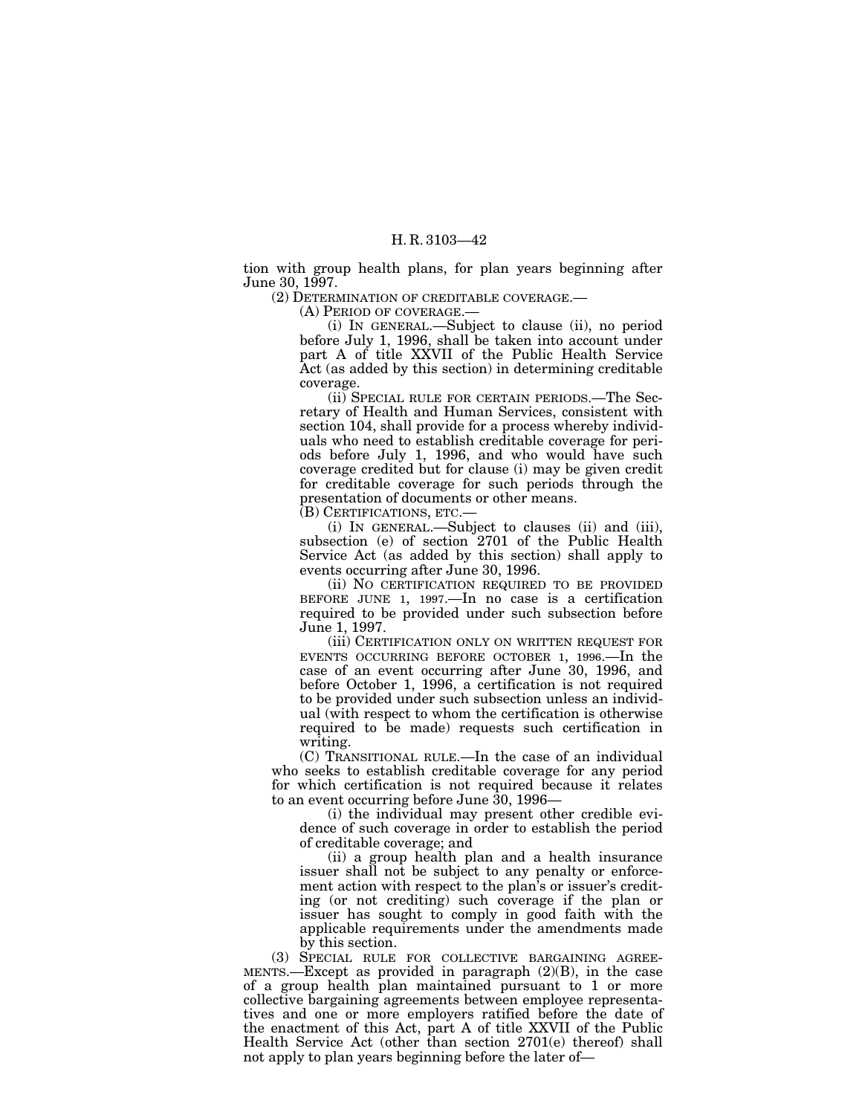tion with group health plans, for plan years beginning after June 30, 1997.

(2) DETERMINATION OF CREDITABLE COVERAGE.—

(A) PERIOD OF COVERAGE.—

(i) IN GENERAL.—Subject to clause (ii), no period before July 1, 1996, shall be taken into account under part A of title XXVII of the Public Health Service Act (as added by this section) in determining creditable coverage.

(ii) SPECIAL RULE FOR CERTAIN PERIODS.—The Secretary of Health and Human Services, consistent with section 104, shall provide for a process whereby individuals who need to establish creditable coverage for periods before July 1, 1996, and who would have such coverage credited but for clause (i) may be given credit for creditable coverage for such periods through the presentation of documents or other means.

(B) CERTIFICATIONS, ETC.—

(i) IN GENERAL.—Subject to clauses (ii) and (iii), subsection (e) of section 2701 of the Public Health Service Act (as added by this section) shall apply to events occurring after June 30, 1996.

(ii) NO CERTIFICATION REQUIRED TO BE PROVIDED BEFORE JUNE 1, 1997.—In no case is a certification required to be provided under such subsection before June 1, 1997.

(iii) CERTIFICATION ONLY ON WRITTEN REQUEST FOR EVENTS OCCURRING BEFORE OCTOBER 1, 1996.—In the case of an event occurring after June 30, 1996, and before October 1, 1996, a certification is not required to be provided under such subsection unless an individual (with respect to whom the certification is otherwise required to be made) requests such certification in writing.

(C) TRANSITIONAL RULE.—In the case of an individual who seeks to establish creditable coverage for any period for which certification is not required because it relates to an event occurring before June 30, 1996—

(i) the individual may present other credible evidence of such coverage in order to establish the period of creditable coverage; and

(ii) a group health plan and a health insurance issuer shall not be subject to any penalty or enforcement action with respect to the plan's or issuer's crediting (or not crediting) such coverage if the plan or issuer has sought to comply in good faith with the applicable requirements under the amendments made by this section.

(3) SPECIAL RULE FOR COLLECTIVE BARGAINING AGREE- $MENTS.$ —Except as provided in paragraph  $(2)(B)$ , in the case of a group health plan maintained pursuant to 1 or more collective bargaining agreements between employee representatives and one or more employers ratified before the date of the enactment of this Act, part A of title XXVII of the Public Health Service Act (other than section 2701(e) thereof) shall not apply to plan years beginning before the later of—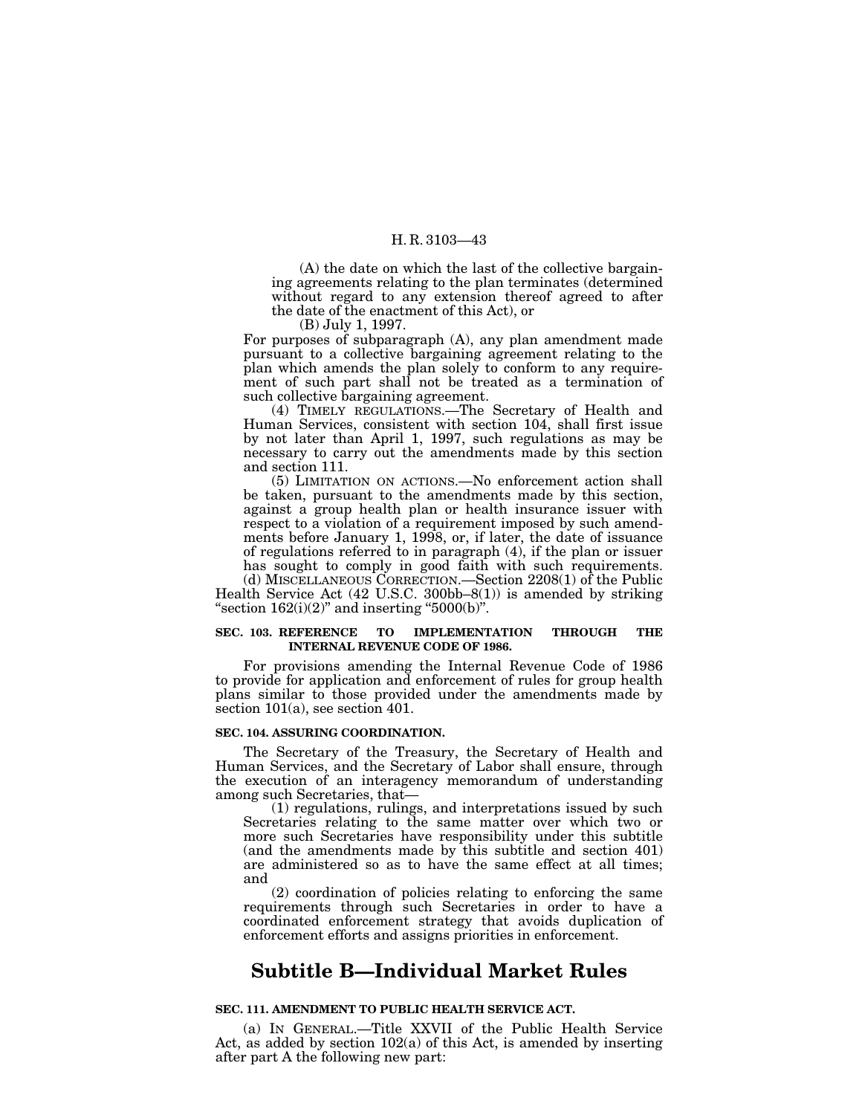(A) the date on which the last of the collective bargaining agreements relating to the plan terminates (determined without regard to any extension thereof agreed to after the date of the enactment of this Act), or

(B) July 1, 1997.

For purposes of subparagraph (A), any plan amendment made pursuant to a collective bargaining agreement relating to the plan which amends the plan solely to conform to any requirement of such part shall not be treated as a termination of such collective bargaining agreement.

(4) TIMELY REGULATIONS.—The Secretary of Health and Human Services, consistent with section 104, shall first issue by not later than April 1, 1997, such regulations as may be necessary to carry out the amendments made by this section and section 111.

(5) LIMITATION ON ACTIONS.—No enforcement action shall be taken, pursuant to the amendments made by this section, against a group health plan or health insurance issuer with respect to a violation of a requirement imposed by such amendments before January 1, 1998, or, if later, the date of issuance of regulations referred to in paragraph (4), if the plan or issuer has sought to comply in good faith with such requirements.

(d) MISCELLANEOUS CORRECTION.—Section 2208(1) of the Public Health Service Act (42 U.S.C. 300bb–8(1)) is amended by striking "section  $162(i)(2)$ " and inserting "5000(b)".

### **SEC. 103. REFERENCE TO IMPLEMENTATION THROUGH THE INTERNAL REVENUE CODE OF 1986.**

For provisions amending the Internal Revenue Code of 1986 to provide for application and enforcement of rules for group health plans similar to those provided under the amendments made by section 101(a), see section 401.

### **SEC. 104. ASSURING COORDINATION.**

The Secretary of the Treasury, the Secretary of Health and Human Services, and the Secretary of Labor shall ensure, through the execution of an interagency memorandum of understanding among such Secretaries, that—

(1) regulations, rulings, and interpretations issued by such Secretaries relating to the same matter over which two or more such Secretaries have responsibility under this subtitle (and the amendments made by this subtitle and section 401) are administered so as to have the same effect at all times; and

(2) coordination of policies relating to enforcing the same requirements through such Secretaries in order to have a coordinated enforcement strategy that avoids duplication of enforcement efforts and assigns priorities in enforcement.

# **Subtitle B—Individual Market Rules**

### **SEC. 111. AMENDMENT TO PUBLIC HEALTH SERVICE ACT.**

(a) IN GENERAL.—Title XXVII of the Public Health Service Act, as added by section 102(a) of this Act, is amended by inserting after part A the following new part: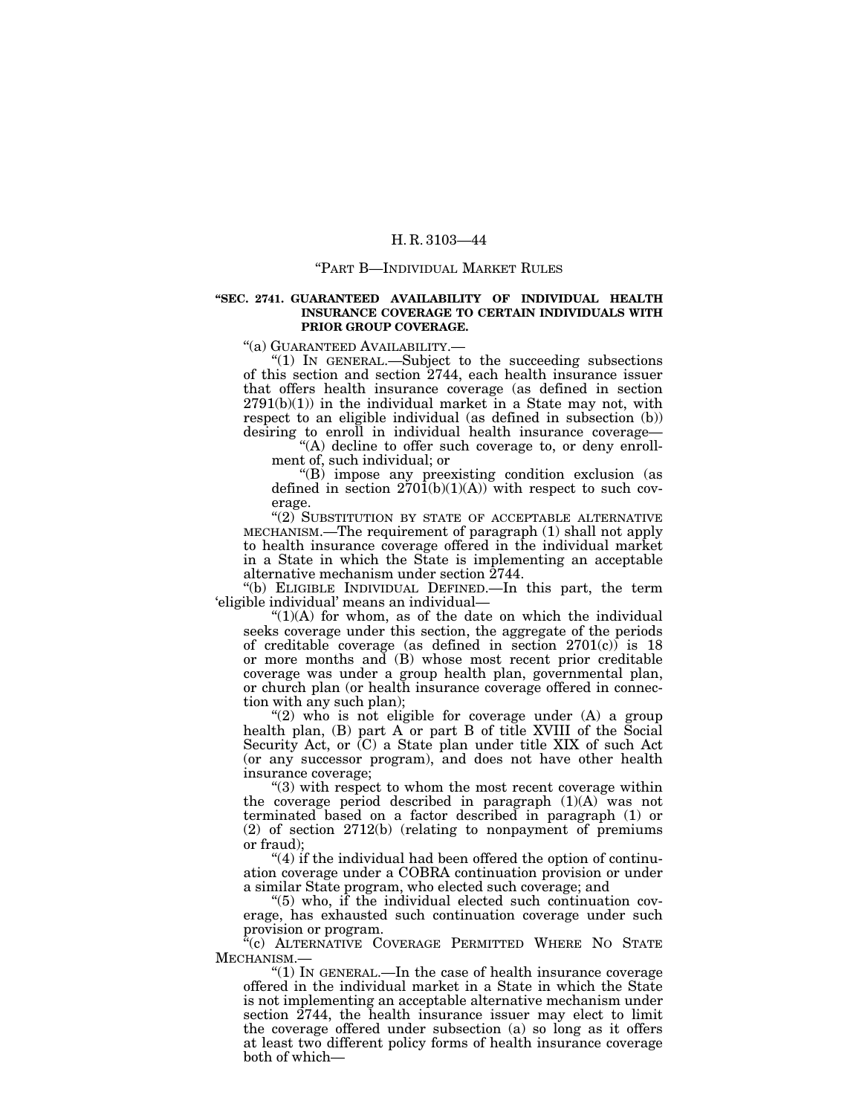## ''PART B—INDIVIDUAL MARKET RULES

### **''SEC. 2741. GUARANTEED AVAILABILITY OF INDIVIDUAL HEALTH INSURANCE COVERAGE TO CERTAIN INDIVIDUALS WITH PRIOR GROUP COVERAGE.**

''(a) GUARANTEED AVAILABILITY.—

''(1) IN GENERAL.—Subject to the succeeding subsections of this section and section 2744, each health insurance issuer that offers health insurance coverage (as defined in section  $2791(b)(1)$  in the individual market in a State may not, with respect to an eligible individual (as defined in subsection (b)) desiring to enroll in individual health insurance coverage—

 $(A)$  decline to offer such coverage to, or deny enrollment of, such individual; or

''(B) impose any preexisting condition exclusion (as defined in section  $270I(b)(1)(A)$  with respect to such coverage.

"(2) SUBSTITUTION BY STATE OF ACCEPTABLE ALTERNATIVE MECHANISM.—The requirement of paragraph (1) shall not apply to health insurance coverage offered in the individual market in a State in which the State is implementing an acceptable alternative mechanism under section 2744.

''(b) ELIGIBLE INDIVIDUAL DEFINED.—In this part, the term 'eligible individual' means an individual—

" $(1)(A)$  for whom, as of the date on which the individual seeks coverage under this section, the aggregate of the periods of creditable coverage (as defined in section 2701(c)) is 18 or more months and (B) whose most recent prior creditable coverage was under a group health plan, governmental plan, or church plan (or health insurance coverage offered in connection with any such plan);

" $(2)$  who is not eligible for coverage under  $(A)$  a group health plan, (B) part A or part B of title XVIII of the Social Security Act, or (C) a State plan under title XIX of such Act (or any successor program), and does not have other health insurance coverage;

''(3) with respect to whom the most recent coverage within the coverage period described in paragraph (1)(A) was not terminated based on a factor described in paragraph (1) or (2) of section 2712(b) (relating to nonpayment of premiums or fraud);

 $(4)$  if the individual had been offered the option of continuation coverage under a COBRA continuation provision or under a similar State program, who elected such coverage; and

''(5) who, if the individual elected such continuation coverage, has exhausted such continuation coverage under such provision or program.

"(c) ALTERNATIVE COVERAGE PERMITTED WHERE NO STATE MECHANISM.—

"(1) In GENERAL.—In the case of health insurance coverage offered in the individual market in a State in which the State is not implementing an acceptable alternative mechanism under section 2744, the health insurance issuer may elect to limit the coverage offered under subsection (a) so long as it offers at least two different policy forms of health insurance coverage both of which—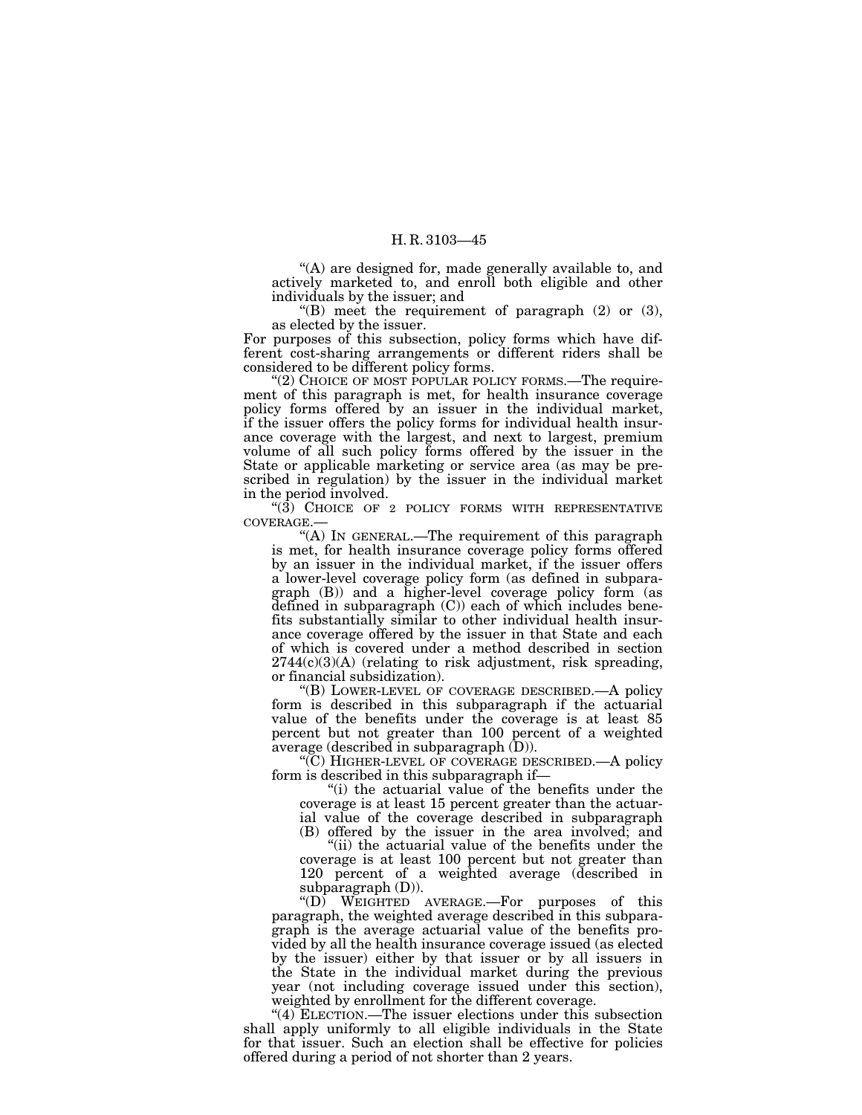"(A) are designed for, made generally available to, and actively marketed to, and enroll both eligible and other individuals by the issuer; and

"(B) meet the requirement of paragraph  $(2)$  or  $(3)$ , as elected by the issuer.

For purposes of this subsection, policy forms which have different cost-sharing arrangements or different riders shall be considered to be different policy forms.

"(2) CHOICE OF MOST POPULAR POLICY FORMS.—The requirement of this paragraph is met, for health insurance coverage policy forms offered by an issuer in the individual market, if the issuer offers the policy forms for individual health insurance coverage with the largest, and next to largest, premium volume of all such policy forms offered by the issuer in the State or applicable marketing or service area (as may be prescribed in regulation) by the issuer in the individual market in the period involved.

" $(3)$  Choice of 2 policy forms with representative COVERAGE.—

"(A) In GENERAL.—The requirement of this paragraph is met, for health insurance coverage policy forms offered by an issuer in the individual market, if the issuer offers a lower-level coverage policy form (as defined in subparagraph (B)) and a higher-level coverage policy form (as defined in subparagraph (C)) each of which includes benefits substantially similar to other individual health insurance coverage offered by the issuer in that State and each of which is covered under a method described in section 2744(c)(3)(A) (relating to risk adjustment, risk spreading, or financial subsidization).

''(B) LOWER-LEVEL OF COVERAGE DESCRIBED.—A policy form is described in this subparagraph if the actuarial value of the benefits under the coverage is at least 85 percent but not greater than 100 percent of a weighted average (described in subparagraph (D)).

''(C) HIGHER-LEVEL OF COVERAGE DESCRIBED.—A policy form is described in this subparagraph if—

"(i) the actuarial value of the benefits under the coverage is at least 15 percent greater than the actuarial value of the coverage described in subparagraph

(B) offered by the issuer in the area involved; and

"(ii) the actuarial value of the benefits under the coverage is at least 100 percent but not greater than 120 percent of a weighted average (described in subparagraph (D)).

''(D) WEIGHTED AVERAGE.—For purposes of this paragraph, the weighted average described in this subparagraph is the average actuarial value of the benefits provided by all the health insurance coverage issued (as elected by the issuer) either by that issuer or by all issuers in the State in the individual market during the previous year (not including coverage issued under this section), weighted by enrollment for the different coverage.

''(4) ELECTION.—The issuer elections under this subsection shall apply uniformly to all eligible individuals in the State for that issuer. Such an election shall be effective for policies offered during a period of not shorter than 2 years.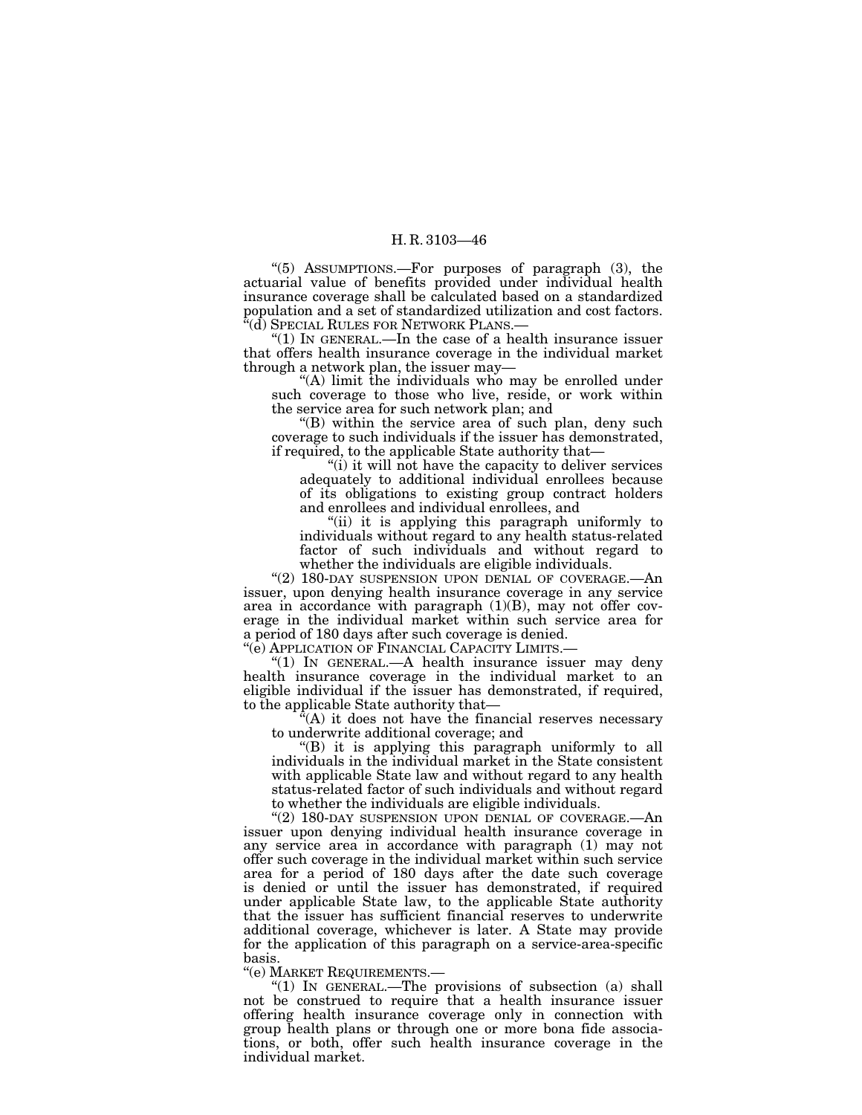''(5) ASSUMPTIONS.—For purposes of paragraph (3), the actuarial value of benefits provided under individual health insurance coverage shall be calculated based on a standardized population and a set of standardized utilization and cost factors. ''(d) SPECIAL RULES FOR NETWORK PLANS.—

" $(1)$  In GENERAL.—In the case of a health insurance issuer that offers health insurance coverage in the individual market through a network plan, the issuer may—

''(A) limit the individuals who may be enrolled under such coverage to those who live, reside, or work within the service area for such network plan; and

''(B) within the service area of such plan, deny such coverage to such individuals if the issuer has demonstrated, if required, to the applicable State authority that—

"(i) it will not have the capacity to deliver services" adequately to additional individual enrollees because of its obligations to existing group contract holders and enrollees and individual enrollees, and

''(ii) it is applying this paragraph uniformly to individuals without regard to any health status-related factor of such individuals and without regard to whether the individuals are eligible individuals.

"(2) 180-DAY SUSPENSION UPON DENIAL OF COVERAGE.—An issuer, upon denying health insurance coverage in any service area in accordance with paragraph (1)(B), may not offer coverage in the individual market within such service area for a period of 180 days after such coverage is denied.

"(1) In GENERAL.—A health insurance issuer may deny health insurance coverage in the individual market to an eligible individual if the issuer has demonstrated, if required, to the applicable State authority that—

 $\ddot{H}$  (A) it does not have the financial reserves necessary to underwrite additional coverage; and

''(B) it is applying this paragraph uniformly to all individuals in the individual market in the State consistent with applicable State law and without regard to any health status-related factor of such individuals and without regard to whether the individuals are eligible individuals.

"(2) 180-DAY SUSPENSION UPON DENIAL OF COVERAGE.- An issuer upon denying individual health insurance coverage in any service area in accordance with paragraph (1) may not offer such coverage in the individual market within such service area for a period of 180 days after the date such coverage is denied or until the issuer has demonstrated, if required under applicable State law, to the applicable State authority that the issuer has sufficient financial reserves to underwrite additional coverage, whichever is later. A State may provide for the application of this paragraph on a service-area-specific basis.

''(e) MARKET REQUIREMENTS.—

''(1) IN GENERAL.—The provisions of subsection (a) shall not be construed to require that a health insurance issuer offering health insurance coverage only in connection with group health plans or through one or more bona fide associations, or both, offer such health insurance coverage in the individual market.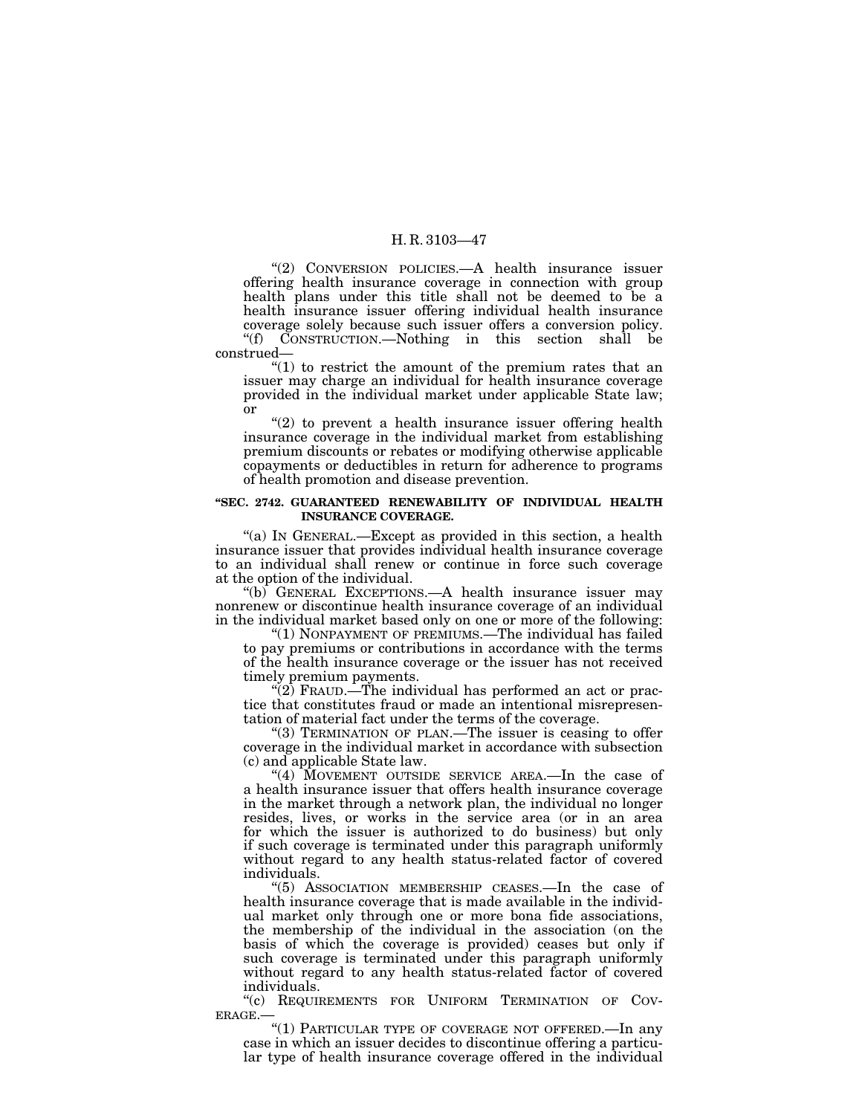''(2) CONVERSION POLICIES.—A health insurance issuer offering health insurance coverage in connection with group health plans under this title shall not be deemed to be a health insurance issuer offering individual health insurance coverage solely because such issuer offers a conversion policy.

''(f) CONSTRUCTION.—Nothing in this section shall be construed—

" $(1)$  to restrict the amount of the premium rates that an issuer may charge an individual for health insurance coverage provided in the individual market under applicable State law; or

" $(2)$  to prevent a health insurance issuer offering health insurance coverage in the individual market from establishing premium discounts or rebates or modifying otherwise applicable copayments or deductibles in return for adherence to programs of health promotion and disease prevention.

### **''SEC. 2742. GUARANTEED RENEWABILITY OF INDIVIDUAL HEALTH INSURANCE COVERAGE.**

"(a) IN GENERAL.—Except as provided in this section, a health insurance issuer that provides individual health insurance coverage to an individual shall renew or continue in force such coverage at the option of the individual.

''(b) GENERAL EXCEPTIONS.—A health insurance issuer may nonrenew or discontinue health insurance coverage of an individual in the individual market based only on one or more of the following:

"(1) NONPAYMENT OF PREMIUMS.—The individual has failed to pay premiums or contributions in accordance with the terms of the health insurance coverage or the issuer has not received timely premium payments.

" $(2)$  FRAUD.—The individual has performed an act or practice that constitutes fraud or made an intentional misrepresentation of material fact under the terms of the coverage.

"(3) TERMINATION OF PLAN.—The issuer is ceasing to offer coverage in the individual market in accordance with subsection (c) and applicable State law.

"(4) MOVEMENT OUTSIDE SERVICE AREA.—In the case of a health insurance issuer that offers health insurance coverage in the market through a network plan, the individual no longer resides, lives, or works in the service area (or in an area for which the issuer is authorized to do business) but only if such coverage is terminated under this paragraph uniformly without regard to any health status-related factor of covered individuals.

''(5) ASSOCIATION MEMBERSHIP CEASES.—In the case of health insurance coverage that is made available in the individual market only through one or more bona fide associations, the membership of the individual in the association (on the basis of which the coverage is provided) ceases but only if such coverage is terminated under this paragraph uniformly without regard to any health status-related factor of covered individuals.

''(c) REQUIREMENTS FOR UNIFORM TERMINATION OF COV-ERAGE.—

"(1) PARTICULAR TYPE OF COVERAGE NOT OFFERED. In any case in which an issuer decides to discontinue offering a particular type of health insurance coverage offered in the individual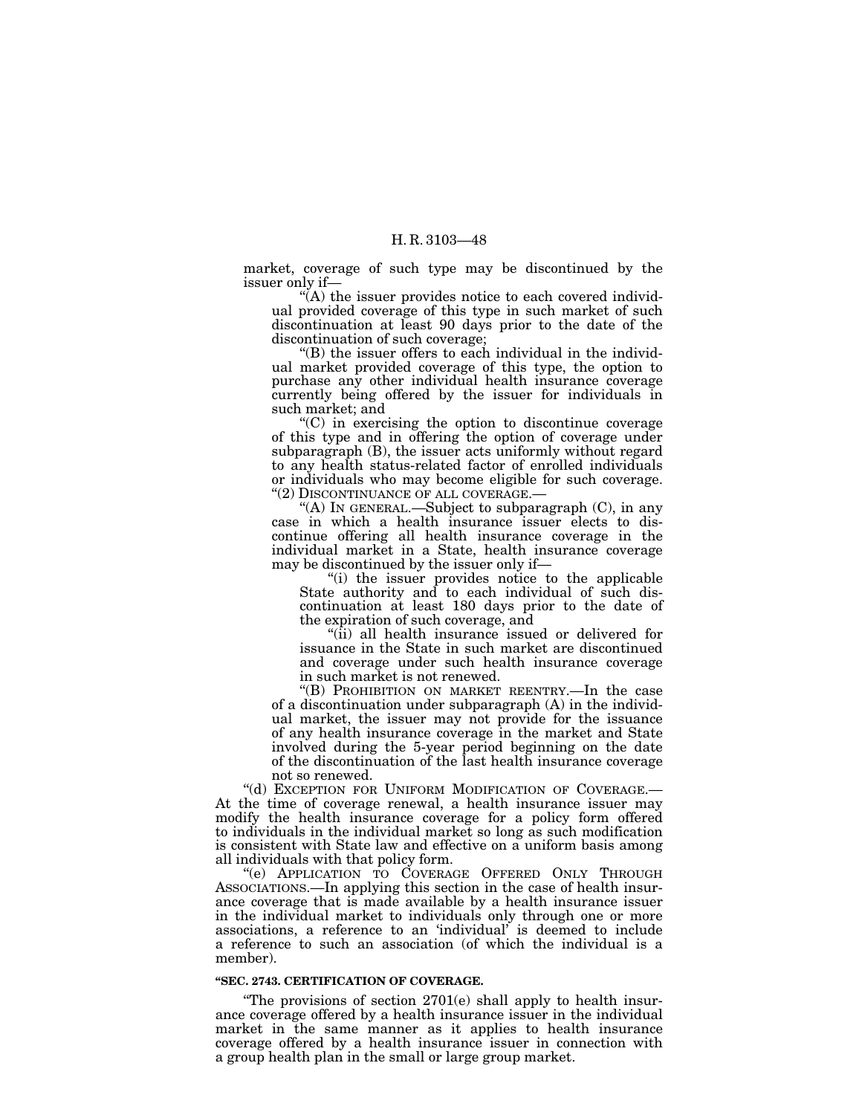market, coverage of such type may be discontinued by the issuer only if—

 $\H(\mathbf{A})$  the issuer provides notice to each covered individual provided coverage of this type in such market of such discontinuation at least 90 days prior to the date of the discontinuation of such coverage;

''(B) the issuer offers to each individual in the individual market provided coverage of this type, the option to purchase any other individual health insurance coverage currently being offered by the issuer for individuals in such market; and

''(C) in exercising the option to discontinue coverage of this type and in offering the option of coverage under subparagraph (B), the issuer acts uniformly without regard to any health status-related factor of enrolled individuals or individuals who may become eligible for such coverage. ''(2) DISCONTINUANCE OF ALL COVERAGE.—

"(A) IN GENERAL.—Subject to subparagraph  $(C)$ , in any case in which a health insurance issuer elects to discontinue offering all health insurance coverage in the individual market in a State, health insurance coverage may be discontinued by the issuer only if—

''(i) the issuer provides notice to the applicable State authority and to each individual of such discontinuation at least 180 days prior to the date of the expiration of such coverage, and

"(ii) all health insurance issued or delivered for issuance in the State in such market are discontinued and coverage under such health insurance coverage in such market is not renewed.

''(B) PROHIBITION ON MARKET REENTRY.—In the case of a discontinuation under subparagraph (A) in the individual market, the issuer may not provide for the issuance of any health insurance coverage in the market and State involved during the 5-year period beginning on the date of the discontinuation of the last health insurance coverage

not so renewed.<br>"(d) Exception for Uniform Modification of Coverage.— At the time of coverage renewal, a health insurance issuer may modify the health insurance coverage for a policy form offered to individuals in the individual market so long as such modification is consistent with State law and effective on a uniform basis among all individuals with that policy form.

''(e) APPLICATION TO COVERAGE OFFERED ONLY THROUGH ASSOCIATIONS.—In applying this section in the case of health insurance coverage that is made available by a health insurance issuer in the individual market to individuals only through one or more associations, a reference to an 'individual' is deemed to include a reference to such an association (of which the individual is a member).

#### **''SEC. 2743. CERTIFICATION OF COVERAGE.**

"The provisions of section  $2701(e)$  shall apply to health insurance coverage offered by a health insurance issuer in the individual market in the same manner as it applies to health insurance coverage offered by a health insurance issuer in connection with a group health plan in the small or large group market.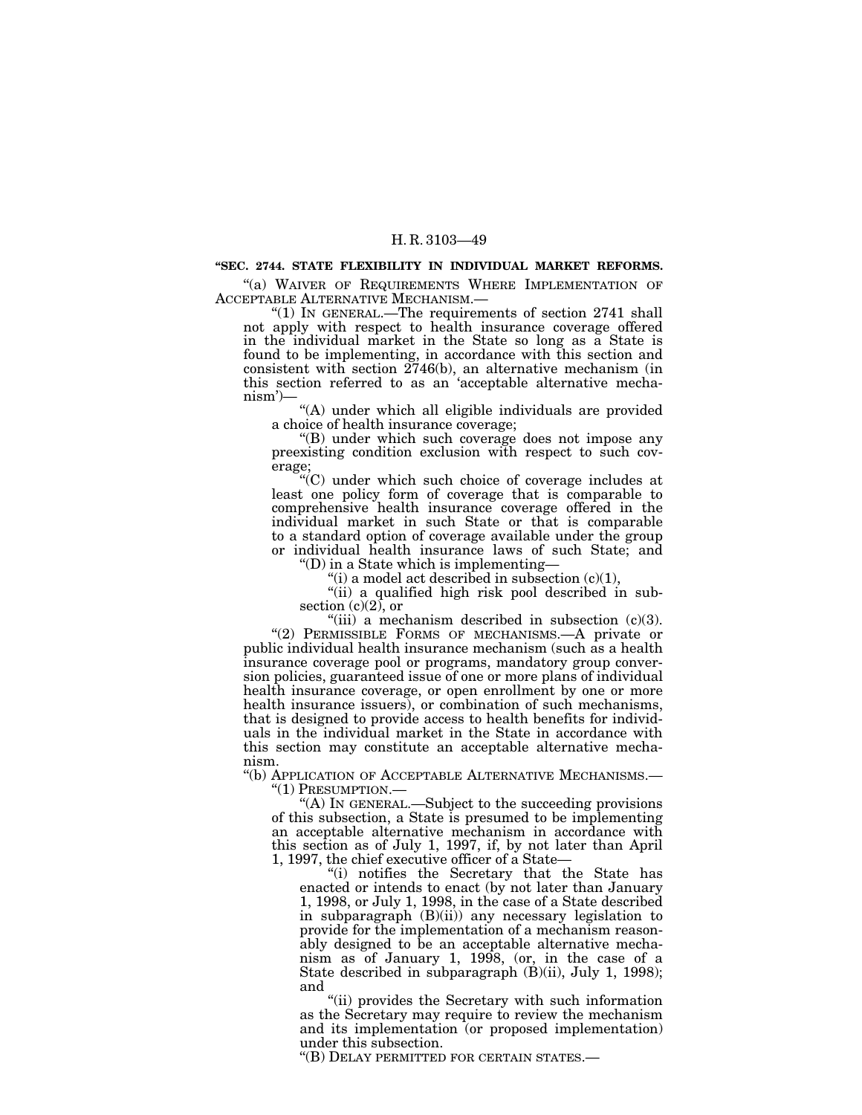### **''SEC. 2744. STATE FLEXIBILITY IN INDIVIDUAL MARKET REFORMS.**

"(a) WAIVER OF REQUIREMENTS WHERE IMPLEMENTATION OF ACCEPTABLE ALTERNATIVE MECHANISM.—

"(1) In GENERAL.—The requirements of section  $2741$  shall not apply with respect to health insurance coverage offered in the individual market in the State so long as a State is found to be implementing, in accordance with this section and consistent with section 2746(b), an alternative mechanism (in this section referred to as an 'acceptable alternative mechanism')-

"(A) under which all eligible individuals are provided a choice of health insurance coverage;

''(B) under which such coverage does not impose any preexisting condition exclusion with respect to such coverage;

 $E'(C)$  under which such choice of coverage includes at least one policy form of coverage that is comparable to comprehensive health insurance coverage offered in the individual market in such State or that is comparable to a standard option of coverage available under the group or individual health insurance laws of such State; and

''(D) in a State which is implementing—

"(i) a model act described in subsection  $(c)(1)$ , "(ii) a qualified high risk pool described in sub-

section  $(c)(2)$ , or

"(iii) a mechanism described in subsection  $(c)(3)$ . ''(2) PERMISSIBLE FORMS OF MECHANISMS.—A private or public individual health insurance mechanism (such as a health insurance coverage pool or programs, mandatory group conversion policies, guaranteed issue of one or more plans of individual health insurance coverage, or open enrollment by one or more health insurance issuers), or combination of such mechanisms, that is designed to provide access to health benefits for individuals in the individual market in the State in accordance with this section may constitute an acceptable alternative mechanism.<br>"(b) APPLICATION OF ACCEPTABLE ALTERNATIVE MECHANISMS.—

"(1) PRESUMPTION  $-$ <br>"(A) IN GENERAL.—Subject to the succeeding provisions of this subsection, a State is presumed to be implementing an acceptable alternative mechanism in accordance with this section as of July 1, 1997, if, by not later than April 1, 1997, the chief executive officer of a State—

''(i) notifies the Secretary that the State has enacted or intends to enact (by not later than January 1, 1998, or July 1, 1998, in the case of a State described in subparagraph (B)(ii)) any necessary legislation to provide for the implementation of a mechanism reasonably designed to be an acceptable alternative mechanism as of January 1, 1998, (or, in the case of a State described in subparagraph (B)(ii), July 1, 1998); and

''(ii) provides the Secretary with such information as the Secretary may require to review the mechanism and its implementation (or proposed implementation) under this subsection.

''(B) DELAY PERMITTED FOR CERTAIN STATES.—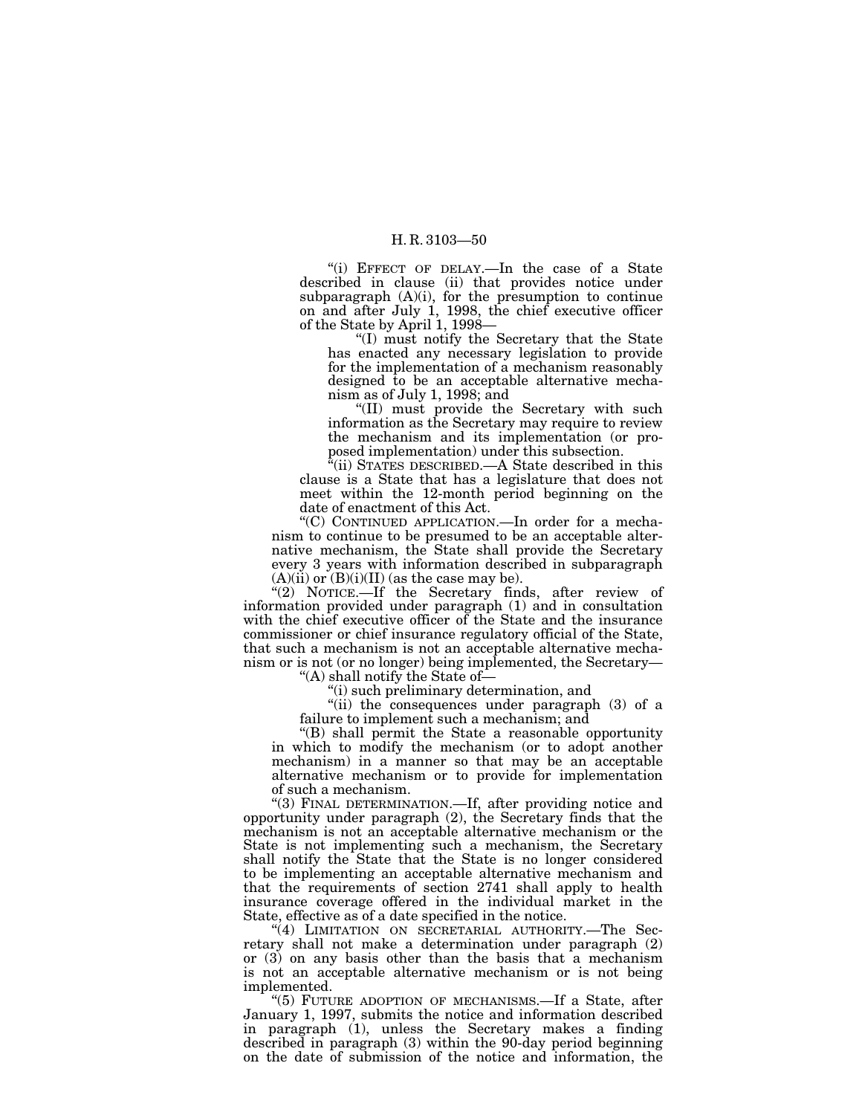''(i) EFFECT OF DELAY.—In the case of a State described in clause (ii) that provides notice under subparagraph (A)(i), for the presumption to continue on and after July 1, 1998, the chief executive officer of the State by April 1, 1998–

''(I) must notify the Secretary that the State has enacted any necessary legislation to provide for the implementation of a mechanism reasonably designed to be an acceptable alternative mechanism as of July 1, 1998; and

''(II) must provide the Secretary with such information as the Secretary may require to review the mechanism and its implementation (or proposed implementation) under this subsection.

 $\mathbf{F}$ (ii) STATES DESCRIBED.—A State described in this clause is a State that has a legislature that does not meet within the 12-month period beginning on the date of enactment of this Act.

''(C) CONTINUED APPLICATION.—In order for a mechanism to continue to be presumed to be an acceptable alternative mechanism, the State shall provide the Secretary every 3 years with information described in subparagraph  $(A)(ii)$  or  $(B)(i)(II)$  (as the case may be).

"(2) NOTICE.—If the Secretary finds, after review of information provided under paragraph (1) and in consultation with the chief executive officer of the State and the insurance commissioner or chief insurance regulatory official of the State, that such a mechanism is not an acceptable alternative mechanism or is not (or no longer) being implemented, the Secretary— ''(A) shall notify the State of—

(i) such preliminary determination, and

"(ii) the consequences under paragraph (3) of a failure to implement such a mechanism; and

''(B) shall permit the State a reasonable opportunity in which to modify the mechanism (or to adopt another mechanism) in a manner so that may be an acceptable alternative mechanism or to provide for implementation of such a mechanism.

''(3) FINAL DETERMINATION.—If, after providing notice and opportunity under paragraph (2), the Secretary finds that the mechanism is not an acceptable alternative mechanism or the State is not implementing such a mechanism, the Secretary shall notify the State that the State is no longer considered to be implementing an acceptable alternative mechanism and that the requirements of section 2741 shall apply to health insurance coverage offered in the individual market in the State, effective as of a date specified in the notice.

"(4) LIMITATION ON SECRETARIAL AUTHORITY.—The Secretary shall not make a determination under paragraph (2) or (3) on any basis other than the basis that a mechanism is not an acceptable alternative mechanism or is not being implemented.

''(5) FUTURE ADOPTION OF MECHANISMS.—If a State, after January 1, 1997, submits the notice and information described in paragraph (1), unless the Secretary makes a finding described in paragraph (3) within the 90-day period beginning on the date of submission of the notice and information, the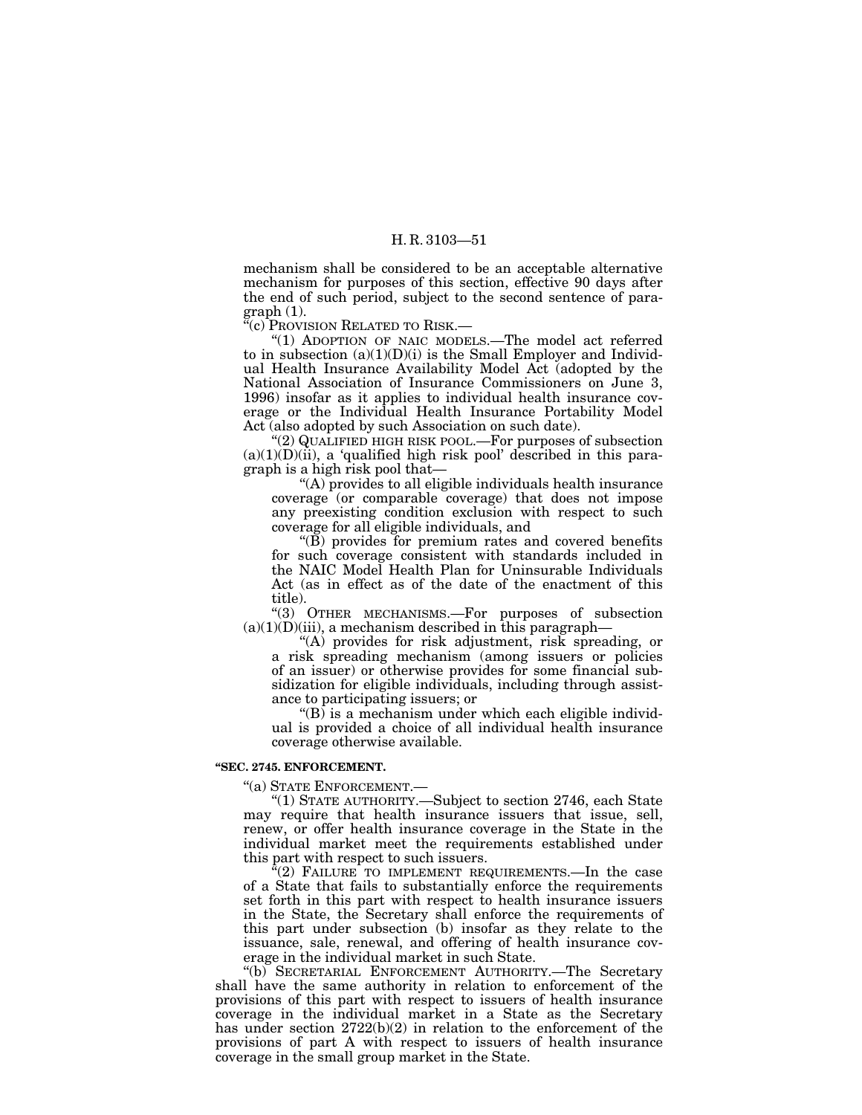mechanism shall be considered to be an acceptable alternative mechanism for purposes of this section, effective 90 days after the end of such period, subject to the second sentence of paragraph (1).

''(c) PROVISION RELATED TO RISK.—

''(1) ADOPTION OF NAIC MODELS.—The model act referred to in subsection  $(a)(1)(D)(i)$  is the Small Employer and Individual Health Insurance Availability Model Act (adopted by the National Association of Insurance Commissioners on June 3, 1996) insofar as it applies to individual health insurance coverage or the Individual Health Insurance Portability Model Act (also adopted by such Association on such date).

''(2) QUALIFIED HIGH RISK POOL.—For purposes of subsection  $(a)(1)(D)(ii)$ , a 'qualified high risk pool' described in this paragraph is a high risk pool that—

''(A) provides to all eligible individuals health insurance coverage (or comparable coverage) that does not impose any preexisting condition exclusion with respect to such coverage for all eligible individuals, and

 $\mathrm{``(B)}$  provides for premium rates and covered benefits for such coverage consistent with standards included in the NAIC Model Health Plan for Uninsurable Individuals Act (as in effect as of the date of the enactment of this title).

''(3) OTHER MECHANISMS.—For purposes of subsection  $(a)(1)(D)(iii)$ , a mechanism described in this paragraph—

''(A) provides for risk adjustment, risk spreading, or a risk spreading mechanism (among issuers or policies of an issuer) or otherwise provides for some financial subsidization for eligible individuals, including through assistance to participating issuers; or

 $\sqrt{\left(B\right)}$  is a mechanism under which each eligible individual is provided a choice of all individual health insurance coverage otherwise available.

### **''SEC. 2745. ENFORCEMENT.**

''(a) STATE ENFORCEMENT.—

''(1) STATE AUTHORITY.—Subject to section 2746, each State may require that health insurance issuers that issue, sell, renew, or offer health insurance coverage in the State in the individual market meet the requirements established under this part with respect to such issuers.

''(2) FAILURE TO IMPLEMENT REQUIREMENTS.—In the case of a State that fails to substantially enforce the requirements set forth in this part with respect to health insurance issuers in the State, the Secretary shall enforce the requirements of this part under subsection (b) insofar as they relate to the issuance, sale, renewal, and offering of health insurance coverage in the individual market in such State.

''(b) SECRETARIAL ENFORCEMENT AUTHORITY.—The Secretary shall have the same authority in relation to enforcement of the provisions of this part with respect to issuers of health insurance coverage in the individual market in a State as the Secretary has under section  $2722(b)(2)$  in relation to the enforcement of the provisions of part A with respect to issuers of health insurance coverage in the small group market in the State.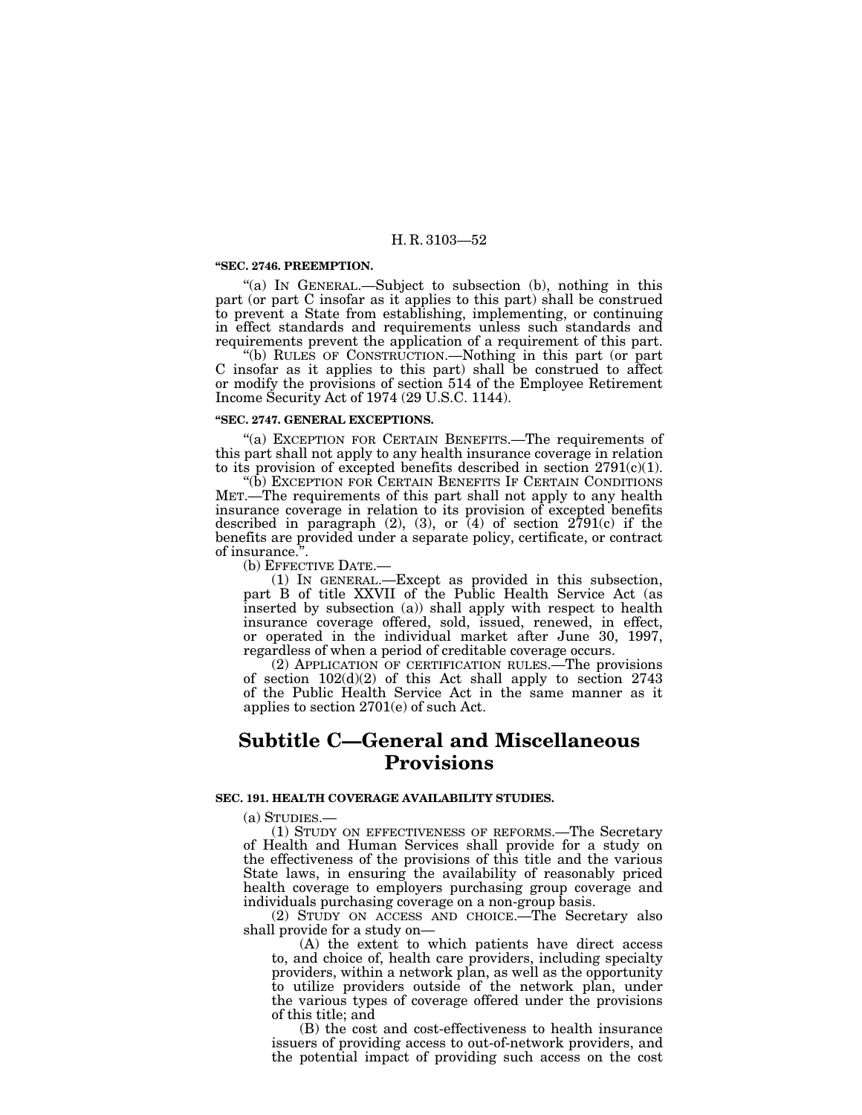### **''SEC. 2746. PREEMPTION.**

''(a) IN GENERAL.—Subject to subsection (b), nothing in this part (or part C insofar as it applies to this part) shall be construed to prevent a State from establishing, implementing, or continuing in effect standards and requirements unless such standards and requirements prevent the application of a requirement of this part.

''(b) RULES OF CONSTRUCTION.—Nothing in this part (or part C insofar as it applies to this part) shall be construed to affect or modify the provisions of section 514 of the Employee Retirement Income Security Act of 1974 (29 U.S.C. 1144).

### **''SEC. 2747. GENERAL EXCEPTIONS.**

"(a) EXCEPTION FOR CERTAIN BENEFITS.—The requirements of this part shall not apply to any health insurance coverage in relation to its provision of excepted benefits described in section  $2791(c)(1)$ .

''(b) EXCEPTION FOR CERTAIN BENEFITS IF CERTAIN CONDITIONS MET.—The requirements of this part shall not apply to any health insurance coverage in relation to its provision of excepted benefits described in paragraph  $(2)$ ,  $(3)$ , or  $(4)$  of section  $2791(c)$  if the benefits are provided under a separate policy, certificate, or contract of insurance.''.

(b) EFFECTIVE DATE.—

(1) IN GENERAL.—Except as provided in this subsection, part B of title XXVII of the Public Health Service Act (as inserted by subsection (a)) shall apply with respect to health insurance coverage offered, sold, issued, renewed, in effect, or operated in the individual market after June 30, 1997, regardless of when a period of creditable coverage occurs.

(2) APPLICATION OF CERTIFICATION RULES.—The provisions of section 102(d)(2) of this Act shall apply to section 2743 of the Public Health Service Act in the same manner as it applies to section 2701(e) of such Act.

# **Subtitle C—General and Miscellaneous Provisions**

### **SEC. 191. HEALTH COVERAGE AVAILABILITY STUDIES.**

(a) STUDIES.— (1) STUDY ON EFFECTIVENESS OF REFORMS.—The Secretary of Health and Human Services shall provide for a study on the effectiveness of the provisions of this title and the various State laws, in ensuring the availability of reasonably priced health coverage to employers purchasing group coverage and individuals purchasing coverage on a non-group basis.

(2) STUDY ON ACCESS AND CHOICE.—The Secretary also shall provide for a study on—

(A) the extent to which patients have direct access to, and choice of, health care providers, including specialty providers, within a network plan, as well as the opportunity to utilize providers outside of the network plan, under the various types of coverage offered under the provisions of this title; and

(B) the cost and cost-effectiveness to health insurance issuers of providing access to out-of-network providers, and the potential impact of providing such access on the cost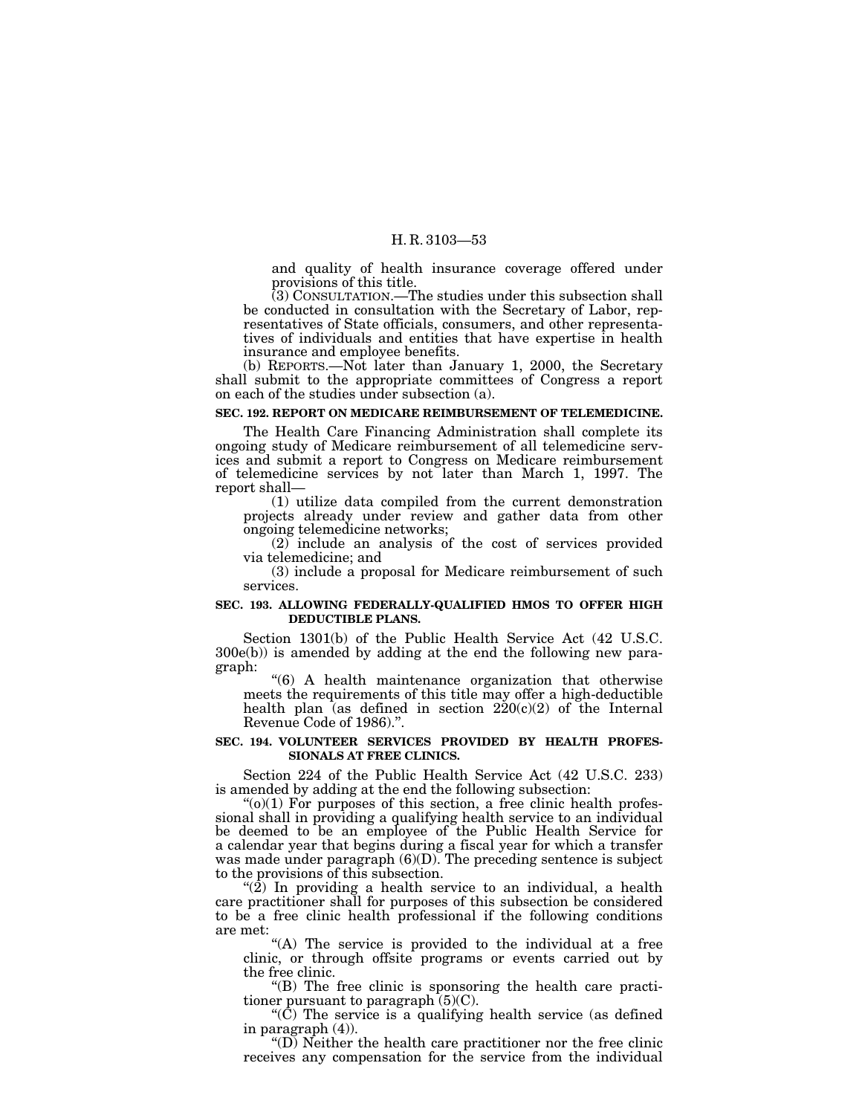and quality of health insurance coverage offered under provisions of this title.

(3) CONSULTATION.—The studies under this subsection shall be conducted in consultation with the Secretary of Labor, representatives of State officials, consumers, and other representatives of individuals and entities that have expertise in health insurance and employee benefits.

(b) REPORTS.—Not later than January 1, 2000, the Secretary shall submit to the appropriate committees of Congress a report on each of the studies under subsection (a).

## **SEC. 192. REPORT ON MEDICARE REIMBURSEMENT OF TELEMEDICINE.**

The Health Care Financing Administration shall complete its ongoing study of Medicare reimbursement of all telemedicine services and submit a report to Congress on Medicare reimbursement of telemedicine services by not later than March 1, 1997. The report shall—

(1) utilize data compiled from the current demonstration projects already under review and gather data from other ongoing telemedicine networks;

(2) include an analysis of the cost of services provided via telemedicine; and

(3) include a proposal for Medicare reimbursement of such services.

### **SEC. 193. ALLOWING FEDERALLY-QUALIFIED HMOS TO OFFER HIGH DEDUCTIBLE PLANS.**

Section 1301(b) of the Public Health Service Act (42 U.S.C. 300e(b)) is amended by adding at the end the following new paragraph:

''(6) A health maintenance organization that otherwise meets the requirements of this title may offer a high-deductible health plan (as defined in section  $220(c)(2)$  of the Internal Revenue Code of 1986).''.

### **SEC. 194. VOLUNTEER SERVICES PROVIDED BY HEALTH PROFES-SIONALS AT FREE CLINICS.**

Section 224 of the Public Health Service Act (42 U.S.C. 233) is amended by adding at the end the following subsection:

 $(v(0)(1)$  For purposes of this section, a free clinic health professional shall in providing a qualifying health service to an individual be deemed to be an employee of the Public Health Service for a calendar year that begins during a fiscal year for which a transfer was made under paragraph  $(6)(D)$ . The preceding sentence is subject to the provisions of this subsection.

" $(2)$  In providing a health service to an individual, a health care practitioner shall for purposes of this subsection be considered to be a free clinic health professional if the following conditions are met:

 $(A)$  The service is provided to the individual at a free clinic, or through offsite programs or events carried out by the free clinic.

''(B) The free clinic is sponsoring the health care practitioner pursuant to paragraph  $(5)(C)$ .

" $(\overline{C})$  The service is a qualifying health service (as defined in paragraph (4)).

''(D) Neither the health care practitioner nor the free clinic receives any compensation for the service from the individual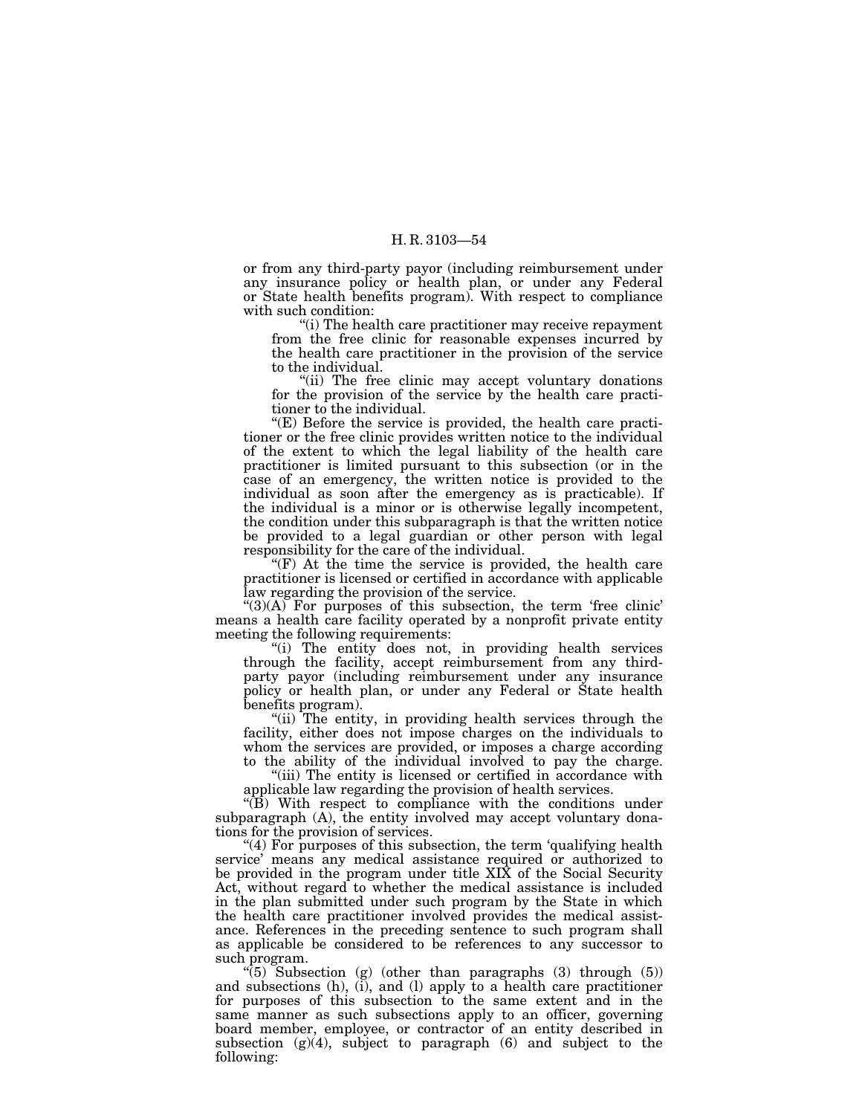or from any third-party payor (including reimbursement under any insurance policy or health plan, or under any Federal or State health benefits program). With respect to compliance with such condition:

''(i) The health care practitioner may receive repayment from the free clinic for reasonable expenses incurred by the health care practitioner in the provision of the service to the individual.

"(ii) The free clinic may accept voluntary donations for the provision of the service by the health care practitioner to the individual.

 $E(E)$  Before the service is provided, the health care practitioner or the free clinic provides written notice to the individual of the extent to which the legal liability of the health care practitioner is limited pursuant to this subsection (or in the case of an emergency, the written notice is provided to the individual as soon after the emergency as is practicable). If the individual is a minor or is otherwise legally incompetent, the condition under this subparagraph is that the written notice be provided to a legal guardian or other person with legal responsibility for the care of the individual.

" $(F)$  At the time the service is provided, the health care practitioner is licensed or certified in accordance with applicable law regarding the provision of the service.

" $(3)(A)$  For purposes of this subsection, the term 'free clinic' means a health care facility operated by a nonprofit private entity meeting the following requirements:

"(i) The entity does not, in providing health services through the facility, accept reimbursement from any thirdparty payor (including reimbursement under any insurance policy or health plan, or under any Federal or State health benefits program).

''(ii) The entity, in providing health services through the facility, either does not impose charges on the individuals to whom the services are provided, or imposes a charge according to the ability of the individual involved to pay the charge.

''(iii) The entity is licensed or certified in accordance with applicable law regarding the provision of health services.

''(B) With respect to compliance with the conditions under subparagraph (A), the entity involved may accept voluntary donations for the provision of services.

 $(4)$  For purposes of this subsection, the term 'qualifying health service' means any medical assistance required or authorized to be provided in the program under title XIX of the Social Security Act, without regard to whether the medical assistance is included in the plan submitted under such program by the State in which the health care practitioner involved provides the medical assistance. References in the preceding sentence to such program shall as applicable be considered to be references to any successor to such program.

" $(5)$  Subsection (g) (other than paragraphs (3) through (5)) and subsections  $(h)$ ,  $(\tilde{i})$ , and  $(l)$  apply to a health care practitioner for purposes of this subsection to the same extent and in the same manner as such subsections apply to an officer, governing board member, employee, or contractor of an entity described in subsection  $(g)(4)$ , subject to paragraph  $(6)$  and subject to the following: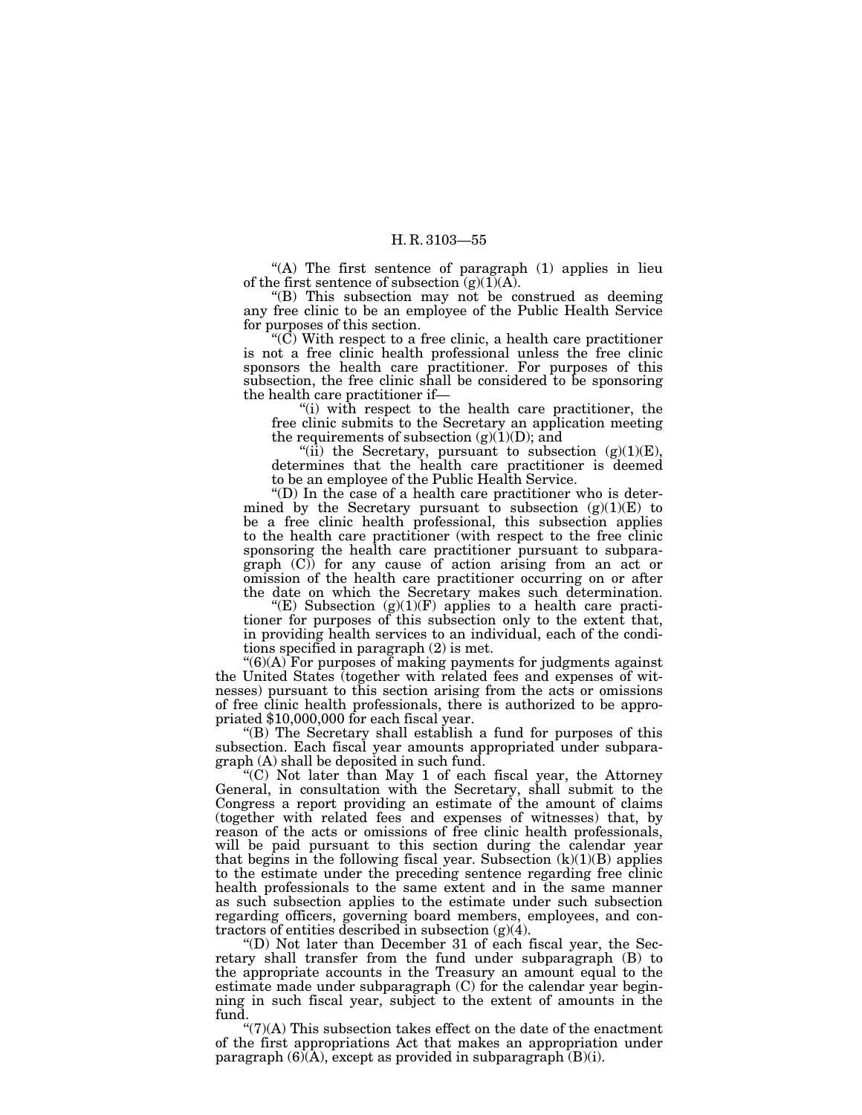''(A) The first sentence of paragraph (1) applies in lieu of the first sentence of subsection  $(g)(1)(A)$ .

''(B) This subsection may not be construed as deeming any free clinic to be an employee of the Public Health Service for purposes of this section.

" $(\overrightarrow{C})$  With respect to a free clinic, a health care practitioner is not a free clinic health professional unless the free clinic sponsors the health care practitioner. For purposes of this subsection, the free clinic shall be considered to be sponsoring the health care practitioner if—

"(i) with respect to the health care practitioner, the free clinic submits to the Secretary an application meeting the requirements of subsection  $(g)(1)(D)$ ; and

"(ii) the Secretary, pursuant to subsection  $(g)(1)(E)$ , determines that the health care practitioner is deemed to be an employee of the Public Health Service.

''(D) In the case of a health care practitioner who is determined by the Secretary pursuant to subsection  $(g)(1)(E)$  to be a free clinic health professional, this subsection applies to the health care practitioner (with respect to the free clinic sponsoring the health care practitioner pursuant to subparagraph (C)) for any cause of action arising from an act or omission of the health care practitioner occurring on or after the date on which the Secretary makes such determination.

"(E) Subsection  $(g)(1)(F)$  applies to a health care practitioner for purposes of this subsection only to the extent that, in providing health services to an individual, each of the conditions specified in paragraph (2) is met.

 $^{\prime\prime}(6)$ (A) For purposes of making payments for judgments against the United States (together with related fees and expenses of witnesses) pursuant to this section arising from the acts or omissions of free clinic health professionals, there is authorized to be appropriated \$10,000,000 for each fiscal year.

''(B) The Secretary shall establish a fund for purposes of this subsection. Each fiscal year amounts appropriated under subparagraph (A) shall be deposited in such fund.

''(C) Not later than May 1 of each fiscal year, the Attorney General, in consultation with the Secretary, shall submit to the Congress a report providing an estimate of the amount of claims (together with related fees and expenses of witnesses) that, by reason of the acts or omissions of free clinic health professionals, will be paid pursuant to this section during the calendar year that begins in the following fiscal year. Subsection  $(k)(1)(B)$  applies to the estimate under the preceding sentence regarding free clinic health professionals to the same extent and in the same manner as such subsection applies to the estimate under such subsection regarding officers, governing board members, employees, and contractors of entities described in subsection (g)(4).

''(D) Not later than December 31 of each fiscal year, the Secretary shall transfer from the fund under subparagraph (B) to the appropriate accounts in the Treasury an amount equal to the estimate made under subparagraph (C) for the calendar year beginning in such fiscal year, subject to the extent of amounts in the fund.

" $(7)$ (A) This subsection takes effect on the date of the enactment of the first appropriations Act that makes an appropriation under paragraph  $(6)(\overline{A})$ , except as provided in subparagraph  $(B)(i)$ .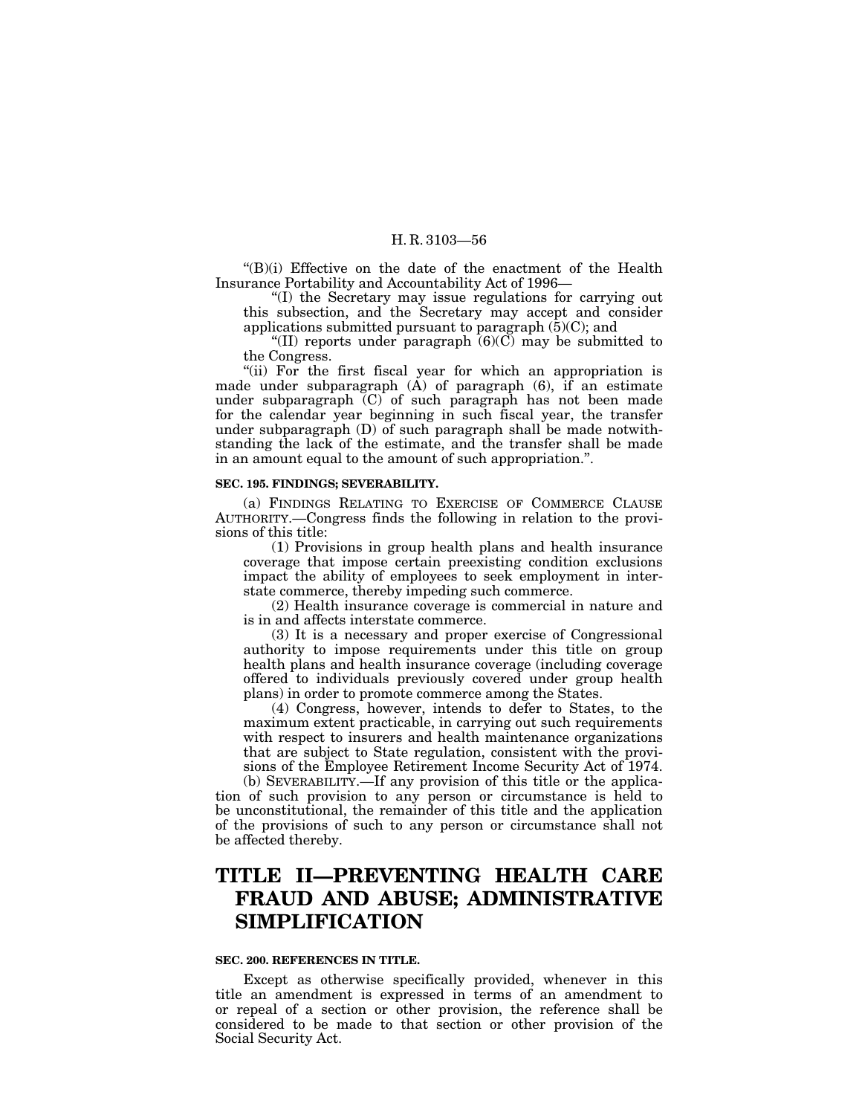''(B)(i) Effective on the date of the enactment of the Health Insurance Portability and Accountability Act of 1996—

''(I) the Secretary may issue regulations for carrying out this subsection, and the Secretary may accept and consider applications submitted pursuant to paragraph  $(\bar{5})(C)$ ; and

"(II) reports under paragraph  $(6)(C)$  may be submitted to the Congress.

"(ii) For the first fiscal year for which an appropriation is made under subparagraph (A) of paragraph (6), if an estimate under subparagraph (C) of such paragraph has not been made for the calendar year beginning in such fiscal year, the transfer under subparagraph (D) of such paragraph shall be made notwithstanding the lack of the estimate, and the transfer shall be made in an amount equal to the amount of such appropriation.''.

### **SEC. 195. FINDINGS; SEVERABILITY.**

(a) FINDINGS RELATING TO EXERCISE OF COMMERCE CLAUSE AUTHORITY.—Congress finds the following in relation to the provisions of this title:

(1) Provisions in group health plans and health insurance coverage that impose certain preexisting condition exclusions impact the ability of employees to seek employment in interstate commerce, thereby impeding such commerce.

(2) Health insurance coverage is commercial in nature and is in and affects interstate commerce.

(3) It is a necessary and proper exercise of Congressional authority to impose requirements under this title on group health plans and health insurance coverage (including coverage offered to individuals previously covered under group health plans) in order to promote commerce among the States.

(4) Congress, however, intends to defer to States, to the maximum extent practicable, in carrying out such requirements with respect to insurers and health maintenance organizations that are subject to State regulation, consistent with the provisions of the Employee Retirement Income Security Act of 1974.

(b) SEVERABILITY.—If any provision of this title or the application of such provision to any person or circumstance is held to be unconstitutional, the remainder of this title and the application of the provisions of such to any person or circumstance shall not be affected thereby.

# **TITLE II—PREVENTING HEALTH CARE FRAUD AND ABUSE; ADMINISTRATIVE SIMPLIFICATION**

### **SEC. 200. REFERENCES IN TITLE.**

Except as otherwise specifically provided, whenever in this title an amendment is expressed in terms of an amendment to or repeal of a section or other provision, the reference shall be considered to be made to that section or other provision of the Social Security Act.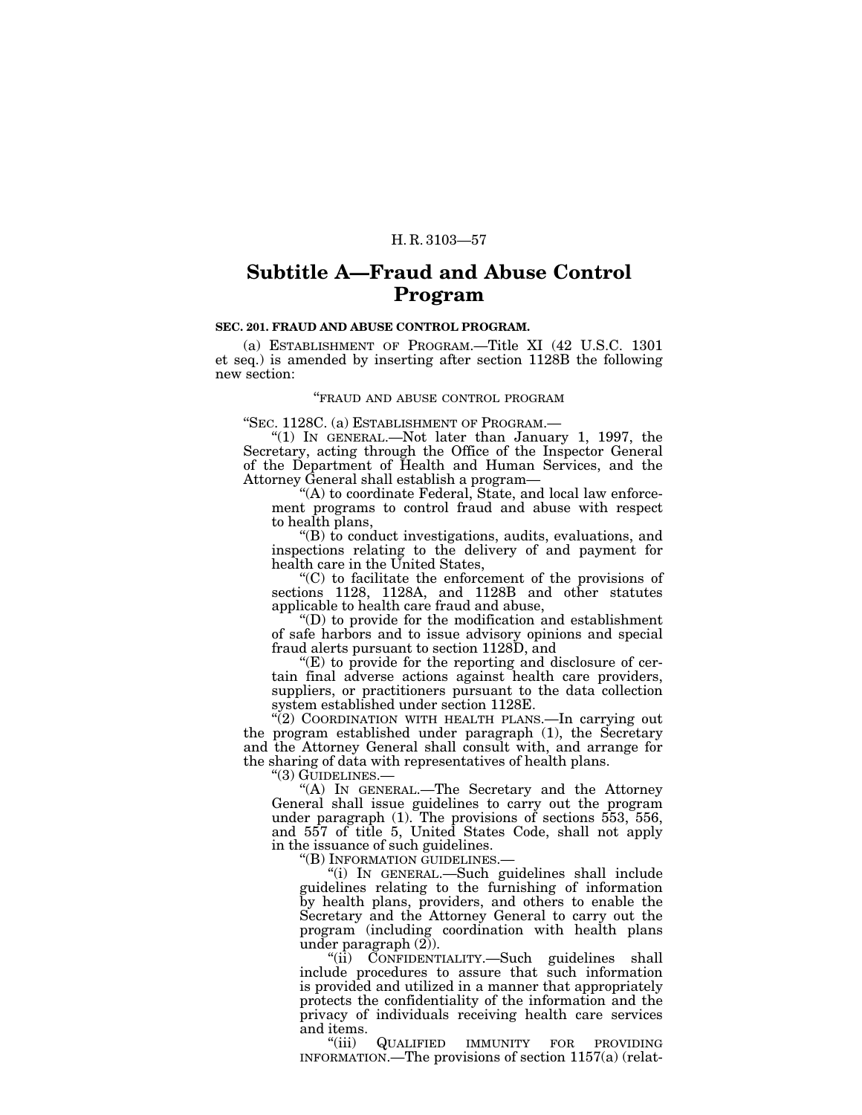# **Subtitle A—Fraud and Abuse Control Program**

### **SEC. 201. FRAUD AND ABUSE CONTROL PROGRAM.**

(a) ESTABLISHMENT OF PROGRAM.—Title XI (42 U.S.C. 1301 et seq.) is amended by inserting after section 1128B the following new section:

### ''FRAUD AND ABUSE CONTROL PROGRAM

''SEC. 1128C. (a) ESTABLISHMENT OF PROGRAM.—

"(1) In GENERAL.—Not later than January 1, 1997, the Secretary, acting through the Office of the Inspector General of the Department of Health and Human Services, and the Attorney General shall establish a program—

''(A) to coordinate Federal, State, and local law enforcement programs to control fraud and abuse with respect to health plans,

''(B) to conduct investigations, audits, evaluations, and inspections relating to the delivery of and payment for health care in the United States,

 $(C)$  to facilitate the enforcement of the provisions of sections 1128, 1128A, and 1128B and other statutes applicable to health care fraud and abuse,

''(D) to provide for the modification and establishment of safe harbors and to issue advisory opinions and special fraud alerts pursuant to section 1128D, and

''(E) to provide for the reporting and disclosure of certain final adverse actions against health care providers, suppliers, or practitioners pursuant to the data collection system established under section 1128E.

"(2) COORDINATION WITH HEALTH PLANS.—In carrying out the program established under paragraph (1), the Secretary and the Attorney General shall consult with, and arrange for the sharing of data with representatives of health plans.

''(3) GUIDELINES.— ''(A) IN GENERAL.—The Secretary and the Attorney General shall issue guidelines to carry out the program under paragraph (1). The provisions of sections 553, 556, and 557 of title 5, United States Code, shall not apply in the issuance of such guidelines.

''(B) INFORMATION GUIDELINES.— ''(i) IN GENERAL.—Such guidelines shall include guidelines relating to the furnishing of information by health plans, providers, and others to enable the Secretary and the Attorney General to carry out the program (including coordination with health plans under paragraph  $(2)$ ).

''(ii) CONFIDENTIALITY.—Such guidelines shall include procedures to assure that such information is provided and utilized in a manner that appropriately protects the confidentiality of the information and the privacy of individuals receiving health care services and items.

"(iii) QUALIFIED IMMUNITY FOR PROVIDING INFORMATION.—The provisions of section 1157(a) (relat-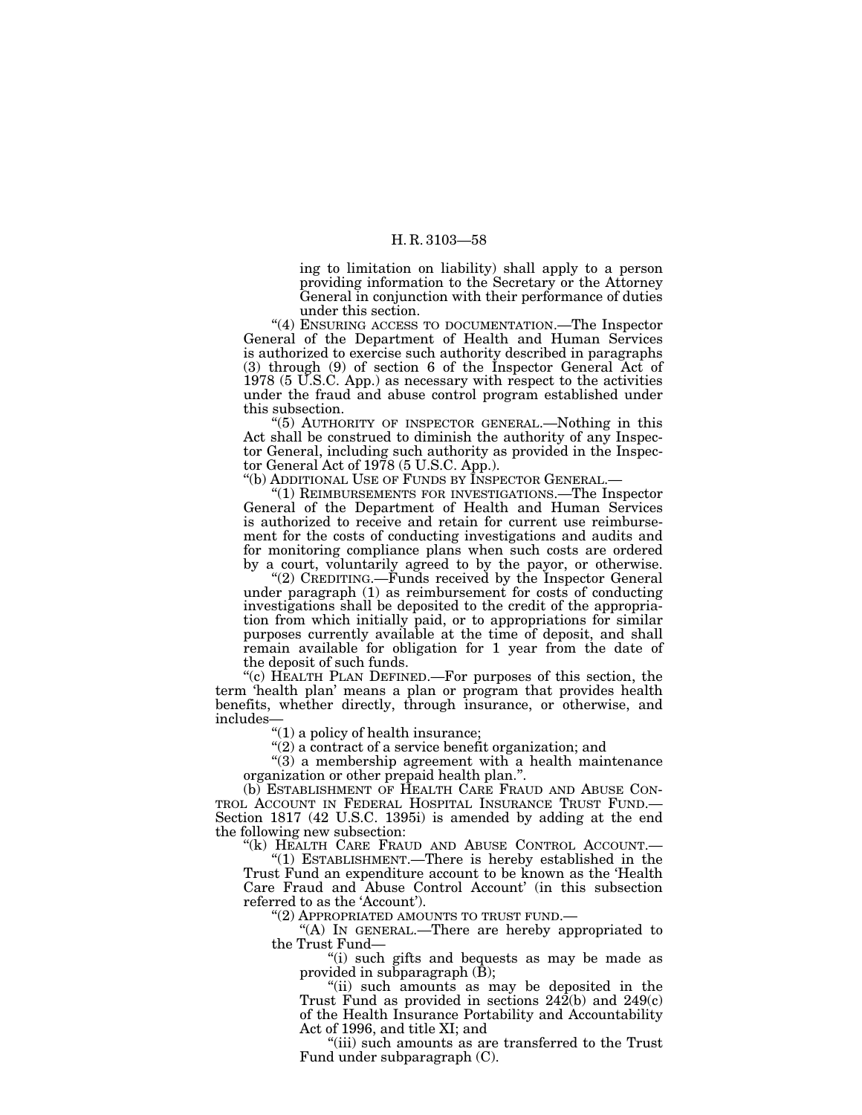ing to limitation on liability) shall apply to a person providing information to the Secretary or the Attorney General in conjunction with their performance of duties under this section.

''(4) ENSURING ACCESS TO DOCUMENTATION.—The Inspector General of the Department of Health and Human Services is authorized to exercise such authority described in paragraphs (3) through (9) of section 6 of the Inspector General Act of 1978 (5 U.S.C. App.) as necessary with respect to the activities under the fraud and abuse control program established under this subsection.

''(5) AUTHORITY OF INSPECTOR GENERAL.—Nothing in this Act shall be construed to diminish the authority of any Inspector General, including such authority as provided in the Inspector General Act of 1978 (5 U.S.C. App.).

''(b) ADDITIONAL USE OF FUNDS BY INSPECTOR GENERAL.—

''(1) REIMBURSEMENTS FOR INVESTIGATIONS.—The Inspector General of the Department of Health and Human Services is authorized to receive and retain for current use reimbursement for the costs of conducting investigations and audits and for monitoring compliance plans when such costs are ordered by a court, voluntarily agreed to by the payor, or otherwise.

"(2) CREDITING.—Funds received by the Inspector General under paragraph (1) as reimbursement for costs of conducting investigations shall be deposited to the credit of the appropriation from which initially paid, or to appropriations for similar purposes currently available at the time of deposit, and shall remain available for obligation for 1 year from the date of the deposit of such funds.

''(c) HEALTH PLAN DEFINED.—For purposes of this section, the term 'health plan' means a plan or program that provides health benefits, whether directly, through insurance, or otherwise, and includes—

''(1) a policy of health insurance;

''(2) a contract of a service benefit organization; and

"(3) a membership agreement with a health maintenance organization or other prepaid health plan.''.

(b) ESTABLISHMENT OF HEALTH CARE FRAUD AND ABUSE CON- TROL ACCOUNT IN FEDERAL HOSPITAL INSURANCE TRUST FUND.— Section 1817 (42 U.S.C. 1395i) is amended by adding at the end the following new subsection:<br>"(k) HEALTH CARE FRAUD AND ABUSE CONTROL ACCOUNT.—

"(1) ESTABLISHMENT.— There is hereby established in the Trust Fund an expenditure account to be known as the 'Health Care Fraud and Abuse Control Account' (in this subsection referred to as the 'Account').

''(2) APPROPRIATED AMOUNTS TO TRUST FUND.—

''(A) IN GENERAL.—There are hereby appropriated to the Trust Fund—

''(i) such gifts and bequests as may be made as provided in subparagraph (B);

"(ii) such amounts as may be deposited in the Trust Fund as provided in sections  $242(b)$  and  $249(c)$ of the Health Insurance Portability and Accountability Act of 1996, and title XI; and

"(iii) such amounts as are transferred to the Trust Fund under subparagraph (C).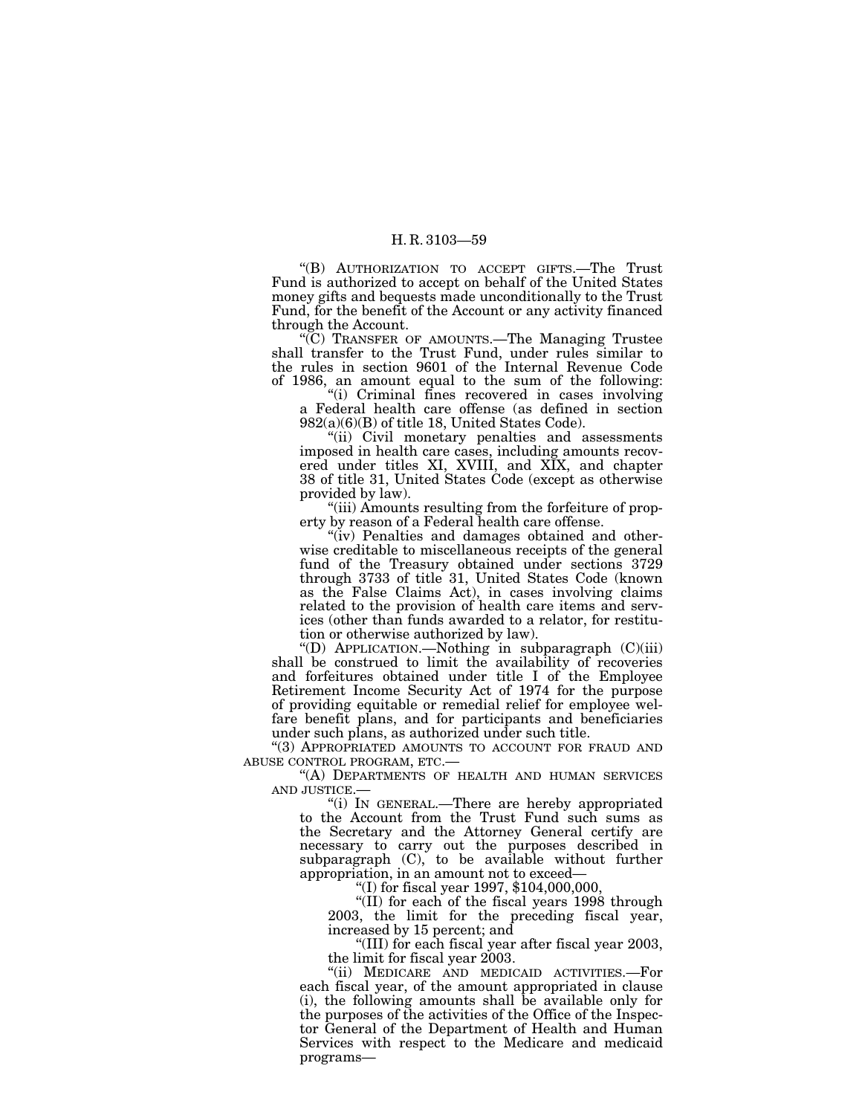''(B) AUTHORIZATION TO ACCEPT GIFTS.—The Trust Fund is authorized to accept on behalf of the United States money gifts and bequests made unconditionally to the Trust Fund, for the benefit of the Account or any activity financed through the Account.

" $(C)$  TRANSFER OF AMOUNTS.—The Managing Trustee shall transfer to the Trust Fund, under rules similar to the rules in section 9601 of the Internal Revenue Code of 1986, an amount equal to the sum of the following:

"(i) Criminal fines recovered in cases involving a Federal health care offense (as defined in section 982(a)(6)(B) of title 18, United States Code).

''(ii) Civil monetary penalties and assessments imposed in health care cases, including amounts recovered under titles XI, XVIII, and XIX, and chapter 38 of title 31, United States Code (except as otherwise provided by law).

''(iii) Amounts resulting from the forfeiture of property by reason of a Federal health care offense.

"(iv) Penalties and damages obtained and otherwise creditable to miscellaneous receipts of the general fund of the Treasury obtained under sections 3729 through 3733 of title 31, United States Code (known as the False Claims Act), in cases involving claims related to the provision of health care items and services (other than funds awarded to a relator, for restitution or otherwise authorized by law).

''(D) APPLICATION.—Nothing in subparagraph (C)(iii) shall be construed to limit the availability of recoveries and forfeitures obtained under title I of the Employee Retirement Income Security Act of 1974 for the purpose of providing equitable or remedial relief for employee welfare benefit plans, and for participants and beneficiaries under such plans, as authorized under such title.

''(3) APPROPRIATED AMOUNTS TO ACCOUNT FOR FRAUD AND

ABUSE CONTROL PROGRAM, ETC.—<br>"(A) DEPARTMENTS OF HEALTH AND HUMAN SERVICES AND JUSTICE.—

"(i) IN GENERAL.—There are hereby appropriated to the Account from the Trust Fund such sums as the Secretary and the Attorney General certify are necessary to carry out the purposes described in subparagraph (C), to be available without further appropriation, in an amount not to exceed— ''(I) for fiscal year 1997, \$104,000,000,

''(II) for each of the fiscal years 1998 through 2003, the limit for the preceding fiscal year, increased by 15 percent; and

''(III) for each fiscal year after fiscal year 2003, the limit for fiscal year 2003.

"(ii) MEDICARE AND MEDICAID ACTIVITIES.-For each fiscal year, of the amount appropriated in clause (i), the following amounts shall be available only for the purposes of the activities of the Office of the Inspector General of the Department of Health and Human Services with respect to the Medicare and medicaid programs—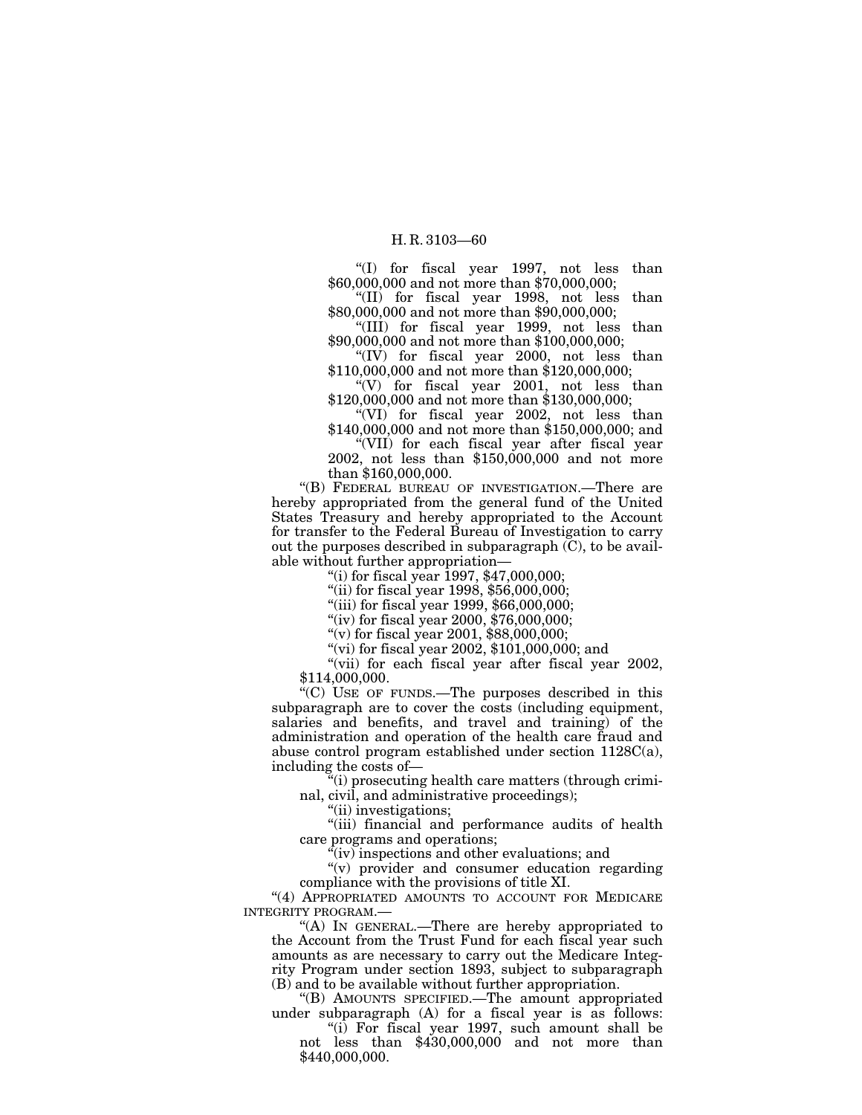''(I) for fiscal year 1997, not less than \$60,000,000 and not more than \$70,000,000;

''(II) for fiscal year 1998, not less than \$80,000,000 and not more than \$90,000,000;

''(III) for fiscal year 1999, not less than \$90,000,000 and not more than \$100,000,000;

" $(IV)$  for fiscal year 2000, not less than \$110,000,000 and not more than \$120,000,000;

''(V) for fiscal year 2001, not less than \$120,000,000 and not more than \$130,000,000;

 $\sqrt[4]{V}$  for fiscal year 2002, not less than \$140,000,000 and not more than \$150,000,000; and

''(VII) for each fiscal year after fiscal year 2002, not less than \$150,000,000 and not more than \$160,000,000.

''(B) FEDERAL BUREAU OF INVESTIGATION.—There are hereby appropriated from the general fund of the United States Treasury and hereby appropriated to the Account for transfer to the Federal Bureau of Investigation to carry out the purposes described in subparagraph  $(C)$ , to be available without further appropriation—

''(i) for fiscal year 1997, \$47,000,000;

''(ii) for fiscal year 1998, \$56,000,000;

''(iii) for fiscal year 1999, \$66,000,000;

"(iv) for fiscal year 2000, \$76,000,000;

''(v) for fiscal year 2001, \$88,000,000;

"(vi) for fiscal year 2002,  $$101,000,000$ ; and

"(vii) for each fiscal year after fiscal year 2002, \$114,000,000.

''(C) USE OF FUNDS.—The purposes described in this subparagraph are to cover the costs (including equipment, salaries and benefits, and travel and training) of the administration and operation of the health care fraud and abuse control program established under section 1128C(a), including the costs of—

''(i) prosecuting health care matters (through criminal, civil, and administrative proceedings);

''(ii) investigations;

''(iii) financial and performance audits of health care programs and operations;

''(iv) inspections and other evaluations; and

''(v) provider and consumer education regarding compliance with the provisions of title XI.

"(4) APPROPRIATED AMOUNTS TO ACCOUNT FOR MEDICARE INTEGRITY PROGRAM.—

"(A) In GENERAL.—There are hereby appropriated to the Account from the Trust Fund for each fiscal year such amounts as are necessary to carry out the Medicare Integrity Program under section 1893, subject to subparagraph (B) and to be available without further appropriation.

''(B) AMOUNTS SPECIFIED.—The amount appropriated under subparagraph (A) for a fiscal year is as follows:

''(i) For fiscal year 1997, such amount shall be not less than \$430,000,000 and not more than \$440,000,000.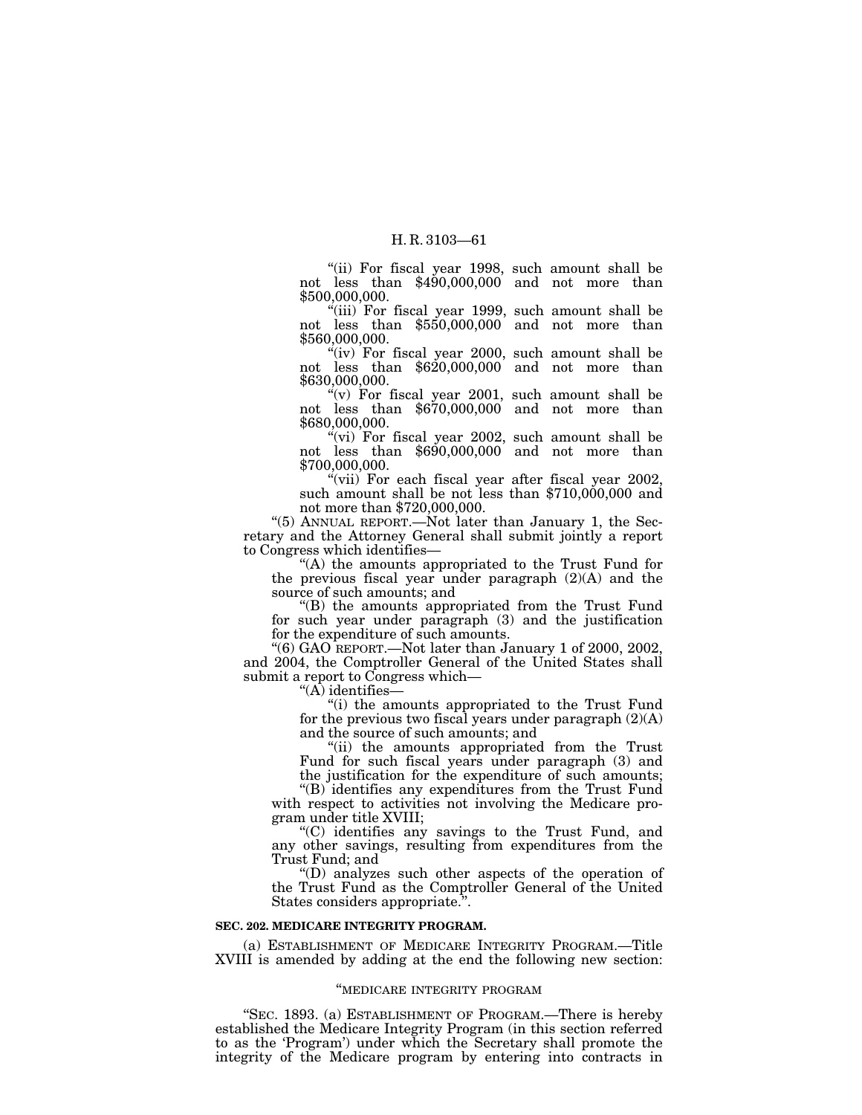''(ii) For fiscal year 1998, such amount shall be not less than \$490,000,000 and not more than \$500,000,000.

 $\frac{1}{2}$ (iii) For fiscal year 1999, such amount shall be not less than \$550,000,000 and not more than \$560,000,000.

"(iv) For fiscal year 2000, such amount shall be not less than \$620,000,000 and not more than \$630,000,000.

 $(v)$  For fiscal year 2001, such amount shall be not less than \$670,000,000 and not more than \$680,000,000.

''(vi) For fiscal year 2002, such amount shall be not less than \$690,000,000 and not more than \$700,000,000.

"(vii) For each fiscal year after fiscal year 2002, such amount shall be not less than \$710,000,000 and not more than \$720,000,000.

''(5) ANNUAL REPORT.—Not later than January 1, the Secretary and the Attorney General shall submit jointly a report to Congress which identifies—

''(A) the amounts appropriated to the Trust Fund for the previous fiscal year under paragraph  $(2)(A)$  and the source of such amounts; and

''(B) the amounts appropriated from the Trust Fund for such year under paragraph (3) and the justification for the expenditure of such amounts.

''(6) GAO REPORT.—Not later than January 1 of 2000, 2002, and 2004, the Comptroller General of the United States shall submit a report to Congress which—

''(A) identifies—

(i) the amounts appropriated to the Trust Fund for the previous two fiscal years under paragraph  $(2)(A)$ and the source of such amounts; and

''(ii) the amounts appropriated from the Trust Fund for such fiscal years under paragraph (3) and the justification for the expenditure of such amounts;

"(B) identifies any expenditures from the Trust Fund with respect to activities not involving the Medicare program under title XVIII;

''(C) identifies any savings to the Trust Fund, and any other savings, resulting from expenditures from the Trust Fund; and

''(D) analyzes such other aspects of the operation of the Trust Fund as the Comptroller General of the United States considers appropriate.''.

### **SEC. 202. MEDICARE INTEGRITY PROGRAM.**

(a) ESTABLISHMENT OF MEDICARE INTEGRITY PROGRAM.—Title XVIII is amended by adding at the end the following new section:

#### ''MEDICARE INTEGRITY PROGRAM

"SEC. 1893. (a) ESTABLISHMENT OF PROGRAM.—There is hereby established the Medicare Integrity Program (in this section referred to as the 'Program') under which the Secretary shall promote the integrity of the Medicare program by entering into contracts in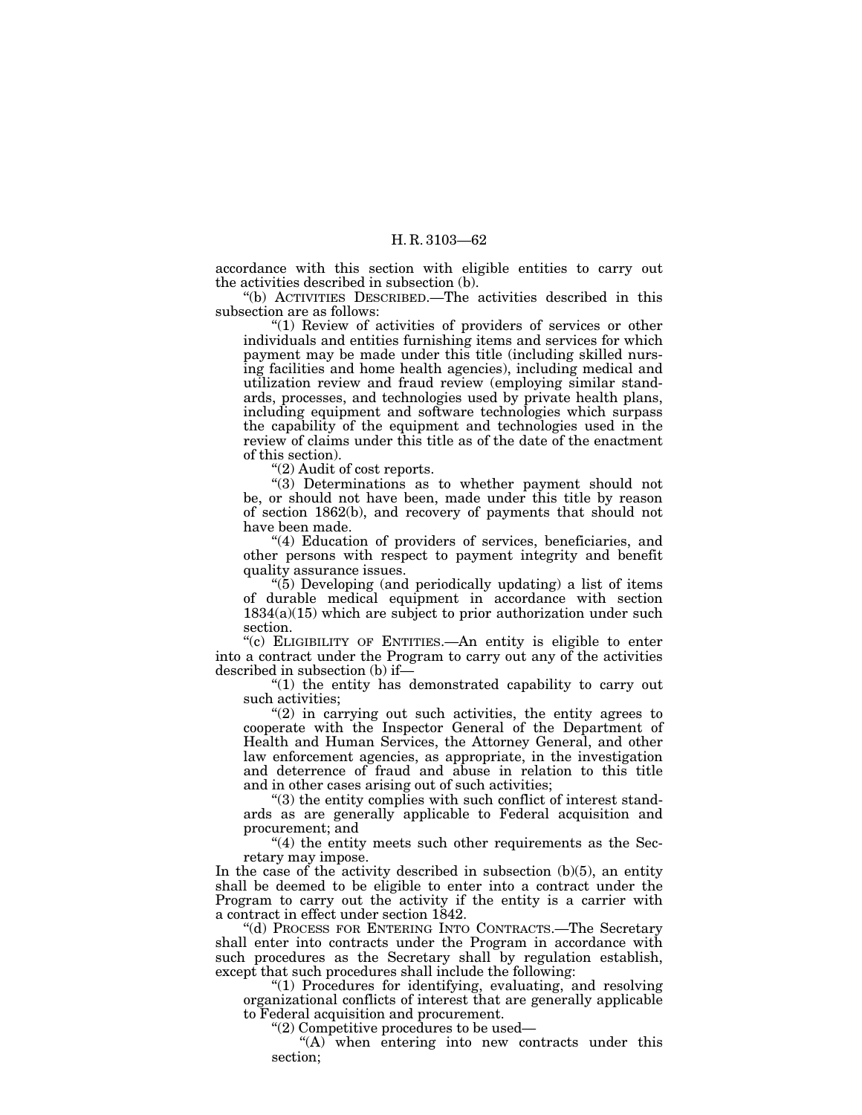accordance with this section with eligible entities to carry out the activities described in subsection (b).

''(b) ACTIVITIES DESCRIBED.—The activities described in this subsection are as follows:

"(1) Review of activities of providers of services or other individuals and entities furnishing items and services for which payment may be made under this title (including skilled nursing facilities and home health agencies), including medical and utilization review and fraud review (employing similar standards, processes, and technologies used by private health plans, including equipment and software technologies which surpass the capability of the equipment and technologies used in the review of claims under this title as of the date of the enactment of this section).

''(2) Audit of cost reports.

''(3) Determinations as to whether payment should not be, or should not have been, made under this title by reason of section 1862(b), and recovery of payments that should not have been made.

"(4) Education of providers of services, beneficiaries, and other persons with respect to payment integrity and benefit quality assurance issues.

"(5) Developing (and periodically updating) a list of items of durable medical equipment in accordance with section  $1834(a)(15)$  which are subject to prior authorization under such section.

''(c) ELIGIBILITY OF ENTITIES.—An entity is eligible to enter into a contract under the Program to carry out any of the activities described in subsection (b) if—

''(1) the entity has demonstrated capability to carry out such activities;

 $(2)$  in carrying out such activities, the entity agrees to cooperate with the Inspector General of the Department of Health and Human Services, the Attorney General, and other law enforcement agencies, as appropriate, in the investigation and deterrence of fraud and abuse in relation to this title and in other cases arising out of such activities;

 $(3)$  the entity complies with such conflict of interest standards as are generally applicable to Federal acquisition and procurement; and

"(4) the entity meets such other requirements as the Secretary may impose.

In the case of the activity described in subsection  $(b)(5)$ , an entity shall be deemed to be eligible to enter into a contract under the Program to carry out the activity if the entity is a carrier with a contract in effect under section 1842.

''(d) PROCESS FOR ENTERING INTO CONTRACTS.—The Secretary shall enter into contracts under the Program in accordance with such procedures as the Secretary shall by regulation establish, except that such procedures shall include the following:

''(1) Procedures for identifying, evaluating, and resolving organizational conflicts of interest that are generally applicable to Federal acquisition and procurement.

''(2) Competitive procedures to be used—

 $(A)$  when entering into new contracts under this section;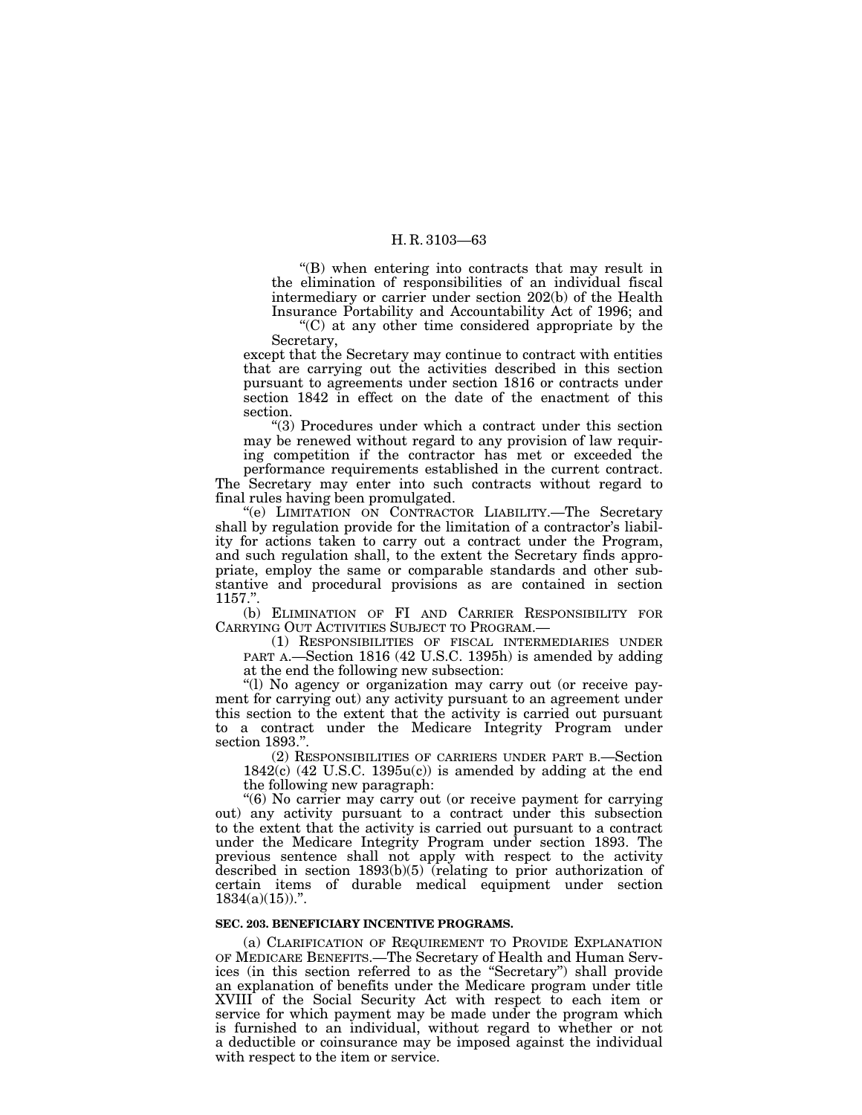''(B) when entering into contracts that may result in the elimination of responsibilities of an individual fiscal intermediary or carrier under section 202(b) of the Health Insurance Portability and Accountability Act of 1996; and

''(C) at any other time considered appropriate by the Secretary,

except that the Secretary may continue to contract with entities that are carrying out the activities described in this section pursuant to agreements under section 1816 or contracts under section 1842 in effect on the date of the enactment of this section.

''(3) Procedures under which a contract under this section may be renewed without regard to any provision of law requiring competition if the contractor has met or exceeded the

performance requirements established in the current contract. The Secretary may enter into such contracts without regard to final rules having been promulgated.

''(e) LIMITATION ON CONTRACTOR LIABILITY.—The Secretary shall by regulation provide for the limitation of a contractor's liability for actions taken to carry out a contract under the Program, and such regulation shall, to the extent the Secretary finds appropriate, employ the same or comparable standards and other substantive and procedural provisions as are contained in section 1157.''.

(b) ELIMINATION OF FI AND CARRIER RESPONSIBILITY FOR CARRYING OUT ACTIVITIES SUBJECT TO PROGRAM.—

(1) RESPONSIBILITIES OF FISCAL INTERMEDIARIES UNDER PART A.—Section 1816 (42 U.S.C. 1395h) is amended by adding at the end the following new subsection:

''(l) No agency or organization may carry out (or receive payment for carrying out) any activity pursuant to an agreement under this section to the extent that the activity is carried out pursuant to a contract under the Medicare Integrity Program under section 1893."

(2) RESPONSIBILITIES OF CARRIERS UNDER PART B.—Section  $1842(c)$  (42 U.S.C. 1395 $u(c)$ ) is amended by adding at the end the following new paragraph:

''(6) No carrier may carry out (or receive payment for carrying out) any activity pursuant to a contract under this subsection to the extent that the activity is carried out pursuant to a contract under the Medicare Integrity Program under section 1893. The previous sentence shall not apply with respect to the activity described in section 1893(b)(5) (relating to prior authorization of certain items of durable medical equipment under section  $1834(a)(15)$ .".

#### **SEC. 203. BENEFICIARY INCENTIVE PROGRAMS.**

(a) CLARIFICATION OF REQUIREMENT TO PROVIDE EXPLANATION OF MEDICARE BENEFITS.—The Secretary of Health and Human Services (in this section referred to as the ''Secretary'') shall provide an explanation of benefits under the Medicare program under title XVIII of the Social Security Act with respect to each item or service for which payment may be made under the program which is furnished to an individual, without regard to whether or not a deductible or coinsurance may be imposed against the individual with respect to the item or service.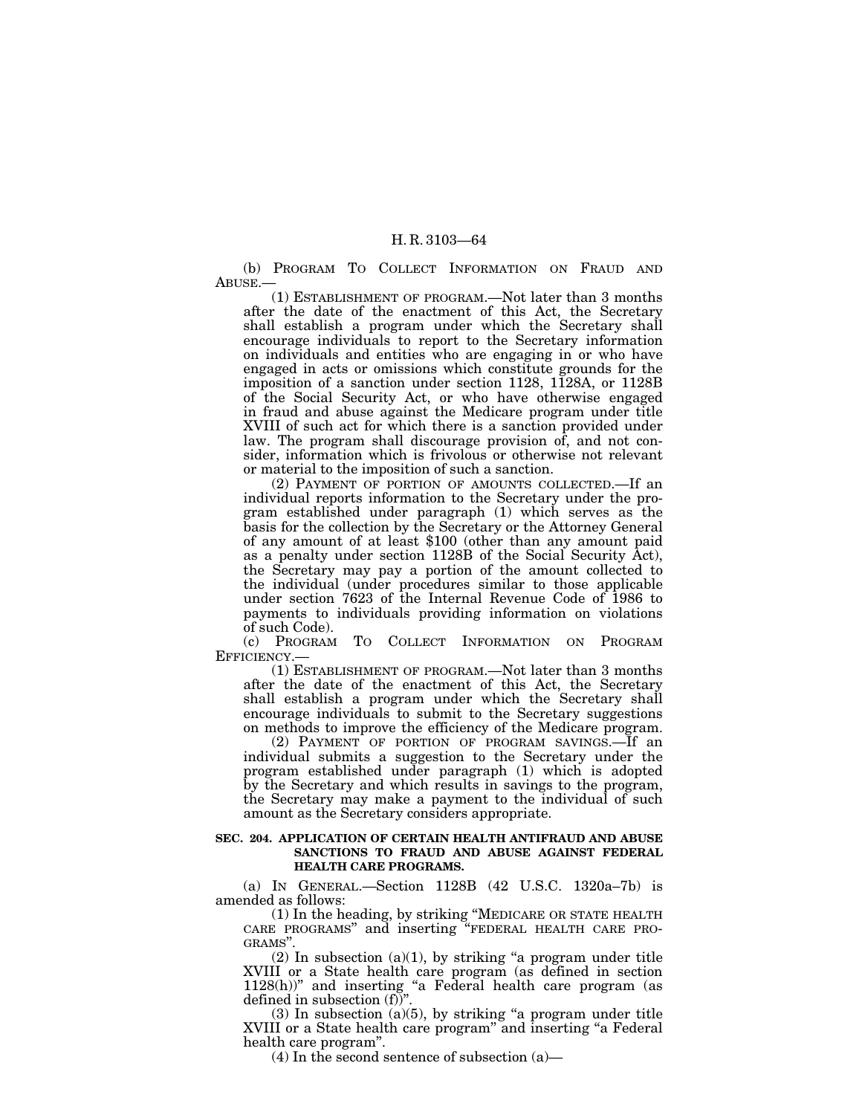(b) PROGRAM TO COLLECT INFORMATION ON FRAUD AND ABUSE.—

(1) ESTABLISHMENT OF PROGRAM.—Not later than 3 months after the date of the enactment of this Act, the Secretary shall establish a program under which the Secretary shall encourage individuals to report to the Secretary information on individuals and entities who are engaging in or who have engaged in acts or omissions which constitute grounds for the imposition of a sanction under section 1128, 1128A, or 1128B of the Social Security Act, or who have otherwise engaged in fraud and abuse against the Medicare program under title XVIII of such act for which there is a sanction provided under law. The program shall discourage provision of, and not consider, information which is frivolous or otherwise not relevant or material to the imposition of such a sanction.

(2) PAYMENT OF PORTION OF AMOUNTS COLLECTED.—If an individual reports information to the Secretary under the program established under paragraph (1) which serves as the basis for the collection by the Secretary or the Attorney General of any amount of at least \$100 (other than any amount paid as a penalty under section 1128B of the Social Security Act), the Secretary may pay a portion of the amount collected to the individual (under procedures similar to those applicable under section 7623 of the Internal Revenue Code of 1986 to payments to individuals providing information on violations of such Code).

(c) PROGRAM TO COLLECT INFORMATION ON PROGRAM EFFICIENCY.—

(1) ESTABLISHMENT OF PROGRAM.—Not later than 3 months after the date of the enactment of this Act, the Secretary shall establish a program under which the Secretary shall encourage individuals to submit to the Secretary suggestions on methods to improve the efficiency of the Medicare program.

(2) PAYMENT OF PORTION OF PROGRAM SAVINGS.—If an individual submits a suggestion to the Secretary under the program established under paragraph (1) which is adopted by the Secretary and which results in savings to the program, the Secretary may make a payment to the individual of such amount as the Secretary considers appropriate.

#### **SEC. 204. APPLICATION OF CERTAIN HEALTH ANTIFRAUD AND ABUSE SANCTIONS TO FRAUD AND ABUSE AGAINST FEDERAL HEALTH CARE PROGRAMS.**

(a) IN GENERAL.—Section 1128B (42 U.S.C. 1320a–7b) is amended as follows:

(1) In the heading, by striking ''MEDICARE OR STATE HEALTH CARE PROGRAMS'' and inserting ''FEDERAL HEALTH CARE PRO-GRAMS''.

 $(2)$  In subsection  $(a)(1)$ , by striking "a program under title XVIII or a State health care program (as defined in section  $1128(h)$ " and inserting "a Federal health care program (as defined in subsection (f)".

 $(3)$  In subsection  $(a)(5)$ , by striking "a program under title XVIII or a State health care program" and inserting "a Federal health care program''.

(4) In the second sentence of subsection (a)—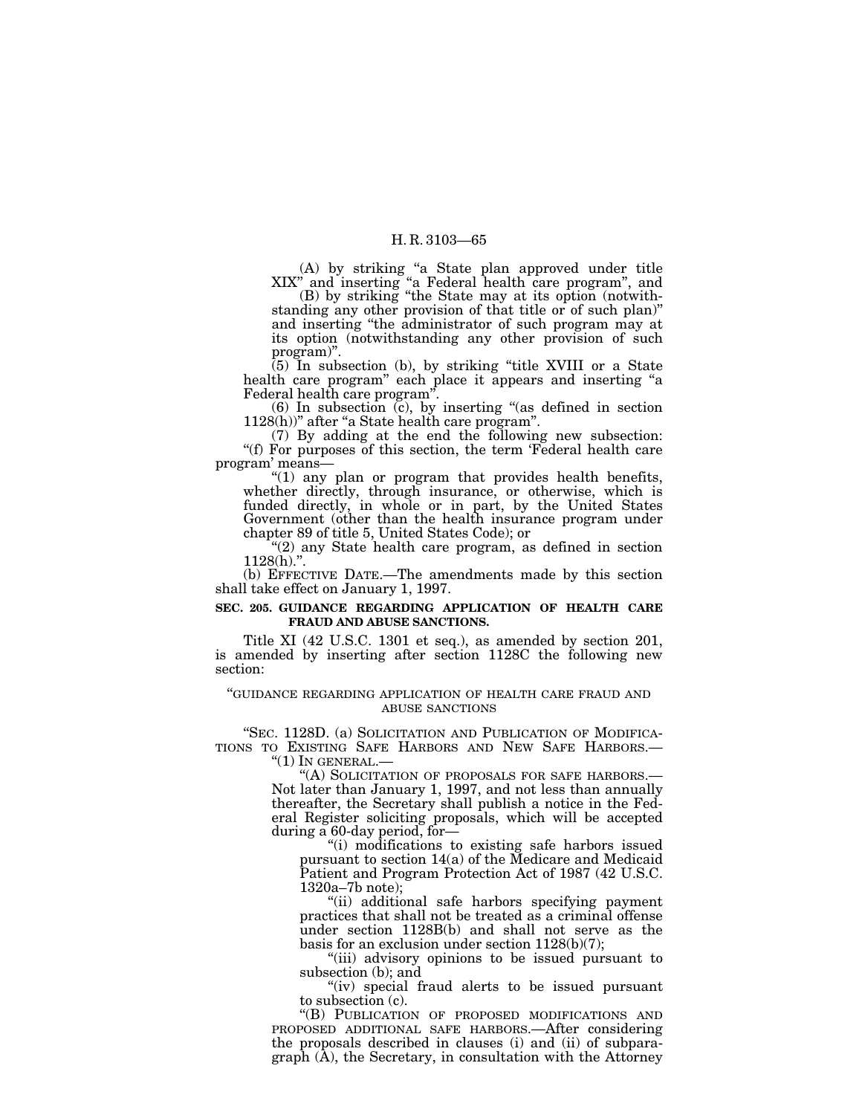(A) by striking ''a State plan approved under title XIX'' and inserting ''a Federal health care program'', and

(B) by striking ''the State may at its option (notwithstanding any other provision of that title or of such plan)'' and inserting ''the administrator of such program may at its option (notwithstanding any other provision of such program)''.

(5) In subsection (b), by striking ''title XVIII or a State health care program'' each place it appears and inserting ''a Federal health care program".

 $(6)$  In subsection  $(6)$ , by inserting "(as defined in section 1128(h))'' after ''a State health care program''.

(7) By adding at the end the following new subsection: "(f) For purposes of this section, the term 'Federal health care program' means—

"(1) any plan or program that provides health benefits, whether directly, through insurance, or otherwise, which is funded directly, in whole or in part, by the United States Government (other than the health insurance program under chapter 89 of title 5, United States Code); or

"(2) any State health care program, as defined in section  $1128(h)$ .".

(b) EFFECTIVE DATE.—The amendments made by this section shall take effect on January 1, 1997.

### **SEC. 205. GUIDANCE REGARDING APPLICATION OF HEALTH CARE FRAUD AND ABUSE SANCTIONS.**

Title XI (42 U.S.C. 1301 et seq.), as amended by section 201, is amended by inserting after section 1128C the following new section:

### ''GUIDANCE REGARDING APPLICATION OF HEALTH CARE FRAUD AND ABUSE SANCTIONS

"SEC. 1128D. (a) SOLICITATION AND PUBLICATION OF MODIFICA-TIONS TO EXISTING SAFE HARBORS AND NEW SAFE HARBORS.—  $"(1)$  In GENERAL. $-$ 

> "(A) SOLICITATION OF PROPOSALS FOR SAFE HARBORS.— Not later than January 1, 1997, and not less than annually thereafter, the Secretary shall publish a notice in the Federal Register soliciting proposals, which will be accepted during a 60-day period, for—

''(i) modifications to existing safe harbors issued pursuant to section 14(a) of the Medicare and Medicaid Patient and Program Protection Act of 1987 (42 U.S.C. 1320a–7b note);

''(ii) additional safe harbors specifying payment practices that shall not be treated as a criminal offense under section 1128B(b) and shall not serve as the basis for an exclusion under section 1128(b)(7);

''(iii) advisory opinions to be issued pursuant to subsection (b); and

"(iv) special fraud alerts to be issued pursuant to subsection (c).

''(B) PUBLICATION OF PROPOSED MODIFICATIONS AND PROPOSED ADDITIONAL SAFE HARBORS.—After considering the proposals described in clauses (i) and (ii) of subparagraph (A), the Secretary, in consultation with the Attorney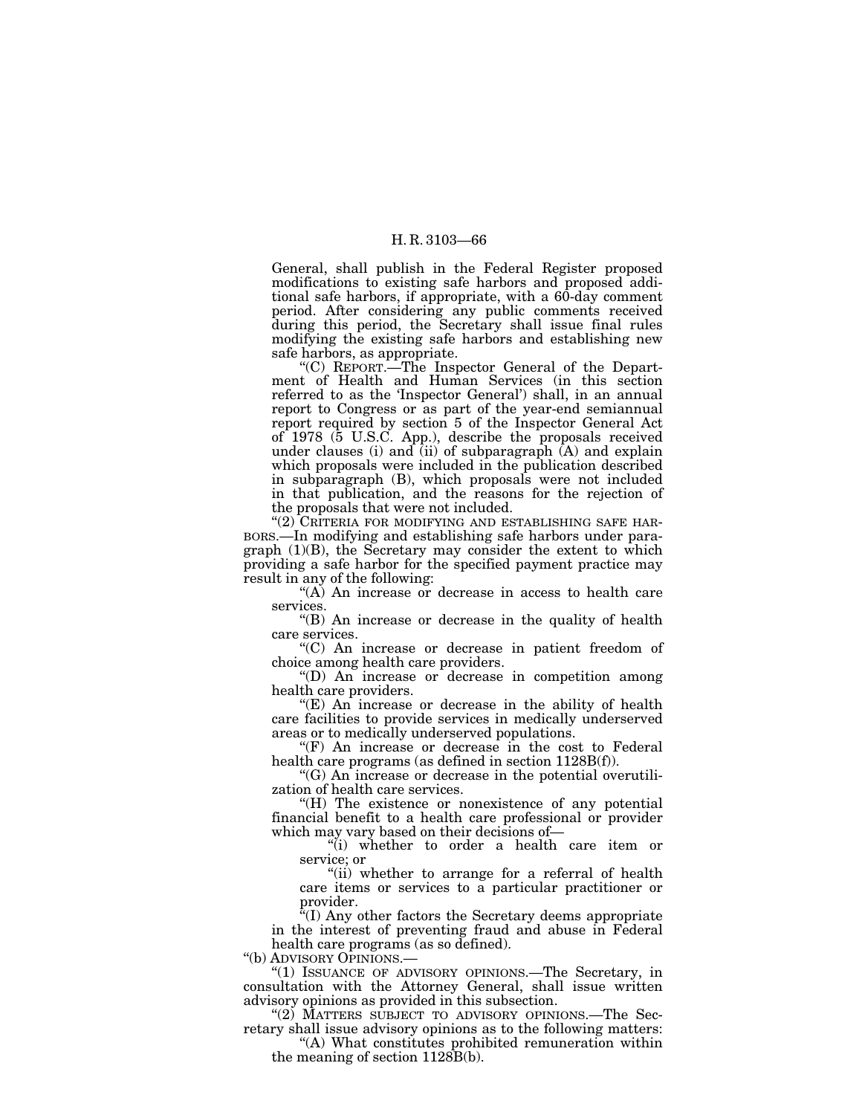General, shall publish in the Federal Register proposed modifications to existing safe harbors and proposed additional safe harbors, if appropriate, with a 60-day comment period. After considering any public comments received during this period, the Secretary shall issue final rules modifying the existing safe harbors and establishing new safe harbors, as appropriate.

''(C) REPORT.—The Inspector General of the Department of Health and Human Services (in this section referred to as the 'Inspector General') shall, in an annual report to Congress or as part of the year-end semiannual report required by section 5 of the Inspector General Act of 1978 (5 U.S.C. App.), describe the proposals received under clauses (i) and  $(iii)$  of subparagraph  $(A)$  and explain which proposals were included in the publication described in subparagraph (B), which proposals were not included in that publication, and the reasons for the rejection of the proposals that were not included.

"(2) CRITERIA FOR MODIFYING AND ESTABLISHING SAFE HAR-BORS.—In modifying and establishing safe harbors under paragraph (1)(B), the Secretary may consider the extent to which providing a safe harbor for the specified payment practice may result in any of the following:

"(A) An increase or decrease in access to health care services.

''(B) An increase or decrease in the quality of health care services.

''(C) An increase or decrease in patient freedom of choice among health care providers.

''(D) An increase or decrease in competition among health care providers.

"(E) An increase or decrease in the ability of health care facilities to provide services in medically underserved areas or to medically underserved populations.

''(F) An increase or decrease in the cost to Federal health care programs (as defined in section 1128B(f)).

''(G) An increase or decrease in the potential overutilization of health care services.

''(H) The existence or nonexistence of any potential financial benefit to a health care professional or provider which may vary based on their decisions of—

''(i) whether to order a health care item or service; or

"(ii) whether to arrange for a referral of health care items or services to a particular practitioner or provider.

''(I) Any other factors the Secretary deems appropriate in the interest of preventing fraud and abuse in Federal health care programs (as so defined).

''(b) ADVISORY OPINIONS.—

''(1) ISSUANCE OF ADVISORY OPINIONS.—The Secretary, in consultation with the Attorney General, shall issue written advisory opinions as provided in this subsection.

"(2) MATTERS SUBJECT TO ADVISORY OPINIONS.—The Secretary shall issue advisory opinions as to the following matters:

"(A) What constitutes prohibited remuneration within the meaning of section 1128B(b).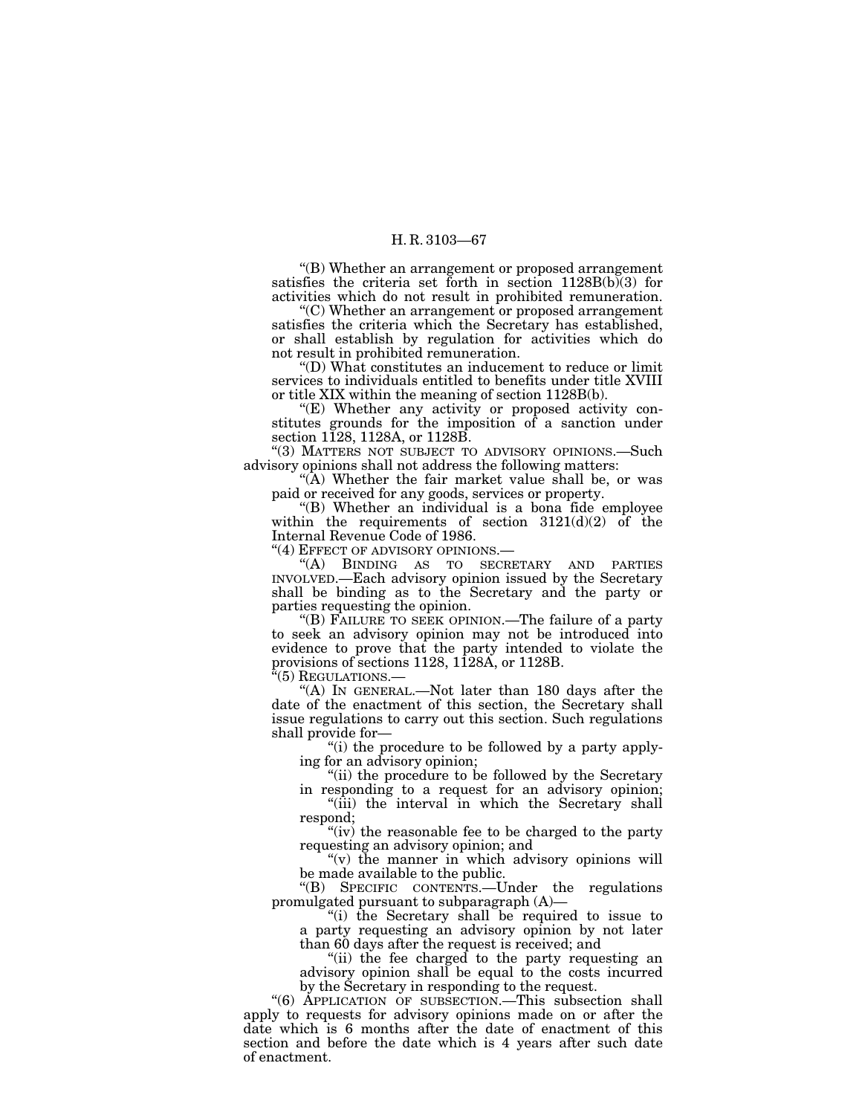''(B) Whether an arrangement or proposed arrangement satisfies the criteria set forth in section  $1128B(b)(3)$  for activities which do not result in prohibited remuneration.

''(C) Whether an arrangement or proposed arrangement satisfies the criteria which the Secretary has established, or shall establish by regulation for activities which do not result in prohibited remuneration.

''(D) What constitutes an inducement to reduce or limit services to individuals entitled to benefits under title XVIII or title XIX within the meaning of section 1128B(b).

''(E) Whether any activity or proposed activity constitutes grounds for the imposition of a sanction under section 1128, 1128A, or 1128B.

''(3) MATTERS NOT SUBJECT TO ADVISORY OPINIONS.—Such advisory opinions shall not address the following matters:

" $(\hat{A})$  Whether the fair market value shall be, or was paid or received for any goods, services or property.

''(B) Whether an individual is a bona fide employee within the requirements of section  $3121(d)(2)$  of the Internal Revenue Code of 1986.

''(4) EFFECT OF ADVISORY OPINIONS.—

''(A) BINDING AS TO SECRETARY AND PARTIES INVOLVED.—Each advisory opinion issued by the Secretary shall be binding as to the Secretary and the party or parties requesting the opinion.

''(B) FAILURE TO SEEK OPINION.—The failure of a party to seek an advisory opinion may not be introduced into evidence to prove that the party intended to violate the provisions of sections 1128, 1128A, or 1128B.

''(5) REGULATIONS.— ''(A) IN GENERAL.—Not later than 180 days after the date of the enactment of this section, the Secretary shall issue regulations to carry out this section. Such regulations shall provide for—

''(i) the procedure to be followed by a party applying for an advisory opinion;

''(ii) the procedure to be followed by the Secretary

in responding to a request for an advisory opinion; "(iii) the interval in which the Secretary shall respond;

"(iv) the reasonable fee to be charged to the party requesting an advisory opinion; and

"(v) the manner in which advisory opinions will be made available to the public.

''(B) SPECIFIC CONTENTS.—Under the regulations promulgated pursuant to subparagraph (A)—

''(i) the Secretary shall be required to issue to a party requesting an advisory opinion by not later than 60 days after the request is received; and

''(ii) the fee charged to the party requesting an advisory opinion shall be equal to the costs incurred by the Secretary in responding to the request.

''(6) APPLICATION OF SUBSECTION.—This subsection shall apply to requests for advisory opinions made on or after the date which is 6 months after the date of enactment of this section and before the date which is 4 years after such date of enactment.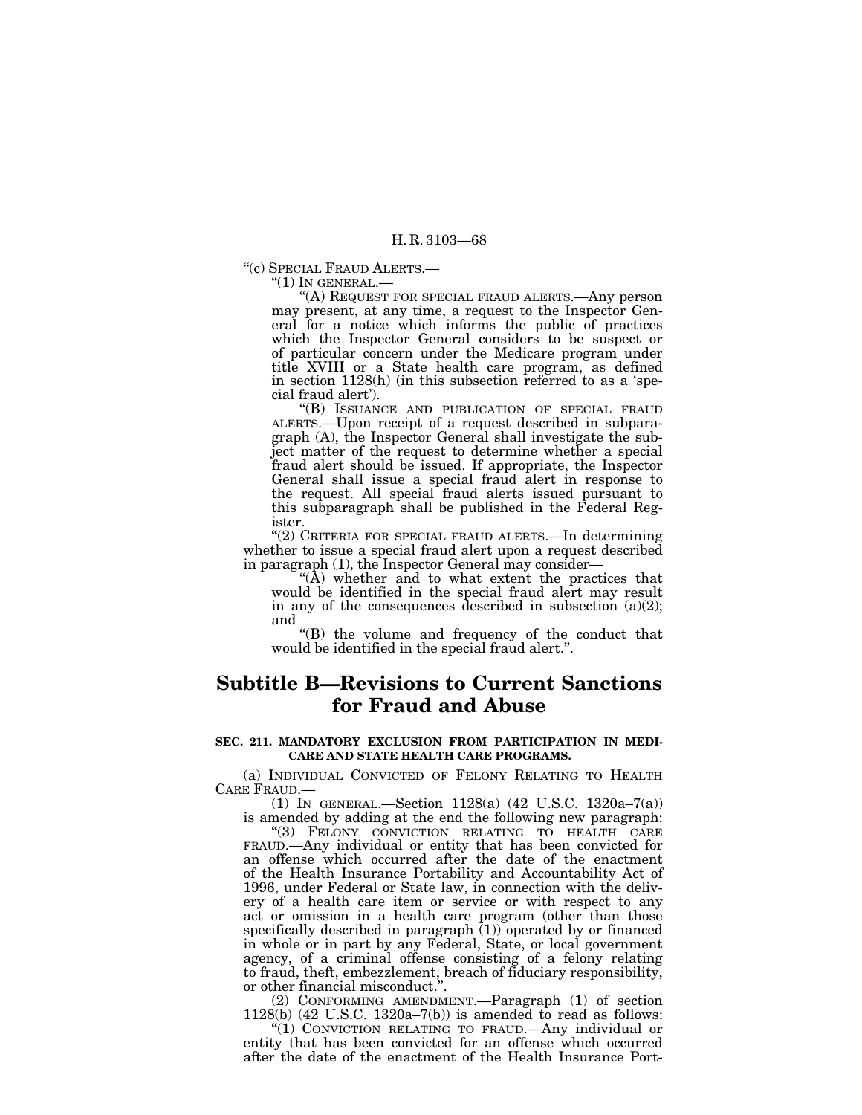''(c) SPECIAL FRAUD ALERTS.—

''(1) IN GENERAL.—

''(A) REQUEST FOR SPECIAL FRAUD ALERTS.—Any person may present, at any time, a request to the Inspector General for a notice which informs the public of practices which the Inspector General considers to be suspect or of particular concern under the Medicare program under title XVIII or a State health care program, as defined in section  $1128(h)$  (in this subsection referred to as a 'special fraud alert').

''(B) ISSUANCE AND PUBLICATION OF SPECIAL FRAUD ALERTS.—Upon receipt of a request described in subparagraph (A), the Inspector General shall investigate the subject matter of the request to determine whether a special fraud alert should be issued. If appropriate, the Inspector General shall issue a special fraud alert in response to the request. All special fraud alerts issued pursuant to this subparagraph shall be published in the Federal Register.

''(2) CRITERIA FOR SPECIAL FRAUD ALERTS.—In determining whether to issue a special fraud alert upon a request described in paragraph (1), the Inspector General may consider—

" $(\hat{A})$  whether and to what extent the practices that would be identified in the special fraud alert may result in any of the consequences described in subsection  $(a)(2)$ ; and

''(B) the volume and frequency of the conduct that would be identified in the special fraud alert.''.

# **Subtitle B—Revisions to Current Sanctions for Fraud and Abuse**

### **SEC. 211. MANDATORY EXCLUSION FROM PARTICIPATION IN MEDI-CARE AND STATE HEALTH CARE PROGRAMS.**

(a) INDIVIDUAL CONVICTED OF FELONY RELATING TO HEALTH CARE FRAUD.—

(1) IN GENERAL.—Section 1128(a) (42 U.S.C. 1320a–7(a)) is amended by adding at the end the following new paragraph:

''(3) FELONY CONVICTION RELATING TO HEALTH CARE FRAUD.—Any individual or entity that has been convicted for an offense which occurred after the date of the enactment of the Health Insurance Portability and Accountability Act of 1996, under Federal or State law, in connection with the delivery of a health care item or service or with respect to any act or omission in a health care program (other than those specifically described in paragraph (1)) operated by or financed in whole or in part by any Federal, State, or local government agency, of a criminal offense consisting of a felony relating to fraud, theft, embezzlement, breach of fiduciary responsibility, or other financial misconduct."

(2) CONFORMING AMENDMENT.—Paragraph (1) of section  $1128(b)$  (42 U.S.C. 1320a–7(b)) is amended to read as follows:

''(1) CONVICTION RELATING TO FRAUD.—Any individual or entity that has been convicted for an offense which occurred after the date of the enactment of the Health Insurance Port-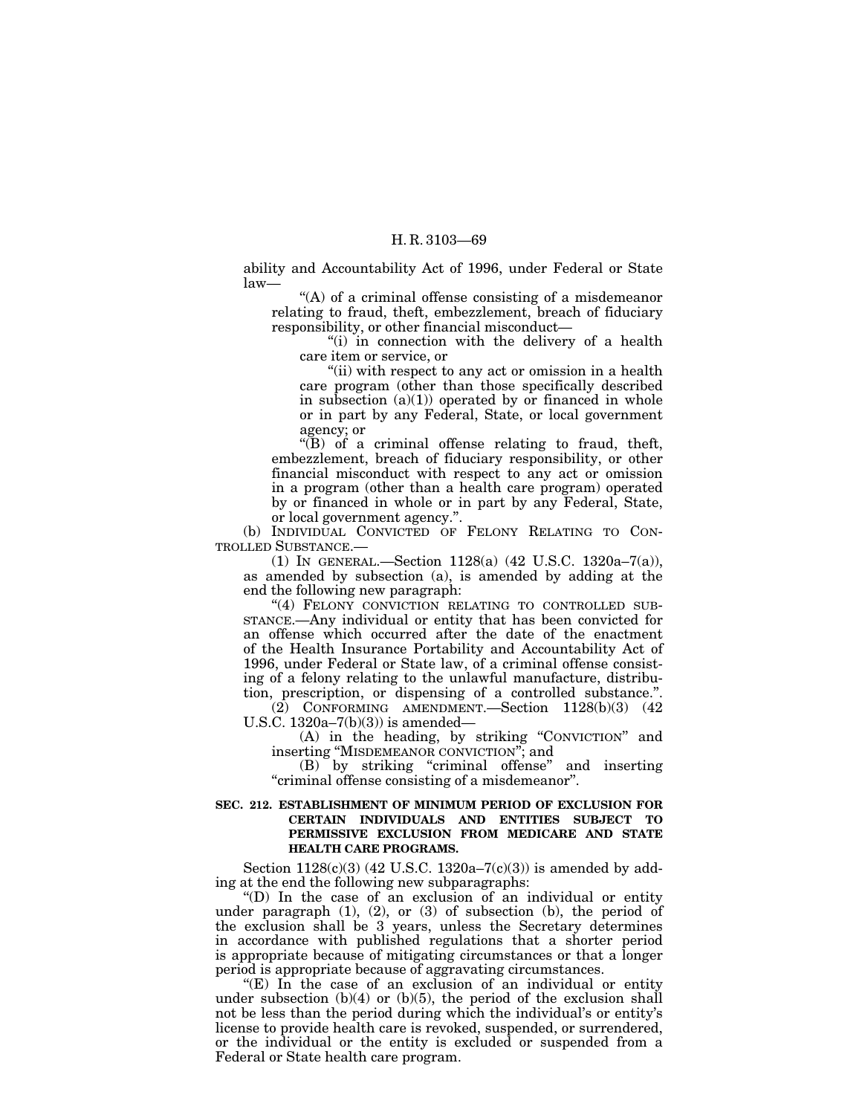ability and Accountability Act of 1996, under Federal or State law—

''(A) of a criminal offense consisting of a misdemeanor relating to fraud, theft, embezzlement, breach of fiduciary responsibility, or other financial misconduct—

"(i) in connection with the delivery of a health" care item or service, or

''(ii) with respect to any act or omission in a health care program (other than those specifically described in subsection  $(a)(1)$  operated by or financed in whole or in part by any Federal, State, or local government agency; or

 $f(B)$  of a criminal offense relating to fraud, theft, embezzlement, breach of fiduciary responsibility, or other financial misconduct with respect to any act or omission in a program (other than a health care program) operated by or financed in whole or in part by any Federal, State, or local government agency.''.

(b) INDIVIDUAL CONVICTED OF FELONY RELATING TO CON-TROLLED SUBSTANCE.—

(1) IN GENERAL.—Section 1128(a) (42 U.S.C. 1320a–7(a)), as amended by subsection (a), is amended by adding at the end the following new paragraph:

"(4) FELONY CONVICTION RELATING TO CONTROLLED SUB-STANCE.—Any individual or entity that has been convicted for an offense which occurred after the date of the enactment of the Health Insurance Portability and Accountability Act of 1996, under Federal or State law, of a criminal offense consisting of a felony relating to the unlawful manufacture, distribution, prescription, or dispensing of a controlled substance.''.

(2) CONFORMING AMENDMENT.—Section 1128(b)(3) (42 U.S.C. 1320a–7(b)(3)) is amended—

(A) in the heading, by striking "CONVICTION" and inserting ''MISDEMEANOR CONVICTION''; and

(B) by striking "criminal offense" and inserting ''criminal offense consisting of a misdemeanor''.

### **SEC. 212. ESTABLISHMENT OF MINIMUM PERIOD OF EXCLUSION FOR CERTAIN INDIVIDUALS AND ENTITIES SUBJECT TO PERMISSIVE EXCLUSION FROM MEDICARE AND STATE HEALTH CARE PROGRAMS.**

Section  $1128(c)(3)$  (42 U.S.C. 1320a–7(c)(3)) is amended by adding at the end the following new subparagraphs:

''(D) In the case of an exclusion of an individual or entity under paragraph  $(1)$ ,  $(2)$ , or  $(3)$  of subsection  $(b)$ , the period of the exclusion shall be 3 years, unless the Secretary determines in accordance with published regulations that a shorter period is appropriate because of mitigating circumstances or that a longer period is appropriate because of aggravating circumstances.

''(E) In the case of an exclusion of an individual or entity under subsection  $(b)(4)$  or  $(b)(5)$ , the period of the exclusion shall not be less than the period during which the individual's or entity's license to provide health care is revoked, suspended, or surrendered, or the individual or the entity is excluded or suspended from a Federal or State health care program.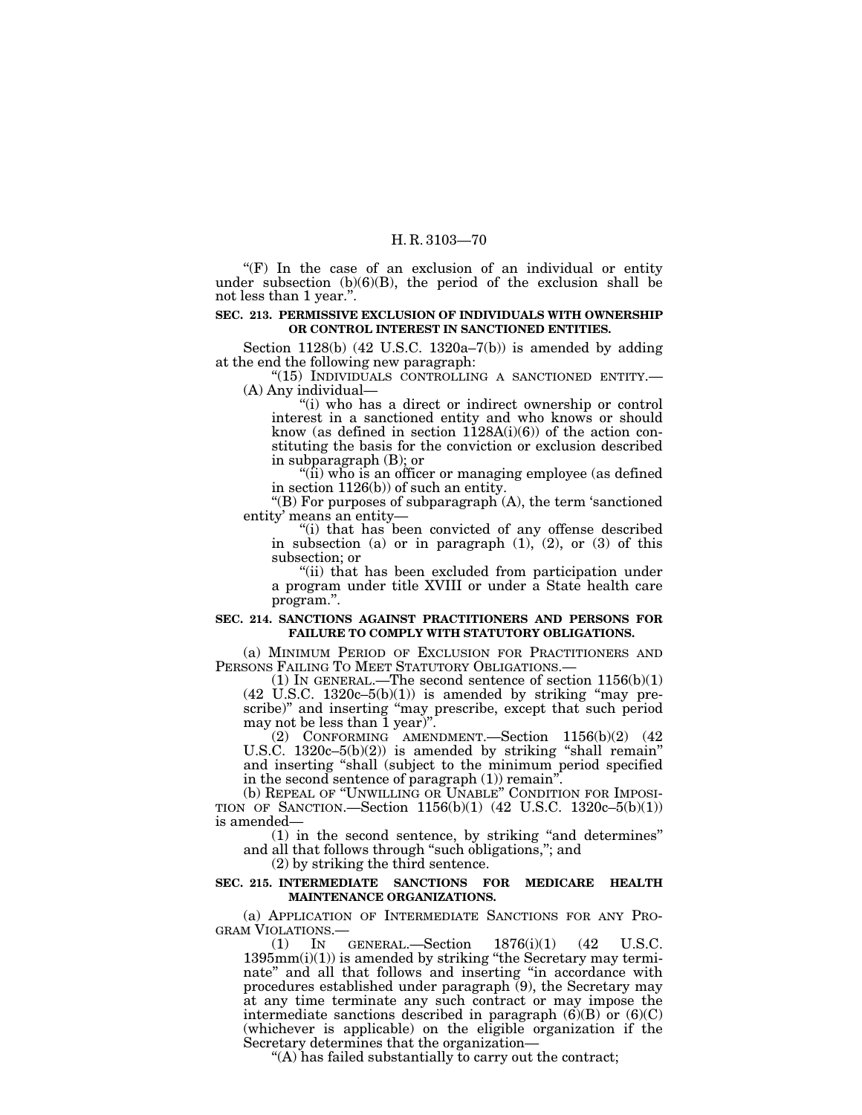" $(F)$  In the case of an exclusion of an individual or entity under subsection  $(b)(6)(B)$ , the period of the exclusion shall be not less than 1 year.''.

### **SEC. 213. PERMISSIVE EXCLUSION OF INDIVIDUALS WITH OWNERSHIP OR CONTROL INTEREST IN SANCTIONED ENTITIES.**

Section  $1128(b)$  (42 U.S.C.  $1320a-7(b)$ ) is amended by adding at the end the following new paragraph:

''(15) INDIVIDUALS CONTROLLING A SANCTIONED ENTITY.— (A) Any individual—

''(i) who has a direct or indirect ownership or control interest in a sanctioned entity and who knows or should know (as defined in section  $1128A(i)(6)$ ) of the action constituting the basis for the conviction or exclusion described in subparagraph (B); or

"(ii) who is an officer or managing employee (as defined in section 1126(b)) of such an entity.

''(B) For purposes of subparagraph (A), the term 'sanctioned entity' means an entity—

''(i) that has been convicted of any offense described in subsection (a) or in paragraph  $(1)$ ,  $(2)$ , or  $(3)$  of this subsection; or

''(ii) that has been excluded from participation under a program under title XVIII or under a State health care program.''.

### **SEC. 214. SANCTIONS AGAINST PRACTITIONERS AND PERSONS FOR FAILURE TO COMPLY WITH STATUTORY OBLIGATIONS.**

(a) MINIMUM PERIOD OF EXCLUSION FOR PRACTITIONERS AND PERSONS FAILING TO MEET STATUTORY OBLIGATIONS.—

(1) IN GENERAL.—The second sentence of section  $1156(b)(1)$  $(42 \text{ U.S.C. } 1320c-5(b)(1))$  is amended by striking "may prescribe)'' and inserting ''may prescribe, except that such period may not be less than 1 year)".

(2) CONFORMING AMENDMENT.—Section 1156(b)(2) (42 U.S.C. 1320c–5(b)(2)) is amended by striking ''shall remain'' and inserting ''shall (subject to the minimum period specified in the second sentence of paragraph (1)) remain''.

(b) REPEAL OF ''UNWILLING OR UNABLE'' CONDITION FOR IMPOSI-TION OF SANCTION.—Section 1156(b)(1) (42 U.S.C. 1320c–5(b)(1)) is amended—

(1) in the second sentence, by striking ''and determines'' and all that follows through "such obligations,"; and

(2) by striking the third sentence.

### **SEC. 215. INTERMEDIATE SANCTIONS FOR MEDICARE HEALTH MAINTENANCE ORGANIZATIONS.**

(a) APPLICATION OF INTERMEDIATE SANCTIONS FOR ANY PROGRAM VIOLATIONS.—

GRAM VIOLATIONS.—<br>
(1) In GENERAL.—Section 1876(i)(1) (42 U.S.C.  $1395mm(i)(1)$  is amended by striking "the Secretary may terminate'' and all that follows and inserting ''in accordance with procedures established under paragraph (9), the Secretary may at any time terminate any such contract or may impose the intermediate sanctions described in paragraph  $(6)(B)$  or  $(6)(C)$ (whichever is applicable) on the eligible organization if the Secretary determines that the organization—

''(A) has failed substantially to carry out the contract;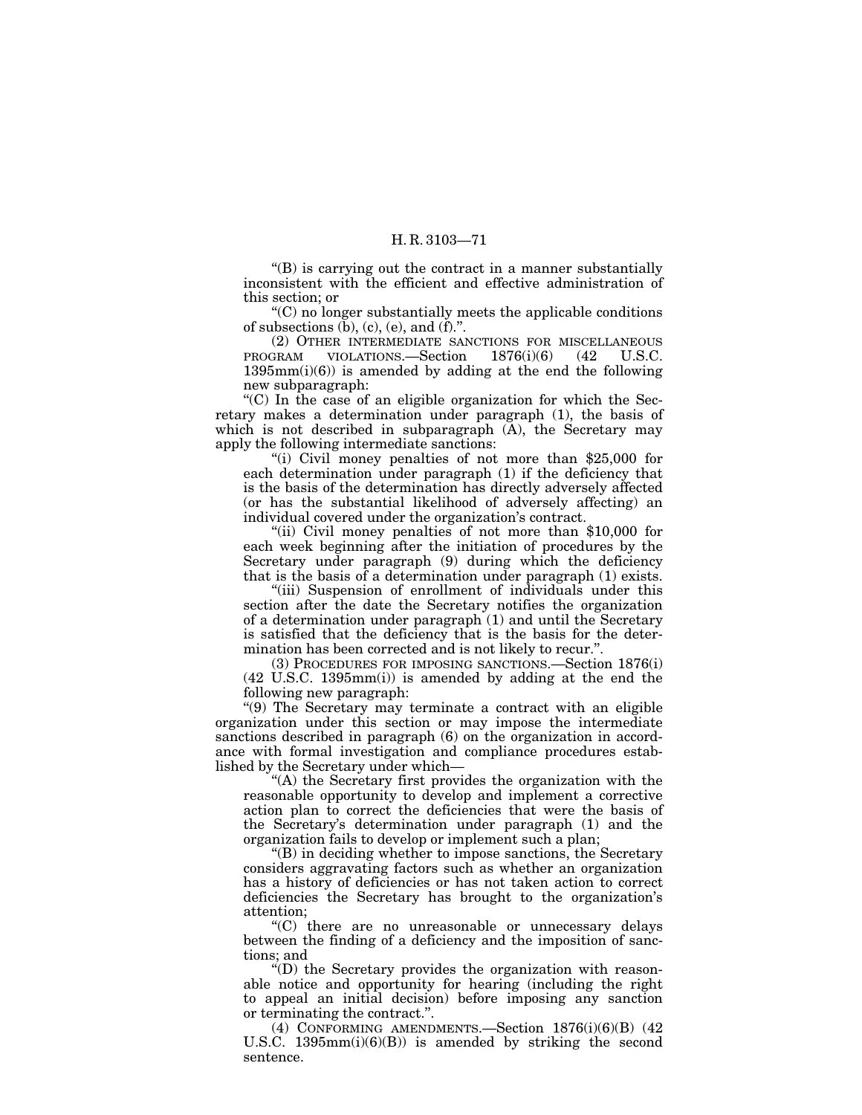''(B) is carrying out the contract in a manner substantially inconsistent with the efficient and effective administration of this section; or

''(C) no longer substantially meets the applicable conditions of subsections  $(b)$ ,  $(c)$ ,  $(e)$ , and  $(f)$ .".

(2) OTHER INTERMEDIATE SANCTIONS FOR MISCELLANEOUS PROGRAM VIOLATIONS.—Section  $1876(i)(6)$  (42 U.S.C.) VIOLATIONS.—Section  $1876(i)(6)$  (42 U.S.C.)  $1395mm(i)(6)$  is amended by adding at the end the following new subparagraph:

 $C$ ) In the case of an eligible organization for which the Secretary makes a determination under paragraph (1), the basis of which is not described in subparagraph  $(A)$ , the Secretary may apply the following intermediate sanctions:

''(i) Civil money penalties of not more than \$25,000 for each determination under paragraph (1) if the deficiency that is the basis of the determination has directly adversely affected (or has the substantial likelihood of adversely affecting) an individual covered under the organization's contract.

"(ii) Civil money penalties of not more than \$10,000 for each week beginning after the initiation of procedures by the Secretary under paragraph (9) during which the deficiency that is the basis of a determination under paragraph (1) exists.

''(iii) Suspension of enrollment of individuals under this section after the date the Secretary notifies the organization of a determination under paragraph (1) and until the Secretary is satisfied that the deficiency that is the basis for the determination has been corrected and is not likely to recur.''.

(3) PROCEDURES FOR IMPOSING SANCTIONS.—Section 1876(i) (42 U.S.C. 1395mm(i)) is amended by adding at the end the following new paragraph:

''(9) The Secretary may terminate a contract with an eligible organization under this section or may impose the intermediate sanctions described in paragraph (6) on the organization in accordance with formal investigation and compliance procedures established by the Secretary under which—

''(A) the Secretary first provides the organization with the reasonable opportunity to develop and implement a corrective action plan to correct the deficiencies that were the basis of the Secretary's determination under paragraph (1) and the organization fails to develop or implement such a plan;

''(B) in deciding whether to impose sanctions, the Secretary considers aggravating factors such as whether an organization has a history of deficiencies or has not taken action to correct deficiencies the Secretary has brought to the organization's attention;

''(C) there are no unreasonable or unnecessary delays between the finding of a deficiency and the imposition of sanctions; and

''(D) the Secretary provides the organization with reasonable notice and opportunity for hearing (including the right to appeal an initial decision) before imposing any sanction or terminating the contract.''.

(4) CONFORMING AMENDMENTS.—Section 1876(i)(6)(B) (42 U.S.C. 1395mm(i)(6)(B)) is amended by striking the second sentence.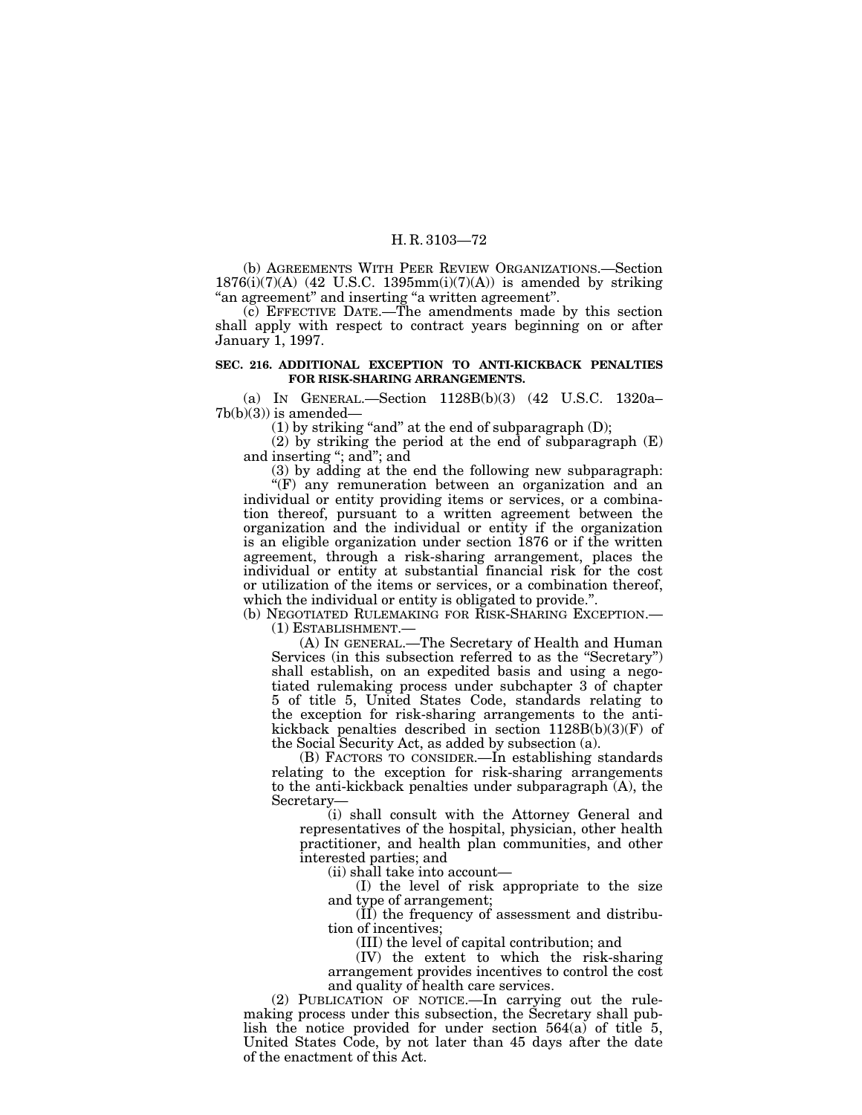(b) AGREEMENTS WITH PEER REVIEW ORGANIZATIONS.—Section  $1876(i)(7)(A)$  (42 U.S.C. 1395mm $(i)(7)(A)$ ) is amended by striking ''an agreement'' and inserting ''a written agreement''.

(c) EFFECTIVE DATE.—The amendments made by this section shall apply with respect to contract years beginning on or after January 1, 1997.

### **SEC. 216. ADDITIONAL EXCEPTION TO ANTI-KICKBACK PENALTIES FOR RISK-SHARING ARRANGEMENTS.**

(a) IN GENERAL.—Section 1128B(b)(3) (42 U.S.C. 1320a–  $7b(b)(3)$  is amended—

(1) by striking "and" at the end of subparagraph  $(D)$ ;

(2) by striking the period at the end of subparagraph (E) and inserting "; and"; and

(3) by adding at the end the following new subparagraph:

''(F) any remuneration between an organization and an individual or entity providing items or services, or a combination thereof, pursuant to a written agreement between the organization and the individual or entity if the organization is an eligible organization under section 1876 or if the written agreement, through a risk-sharing arrangement, places the individual or entity at substantial financial risk for the cost or utilization of the items or services, or a combination thereof, which the individual or entity is obligated to provide.''.

(b) NEGOTIATED RULEMAKING FOR RISK-SHARING EXCEPTION.— (1) ESTABLISHMENT.—

(A) IN GENERAL.—The Secretary of Health and Human Services (in this subsection referred to as the "Secretary") shall establish, on an expedited basis and using a negotiated rulemaking process under subchapter 3 of chapter 5 of title 5, United States Code, standards relating to the exception for risk-sharing arrangements to the antikickback penalties described in section 1128B(b)(3)(F) of the Social Security Act, as added by subsection (a).

(B) FACTORS TO CONSIDER.—In establishing standards relating to the exception for risk-sharing arrangements to the anti-kickback penalties under subparagraph (A), the Secretary—

(i) shall consult with the Attorney General and representatives of the hospital, physician, other health practitioner, and health plan communities, and other interested parties; and

(ii) shall take into account—

(I) the level of risk appropriate to the size and type of arrangement;

(II) the frequency of assessment and distribution of incentives;

(III) the level of capital contribution; and

(IV) the extent to which the risk-sharing arrangement provides incentives to control the cost and quality of health care services.

(2) PUBLICATION OF NOTICE.—In carrying out the rulemaking process under this subsection, the Secretary shall publish the notice provided for under section 564(a) of title 5, United States Code, by not later than 45 days after the date of the enactment of this Act.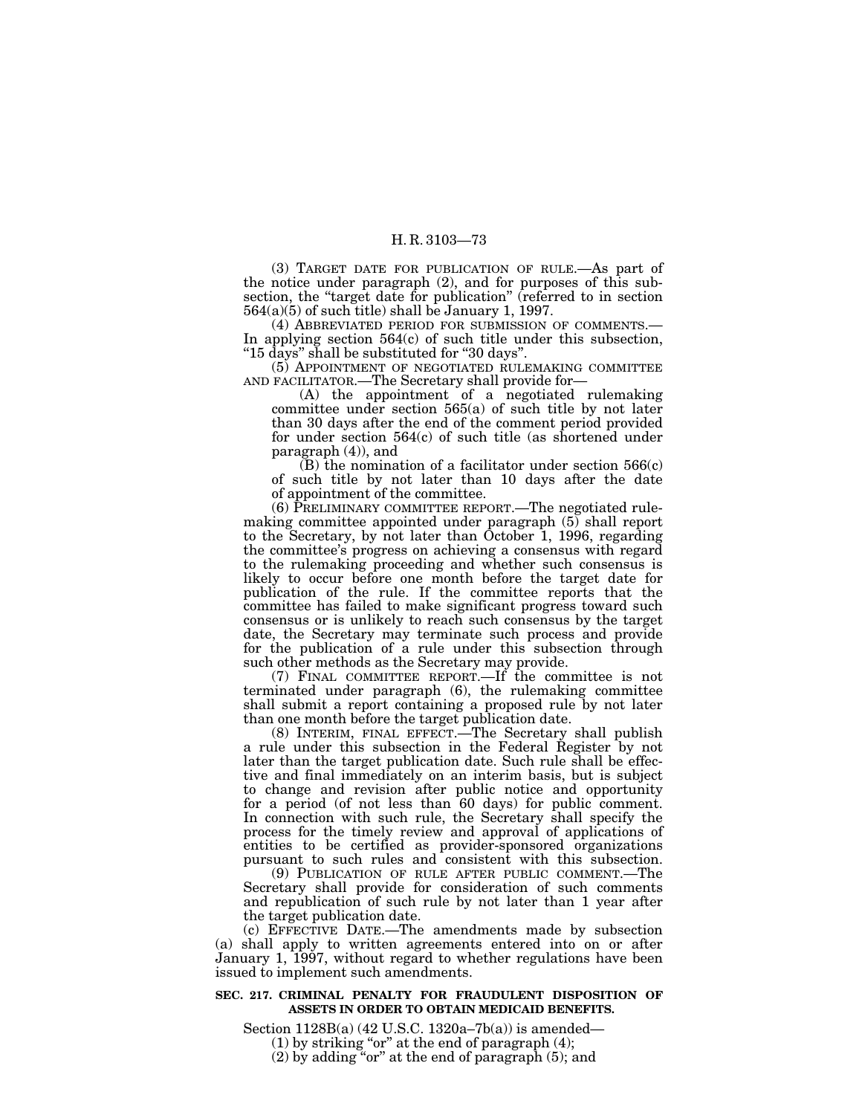(3) TARGET DATE FOR PUBLICATION OF RULE.—As part of the notice under paragraph (2), and for purposes of this subsection, the "target date for publication" (referred to in section  $564(a)(5)$  of such title) shall be January 1, 1997.

(4) ABBREVIATED PERIOD FOR SUBMISSION OF COMMENTS.— In applying section 564(c) of such title under this subsection, ''15 days'' shall be substituted for ''30 days''.

(5) APPOINTMENT OF NEGOTIATED RULEMAKING COMMITTEE AND FACILITATOR.—The Secretary shall provide for—

(A) the appointment of a negotiated rulemaking committee under section 565(a) of such title by not later than 30 days after the end of the comment period provided for under section 564(c) of such title (as shortened under paragraph (4)), and

 $(B)$  the nomination of a facilitator under section 566 $(c)$ of such title by not later than 10 days after the date of appointment of the committee.

(6) PRELIMINARY COMMITTEE REPORT.—The negotiated rulemaking committee appointed under paragraph (5) shall report to the Secretary, by not later than October 1, 1996, regarding the committee's progress on achieving a consensus with regard to the rulemaking proceeding and whether such consensus is likely to occur before one month before the target date for publication of the rule. If the committee reports that the committee has failed to make significant progress toward such consensus or is unlikely to reach such consensus by the target date, the Secretary may terminate such process and provide for the publication of a rule under this subsection through such other methods as the Secretary may provide.

(7) FINAL COMMITTEE REPORT.—If the committee is not terminated under paragraph (6), the rulemaking committee shall submit a report containing a proposed rule by not later than one month before the target publication date.

(8) INTERIM, FINAL EFFECT.—The Secretary shall publish a rule under this subsection in the Federal Register by not later than the target publication date. Such rule shall be effective and final immediately on an interim basis, but is subject to change and revision after public notice and opportunity for a period (of not less than 60 days) for public comment. In connection with such rule, the Secretary shall specify the process for the timely review and approval of applications of entities to be certified as provider-sponsored organizations pursuant to such rules and consistent with this subsection.

(9) PUBLICATION OF RULE AFTER PUBLIC COMMENT.—The Secretary shall provide for consideration of such comments and republication of such rule by not later than 1 year after the target publication date.

(c) EFFECTIVE DATE.—The amendments made by subsection (a) shall apply to written agreements entered into on or after January 1, 1997, without regard to whether regulations have been issued to implement such amendments.

#### **SEC. 217. CRIMINAL PENALTY FOR FRAUDULENT DISPOSITION OF ASSETS IN ORDER TO OBTAIN MEDICAID BENEFITS.**

Section 1128B(a) (42 U.S.C. 1320a–7b(a)) is amended—  $(1)$  by striking "or" at the end of paragraph  $(4)$ ;

(2) by adding ''or'' at the end of paragraph (5); and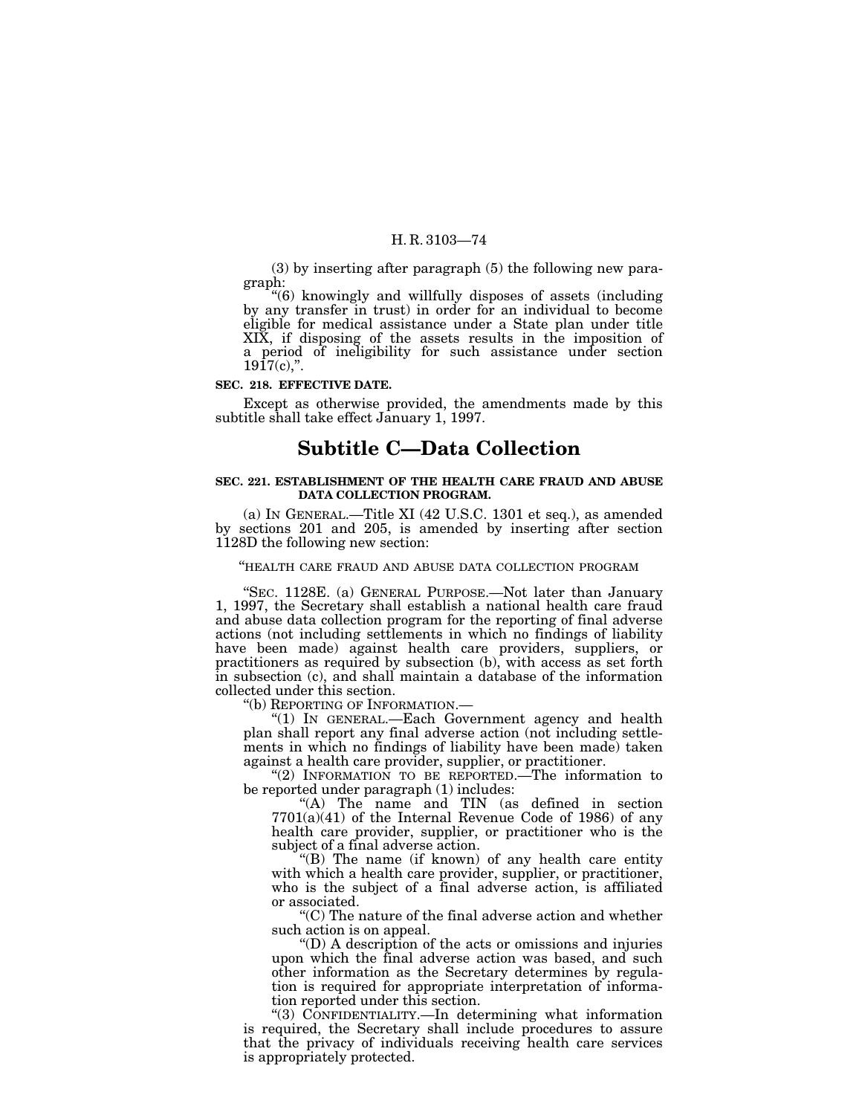(3) by inserting after paragraph (5) the following new paragraph:

''(6) knowingly and willfully disposes of assets (including by any transfer in trust) in order for an individual to become eligible for medical assistance under a State plan under title XIX, if disposing of the assets results in the imposition of a period of ineligibility for such assistance under section  $1917(c)$ ,".

## **SEC. 218. EFFECTIVE DATE.**

Except as otherwise provided, the amendments made by this subtitle shall take effect January 1, 1997.

# **Subtitle C—Data Collection**

#### **SEC. 221. ESTABLISHMENT OF THE HEALTH CARE FRAUD AND ABUSE DATA COLLECTION PROGRAM.**

(a) IN GENERAL.—Title XI (42 U.S.C. 1301 et seq.), as amended by sections 201 and 205, is amended by inserting after section 1128D the following new section:

## ''HEALTH CARE FRAUD AND ABUSE DATA COLLECTION PROGRAM

''SEC. 1128E. (a) GENERAL PURPOSE.—Not later than January 1, 1997, the Secretary shall establish a national health care fraud and abuse data collection program for the reporting of final adverse actions (not including settlements in which no findings of liability have been made) against health care providers, suppliers, or practitioners as required by subsection (b), with access as set forth in subsection (c), and shall maintain a database of the information collected under this section.<br>"(b) REPORTING OF INFORMATION.—

"(1) IN GENERAL.—Each Government agency and health plan shall report any final adverse action (not including settlements in which no findings of liability have been made) taken against a health care provider, supplier, or practitioner.

"(2) INFORMATION TO BE REPORTED.—The information to be reported under paragraph (1) includes:

''(A) The name and TIN (as defined in section 7701(a)(41) of the Internal Revenue Code of 1986) of any health care provider, supplier, or practitioner who is the subject of a final adverse action.

''(B) The name (if known) of any health care entity with which a health care provider, supplier, or practitioner, who is the subject of a final adverse action, is affiliated or associated.

''(C) The nature of the final adverse action and whether such action is on appeal.

''(D) A description of the acts or omissions and injuries upon which the final adverse action was based, and such other information as the Secretary determines by regulation is required for appropriate interpretation of information reported under this section.

''(3) CONFIDENTIALITY.—In determining what information is required, the Secretary shall include procedures to assure that the privacy of individuals receiving health care services is appropriately protected.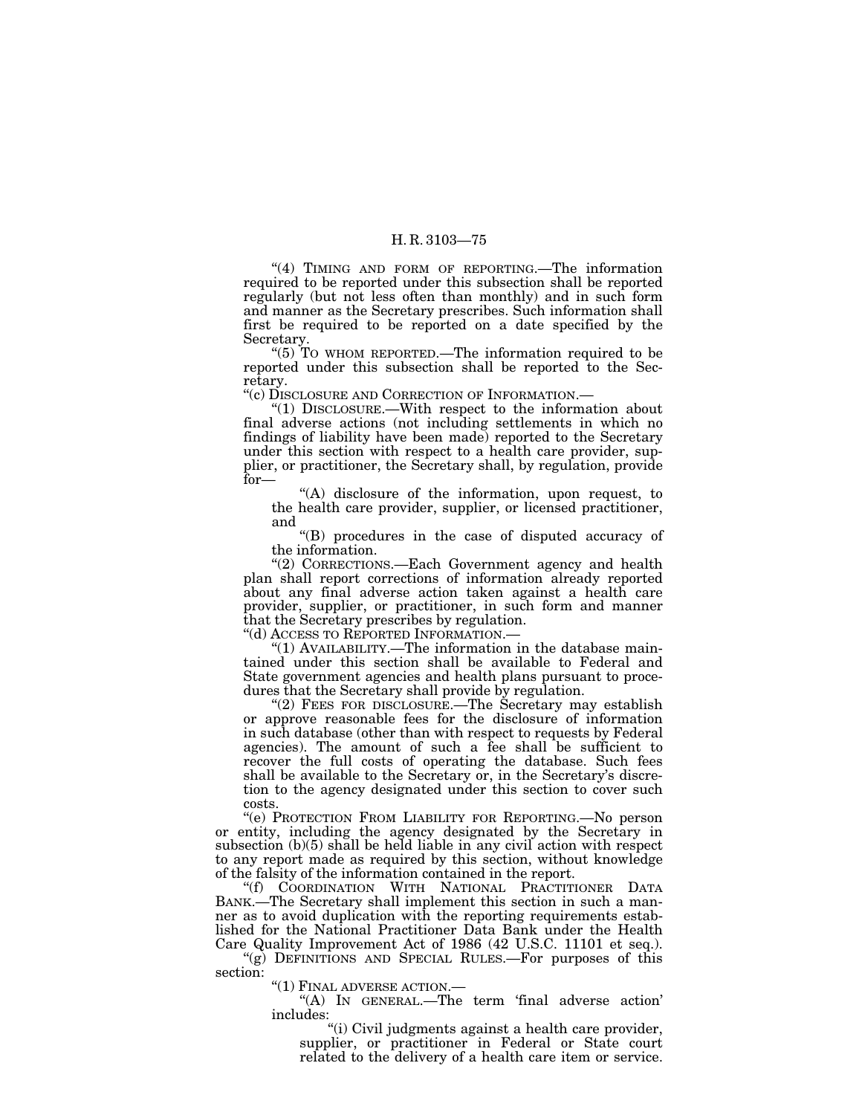"(4) TIMING AND FORM OF REPORTING.—The information required to be reported under this subsection shall be reported regularly (but not less often than monthly) and in such form and manner as the Secretary prescribes. Such information shall first be required to be reported on a date specified by the Secretary.

''(5) TO WHOM REPORTED.—The information required to be reported under this subsection shall be reported to the Secretary.

''(c) DISCLOSURE AND CORRECTION OF INFORMATION.—

''(1) DISCLOSURE.—With respect to the information about final adverse actions (not including settlements in which no findings of liability have been made) reported to the Secretary under this section with respect to a health care provider, supplier, or practitioner, the Secretary shall, by regulation, provide for—

''(A) disclosure of the information, upon request, to the health care provider, supplier, or licensed practitioner, and

''(B) procedures in the case of disputed accuracy of the information.

''(2) CORRECTIONS.—Each Government agency and health plan shall report corrections of information already reported about any final adverse action taken against a health care provider, supplier, or practitioner, in such form and manner that the Secretary prescribes by regulation.

''(d) ACCESS TO REPORTED INFORMATION.—

" $(1)$  AVAILABILITY.—The information in the database maintained under this section shall be available to Federal and State government agencies and health plans pursuant to procedures that the Secretary shall provide by regulation.

"(2) FEES FOR DISCLOSURE.—The Secretary may establish or approve reasonable fees for the disclosure of information in such database (other than with respect to requests by Federal agencies). The amount of such a fee shall be sufficient to recover the full costs of operating the database. Such fees shall be available to the Secretary or, in the Secretary's discretion to the agency designated under this section to cover such costs.

''(e) PROTECTION FROM LIABILITY FOR REPORTING.—No person or entity, including the agency designated by the Secretary in subsection (b)(5) shall be held liable in any civil action with respect to any report made as required by this section, without knowledge of the falsity of the information contained in the report.

''(f) COORDINATION WITH NATIONAL PRACTITIONER DATA BANK.—The Secretary shall implement this section in such a manner as to avoid duplication with the reporting requirements established for the National Practitioner Data Bank under the Health Care Quality Improvement Act of 1986 (42 U.S.C. 11101 et seq.).

" $(g)$  DEFINITIONS AND SPECIAL RULES.—For purposes of this section:

''(1) FINAL ADVERSE ACTION.—

"(A) In GENERAL.—The term 'final adverse action' includes:

''(i) Civil judgments against a health care provider, supplier, or practitioner in Federal or State court related to the delivery of a health care item or service.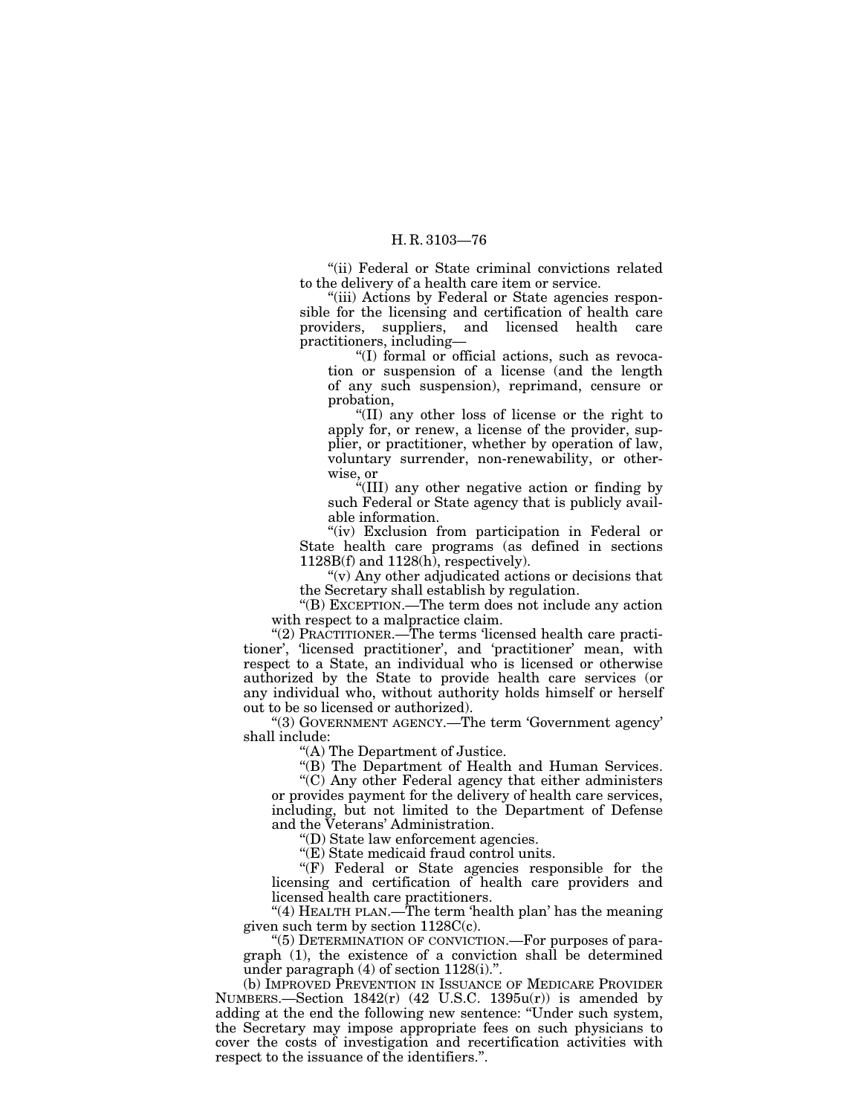"(ii) Federal or State criminal convictions related to the delivery of a health care item or service.

"(iii) Actions by Federal or State agencies responsible for the licensing and certification of health care providers, suppliers, and licensed health care practitioners, including—

''(I) formal or official actions, such as revocation or suspension of a license (and the length of any such suspension), reprimand, censure or probation,

''(II) any other loss of license or the right to apply for, or renew, a license of the provider, supplier, or practitioner, whether by operation of law, voluntary surrender, non-renewability, or otherwise, or

''(III) any other negative action or finding by such Federal or State agency that is publicly available information.

"(iv) Exclusion from participation in Federal or State health care programs (as defined in sections 1128B(f) and 1128(h), respectively).

 $(v)$  Any other adjudicated actions or decisions that the Secretary shall establish by regulation.

''(B) EXCEPTION.—The term does not include any action with respect to a malpractice claim.

''(2) PRACTITIONER.—The terms 'licensed health care practitioner', 'licensed practitioner', and 'practitioner' mean, with respect to a State, an individual who is licensed or otherwise authorized by the State to provide health care services (or any individual who, without authority holds himself or herself out to be so licensed or authorized).

''(3) GOVERNMENT AGENCY.—The term 'Government agency' shall include:

''(A) The Department of Justice.

"(B) The Department of Health and Human Services.

''(C) Any other Federal agency that either administers or provides payment for the delivery of health care services, including, but not limited to the Department of Defense and the Veterans' Administration.

''(D) State law enforcement agencies.

 $\rm ^{\circ}\!(E)$  State medicaid fraud control units.

''(F) Federal or State agencies responsible for the licensing and certification of health care providers and licensed health care practitioners.

''(4) HEALTH PLAN.—The term 'health plan' has the meaning given such term by section  $1128C(c)$ .

''(5) DETERMINATION OF CONVICTION.—For purposes of paragraph (1), the existence of a conviction shall be determined under paragraph (4) of section 1128(i).''.

(b) IMPROVED PREVENTION IN ISSUANCE OF MEDICARE PROVIDER NUMBERS.—Section  $1842(r)$  (42 U.S.C.  $1395u(r)$ ) is amended by adding at the end the following new sentence: ''Under such system, the Secretary may impose appropriate fees on such physicians to cover the costs of investigation and recertification activities with respect to the issuance of the identifiers.''.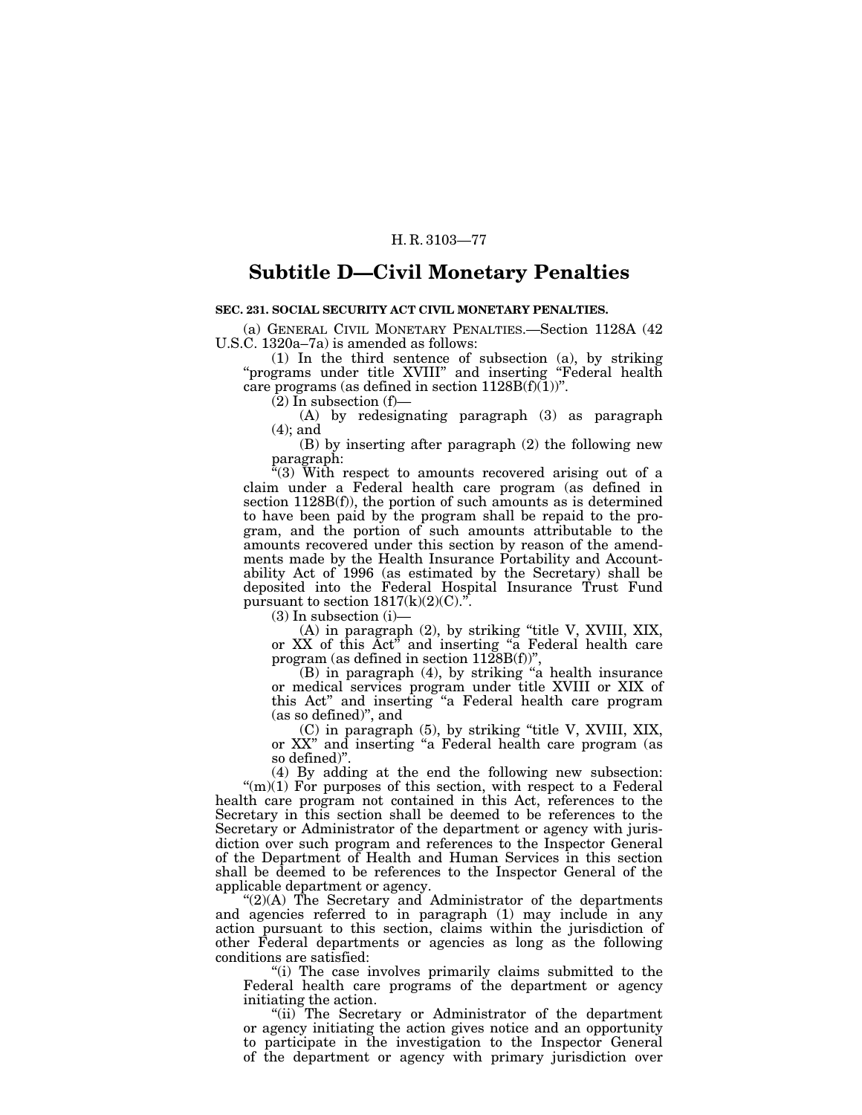# **Subtitle D—Civil Monetary Penalties**

## **SEC. 231. SOCIAL SECURITY ACT CIVIL MONETARY PENALTIES.**

(a) GENERAL CIVIL MONETARY PENALTIES.—Section 1128A (42 U.S.C. 1320a–7a) is amended as follows:

(1) In the third sentence of subsection (a), by striking "programs under title XVIII" and inserting "Federal health care programs (as defined in section  $1128B(f)(1)$ ".

 $(2)$  In subsection  $(f)$ —

(A) by redesignating paragraph (3) as paragraph (4); and

(B) by inserting after paragraph (2) the following new paragraph:

 $\sqrt{a}$ (3) With respect to amounts recovered arising out of a claim under a Federal health care program (as defined in section 1128B(f)), the portion of such amounts as is determined to have been paid by the program shall be repaid to the program, and the portion of such amounts attributable to the amounts recovered under this section by reason of the amendments made by the Health Insurance Portability and Accountability Act of 1996 (as estimated by the Secretary) shall be deposited into the Federal Hospital Insurance Trust Fund pursuant to section  $1817(k)(2)(C)$ .".

(3) In subsection (i)—

(A) in paragraph (2), by striking ''title V, XVIII, XIX, or XX of this Act'' and inserting ''a Federal health care program (as defined in section 1128B(f))'',

 $(B)$  in paragraph (4), by striking "a health insurance or medical services program under title XVIII or XIX of this Act'' and inserting ''a Federal health care program (as so defined)'', and

(C) in paragraph (5), by striking ''title V, XVIII, XIX, or XX'' and inserting ''a Federal health care program (as so defined)''.

(4) By adding at the end the following new subsection: " $(m)(1)$  For purposes of this section, with respect to a Federal health care program not contained in this Act, references to the Secretary in this section shall be deemed to be references to the Secretary or Administrator of the department or agency with jurisdiction over such program and references to the Inspector General of the Department of Health and Human Services in this section shall be deemed to be references to the Inspector General of the applicable department or agency.

''(2)(A) The Secretary and Administrator of the departments and agencies referred to in paragraph (1) may include in any action pursuant to this section, claims within the jurisdiction of other Federal departments or agencies as long as the following conditions are satisfied:

"(i) The case involves primarily claims submitted to the Federal health care programs of the department or agency initiating the action.

"(ii) The Secretary or Administrator of the department or agency initiating the action gives notice and an opportunity to participate in the investigation to the Inspector General of the department or agency with primary jurisdiction over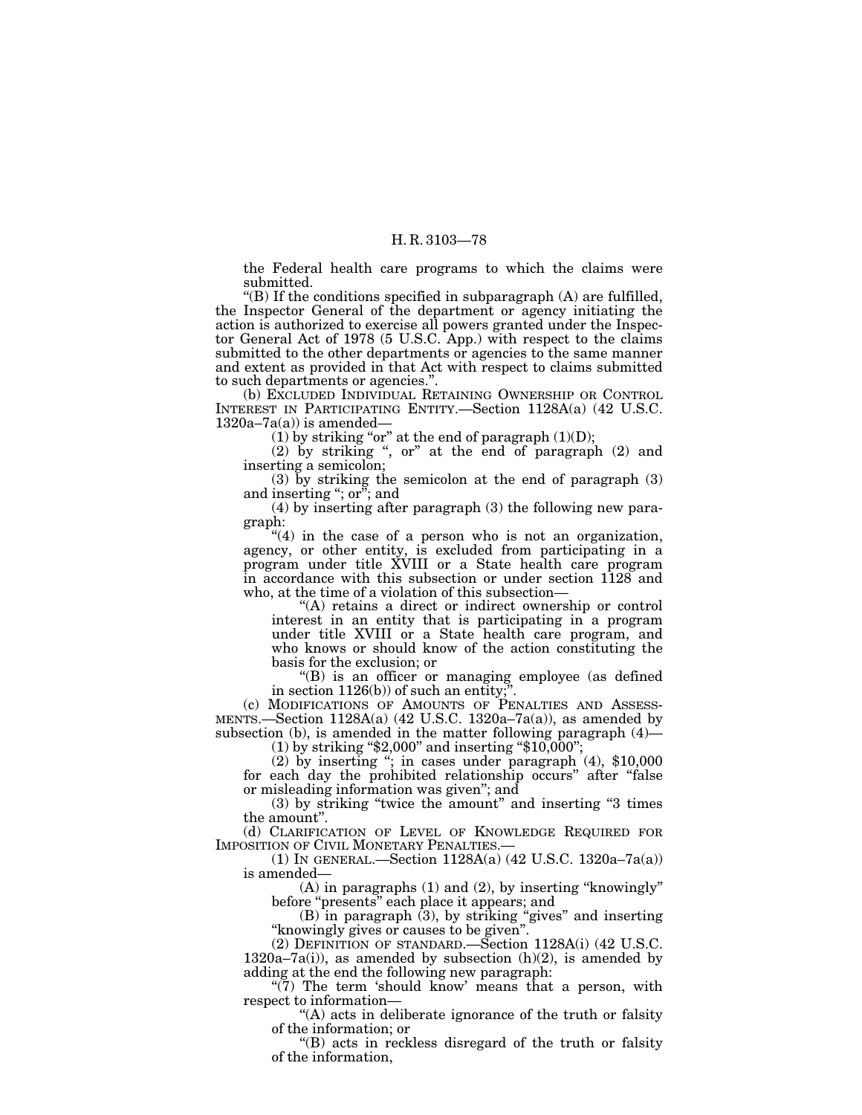the Federal health care programs to which the claims were submitted.

''(B) If the conditions specified in subparagraph (A) are fulfilled, the Inspector General of the department or agency initiating the action is authorized to exercise all powers granted under the Inspector General Act of 1978 (5 U.S.C. App.) with respect to the claims submitted to the other departments or agencies to the same manner and extent as provided in that Act with respect to claims submitted to such departments or agencies.''.

(b) EXCLUDED INDIVIDUAL RETAINING OWNERSHIP OR CONTROL INTEREST IN PARTICIPATING ENTITY.—Section 1128A(a) (42 U.S.C.  $1320a-7a(a)$ ) is amended—

(1) by striking "or" at the end of paragraph  $(1)(D)$ ;

(2) by striking '', or'' at the end of paragraph (2) and inserting a semicolon;

(3) by striking the semicolon at the end of paragraph (3) and inserting "; or"; and

(4) by inserting after paragraph (3) the following new paragraph:

" $(4)$  in the case of a person who is not an organization, agency, or other entity, is excluded from participating in a program under title XVIII or a State health care program in accordance with this subsection or under section 1128 and who, at the time of a violation of this subsection—

''(A) retains a direct or indirect ownership or control interest in an entity that is participating in a program under title XVIII or a State health care program, and who knows or should know of the action constituting the basis for the exclusion; or

''(B) is an officer or managing employee (as defined in section 1126(b)) of such an entity;''.

(c) MODIFICATIONS OF AMOUNTS OF PENALTIES AND ASSESS- MENTS.—Section 1128A(a) (42 U.S.C. 1320a–7a(a)), as amended by subsection (b), is amended in the matter following paragraph (4)—<br>(1) by striking "\$2,000" and inserting "\$10,000";

(2) by inserting ''; in cases under paragraph (4), \$10,000 for each day the prohibited relationship occurs" after "false" or misleading information was given''; and

(3) by striking ''twice the amount'' and inserting ''3 times the amount''.

(d) CLARIFICATION OF LEVEL OF KNOWLEDGE REQUIRED FOR IMPOSITION OF CIVIL MONETARY PENALTIES.—

(1) IN GENERAL.—Section  $1128A(a)$  (42 U.S.C. 1320a–7a(a)) is amended—

 $(A)$  in paragraphs  $(1)$  and  $(2)$ , by inserting "knowingly" before ''presents'' each place it appears; and

(B) in paragraph (3), by striking ''gives'' and inserting ''knowingly gives or causes to be given''.

(2) DEFINITION OF STANDARD.—Section 1128A(i) (42 U.S.C.  $1320a-7a(i)$ , as amended by subsection  $(h)(2)$ , is amended by adding at the end the following new paragraph:

" $(7)$  The term 'should know' means that a person, with respect to information—

''(A) acts in deliberate ignorance of the truth or falsity of the information; or

''(B) acts in reckless disregard of the truth or falsity of the information,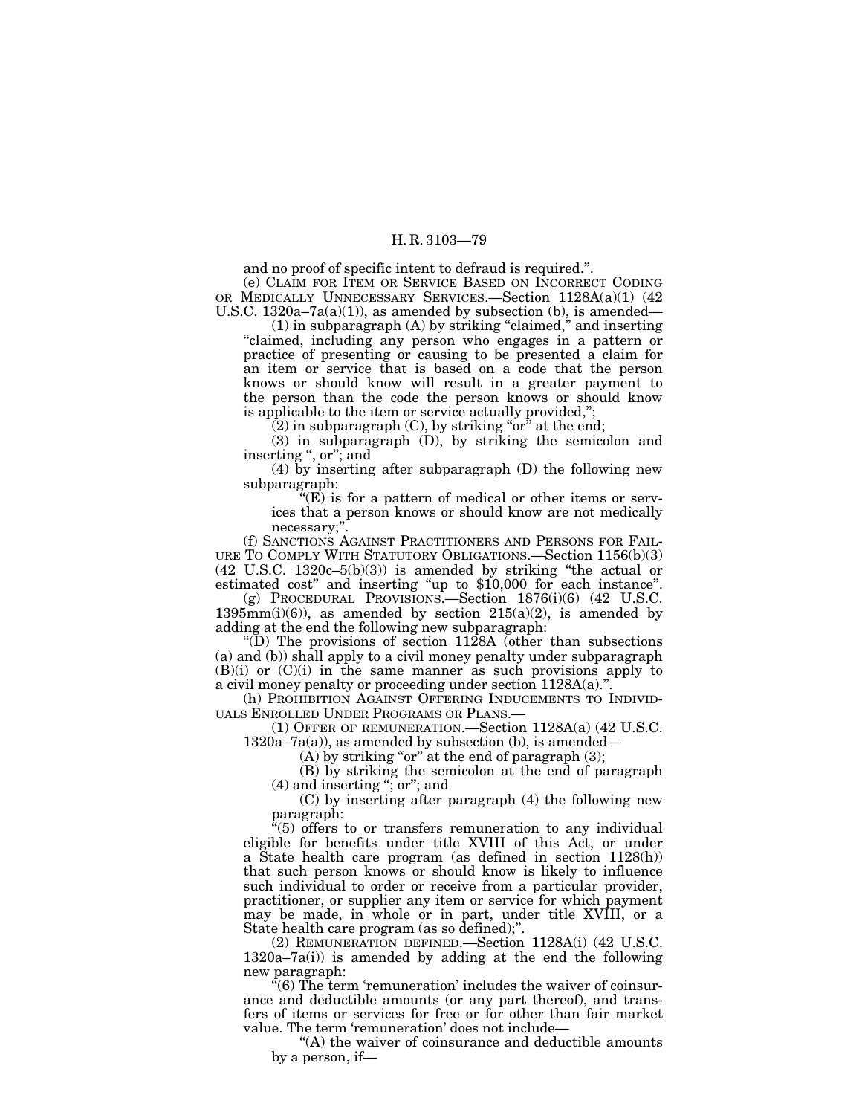and no proof of specific intent to defraud is required.''.

(e) CLAIM FOR ITEM OR SERVICE BASED ON INCORRECT CODING OR MEDICALLY UNNECESSARY SERVICES.—Section 1128A(a)(1) (42 U.S.C. 1320a–7a(a)(1)), as amended by subsection (b), is amended—

(1) in subparagraph (A) by striking ''claimed,'' and inserting ''claimed, including any person who engages in a pattern or practice of presenting or causing to be presented a claim for an item or service that is based on a code that the person knows or should know will result in a greater payment to the person than the code the person knows or should know is applicable to the item or service actually provided,'';

 $(2)$  in subparagraph  $(C)$ , by striking "or" at the end;

(3) in subparagraph (D), by striking the semicolon and inserting '', or''; and

(4) by inserting after subparagraph (D) the following new subparagraph:

" $(E)$  is for a pattern of medical or other items or services that a person knows or should know are not medically necessary;''.

(f) SANCTIONS AGAINST PRACTITIONERS AND PERSONS FOR FAIL-URE TO COMPLY WITH STATUTORY OBLIGATIONS.—Section 1156(b)(3)  $(42 \text{ U.S.C. } 1320c-5(b)(3))$  is amended by striking "the actual or estimated cost" and inserting "up to \$10,000 for each instance".

(g) PROCEDURAL PROVISIONS.—Section 1876(i)(6) (42 U.S.C.  $1395mm(i)(6)$ , as amended by section  $215(a)(2)$ , is amended by adding at the end the following new subparagraph:

 $\mathrm{``(D)}$  The provisions of section 1128A (other than subsections) (a) and (b)) shall apply to a civil money penalty under subparagraph  $(B)(i)$  or  $(C)(i)$  in the same manner as such provisions apply to a civil money penalty or proceeding under section 1128A(a)."

(h) PROHIBITION AGAINST OFFERING INDUCEMENTS TO INDIVID-UALS ENROLLED UNDER PROGRAMS OR PLANS.—

(1) OFFER OF REMUNERATION.—Section 1128A(a) (42 U.S.C.  $1320a-7a(a)$ , as amended by subsection (b), is amended—

(A) by striking "or" at the end of paragraph  $(3)$ ;

(B) by striking the semicolon at the end of paragraph (4) and inserting ''; or''; and

(C) by inserting after paragraph (4) the following new paragraph:

 $\sqrt[4]{(5)}$  offers to or transfers remuneration to any individual eligible for benefits under title XVIII of this Act, or under a State health care program (as defined in section 1128(h)) that such person knows or should know is likely to influence such individual to order or receive from a particular provider, practitioner, or supplier any item or service for which payment may be made, in whole or in part, under title XVIII, or a State health care program (as so defined);''.

(2) REMUNERATION DEFINED.—Section 1128A(i) (42 U.S.C.  $1320a-7a(i)$  is amended by adding at the end the following new paragraph:

 $\mathcal{F}(6)$  The term 'remuneration' includes the waiver of coinsurance and deductible amounts (or any part thereof), and transfers of items or services for free or for other than fair market value. The term 'remuneration' does not include—

''(A) the waiver of coinsurance and deductible amounts by a person, if—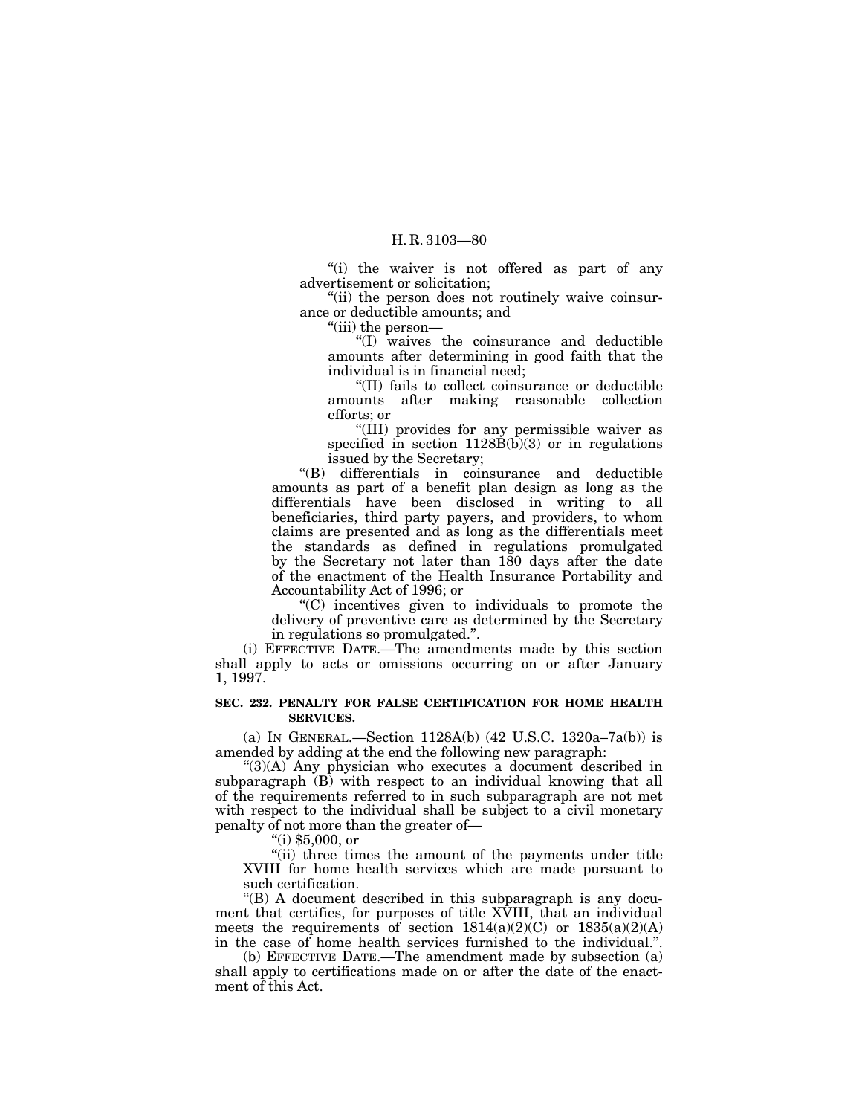"(i) the waiver is not offered as part of any advertisement or solicitation;

"(ii) the person does not routinely waive coinsurance or deductible amounts; and

''(iii) the person—

''(I) waives the coinsurance and deductible amounts after determining in good faith that the individual is in financial need;

''(II) fails to collect coinsurance or deductible amounts after making reasonable collection efforts; or

''(III) provides for any permissible waiver as specified in section  $1128B(b)(3)$  or in regulations issued by the Secretary;

''(B) differentials in coinsurance and deductible amounts as part of a benefit plan design as long as the differentials have been disclosed in writing to all beneficiaries, third party payers, and providers, to whom claims are presented and as long as the differentials meet the standards as defined in regulations promulgated by the Secretary not later than 180 days after the date of the enactment of the Health Insurance Portability and Accountability Act of 1996; or

''(C) incentives given to individuals to promote the delivery of preventive care as determined by the Secretary in regulations so promulgated.''.

(i) EFFECTIVE DATE.—The amendments made by this section shall apply to acts or omissions occurring on or after January 1, 1997.

## **SEC. 232. PENALTY FOR FALSE CERTIFICATION FOR HOME HEALTH SERVICES.**

(a) IN GENERAL.—Section 1128A(b) (42 U.S.C. 1320a–7a(b)) is amended by adding at the end the following new paragraph:

" $(3)(A)$  Any physician who executes a document described in subparagraph (B) with respect to an individual knowing that all of the requirements referred to in such subparagraph are not met with respect to the individual shall be subject to a civil monetary penalty of not more than the greater of—

''(i) \$5,000, or

''(ii) three times the amount of the payments under title XVIII for home health services which are made pursuant to such certification.

''(B) A document described in this subparagraph is any document that certifies, for purposes of title XVIII, that an individual meets the requirements of section  $1814(a)(2)(C)$  or  $1835(a)(2)(A)$ in the case of home health services furnished to the individual.''.

(b) EFFECTIVE DATE.—The amendment made by subsection (a) shall apply to certifications made on or after the date of the enactment of this Act.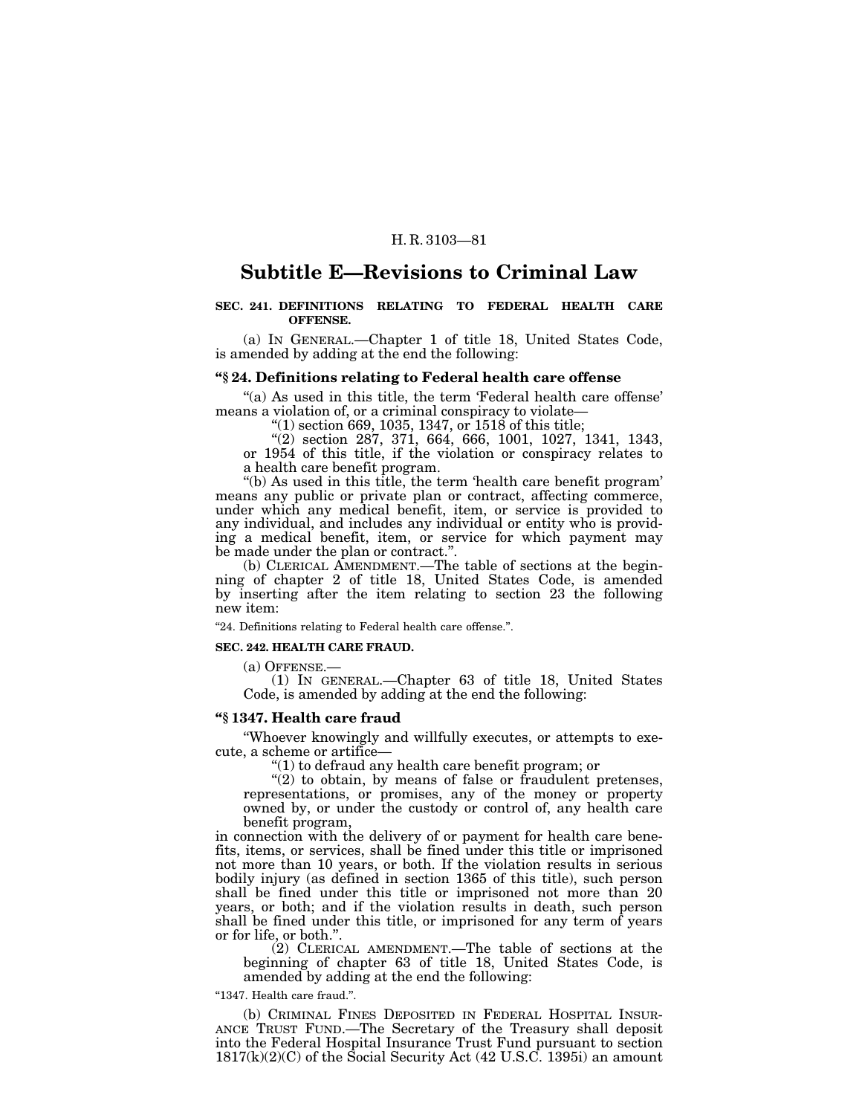# **Subtitle E—Revisions to Criminal Law**

#### **SEC. 241. DEFINITIONS RELATING TO FEDERAL HEALTH CARE OFFENSE.**

(a) IN GENERAL.—Chapter 1 of title 18, United States Code, is amended by adding at the end the following:

## **''§ 24. Definitions relating to Federal health care offense**

''(a) As used in this title, the term 'Federal health care offense' means a violation of, or a criminal conspiracy to violate—

"(1) section 669, 1035, 1347, or  $1518$  of this title;

''(2) section 287, 371, 664, 666, 1001, 1027, 1341, 1343, or 1954 of this title, if the violation or conspiracy relates to a health care benefit program.

''(b) As used in this title, the term 'health care benefit program' means any public or private plan or contract, affecting commerce, under which any medical benefit, item, or service is provided to any individual, and includes any individual or entity who is providing a medical benefit, item, or service for which payment may be made under the plan or contract.''.

(b) CLERICAL AMENDMENT.—The table of sections at the beginning of chapter 2 of title 18, United States Code, is amended by inserting after the item relating to section 23 the following new item:

''24. Definitions relating to Federal health care offense.''.

#### **SEC. 242. HEALTH CARE FRAUD.**

(a) OFFENSE.— (1) IN GENERAL.—Chapter 63 of title 18, United States Code, is amended by adding at the end the following:

## **''§ 1347. Health care fraud**

''Whoever knowingly and willfully executes, or attempts to execute, a scheme or artifice—

''(1) to defraud any health care benefit program; or

 $\sqrt{\hat{a}}$  (2) to obtain, by means of false or fraudulent pretenses, representations, or promises, any of the money or property owned by, or under the custody or control of, any health care benefit program,

in connection with the delivery of or payment for health care benefits, items, or services, shall be fined under this title or imprisoned not more than 10 years, or both. If the violation results in serious bodily injury (as defined in section 1365 of this title), such person shall be fined under this title or imprisoned not more than 20 years, or both; and if the violation results in death, such person shall be fined under this title, or imprisoned for any term of years or for life, or both.''.

(2) CLERICAL AMENDMENT.—The table of sections at the beginning of chapter 63 of title 18, United States Code, is amended by adding at the end the following:

#### ''1347. Health care fraud.''.

(b) CRIMINAL FINES DEPOSITED IN FEDERAL HOSPITAL INSUR-ANCE TRUST FUND.—The Secretary of the Treasury shall deposit into the Federal Hospital Insurance Trust Fund pursuant to section  $1817(k)(2)(C)$  of the Social Security Act (42 U.S.C. 1395i) an amount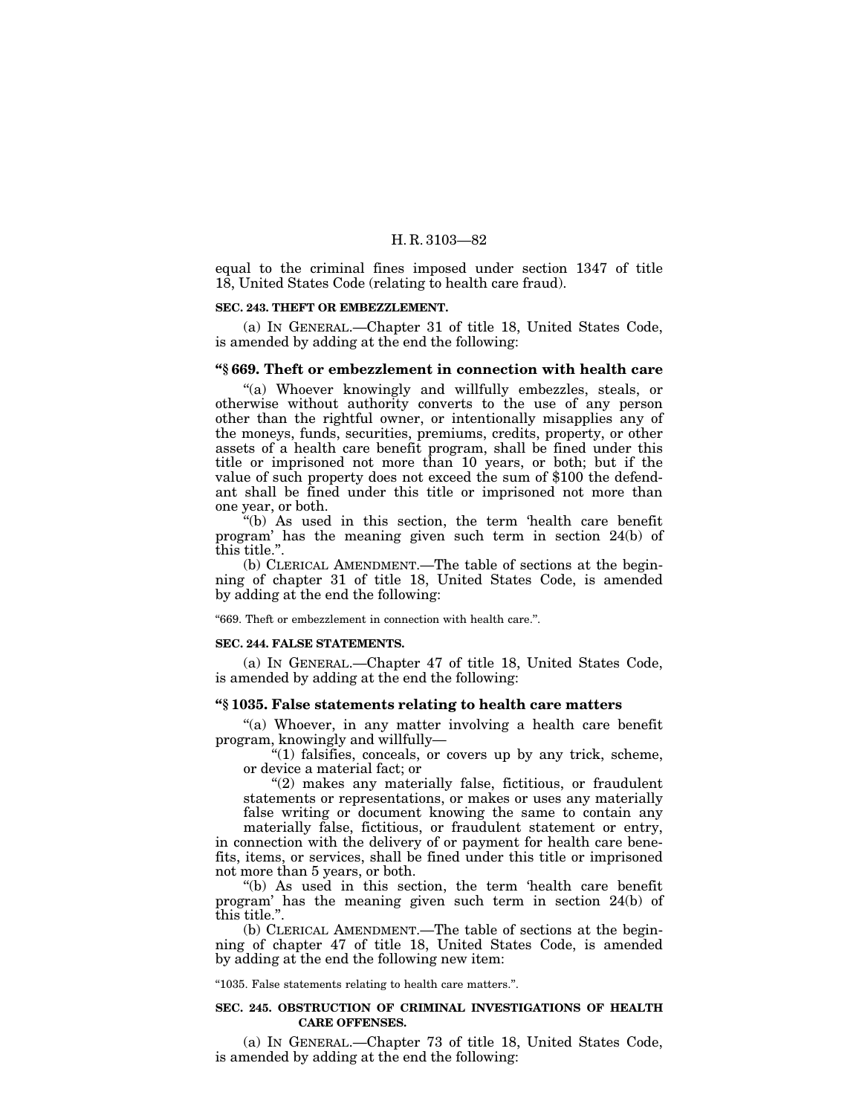equal to the criminal fines imposed under section 1347 of title 18, United States Code (relating to health care fraud).

## **SEC. 243. THEFT OR EMBEZZLEMENT.**

(a) IN GENERAL.—Chapter 31 of title 18, United States Code, is amended by adding at the end the following:

## **''§ 669. Theft or embezzlement in connection with health care**

''(a) Whoever knowingly and willfully embezzles, steals, or otherwise without authority converts to the use of any person other than the rightful owner, or intentionally misapplies any of the moneys, funds, securities, premiums, credits, property, or other assets of a health care benefit program, shall be fined under this title or imprisoned not more than 10 years, or both; but if the value of such property does not exceed the sum of \$100 the defendant shall be fined under this title or imprisoned not more than one year, or both.

''(b) As used in this section, the term 'health care benefit program' has the meaning given such term in section 24(b) of this title.''.

(b) CLERICAL AMENDMENT.—The table of sections at the beginning of chapter 31 of title 18, United States Code, is amended by adding at the end the following:

"669. Theft or embezzlement in connection with health care.".

#### **SEC. 244. FALSE STATEMENTS.**

(a) IN GENERAL.—Chapter 47 of title 18, United States Code, is amended by adding at the end the following:

## **''§ 1035. False statements relating to health care matters**

"(a) Whoever, in any matter involving a health care benefit program, knowingly and willfully—

''(1) falsifies, conceals, or covers up by any trick, scheme, or device a material fact; or

"(2) makes any materially false, fictitious, or fraudulent statements or representations, or makes or uses any materially false writing or document knowing the same to contain any

materially false, fictitious, or fraudulent statement or entry, in connection with the delivery of or payment for health care benefits, items, or services, shall be fined under this title or imprisoned not more than 5 years, or both.

''(b) As used in this section, the term 'health care benefit program' has the meaning given such term in section 24(b) of this title.''.

(b) CLERICAL AMENDMENT.—The table of sections at the beginning of chapter 47 of title 18, United States Code, is amended by adding at the end the following new item:

''1035. False statements relating to health care matters.''.

## **SEC. 245. OBSTRUCTION OF CRIMINAL INVESTIGATIONS OF HEALTH CARE OFFENSES.**

(a) IN GENERAL.—Chapter 73 of title 18, United States Code, is amended by adding at the end the following: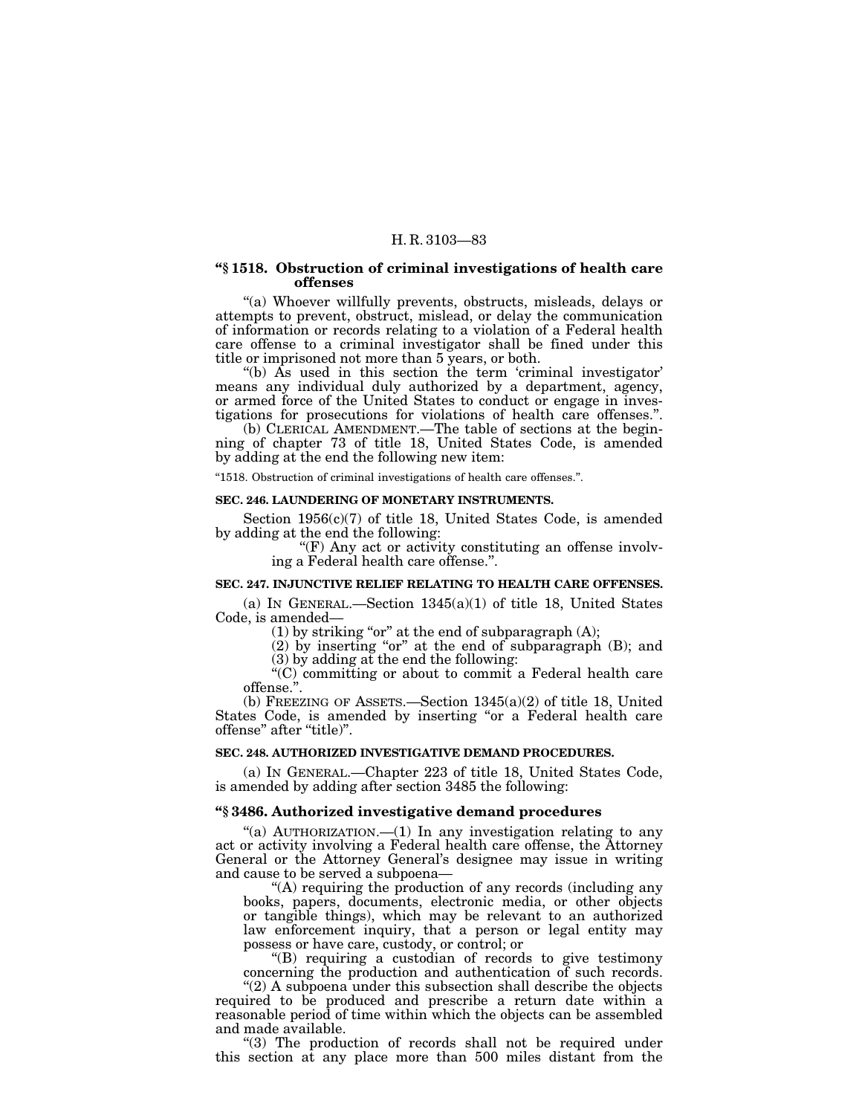#### **''§ 1518. Obstruction of criminal investigations of health care offenses**

''(a) Whoever willfully prevents, obstructs, misleads, delays or attempts to prevent, obstruct, mislead, or delay the communication of information or records relating to a violation of a Federal health care offense to a criminal investigator shall be fined under this title or imprisoned not more than 5 years, or both.

"(b)  $\overline{As}$  used in this section the term 'criminal investigator' means any individual duly authorized by a department, agency, or armed force of the United States to conduct or engage in investigations for prosecutions for violations of health care offenses.''.

(b) CLERICAL AMENDMENT.—The table of sections at the beginning of chapter 73 of title 18, United States Code, is amended by adding at the end the following new item:

''1518. Obstruction of criminal investigations of health care offenses.''.

#### **SEC. 246. LAUNDERING OF MONETARY INSTRUMENTS.**

Section 1956(c)(7) of title 18, United States Code, is amended by adding at the end the following:

" $(F)$  Any act or activity constituting an offense involving a Federal health care offense.''.

## **SEC. 247. INJUNCTIVE RELIEF RELATING TO HEALTH CARE OFFENSES.**

(a) IN GENERAL.—Section 1345(a)(1) of title 18, United States Code, is amended—

 $(1)$  by striking "or" at the end of subparagraph  $(A);$ 

(2) by inserting "or" at the end of subparagraph (B); and (3) by adding at the end the following:

''(C) committing or about to commit a Federal health care offense.''.

(b) FREEZING OF ASSETS.—Section  $1345(a)(2)$  of title 18, United States Code, is amended by inserting "or a Federal health care offense'' after ''title)''.

## **SEC. 248. AUTHORIZED INVESTIGATIVE DEMAND PROCEDURES.**

(a) IN GENERAL.—Chapter 223 of title 18, United States Code, is amended by adding after section 3485 the following:

## **''§ 3486. Authorized investigative demand procedures**

"(a) AUTHORIZATION.—(1) In any investigation relating to any act or activity involving a Federal health care offense, the Attorney General or the Attorney General's designee may issue in writing and cause to be served a subpoena—

 $(A)$  requiring the production of any records (including any books, papers, documents, electronic media, or other objects or tangible things), which may be relevant to an authorized law enforcement inquiry, that a person or legal entity may possess or have care, custody, or control; or

''(B) requiring a custodian of records to give testimony concerning the production and authentication of such records.

 $''(2)$  A subpoena under this subsection shall describe the objects required to be produced and prescribe a return date within a reasonable period of time within which the objects can be assembled and made available.

''(3) The production of records shall not be required under this section at any place more than 500 miles distant from the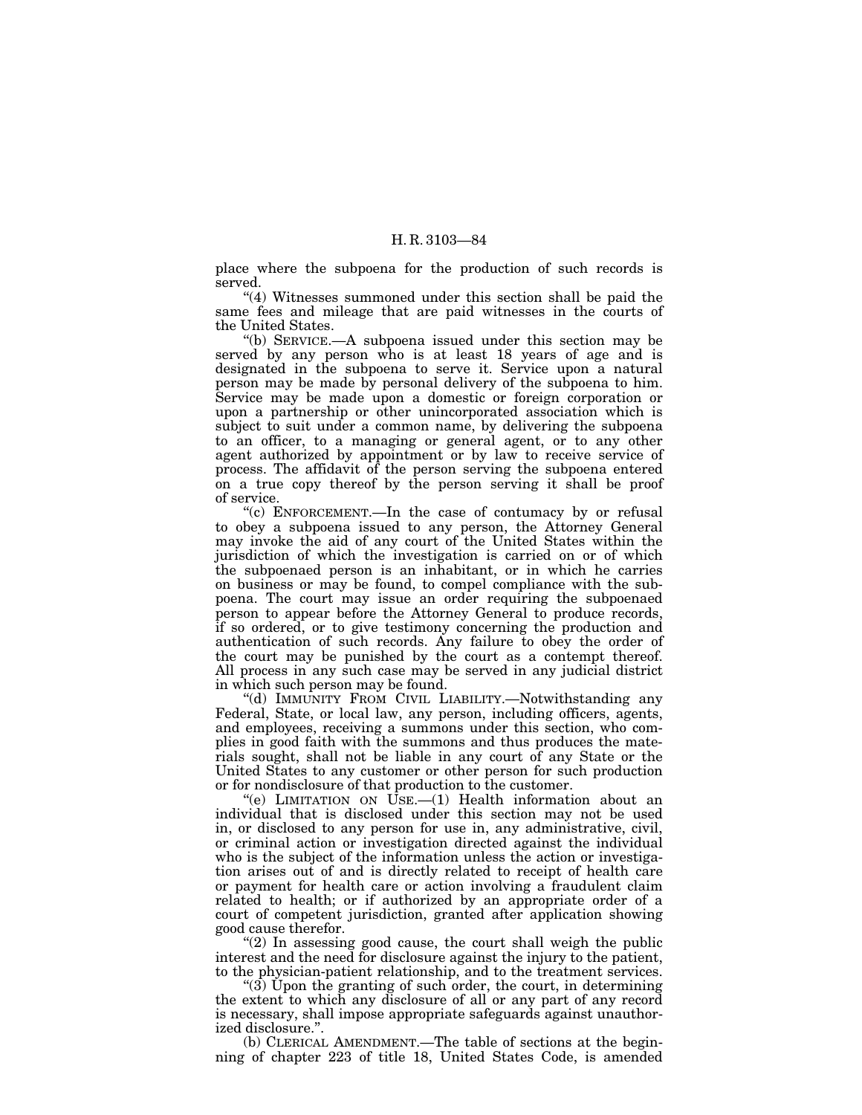place where the subpoena for the production of such records is served.

''(4) Witnesses summoned under this section shall be paid the same fees and mileage that are paid witnesses in the courts of the United States.

''(b) SERVICE.—A subpoena issued under this section may be served by any person who is at least 18 years of age and is designated in the subpoena to serve it. Service upon a natural person may be made by personal delivery of the subpoena to him. Service may be made upon a domestic or foreign corporation or upon a partnership or other unincorporated association which is subject to suit under a common name, by delivering the subpoena to an officer, to a managing or general agent, or to any other agent authorized by appointment or by law to receive service of process. The affidavit of the person serving the subpoena entered on a true copy thereof by the person serving it shall be proof of service.

''(c) ENFORCEMENT.—In the case of contumacy by or refusal to obey a subpoena issued to any person, the Attorney General may invoke the aid of any court of the United States within the jurisdiction of which the investigation is carried on or of which the subpoenaed person is an inhabitant, or in which he carries on business or may be found, to compel compliance with the subpoena. The court may issue an order requiring the subpoenaed person to appear before the Attorney General to produce records, if so ordered, or to give testimony concerning the production and authentication of such records. Any failure to obey the order of the court may be punished by the court as a contempt thereof. All process in any such case may be served in any judicial district in which such person may be found.

''(d) IMMUNITY FROM CIVIL LIABILITY.—Notwithstanding any Federal, State, or local law, any person, including officers, agents, and employees, receiving a summons under this section, who complies in good faith with the summons and thus produces the materials sought, shall not be liable in any court of any State or the United States to any customer or other person for such production or for nondisclosure of that production to the customer.

"(e) LIMITATION ON  $\text{Use}$   $- (1)$  Health information about an individual that is disclosed under this section may not be used in, or disclosed to any person for use in, any administrative, civil, or criminal action or investigation directed against the individual who is the subject of the information unless the action or investigation arises out of and is directly related to receipt of health care or payment for health care or action involving a fraudulent claim related to health; or if authorized by an appropriate order of a court of competent jurisdiction, granted after application showing good cause therefor.

"(2) In assessing good cause, the court shall weigh the public interest and the need for disclosure against the injury to the patient, to the physician-patient relationship, and to the treatment services.

" $(3)$  Upon the granting of such order, the court, in determining the extent to which any disclosure of all or any part of any record is necessary, shall impose appropriate safeguards against unauthorized disclosure.''.

(b) CLERICAL AMENDMENT.—The table of sections at the beginning of chapter 223 of title 18, United States Code, is amended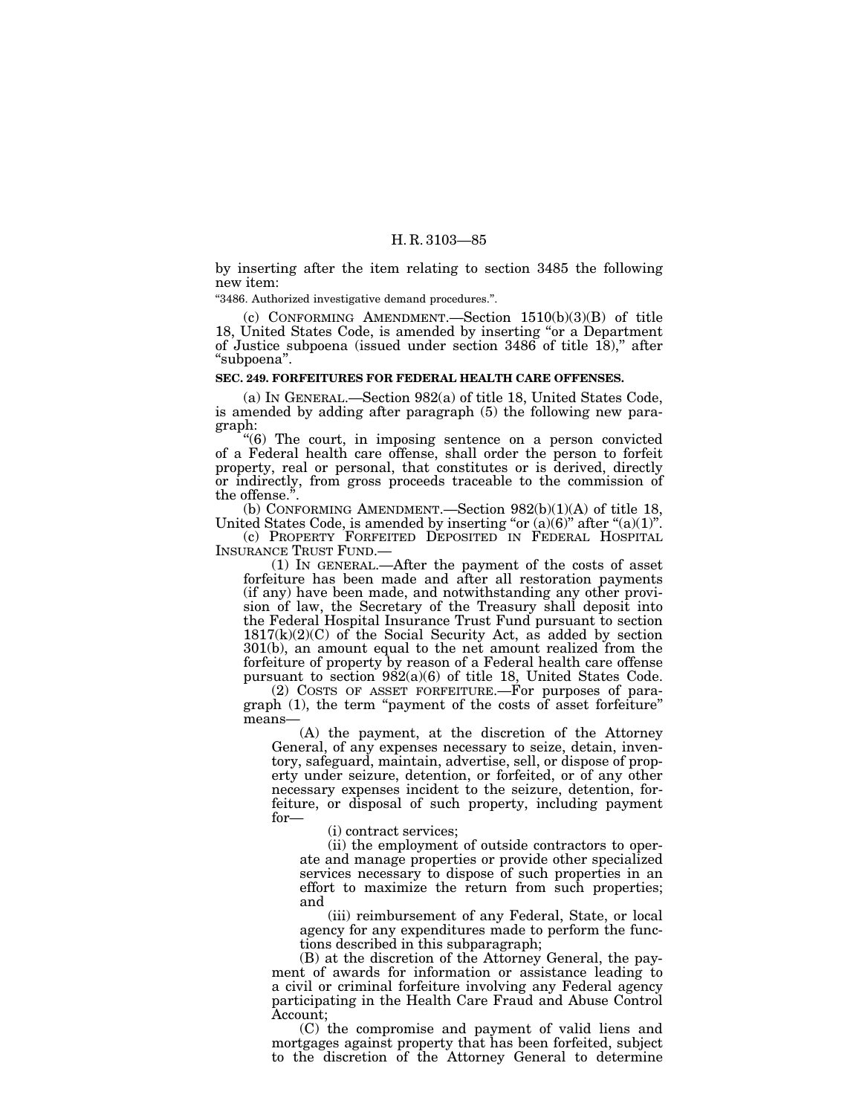by inserting after the item relating to section 3485 the following new item:

''3486. Authorized investigative demand procedures.''.

(c) CONFORMING AMENDMENT.—Section 1510(b)(3)(B) of title 18, United States Code, is amended by inserting ''or a Department of Justice subpoena (issued under section 3486 of title 18)," after ''subpoena''.

## **SEC. 249. FORFEITURES FOR FEDERAL HEALTH CARE OFFENSES.**

(a) IN GENERAL.—Section 982(a) of title 18, United States Code, is amended by adding after paragraph (5) the following new paragraph:

''(6) The court, in imposing sentence on a person convicted of a Federal health care offense, shall order the person to forfeit property, real or personal, that constitutes or is derived, directly or indirectly, from gross proceeds traceable to the commission of the offense.''.

(b) CONFORMING AMENDMENT.—Section 982(b)(1)(A) of title 18, United States Code, is amended by inserting "or  $(a)(6)$ " after " $(a)(1)$ ".

(c) PROPERTY FORFEITED DEPOSITED IN FEDERAL HOSPITAL INSURANCE TRUST FUND.—

 $(1)$  In GENERAL.—After the payment of the costs of asset forfeiture has been made and after all restoration payments (if any) have been made, and notwithstanding any other provision of law, the Secretary of the Treasury shall deposit into the Federal Hospital Insurance Trust Fund pursuant to section  $1817(k)(2)(C)$  of the Social Security Act, as added by section 301(b), an amount equal to the net amount realized from the forfeiture of property by reason of a Federal health care offense pursuant to section 982(a)(6) of title 18, United States Code.

(2) COSTS OF ASSET FORFEITURE.—For purposes of para $graph(1)$ , the term "payment of the costs of asset forfeiture" means—

(A) the payment, at the discretion of the Attorney General, of any expenses necessary to seize, detain, inventory, safeguard, maintain, advertise, sell, or dispose of property under seizure, detention, or forfeited, or of any other necessary expenses incident to the seizure, detention, forfeiture, or disposal of such property, including payment for—

(i) contract services;

(ii) the employment of outside contractors to operate and manage properties or provide other specialized services necessary to dispose of such properties in an effort to maximize the return from such properties; and

(iii) reimbursement of any Federal, State, or local agency for any expenditures made to perform the functions described in this subparagraph;

(B) at the discretion of the Attorney General, the payment of awards for information or assistance leading to a civil or criminal forfeiture involving any Federal agency participating in the Health Care Fraud and Abuse Control Account;

(C) the compromise and payment of valid liens and mortgages against property that has been forfeited, subject to the discretion of the Attorney General to determine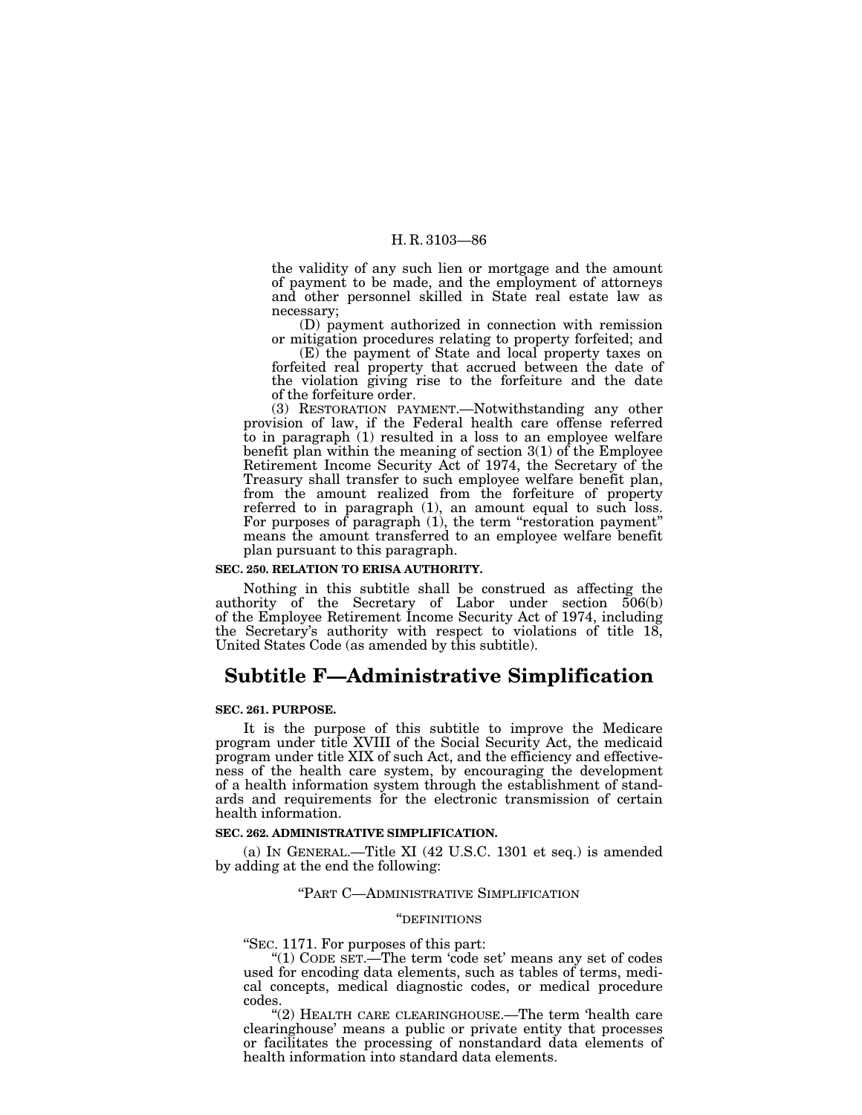the validity of any such lien or mortgage and the amount of payment to be made, and the employment of attorneys and other personnel skilled in State real estate law as necessary;

(D) payment authorized in connection with remission or mitigation procedures relating to property forfeited; and

(E) the payment of State and local property taxes on forfeited real property that accrued between the date of the violation giving rise to the forfeiture and the date of the forfeiture order.

(3) RESTORATION PAYMENT.—Notwithstanding any other provision of law, if the Federal health care offense referred to in paragraph (1) resulted in a loss to an employee welfare benefit plan within the meaning of section 3(1) of the Employee Retirement Income Security Act of 1974, the Secretary of the Treasury shall transfer to such employee welfare benefit plan, from the amount realized from the forfeiture of property referred to in paragraph (1), an amount equal to such loss. For purposes of paragraph (1), the term "restoration payment" means the amount transferred to an employee welfare benefit plan pursuant to this paragraph.

#### **SEC. 250. RELATION TO ERISA AUTHORITY.**

Nothing in this subtitle shall be construed as affecting the authority of the Secretary of Labor under section 506(b) of the Employee Retirement Income Security Act of 1974, including the Secretary's authority with respect to violations of title 18, United States Code (as amended by this subtitle).

# **Subtitle F—Administrative Simplification**

#### **SEC. 261. PURPOSE.**

It is the purpose of this subtitle to improve the Medicare program under title XVIII of the Social Security Act, the medicaid program under title XIX of such Act, and the efficiency and effectiveness of the health care system, by encouraging the development of a health information system through the establishment of standards and requirements for the electronic transmission of certain health information.

#### **SEC. 262. ADMINISTRATIVE SIMPLIFICATION.**

(a) IN GENERAL.—Title XI (42 U.S.C. 1301 et seq.) is amended by adding at the end the following:

## ''PART C—ADMINISTRATIVE SIMPLIFICATION

#### ''DEFINITIONS

''SEC. 1171. For purposes of this part:

''(1) CODE SET.—The term 'code set' means any set of codes used for encoding data elements, such as tables of terms, medical concepts, medical diagnostic codes, or medical procedure codes.

''(2) HEALTH CARE CLEARINGHOUSE.—The term 'health care clearinghouse' means a public or private entity that processes or facilitates the processing of nonstandard data elements of health information into standard data elements.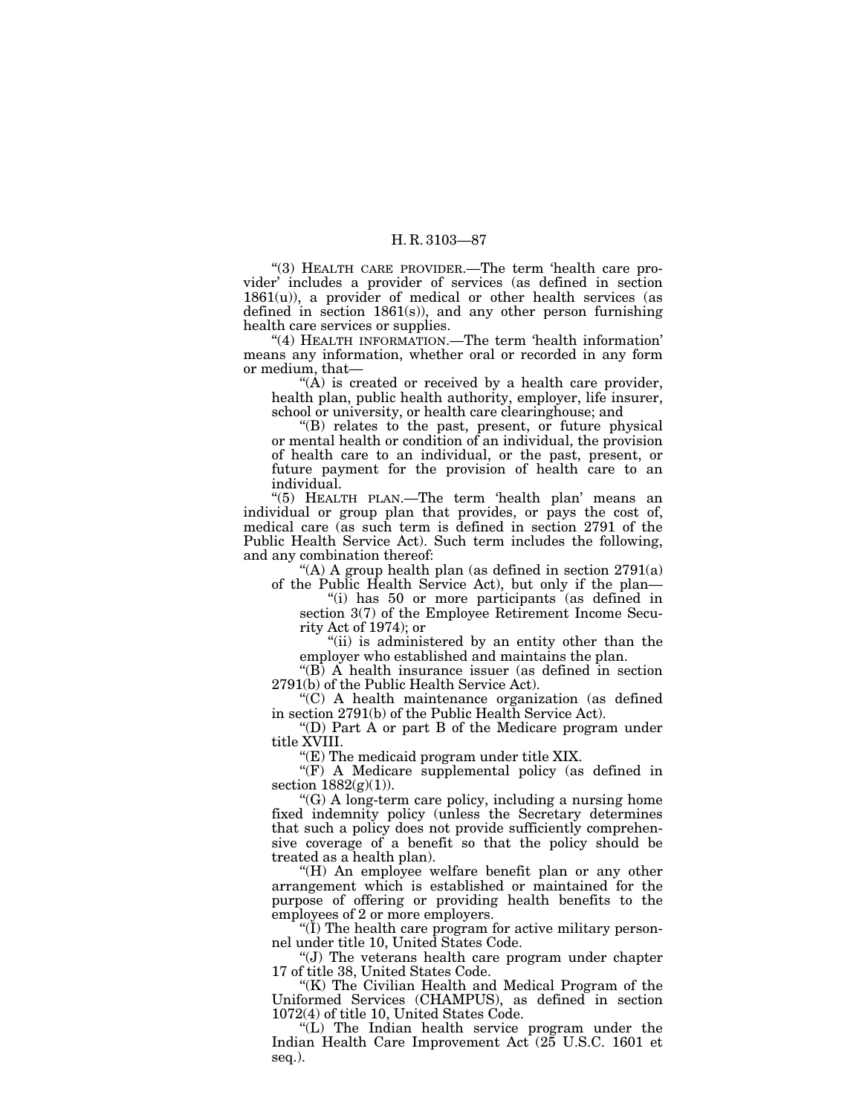''(3) HEALTH CARE PROVIDER.—The term 'health care provider' includes a provider of services (as defined in section 1861(u)), a provider of medical or other health services (as defined in section 1861(s)), and any other person furnishing health care services or supplies.

"(4) HEALTH INFORMATION.—The term 'health information' means any information, whether oral or recorded in any form or medium, that—

 $(A)$  is created or received by a health care provider, health plan, public health authority, employer, life insurer, school or university, or health care clearinghouse; and

''(B) relates to the past, present, or future physical or mental health or condition of an individual, the provision of health care to an individual, or the past, present, or future payment for the provision of health care to an individual.

''(5) HEALTH PLAN.—The term 'health plan' means an individual or group plan that provides, or pays the cost of, medical care (as such term is defined in section 2791 of the Public Health Service Act). Such term includes the following, and any combination thereof:

"(A) A group health plan (as defined in section  $2791(a)$ of the Public Health Service Act), but only if the plan—

''(i) has 50 or more participants (as defined in section 3(7) of the Employee Retirement Income Security Act of 1974); or

"(ii) is administered by an entity other than the employer who established and maintains the plan.

" $(B)$  A health insurance issuer (as defined in section 2791(b) of the Public Health Service Act).

''(C) A health maintenance organization (as defined in section 2791(b) of the Public Health Service Act).

''(D) Part A or part B of the Medicare program under title XVIII.

''(E) The medicaid program under title XIX.

"(F) A Medicare supplemental policy (as defined in section 1882(g)(1)).

''(G) A long-term care policy, including a nursing home fixed indemnity policy (unless the Secretary determines that such a policy does not provide sufficiently comprehensive coverage of a benefit so that the policy should be treated as a health plan).

"(H) An employee welfare benefit plan or any other arrangement which is established or maintained for the purpose of offering or providing health benefits to the employees of 2 or more employers.

''(I) The health care program for active military personnel under title 10, United States Code.

''(J) The veterans health care program under chapter 17 of title 38, United States Code.

"(K) The Civilian Health and Medical Program of the Uniformed Services (CHAMPUS), as defined in section 1072(4) of title 10, United States Code.

''(L) The Indian health service program under the Indian Health Care Improvement Act (25 U.S.C. 1601 et seq.).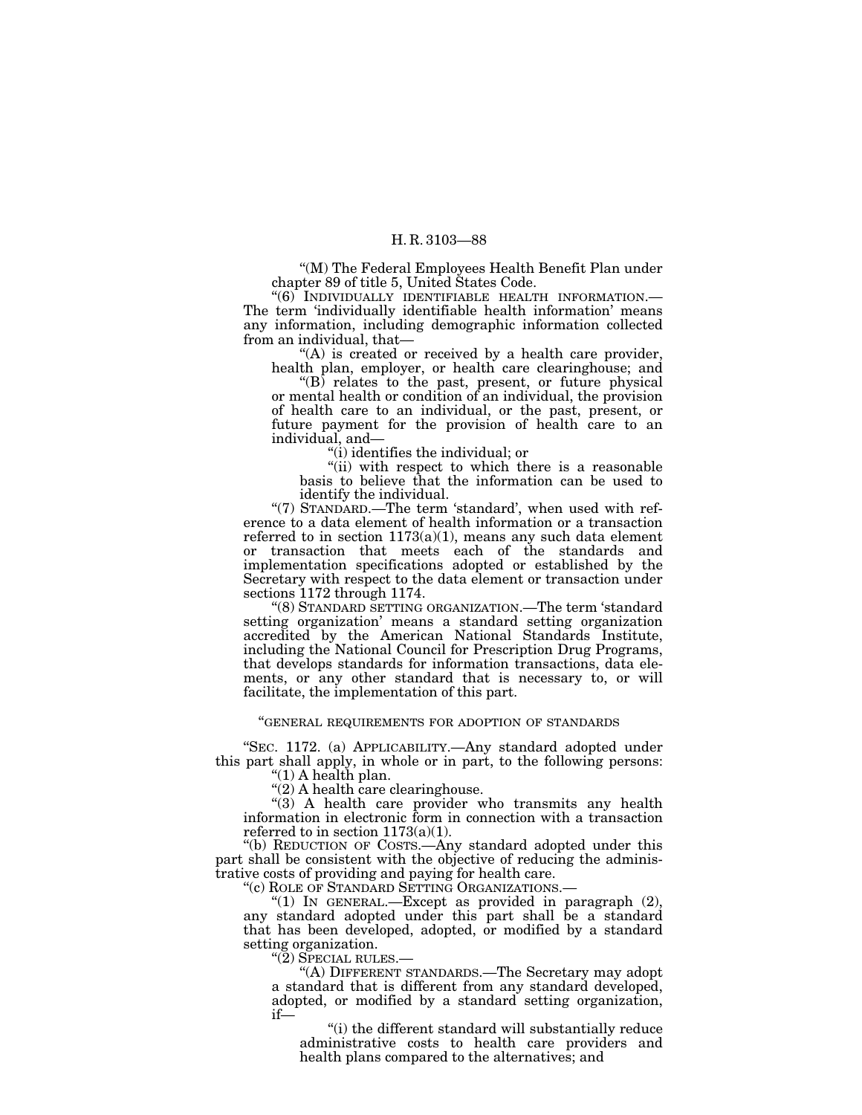''(M) The Federal Employees Health Benefit Plan under chapter 89 of title 5, United States Code.

''(6) INDIVIDUALLY IDENTIFIABLE HEALTH INFORMATION.— The term 'individually identifiable health information' means any information, including demographic information collected from an individual, that—

''(A) is created or received by a health care provider, health plan, employer, or health care clearinghouse; and

 $\mathrm{``(B)}$  relates to the past, present, or future physical or mental health or condition of an individual, the provision of health care to an individual, or the past, present, or future payment for the provision of health care to an individual, and—

''(i) identifies the individual; or

"(ii) with respect to which there is a reasonable basis to believe that the information can be used to identify the individual.

''(7) STANDARD.—The term 'standard', when used with reference to a data element of health information or a transaction referred to in section  $1173(a)(1)$ , means any such data element or transaction that meets each of the standards and implementation specifications adopted or established by the Secretary with respect to the data element or transaction under sections 1172 through 1174.

''(8) STANDARD SETTING ORGANIZATION.—The term 'standard setting organization' means a standard setting organization accredited by the American National Standards Institute, including the National Council for Prescription Drug Programs, that develops standards for information transactions, data elements, or any other standard that is necessary to, or will facilitate, the implementation of this part.

#### ''GENERAL REQUIREMENTS FOR ADOPTION OF STANDARDS

''SEC. 1172. (a) APPLICABILITY.—Any standard adopted under this part shall apply, in whole or in part, to the following persons:

''(1) A health plan.

''(2) A health care clearinghouse.

"(3) A health care provider who transmits any health information in electronic form in connection with a transaction referred to in section  $1173(a)(1)$ .

''(b) REDUCTION OF COSTS.—Any standard adopted under this part shall be consistent with the objective of reducing the administrative costs of providing and paying for health care.

''(c) ROLE OF STANDARD SETTING ORGANIZATIONS.—

"(1) In GENERAL.—Except as provided in paragraph (2), any standard adopted under this part shall be a standard that has been developed, adopted, or modified by a standard setting organization.

''(2) SPECIAL RULES.—

''(A) DIFFERENT STANDARDS.—The Secretary may adopt a standard that is different from any standard developed, adopted, or modified by a standard setting organization, if—

''(i) the different standard will substantially reduce administrative costs to health care providers and health plans compared to the alternatives; and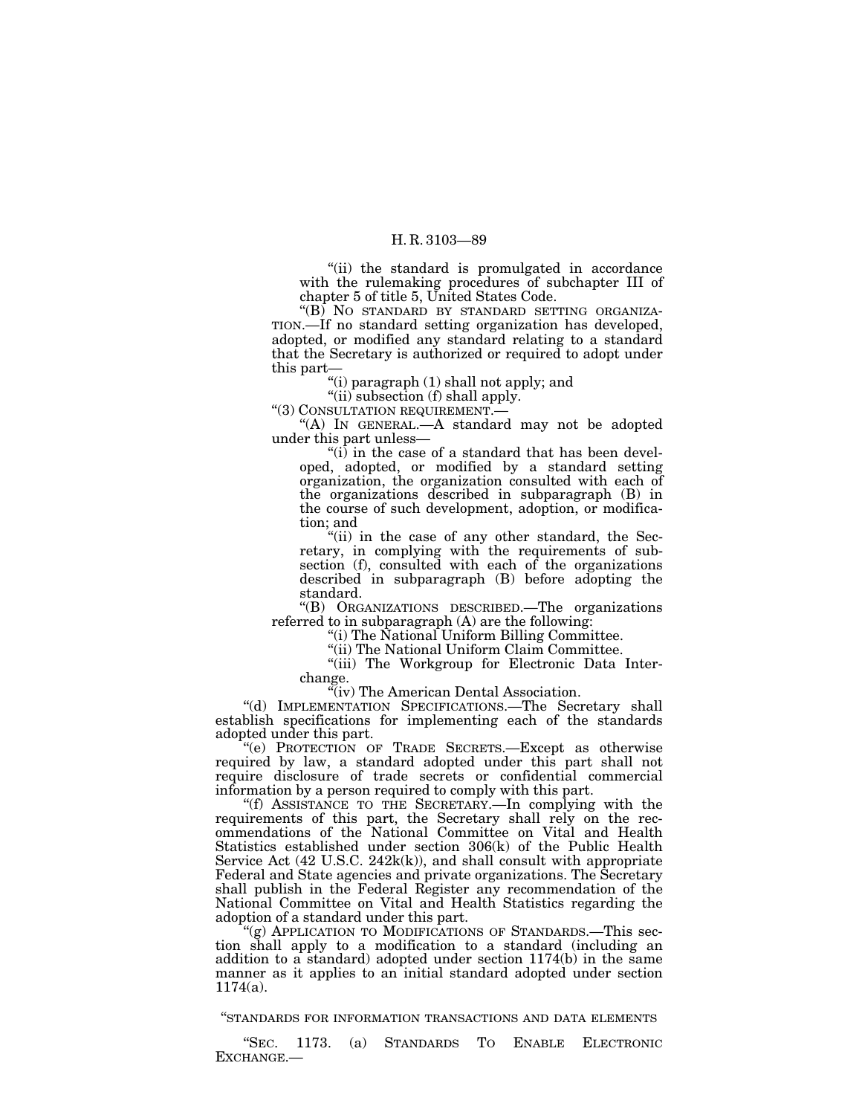''(ii) the standard is promulgated in accordance with the rulemaking procedures of subchapter III of chapter 5 of title 5, United States Code.

''(B) NO STANDARD BY STANDARD SETTING ORGANIZA-TION.—If no standard setting organization has developed, adopted, or modified any standard relating to a standard that the Secretary is authorized or required to adopt under this part—

''(i) paragraph (1) shall not apply; and

"(ii) subsection (f) shall apply.

''(3) CONSULTATION REQUIREMENT.—

''(A) IN GENERAL.—A standard may not be adopted under this part unless—

" $(i)$  in the case of a standard that has been developed, adopted, or modified by a standard setting organization, the organization consulted with each of the organizations described in subparagraph (B) in the course of such development, adoption, or modification; and

''(ii) in the case of any other standard, the Secretary, in complying with the requirements of subsection (f), consulted with each of the organizations described in subparagraph (B) before adopting the standard.

''(B) ORGANIZATIONS DESCRIBED.—The organizations referred to in subparagraph (A) are the following:

''(i) The National Uniform Billing Committee.

''(ii) The National Uniform Claim Committee.

"(iii) The Workgroup for Electronic Data Interchange.

''(iv) The American Dental Association.

''(d) IMPLEMENTATION SPECIFICATIONS.—The Secretary shall establish specifications for implementing each of the standards adopted under this part.

''(e) PROTECTION OF TRADE SECRETS.—Except as otherwise required by law, a standard adopted under this part shall not require disclosure of trade secrets or confidential commercial information by a person required to comply with this part.

''(f) ASSISTANCE TO THE SECRETARY.—In complying with the requirements of this part, the Secretary shall rely on the recommendations of the National Committee on Vital and Health Statistics established under section 306(k) of the Public Health Service Act (42 U.S.C. 242k(k)), and shall consult with appropriate Federal and State agencies and private organizations. The Secretary shall publish in the Federal Register any recommendation of the National Committee on Vital and Health Statistics regarding the adoption of a standard under this part.

''(g) APPLICATION TO MODIFICATIONS OF STANDARDS.—This section shall apply to a modification to a standard (including an addition to a standard) adopted under section 1174(b) in the same manner as it applies to an initial standard adopted under section 1174(a).

''STANDARDS FOR INFORMATION TRANSACTIONS AND DATA ELEMENTS

''SEC. 1173. (a) STANDARDS TO ENABLE ELECTRONIC EXCHANGE.—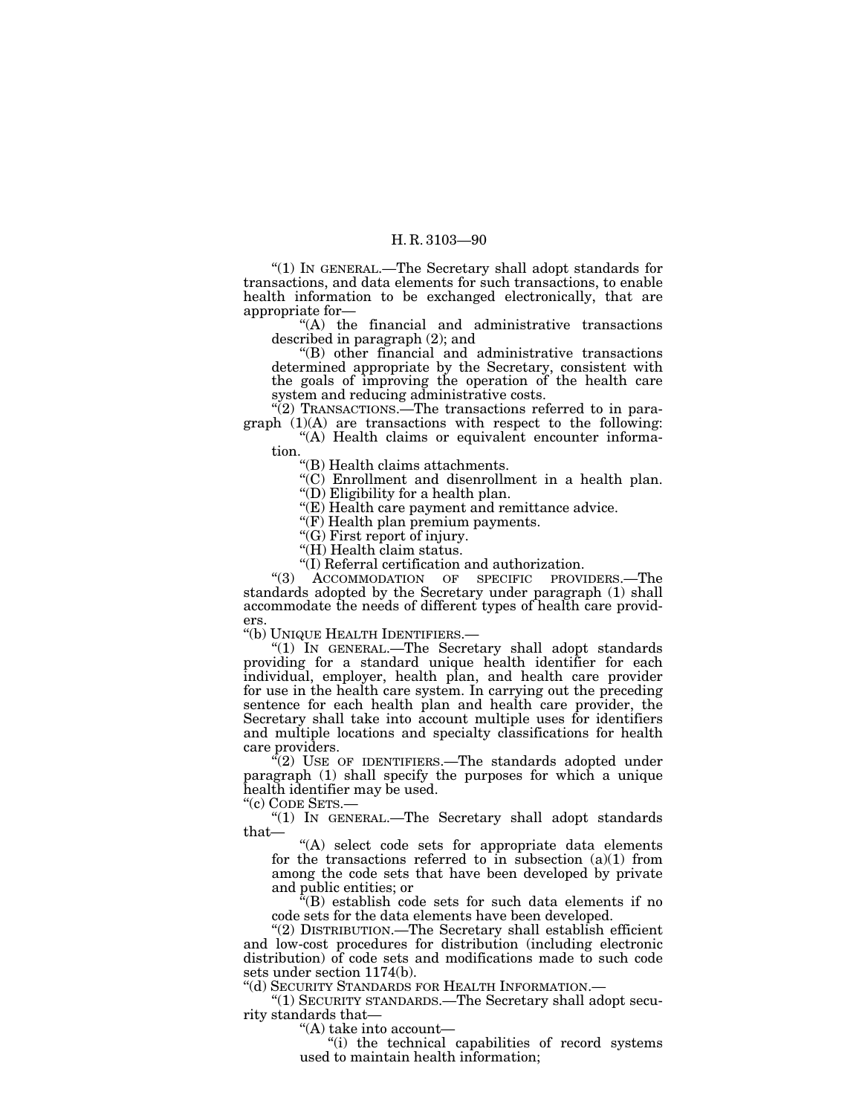''(1) IN GENERAL.—The Secretary shall adopt standards for transactions, and data elements for such transactions, to enable health information to be exchanged electronically, that are appropriate for—

''(A) the financial and administrative transactions described in paragraph (2); and

''(B) other financial and administrative transactions determined appropriate by the Secretary, consistent with the goals of improving the operation of the health care system and reducing administrative costs.

"(2) TRANSACTIONS.—The transactions referred to in paragraph  $(1)(A)$  are transactions with respect to the following:

''(A) Health claims or equivalent encounter information.

''(B) Health claims attachments.

 $\mathcal{C}(C)$  Enrollment and disenrollment in a health plan.

''(D) Eligibility for a health plan.

''(E) Health care payment and remittance advice.

''(F) Health plan premium payments.

''(G) First report of injury.

"(H) Health claim status.

''(I) Referral certification and authorization.

''(3) ACCOMMODATION OF SPECIFIC PROVIDERS.—The standards adopted by the Secretary under paragraph (1) shall accommodate the needs of different types of health care providers.

''(b) UNIQUE HEALTH IDENTIFIERS.—

''(1) IN GENERAL.—The Secretary shall adopt standards providing for a standard unique health identifier for each individual, employer, health plan, and health care provider for use in the health care system. In carrying out the preceding sentence for each health plan and health care provider, the Secretary shall take into account multiple uses for identifiers and multiple locations and specialty classifications for health care providers.

 $\sqrt{f(2)}$  USE OF IDENTIFIERS.—The standards adopted under paragraph (1) shall specify the purposes for which a unique health identifier may be used.<br>"(c) CODE SETS.—

" $(1)$  In GENERAL.—The Secretary shall adopt standards that—

"(A) select code sets for appropriate data elements for the transactions referred to in subsection  $(a)(1)$  from among the code sets that have been developed by private and public entities; or

''(B) establish code sets for such data elements if no code sets for the data elements have been developed.

''(2) DISTRIBUTION.—The Secretary shall establish efficient and low-cost procedures for distribution (including electronic distribution) of code sets and modifications made to such code sets under section 1174(b).

''(d) SECURITY STANDARDS FOR HEALTH INFORMATION.—

''(1) SECURITY STANDARDS.—The Secretary shall adopt security standards that—

''(A) take into account—

''(i) the technical capabilities of record systems used to maintain health information;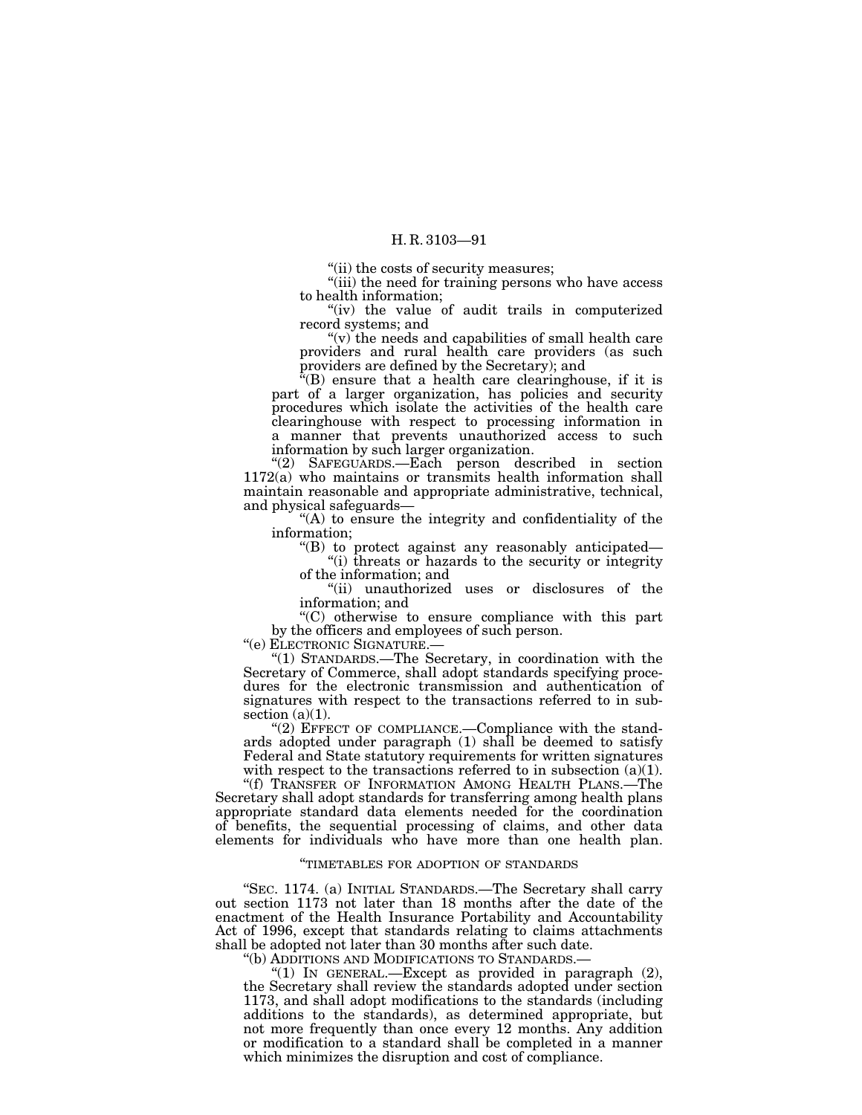"(ii) the costs of security measures;

"(iii) the need for training persons who have access to health information;

"(iv) the value of audit trails in computerized record systems; and

" $(v)$  the needs and capabilities of small health care providers and rural health care providers (as such providers are defined by the Secretary); and

 $\sqrt{f}(B)$  ensure that a health care clearinghouse, if it is part of a larger organization, has policies and security procedures which isolate the activities of the health care clearinghouse with respect to processing information in a manner that prevents unauthorized access to such information by such larger organization.

''(2) SAFEGUARDS.—Each person described in section 1172(a) who maintains or transmits health information shall maintain reasonable and appropriate administrative, technical, and physical safeguards—

''(A) to ensure the integrity and confidentiality of the information;

''(B) to protect against any reasonably anticipated—

''(i) threats or hazards to the security or integrity of the information; and

''(ii) unauthorized uses or disclosures of the information; and

''(C) otherwise to ensure compliance with this part by the officers and employees of such person.<br>"(e) ELECTRONIC SIGNATURE.—

"(1) STANDARDS.—The Secretary, in coordination with the Secretary of Commerce, shall adopt standards specifying procedures for the electronic transmission and authentication of signatures with respect to the transactions referred to in subsection  $(a)(1)$ .

"(2) EFFECT OF COMPLIANCE.—Compliance with the standards adopted under paragraph (1) shall be deemed to satisfy Federal and State statutory requirements for written signatures with respect to the transactions referred to in subsection (a)(1).

''(f) TRANSFER OF INFORMATION AMONG HEALTH PLANS.—The Secretary shall adopt standards for transferring among health plans appropriate standard data elements needed for the coordination of benefits, the sequential processing of claims, and other data elements for individuals who have more than one health plan.

#### ''TIMETABLES FOR ADOPTION OF STANDARDS

''SEC. 1174. (a) INITIAL STANDARDS.—The Secretary shall carry out section 1173 not later than 18 months after the date of the enactment of the Health Insurance Portability and Accountability Act of 1996, except that standards relating to claims attachments shall be adopted not later than 30 months after such date.<br>"(b) ADDITIONS AND MODIFICATIONS TO STANDARDS.—

''(b) ADDITIONS AND MODIFICATIONS TO STANDARDS.— ''(1) IN GENERAL.—Except as provided in paragraph (2), the Secretary shall review the standards adopted under section 1173, and shall adopt modifications to the standards (including additions to the standards), as determined appropriate, but not more frequently than once every 12 months. Any addition or modification to a standard shall be completed in a manner which minimizes the disruption and cost of compliance.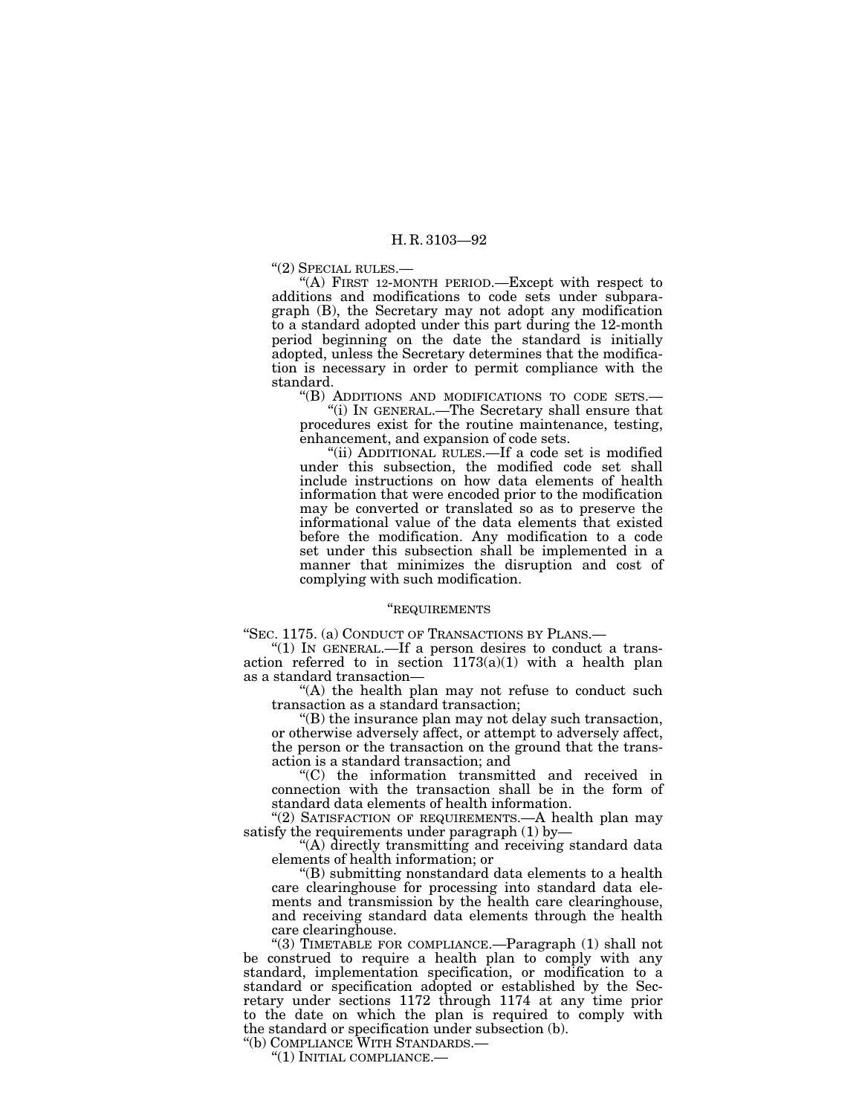''(2) SPECIAL RULES.—

''(A) FIRST 12-MONTH PERIOD.—Except with respect to additions and modifications to code sets under subparagraph (B), the Secretary may not adopt any modification to a standard adopted under this part during the 12-month period beginning on the date the standard is initially adopted, unless the Secretary determines that the modification is necessary in order to permit compliance with the standard.

''(B) ADDITIONS AND MODIFICATIONS TO CODE SETS.—

''(i) IN GENERAL.—The Secretary shall ensure that procedures exist for the routine maintenance, testing, enhancement, and expansion of code sets.

''(ii) ADDITIONAL RULES.—If a code set is modified under this subsection, the modified code set shall include instructions on how data elements of health information that were encoded prior to the modification may be converted or translated so as to preserve the informational value of the data elements that existed before the modification. Any modification to a code set under this subsection shall be implemented in a manner that minimizes the disruption and cost of complying with such modification.

### ''REQUIREMENTS

"SEC. 1175. (a) CONDUCT OF TRANSACTIONS BY PLANS.—

" $(1)$  In GENERAL.—If a person desires to conduct a transaction referred to in section  $1173(a)(1)$  with a health plan as a standard transaction—

"(A) the health plan may not refuse to conduct such transaction as a standard transaction;

''(B) the insurance plan may not delay such transaction, or otherwise adversely affect, or attempt to adversely affect, the person or the transaction on the ground that the transaction is a standard transaction; and

''(C) the information transmitted and received in connection with the transaction shall be in the form of standard data elements of health information.

''(2) SATISFACTION OF REQUIREMENTS.—A health plan may satisfy the requirements under paragraph (1) by—

"(A) directly transmitting and receiving standard data elements of health information; or

''(B) submitting nonstandard data elements to a health care clearinghouse for processing into standard data elements and transmission by the health care clearinghouse, and receiving standard data elements through the health care clearinghouse.

''(3) TIMETABLE FOR COMPLIANCE.—Paragraph (1) shall not be construed to require a health plan to comply with any standard, implementation specification, or modification to a standard or specification adopted or established by the Secretary under sections 1172 through 1174 at any time prior to the date on which the plan is required to comply with the standard or specification under subsection (b).

''(b) COMPLIANCE WITH STANDARDS.—

''(1) INITIAL COMPLIANCE.—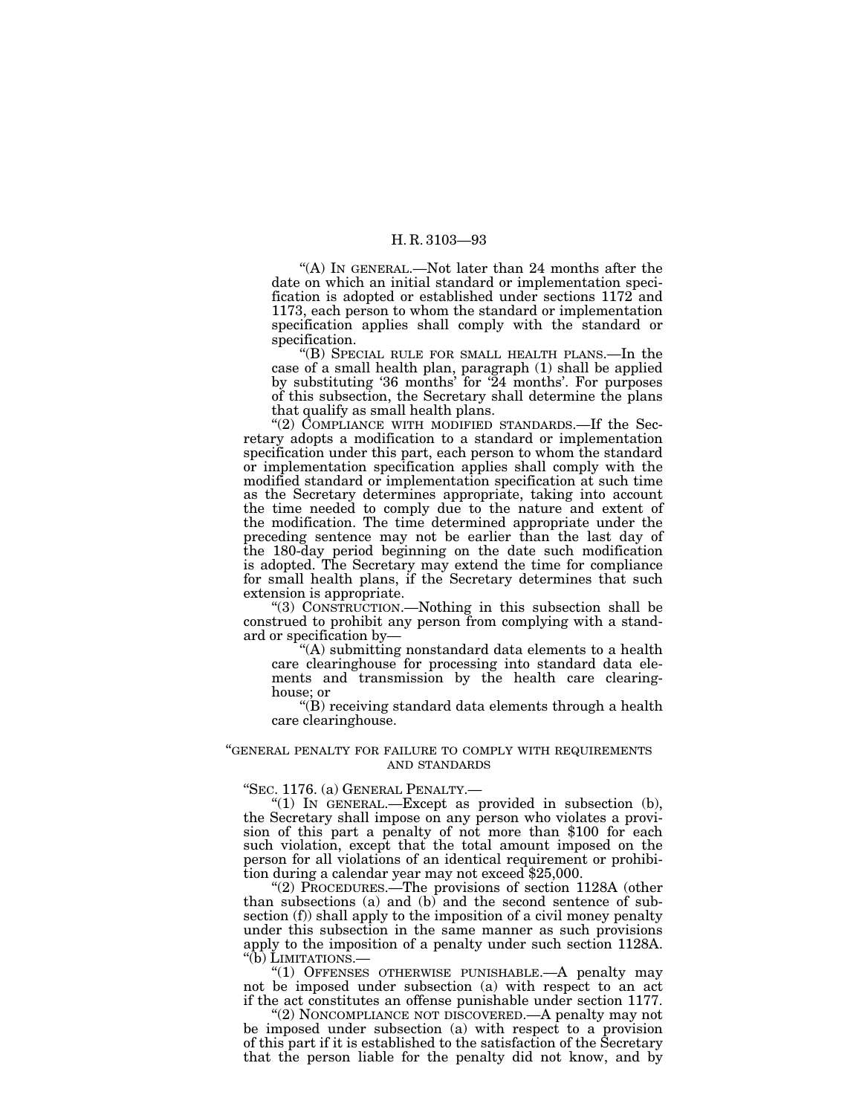''(A) IN GENERAL.—Not later than 24 months after the date on which an initial standard or implementation specification is adopted or established under sections 1172 and 1173, each person to whom the standard or implementation specification applies shall comply with the standard or specification.

''(B) SPECIAL RULE FOR SMALL HEALTH PLANS.—In the case of a small health plan, paragraph (1) shall be applied by substituting '36 months' for '24 months'. For purposes of this subsection, the Secretary shall determine the plans that qualify as small health plans.

"(2) COMPLIANCE WITH MODIFIED STANDARDS.—If the Secretary adopts a modification to a standard or implementation specification under this part, each person to whom the standard or implementation specification applies shall comply with the modified standard or implementation specification at such time as the Secretary determines appropriate, taking into account the time needed to comply due to the nature and extent of the modification. The time determined appropriate under the preceding sentence may not be earlier than the last day of the 180-day period beginning on the date such modification is adopted. The Secretary may extend the time for compliance for small health plans, if the Secretary determines that such extension is appropriate.

''(3) CONSTRUCTION.—Nothing in this subsection shall be construed to prohibit any person from complying with a standard or specification by—

''(A) submitting nonstandard data elements to a health care clearinghouse for processing into standard data elements and transmission by the health care clearinghouse; or

''(B) receiving standard data elements through a health care clearinghouse.

#### ''GENERAL PENALTY FOR FAILURE TO COMPLY WITH REQUIREMENTS AND STANDARDS

''SEC. 1176. (a) GENERAL PENALTY.— ''(1) IN GENERAL.—Except as provided in subsection (b), the Secretary shall impose on any person who violates a provision of this part a penalty of not more than \$100 for each such violation, except that the total amount imposed on the person for all violations of an identical requirement or prohibition during a calendar year may not exceed \$25,000.

"(2) PROCEDURES.—The provisions of section  $1128A$  (other than subsections (a) and (b) and the second sentence of subsection (f)) shall apply to the imposition of a civil money penalty under this subsection in the same manner as such provisions apply to the imposition of a penalty under such section 1128A. ''(b) LIMITATIONS.—

''(1) OFFENSES OTHERWISE PUNISHABLE.—A penalty may not be imposed under subsection (a) with respect to an act if the act constitutes an offense punishable under section 1177.

"(2) NONCOMPLIANCE NOT DISCOVERED.—A penalty may not be imposed under subsection (a) with respect to a provision of this part if it is established to the satisfaction of the Secretary that the person liable for the penalty did not know, and by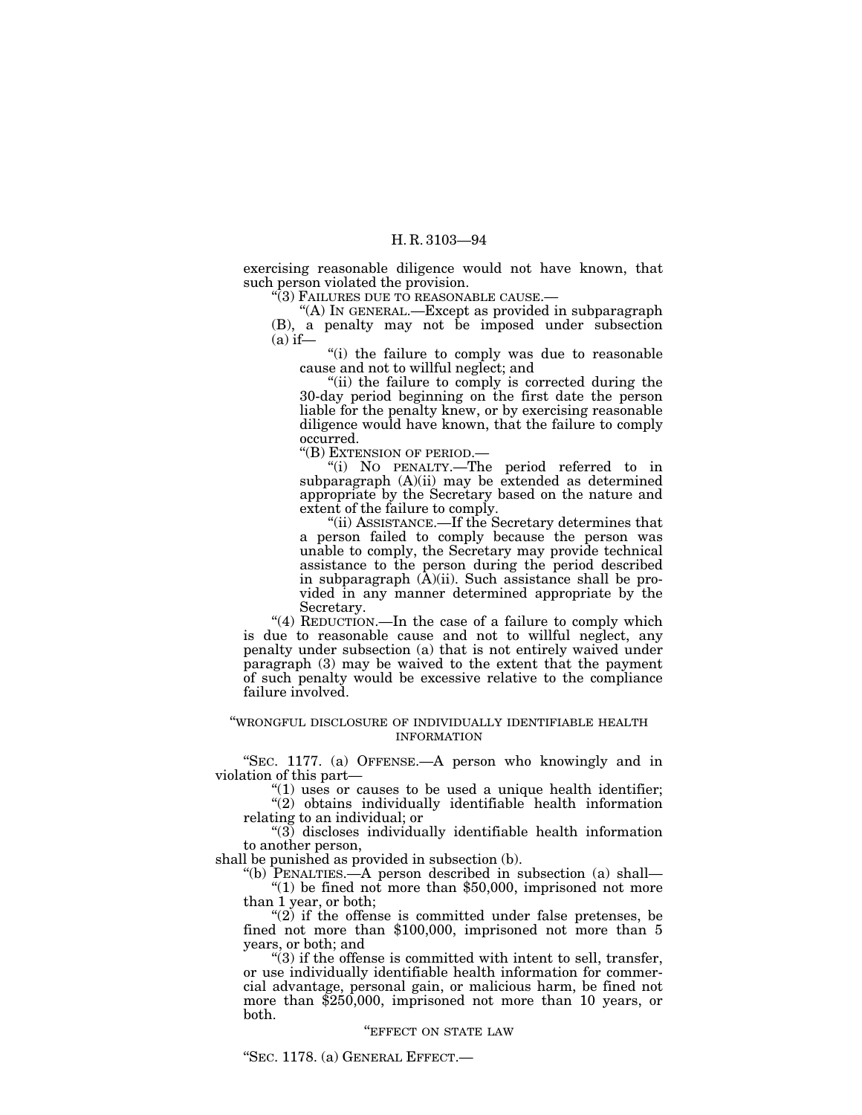exercising reasonable diligence would not have known, that such person violated the provision.

''(3) FAILURES DUE TO REASONABLE CAUSE.—

''(A) IN GENERAL.—Except as provided in subparagraph (B), a penalty may not be imposed under subsection  $(a)$  if—

''(i) the failure to comply was due to reasonable cause and not to willful neglect; and

''(ii) the failure to comply is corrected during the 30-day period beginning on the first date the person liable for the penalty knew, or by exercising reasonable diligence would have known, that the failure to comply occurred.

''(B) EXTENSION OF PERIOD.—

''(i) NO PENALTY.—The period referred to in subparagraph (A)(ii) may be extended as determined appropriate by the Secretary based on the nature and extent of the failure to comply.

''(ii) ASSISTANCE.—If the Secretary determines that a person failed to comply because the person was unable to comply, the Secretary may provide technical assistance to the person during the period described in subparagraph (A)(ii). Such assistance shall be provided in any manner determined appropriate by the Secretary.

"(4) REDUCTION.—In the case of a failure to comply which is due to reasonable cause and not to willful neglect, any penalty under subsection (a) that is not entirely waived under paragraph (3) may be waived to the extent that the payment of such penalty would be excessive relative to the compliance failure involved.

#### ''WRONGFUL DISCLOSURE OF INDIVIDUALLY IDENTIFIABLE HEALTH INFORMATION

''SEC. 1177. (a) OFFENSE.—A person who knowingly and in violation of this part—

" $(1)$  uses or causes to be used a unique health identifier;

''(2) obtains individually identifiable health information relating to an individual; or

''(3) discloses individually identifiable health information to another person,

shall be punished as provided in subsection (b).

"(b) PENALTIES.—A person described in subsection (a) shall—<br>"(1) be fined not more than \$50,000, imprisoned not more

than 1 year, or both;

 $(2)$  if the offense is committed under false pretenses, be fined not more than \$100,000, imprisoned not more than 5 years, or both; and

 $'(3)$  if the offense is committed with intent to sell, transfer, or use individually identifiable health information for commercial advantage, personal gain, or malicious harm, be fined not more than \$250,000, imprisoned not more than 10 years, or both.

''EFFECT ON STATE LAW

''SEC. 1178. (a) GENERAL EFFECT.—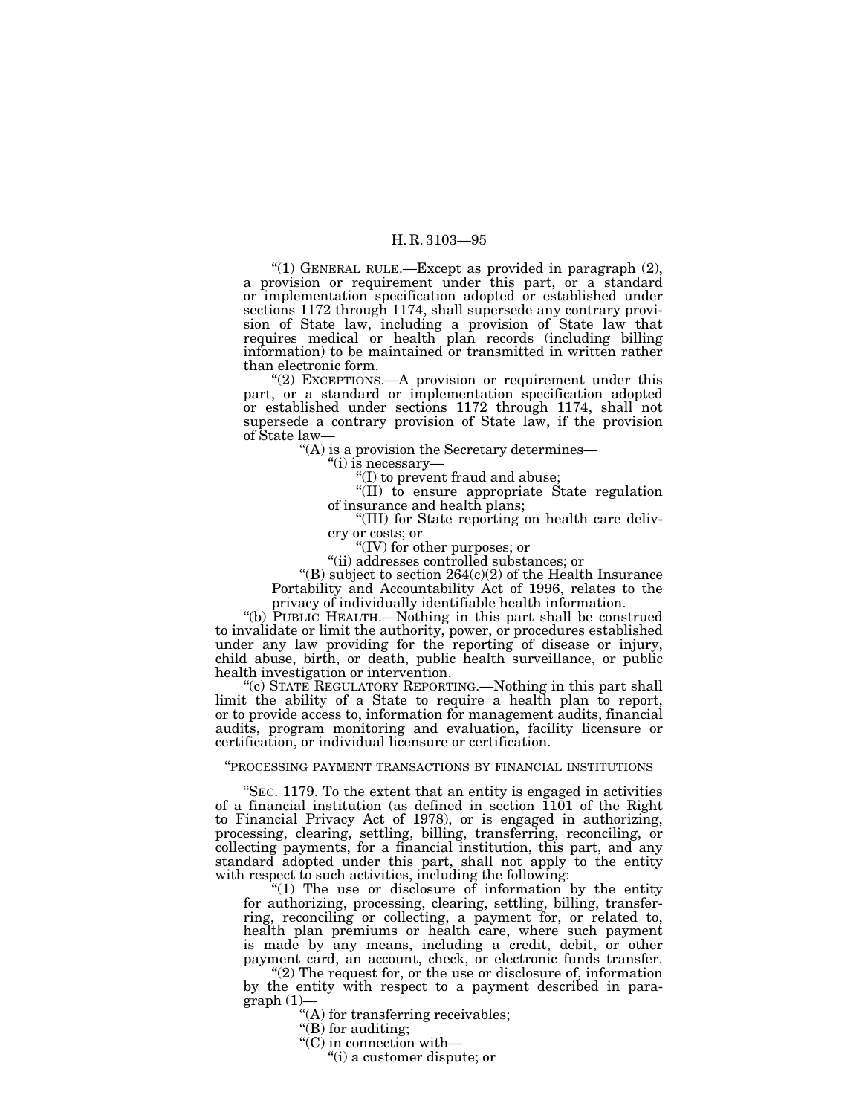"(1) GENERAL RULE.—Except as provided in paragraph  $(2)$ , a provision or requirement under this part, or a standard or implementation specification adopted or established under sections 1172 through 1174, shall supersede any contrary provision of State law, including a provision of State law that requires medical or health plan records (including billing information) to be maintained or transmitted in written rather than electronic form.

 $(2)$  EXCEPTIONS.—A provision or requirement under this part, or a standard or implementation specification adopted or established under sections 1172 through 1174, shall not supersede a contrary provision of State law, if the provision of State law—

''(A) is a provision the Secretary determines—

''(i) is necessary—

''(I) to prevent fraud and abuse;

''(II) to ensure appropriate State regulation of insurance and health plans;

''(III) for State reporting on health care delivery or costs; or

''(IV) for other purposes; or

''(ii) addresses controlled substances; or

"(B) subject to section  $264(c)(2)$  of the Health Insurance Portability and Accountability Act of 1996, relates to the privacy of individually identifiable health information.

''(b) PUBLIC HEALTH.—Nothing in this part shall be construed to invalidate or limit the authority, power, or procedures established under any law providing for the reporting of disease or injury, child abuse, birth, or death, public health surveillance, or public health investigation or intervention.

"(c) STATE REGULATORY REPORTING.—Nothing in this part shall limit the ability of a State to require a health plan to report, or to provide access to, information for management audits, financial audits, program monitoring and evaluation, facility licensure or certification, or individual licensure or certification.

## ''PROCESSING PAYMENT TRANSACTIONS BY FINANCIAL INSTITUTIONS

''SEC. 1179. To the extent that an entity is engaged in activities of a financial institution (as defined in section 1101 of the Right to Financial Privacy Act of 1978), or is engaged in authorizing, processing, clearing, settling, billing, transferring, reconciling, or collecting payments, for a financial institution, this part, and any standard adopted under this part, shall not apply to the entity with respect to such activities, including the following:

" $(1)$  The use or disclosure of information by the entity for authorizing, processing, clearing, settling, billing, transferring, reconciling or collecting, a payment for, or related to, health plan premiums or health care, where such payment is made by any means, including a credit, debit, or other payment card, an account, check, or electronic funds transfer.

 $(2)$  The request for, or the use or disclosure of, information by the entity with respect to a payment described in paragraph (1)—

''(A) for transferring receivables;

''(B) for auditing;

 $C$ ) in connection with—

''(i) a customer dispute; or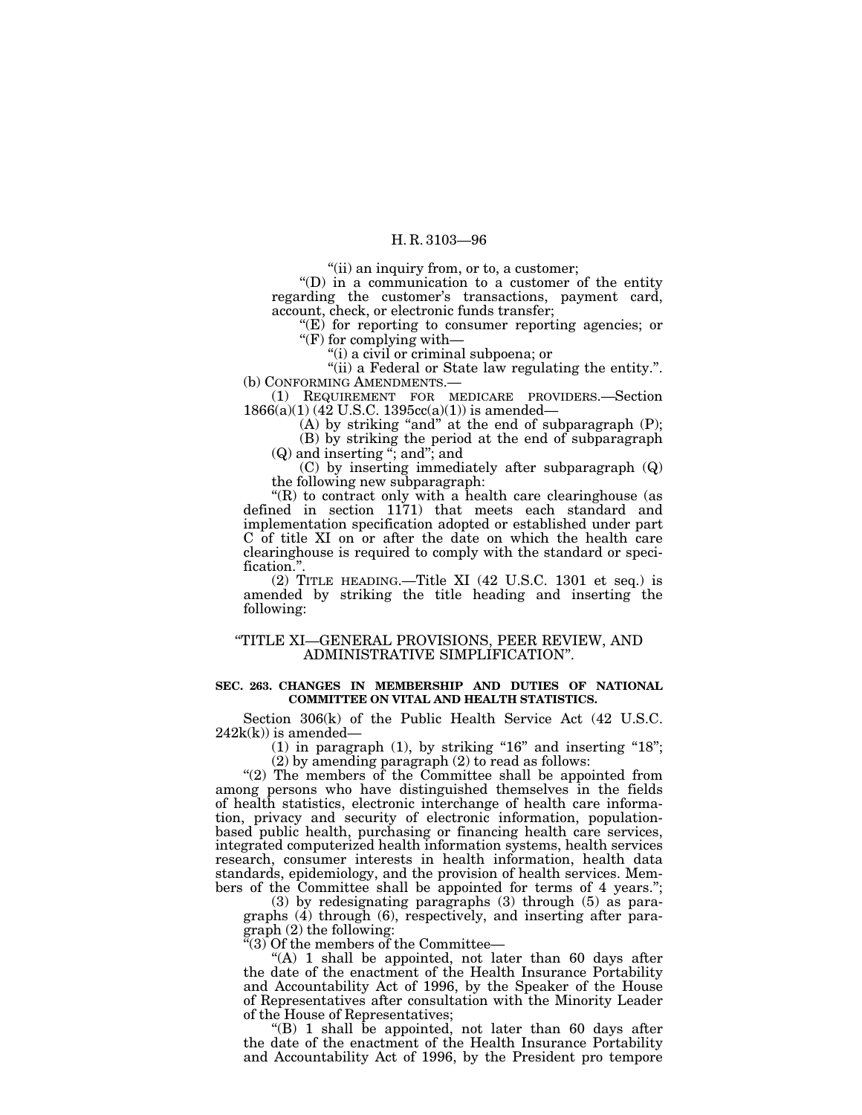"(ii) an inquiry from, or to, a customer;

''(D) in a communication to a customer of the entity regarding the customer's transactions, payment card, account, check, or electronic funds transfer;

''(E) for reporting to consumer reporting agencies; or ''(F) for complying with—

''(i) a civil or criminal subpoena; or

"(ii) a Federal or State law regulating the entity.". (b) CONFORMING AMENDMENTS.—

(1) REQUIREMENT FOR MEDICARE PROVIDERS.—Section  $1866(a)(1)$  (42 U.S.C. 1395cc(a)(1)) is amended—

(A) by striking "and" at the end of subparagraph (P); (B) by striking the period at the end of subparagraph

(Q) and inserting ''; and''; and (C) by inserting immediately after subparagraph (Q)

the following new subparagraph:

" $(R)$  to contract only with a health care clearinghouse (as defined in section 1171) that meets each standard and implementation specification adopted or established under part C of title XI on or after the date on which the health care clearinghouse is required to comply with the standard or specification."

(2) TITLE HEADING.—Title XI (42 U.S.C. 1301 et seq.) is amended by striking the title heading and inserting the following:

## ''TITLE XI—GENERAL PROVISIONS, PEER REVIEW, AND ADMINISTRATIVE SIMPLIFICATION''.

## **SEC. 263. CHANGES IN MEMBERSHIP AND DUTIES OF NATIONAL COMMITTEE ON VITAL AND HEALTH STATISTICS.**

Section 306(k) of the Public Health Service Act (42 U.S.C.  $242k(k)$ ) is amended-

 $(1)$  in paragraph  $(1)$ , by striking "16" and inserting "18"; (2) by amending paragraph (2) to read as follows:

" $(2)$  The members of the Committee shall be appointed from among persons who have distinguished themselves in the fields of health statistics, electronic interchange of health care information, privacy and security of electronic information, populationbased public health, purchasing or financing health care services, integrated computerized health information systems, health services research, consumer interests in health information, health data standards, epidemiology, and the provision of health services. Members of the Committee shall be appointed for terms of 4 years.'';

(3) by redesignating paragraphs (3) through (5) as paragraphs (4) through (6), respectively, and inserting after para- $\operatorname*{graph}(2)$  the following:

 $\mathbb{I}^{a}(3)$  Of the members of the Committee—

''(A) 1 shall be appointed, not later than 60 days after the date of the enactment of the Health Insurance Portability and Accountability Act of 1996, by the Speaker of the House of Representatives after consultation with the Minority Leader of the House of Representatives;

''(B) 1 shall be appointed, not later than 60 days after the date of the enactment of the Health Insurance Portability and Accountability Act of 1996, by the President pro tempore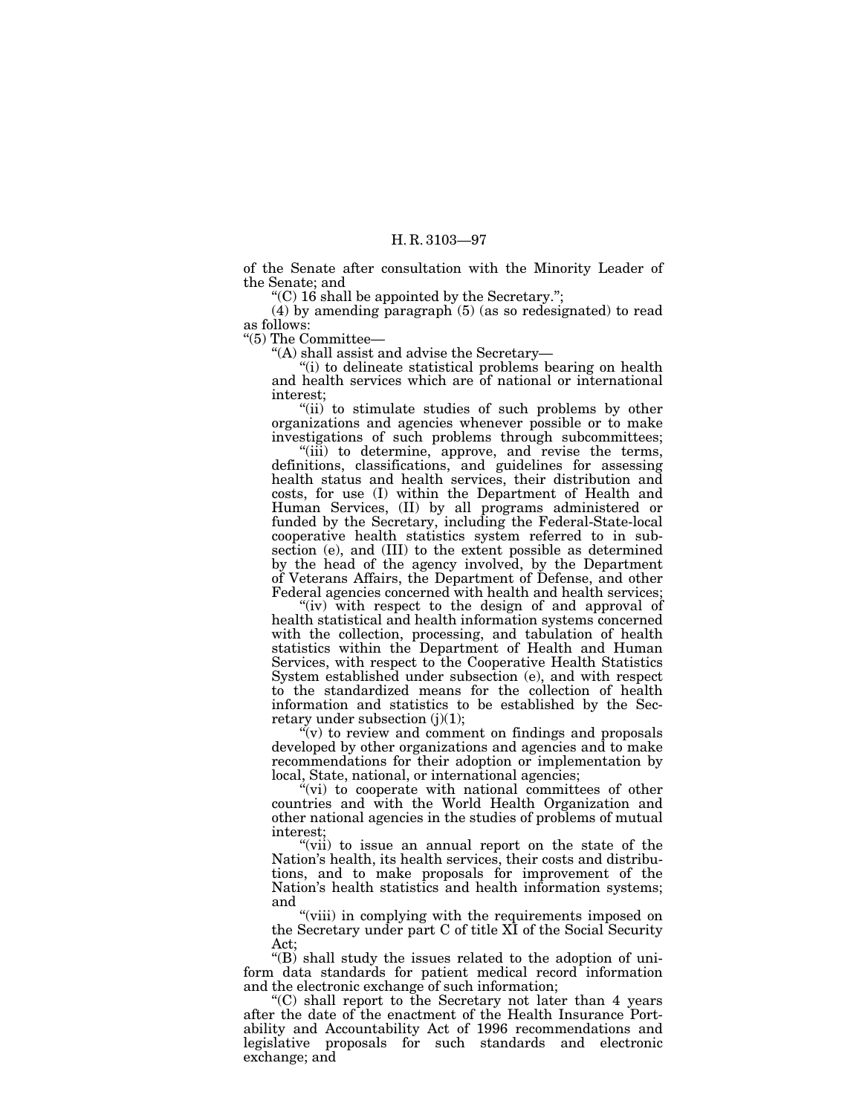of the Senate after consultation with the Minority Leader of the Senate; and

 $C($ ) 16 shall be appointed by the Secretary.";

(4) by amending paragraph (5) (as so redesignated) to read as follows:

''(5) The Committee—

''(A) shall assist and advise the Secretary—

''(i) to delineate statistical problems bearing on health and health services which are of national or international interest;

"(ii) to stimulate studies of such problems by other organizations and agencies whenever possible or to make investigations of such problems through subcommittees;

"(iii) to determine, approve, and revise the terms, definitions, classifications, and guidelines for assessing health status and health services, their distribution and costs, for use (I) within the Department of Health and Human Services, (II) by all programs administered or funded by the Secretary, including the Federal-State-local cooperative health statistics system referred to in subsection (e), and (III) to the extent possible as determined by the head of the agency involved, by the Department of Veterans Affairs, the Department of Defense, and other Federal agencies concerned with health and health services;

"(iv) with respect to the design of and approval of health statistical and health information systems concerned with the collection, processing, and tabulation of health statistics within the Department of Health and Human Services, with respect to the Cooperative Health Statistics System established under subsection (e), and with respect to the standardized means for the collection of health information and statistics to be established by the Secretary under subsection (j)(1);

 $\mathcal{H}(v)$  to review and comment on findings and proposals developed by other organizations and agencies and to make recommendations for their adoption or implementation by local, State, national, or international agencies;

"(vi) to cooperate with national committees of other countries and with the World Health Organization and other national agencies in the studies of problems of mutual interest;

"(vii) to issue an annual report on the state of the Nation's health, its health services, their costs and distributions, and to make proposals for improvement of the Nation's health statistics and health information systems; and

"(viii) in complying with the requirements imposed on the Secretary under part C of title XI of the Social Security Act;

''(B) shall study the issues related to the adoption of uniform data standards for patient medical record information and the electronic exchange of such information;

 $C$ ) shall report to the Secretary not later than 4 years after the date of the enactment of the Health Insurance Portability and Accountability Act of 1996 recommendations and legislative proposals for such standards and electronic exchange; and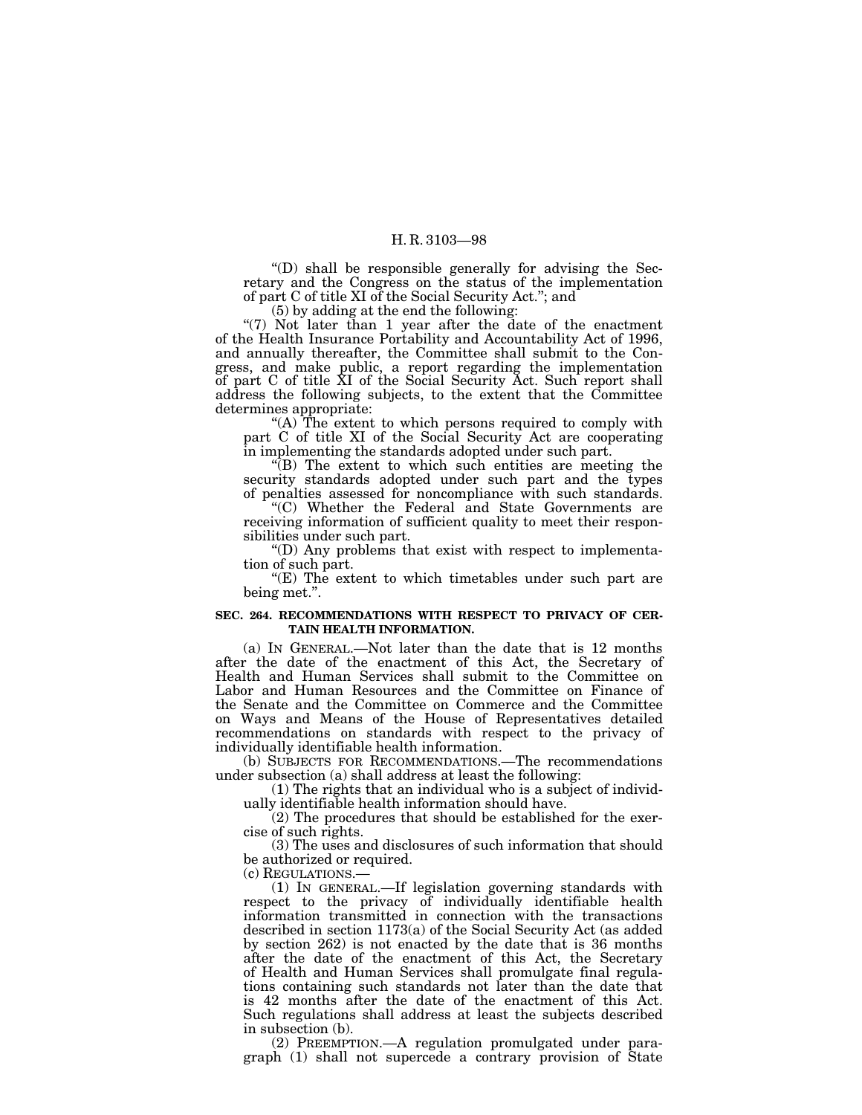''(D) shall be responsible generally for advising the Secretary and the Congress on the status of the implementation of part C of title XI of the Social Security Act.''; and

(5) by adding at the end the following:

"(7) Not later than 1 year after the date of the enactment of the Health Insurance Portability and Accountability Act of 1996, and annually thereafter, the Committee shall submit to the Congress, and make public, a report regarding the implementation of part C of title XI of the Social Security Act. Such report shall address the following subjects, to the extent that the Committee determines appropriate:

"(A) The extent to which persons required to comply with part C of title XI of the Social Security Act are cooperating in implementing the standards adopted under such part.

''(B) The extent to which such entities are meeting the security standards adopted under such part and the types of penalties assessed for noncompliance with such standards.

''(C) Whether the Federal and State Governments are receiving information of sufficient quality to meet their responsibilities under such part.

 $\mathrm{``(D)}$  Any problems that exist with respect to implementation of such part.

''(E) The extent to which timetables under such part are being met.''.

#### **SEC. 264. RECOMMENDATIONS WITH RESPECT TO PRIVACY OF CER-TAIN HEALTH INFORMATION.**

(a) IN GENERAL.—Not later than the date that is 12 months after the date of the enactment of this Act, the Secretary of Health and Human Services shall submit to the Committee on Labor and Human Resources and the Committee on Finance of the Senate and the Committee on Commerce and the Committee on Ways and Means of the House of Representatives detailed recommendations on standards with respect to the privacy of individually identifiable health information.

(b) SUBJECTS FOR RECOMMENDATIONS.—The recommendations under subsection (a) shall address at least the following:

(1) The rights that an individual who is a subject of individually identifiable health information should have.

(2) The procedures that should be established for the exercise of such rights.

(3) The uses and disclosures of such information that should be authorized or required.<br>(c) REGULATIONS.—

 $(1)$  In GENERAL.—If legislation governing standards with respect to the privacy of individually identifiable health information transmitted in connection with the transactions described in section 1173(a) of the Social Security Act (as added by section 262) is not enacted by the date that is 36 months after the date of the enactment of this Act, the Secretary of Health and Human Services shall promulgate final regulations containing such standards not later than the date that is 42 months after the date of the enactment of this Act. Such regulations shall address at least the subjects described in subsection (b).

(2) PREEMPTION.—A regulation promulgated under paragraph (1) shall not supercede a contrary provision of State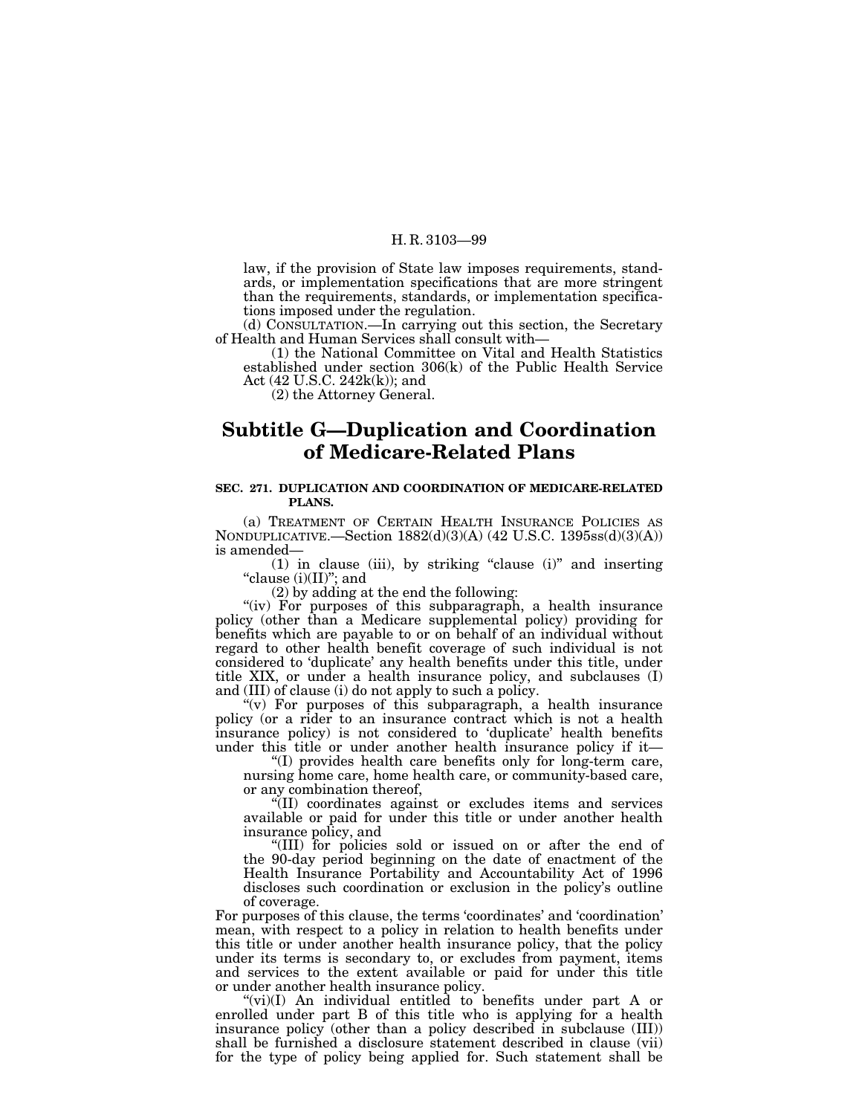law, if the provision of State law imposes requirements, standards, or implementation specifications that are more stringent than the requirements, standards, or implementation specifications imposed under the regulation.

(d) CONSULTATION.—In carrying out this section, the Secretary of Health and Human Services shall consult with—

(1) the National Committee on Vital and Health Statistics established under section 306(k) of the Public Health Service Act (42 U.S.C. 242k(k)); and

(2) the Attorney General.

# **Subtitle G—Duplication and Coordination of Medicare-Related Plans**

## **SEC. 271. DUPLICATION AND COORDINATION OF MEDICARE-RELATED PLANS.**

(a) TREATMENT OF CERTAIN HEALTH INSURANCE POLICIES AS NONDUPLICATIVE.—Section 1882(d)(3)(A) (42 U.S.C. 1395ss(d)(3)(A)) is amended—

(1) in clause (iii), by striking ''clause (i)'' and inserting ''clause (i)(II)''; and

(2) by adding at the end the following:

"(iv) For purposes of this subparagraph, a health insurance policy (other than a Medicare supplemental policy) providing for benefits which are payable to or on behalf of an individual without regard to other health benefit coverage of such individual is not considered to 'duplicate' any health benefits under this title, under title XIX, or under a health insurance policy, and subclauses (I) and (III) of clause (i) do not apply to such a policy.

"(v) For purposes of this subparagraph, a health insurance policy (or a rider to an insurance contract which is not a health insurance policy) is not considered to 'duplicate' health benefits under this title or under another health insurance policy if it-

''(I) provides health care benefits only for long-term care, nursing home care, home health care, or community-based care, or any combination thereof,

''(II) coordinates against or excludes items and services available or paid for under this title or under another health insurance policy, and

''(III) for policies sold or issued on or after the end of the 90-day period beginning on the date of enactment of the Health Insurance Portability and Accountability Act of 1996 discloses such coordination or exclusion in the policy's outline of coverage.

For purposes of this clause, the terms 'coordinates' and 'coordination' mean, with respect to a policy in relation to health benefits under this title or under another health insurance policy, that the policy under its terms is secondary to, or excludes from payment, items and services to the extent available or paid for under this title or under another health insurance policy.

"(vi)(I) An individual entitled to benefits under part A or enrolled under part B of this title who is applying for a health insurance policy (other than a policy described in subclause (III)) shall be furnished a disclosure statement described in clause (vii) for the type of policy being applied for. Such statement shall be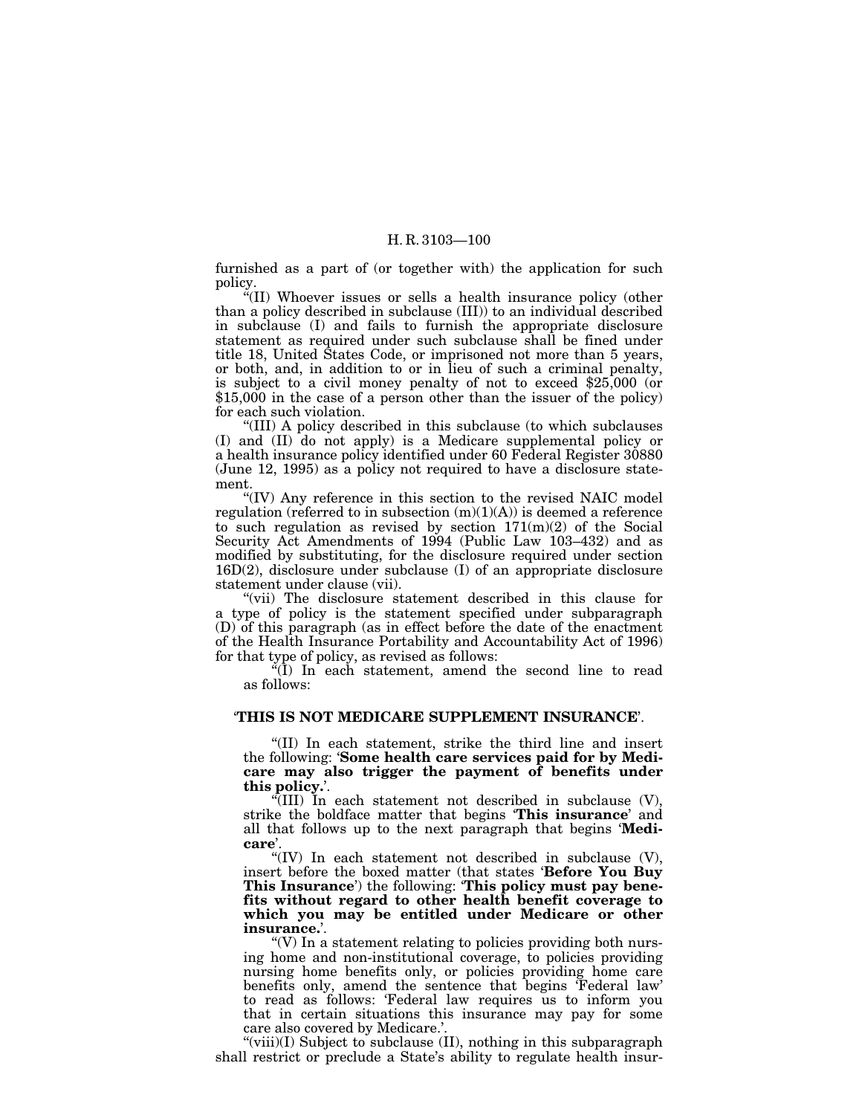furnished as a part of (or together with) the application for such policy.

''(II) Whoever issues or sells a health insurance policy (other than a policy described in subclause (III)) to an individual described in subclause (I) and fails to furnish the appropriate disclosure statement as required under such subclause shall be fined under title 18, United States Code, or imprisoned not more than 5 years, or both, and, in addition to or in lieu of such a criminal penalty, is subject to a civil money penalty of not to exceed \$25,000 (or \$15,000 in the case of a person other than the issuer of the policy) for each such violation.

''(III) A policy described in this subclause (to which subclauses (I) and (II) do not apply) is a Medicare supplemental policy or a health insurance policy identified under 60 Federal Register 30880 (June 12, 1995) as a policy not required to have a disclosure statement.

"(IV) Any reference in this section to the revised NAIC model regulation (referred to in subsection  $(m)(1)(A)$ ) is deemed a reference to such regulation as revised by section  $171(m)(2)$  of the Social Security Act Amendments of 1994 (Public Law 103–432) and as modified by substituting, for the disclosure required under section 16D(2), disclosure under subclause (I) of an appropriate disclosure statement under clause (vii).

"(vii) The disclosure statement described in this clause for a type of policy is the statement specified under subparagraph (D) of this paragraph (as in effect before the date of the enactment of the Health Insurance Portability and Accountability Act of 1996) for that type of policy, as revised as follows:

 $\mathbf{F}(\mathbf{I})$  In each statement, amend the second line to read as follows:

## '**THIS IS NOT MEDICARE SUPPLEMENT INSURANCE**'.

''(II) In each statement, strike the third line and insert the following: '**Some health care services paid for by Medicare may also trigger the payment of benefits under this policy.**'.

''(III) In each statement not described in subclause (V), strike the boldface matter that begins '**This insurance**' and all that follows up to the next paragraph that begins '**Medicare**'.

"(IV) In each statement not described in subclause (V), insert before the boxed matter (that states '**Before You Buy This Insurance**') the following: '**This policy must pay benefits without regard to other health benefit coverage to which you may be entitled under Medicare or other insurance.**'.

"(V) In a statement relating to policies providing both nursing home and non-institutional coverage, to policies providing nursing home benefits only, or policies providing home care benefits only, amend the sentence that begins 'Federal law' to read as follows: 'Federal law requires us to inform you that in certain situations this insurance may pay for some care also covered by Medicare.'.

''(viii)(I) Subject to subclause (II), nothing in this subparagraph shall restrict or preclude a State's ability to regulate health insur-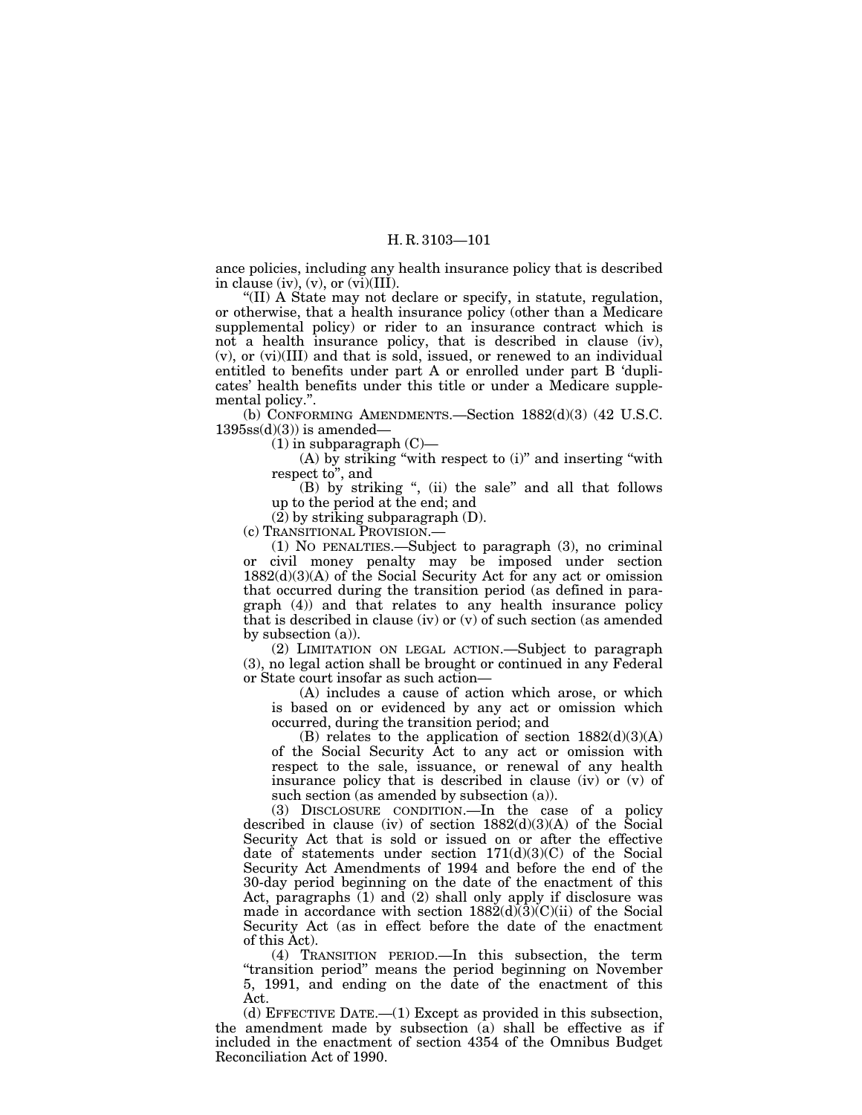ance policies, including any health insurance policy that is described in clause (iv), (v), or (vi)( $III$ ).

''(II) A State may not declare or specify, in statute, regulation, or otherwise, that a health insurance policy (other than a Medicare supplemental policy) or rider to an insurance contract which is not a health insurance policy, that is described in clause (iv), (v), or (vi)(III) and that is sold, issued, or renewed to an individual entitled to benefits under part A or enrolled under part B 'duplicates' health benefits under this title or under a Medicare supplemental policy.''.

(b) CONFORMING AMENDMENTS.—Section 1882(d)(3) (42 U.S.C.  $1395ss(d)(3)$  is amended–

 $(1)$  in subparagraph  $(C)$ —

 $(A)$  by striking "with respect to  $(i)$ " and inserting "with respect to", and

(B) by striking ", (ii) the sale" and all that follows up to the period at the end; and

 $(2)$  by striking subparagraph  $(D)$ .

(c) TRANSITIONAL PROVISION.—

(1) NO PENALTIES.—Subject to paragraph (3), no criminal civil money penalty may be imposed under section  $1882(d)(3)(A)$  of the Social Security Act for any act or omission that occurred during the transition period (as defined in paragraph (4)) and that relates to any health insurance policy that is described in clause (iv) or (v) of such section (as amended by subsection (a)).

(2) LIMITATION ON LEGAL ACTION.—Subject to paragraph (3), no legal action shall be brought or continued in any Federal or State court insofar as such action—

(A) includes a cause of action which arose, or which is based on or evidenced by any act or omission which occurred, during the transition period; and

(B) relates to the application of section  $1882(d)(3)(A)$ of the Social Security Act to any act or omission with respect to the sale, issuance, or renewal of any health insurance policy that is described in clause (iv) or (v) of such section (as amended by subsection (a)).

(3) DISCLOSURE CONDITION.—In the case of a policy described in clause (iv) of section 1882(d)(3)(A) of the Social Security Act that is sold or issued on or after the effective date of statements under section  $171(d)(3)(C)$  of the Social Security Act Amendments of 1994 and before the end of the 30-day period beginning on the date of the enactment of this Act, paragraphs  $(1)$  and  $(2)$  shall only apply if disclosure was made in accordance with section  $1882(d)\overline{(3)}(C)(ii)$  of the Social Security Act (as in effect before the date of the enactment of this Act).

(4) TRANSITION PERIOD.—In this subsection, the term ''transition period'' means the period beginning on November 5, 1991, and ending on the date of the enactment of this Act.

(d) EFFECTIVE DATE.—(1) Except as provided in this subsection, the amendment made by subsection (a) shall be effective as if included in the enactment of section 4354 of the Omnibus Budget Reconciliation Act of 1990.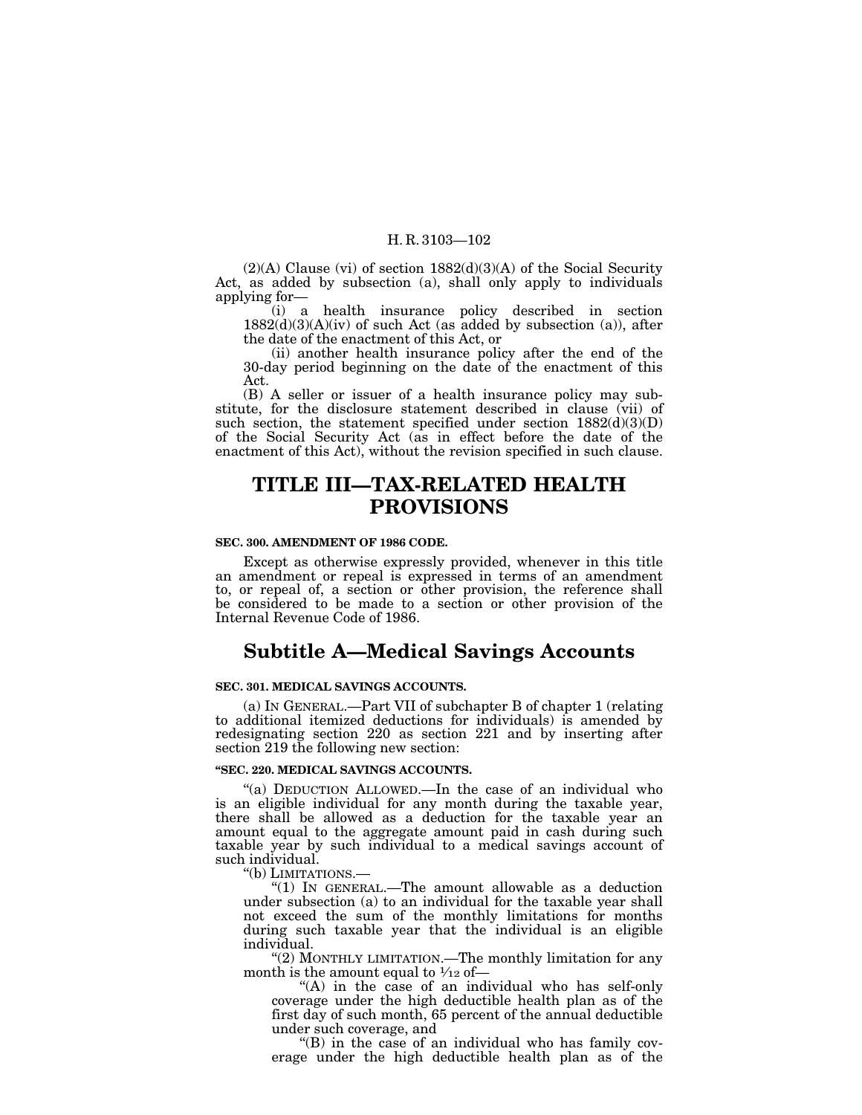$(2)(A)$  Clause (vi) of section 1882 $(d)(3)(A)$  of the Social Security Act, as added by subsection (a), shall only apply to individuals applying for—

(i) a health insurance policy described in section  $1882(d)(3)(A)(iv)$  of such Act (as added by subsection (a)), after the date of the enactment of this Act, or

(ii) another health insurance policy after the end of the 30-day period beginning on the date of the enactment of this Act.

(B) A seller or issuer of a health insurance policy may substitute, for the disclosure statement described in clause (vii) of such section, the statement specified under section  $1882(d)(3)(D)$ of the Social Security Act (as in effect before the date of the enactment of this Act), without the revision specified in such clause.

# **TITLE III—TAX-RELATED HEALTH PROVISIONS**

## **SEC. 300. AMENDMENT OF 1986 CODE.**

Except as otherwise expressly provided, whenever in this title an amendment or repeal is expressed in terms of an amendment to, or repeal of, a section or other provision, the reference shall be considered to be made to a section or other provision of the Internal Revenue Code of 1986.

# **Subtitle A—Medical Savings Accounts**

#### **SEC. 301. MEDICAL SAVINGS ACCOUNTS.**

(a) IN GENERAL.—Part VII of subchapter B of chapter 1 (relating to additional itemized deductions for individuals) is amended by redesignating section 220 as section 221 and by inserting after section 219 the following new section:

#### **''SEC. 220. MEDICAL SAVINGS ACCOUNTS.**

"(a) DEDUCTION ALLOWED.—In the case of an individual who is an eligible individual for any month during the taxable year, there shall be allowed as a deduction for the taxable year an amount equal to the aggregate amount paid in cash during such taxable year by such individual to a medical savings account of such individual.<br>"(b) LIMITATIONS.—

"(1) In GENERAL.—The amount allowable as a deduction under subsection (a) to an individual for the taxable year shall not exceed the sum of the monthly limitations for months during such taxable year that the individual is an eligible individual.

''(2) MONTHLY LIMITATION.—The monthly limitation for any month is the amount equal to  $\frac{1}{12}$  of-

"(A) in the case of an individual who has self-only coverage under the high deductible health plan as of the first day of such month, 65 percent of the annual deductible under such coverage, and

''(B) in the case of an individual who has family coverage under the high deductible health plan as of the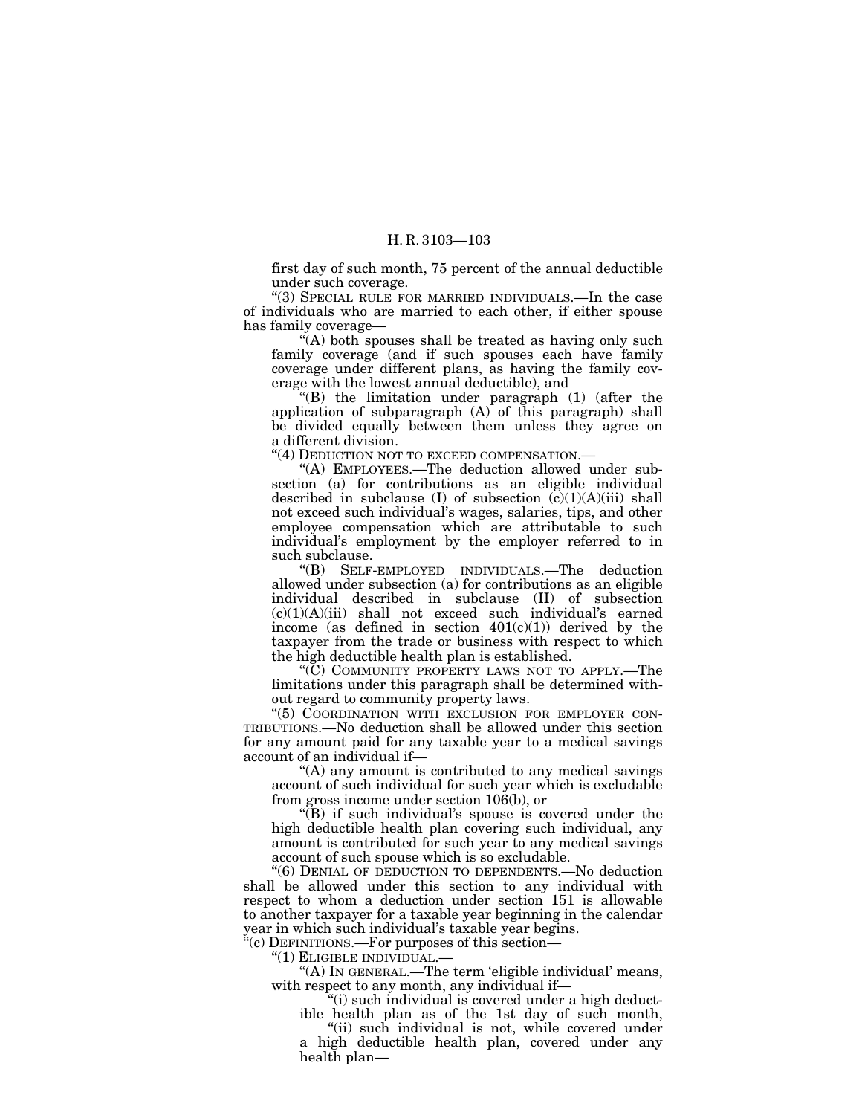first day of such month, 75 percent of the annual deductible under such coverage.

''(3) SPECIAL RULE FOR MARRIED INDIVIDUALS.—In the case of individuals who are married to each other, if either spouse has family coverage—

"(A) both spouses shall be treated as having only such family coverage (and if such spouses each have family coverage under different plans, as having the family coverage with the lowest annual deductible), and

" $(B)$  the limitation under paragraph  $(1)$  (after the application of subparagraph  $(A)$  of this paragraph) shall be divided equally between them unless they agree on a different division.

''(4) DEDUCTION NOT TO EXCEED COMPENSATION.—

''(A) EMPLOYEES.—The deduction allowed under subsection (a) for contributions as an eligible individual described in subclause (I) of subsection  $(c)(1)(A)(iii)$  shall not exceed such individual's wages, salaries, tips, and other employee compensation which are attributable to such individual's employment by the employer referred to in such subclause.

''(B) SELF-EMPLOYED INDIVIDUALS.—The deduction allowed under subsection (a) for contributions as an eligible individual described in subclause (II) of subsection  $(c)(1)(A)(iii)$  shall not exceed such individual's earned income (as defined in section  $401(c)(1)$ ) derived by the taxpayer from the trade or business with respect to which the high deductible health plan is established.

"(C) COMMUNITY PROPERTY LAWS NOT TO APPLY.—The limitations under this paragraph shall be determined without regard to community property laws.

''(5) COORDINATION WITH EXCLUSION FOR EMPLOYER CON-TRIBUTIONS.—No deduction shall be allowed under this section for any amount paid for any taxable year to a medical savings account of an individual if—

"(A) any amount is contributed to any medical savings account of such individual for such year which is excludable from gross income under section  $10\overset{\circ}{6}$ (b), or

 $\sqrt{\left(B\right)}$  if such individual's spouse is covered under the high deductible health plan covering such individual, any amount is contributed for such year to any medical savings account of such spouse which is so excludable.

''(6) DENIAL OF DEDUCTION TO DEPENDENTS.—No deduction shall be allowed under this section to any individual with respect to whom a deduction under section 151 is allowable to another taxpayer for a taxable year beginning in the calendar year in which such individual's taxable year begins.

 $C$ <sup>"(c)</sup> DEFINITIONS.—For purposes of this section—

''(1) ELIGIBLE INDIVIDUAL.—

"(A) In GENERAL.—The term 'eligible individual' means, with respect to any month, any individual if—

''(i) such individual is covered under a high deductible health plan as of the 1st day of such month,

"(ii) such individual is not, while covered under

a high deductible health plan, covered under any health plan—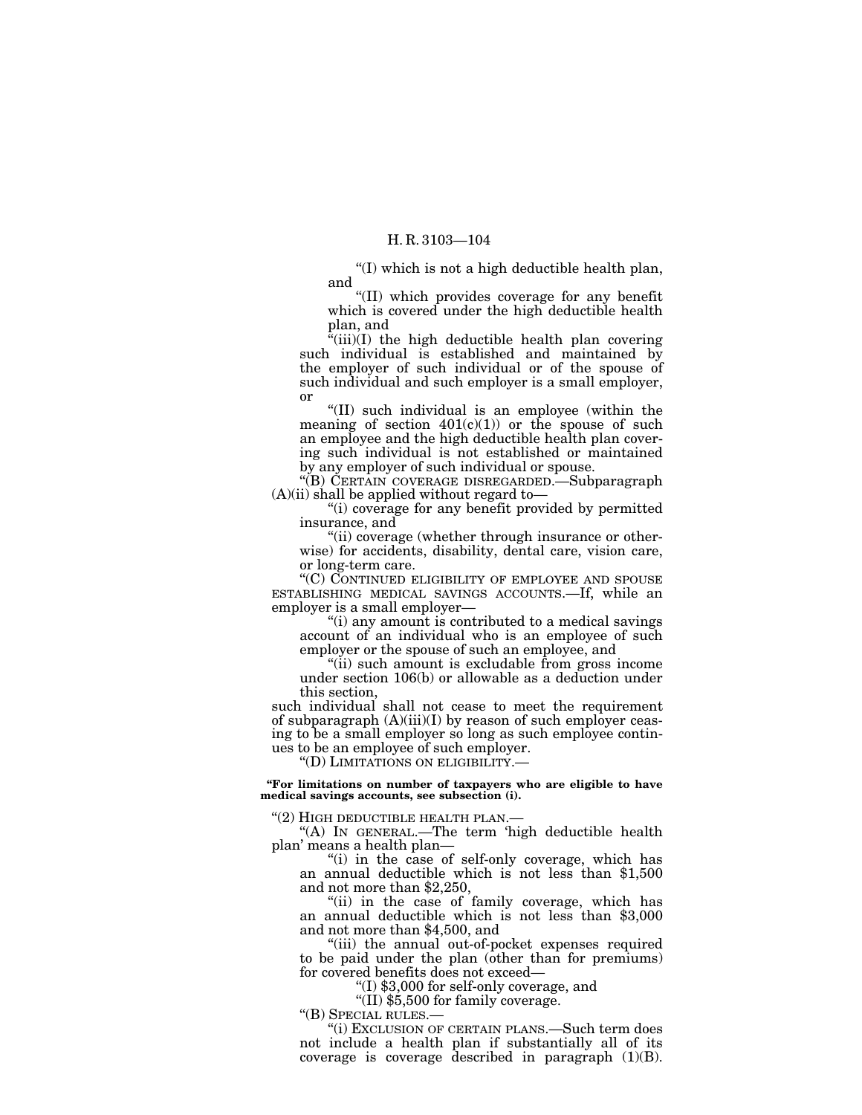''(I) which is not a high deductible health plan, and

''(II) which provides coverage for any benefit which is covered under the high deductible health plan, and

 $f(iii)(I)$  the high deductible health plan covering such individual is established and maintained by the employer of such individual or of the spouse of such individual and such employer is a small employer, or

''(II) such individual is an employee (within the meaning of section  $401(c)(1)$  or the spouse of such an employee and the high deductible health plan covering such individual is not established or maintained by any employer of such individual or spouse.

''(B) CERTAIN COVERAGE DISREGARDED.—Subparagraph  $(A)(ii)$  shall be applied without regard to-

''(i) coverage for any benefit provided by permitted insurance, and

''(ii) coverage (whether through insurance or otherwise) for accidents, disability, dental care, vision care, or long-term care.

''(C) CONTINUED ELIGIBILITY OF EMPLOYEE AND SPOUSE ESTABLISHING MEDICAL SAVINGS ACCOUNTS.—If, while an employer is a small employer—

''(i) any amount is contributed to a medical savings account of an individual who is an employee of such employer or the spouse of such an employee, and

"(ii) such amount is excludable from gross income under section 106(b) or allowable as a deduction under this section,

such individual shall not cease to meet the requirement of subparagraph  $(A)(iii)(I)$  by reason of such employer ceasing to be a small employer so long as such employee continues to be an employee of such employer.

''(D) LIMITATIONS ON ELIGIBILITY.—

**''For limitations on number of taxpayers who are eligible to have medical savings accounts, see subsection (i).**

''(2) HIGH DEDUCTIBLE HEALTH PLAN.— ''(A) IN GENERAL.—The term 'high deductible health plan' means a health plan—<br>"(i) in the case of self-only coverage, which has

an annual deductible which is not less than \$1,500 and not more than \$2,250,

''(ii) in the case of family coverage, which has an annual deductible which is not less than \$3,000 and not more than \$4,500, and

'(iii) the annual out-of-pocket expenses required to be paid under the plan (other than for premiums) for covered benefits does not exceed—

''(I) \$3,000 for self-only coverage, and

''(II) \$5,500 for family coverage.

''(B) SPECIAL RULES.—

''(i) EXCLUSION OF CERTAIN PLANS.—Such term does not include a health plan if substantially all of its coverage is coverage described in paragraph  $(1)(B)$ .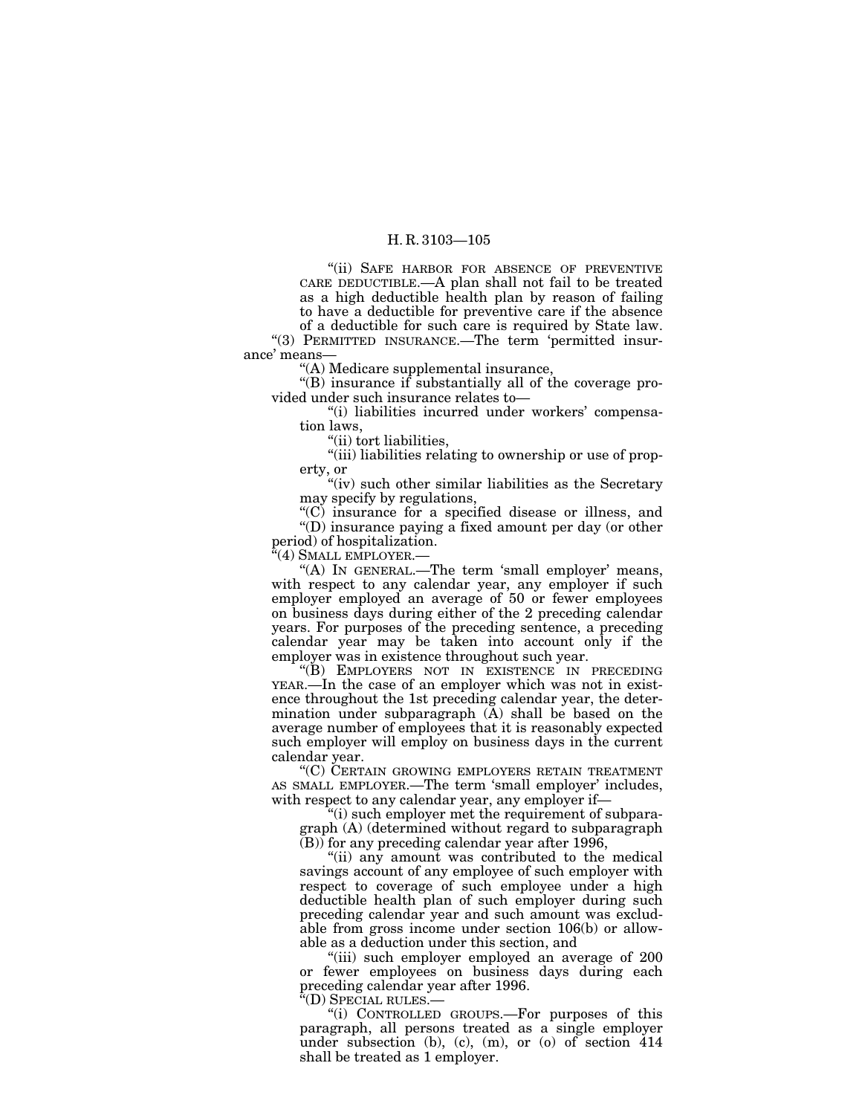"(ii) SAFE HARBOR FOR ABSENCE OF PREVENTIVE CARE DEDUCTIBLE.—A plan shall not fail to be treated as a high deductible health plan by reason of failing to have a deductible for preventive care if the absence of a deductible for such care is required by State law.

"(3) PERMITTED INSURANCE.—The term 'permitted insurance' means—

''(A) Medicare supplemental insurance,

" $(B)$  insurance if substantially all of the coverage provided under such insurance relates to—

''(i) liabilities incurred under workers' compensation laws,

''(ii) tort liabilities,

"(iii) liabilities relating to ownership or use of property, or

''(iv) such other similar liabilities as the Secretary may specify by regulations,

''(C) insurance for a specified disease or illness, and ''(D) insurance paying a fixed amount per day (or other period) of hospitalization.

''(4) SMALL EMPLOYER.—

"(A) IN GENERAL.—The term 'small employer' means, with respect to any calendar year, any employer if such employer employed an average of 50 or fewer employees on business days during either of the 2 preceding calendar years. For purposes of the preceding sentence, a preceding calendar year may be taken into account only if the employer was in existence throughout such year.

''(B) EMPLOYERS NOT IN EXISTENCE IN PRECEDING YEAR.—In the case of an employer which was not in existence throughout the 1st preceding calendar year, the determination under subparagraph (A) shall be based on the average number of employees that it is reasonably expected such employer will employ on business days in the current calendar year.

''(C) CERTAIN GROWING EMPLOYERS RETAIN TREATMENT AS SMALL EMPLOYER.—The term 'small employer' includes, with respect to any calendar year, any employer if-

''(i) such employer met the requirement of subparagraph (A) (determined without regard to subparagraph  $(E)$ ) for any preceding calendar year after 1996,

"(ii) any amount was contributed to the medical savings account of any employee of such employer with respect to coverage of such employee under a high deductible health plan of such employer during such preceding calendar year and such amount was excludable from gross income under section 106(b) or allowable as a deduction under this section, and

''(iii) such employer employed an average of 200 or fewer employees on business days during each preceding calendar year after 1996.

"(D) SPECIAL RULES.—

''(i) CONTROLLED GROUPS.—For purposes of this paragraph, all persons treated as a single employer under subsection  $(b)$ ,  $(c)$ ,  $(m)$ ,  $or$   $(o)$  of section  $414$ shall be treated as 1 employer.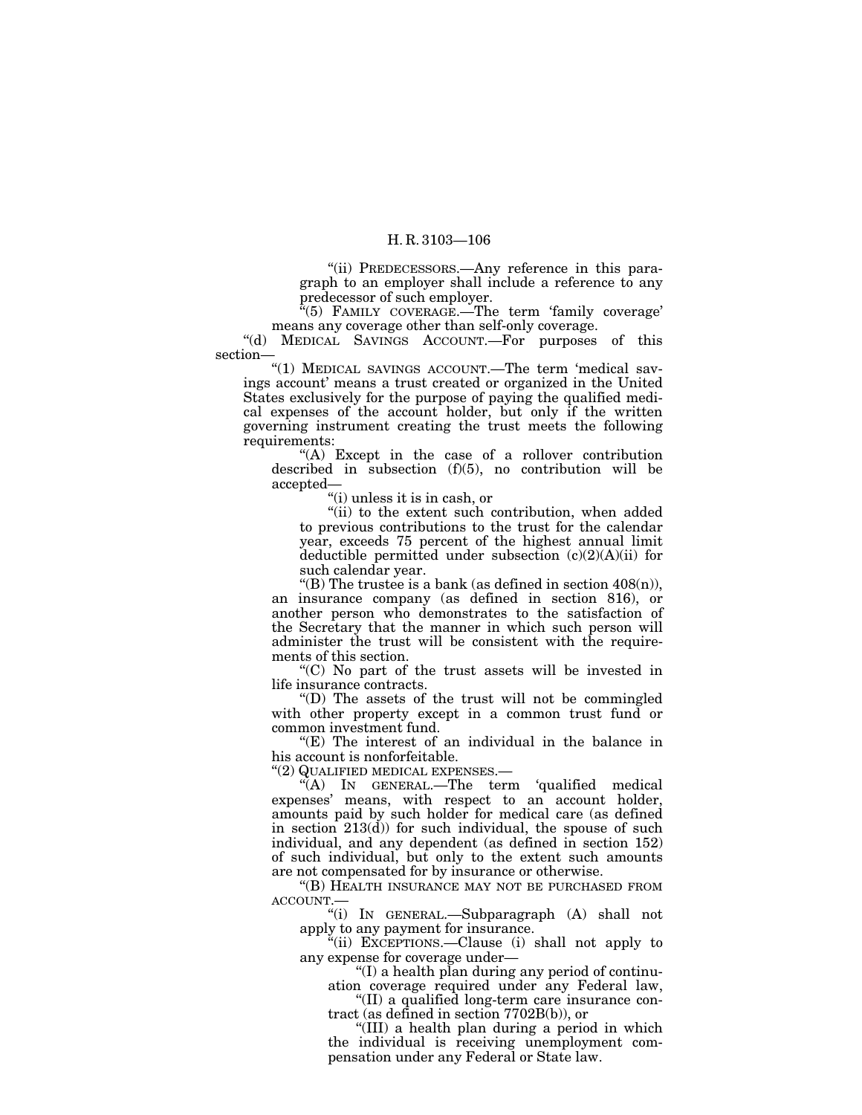''(ii) PREDECESSORS.—Any reference in this paragraph to an employer shall include a reference to any predecessor of such employer.

"(5) FAMILY COVERAGE.—The term 'family coverage' means any coverage other than self-only coverage.

"(d) MEDICAL SAVINGS ACCOUNT.—For purposes of this section—

"(1) MEDICAL SAVINGS ACCOUNT.—The term 'medical savings account' means a trust created or organized in the United States exclusively for the purpose of paying the qualified medical expenses of the account holder, but only if the written governing instrument creating the trust meets the following requirements:

"(A) Except in the case of a rollover contribution described in subsection (f)(5), no contribution will be accepted—

''(i) unless it is in cash, or

"(ii) to the extent such contribution, when added to previous contributions to the trust for the calendar year, exceeds 75 percent of the highest annual limit deductible permitted under subsection  $(c)(2)(A)(ii)$  for such calendar year.

"(B) The trustee is a bank (as defined in section  $408(n)$ ), an insurance company (as defined in section 816), or another person who demonstrates to the satisfaction of the Secretary that the manner in which such person will administer the trust will be consistent with the requirements of this section.

''(C) No part of the trust assets will be invested in life insurance contracts.

''(D) The assets of the trust will not be commingled with other property except in a common trust fund or common investment fund.

''(E) The interest of an individual in the balance in his account is nonforfeitable.

''(2) QUALIFIED MEDICAL EXPENSES.—

''(A) IN GENERAL.—The term 'qualified medical expenses' means, with respect to an account holder, amounts paid by such holder for medical care (as defined in section  $213(d)$  for such individual, the spouse of such individual, and any dependent (as defined in section 152) of such individual, but only to the extent such amounts are not compensated for by insurance or otherwise.

''(B) HEALTH INSURANCE MAY NOT BE PURCHASED FROM ACCOUNT.—

''(i) IN GENERAL.—Subparagraph (A) shall not apply to any payment for insurance.

''(ii) EXCEPTIONS.—Clause (i) shall not apply to any expense for coverage under—

''(I) a health plan during any period of continuation coverage required under any Federal law,

''(II) a qualified long-term care insurance contract (as defined in section 7702B(b)), or

''(III) a health plan during a period in which the individual is receiving unemployment compensation under any Federal or State law.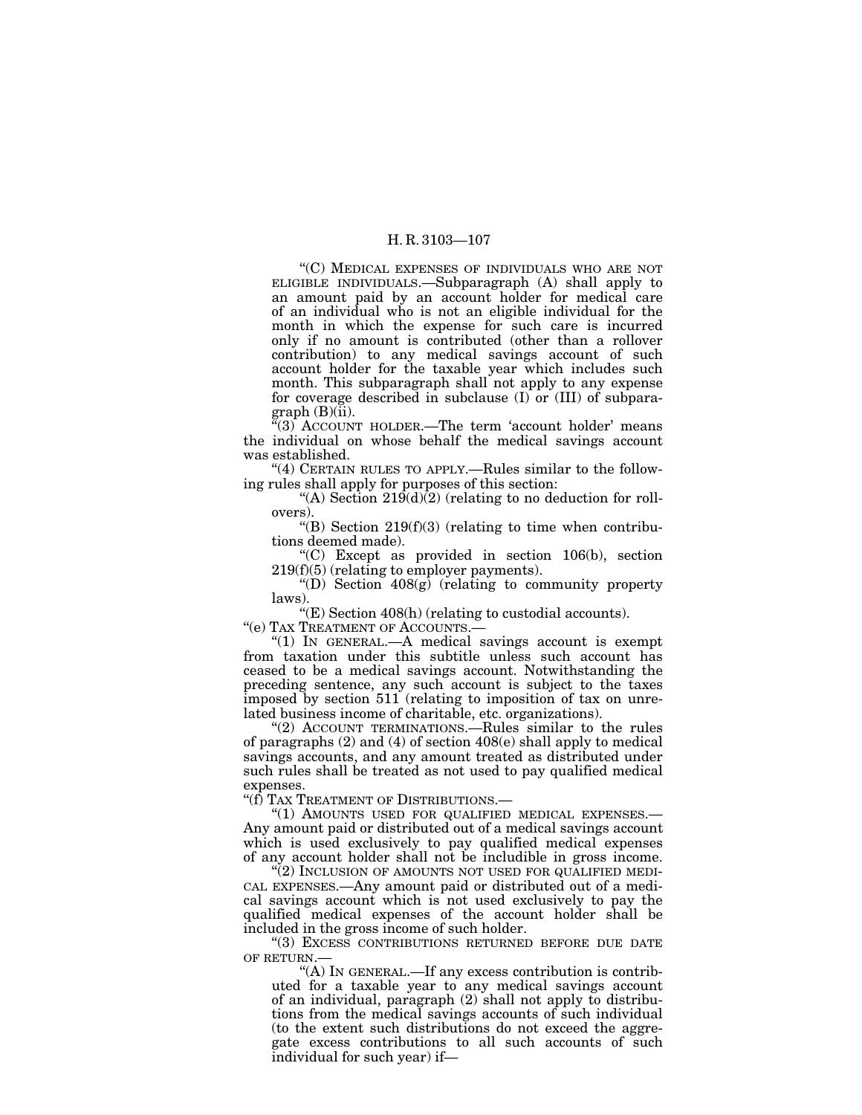''(C) MEDICAL EXPENSES OF INDIVIDUALS WHO ARE NOT ELIGIBLE INDIVIDUALS.—Subparagraph (A) shall apply to an amount paid by an account holder for medical care of an individual who is not an eligible individual for the month in which the expense for such care is incurred only if no amount is contributed (other than a rollover contribution) to any medical savings account of such account holder for the taxable year which includes such month. This subparagraph shall not apply to any expense for coverage described in subclause (I) or (III) of subparagraph (B)(ii).

"(3) ACCOUNT HOLDER.—The term 'account holder' means the individual on whose behalf the medical savings account was established.

"(4) CERTAIN RULES TO APPLY.—Rules similar to the following rules shall apply for purposes of this section:

"(A) Section  $219(d)(2)$  (relating to no deduction for rollovers).

"(B) Section  $219(f)(3)$  (relating to time when contributions deemed made).

''(C) Except as provided in section 106(b), section 219(f)(5) (relating to employer payments).

"(D) Section  $408(g)$  (relating to community property laws).

 $E(E)$  Section 408(h) (relating to custodial accounts).

''(e) TAX TREATMENT OF ACCOUNTS.—

" $(1)$  In GENERAL.—A medical savings account is exempt from taxation under this subtitle unless such account has ceased to be a medical savings account. Notwithstanding the preceding sentence, any such account is subject to the taxes imposed by section 511 (relating to imposition of tax on unrelated business income of charitable, etc. organizations).

"(2) ACCOUNT TERMINATIONS.—Rules similar to the rules of paragraphs (2) and (4) of section 408(e) shall apply to medical savings accounts, and any amount treated as distributed under such rules shall be treated as not used to pay qualified medical expenses.

''(f) TAX TREATMENT OF DISTRIBUTIONS.—

''(1) AMOUNTS USED FOR QUALIFIED MEDICAL EXPENSES.— Any amount paid or distributed out of a medical savings account which is used exclusively to pay qualified medical expenses of any account holder shall not be includible in gross income.

"(2) INCLUSION OF AMOUNTS NOT USED FOR QUALIFIED MEDI-CAL EXPENSES.—Any amount paid or distributed out of a medical savings account which is not used exclusively to pay the qualified medical expenses of the account holder shall be included in the gross income of such holder.

''(3) EXCESS CONTRIBUTIONS RETURNED BEFORE DUE DATE OF RETURN.—

"(A) IN GENERAL.—If any excess contribution is contributed for a taxable year to any medical savings account of an individual, paragraph (2) shall not apply to distributions from the medical savings accounts of such individual (to the extent such distributions do not exceed the aggregate excess contributions to all such accounts of such individual for such year) if—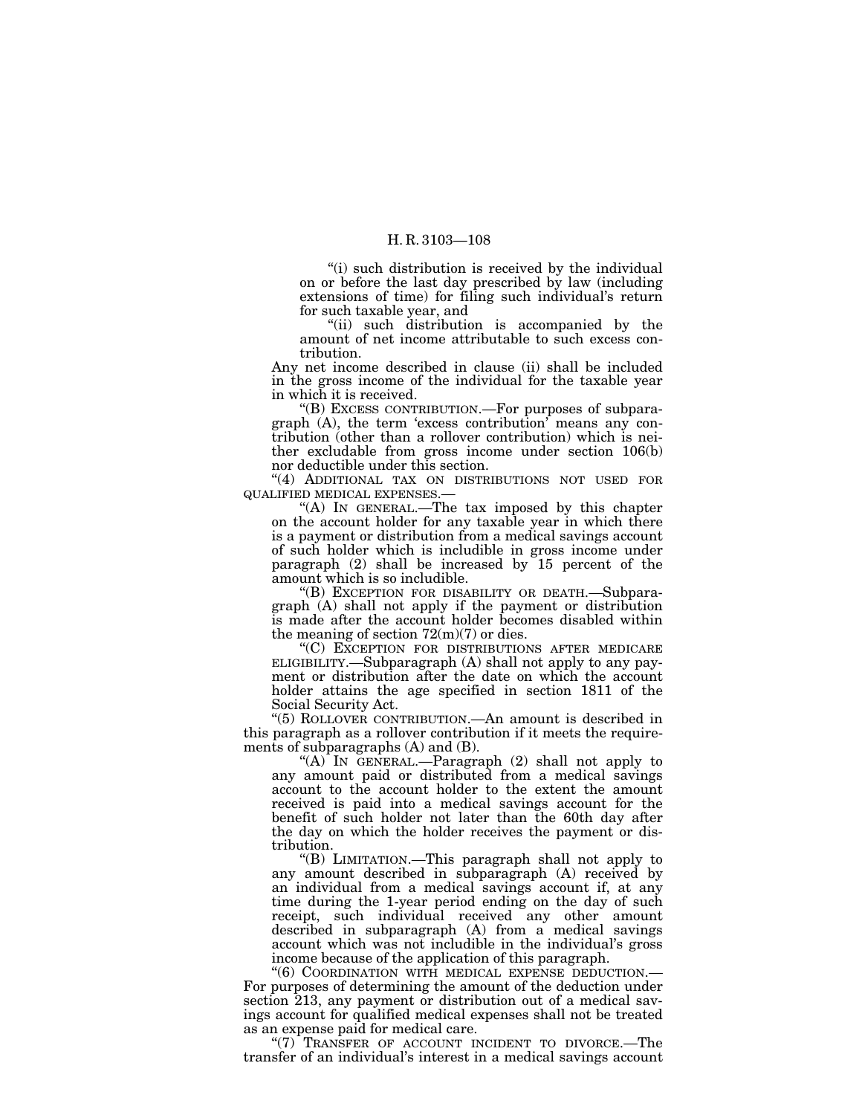"(i) such distribution is received by the individual on or before the last day prescribed by law (including extensions of time) for filing such individual's return for such taxable year, and

''(ii) such distribution is accompanied by the amount of net income attributable to such excess contribution.

Any net income described in clause (ii) shall be included in the gross income of the individual for the taxable year in which it is received.

''(B) EXCESS CONTRIBUTION.—For purposes of subparagraph (A), the term 'excess contribution' means any contribution (other than a rollover contribution) which is neither excludable from gross income under section 106(b) nor deductible under this section.

"(4) ADDITIONAL TAX ON DISTRIBUTIONS NOT USED FOR QUALIFIED MEDICAL EXPENSES.—

''(A) IN GENERAL.—The tax imposed by this chapter on the account holder for any taxable year in which there is a payment or distribution from a medical savings account of such holder which is includible in gross income under paragraph  $(2)$  shall be increased by 15 percent of the amount which is so includible.

''(B) EXCEPTION FOR DISABILITY OR DEATH.—Subparagraph (A) shall not apply if the payment or distribution is made after the account holder becomes disabled within the meaning of section  $72(m)(7)$  or dies.

''(C) EXCEPTION FOR DISTRIBUTIONS AFTER MEDICARE ELIGIBILITY.—Subparagraph (A) shall not apply to any payment or distribution after the date on which the account holder attains the age specified in section 1811 of the Social Security Act.

''(5) ROLLOVER CONTRIBUTION.—An amount is described in this paragraph as a rollover contribution if it meets the requirements of subparagraphs (A) and (B).

" $(A)$  IN GENERAL.—Paragraph  $(2)$  shall not apply to any amount paid or distributed from a medical savings account to the account holder to the extent the amount received is paid into a medical savings account for the benefit of such holder not later than the 60th day after the day on which the holder receives the payment or distribution.

''(B) LIMITATION.—This paragraph shall not apply to any amount described in subparagraph (A) received by an individual from a medical savings account if, at any time during the 1-year period ending on the day of such receipt, such individual received any other amount described in subparagraph (A) from a medical savings account which was not includible in the individual's gross income because of the application of this paragraph.

''(6) COORDINATION WITH MEDICAL EXPENSE DEDUCTION.— For purposes of determining the amount of the deduction under section 213, any payment or distribution out of a medical savings account for qualified medical expenses shall not be treated as an expense paid for medical care.

"(7) TRANSFER OF ACCOUNT INCIDENT TO DIVORCE.—The transfer of an individual's interest in a medical savings account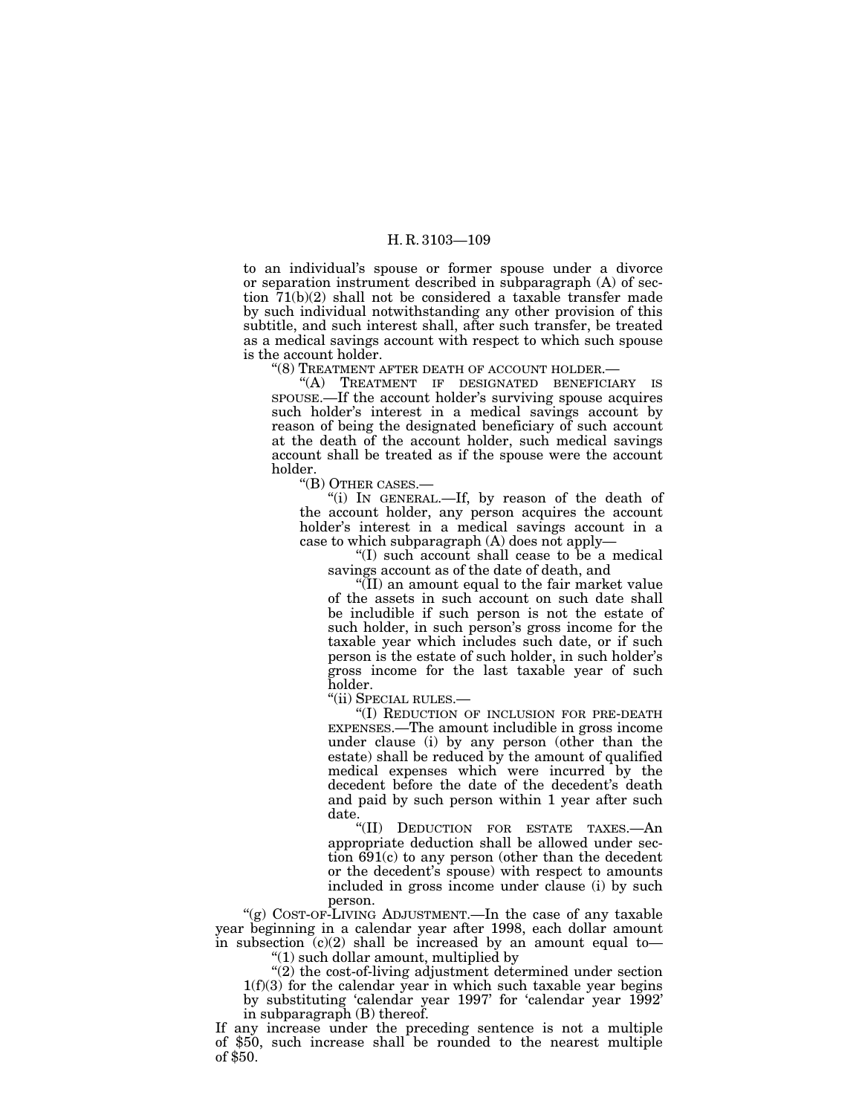to an individual's spouse or former spouse under a divorce or separation instrument described in subparagraph (A) of section 71(b)(2) shall not be considered a taxable transfer made by such individual notwithstanding any other provision of this subtitle, and such interest shall, after such transfer, be treated as a medical savings account with respect to which such spouse is the account holder.

''(8) TREATMENT AFTER DEATH OF ACCOUNT HOLDER.—

''(A) TREATMENT IF DESIGNATED BENEFICIARY IS SPOUSE.—If the account holder's surviving spouse acquires such holder's interest in a medical savings account by reason of being the designated beneficiary of such account at the death of the account holder, such medical savings account shall be treated as if the spouse were the account holder.

''(B) OTHER CASES.—

''(i) IN GENERAL.—If, by reason of the death of the account holder, any person acquires the account holder's interest in a medical savings account in a case to which subparagraph (A) does not apply—

''(I) such account shall cease to be a medical savings account as of the date of death, and

''(II) an amount equal to the fair market value of the assets in such account on such date shall be includible if such person is not the estate of such holder, in such person's gross income for the taxable year which includes such date, or if such person is the estate of such holder, in such holder's gross income for the last taxable year of such holder.

''(ii) SPECIAL RULES.—

''(I) REDUCTION OF INCLUSION FOR PRE-DEATH EXPENSES.—The amount includible in gross income under clause (i) by any person (other than the estate) shall be reduced by the amount of qualified medical expenses which were incurred by the decedent before the date of the decedent's death and paid by such person within 1 year after such date.

''(II) DEDUCTION FOR ESTATE TAXES.—An appropriate deduction shall be allowed under section 691(c) to any person (other than the decedent or the decedent's spouse) with respect to amounts included in gross income under clause (i) by such person.

''(g) COST-OF-LIVING ADJUSTMENT.—In the case of any taxable year beginning in a calendar year after 1998, each dollar amount in subsection  $(c)(2)$  shall be increased by an amount equal to-

''(1) such dollar amount, multiplied by

''(2) the cost-of-living adjustment determined under section  $1(f)(3)$  for the calendar year in which such taxable year begins by substituting 'calendar year 1997' for 'calendar year 1992' in subparagraph (B) thereof.

If any increase under the preceding sentence is not a multiple of \$50, such increase shall be rounded to the nearest multiple of \$50.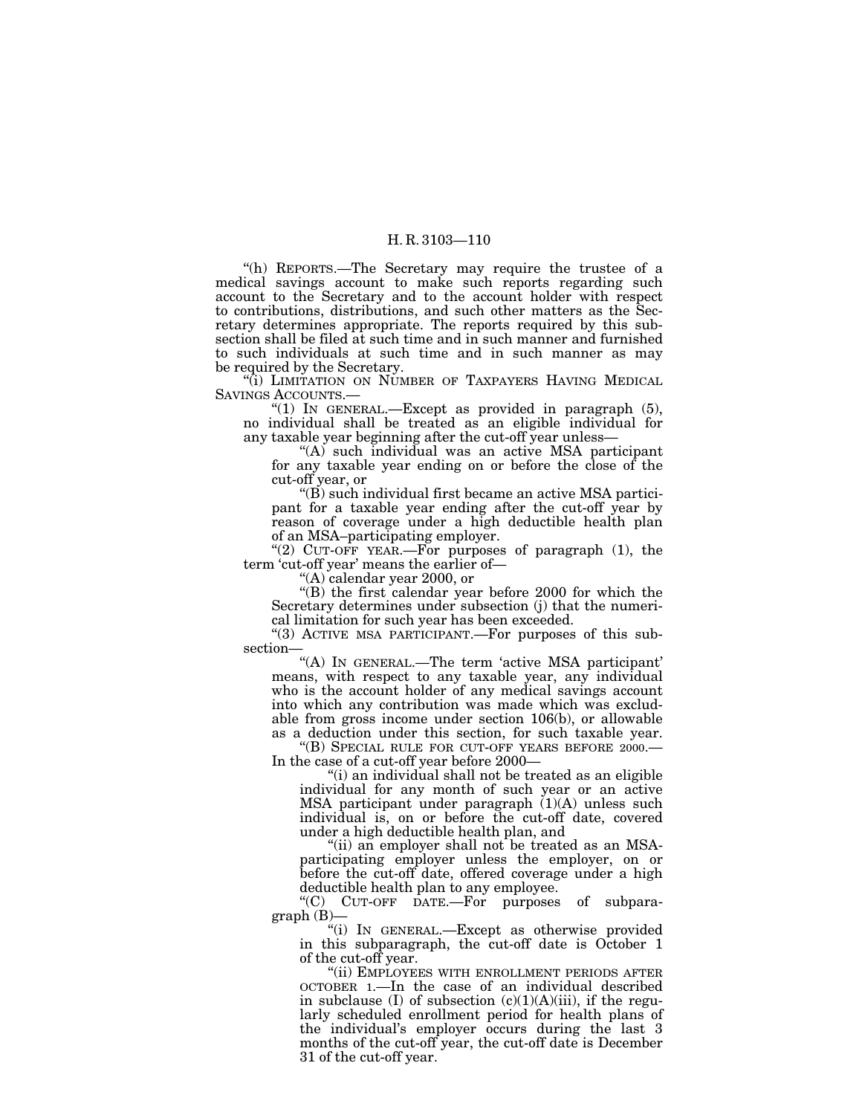''(h) REPORTS.—The Secretary may require the trustee of a medical savings account to make such reports regarding such account to the Secretary and to the account holder with respect to contributions, distributions, and such other matters as the Secretary determines appropriate. The reports required by this subsection shall be filed at such time and in such manner and furnished to such individuals at such time and in such manner as may be required by the Secretary.

''(i) LIMITATION ON NUMBER OF TAXPAYERS HAVING MEDICAL SAVINGS ACCOUNTS.—

"(1) In GENERAL.—Except as provided in paragraph (5), no individual shall be treated as an eligible individual for any taxable year beginning after the cut-off year unless—

"(A) such individual was an active MSA participant for any taxable year ending on or before the close of the cut-off year, or

 $\rm H(B)$  such individual first became an active MSA participant for a taxable year ending after the cut-off year by reason of coverage under a high deductible health plan of an MSA–participating employer.

"(2) CUT-OFF YEAR.—For purposes of paragraph (1), the term 'cut-off year' means the earlier of—

''(A) calendar year 2000, or

''(B) the first calendar year before 2000 for which the Secretary determines under subsection (j) that the numerical limitation for such year has been exceeded.

"(3) ACTIVE MSA PARTICIPANT.—For purposes of this subsection—

''(A) IN GENERAL.—The term 'active MSA participant' means, with respect to any taxable year, any individual who is the account holder of any medical savings account into which any contribution was made which was excludable from gross income under section 106(b), or allowable as a deduction under this section, for such taxable year.

''(B) SPECIAL RULE FOR CUT-OFF YEARS BEFORE 2000.— In the case of a cut-off year before 2000—

''(i) an individual shall not be treated as an eligible individual for any month of such year or an active MSA participant under paragraph (1)(A) unless such individual is, on or before the cut-off date, covered under a high deductible health plan, and

"(ii) an employer shall not be treated as an MSAparticipating employer unless the employer, on or before the cut-off date, offered coverage under a high deductible health plan to any employee.

''(C) CUT-OFF DATE.—For purposes of subparagraph (B)—

''(i) IN GENERAL.—Except as otherwise provided in this subparagraph, the cut-off date is October 1 of the cut-off year.

''(ii) EMPLOYEES WITH ENROLLMENT PERIODS AFTER OCTOBER 1.—In the case of an individual described in subclause (I) of subsection  $(c)(1)(A)(iii)$ , if the regularly scheduled enrollment period for health plans of the individual's employer occurs during the last 3 months of the cut-off year, the cut-off date is December 31 of the cut-off year.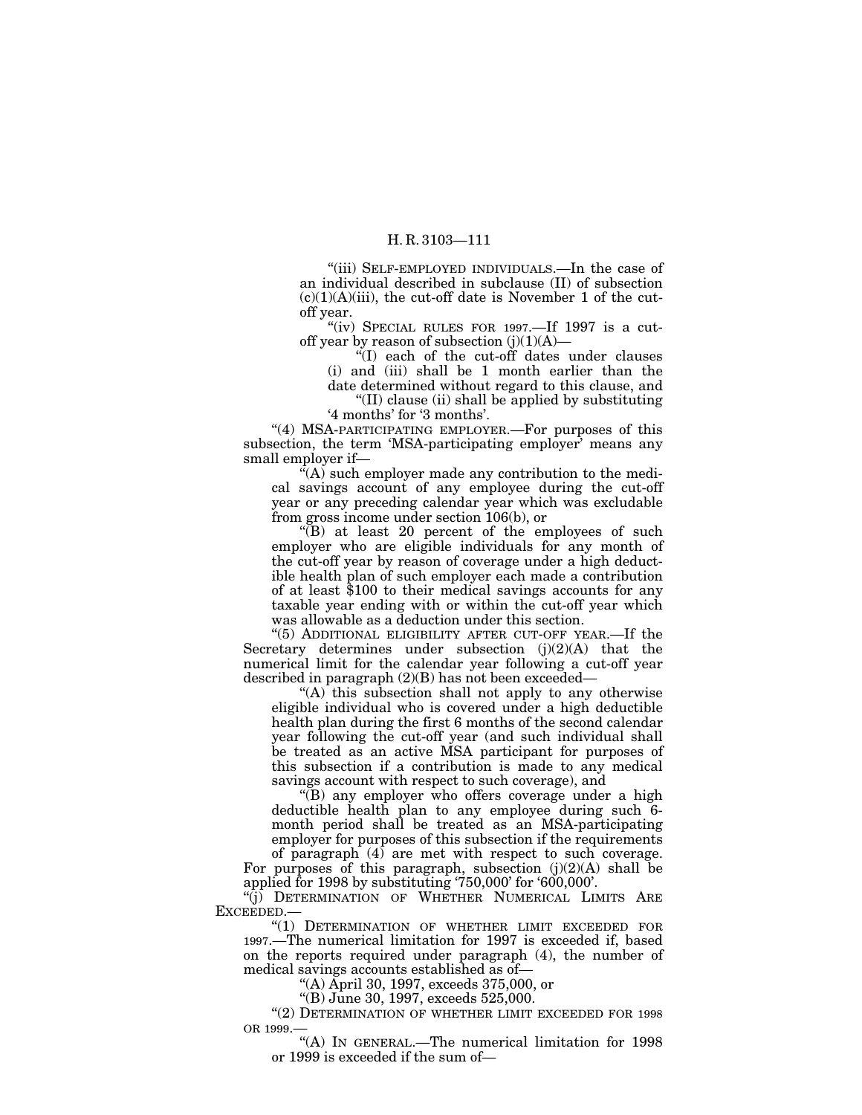''(iii) SELF-EMPLOYED INDIVIDUALS.—In the case of an individual described in subclause (II) of subsection  $(c)(1)(A)(iii)$ , the cut-off date is November 1 of the cutoff year.

"(iv) SPECIAL RULES FOR 1997.—If  $1997$  is a cutoff year by reason of subsection  $(j)(1)(A)$ —

''(I) each of the cut-off dates under clauses (i) and (iii) shall be 1 month earlier than the date determined without regard to this clause, and ''(II) clause (ii) shall be applied by substituting '4 months' for '3 months'.

"(4) MSA-PARTICIPATING EMPLOYER.—For purposes of this subsection, the term 'MSA-participating employer' means any small employer if—

''(A) such employer made any contribution to the medical savings account of any employee during the cut-off year or any preceding calendar year which was excludable from gross income under section 106(b), or

 $\sqrt{\text{B}}$  at least 20 percent of the employees of such employer who are eligible individuals for any month of the cut-off year by reason of coverage under a high deductible health plan of such employer each made a contribution of at least \$100 to their medical savings accounts for any taxable year ending with or within the cut-off year which was allowable as a deduction under this section.

"(5) ADDITIONAL ELIGIBILITY AFTER CUT-OFF YEAR.—If the Secretary determines under subsection  $(j)(2)(A)$  that the numerical limit for the calendar year following a cut-off year described in paragraph  $(2)(B)$  has not been exceeded—

" $(A)$  this subsection shall not apply to any otherwise eligible individual who is covered under a high deductible health plan during the first 6 months of the second calendar year following the cut-off year (and such individual shall be treated as an active MSA participant for purposes of this subsection if a contribution is made to any medical savings account with respect to such coverage), and

"(B) any employer who offers coverage under a high deductible health plan to any employee during such 6 month period shall be treated as an MSA-participating employer for purposes of this subsection if the requirements of paragraph  $(4)$  are met with respect to such coverage. For purposes of this paragraph, subsection  $(j)(2)(A)$  shall be applied for 1998 by substituting '750,000' for '600,000'.

''(j) DETERMINATION OF WHETHER NUMERICAL LIMITS ARE EXCEEDED.—

"(1) DETERMINATION OF WHETHER LIMIT EXCEEDED FOR 1997.—The numerical limitation for 1997 is exceeded if, based on the reports required under paragraph (4), the number of medical savings accounts established as of—

''(A) April 30, 1997, exceeds 375,000, or

''(B) June 30, 1997, exceeds 525,000.

"(2) DETERMINATION OF WHETHER LIMIT EXCEEDED FOR 1998 OR 1999.

"(A) IN GENERAL.—The numerical limitation for 1998 or 1999 is exceeded if the sum of—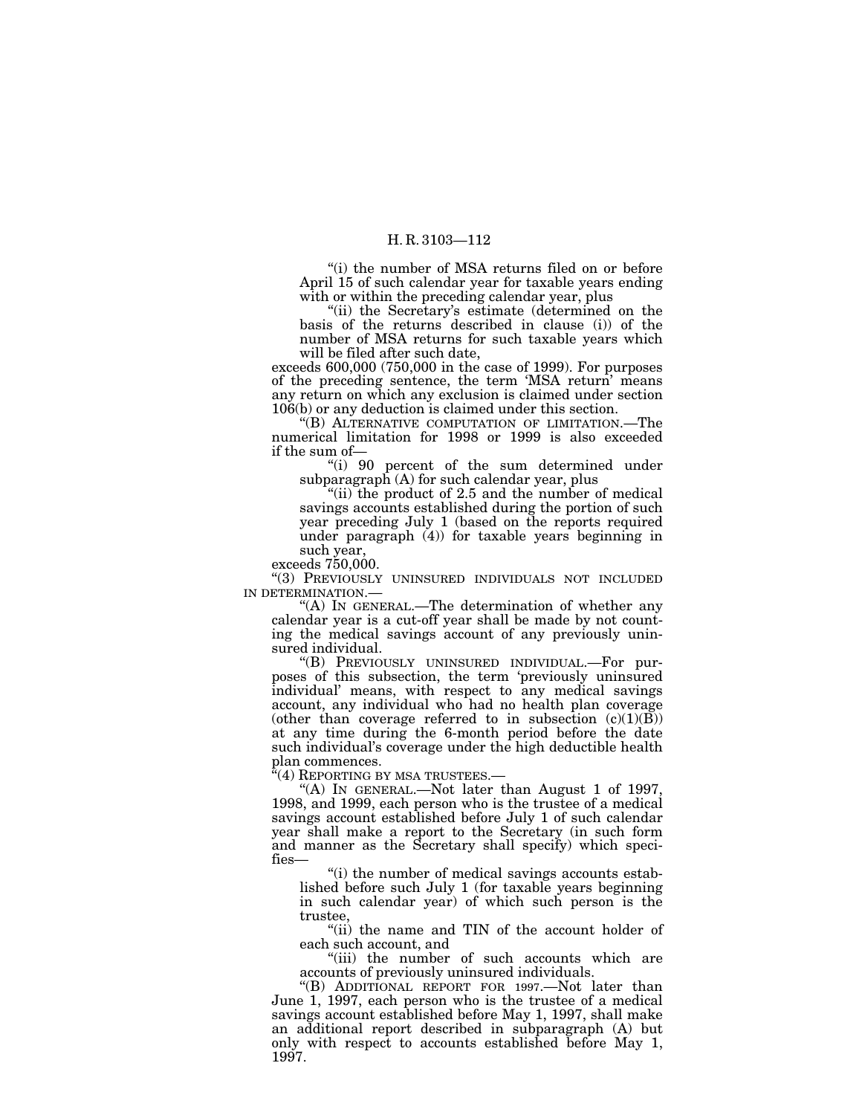"(i) the number of MSA returns filed on or before" April 15 of such calendar year for taxable years ending with or within the preceding calendar year, plus

''(ii) the Secretary's estimate (determined on the basis of the returns described in clause (i)) of the number of MSA returns for such taxable years which will be filed after such date,

exceeds 600,000 (750,000 in the case of 1999). For purposes of the preceding sentence, the term 'MSA return' means any return on which any exclusion is claimed under section 106(b) or any deduction is claimed under this section.

''(B) ALTERNATIVE COMPUTATION OF LIMITATION.—The numerical limitation for 1998 or 1999 is also exceeded if the sum of—

''(i) 90 percent of the sum determined under subparagraph (A) for such calendar year, plus

"(ii) the product of 2.5 and the number of medical savings accounts established during the portion of such year preceding July 1 (based on the reports required under paragraph (4)) for taxable years beginning in such year,

exceeds 750,000.

''(3) PREVIOUSLY UNINSURED INDIVIDUALS NOT INCLUDED IN DETERMINATION.—

"(A) In GENERAL.—The determination of whether any calendar year is a cut-off year shall be made by not counting the medical savings account of any previously uninsured individual.

''(B) PREVIOUSLY UNINSURED INDIVIDUAL.—For purposes of this subsection, the term 'previously uninsured individual' means, with respect to any medical savings account, any individual who had no health plan coverage (other than coverage referred to in subsection  $(c)(1)(\overrightarrow{B}))$ at any time during the 6-month period before the date such individual's coverage under the high deductible health plan commences.

''(4) REPORTING BY MSA TRUSTEES.— ''(A) IN GENERAL.—Not later than August 1 of 1997, 1998, and 1999, each person who is the trustee of a medical savings account established before July 1 of such calendar year shall make a report to the Secretary (in such form and manner as the Secretary shall specify) which specifies—

''(i) the number of medical savings accounts established before such July 1 (for taxable years beginning in such calendar year) of which such person is the trustee,

"(ii) the name and TIN of the account holder of each such account, and

"(iii) the number of such accounts which are accounts of previously uninsured individuals.

''(B) ADDITIONAL REPORT FOR 1997.—Not later than June 1, 1997, each person who is the trustee of a medical savings account established before May 1, 1997, shall make an additional report described in subparagraph (A) but only with respect to accounts established before May 1, 1997.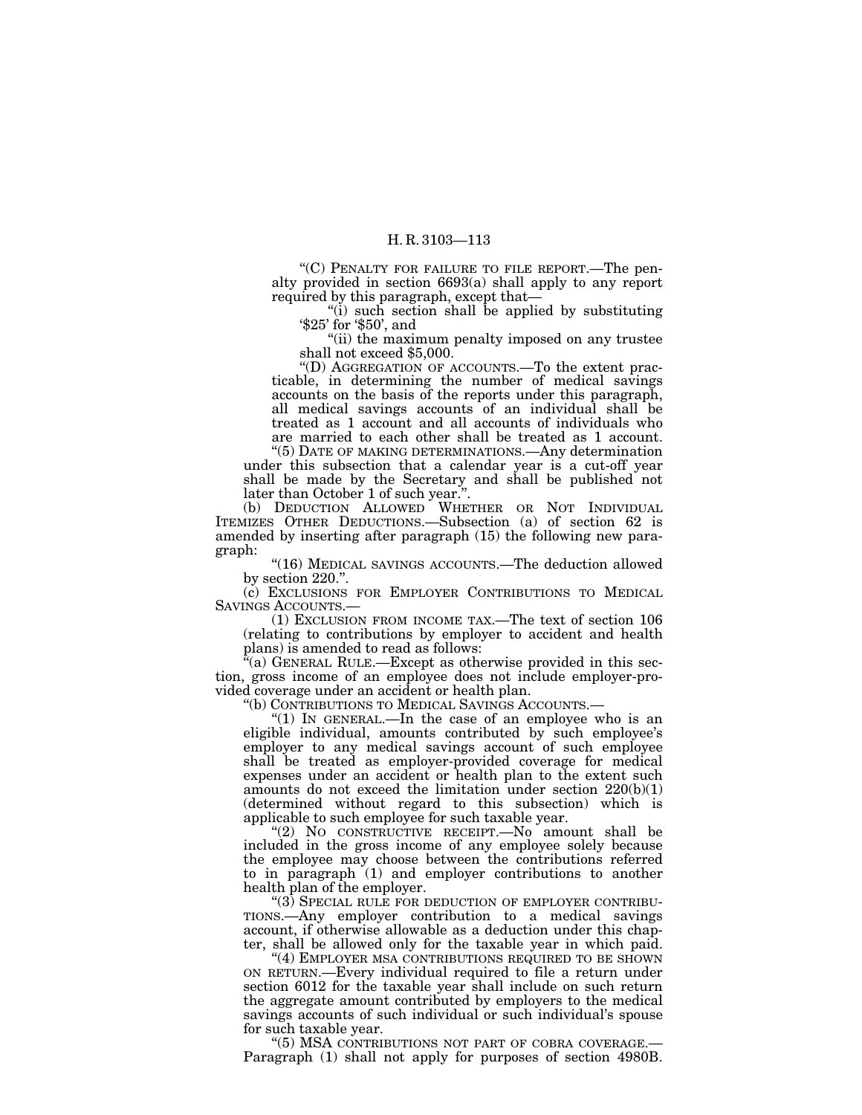"(C) PENALTY FOR FAILURE TO FILE REPORT.—The penalty provided in section 6693(a) shall apply to any report required by this paragraph, except that—

''(i) such section shall be applied by substituting '\$25' for '\$50', and

"(ii) the maximum penalty imposed on any trustee shall not exceed \$5,000.

''(D) AGGREGATION OF ACCOUNTS.—To the extent practicable, in determining the number of medical savings accounts on the basis of the reports under this paragraph, all medical savings accounts of an individual shall be treated as 1 account and all accounts of individuals who are married to each other shall be treated as 1 account.

''(5) DATE OF MAKING DETERMINATIONS.—Any determination under this subsection that a calendar year is a cut-off year shall be made by the Secretary and shall be published not later than October 1 of such year.''.

(b) DEDUCTION ALLOWED WHETHER OR NOT INDIVIDUAL ITEMIZES OTHER DEDUCTIONS.—Subsection (a) of section 62 is amended by inserting after paragraph (15) the following new paragraph:

"(16) MEDICAL SAVINGS ACCOUNTS.—The deduction allowed by section 220.''.

(c) EXCLUSIONS FOR EMPLOYER CONTRIBUTIONS TO MEDICAL SAVINGS ACCOUNTS.—

(1) EXCLUSION FROM INCOME TAX.—The text of section 106 (relating to contributions by employer to accident and health plans) is amended to read as follows:

 $f(a)$  GENERAL RULE.—Except as otherwise provided in this section, gross income of an employee does not include employer-provided coverage under an accident or health plan.

"(1) In GENERAL.—In the case of an employee who is an eligible individual, amounts contributed by such employee's employer to any medical savings account of such employee shall be treated as employer-provided coverage for medical expenses under an accident or health plan to the extent such amounts do not exceed the limitation under section  $220(b)(1)$ (determined without regard to this subsection) which is applicable to such employee for such taxable year.

''(2) NO CONSTRUCTIVE RECEIPT.—No amount shall be included in the gross income of any employee solely because the employee may choose between the contributions referred to in paragraph (1) and employer contributions to another health plan of the employer.

''(3) SPECIAL RULE FOR DEDUCTION OF EMPLOYER CONTRIBU-TIONS.—Any employer contribution to a medical savings account, if otherwise allowable as a deduction under this chapter, shall be allowed only for the taxable year in which paid.

''(4) EMPLOYER MSA CONTRIBUTIONS REQUIRED TO BE SHOWN ON RETURN.—Every individual required to file a return under section 6012 for the taxable year shall include on such return the aggregate amount contributed by employers to the medical savings accounts of such individual or such individual's spouse for such taxable year.

"(5) MSA CONTRIBUTIONS NOT PART OF COBRA COVERAGE.-Paragraph (1) shall not apply for purposes of section 4980B.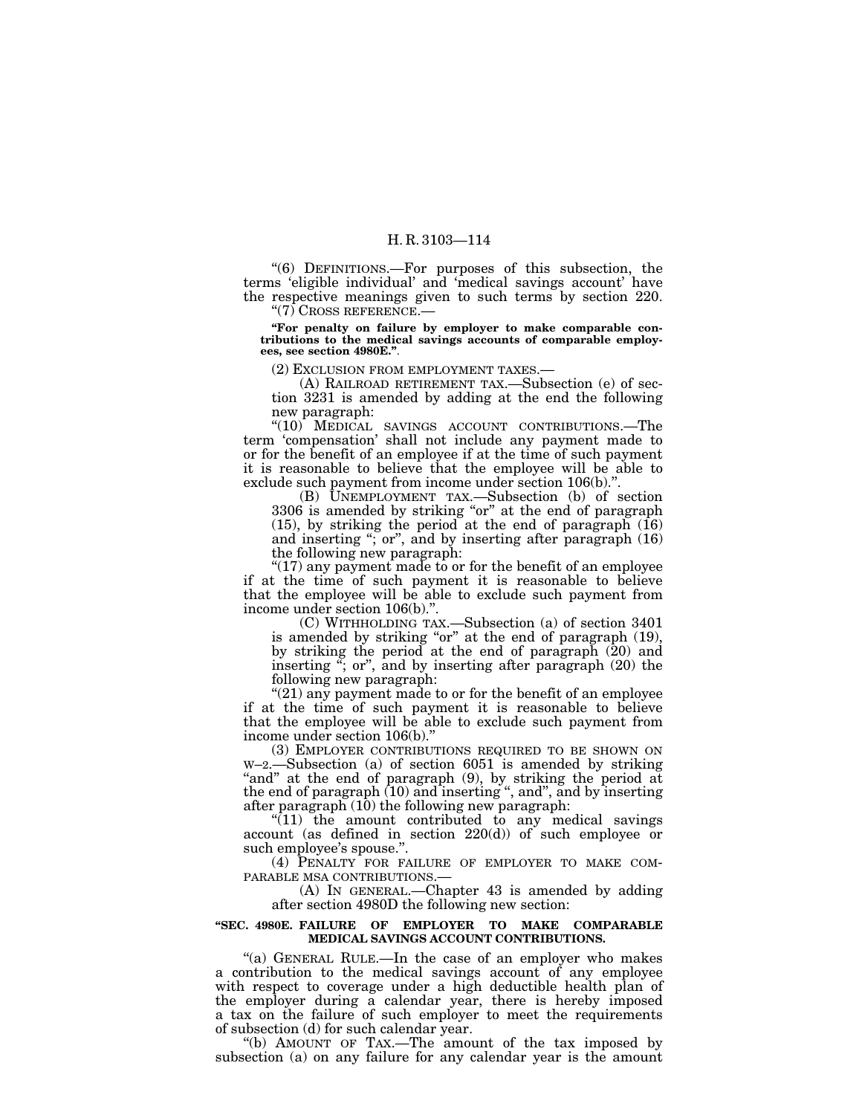''(6) DEFINITIONS.—For purposes of this subsection, the terms 'eligible individual' and 'medical savings account' have the respective meanings given to such terms by section 220.

 $\lq$ (7) Cross reference.

**''For penalty on failure by employer to make comparable contributions to the medical savings accounts of comparable employees, see section 4980E.''**.

(2) EXCLUSION FROM EMPLOYMENT TAXES.— (A) RAILROAD RETIREMENT TAX.—Subsection (e) of section 3231 is amended by adding at the end the following new paragraph:

"(10) MEDICAL SAVINGS ACCOUNT CONTRIBUTIONS.—The term 'compensation' shall not include any payment made to or for the benefit of an employee if at the time of such payment it is reasonable to believe that the employee will be able to exclude such payment from income under section 106(b)."

(B) UNEMPLOYMENT TAX.—Subsection (b) of section 3306 is amended by striking "or" at the end of paragraph (15), by striking the period at the end of paragraph (16) and inserting "; or", and by inserting after paragraph  $(16)$ the following new paragraph:

" $(17)$  any payment made to or for the benefit of an employee" if at the time of such payment it is reasonable to believe that the employee will be able to exclude such payment from income under section 106(b).''.

(C) WITHHOLDING TAX.—Subsection (a) of section 3401 is amended by striking "or" at the end of paragraph (19), by striking the period at the end of paragraph (20) and inserting  $\dddot{\cdot}$ ; or", and by inserting after paragraph (20) the following new paragraph:

 $(21)$  any payment made to or for the benefit of an employee if at the time of such payment it is reasonable to believe that the employee will be able to exclude such payment from income under section 106(b).''

(3) EMPLOYER CONTRIBUTIONS REQUIRED TO BE SHOWN ON W–2.—Subsection (a) of section 6051 is amended by striking "and" at the end of paragraph (9), by striking the period at the end of paragraph (10) and inserting '', and'', and by inserting after paragraph (10) the following new paragraph:

 $\sqrt{\frac{11}{1}}$  the amount contributed to any medical savings account (as defined in section 220(d)) of such employee or such employee's spouse.''.

(4) PENALTY FOR FAILURE OF EMPLOYER TO MAKE COM-PARABLE MSA CONTRIBUTIONS.—

(A) IN GENERAL.—Chapter 43 is amended by adding after section 4980D the following new section:

#### **''SEC. 4980E. FAILURE OF EMPLOYER TO MAKE COMPARABLE MEDICAL SAVINGS ACCOUNT CONTRIBUTIONS.**

"(a) GENERAL RULE.—In the case of an employer who makes a contribution to the medical savings account of any employee with respect to coverage under a high deductible health plan of the employer during a calendar year, there is hereby imposed a tax on the failure of such employer to meet the requirements of subsection (d) for such calendar year.

''(b) AMOUNT OF TAX.—The amount of the tax imposed by subsection (a) on any failure for any calendar year is the amount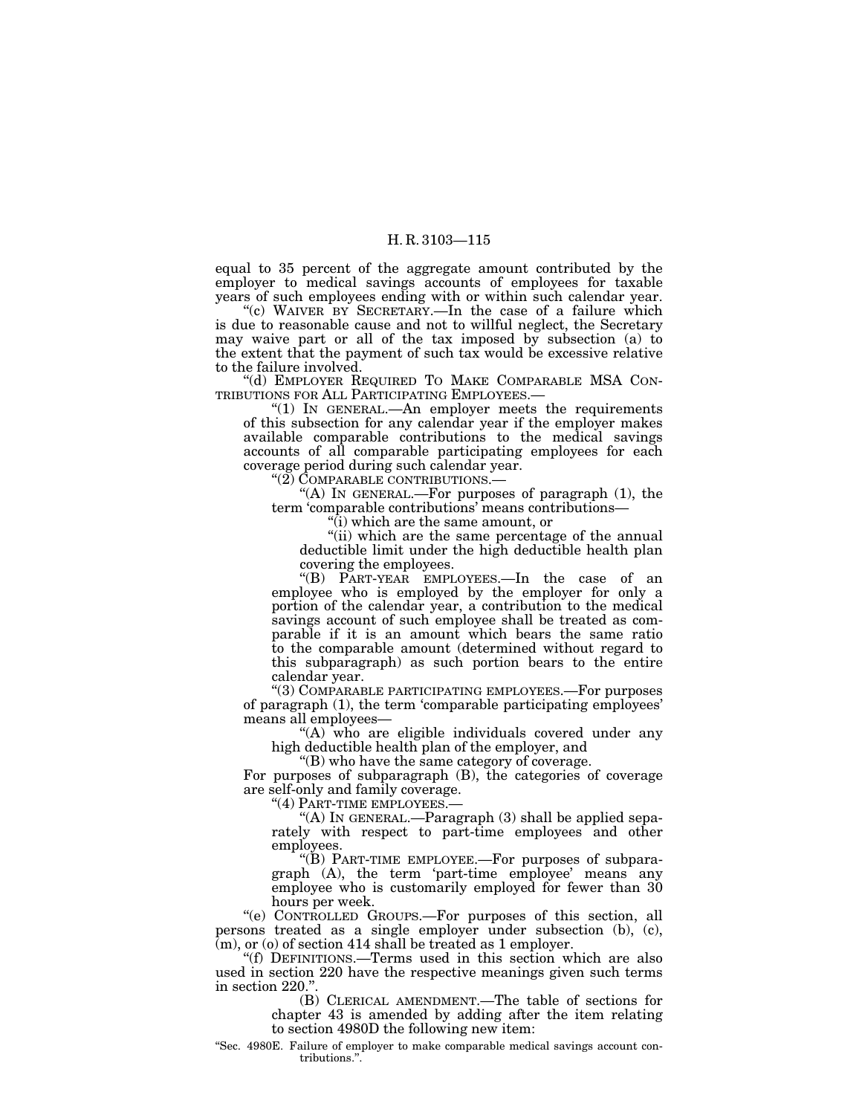equal to 35 percent of the aggregate amount contributed by the employer to medical savings accounts of employees for taxable years of such employees ending with or within such calendar year.

"(c) WAIVER BY SECRETARY.—In the case of a failure which is due to reasonable cause and not to willful neglect, the Secretary may waive part or all of the tax imposed by subsection (a) to the extent that the payment of such tax would be excessive relative to the failure involved.

''(d) EMPLOYER REQUIRED TO MAKE COMPARABLE MSA CON-TRIBUTIONS FOR ALL PARTICIPATING EMPLOYEES.—

''(1) IN GENERAL.—An employer meets the requirements of this subsection for any calendar year if the employer makes available comparable contributions to the medical savings accounts of all comparable participating employees for each coverage period during such calendar year.

''(2) COMPARABLE CONTRIBUTIONS.—

"(A) IN GENERAL.—For purposes of paragraph (1), the term 'comparable contributions' means contributions—

''(i) which are the same amount, or

"(ii) which are the same percentage of the annual deductible limit under the high deductible health plan covering the employees.

''(B) PART-YEAR EMPLOYEES.—In the case of an employee who is employed by the employer for only a portion of the calendar year, a contribution to the medical savings account of such employee shall be treated as comparable if it is an amount which bears the same ratio to the comparable amount (determined without regard to this subparagraph) as such portion bears to the entire calendar year.

''(3) COMPARABLE PARTICIPATING EMPLOYEES.—For purposes of paragraph (1), the term 'comparable participating employees' means all employees—

"(A) who are eligible individuals covered under any high deductible health plan of the employer, and

''(B) who have the same category of coverage.

For purposes of subparagraph (B), the categories of coverage are self-only and family coverage.<br>"(4) PART-TIME EMPLOYEES.—

''(4) PART-TIME EMPLOYEES.— ''(A) IN GENERAL.—Paragraph (3) shall be applied separately with respect to part-time employees and other employees.

''(B) PART-TIME EMPLOYEE.—For purposes of subparagraph (A), the term 'part-time employee' means any employee who is customarily employed for fewer than 30 hours per week.

''(e) CONTROLLED GROUPS.—For purposes of this section, all persons treated as a single employer under subsection (b), (c), (m), or (o) of section 414 shall be treated as 1 employer.

''(f) DEFINITIONS.—Terms used in this section which are also used in section 220 have the respective meanings given such terms in section 220.''.

(B) CLERICAL AMENDMENT.—The table of sections for chapter 43 is amended by adding after the item relating to section 4980D the following new item:

''Sec. 4980E. Failure of employer to make comparable medical savings account contributions<sup>'</sup>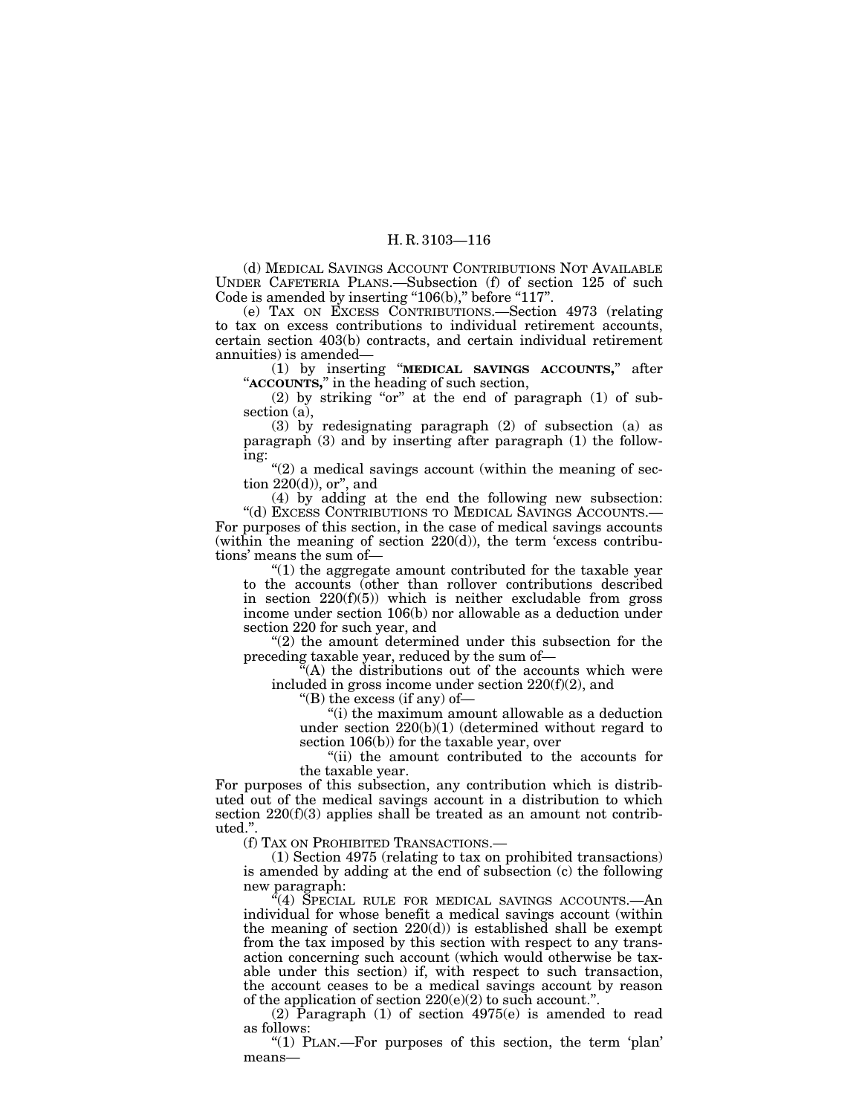(d) MEDICAL SAVINGS ACCOUNT CONTRIBUTIONS NOT AVAILABLE UNDER CAFETERIA PLANS.—Subsection (f) of section 125 of such Code is amended by inserting "106(b)," before "117".

(e) TAX ON EXCESS CONTRIBUTIONS.—Section 4973 (relating to tax on excess contributions to individual retirement accounts, certain section 403(b) contracts, and certain individual retirement annuities) is amended—

(1) by inserting ''**MEDICAL SAVINGS ACCOUNTS,**'' after "ACCOUNTS," in the heading of such section,

(2) by striking "or" at the end of paragraph  $(1)$  of subsection (a),

(3) by redesignating paragraph (2) of subsection (a) as paragraph (3) and by inserting after paragraph (1) the following:

 $''(2)$  a medical savings account (within the meaning of section  $220(d)$ , or", and

(4) by adding at the end the following new subsection: ''(d) EXCESS CONTRIBUTIONS TO MEDICAL SAVINGS ACCOUNTS.— For purposes of this section, in the case of medical savings accounts (within the meaning of section 220(d)), the term 'excess contributions' means the sum of—

 $(1)$  the aggregate amount contributed for the taxable year to the accounts (other than rollover contributions described in section  $220(f)(5)$  which is neither excludable from gross income under section 106(b) nor allowable as a deduction under section 220 for such year, and

 $''(2)$  the amount determined under this subsection for the preceding taxable year, reduced by the sum of—

 $\tilde{f}(A)$  the distributions out of the accounts which were included in gross income under section 220(f)(2), and

''(B) the excess (if any) of—

(i) the maximum amount allowable as a deduction under section 220(b)(1) (determined without regard to section 106(b)) for the taxable year, over

''(ii) the amount contributed to the accounts for the taxable year.

For purposes of this subsection, any contribution which is distributed out of the medical savings account in a distribution to which section  $220(f)(3)$  applies shall be treated as an amount not contributed.''.

(f) TAX ON PROHIBITED TRANSACTIONS.—

(1) Section 4975 (relating to tax on prohibited transactions) is amended by adding at the end of subsection (c) the following new paragraph:

 $f(4)$  SPECIAL RULE FOR MEDICAL SAVINGS ACCOUNTS.—An individual for whose benefit a medical savings account (within the meaning of section 220(d)) is established shall be exempt from the tax imposed by this section with respect to any transaction concerning such account (which would otherwise be taxable under this section) if, with respect to such transaction, the account ceases to be a medical savings account by reason of the application of section  $220(e)(2)$  to such account.".

(2) Paragraph (1) of section 4975(e) is amended to read as follows:

''(1) PLAN.—For purposes of this section, the term 'plan' means—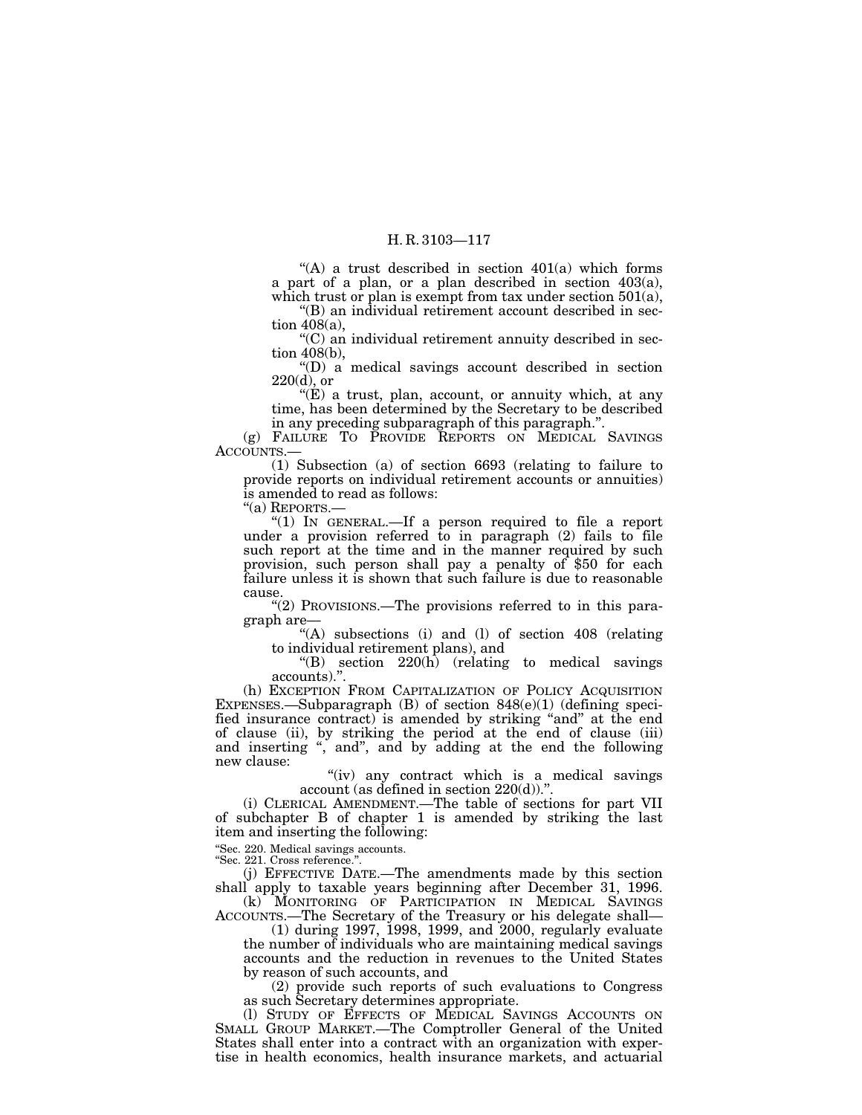"(A) a trust described in section  $401(a)$  which forms a part of a plan, or a plan described in section 403(a), which trust or plan is exempt from tax under section 501(a),

''(B) an individual retirement account described in section 408(a),

 $(C)$  an individual retirement annuity described in section 408(b),

''(D) a medical savings account described in section 220(d), or

''(E) a trust, plan, account, or annuity which, at any time, has been determined by the Secretary to be described in any preceding subparagraph of this paragraph.''.

(g) FAILURE TO PROVIDE REPORTS ON MEDICAL SAVINGS ACCOUNTS.—

(1) Subsection (a) of section 6693 (relating to failure to provide reports on individual retirement accounts or annuities) is amended to read as follows:

"(a) REPORTS.-

"(1) In GENERAL.—If a person required to file a report under a provision referred to in paragraph (2) fails to file such report at the time and in the manner required by such provision, such person shall pay a penalty of \$50 for each failure unless it is shown that such failure is due to reasonable cause.

"(2) PROVISIONS.—The provisions referred to in this paragraph are—

''(A) subsections (i) and (l) of section 408 (relating to individual retirement plans), and

''(B) section 220(h) (relating to medical savings accounts).''.

(h) EXCEPTION FROM CAPITALIZATION OF POLICY ACQUISITION EXPENSES.—Subparagraph (B) of section 848(e)(1) (defining specified insurance contract) is amended by striking "and" at the end of clause (ii), by striking the period at the end of clause (iii) and inserting ", and", and by adding at the end the following new clause:

> "(iv) any contract which is a medical savings account (as defined in section 220(d)).''.

(i) CLERICAL AMENDMENT.—The table of sections for part VII of subchapter B of chapter 1 is amended by striking the last item and inserting the following:

''Sec. 220. Medical savings accounts.

''Sec. 221. Cross reference.''.

(j) EFFECTIVE DATE.—The amendments made by this section shall apply to taxable years beginning after December 31, 1996. (k) MONITORING OF PARTICIPATION IN MEDICAL SAVINGS

ACCOUNTS.—The Secretary of the Treasury or his delegate shall—

(1) during 1997, 1998, 1999, and 2000, regularly evaluate the number of individuals who are maintaining medical savings accounts and the reduction in revenues to the United States by reason of such accounts, and

(2) provide such reports of such evaluations to Congress as such Secretary determines appropriate.

(l) STUDY OF EFFECTS OF MEDICAL SAVINGS ACCOUNTS ON SMALL GROUP MARKET.—The Comptroller General of the United States shall enter into a contract with an organization with expertise in health economics, health insurance markets, and actuarial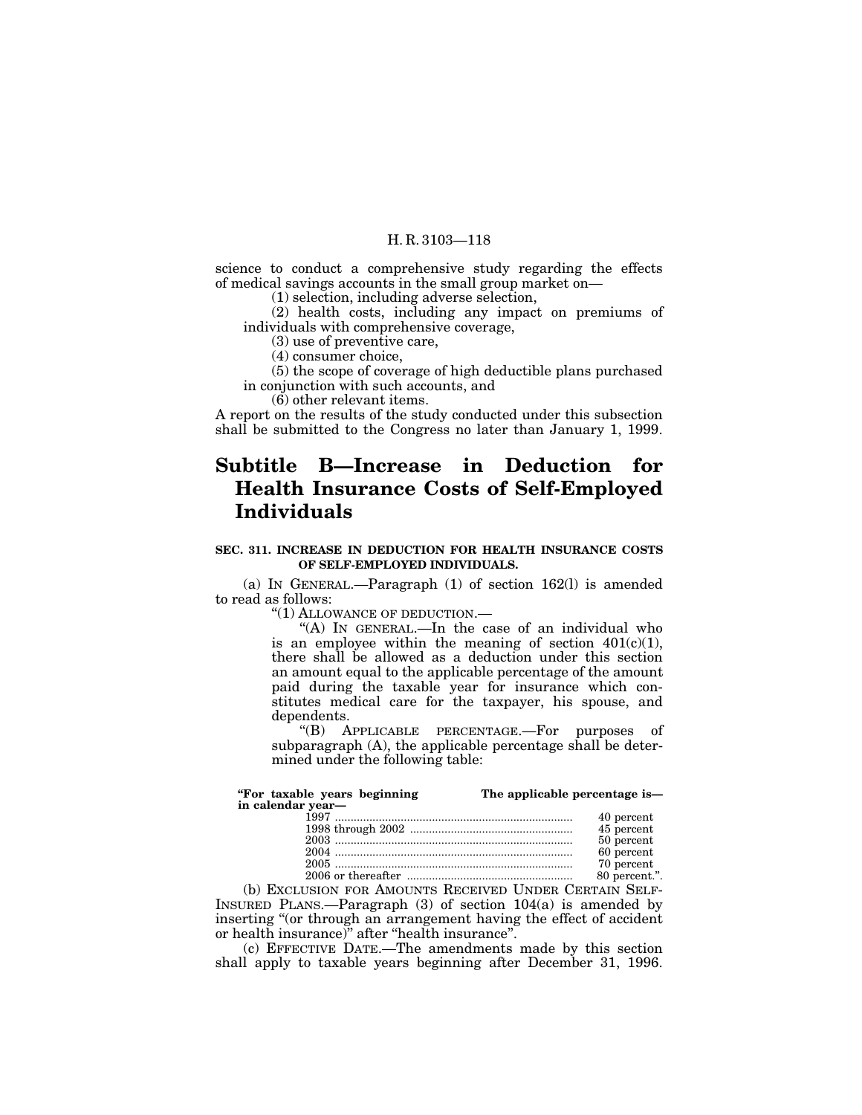science to conduct a comprehensive study regarding the effects of medical savings accounts in the small group market on—

(1) selection, including adverse selection,

(2) health costs, including any impact on premiums of individuals with comprehensive coverage,

(3) use of preventive care,

(4) consumer choice,

(5) the scope of coverage of high deductible plans purchased in conjunction with such accounts, and

(6) other relevant items.

A report on the results of the study conducted under this subsection shall be submitted to the Congress no later than January 1, 1999.

# **Subtitle B—Increase in Deduction for Health Insurance Costs of Self-Employed Individuals**

### **SEC. 311. INCREASE IN DEDUCTION FOR HEALTH INSURANCE COSTS OF SELF-EMPLOYED INDIVIDUALS.**

(a) IN GENERAL.—Paragraph (1) of section 162(l) is amended to read as follows:

''(1) ALLOWANCE OF DEDUCTION.—

''(A) IN GENERAL.—In the case of an individual who is an employee within the meaning of section  $401(c)(1)$ , there shall be allowed as a deduction under this section an amount equal to the applicable percentage of the amount paid during the taxable year for insurance which constitutes medical care for the taxpayer, his spouse, and dependents.

''(B) APPLICABLE PERCENTAGE.—For purposes of subparagraph (A), the applicable percentage shall be determined under the following table:

| The applicable percentage is— |               |
|-------------------------------|---------------|
|                               |               |
|                               | 40 percent    |
|                               | 45 percent    |
|                               | 50 percent    |
|                               | 60 percent    |
|                               | 70 percent    |
|                               | 80 percent.". |
|                               |               |

(b) EXCLUSION FOR AMOUNTS RECEIVED UNDER CERTAIN SELF-INSURED PLANS.—Paragraph (3) of section 104(a) is amended by inserting ''(or through an arrangement having the effect of accident or health insurance)" after "health insurance".

(c) EFFECTIVE DATE.—The amendments made by this section shall apply to taxable years beginning after December 31, 1996.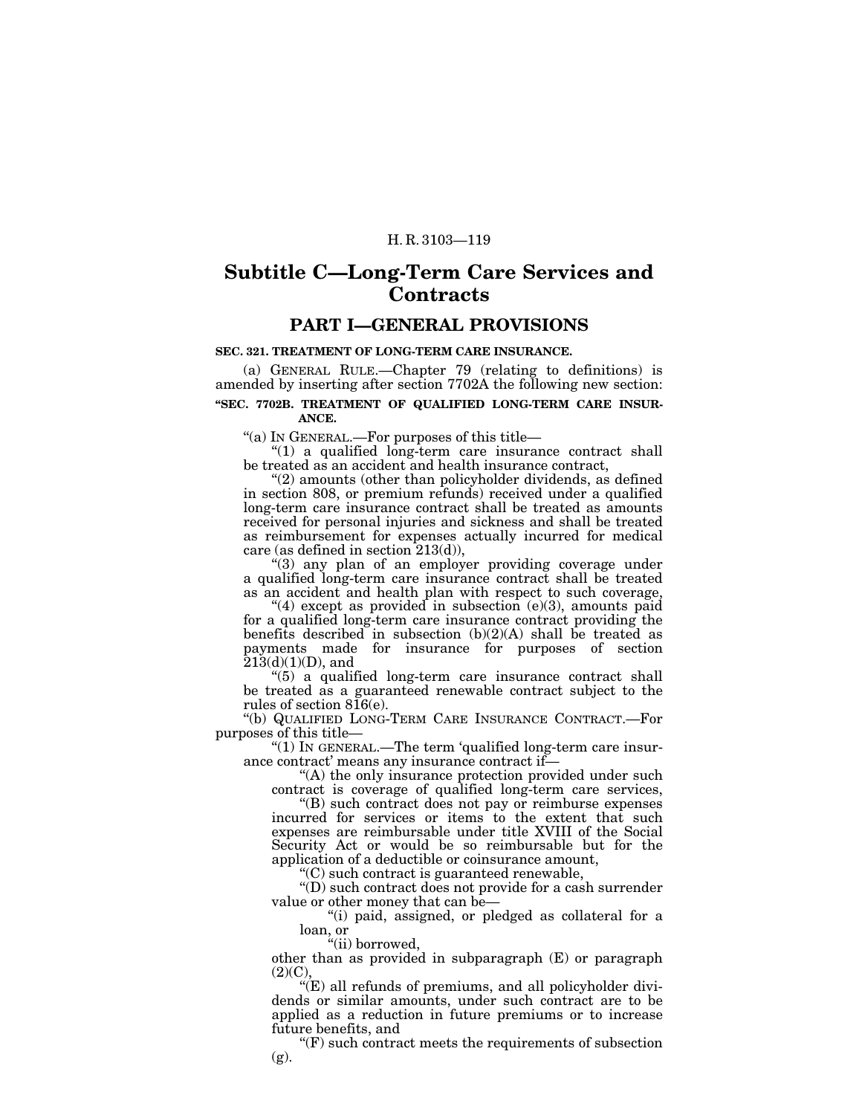## **Subtitle C—Long-Term Care Services and Contracts**

## **PART I—GENERAL PROVISIONS**

#### **SEC. 321. TREATMENT OF LONG-TERM CARE INSURANCE.**

(a) GENERAL RULE.—Chapter 79 (relating to definitions) is amended by inserting after section 7702A the following new section:

**''SEC. 7702B. TREATMENT OF QUALIFIED LONG-TERM CARE INSUR-ANCE.**

''(a) IN GENERAL.—For purposes of this title—

''(1) a qualified long-term care insurance contract shall be treated as an accident and health insurance contract,

''(2) amounts (other than policyholder dividends, as defined in section 808, or premium refunds) received under a qualified long-term care insurance contract shall be treated as amounts received for personal injuries and sickness and shall be treated as reimbursement for expenses actually incurred for medical care (as defined in section 213(d)),

"(3) any plan of an employer providing coverage under a qualified long-term care insurance contract shall be treated as an accident and health plan with respect to such coverage,

" $(4)$  except as provided in subsection  $(e)(3)$ , amounts paid for a qualified long-term care insurance contract providing the benefits described in subsection  $(b)(2)(A)$  shall be treated as payments made for insurance for purposes of section  $213(d)(1)(D)$ , and

''(5) a qualified long-term care insurance contract shall be treated as a guaranteed renewable contract subject to the rules of section 816(e).

''(b) QUALIFIED LONG-TERM CARE INSURANCE CONTRACT.—For purposes of this title—

''(1) IN GENERAL.—The term 'qualified long-term care insurance contract' means any insurance contract if—

"(A) the only insurance protection provided under such contract is coverage of qualified long-term care services,

''(B) such contract does not pay or reimburse expenses incurred for services or items to the extent that such expenses are reimbursable under title XVIII of the Social Security Act or would be so reimbursable but for the application of a deductible or coinsurance amount,

''(C) such contract is guaranteed renewable,

''(D) such contract does not provide for a cash surrender value or other money that can be—

''(i) paid, assigned, or pledged as collateral for a loan, or

''(ii) borrowed,

other than as provided in subparagraph (E) or paragraph  $(2)(C)$ 

"(E) all refunds of premiums, and all policyholder dividends or similar amounts, under such contract are to be applied as a reduction in future premiums or to increase future benefits, and

 $f(F)$  such contract meets the requirements of subsection

(g).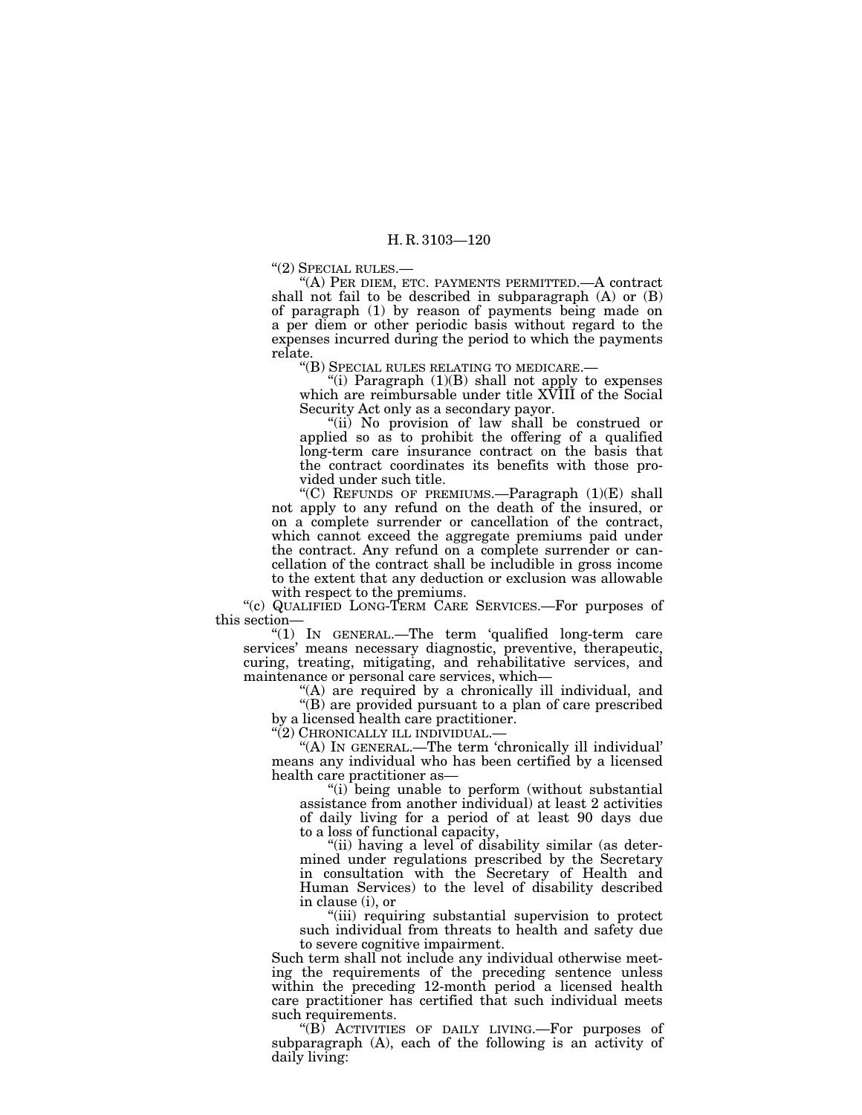''(2) SPECIAL RULES.—

''(A) PER DIEM, ETC. PAYMENTS PERMITTED.—A contract shall not fail to be described in subparagraph (A) or (B) of paragraph (1) by reason of payments being made on a per diem or other periodic basis without regard to the expenses incurred during the period to which the payments relate.

''(B) SPECIAL RULES RELATING TO MEDICARE.—

"(i) Paragraph  $(1)(B)$  shall not apply to expenses which are reimbursable under title XVIII of the Social Security Act only as a secondary payor.

''(ii) No provision of law shall be construed or applied so as to prohibit the offering of a qualified long-term care insurance contract on the basis that the contract coordinates its benefits with those provided under such title.

''(C) REFUNDS OF PREMIUMS.—Paragraph (1)(E) shall not apply to any refund on the death of the insured, or on a complete surrender or cancellation of the contract, which cannot exceed the aggregate premiums paid under the contract. Any refund on a complete surrender or cancellation of the contract shall be includible in gross income to the extent that any deduction or exclusion was allowable with respect to the premiums.

''(c) QUALIFIED LONG-TERM CARE SERVICES.—For purposes of this section—

" $(1)$  In GENERAL.—The term 'qualified long-term care services' means necessary diagnostic, preventive, therapeutic, curing, treating, mitigating, and rehabilitative services, and maintenance or personal care services, which—

''(A) are required by a chronically ill individual, and ''(B) are provided pursuant to a plan of care prescribed by a licensed health care practitioner.<br>"(2) CHRONICALLY ILL INDIVIDUAL.—

"(A) IN GENERAL.— The term 'chronically ill individual' means any individual who has been certified by a licensed health care practitioner as—

"(i) being unable to perform (without substantial assistance from another individual) at least 2 activities of daily living for a period of at least 90 days due to a loss of functional capacity,

"(ii) having a level of disability similar (as determined under regulations prescribed by the Secretary in consultation with the Secretary of Health and Human Services) to the level of disability described in clause (i), or

"(iii) requiring substantial supervision to protect such individual from threats to health and safety due to severe cognitive impairment.

Such term shall not include any individual otherwise meeting the requirements of the preceding sentence unless within the preceding 12-month period a licensed health care practitioner has certified that such individual meets such requirements.

" $(B)$  ACTIVITIES OF DAILY LIVING.—For purposes of subparagraph (A), each of the following is an activity of daily living: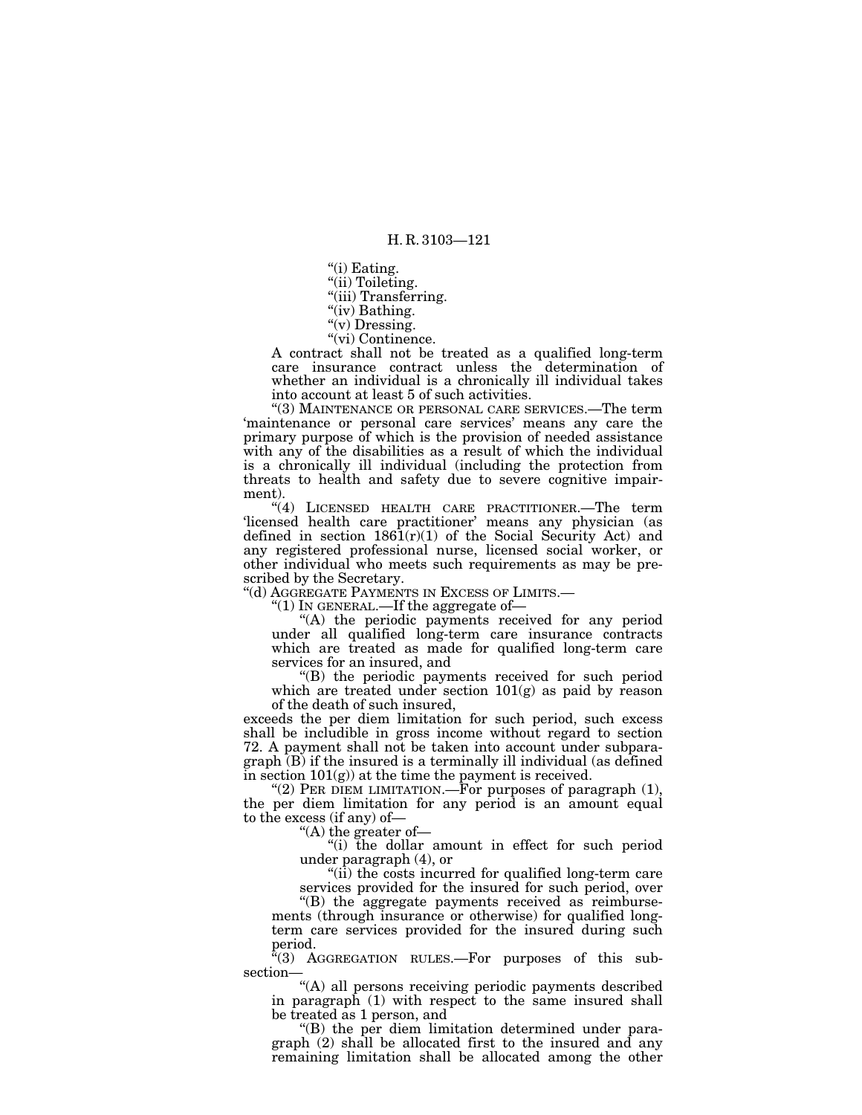''(i) Eating.

"(ii) Toileting.

"(iii) Transferring.

"(iv) Bathing.

"(v) Dressing.

"(vi) Continence.

A contract shall not be treated as a qualified long-term care insurance contract unless the determination of whether an individual is a chronically ill individual takes into account at least 5 of such activities.

''(3) MAINTENANCE OR PERSONAL CARE SERVICES.—The term 'maintenance or personal care services' means any care the primary purpose of which is the provision of needed assistance with any of the disabilities as a result of which the individual is a chronically ill individual (including the protection from threats to health and safety due to severe cognitive impairment).

"(4) LICENSED HEALTH CARE PRACTITIONER.—The term 'licensed health care practitioner' means any physician (as defined in section  $1861(r)(1)$  of the Social Security Act) and any registered professional nurse, licensed social worker, or other individual who meets such requirements as may be prescribed by the Secretary.

''(d) AGGREGATE PAYMENTS IN EXCESS OF LIMITS.—

"(1) In GENERAL.—If the aggregate of—

''(A) the periodic payments received for any period under all qualified long-term care insurance contracts which are treated as made for qualified long-term care services for an insured, and

''(B) the periodic payments received for such period which are treated under section  $101(g)$  as paid by reason of the death of such insured,

exceeds the per diem limitation for such period, such excess shall be includible in gross income without regard to section 72. A payment shall not be taken into account under subparagraph (B) if the insured is a terminally ill individual (as defined in section 101(g)) at the time the payment is received.

"(2) PER DIEM LIMITATION.—For purposes of paragraph  $(1)$ , the per diem limitation for any period is an amount equal to the excess (if any) of—

''(A) the greater of—

''(i) the dollar amount in effect for such period under paragraph (4), or

"(ii) the costs incurred for qualified long-term care services provided for the insured for such period, over

''(B) the aggregate payments received as reimbursements (through insurance or otherwise) for qualified longterm care services provided for the insured during such period.

"(3) AGGREGATION RULES.—For purposes of this subsection—

"(A) all persons receiving periodic payments described in paragraph (1) with respect to the same insured shall be treated as 1 person, and

''(B) the per diem limitation determined under paragraph (2) shall be allocated first to the insured and any remaining limitation shall be allocated among the other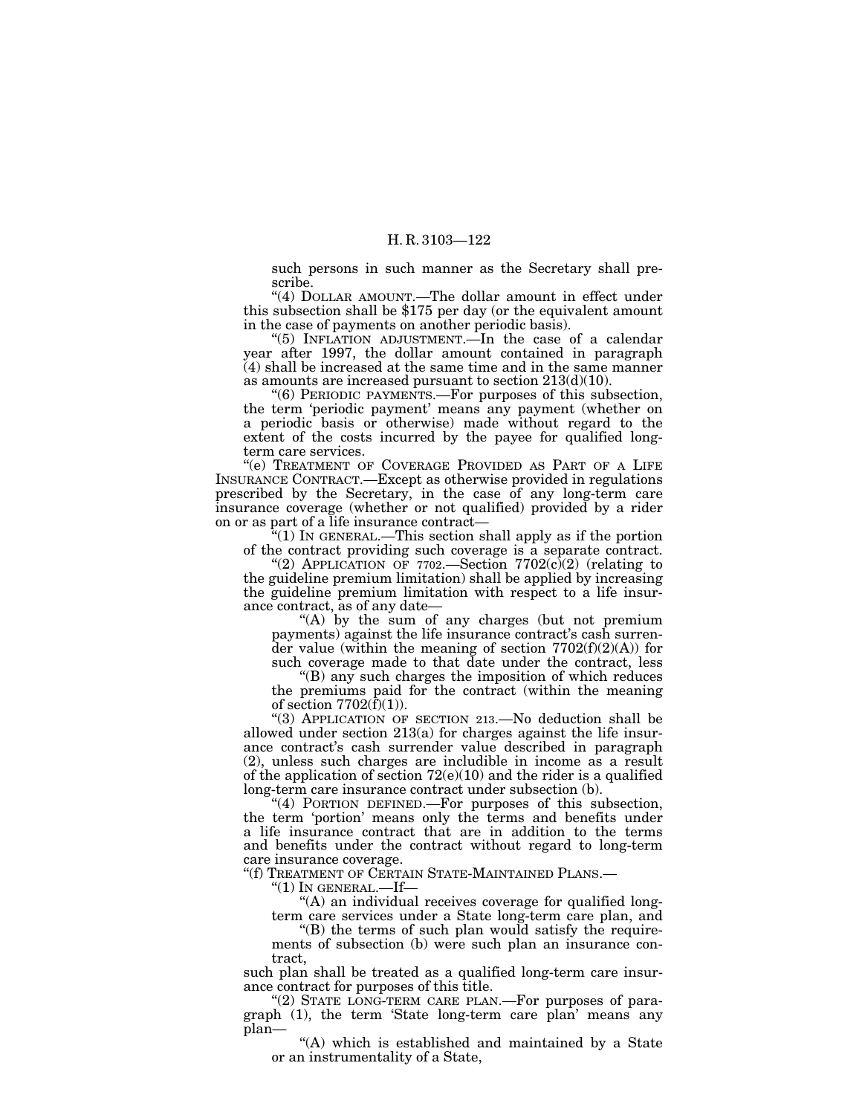such persons in such manner as the Secretary shall prescribe.

"(4) DOLLAR AMOUNT.—The dollar amount in effect under this subsection shall be \$175 per day (or the equivalent amount in the case of payments on another periodic basis).

''(5) INFLATION ADJUSTMENT.—In the case of a calendar year after 1997, the dollar amount contained in paragraph (4) shall be increased at the same time and in the same manner as amounts are increased pursuant to section 213(d)(10).

''(6) PERIODIC PAYMENTS.—For purposes of this subsection, the term 'periodic payment' means any payment (whether on a periodic basis or otherwise) made without regard to the extent of the costs incurred by the payee for qualified longterm care services.

''(e) TREATMENT OF COVERAGE PROVIDED AS PART OF A LIFE INSURANCE CONTRACT.—Except as otherwise provided in regulations prescribed by the Secretary, in the case of any long-term care insurance coverage (whether or not qualified) provided by a rider on or as part of a life insurance contract—

 $(1)$  In GENERAL.—This section shall apply as if the portion of the contract providing such coverage is a separate contract.

"(2) APPLICATION OF 7702.—Section  $7702(c)(2)$  (relating to the guideline premium limitation) shall be applied by increasing the guideline premium limitation with respect to a life insurance contract, as of any date—

"(A) by the sum of any charges (but not premium payments) against the life insurance contract's cash surrender value (within the meaning of section  $7702(f)(2)(A)$ ) for such coverage made to that date under the contract, less

''(B) any such charges the imposition of which reduces the premiums paid for the contract (within the meaning of section  $7702(f)(1)$ ).

''(3) APPLICATION OF SECTION 213.—No deduction shall be allowed under section 213(a) for charges against the life insurance contract's cash surrender value described in paragraph (2), unless such charges are includible in income as a result of the application of section  $72(e)(10)$  and the rider is a qualified long-term care insurance contract under subsection (b).

"(4) PORTION DEFINED.—For purposes of this subsection, the term 'portion' means only the terms and benefits under a life insurance contract that are in addition to the terms and benefits under the contract without regard to long-term care insurance coverage.

''(f) TREATMENT OF CERTAIN STATE-MAINTAINED PLANS.— ''(1) IN GENERAL.—If—

''(A) an individual receives coverage for qualified longterm care services under a State long-term care plan, and

''(B) the terms of such plan would satisfy the requirements of subsection (b) were such plan an insurance contract,

such plan shall be treated as a qualified long-term care insurance contract for purposes of this title.

"(2) STATE LONG-TERM CARE PLAN.—For purposes of paragraph (1), the term 'State long-term care plan' means any plan—

''(A) which is established and maintained by a State or an instrumentality of a State,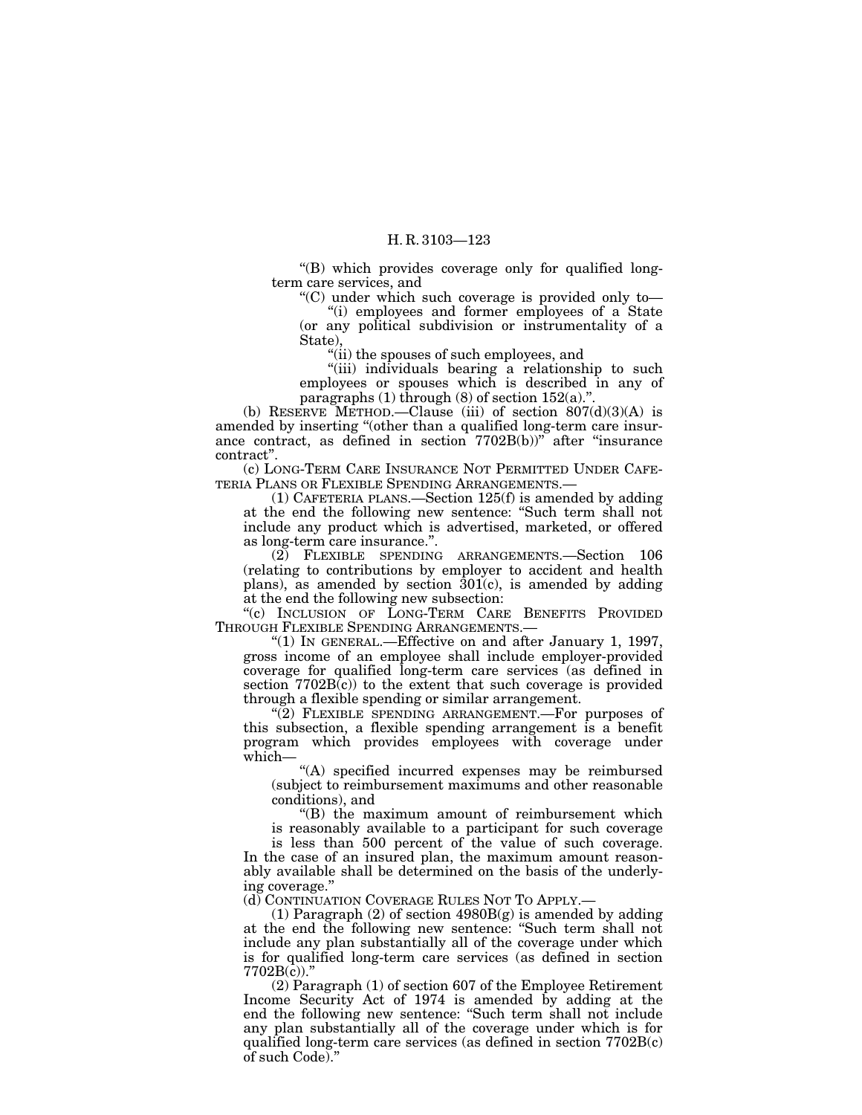''(B) which provides coverage only for qualified longterm care services, and

"(C) under which such coverage is provided only to-

''(i) employees and former employees of a State (or any political subdivision or instrumentality of a State),

''(ii) the spouses of such employees, and

"(iii) individuals bearing a relationship to such employees or spouses which is described in any of paragraphs  $(1)$  through  $(8)$  of section 152 $(a)$ .".

(b) RESERVE METHOD.—Clause (iii) of section  $807(d)(3)(A)$  is amended by inserting "(other than a qualified long-term care insurance contract, as defined in section 7702B(b))" after "insurance contract''.

(c) LONG-TERM CARE INSURANCE NOT PERMITTED UNDER CAFE-TERIA PLANS OR FLEXIBLE SPENDING ARRANGEMENTS.—

(1) CAFETERIA PLANS.—Section 125(f) is amended by adding at the end the following new sentence: ''Such term shall not include any product which is advertised, marketed, or offered as long-term care insurance.''.

(2) FLEXIBLE SPENDING ARRANGEMENTS.—Section 106 (relating to contributions by employer to accident and health plans), as amended by section  $301(c)$ , is amended by adding at the end the following new subsection:

''(c) INCLUSION OF LONG-TERM CARE BENEFITS PROVIDED THROUGH FLEXIBLE SPENDING ARRANGEMENTS.—

''(1) IN GENERAL.—Effective on and after January 1, 1997, gross income of an employee shall include employer-provided coverage for qualified long-term care services (as defined in section  $7702B(c)$  to the extent that such coverage is provided through a flexible spending or similar arrangement.

 $(2)$  FLEXIBLE SPENDING ARRANGEMENT. For purposes of this subsection, a flexible spending arrangement is a benefit program which provides employees with coverage under which—

"(A) specified incurred expenses may be reimbursed (subject to reimbursement maximums and other reasonable conditions), and

''(B) the maximum amount of reimbursement which is reasonably available to a participant for such coverage

is less than 500 percent of the value of such coverage. In the case of an insured plan, the maximum amount reasonably available shall be determined on the basis of the underlying coverage.''

(d) CONTINUATION COVERAGE RULES NOT TO APPLY.—

(1) Paragraph  $(2)$  of section  $4980B(g)$  is amended by adding at the end the following new sentence: ''Such term shall not include any plan substantially all of the coverage under which is for qualified long-term care services (as defined in section  $7702B(c)$ ."

(2) Paragraph (1) of section 607 of the Employee Retirement Income Security Act of 1974 is amended by adding at the end the following new sentence: "Such term shall not include any plan substantially all of the coverage under which is for qualified long-term care services (as defined in section 7702B(c) of such Code).''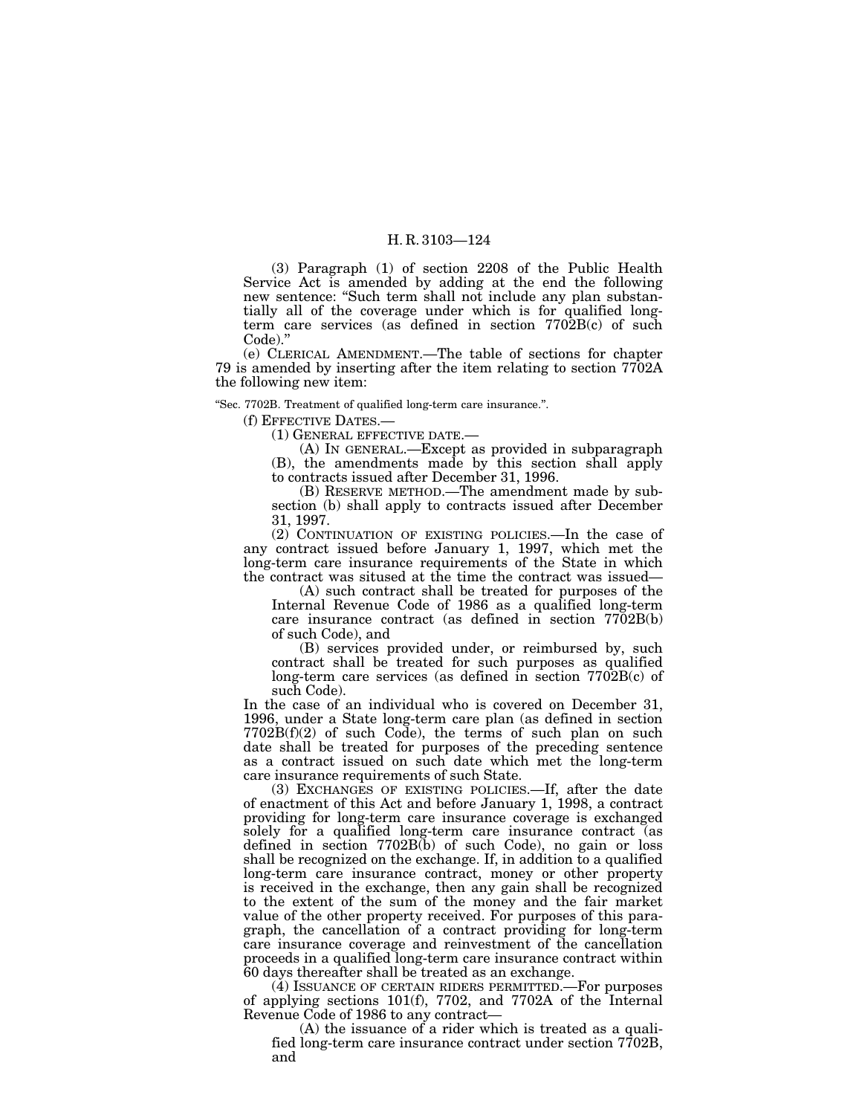(3) Paragraph (1) of section 2208 of the Public Health Service Act is amended by adding at the end the following new sentence: ''Such term shall not include any plan substantially all of the coverage under which is for qualified longterm care services (as defined in section 7702B(c) of such Code).''

(e) CLERICAL AMENDMENT.—The table of sections for chapter 79 is amended by inserting after the item relating to section 7702A the following new item:

''Sec. 7702B. Treatment of qualified long-term care insurance.''.

(f) EFFECTIVE DATES.—

(1) GENERAL EFFECTIVE DATE.—

(A) IN GENERAL.—Except as provided in subparagraph (B), the amendments made by this section shall apply to contracts issued after December 31, 1996.

(B) RESERVE METHOD.—The amendment made by subsection (b) shall apply to contracts issued after December 31, 1997.

(2) CONTINUATION OF EXISTING POLICIES.—In the case of any contract issued before January 1, 1997, which met the long-term care insurance requirements of the State in which the contract was sitused at the time the contract was issued—

(A) such contract shall be treated for purposes of the Internal Revenue Code of 1986 as a qualified long-term care insurance contract (as defined in section 7702B(b) of such Code), and

(B) services provided under, or reimbursed by, such contract shall be treated for such purposes as qualified long-term care services (as defined in section 7702B(c) of such Code).

In the case of an individual who is covered on December 31, 1996, under a State long-term care plan (as defined in section 7702B(f)(2) of such Code), the terms of such plan on such date shall be treated for purposes of the preceding sentence as a contract issued on such date which met the long-term care insurance requirements of such State.

(3) EXCHANGES OF EXISTING POLICIES.—If, after the date of enactment of this Act and before January 1, 1998, a contract providing for long-term care insurance coverage is exchanged solely for a qualified long-term care insurance contract (as defined in section 7702B(b) of such Code), no gain or loss shall be recognized on the exchange. If, in addition to a qualified long-term care insurance contract, money or other property is received in the exchange, then any gain shall be recognized to the extent of the sum of the money and the fair market value of the other property received. For purposes of this paragraph, the cancellation of a contract providing for long-term care insurance coverage and reinvestment of the cancellation proceeds in a qualified long-term care insurance contract within 60 days thereafter shall be treated as an exchange.

(4) ISSUANCE OF CERTAIN RIDERS PERMITTED.—For purposes of applying sections 101(f), 7702, and 7702A of the Internal Revenue Code of 1986 to any contract—

(A) the issuance of a rider which is treated as a qualified long-term care insurance contract under section 7702B, and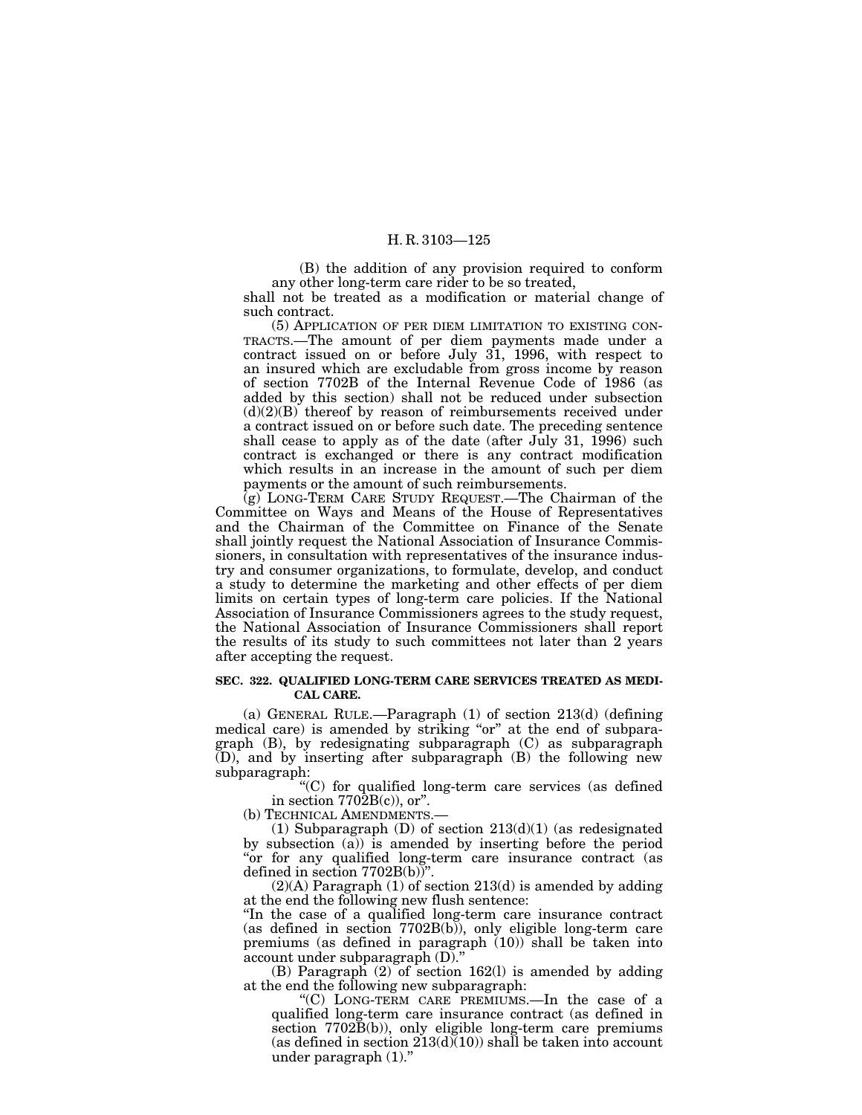(B) the addition of any provision required to conform any other long-term care rider to be so treated,

shall not be treated as a modification or material change of such contract.

(5) APPLICATION OF PER DIEM LIMITATION TO EXISTING CON-TRACTS.—The amount of per diem payments made under a contract issued on or before July  $31, 1996$ , with respect to an insured which are excludable from gross income by reason of section 7702B of the Internal Revenue Code of 1986 (as added by this section) shall not be reduced under subsection  $(d)(2)(B)$  thereof by reason of reimbursements received under a contract issued on or before such date. The preceding sentence shall cease to apply as of the date (after July 31, 1996) such contract is exchanged or there is any contract modification which results in an increase in the amount of such per diem payments or the amount of such reimbursements.

 $\overline{g}$  LONG-TERM CARE STUDY REQUEST.—The Chairman of the Committee on Ways and Means of the House of Representatives and the Chairman of the Committee on Finance of the Senate shall jointly request the National Association of Insurance Commissioners, in consultation with representatives of the insurance industry and consumer organizations, to formulate, develop, and conduct a study to determine the marketing and other effects of per diem limits on certain types of long-term care policies. If the National Association of Insurance Commissioners agrees to the study request, the National Association of Insurance Commissioners shall report the results of its study to such committees not later than 2 years after accepting the request.

### **SEC. 322. QUALIFIED LONG-TERM CARE SERVICES TREATED AS MEDI-CAL CARE.**

(a) GENERAL RULE.—Paragraph (1) of section 213(d) (defining medical care) is amended by striking "or" at the end of subparagraph (B), by redesignating subparagraph (C) as subparagraph (D), and by inserting after subparagraph (B) the following new subparagraph:

''(C) for qualified long-term care services (as defined in section  $770\overline{2}B(c)$ , or".

(b) TECHNICAL AMENDMENTS.—

(1) Subparagraph (D) of section 213(d)(1) (as redesignated by subsection (a)) is amended by inserting before the period ''or for any qualified long-term care insurance contract (as defined in section 7702B(b))''.

 $(2)(A)$  Paragraph  $(1)$  of section  $213(d)$  is amended by adding at the end the following new flush sentence:

''In the case of a qualified long-term care insurance contract (as defined in section  $7702B(b)$ ), only eligible long-term care premiums (as defined in paragraph (10)) shall be taken into account under subparagraph (D).''

(B) Paragraph (2) of section 162(l) is amended by adding at the end the following new subparagraph:

''(C) LONG-TERM CARE PREMIUMS.—In the case of a qualified long-term care insurance contract (as defined in section  $7702\overline{B}(b)$ , only eligible long-term care premiums (as defined in section  $213(d)(10)$ ) shall be taken into account under paragraph (1).''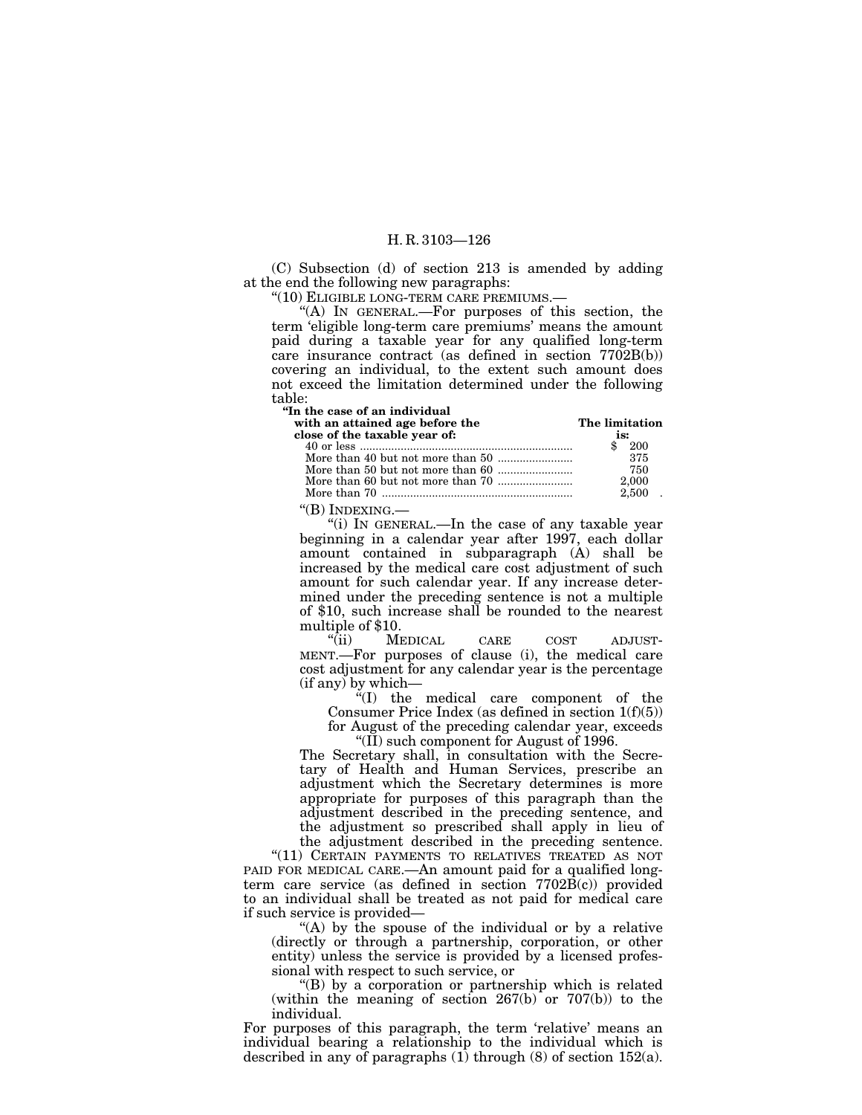(C) Subsection (d) of section 213 is amended by adding at the end the following new paragraphs:

''(10) ELIGIBLE LONG-TERM CARE PREMIUMS.—

''(A) IN GENERAL.—For purposes of this section, the term 'eligible long-term care premiums' means the amount paid during a taxable year for any qualified long-term care insurance contract (as defined in section 7702B(b)) covering an individual, to the extent such amount does not exceed the limitation determined under the following table:<br>"In th

| "In the case of an individual   |                |
|---------------------------------|----------------|
| with an attained age before the | The limitation |
| close of the taxable year of:   | is:            |
|                                 | \$ 200         |
|                                 | 375            |
|                                 | 750            |
|                                 | 2.000          |
|                                 | 2.500          |
|                                 |                |

''(B) INDEXING.—

''(i) IN GENERAL.—In the case of any taxable year beginning in a calendar year after 1997, each dollar amount contained in subparagraph (A) shall be increased by the medical care cost adjustment of such amount for such calendar year. If any increase determined under the preceding sentence is not a multiple of \$10, such increase shall be rounded to the nearest multiple of \$10.

"(ii) MEDICAL CARE COST ADJUST-MENT.—For purposes of clause (i), the medical care cost adjustment for any calendar year is the percentage (if any) by which—

''(I) the medical care component of the Consumer Price Index (as defined in section  $1(f)(5)$ ) for August of the preceding calendar year, exceeds

"( $\overline{II}$ ) such component for August of 1996.

The Secretary shall, in consultation with the Secretary of Health and Human Services, prescribe an adjustment which the Secretary determines is more appropriate for purposes of this paragraph than the adjustment described in the preceding sentence, and the adjustment so prescribed shall apply in lieu of the adjustment described in the preceding sentence.

"(11) CERTAIN PAYMENTS TO RELATIVES TREATED AS NOT PAID FOR MEDICAL CARE.—An amount paid for a qualified longterm care service (as defined in section  $7702\overline{B}(c)$ ) provided to an individual shall be treated as not paid for medical care if such service is provided—

"(A) by the spouse of the individual or by a relative (directly or through a partnership, corporation, or other entity) unless the service is provided by a licensed professional with respect to such service, or

''(B) by a corporation or partnership which is related (within the meaning of section  $267(b)$  or  $707(b)$ ) to the individual.

For purposes of this paragraph, the term 'relative' means an individual bearing a relationship to the individual which is described in any of paragraphs  $(1)$  through  $(8)$  of section 152 $(a)$ .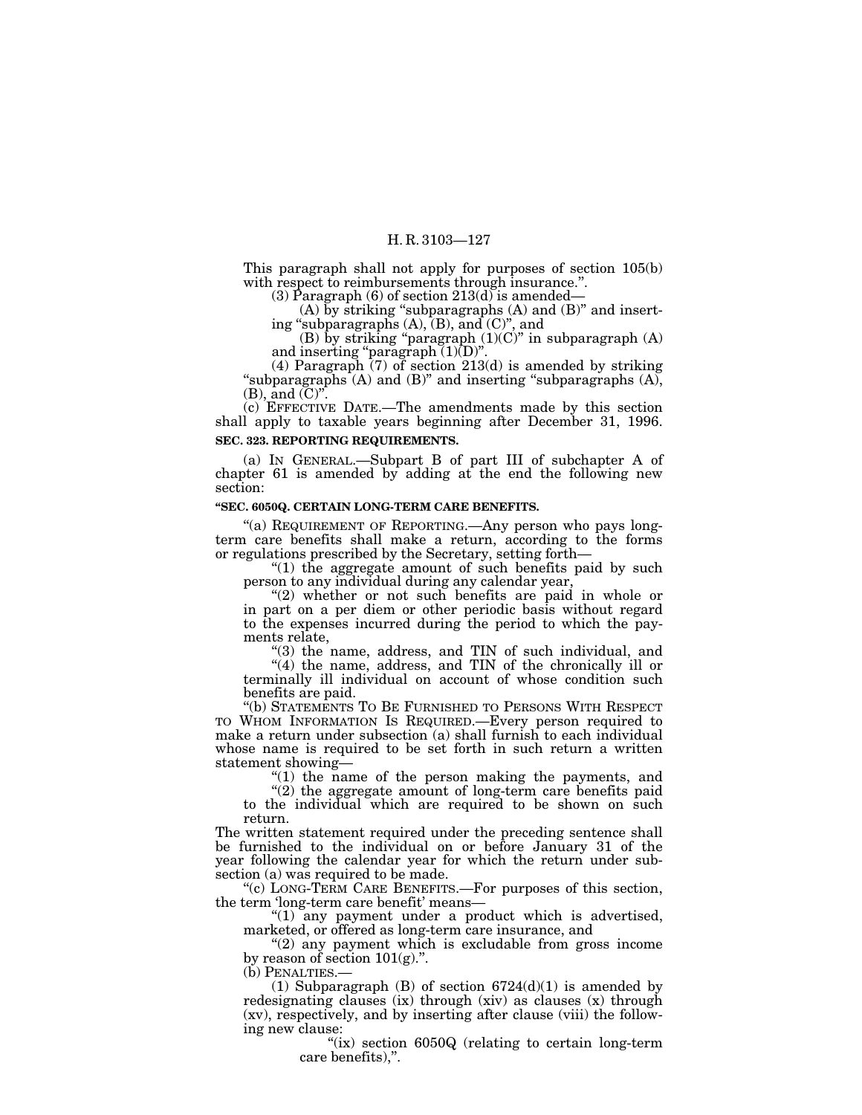This paragraph shall not apply for purposes of section 105(b) with respect to reimbursements through insurance.".

(3) Paragraph (6) of section  $213(d)$  is amended—

(A) by striking ''subparagraphs (A) and (B)'' and inserting ''subparagraphs (A), (B), and (C)'', and

(B) by striking "paragraph  $(1)(C)$ " in subparagraph  $(A)$ and inserting "paragraph  $(1)(D)$ ".

(4) Paragraph (7) of section 213(d) is amended by striking "subparagraphs  $(A)$  and  $(B)$ " and inserting "subparagraphs  $(A)$ ,  $(B)$ , and  $(C)$ ".

(c) EFFECTIVE DATE.—The amendments made by this section shall apply to taxable years beginning after December 31, 1996. **SEC. 323. REPORTING REQUIREMENTS.**

(a) IN GENERAL.—Subpart B of part III of subchapter A of chapter 61 is amended by adding at the end the following new section:

### **''SEC. 6050Q. CERTAIN LONG-TERM CARE BENEFITS.**

''(a) REQUIREMENT OF REPORTING.—Any person who pays longterm care benefits shall make a return, according to the forms or regulations prescribed by the Secretary, setting forth—

" $(1)$  the aggregate amount of such benefits paid by such person to any individual during any calendar year,

"(2) whether or not such benefits are paid in whole or in part on a per diem or other periodic basis without regard to the expenses incurred during the period to which the payments relate,

"(3) the name, address, and TIN of such individual, and

"(4) the name, address, and TIN of the chronically ill or terminally ill individual on account of whose condition such benefits are paid.

''(b) STATEMENTS TO BE FURNISHED TO PERSONS WITH RESPECT TO WHOM INFORMATION IS REQUIRED.—Every person required to make a return under subsection (a) shall furnish to each individual whose name is required to be set forth in such return a written statement showing—

" $(1)$  the name of the person making the payments, and

 $'(2)$  the aggregate amount of long-term care benefits paid to the individual which are required to be shown on such return.

The written statement required under the preceding sentence shall be furnished to the individual on or before January 31 of the year following the calendar year for which the return under subsection (a) was required to be made.

''(c) LONG-TERM CARE BENEFITS.—For purposes of this section, the term 'long-term care benefit' means—

" $(1)$  any payment under a product which is advertised, marketed, or offered as long-term care insurance, and

"(2) any payment which is excludable from gross income by reason of section  $101(g)$ .".

(b) PENALTIES.—

(1) Subparagraph (B) of section 6724(d)(1) is amended by redesignating clauses (ix) through (xiv) as clauses (x) through (xv), respectively, and by inserting after clause (viii) the following new clause:

"(ix) section 6050Q (relating to certain long-term care benefits),''.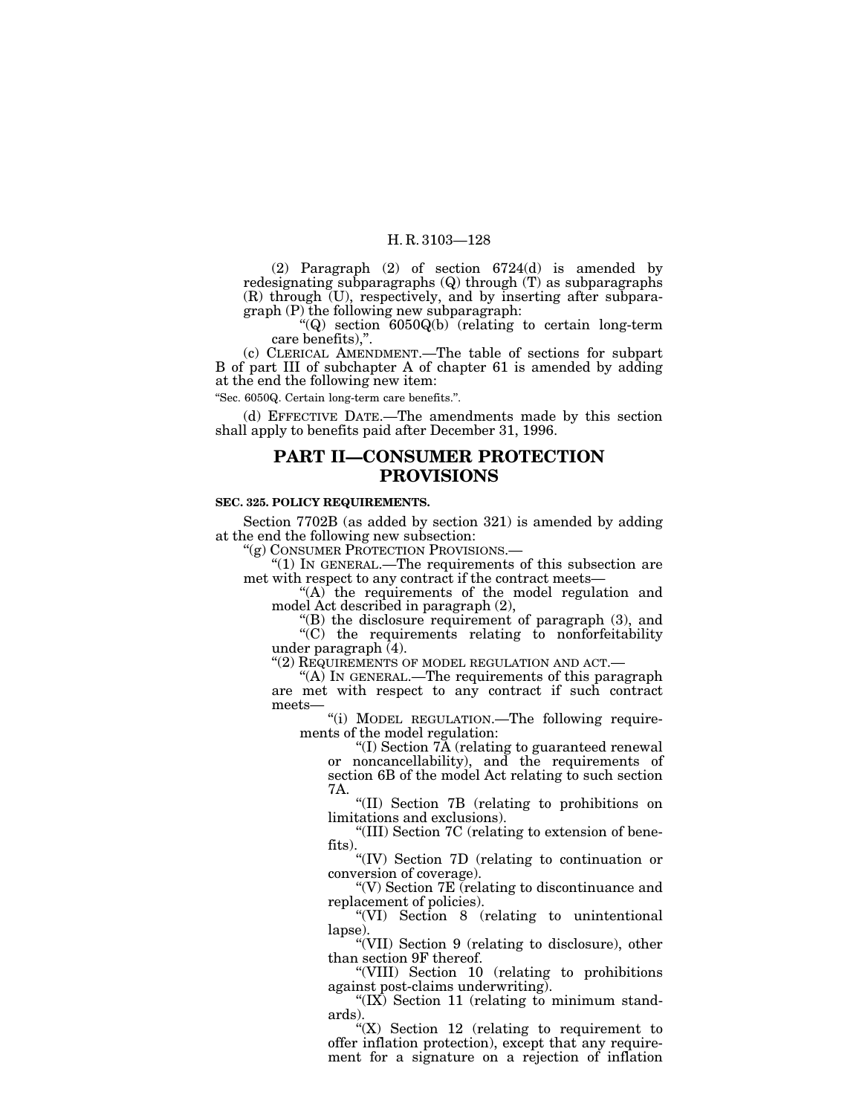(2) Paragraph (2) of section 6724(d) is amended by redesignating subparagraphs (Q) through (T) as subparagraphs (R) through (U), respectively, and by inserting after subparagraph (P) the following new subparagraph:

''(Q) section 6050Q(b) (relating to certain long-term care benefits),''.

(c) CLERICAL AMENDMENT.—The table of sections for subpart B of part III of subchapter A of chapter 61 is amended by adding at the end the following new item:

''Sec. 6050Q. Certain long-term care benefits.''.

(d) EFFECTIVE DATE.—The amendments made by this section shall apply to benefits paid after December 31, 1996.

## **PART II—CONSUMER PROTECTION PROVISIONS**

### **SEC. 325. POLICY REQUIREMENTS.**

Section 7702B (as added by section 321) is amended by adding at the end the following new subsection:

''(g) CONSUMER PROTECTION PROVISIONS.—

''(1) IN GENERAL.—The requirements of this subsection are met with respect to any contract if the contract meets—

"(A) the requirements of the model regulation and model Act described in paragraph (2),

"(B) the disclosure requirement of paragraph (3), and

 $\mathcal{C}(C)$  the requirements relating to nonforfeitability under paragraph (4).<br>"(2) REQUIREMENTS OF MODEL REGULATION AND ACT.—

"(A) In GENERAL.—The requirements of this paragraph are met with respect to any contract if such contract meets—

''(i) MODEL REGULATION.—The following requirements of the model regulation:

"(I) Section  $7\overline{A}$  (relating to guaranteed renewal or noncancellability), and the requirements of section 6B of the model Act relating to such section 7A.

''(II) Section 7B (relating to prohibitions on limitations and exclusions).

''(III) Section 7C (relating to extension of benefits).

''(IV) Section 7D (relating to continuation or conversion of coverage).

''(V) Section 7E (relating to discontinuance and replacement of policies).

''(VI) Section 8 (relating to unintentional lapse).

''(VII) Section 9 (relating to disclosure), other than section 9F thereof.

''(VIII) Section 10 (relating to prohibitions against post-claims underwriting).

" $(IX)$  Section 11 (relating to minimum standards).

" $(X)$  Section 12 (relating to requirement to offer inflation protection), except that any requirement for a signature on a rejection of inflation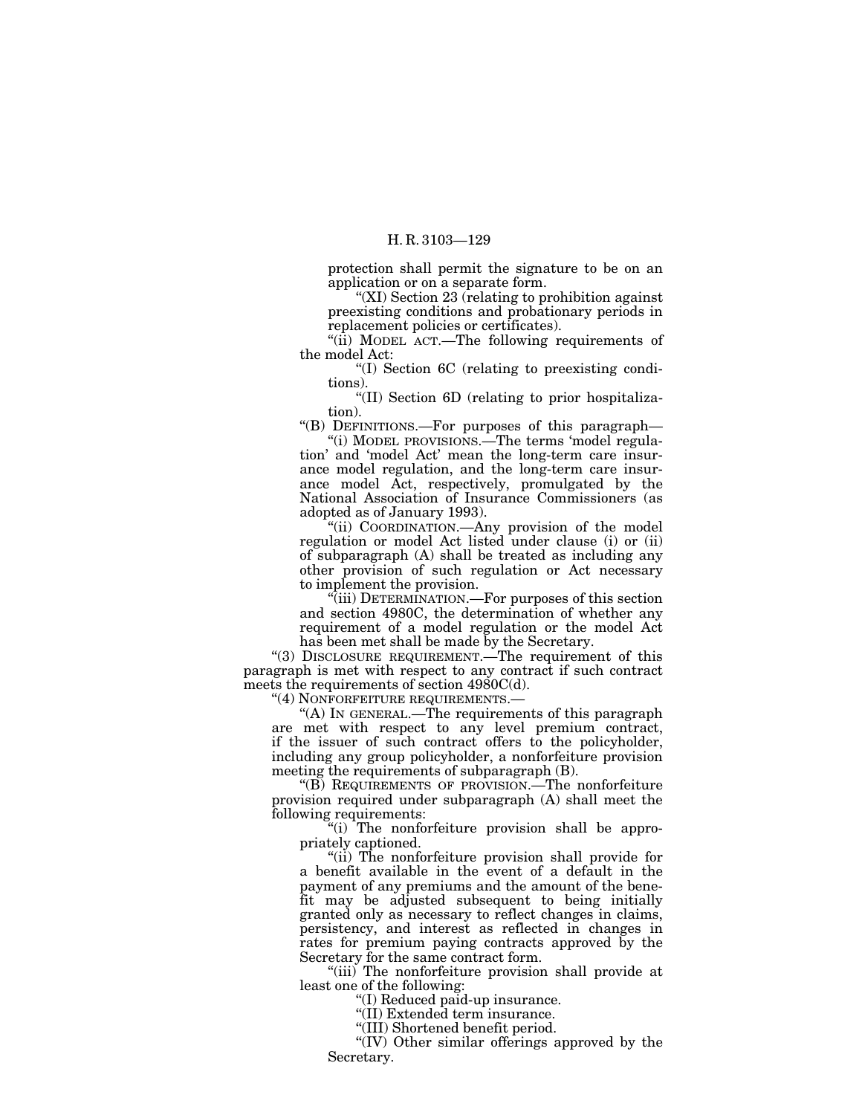protection shall permit the signature to be on an application or on a separate form.

''(XI) Section 23 (relating to prohibition against preexisting conditions and probationary periods in replacement policies or certificates).

"(ii) MODEL ACT.—The following requirements of the model Act:

''(I) Section 6C (relating to preexisting conditions).

''(II) Section 6D (relating to prior hospitalization).

''(B) DEFINITIONS.—For purposes of this paragraph— ''(i) MODEL PROVISIONS.—The terms 'model regula-

tion' and 'model Act' mean the long-term care insurance model regulation, and the long-term care insurance model Act, respectively, promulgated by the National Association of Insurance Commissioners (as adopted as of January 1993).

''(ii) COORDINATION.—Any provision of the model regulation or model Act listed under clause (i) or (ii) of subparagraph (A) shall be treated as including any other provision of such regulation or Act necessary to implement the provision.

''(iii) DETERMINATION.—For purposes of this section and section 4980C, the determination of whether any requirement of a model regulation or the model Act has been met shall be made by the Secretary.

"(3) DISCLOSURE REQUIREMENT.—The requirement of this paragraph is met with respect to any contract if such contract meets the requirements of section 4980C(d).

"(4) NONFORFEITURE REQUIREMENTS.-

"(A) In GENERAL.—The requirements of this paragraph are met with respect to any level premium contract, if the issuer of such contract offers to the policyholder, including any group policyholder, a nonforfeiture provision meeting the requirements of subparagraph (B).

"(B) REQUIREMENTS OF PROVISION.—The nonforfeiture provision required under subparagraph (A) shall meet the following requirements:

''(i) The nonforfeiture provision shall be appropriately captioned.

''(ii) The nonforfeiture provision shall provide for a benefit available in the event of a default in the payment of any premiums and the amount of the benefit may be adjusted subsequent to being initially granted only as necessary to reflect changes in claims, persistency, and interest as reflected in changes in rates for premium paying contracts approved by the Secretary for the same contract form.

"(iii) The nonforfeiture provision shall provide at least one of the following:

''(I) Reduced paid-up insurance.

"(II) Extended term insurance.

''(III) Shortened benefit period.

''(IV) Other similar offerings approved by the Secretary.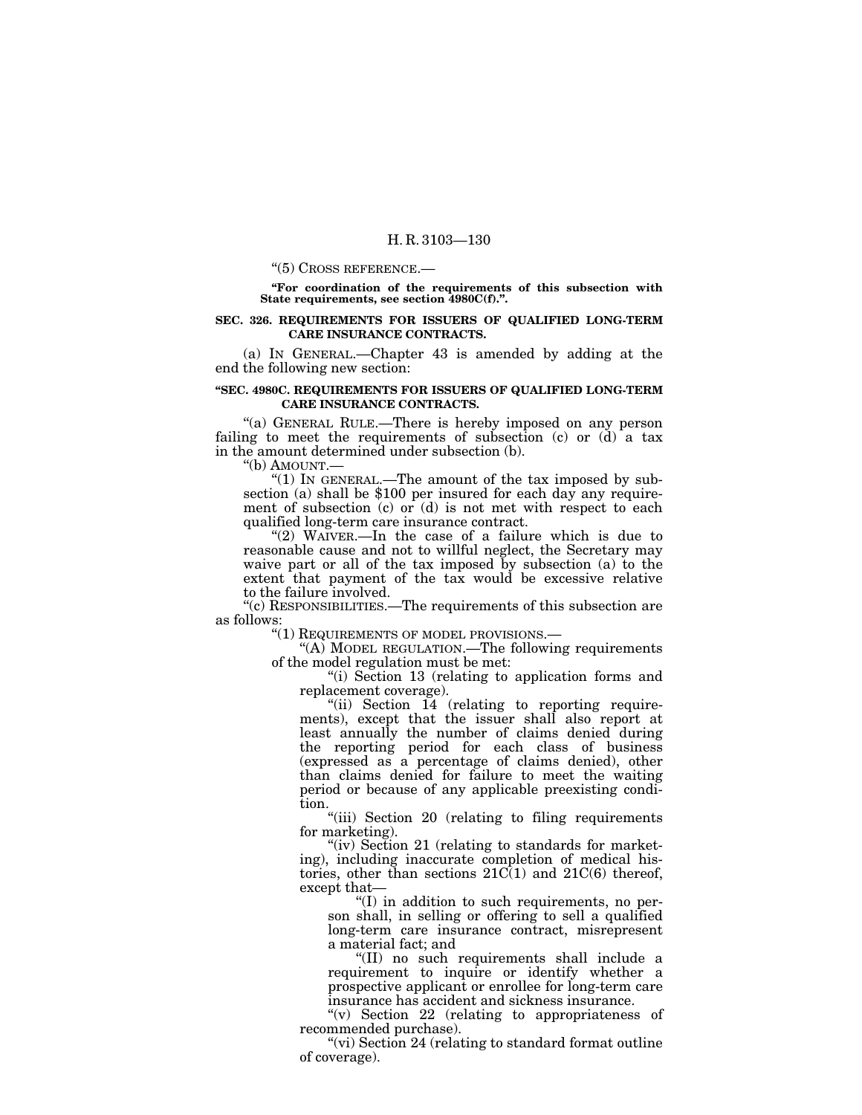### ''(5) CROSS REFERENCE.—

**''For coordination of the requirements of this subsection with State requirements, see section 4980C(f).''.**

### **SEC. 326. REQUIREMENTS FOR ISSUERS OF QUALIFIED LONG-TERM CARE INSURANCE CONTRACTS.**

(a) IN GENERAL.—Chapter 43 is amended by adding at the end the following new section:

### **''SEC. 4980C. REQUIREMENTS FOR ISSUERS OF QUALIFIED LONG-TERM CARE INSURANCE CONTRACTS.**

"(a) GENERAL RULE.—There is hereby imposed on any person failing to meet the requirements of subsection (c) or  $(d)$  a tax in the amount determined under subsection (b).

"(b) AMOUNT.

" $(1)$  In GENERAL.—The amount of the tax imposed by subsection (a) shall be \$100 per insured for each day any requirement of subsection (c) or (d) is not met with respect to each qualified long-term care insurance contract.

"(2)  $W$ AIVER.—In the case of a failure which is due to reasonable cause and not to willful neglect, the Secretary may waive part or all of the tax imposed by subsection (a) to the extent that payment of the tax would be excessive relative to the failure involved.

''(c) RESPONSIBILITIES.—The requirements of this subsection are as follows:

''(1) REQUIREMENTS OF MODEL PROVISIONS.—

"(A) MODEL REGULATION.—The following requirements of the model regulation must be met:

''(i) Section 13 (relating to application forms and replacement coverage).

"(ii) Section 14 (relating to reporting requirements), except that the issuer shall also report at least annually the number of claims denied during the reporting period for each class of business (expressed as a percentage of claims denied), other than claims denied for failure to meet the waiting period or because of any applicable preexisting condition.

''(iii) Section 20 (relating to filing requirements for marketing).

" $(iv)$  Section 21 (relating to standards for marketing), including inaccurate completion of medical histories, other than sections  $21C(1)$  and  $21C(6)$  thereof, except that—

''(I) in addition to such requirements, no person shall, in selling or offering to sell a qualified long-term care insurance contract, misrepresent a material fact; and

''(II) no such requirements shall include a requirement to inquire or identify whether a prospective applicant or enrollee for long-term care insurance has accident and sickness insurance.

" $(v)$  Section 22 (relating to appropriateness of recommended purchase).

"(vi) Section 24 (relating to standard format outline of coverage).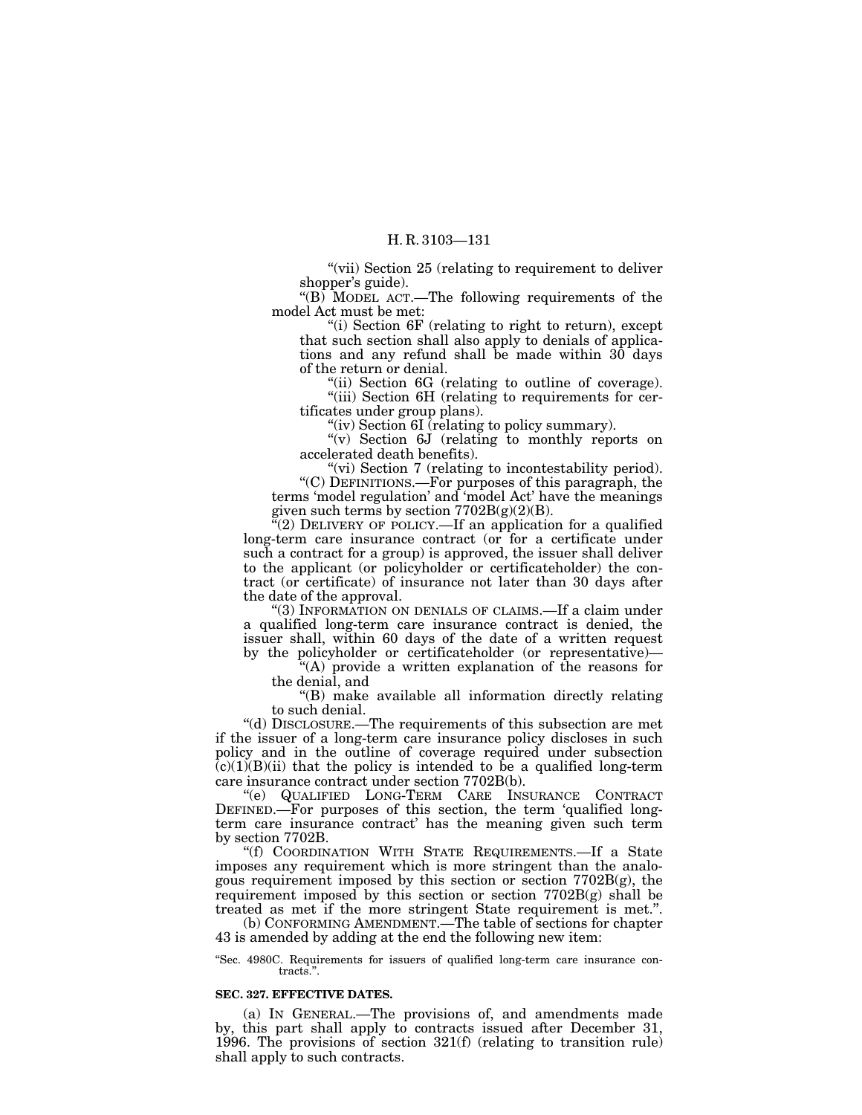"(vii) Section 25 (relating to requirement to deliver shopper's guide).

" $(B)$  MODEL ACT.—The following requirements of the model Act must be met:

''(i) Section 6F (relating to right to return), except that such section shall also apply to denials of applications and any refund shall be made within  $30^{\circ}$  days of the return or denial.

"(ii) Section 6G (relating to outline of coverage).

"(iii) Section 6H (relating to requirements for certificates under group plans).

"(iv) Section 6I (relating to policy summary).

''(v) Section 6J (relating to monthly reports on accelerated death benefits).

"(vi) Section 7 (relating to incontestability period). ''(C) DEFINITIONS.—For purposes of this paragraph, the terms 'model regulation' and 'model Act' have the meanings given such terms by section 7702B(g)(2)(B).

 $\mathbb{F}(2)$  DELIVERY OF POLICY.—If an application for a qualified long-term care insurance contract (or for a certificate under such a contract for a group) is approved, the issuer shall deliver to the applicant (or policyholder or certificateholder) the contract (or certificate) of insurance not later than 30 days after the date of the approval.

"(3) INFORMATION ON DENIALS OF CLAIMS.—If a claim under a qualified long-term care insurance contract is denied, the issuer shall, within 60 days of the date of a written request by the policyholder or certificateholder (or representative)—

''(A) provide a written explanation of the reasons for the denial, and

''(B) make available all information directly relating to such denial.

''(d) DISCLOSURE.—The requirements of this subsection are met if the issuer of a long-term care insurance policy discloses in such policy and in the outline of coverage required under subsection  $\overline{c}(c)(1)(B)(ii)$  that the policy is intended to be a qualified long-term care insurance contract under section 7702B(b).

''(e) QUALIFIED LONG-TERM CARE INSURANCE CONTRACT DEFINED.—For purposes of this section, the term 'qualified longterm care insurance contract' has the meaning given such term by section 7702B.

''(f) COORDINATION WITH STATE REQUIREMENTS.—If a State imposes any requirement which is more stringent than the analogous requirement imposed by this section or section  $7702B(g)$ , the requirement imposed by this section or section  $7702B(g)$  shall be treated as met if the more stringent State requirement is met.''.

(b) CONFORMING AMENDMENT.—The table of sections for chapter 43 is amended by adding at the end the following new item:

''Sec. 4980C. Requirements for issuers of qualified long-term care insurance contracts.''.

#### **SEC. 327. EFFECTIVE DATES.**

(a) IN GENERAL.—The provisions of, and amendments made by, this part shall apply to contracts issued after December 31, 1996. The provisions of section 321(f) (relating to transition rule) shall apply to such contracts.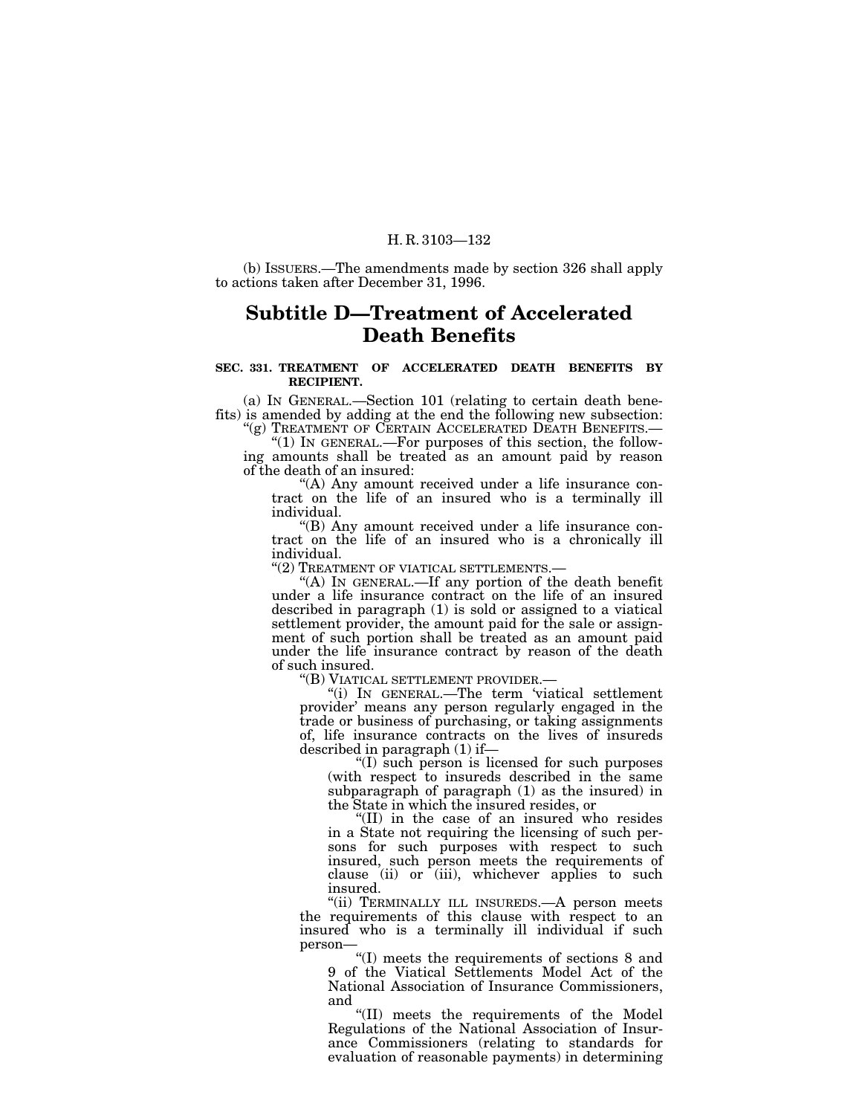(b) ISSUERS.—The amendments made by section 326 shall apply to actions taken after December 31, 1996.

## **Subtitle D—Treatment of Accelerated Death Benefits**

#### **SEC. 331. TREATMENT OF ACCELERATED DEATH BENEFITS BY RECIPIENT.**

(a) IN GENERAL.—Section 101 (relating to certain death benefits) is amended by adding at the end the following new subsection:<br>"(g) TREATMENT OF CERTAIN ACCELERATED DEATH BENEFITS.—

" $(1)$  IN GENERAL.—For purposes of this section, the following amounts shall be treated as an amount paid by reason of the death of an insured:

"(A) Any amount received under a life insurance contract on the life of an insured who is a terminally ill individual.

"(B) Any amount received under a life insurance contract on the life of an insured who is a chronically ill individual.<br>"(2) TREATMENT OF VIATICAL SETTLEMENTS.—

"(A) IN GENERAL.—If any portion of the death benefit under a life insurance contract on the life of an insured described in paragraph (1) is sold or assigned to a viatical settlement provider, the amount paid for the sale or assignment of such portion shall be treated as an amount paid under the life insurance contract by reason of the death of such insured.<br>"(B) VIATICAL SETTLEMENT PROVIDER.—

"(i) IN GENERAL.—The term 'viatical settlement provider' means any person regularly engaged in the trade or business of purchasing, or taking assignments of, life insurance contracts on the lives of insureds described in paragraph (1) if—

''(I) such person is licensed for such purposes (with respect to insureds described in the same subparagraph of paragraph (1) as the insured) in the State in which the insured resides, or

''(II) in the case of an insured who resides in a State not requiring the licensing of such persons for such purposes with respect to such insured, such person meets the requirements of clause (ii) or (iii), whichever applies to such insured.

''(ii) TERMINALLY ILL INSUREDS.—A person meets the requirements of this clause with respect to an insured who is a terminally ill individual if such person—

''(I) meets the requirements of sections 8 and 9 of the Viatical Settlements Model Act of the National Association of Insurance Commissioners, and

''(II) meets the requirements of the Model Regulations of the National Association of Insurance Commissioners (relating to standards for evaluation of reasonable payments) in determining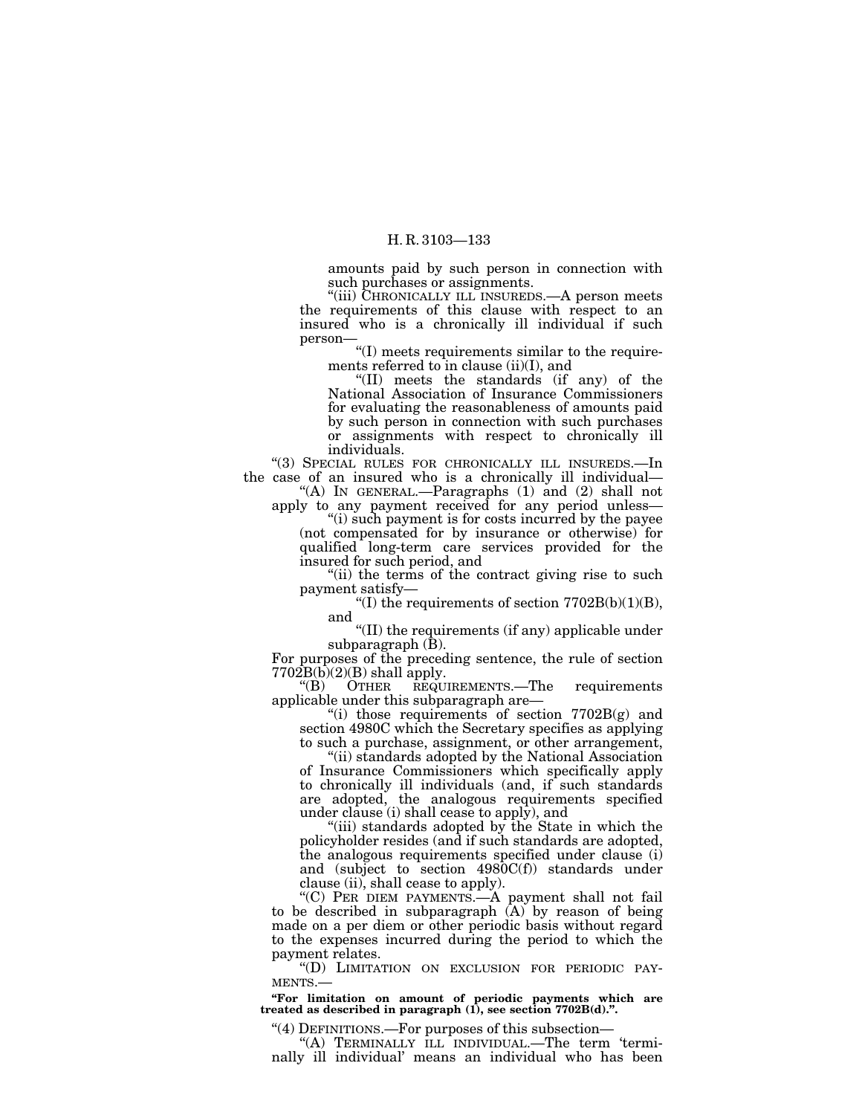amounts paid by such person in connection with such purchases or assignments.

''(iii) CHRONICALLY ILL INSUREDS.—A person meets the requirements of this clause with respect to an insured who is a chronically ill individual if such person—

''(I) meets requirements similar to the requirements referred to in clause (ii)(I), and

''(II) meets the standards (if any) of the National Association of Insurance Commissioners for evaluating the reasonableness of amounts paid by such person in connection with such purchases or assignments with respect to chronically ill individuals.

''(3) SPECIAL RULES FOR CHRONICALLY ILL INSUREDS.—In the case of an insured who is a chronically ill individual— "(A) In GENERAL.—Paragraphs (1) and (2) shall not

apply to any payment received for any period unless—  $\frac{d}{dx}$  is such payment is for costs incurred by the payee

(not compensated for by insurance or otherwise) for qualified long-term care services provided for the insured for such period, and

"(ii) the terms of the contract giving rise to such payment satisfy—

"(I) the requirements of section  $7702B(b)(1)(B)$ , and

''(II) the requirements (if any) applicable under subparagraph (B).

For purposes of the preceding sentence, the rule of section  $7702B(b)(2)(B)$  shall apply.<br>"(B) OTHER REQU

REQUIREMENTS.—The requirements applicable under this subparagraph are—

"(i) those requirements of section  $7702B(g)$  and section 4980C which the Secretary specifies as applying to such a purchase, assignment, or other arrangement,

"(ii) standards adopted by the National Association of Insurance Commissioners which specifically apply to chronically ill individuals (and, if such standards are adopted, the analogous requirements specified under clause (i) shall cease to apply), and

"(iii) standards adopted by the State in which the policyholder resides (and if such standards are adopted, the analogous requirements specified under clause (i) and (subject to section 4980C(f)) standards under clause (ii), shall cease to apply).

''(C) PER DIEM PAYMENTS.—A payment shall not fail to be described in subparagraph (A) by reason of being made on a per diem or other periodic basis without regard to the expenses incurred during the period to which the payment relates.

 $\sqrt[10]{(D)}$  LIMITATION ON EXCLUSION FOR PERIODIC PAY-MENTS.—

**''For limitation on amount of periodic payments which are treated as described in paragraph (1), see section 7702B(d).''.**

''(4) DEFINITIONS.—For purposes of this subsection—

"(A) TERMINALLY ILL INDIVIDUAL.—The term 'terminally ill individual' means an individual who has been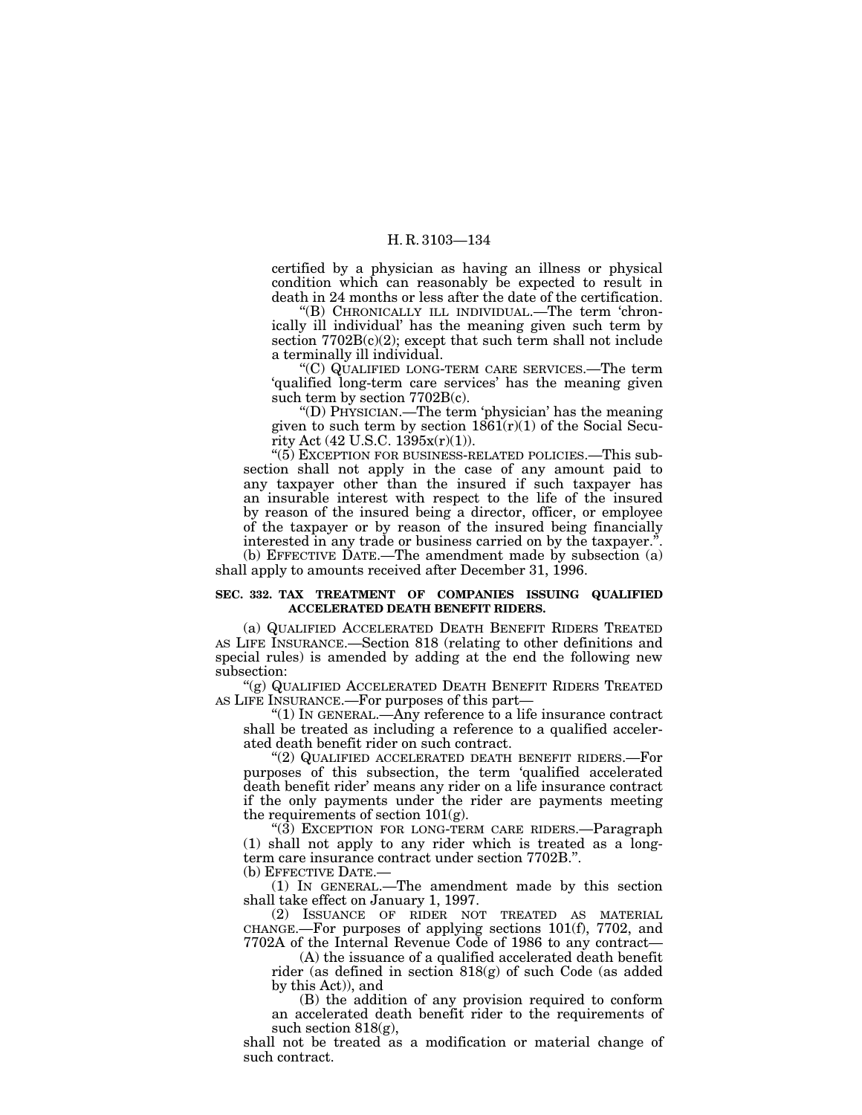certified by a physician as having an illness or physical condition which can reasonably be expected to result in death in 24 months or less after the date of the certification.

''(B) CHRONICALLY ILL INDIVIDUAL.—The term 'chronically ill individual' has the meaning given such term by section 7702B(c)(2); except that such term shall not include a terminally ill individual.

''(C) QUALIFIED LONG-TERM CARE SERVICES.—The term 'qualified long-term care services' has the meaning given such term by section 7702B(c).

''(D) PHYSICIAN.—The term 'physician' has the meaning given to such term by section  $1861(r)(1)$  of the Social Security Act  $(42 \text{ U.S.C. } 1395x(r)(1)).$ 

''(5) EXCEPTION FOR BUSINESS-RELATED POLICIES.—This subsection shall not apply in the case of any amount paid to any taxpayer other than the insured if such taxpayer has an insurable interest with respect to the life of the insured by reason of the insured being a director, officer, or employee of the taxpayer or by reason of the insured being financially interested in any trade or business carried on by the taxpayer.''. (b) EFFECTIVE DATE.—The amendment made by subsection (a)

shall apply to amounts received after December 31, 1996.

### **SEC. 332. TAX TREATMENT OF COMPANIES ISSUING QUALIFIED ACCELERATED DEATH BENEFIT RIDERS.**

(a) QUALIFIED ACCELERATED DEATH BENEFIT RIDERS TREATED AS LIFE INSURANCE.—Section 818 (relating to other definitions and special rules) is amended by adding at the end the following new subsection:

''(g) QUALIFIED ACCELERATED DEATH BENEFIT RIDERS TREATED AS LIFE INSURANCE.—For purposes of this part—

" $(1)$  In GENERAL.—Any reference to a life insurance contract shall be treated as including a reference to a qualified accelerated death benefit rider on such contract.

 $(2)$  QUALIFIED ACCELERATED DEATH BENEFIT RIDERS.—For purposes of this subsection, the term 'qualified accelerated death benefit rider' means any rider on a life insurance contract if the only payments under the rider are payments meeting the requirements of section  $101(g)$ .

" $(3)$  EXCEPTION FOR LONG-TERM CARE RIDERS.—Paragraph (1) shall not apply to any rider which is treated as a longterm care insurance contract under section 7702B.''.

(b) EFFECTIVE DATE.—

(1) IN GENERAL.—The amendment made by this section shall take effect on January 1, 1997.

(2) ISSUANCE OF RIDER NOT TREATED AS MATERIAL CHANGE.—For purposes of applying sections 101(f), 7702, and 7702A of the Internal Revenue Code of 1986 to any contract—

(A) the issuance of a qualified accelerated death benefit rider (as defined in section 818(g) of such Code (as added by this Act)), and

(B) the addition of any provision required to conform an accelerated death benefit rider to the requirements of such section  $818(g)$ ,

shall not be treated as a modification or material change of such contract.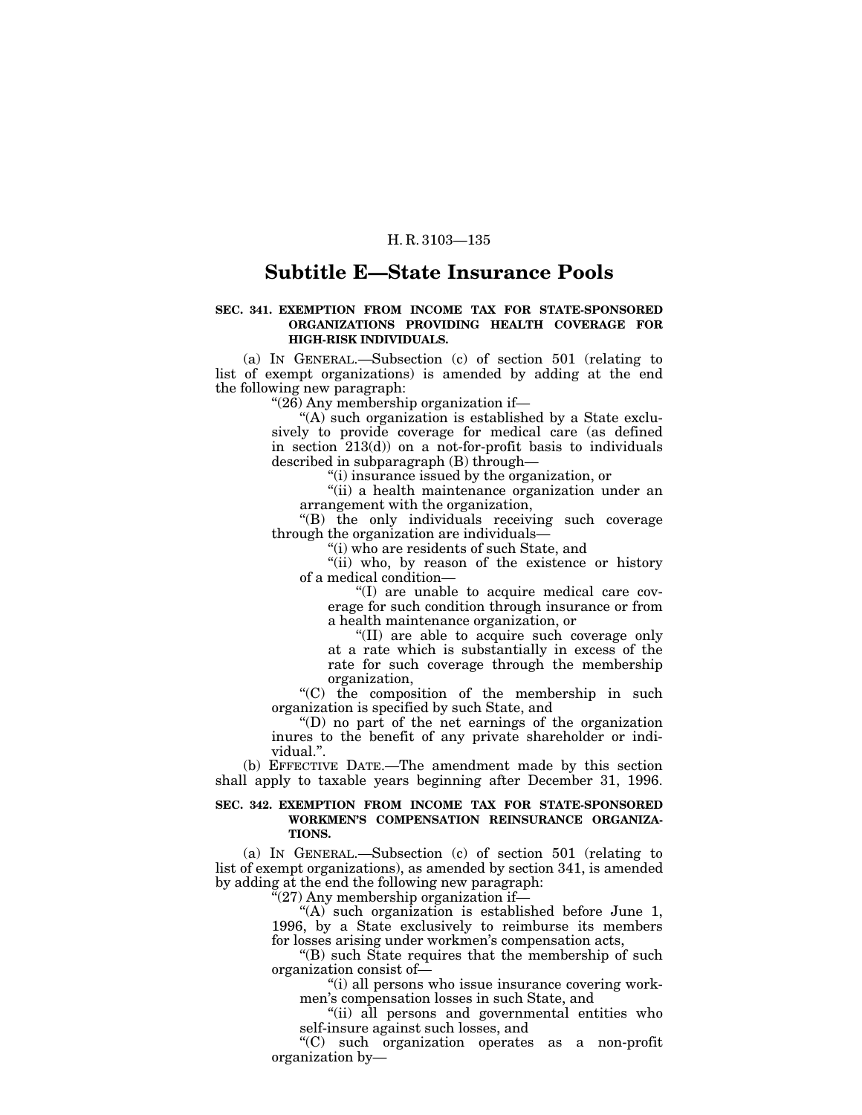## **Subtitle E—State Insurance Pools**

### **SEC. 341. EXEMPTION FROM INCOME TAX FOR STATE-SPONSORED ORGANIZATIONS PROVIDING HEALTH COVERAGE FOR HIGH-RISK INDIVIDUALS.**

(a) IN GENERAL.—Subsection (c) of section 501 (relating to list of exempt organizations) is amended by adding at the end the following new paragraph:

''(26) Any membership organization if—

"(A) such organization is established by a State exclusively to provide coverage for medical care (as defined in section 213(d)) on a not-for-profit basis to individuals described in subparagraph (B) through—

''(i) insurance issued by the organization, or

"(ii) a health maintenance organization under an arrangement with the organization,

"(B) the only individuals receiving such coverage through the organization are individuals—

''(i) who are residents of such State, and

"(ii) who, by reason of the existence or history" of a medical condition—

''(I) are unable to acquire medical care coverage for such condition through insurance or from a health maintenance organization, or

''(II) are able to acquire such coverage only at a rate which is substantially in excess of the rate for such coverage through the membership organization,

''(C) the composition of the membership in such organization is specified by such State, and

''(D) no part of the net earnings of the organization inures to the benefit of any private shareholder or individual.''.

(b) EFFECTIVE DATE.—The amendment made by this section shall apply to taxable years beginning after December 31, 1996.

### **SEC. 342. EXEMPTION FROM INCOME TAX FOR STATE-SPONSORED WORKMEN'S COMPENSATION REINSURANCE ORGANIZA-TIONS.**

(a) IN GENERAL.—Subsection (c) of section 501 (relating to list of exempt organizations), as amended by section 341, is amended by adding at the end the following new paragraph:

''(27) Any membership organization if—

''(A) such organization is established before June 1, 1996, by a State exclusively to reimburse its members for losses arising under workmen's compensation acts,

''(B) such State requires that the membership of such organization consist of—

"(i) all persons who issue insurance covering workmen's compensation losses in such State, and

"(ii) all persons and governmental entities who self-insure against such losses, and

''(C) such organization operates as a non-profit organization by—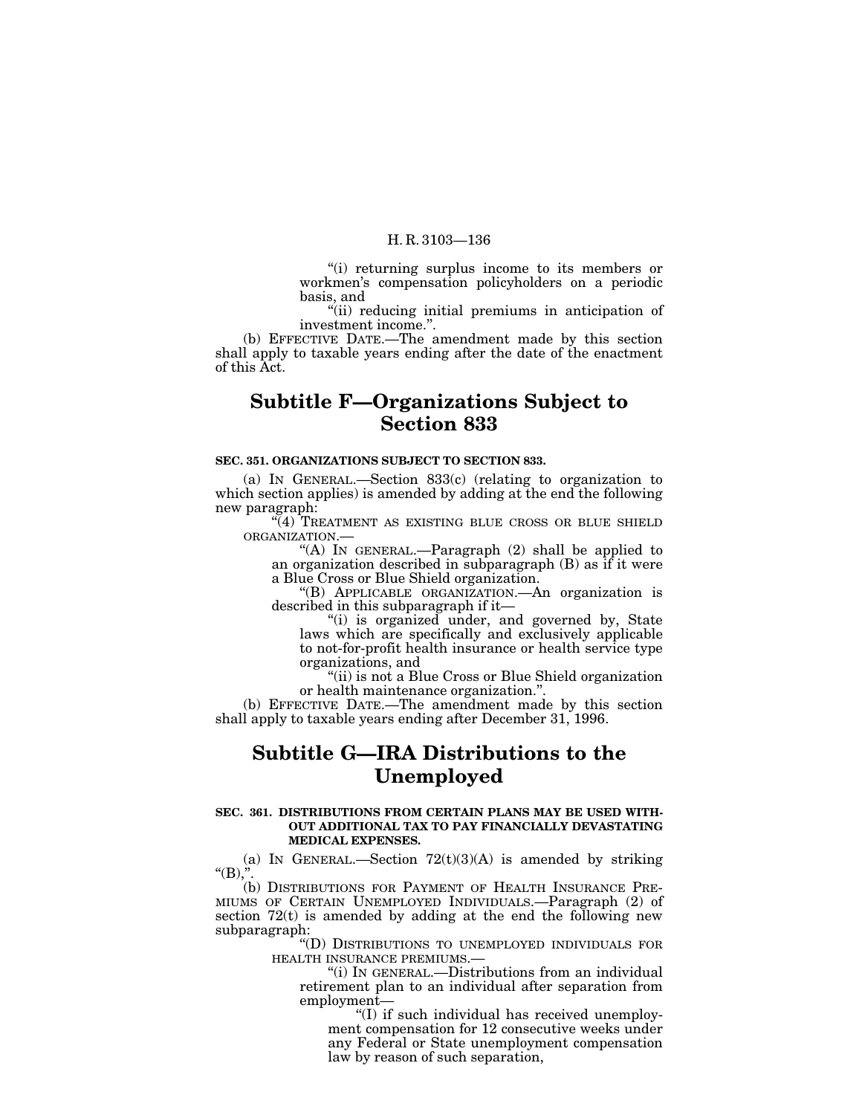''(i) returning surplus income to its members or workmen's compensation policyholders on a periodic basis, and

"(ii) reducing initial premiums in anticipation of investment income.''.

(b) EFFECTIVE DATE.—The amendment made by this section shall apply to taxable years ending after the date of the enactment of this Act.

## **Subtitle F—Organizations Subject to Section 833**

#### **SEC. 351. ORGANIZATIONS SUBJECT TO SECTION 833.**

(a) IN GENERAL.—Section 833(c) (relating to organization to which section applies) is amended by adding at the end the following new paragraph:

''(4) TREATMENT AS EXISTING BLUE CROSS OR BLUE SHIELD ORGANIZATION.—

"(A) IN GENERAL.—Paragraph (2) shall be applied to an organization described in subparagraph (B) as if it were a Blue Cross or Blue Shield organization.

''(B) APPLICABLE ORGANIZATION.—An organization is described in this subparagraph if it—

''(i) is organized under, and governed by, State laws which are specifically and exclusively applicable to not-for-profit health insurance or health service type organizations, and

''(ii) is not a Blue Cross or Blue Shield organization or health maintenance organization.''.

(b) EFFECTIVE DATE.—The amendment made by this section shall apply to taxable years ending after December 31, 1996.

## **Subtitle G—IRA Distributions to the Unemployed**

### **SEC. 361. DISTRIBUTIONS FROM CERTAIN PLANS MAY BE USED WITH-OUT ADDITIONAL TAX TO PAY FINANCIALLY DEVASTATING MEDICAL EXPENSES.**

(a) IN GENERAL.—Section  $72(t)(3)(A)$  is amended by striking " $(B)$ ,"

(b) DISTRIBUTIONS FOR PAYMENT OF HEALTH INSURANCE PRE-MIUMS OF CERTAIN UNEMPLOYED INDIVIDUALS.—Paragraph (2) of section 72(t) is amended by adding at the end the following new subparagraph:

''(D) DISTRIBUTIONS TO UNEMPLOYED INDIVIDUALS FOR HEALTH INSURANCE PREMIUMS.—

''(i) IN GENERAL.—Distributions from an individual retirement plan to an individual after separation from employment—

''(I) if such individual has received unemployment compensation for 12 consecutive weeks under any Federal or State unemployment compensation law by reason of such separation,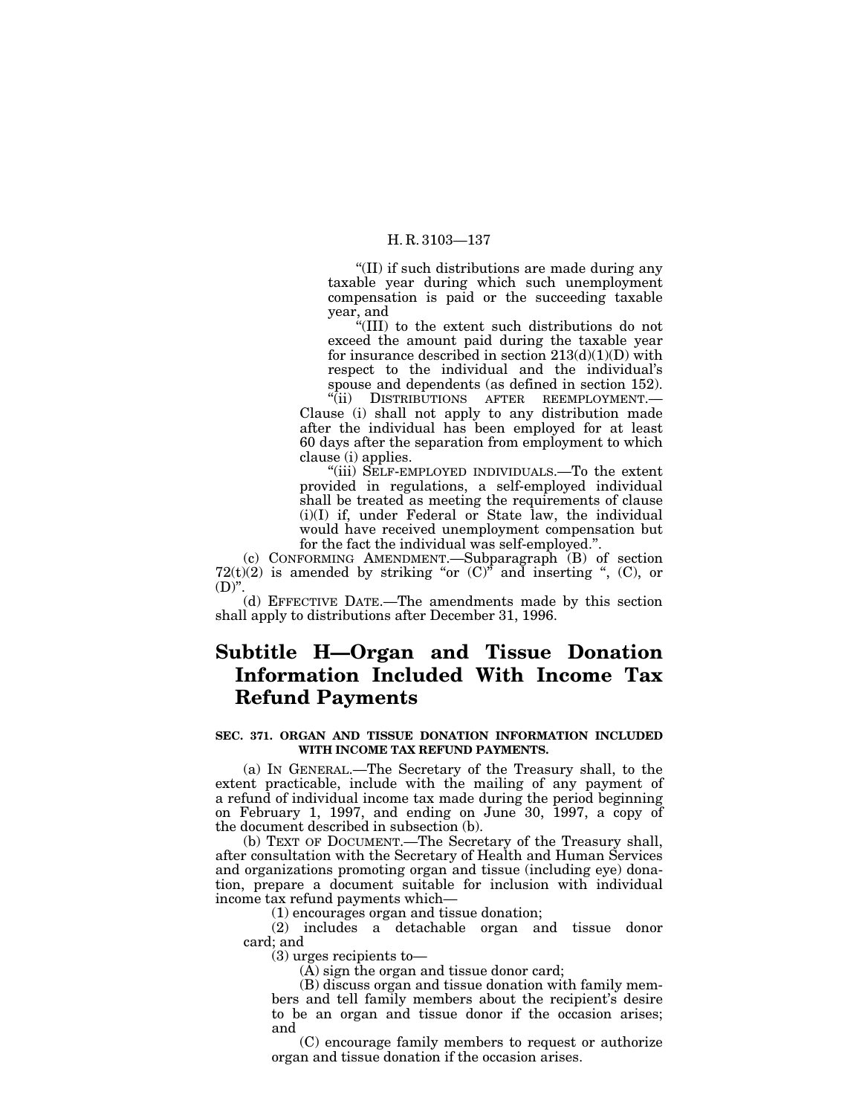''(II) if such distributions are made during any taxable year during which such unemployment compensation is paid or the succeeding taxable year, and

''(III) to the extent such distributions do not exceed the amount paid during the taxable year for insurance described in section  $213(d)(1)(D)$  with respect to the individual and the individual's spouse and dependents (as defined in section 152).

"(ii) DISTRIBUTIONS AFTER REEMPLOYMENT.— Clause (i) shall not apply to any distribution made after the individual has been employed for at least 60 days after the separation from employment to which clause (i) applies.

''(iii) SELF-EMPLOYED INDIVIDUALS.—To the extent provided in regulations, a self-employed individual shall be treated as meeting the requirements of clause (i)(I) if, under Federal or State law, the individual would have received unemployment compensation but for the fact the individual was self-employed.''.

(c) CONFORMING AMENDMENT.—Subparagraph (B) of section  $72(t)(2)$  is amended by striking "or  $(C)$ " and inserting ",  $(C)$ , or  $(D)$ ".

(d) EFFECTIVE DATE.—The amendments made by this section shall apply to distributions after December 31, 1996.

# **Subtitle H—Organ and Tissue Donation Information Included With Income Tax Refund Payments**

### **SEC. 371. ORGAN AND TISSUE DONATION INFORMATION INCLUDED WITH INCOME TAX REFUND PAYMENTS.**

(a) IN GENERAL.—The Secretary of the Treasury shall, to the extent practicable, include with the mailing of any payment of a refund of individual income tax made during the period beginning on February 1, 1997, and ending on June 30, 1997, a copy of the document described in subsection (b).

(b) TEXT OF DOCUMENT.—The Secretary of the Treasury shall, after consultation with the Secretary of Health and Human Services and organizations promoting organ and tissue (including eye) donation, prepare a document suitable for inclusion with individual income tax refund payments which—

(1) encourages organ and tissue donation;

(2) includes a detachable organ and tissue donor card; and

(3) urges recipients to—

 $(A)$  sign the organ and tissue donor card;

(B) discuss organ and tissue donation with family members and tell family members about the recipient's desire to be an organ and tissue donor if the occasion arises; and

(C) encourage family members to request or authorize organ and tissue donation if the occasion arises.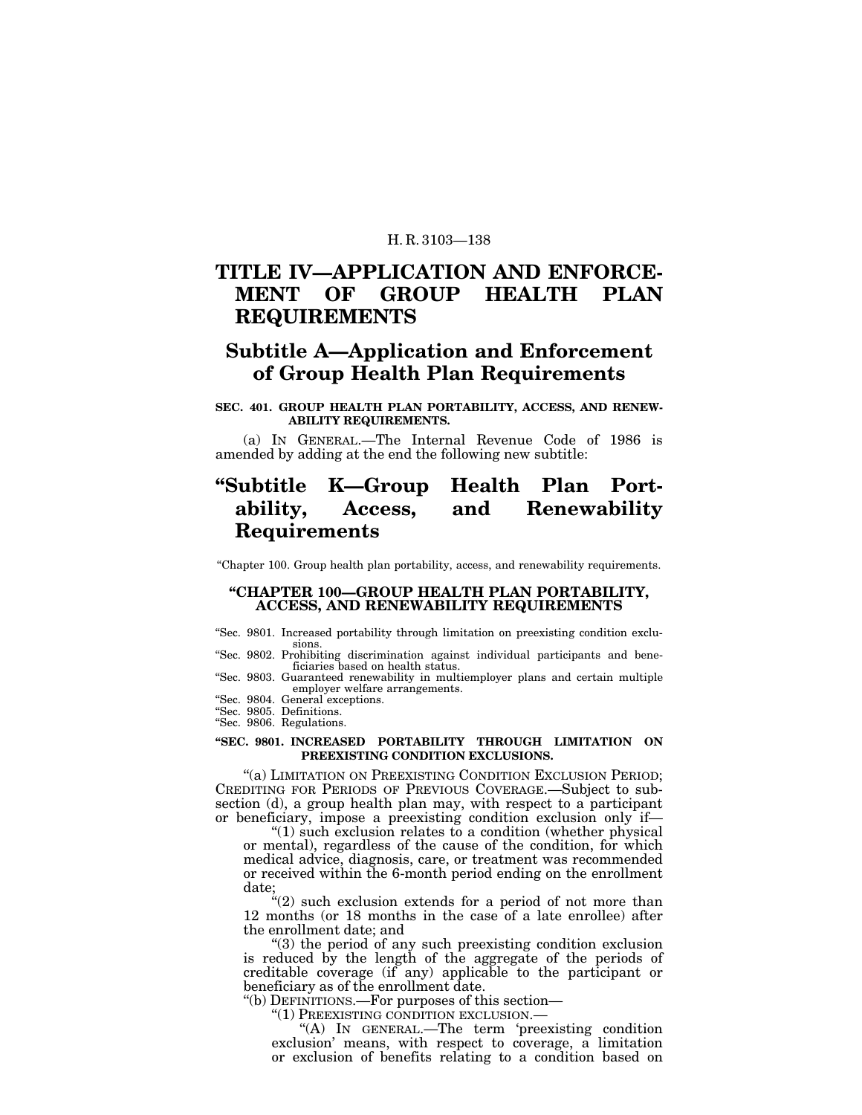# **TITLE IV—APPLICATION AND ENFORCE-MENT OF GROUP HEALTH PLAN REQUIREMENTS**

# **Subtitle A—Application and Enforcement of Group Health Plan Requirements**

### **SEC. 401. GROUP HEALTH PLAN PORTABILITY, ACCESS, AND RENEW-ABILITY REQUIREMENTS.**

(a) IN GENERAL.—The Internal Revenue Code of 1986 is amended by adding at the end the following new subtitle:

## **''Subtitle K—Group Health Plan Portability, Access, and Renewability Requirements**

''Chapter 100. Group health plan portability, access, and renewability requirements.

### **''CHAPTER 100—GROUP HEALTH PLAN PORTABILITY, ACCESS, AND RENEWABILITY REQUIREMENTS**

''Sec. 9801. Increased portability through limitation on preexisting condition exclusions.

''Sec. 9802. Prohibiting discrimination against individual participants and beneficiaries based on health status.

''Sec. 9803. Guaranteed renewability in multiemployer plans and certain multiple employer welfare arrangements.

''Sec. 9804. General exceptions.

''Sec. 9805. Definitions. ''Sec. 9806. Regulations.

### **''SEC. 9801. INCREASED PORTABILITY THROUGH LIMITATION ON PREEXISTING CONDITION EXCLUSIONS.**

''(a) LIMITATION ON PREEXISTING CONDITION EXCLUSION PERIOD; CREDITING FOR PERIODS OF PREVIOUS COVERAGE.—Subject to subsection (d), a group health plan may, with respect to a participant or beneficiary, impose a preexisting condition exclusion only if—

''(1) such exclusion relates to a condition (whether physical or mental), regardless of the cause of the condition, for which medical advice, diagnosis, care, or treatment was recommended or received within the 6-month period ending on the enrollment date;

 $f''(2)$  such exclusion extends for a period of not more than 12 months (or 18 months in the case of a late enrollee) after the enrollment date; and

''(3) the period of any such preexisting condition exclusion is reduced by the length of the aggregate of the periods of creditable coverage (if any) applicable to the participant or beneficiary as of the enrollment date.

''(b) DEFINITIONS.—For purposes of this section—

''(1) PREEXISTING CONDITION EXCLUSION.—

''(A) IN GENERAL.—The term 'preexisting condition exclusion' means, with respect to coverage, a limitation or exclusion of benefits relating to a condition based on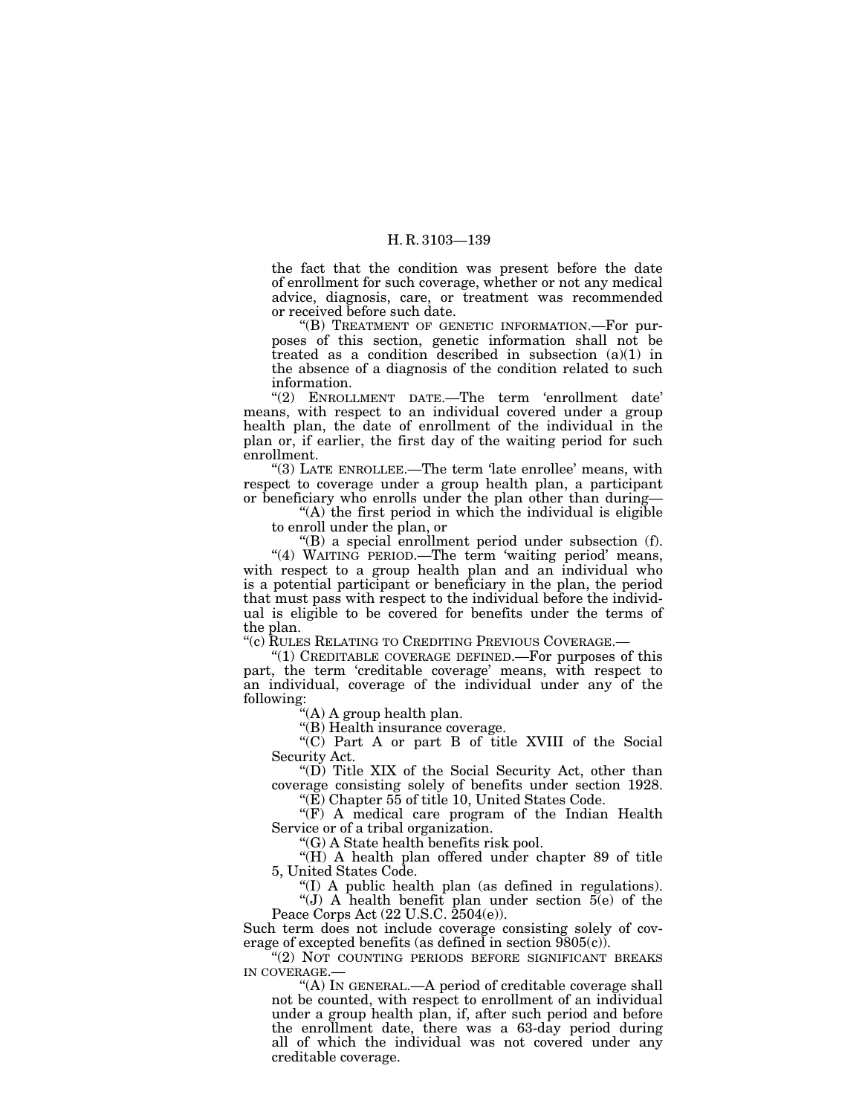the fact that the condition was present before the date of enrollment for such coverage, whether or not any medical advice, diagnosis, care, or treatment was recommended or received before such date.

''(B) TREATMENT OF GENETIC INFORMATION.—For purposes of this section, genetic information shall not be treated as a condition described in subsection (a)(1) in the absence of a diagnosis of the condition related to such information.

''(2) ENROLLMENT DATE.—The term 'enrollment date' means, with respect to an individual covered under a group health plan, the date of enrollment of the individual in the plan or, if earlier, the first day of the waiting period for such enrollment.

''(3) LATE ENROLLEE.—The term 'late enrollee' means, with respect to coverage under a group health plan, a participant or beneficiary who enrolls under the plan other than during—

''(A) the first period in which the individual is eligible to enroll under the plan, or

''(B) a special enrollment period under subsection (f).

"(4) WAITING PERIOD.—The term 'waiting period' means, with respect to a group health plan and an individual who is a potential participant or beneficiary in the plan, the period that must pass with respect to the individual before the individual is eligible to be covered for benefits under the terms of the plan.

''(c) RULES RELATING TO CREDITING PREVIOUS COVERAGE.—

" $(1)$  CREDITABLE COVERAGE DEFINED.—For purposes of this part, the term 'creditable coverage' means, with respect to an individual, coverage of the individual under any of the following:

''(A) A group health plan.

''(B) Health insurance coverage.

"(C) Part A or part B of title XVIII of the Social Security Act.

''(D) Title XIX of the Social Security Act, other than coverage consisting solely of benefits under section 1928.

" $(E)$  Chapter 55 of title 10, United States Code.

''(F) A medical care program of the Indian Health Service or of a tribal organization.

''(G) A State health benefits risk pool.

''(H) A health plan offered under chapter 89 of title 5, United States Code.

''(I) A public health plan (as defined in regulations).

''(J) A health benefit plan under section 5(e) of the Peace Corps Act (22 U.S.C. 2504(e)).

Such term does not include coverage consisting solely of coverage of excepted benefits (as defined in section 9805(c)).

"(2) NOT COUNTING PERIODS BEFORE SIGNIFICANT BREAKS IN COVERAGE.—

''(A) IN GENERAL.—A period of creditable coverage shall not be counted, with respect to enrollment of an individual under a group health plan, if, after such period and before the enrollment date, there was a 63-day period during all of which the individual was not covered under any creditable coverage.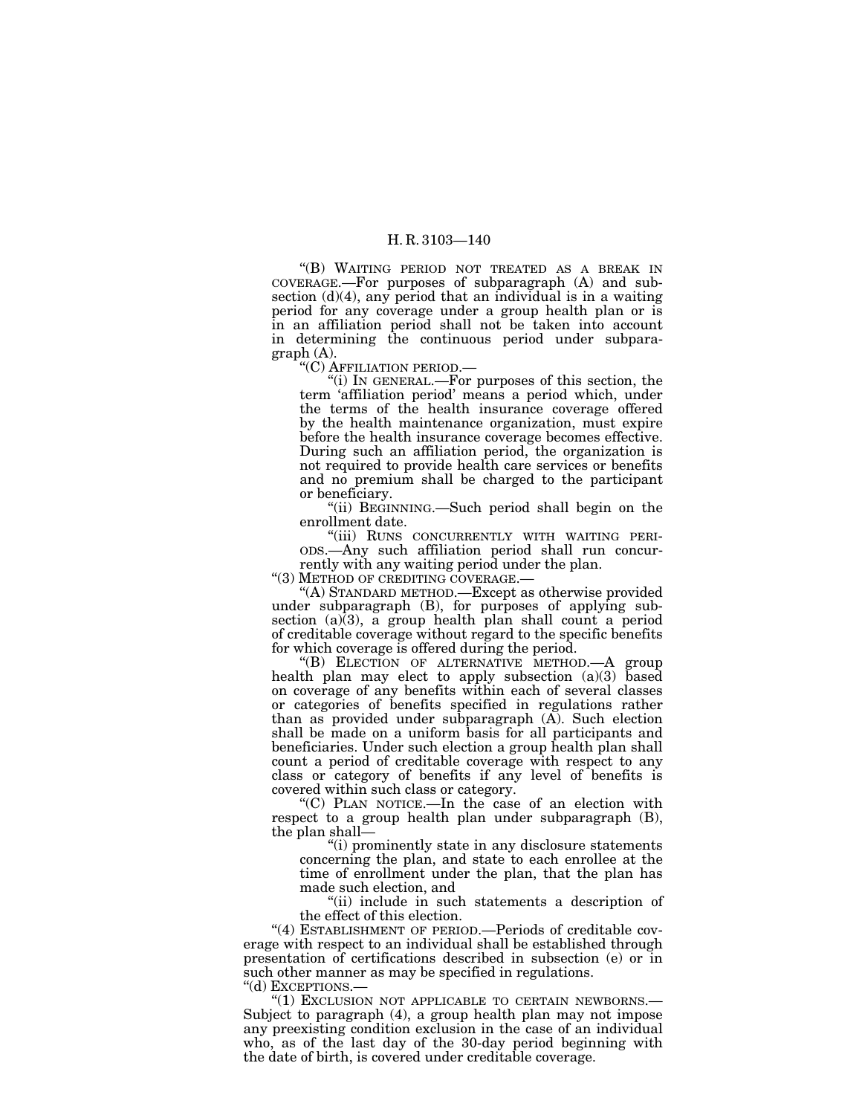''(B) WAITING PERIOD NOT TREATED AS A BREAK IN COVERAGE.—For purposes of subparagraph (A) and subsection  $(d)(4)$ , any period that an individual is in a waiting period for any coverage under a group health plan or is in an affiliation period shall not be taken into account in determining the continuous period under subparagraph (A).

''(C) AFFILIATION PERIOD.—

''(i) IN GENERAL.—For purposes of this section, the term 'affiliation period' means a period which, under the terms of the health insurance coverage offered by the health maintenance organization, must expire before the health insurance coverage becomes effective. During such an affiliation period, the organization is not required to provide health care services or benefits and no premium shall be charged to the participant or beneficiary.

''(ii) BEGINNING.—Such period shall begin on the enrollment date.

"(iii) RUNS CONCURRENTLY WITH WAITING PERI-ODS.—Any such affiliation period shall run concurrently with any waiting period under the plan.

''(3) METHOD OF CREDITING COVERAGE.—

''(A) STANDARD METHOD.—Except as otherwise provided under subparagraph (B), for purposes of applying subsection  $(a)$ (3), a group health plan shall count a period of creditable coverage without regard to the specific benefits for which coverage is offered during the period.

''(B) ELECTION OF ALTERNATIVE METHOD.—A group health plan may elect to apply subsection (a)(3) based on coverage of any benefits within each of several classes or categories of benefits specified in regulations rather than as provided under subparagraph (A). Such election shall be made on a uniform basis for all participants and beneficiaries. Under such election a group health plan shall count a period of creditable coverage with respect to any class or category of benefits if any level of benefits is covered within such class or category.

''(C) PLAN NOTICE.—In the case of an election with respect to a group health plan under subparagraph (B), the plan shall—

''(i) prominently state in any disclosure statements concerning the plan, and state to each enrollee at the time of enrollment under the plan, that the plan has made such election, and

''(ii) include in such statements a description of the effect of this election.

''(4) ESTABLISHMENT OF PERIOD.—Periods of creditable coverage with respect to an individual shall be established through presentation of certifications described in subsection (e) or in such other manner as may be specified in regulations. ''(d) EXCEPTIONS.—

"(1) EXCLUSION NOT APPLICABLE TO CERTAIN NEWBORNS.-Subject to paragraph (4), a group health plan may not impose any preexisting condition exclusion in the case of an individual who, as of the last day of the 30-day period beginning with the date of birth, is covered under creditable coverage.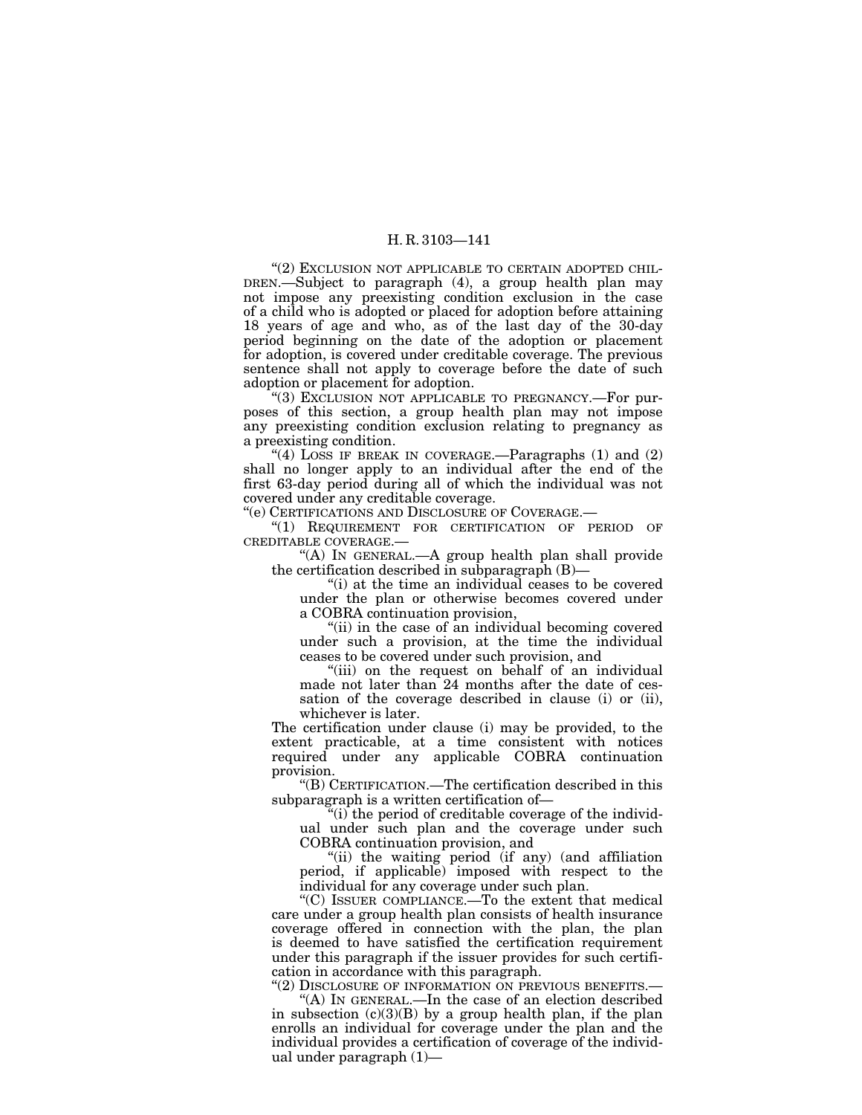"(2) EXCLUSION NOT APPLICABLE TO CERTAIN ADOPTED CHIL-DREN.—Subject to paragraph (4), a group health plan may not impose any preexisting condition exclusion in the case of a child who is adopted or placed for adoption before attaining 18 years of age and who, as of the last day of the 30-day period beginning on the date of the adoption or placement for adoption, is covered under creditable coverage. The previous sentence shall not apply to coverage before the date of such adoption or placement for adoption.

"(3) EXCLUSION NOT APPLICABLE TO PREGNANCY.—For purposes of this section, a group health plan may not impose any preexisting condition exclusion relating to pregnancy as a preexisting condition.

"(4) LOSS IF BREAK IN COVERAGE.—Paragraphs  $(1)$  and  $(2)$ shall no longer apply to an individual after the end of the first 63-day period during all of which the individual was not covered under any creditable coverage.

''(e) CERTIFICATIONS AND DISCLOSURE OF COVERAGE.—

''(1) REQUIREMENT FOR CERTIFICATION OF PERIOD OF CREDITABLE COVERAGE.—

''(A) IN GENERAL.—A group health plan shall provide the certification described in subparagraph (B)—

"(i) at the time an individual ceases to be covered under the plan or otherwise becomes covered under a COBRA continuation provision,

"(ii) in the case of an individual becoming covered under such a provision, at the time the individual ceases to be covered under such provision, and

"(iii) on the request on behalf of an individual made not later than 24 months after the date of cessation of the coverage described in clause (i) or (ii), whichever is later.

The certification under clause (i) may be provided, to the extent practicable, at a time consistent with notices required under any applicable COBRA continuation provision.

''(B) CERTIFICATION.—The certification described in this subparagraph is a written certification of—

 $\mathbf{f}^{\mathsf{r}}(i)$  the period of creditable coverage of the individual under such plan and the coverage under such COBRA continuation provision, and

"(ii) the waiting period (if any) (and affiliation period, if applicable) imposed with respect to the individual for any coverage under such plan.

''(C) ISSUER COMPLIANCE.—To the extent that medical care under a group health plan consists of health insurance coverage offered in connection with the plan, the plan is deemed to have satisfied the certification requirement under this paragraph if the issuer provides for such certification in accordance with this paragraph.

"(2) DISCLOSURE OF INFORMATION ON PREVIOUS BENEFITS.-

''(A) IN GENERAL.—In the case of an election described in subsection  $(c)(3)(B)$  by a group health plan, if the plan enrolls an individual for coverage under the plan and the individual provides a certification of coverage of the individual under paragraph (1)—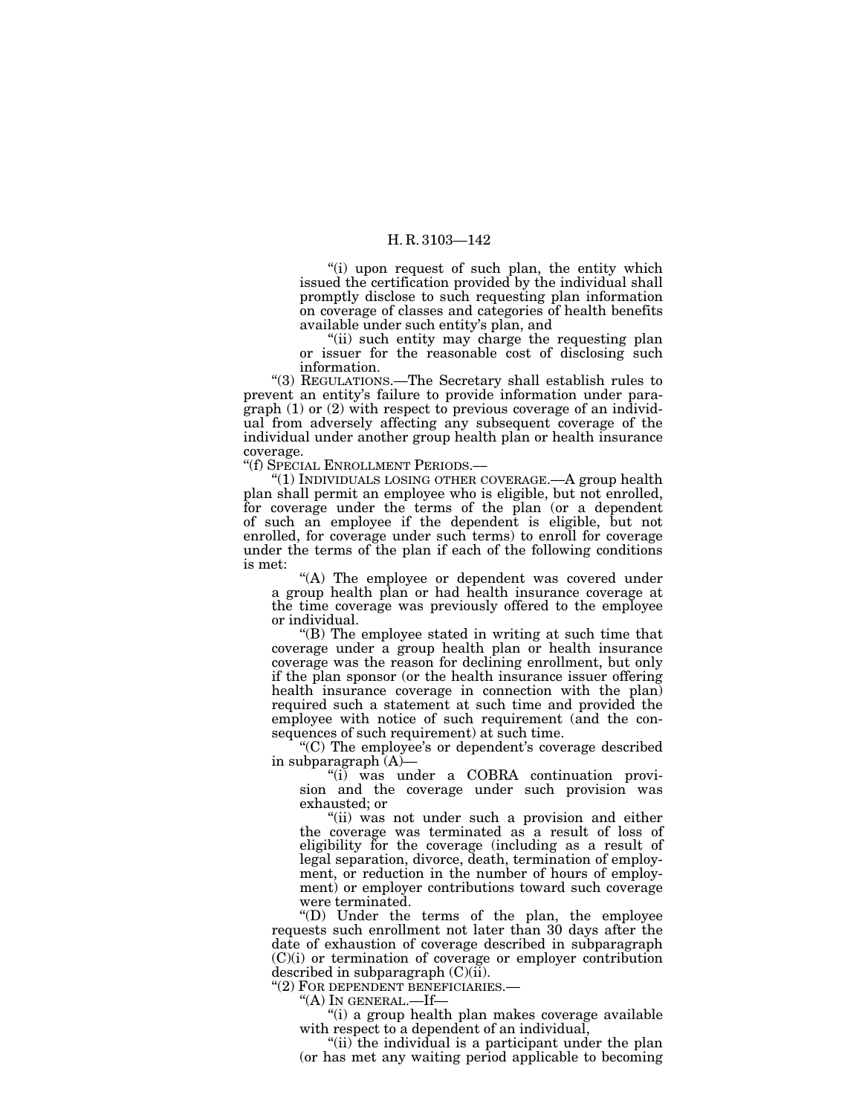''(i) upon request of such plan, the entity which issued the certification provided by the individual shall promptly disclose to such requesting plan information on coverage of classes and categories of health benefits available under such entity's plan, and

"(ii) such entity may charge the requesting plan or issuer for the reasonable cost of disclosing such information.

''(3) REGULATIONS.—The Secretary shall establish rules to prevent an entity's failure to provide information under paragraph (1) or (2) with respect to previous coverage of an individual from adversely affecting any subsequent coverage of the individual under another group health plan or health insurance coverage.

''(f) SPECIAL ENROLLMENT PERIODS.—

''(1) INDIVIDUALS LOSING OTHER COVERAGE.—A group health plan shall permit an employee who is eligible, but not enrolled, for coverage under the terms of the plan (or a dependent of such an employee if the dependent is eligible, but not enrolled, for coverage under such terms) to enroll for coverage under the terms of the plan if each of the following conditions is met:

"(A) The employee or dependent was covered under a group health plan or had health insurance coverage at the time coverage was previously offered to the employee or individual.

''(B) The employee stated in writing at such time that coverage under a group health plan or health insurance coverage was the reason for declining enrollment, but only if the plan sponsor (or the health insurance issuer offering health insurance coverage in connection with the plan) required such a statement at such time and provided the employee with notice of such requirement (and the consequences of such requirement) at such time.

''(C) The employee's or dependent's coverage described in subparagraph (A)—

''(i) was under a COBRA continuation provision and the coverage under such provision was exhausted; or

"(ii) was not under such a provision and either the coverage was terminated as a result of loss of eligibility for the coverage (including as a result of legal separation, divorce, death, termination of employment, or reduction in the number of hours of employment) or employer contributions toward such coverage were terminated.

''(D) Under the terms of the plan, the employee requests such enrollment not later than 30 days after the date of exhaustion of coverage described in subparagraph  $(C)(i)$  or termination of coverage or employer contribution described in subparagraph (C)(ii).

''(2) FOR DEPENDENT BENEFICIARIES.—

''(A) IN GENERAL.—If—

''(i) a group health plan makes coverage available with respect to a dependent of an individual,

"(ii) the individual is a participant under the plan" (or has met any waiting period applicable to becoming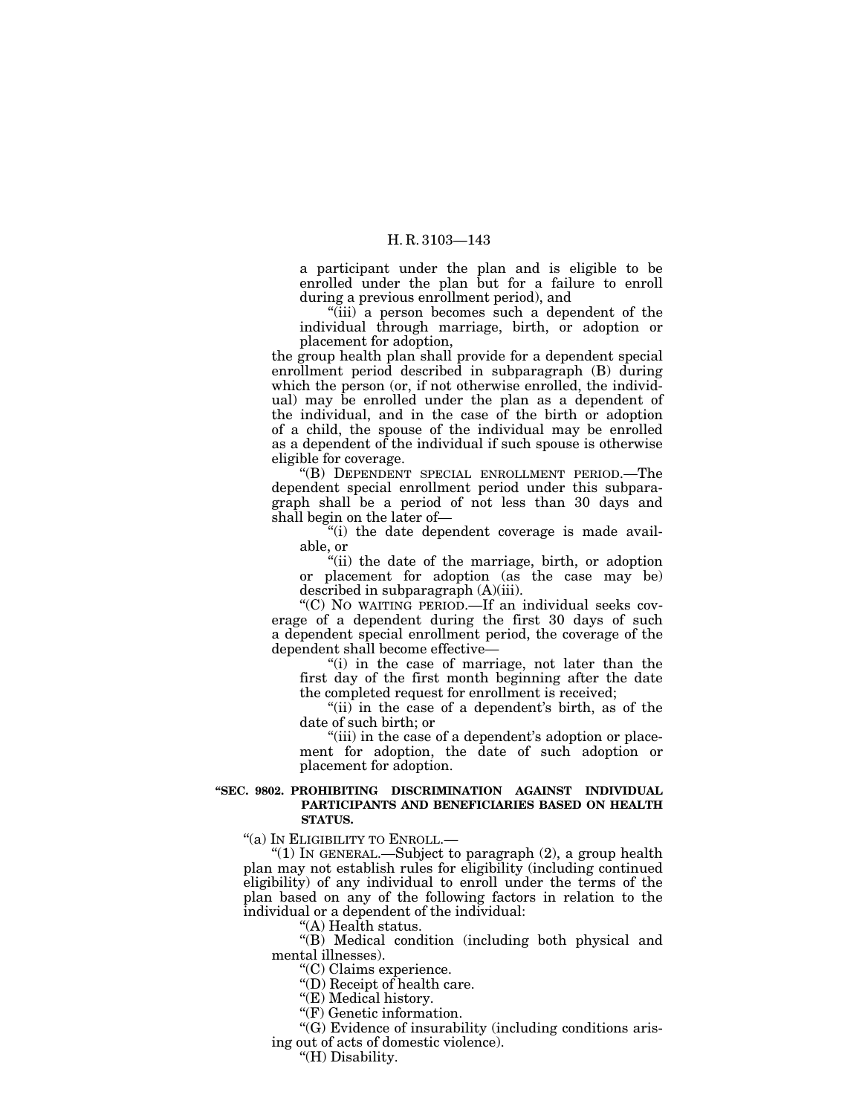a participant under the plan and is eligible to be enrolled under the plan but for a failure to enroll during a previous enrollment period), and

" $(iii)$ <sup> $\alpha$ </sup> person becomes such a dependent of the individual through marriage, birth, or adoption or placement for adoption,

the group health plan shall provide for a dependent special enrollment period described in subparagraph (B) during which the person (or, if not otherwise enrolled, the individual) may be enrolled under the plan as a dependent of the individual, and in the case of the birth or adoption of a child, the spouse of the individual may be enrolled as a dependent of the individual if such spouse is otherwise eligible for coverage.

''(B) DEPENDENT SPECIAL ENROLLMENT PERIOD.—The dependent special enrollment period under this subparagraph shall be a period of not less than 30 days and shall begin on the later of—

''(i) the date dependent coverage is made available, or

"(ii) the date of the marriage, birth, or adoption or placement for adoption (as the case may be) described in subparagraph (A)(iii).

''(C) NO WAITING PERIOD.—If an individual seeks coverage of a dependent during the first 30 days of such a dependent special enrollment period, the coverage of the dependent shall become effective—

"(i) in the case of marriage, not later than the first day of the first month beginning after the date the completed request for enrollment is received;

"(ii) in the case of a dependent's birth, as of the date of such birth; or

"(iii) in the case of a dependent's adoption or placement for adoption, the date of such adoption or placement for adoption.

### **''SEC. 9802. PROHIBITING DISCRIMINATION AGAINST INDIVIDUAL PARTICIPANTS AND BENEFICIARIES BASED ON HEALTH STATUS.**

''(a) IN ELIGIBILITY TO ENROLL.—

"(1) In GENERAL.—Subject to paragraph  $(2)$ , a group health plan may not establish rules for eligibility (including continued eligibility) of any individual to enroll under the terms of the plan based on any of the following factors in relation to the individual or a dependent of the individual:

''(A) Health status.

''(B) Medical condition (including both physical and mental illnesses).

''(C) Claims experience.

''(D) Receipt of health care.

''(E) Medical history.

''(F) Genetic information.

''(G) Evidence of insurability (including conditions arising out of acts of domestic violence).

''(H) Disability.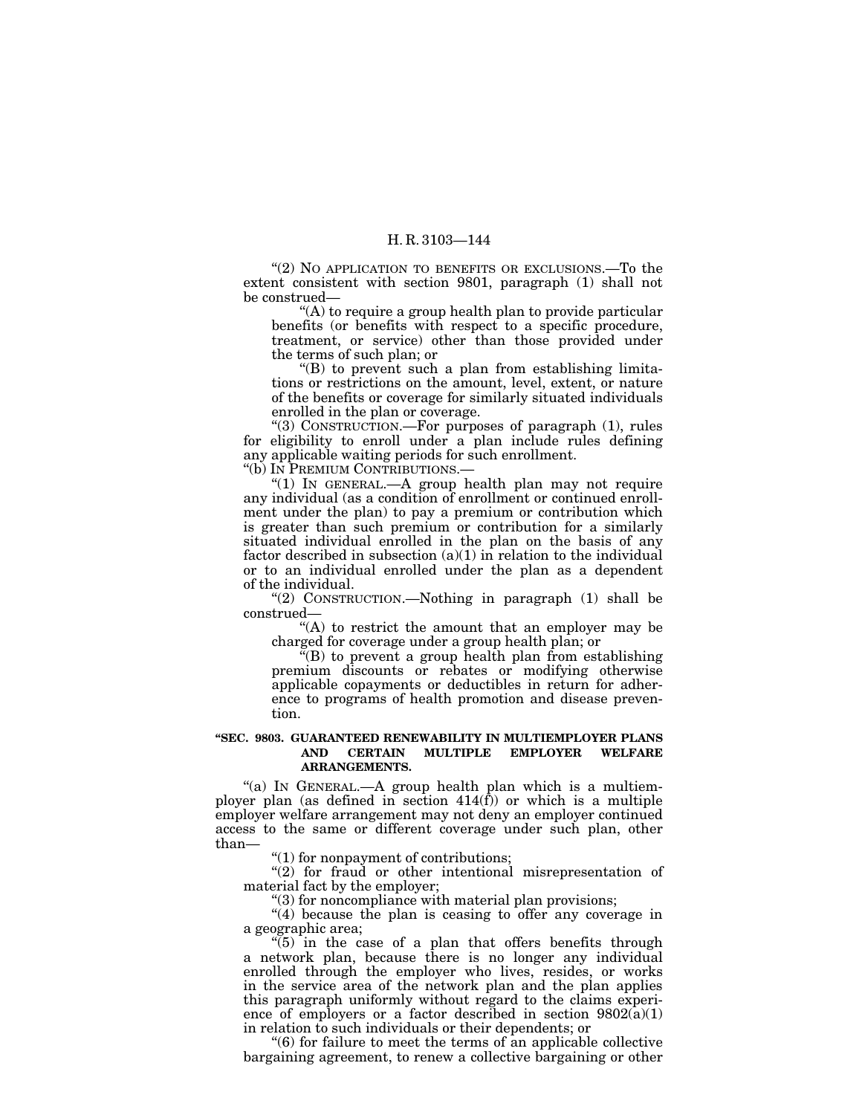"(2) NO APPLICATION TO BENEFITS OR EXCLUSIONS.—To the extent consistent with section 9801, paragraph (1) shall not be construed—

''(A) to require a group health plan to provide particular benefits (or benefits with respect to a specific procedure, treatment, or service) other than those provided under the terms of such plan; or

''(B) to prevent such a plan from establishing limitations or restrictions on the amount, level, extent, or nature of the benefits or coverage for similarly situated individuals enrolled in the plan or coverage.

"(3) CONSTRUCTION.—For purposes of paragraph (1), rules for eligibility to enroll under a plan include rules defining any applicable waiting periods for such enrollment.

''(b) IN PREMIUM CONTRIBUTIONS.—

''(1) IN GENERAL.—A group health plan may not require any individual (as a condition of enrollment or continued enrollment under the plan) to pay a premium or contribution which is greater than such premium or contribution for a similarly situated individual enrolled in the plan on the basis of any factor described in subsection  $(a)(1)$  in relation to the individual or to an individual enrolled under the plan as a dependent of the individual.

" $(2)$  CONSTRUCTION.—Nothing in paragraph  $(1)$  shall be construed—

"(A) to restrict the amount that an employer may be charged for coverage under a group health plan; or

 $E(\mathbf{B})$  to prevent a group health plan from establishing premium discounts or rebates or modifying otherwise applicable copayments or deductibles in return for adherence to programs of health promotion and disease prevention.

### **''SEC. 9803. GUARANTEED RENEWABILITY IN MULTIEMPLOYER PLANS AND CERTAIN MULTIPLE EMPLOYER WELFARE ARRANGEMENTS.**

"(a) IN GENERAL $-$ A group health plan which is a multiemployer plan (as defined in section  $414(\hat{f})$ ) or which is a multiple employer welfare arrangement may not deny an employer continued access to the same or different coverage under such plan, other than—

''(1) for nonpayment of contributions;

"(2) for fraud or other intentional misrepresentation of material fact by the employer;

''(3) for noncompliance with material plan provisions;

 $(4)$  because the plan is ceasing to offer any coverage in a geographic area;

"(5) in the case of a plan that offers benefits through a network plan, because there is no longer any individual enrolled through the employer who lives, resides, or works in the service area of the network plan and the plan applies this paragraph uniformly without regard to the claims experience of employers or a factor described in section  $9802(a)(1)$ in relation to such individuals or their dependents; or

''(6) for failure to meet the terms of an applicable collective bargaining agreement, to renew a collective bargaining or other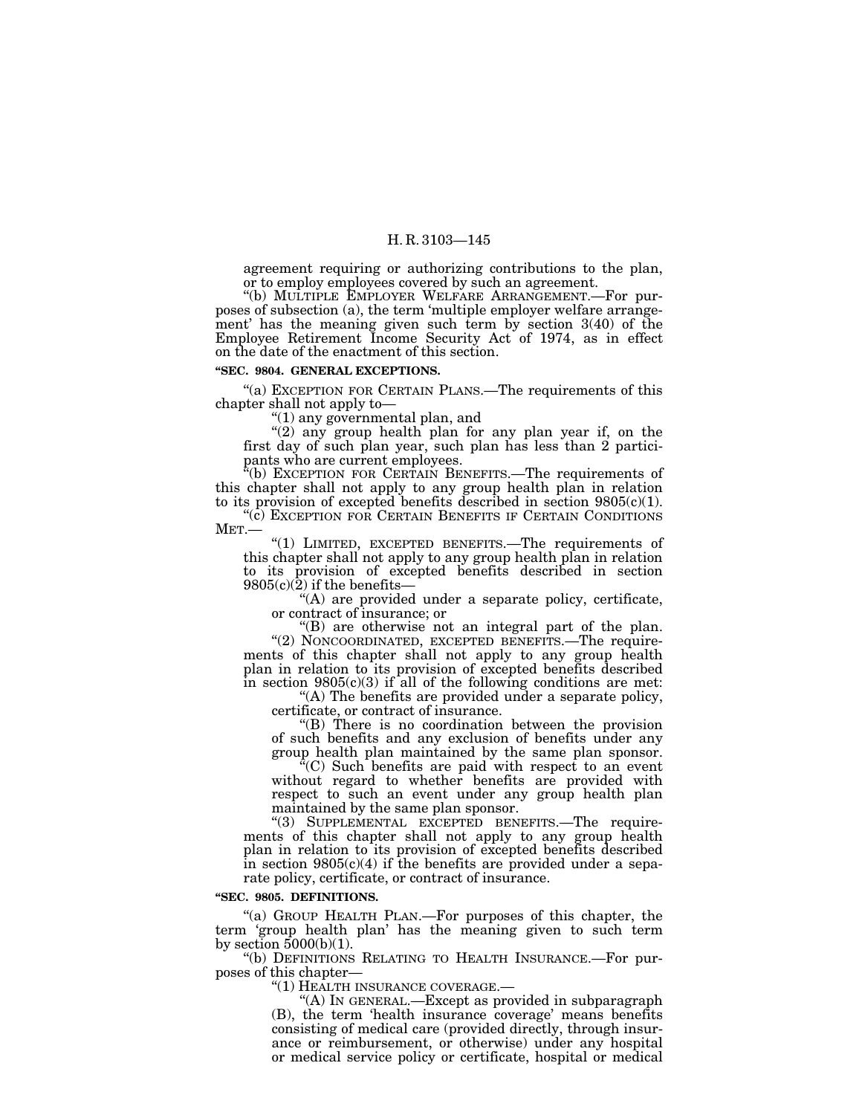agreement requiring or authorizing contributions to the plan, or to employ employees covered by such an agreement.

''(b) MULTIPLE EMPLOYER WELFARE ARRANGEMENT.—For purposes of subsection (a), the term 'multiple employer welfare arrangement' has the meaning given such term by section 3(40) of the Employee Retirement Income Security Act of 1974, as in effect on the date of the enactment of this section.

## **''SEC. 9804. GENERAL EXCEPTIONS.**

"(a) EXCEPTION FOR CERTAIN PLANS.—The requirements of this chapter shall not apply to—

''(1) any governmental plan, and

"(2) any group health plan for any plan year if, on the first day of such plan year, such plan has less than 2 partici $p_{\text{ants}}$  who are current employees.

(b) EXCEPTION FOR CERTAIN BENEFITS.—The requirements of this chapter shall not apply to any group health plan in relation to its provision of excepted benefits described in section 9805(c)(1).

"(c) EXCEPTION FOR CERTAIN BENEFITS IF CERTAIN CONDITIONS MET.— "(1) LIMITED, EXCEPTED BENEFITS.—The requirements of

this chapter shall not apply to any group health plan in relation to its provision of excepted benefits described in section  $9805(c)(\overline{2})$  if the benefits–

''(A) are provided under a separate policy, certificate, or contract of insurance; or

''(B) are otherwise not an integral part of the plan. "(2) NONCOORDINATED, EXCEPTED BENEFITS.—The requirements of this chapter shall not apply to any group health plan in relation to its provision of excepted benefits described in section 9805(c)(3) if all of the following conditions are met:

"(A) The benefits are provided under a separate policy, certificate, or contract of insurance.

''(B) There is no coordination between the provision of such benefits and any exclusion of benefits under any group health plan maintained by the same plan sponsor.

 $C^{\dagger}(C)$  Such benefits are paid with respect to an event without regard to whether benefits are provided with respect to such an event under any group health plan maintained by the same plan sponsor.

''(3) SUPPLEMENTAL EXCEPTED BENEFITS.—The requirements of this chapter shall not apply to any group health plan in relation to its provision of excepted benefits described in section  $9805(c)(4)$  if the benefits are provided under a separate policy, certificate, or contract of insurance.

# **''SEC. 9805. DEFINITIONS.**

''(a) GROUP HEALTH PLAN.—For purposes of this chapter, the term 'group health plan' has the meaning given to such term by section  $5000(b)(1)$ .

''(b) DEFINITIONS RELATING TO HEALTH INSURANCE.—For purposes of this chapter—

''(1) HEALTH INSURANCE COVERAGE.—

''(A) IN GENERAL.—Except as provided in subparagraph (B), the term 'health insurance coverage' means benefits consisting of medical care (provided directly, through insurance or reimbursement, or otherwise) under any hospital or medical service policy or certificate, hospital or medical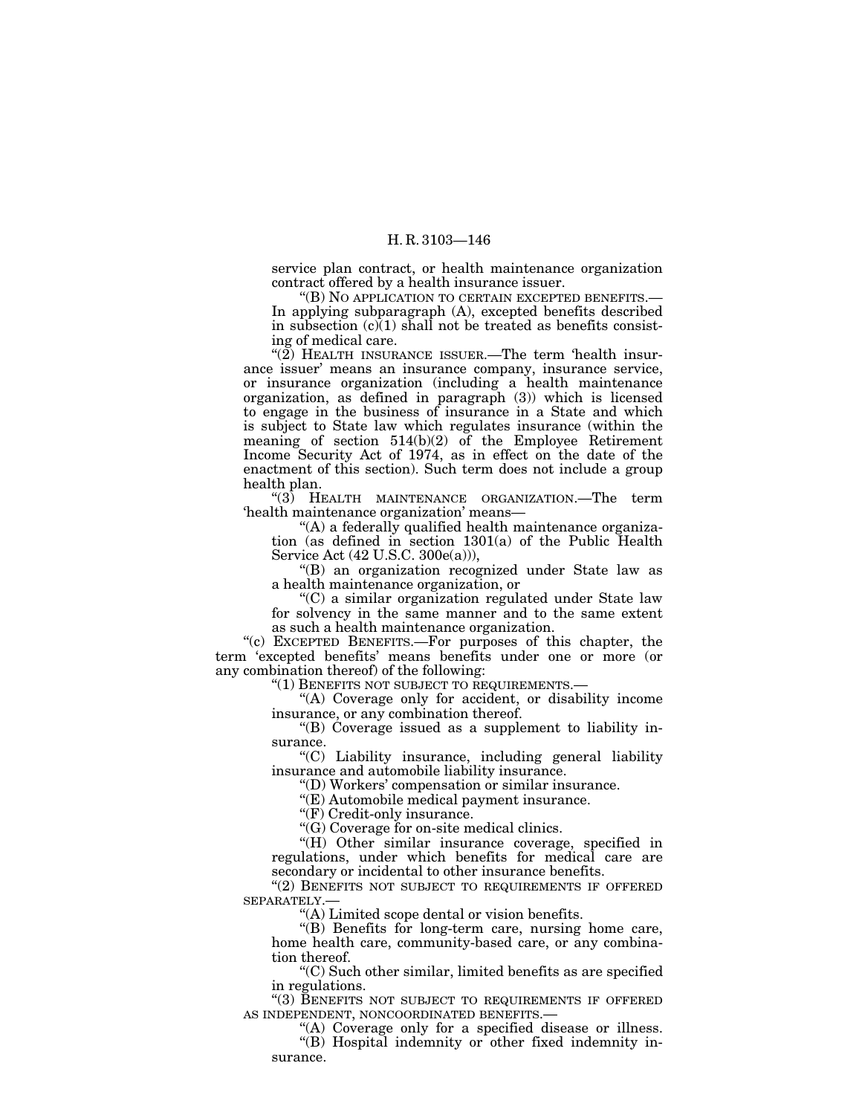service plan contract, or health maintenance organization contract offered by a health insurance issuer.

''(B) NO APPLICATION TO CERTAIN EXCEPTED BENEFITS.— In applying subparagraph (A), excepted benefits described in subsection  $(c)(1)$  shall not be treated as benefits consisting of medical care.

" $(2)$  HEALTH INSURANCE ISSUER.—The term 'health insurance issuer' means an insurance company, insurance service, or insurance organization (including a health maintenance organization, as defined in paragraph (3)) which is licensed to engage in the business of insurance in a State and which is subject to State law which regulates insurance (within the meaning of section 514(b)(2) of the Employee Retirement Income Security Act of 1974, as in effect on the date of the enactment of this section). Such term does not include a group health plan.

 $(3)$  Health maintenance organization.—The term 'health maintenance organization' means—

''(A) a federally qualified health maintenance organization (as defined in section 1301(a) of the Public Health Service Act (42 U.S.C. 300e(a))),

''(B) an organization recognized under State law as a health maintenance organization, or

''(C) a similar organization regulated under State law for solvency in the same manner and to the same extent as such a health maintenance organization.

''(c) EXCEPTED BENEFITS.—For purposes of this chapter, the term 'excepted benefits' means benefits under one or more (or any combination thereof) of the following:

''(1) BENEFITS NOT SUBJECT TO REQUIREMENTS.—

"(A) Coverage only for accident, or disability income insurance, or any combination thereof.

''(B) Coverage issued as a supplement to liability insurance.

''(C) Liability insurance, including general liability insurance and automobile liability insurance.

''(D) Workers' compensation or similar insurance.

''(E) Automobile medical payment insurance.

''(F) Credit-only insurance.

 $\mathcal{C}(G)$  Coverage for on-site medical clinics.

"(H) Other similar insurance coverage, specified in regulations, under which benefits for medical care are secondary or incidental to other insurance benefits.

"(2) BENEFITS NOT SUBJECT TO REQUIREMENTS IF OFFERED SEPARATELY.—

''(A) Limited scope dental or vision benefits.

''(B) Benefits for long-term care, nursing home care, home health care, community-based care, or any combination thereof.

''(C) Such other similar, limited benefits as are specified in regulations.

''(3) BENEFITS NOT SUBJECT TO REQUIREMENTS IF OFFERED AS INDEPENDENT, NONCOORDINATED BENEFITS.—

"(A) Coverage only for a specified disease or illness. ''(B) Hospital indemnity or other fixed indemnity in-

surance.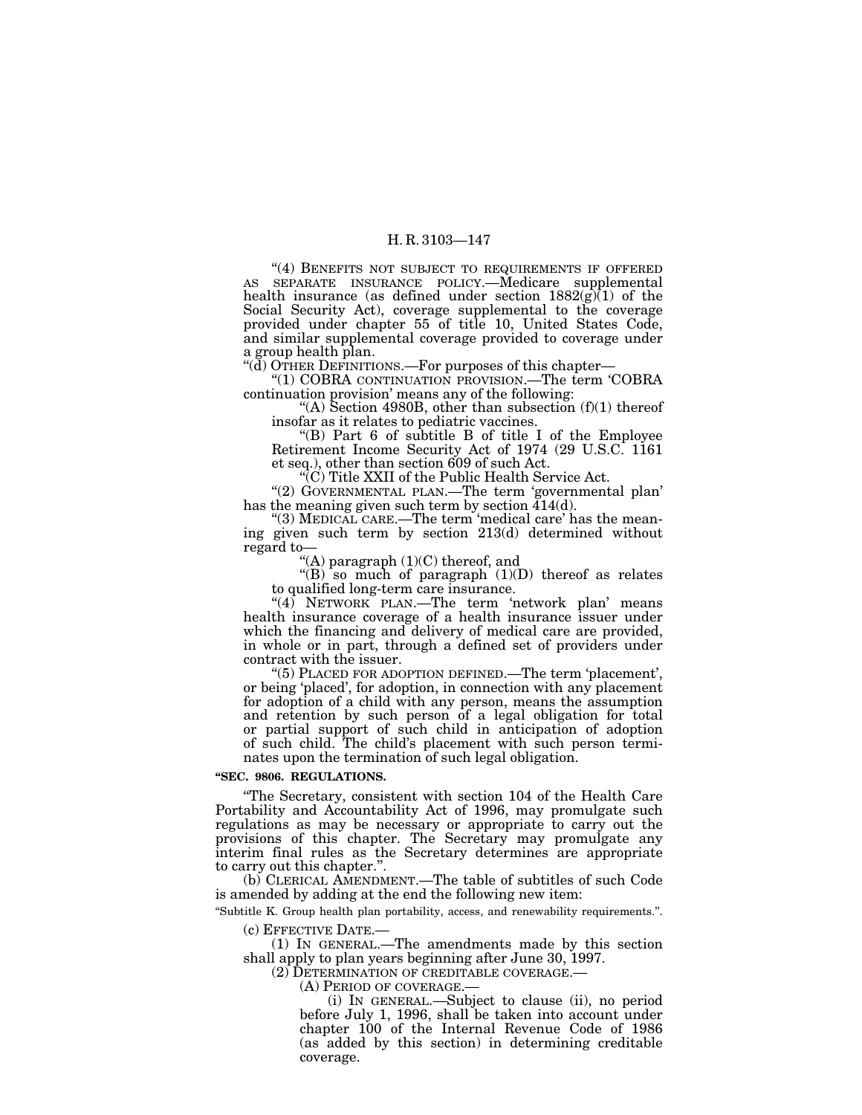"(4) BENEFITS NOT SUBJECT TO REQUIREMENTS IF OFFERED AS SEPARATE INSURANCE POLICY.—Medicare supplemental health insurance (as defined under section  $1882(g)(1)$  of the Social Security Act), coverage supplemental to the coverage provided under chapter 55 of title 10, United States Code, and similar supplemental coverage provided to coverage under a group health plan.

''(d) OTHER DEFINITIONS.—For purposes of this chapter—

''(1) COBRA CONTINUATION PROVISION.—The term 'COBRA continuation provision' means any of the following:

"(A) Section 4980B, other than subsection  $(f)(1)$  thereof insofar as it relates to pediatric vaccines.

''(B) Part 6 of subtitle B of title I of the Employee Retirement Income Security Act of 1974 (29 U.S.C. 1161 et seq.), other than section 609 of such Act.

''(C) Title XXII of the Public Health Service Act.

''(2) GOVERNMENTAL PLAN.—The term 'governmental plan' has the meaning given such term by section  $\overline{414}$ (d).

"(3) MEDICAL CARE.—The term 'medical care' has the meaning given such term by section 213(d) determined without regard to—

"(A) paragraph  $(1)(C)$  thereof, and

"(B) so much of paragraph  $(1)(D)$  thereof as relates to qualified long-term care insurance.

"(4) NETWORK PLAN.—The term 'network plan' means health insurance coverage of a health insurance issuer under which the financing and delivery of medical care are provided, in whole or in part, through a defined set of providers under contract with the issuer.

''(5) PLACED FOR ADOPTION DEFINED.—The term 'placement', or being 'placed', for adoption, in connection with any placement for adoption of a child with any person, means the assumption and retention by such person of a legal obligation for total or partial support of such child in anticipation of adoption of such child. The child's placement with such person terminates upon the termination of such legal obligation.

#### **''SEC. 9806. REGULATIONS.**

''The Secretary, consistent with section 104 of the Health Care Portability and Accountability Act of 1996, may promulgate such regulations as may be necessary or appropriate to carry out the provisions of this chapter. The Secretary may promulgate any interim final rules as the Secretary determines are appropriate to carry out this chapter.''.

(b) CLERICAL AMENDMENT.—The table of subtitles of such Code is amended by adding at the end the following new item:

''Subtitle K. Group health plan portability, access, and renewability requirements.''.

(c) EFFECTIVE DATE.— (1) IN GENERAL.—The amendments made by this section shall apply to plan years beginning after June 30, 1997.

(2) DETERMINATION OF CREDITABLE COVERAGE.—

(A) PERIOD OF COVERAGE.—

(i) IN GENERAL.—Subject to clause (ii), no period before July 1, 1996, shall be taken into account under chapter 100 of the Internal Revenue Code of 1986 (as added by this section) in determining creditable coverage.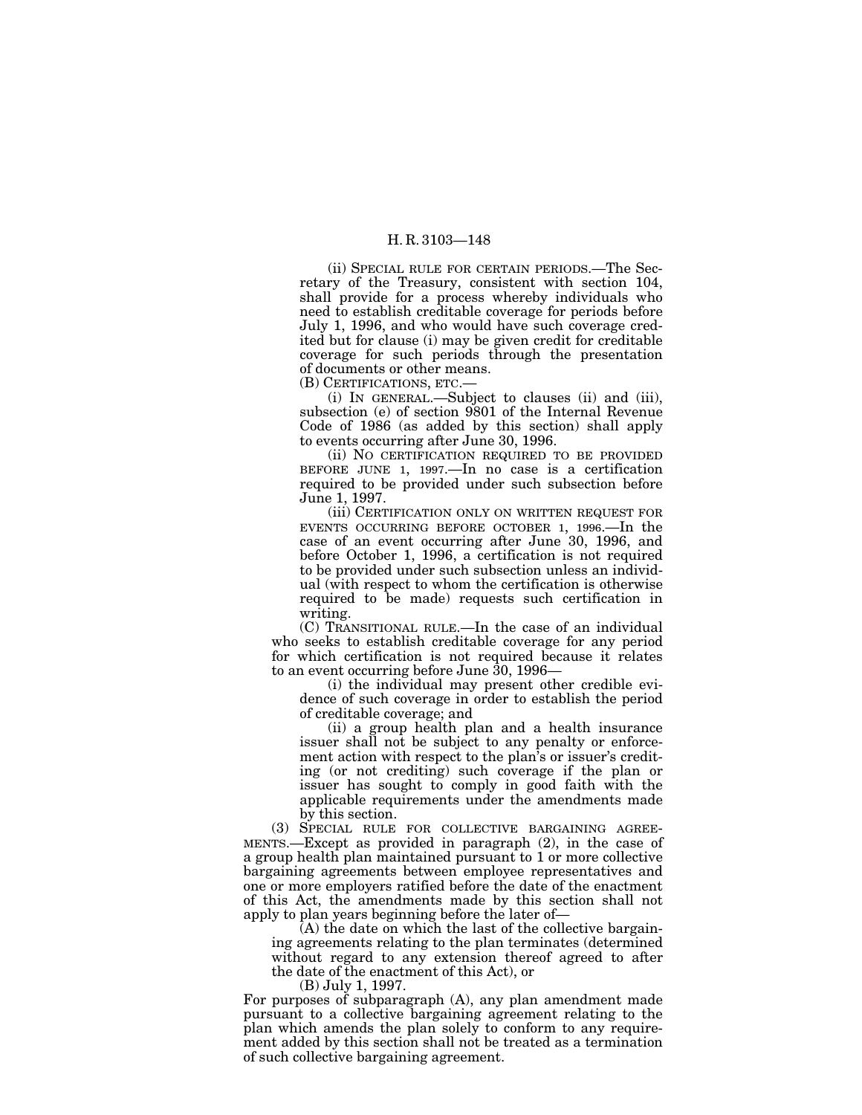(ii) SPECIAL RULE FOR CERTAIN PERIODS.—The Secretary of the Treasury, consistent with section 104, shall provide for a process whereby individuals who need to establish creditable coverage for periods before July 1, 1996, and who would have such coverage credited but for clause (i) may be given credit for creditable coverage for such periods through the presentation of documents or other means.

(B) CERTIFICATIONS, ETC.—

(i) IN GENERAL.—Subject to clauses (ii) and (iii), subsection (e) of section 9801 of the Internal Revenue Code of 1986 (as added by this section) shall apply to events occurring after June 30, 1996.

(ii) NO CERTIFICATION REQUIRED TO BE PROVIDED BEFORE JUNE 1, 1997.—In no case is a certification required to be provided under such subsection before June 1, 1997.

(iii) CERTIFICATION ONLY ON WRITTEN REQUEST FOR EVENTS OCCURRING BEFORE OCTOBER 1, 1996.—In the case of an event occurring after June 30, 1996, and before October 1, 1996, a certification is not required to be provided under such subsection unless an individual (with respect to whom the certification is otherwise required to be made) requests such certification in writing.

(C) TRANSITIONAL RULE.—In the case of an individual who seeks to establish creditable coverage for any period for which certification is not required because it relates to an event occurring before June 30, 1996—

(i) the individual may present other credible evidence of such coverage in order to establish the period of creditable coverage; and

(ii) a group health plan and a health insurance issuer shall not be subject to any penalty or enforcement action with respect to the plan's or issuer's crediting (or not crediting) such coverage if the plan or issuer has sought to comply in good faith with the applicable requirements under the amendments made by this section.

(3) SPECIAL RULE FOR COLLECTIVE BARGAINING AGREE-MENTS.—Except as provided in paragraph (2), in the case of a group health plan maintained pursuant to 1 or more collective bargaining agreements between employee representatives and one or more employers ratified before the date of the enactment of this Act, the amendments made by this section shall not apply to plan years beginning before the later of—

(A) the date on which the last of the collective bargaining agreements relating to the plan terminates (determined without regard to any extension thereof agreed to after the date of the enactment of this Act), or

(B) July 1, 1997.

For purposes of subparagraph (A), any plan amendment made pursuant to a collective bargaining agreement relating to the plan which amends the plan solely to conform to any requirement added by this section shall not be treated as a termination of such collective bargaining agreement.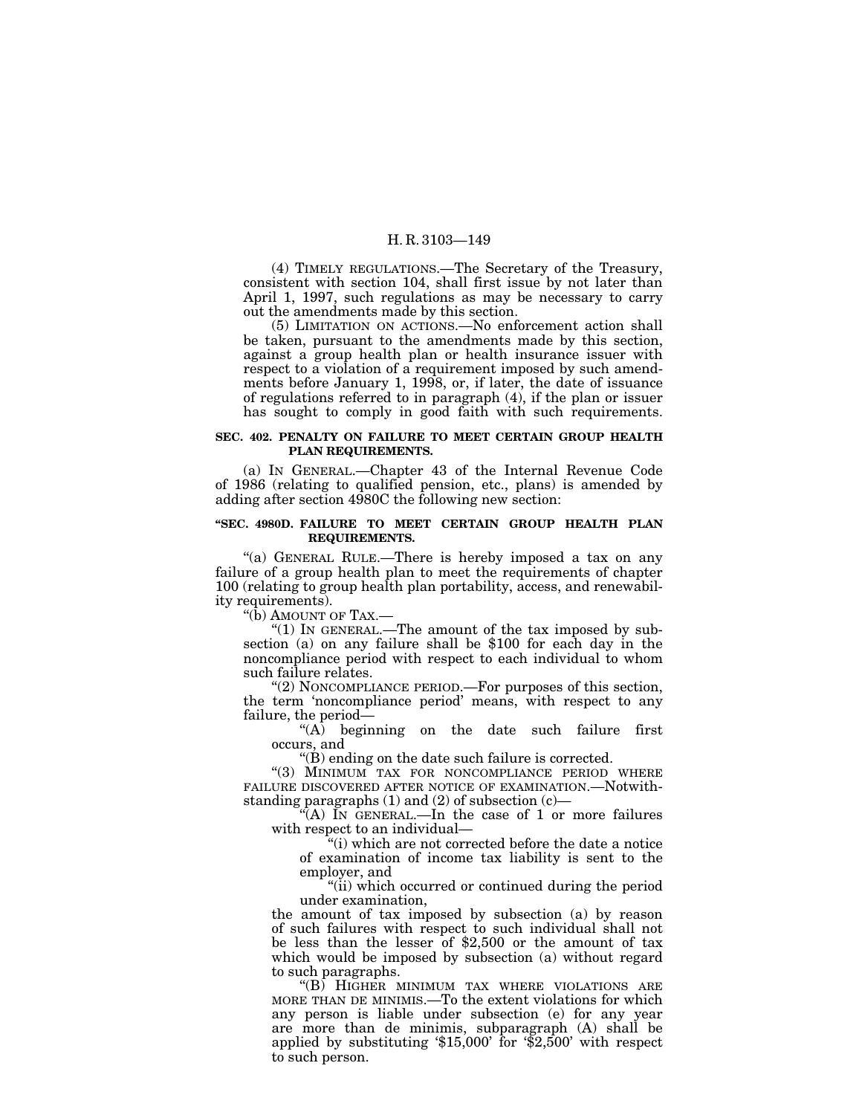(4) TIMELY REGULATIONS.—The Secretary of the Treasury, consistent with section 104, shall first issue by not later than April 1, 1997, such regulations as may be necessary to carry out the amendments made by this section.

(5) LIMITATION ON ACTIONS.—No enforcement action shall be taken, pursuant to the amendments made by this section, against a group health plan or health insurance issuer with respect to a violation of a requirement imposed by such amendments before January 1, 1998, or, if later, the date of issuance of regulations referred to in paragraph (4), if the plan or issuer has sought to comply in good faith with such requirements.

### **SEC. 402. PENALTY ON FAILURE TO MEET CERTAIN GROUP HEALTH PLAN REQUIREMENTS.**

(a) IN GENERAL.—Chapter 43 of the Internal Revenue Code of 1986 (relating to qualified pension, etc., plans) is amended by adding after section 4980C the following new section:

### **''SEC. 4980D. FAILURE TO MEET CERTAIN GROUP HEALTH PLAN REQUIREMENTS.**

''(a) GENERAL RULE.—There is hereby imposed a tax on any failure of a group health plan to meet the requirements of chapter 100 (relating to group health plan portability, access, and renewability requirements).

''(b) AMOUNT OF TAX.—

"(1) IN GENERAL.—The amount of the tax imposed by subsection (a) on any failure shall be \$100 for each day in the noncompliance period with respect to each individual to whom such failure relates.

''(2) NONCOMPLIANCE PERIOD.—For purposes of this section, the term 'noncompliance period' means, with respect to any failure, the period—

 $(A)$  beginning on the date such failure first occurs, and

 $\mathrm{``(B)}$  ending on the date such failure is corrected.

''(3) MINIMUM TAX FOR NONCOMPLIANCE PERIOD WHERE FAILURE DISCOVERED AFTER NOTICE OF EXAMINATION.—Notwithstanding paragraphs (1) and (2) of subsection (c)—

 $\tilde{f}(A)$  IN GENERAL.—In the case of 1 or more failures with respect to an individual—

''(i) which are not corrected before the date a notice of examination of income tax liability is sent to the employer, and

''(ii) which occurred or continued during the period under examination,

the amount of tax imposed by subsection (a) by reason of such failures with respect to such individual shall not be less than the lesser of \$2,500 or the amount of tax which would be imposed by subsection (a) without regard to such paragraphs.

''(B) HIGHER MINIMUM TAX WHERE VIOLATIONS ARE MORE THAN DE MINIMIS.—To the extent violations for which any person is liable under subsection (e) for any year are more than de minimis, subparagraph (A) shall be applied by substituting '\$15,000' for '\$2,500' with respect to such person.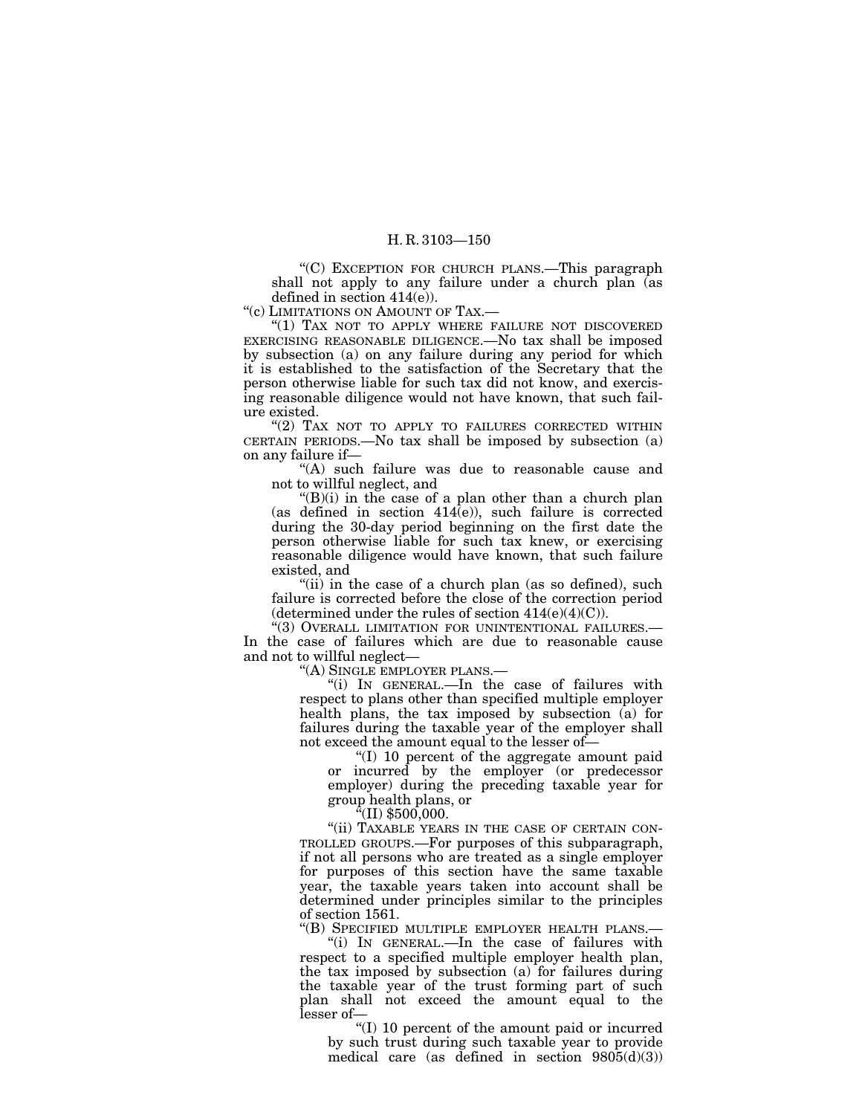''(C) EXCEPTION FOR CHURCH PLANS.—This paragraph shall not apply to any failure under a church plan (as defined in section 414(e)).

''(c) LIMITATIONS ON AMOUNT OF TAX.—

"(1) TAX NOT TO APPLY WHERE FAILURE NOT DISCOVERED EXERCISING REASONABLE DILIGENCE.—No tax shall be imposed by subsection (a) on any failure during any period for which it is established to the satisfaction of the Secretary that the person otherwise liable for such tax did not know, and exercising reasonable diligence would not have known, that such failure existed.

"(2) TAX NOT TO APPLY TO FAILURES CORRECTED WITHIN CERTAIN PERIODS.—No tax shall be imposed by subsection (a) on any failure if—

"(A) such failure was due to reasonable cause and not to willful neglect, and

 $((B)(i)$  in the case of a plan other than a church plan (as defined in section  $414(e)$ ), such failure is corrected during the 30-day period beginning on the first date the person otherwise liable for such tax knew, or exercising reasonable diligence would have known, that such failure existed, and

"(ii) in the case of a church plan (as so defined), such failure is corrected before the close of the correction period (determined under the rules of section  $414(e)(4)(C)$ ).

"(3) OVERALL LIMITATION FOR UNINTENTIONAL FAILURES.-In the case of failures which are due to reasonable cause and not to willful neglect—

''(A) SINGLE EMPLOYER PLANS.—

''(i) IN GENERAL.—In the case of failures with respect to plans other than specified multiple employer health plans, the tax imposed by subsection (a) for failures during the taxable year of the employer shall not exceed the amount equal to the lesser of—

''(I) 10 percent of the aggregate amount paid or incurred by the employer (or predecessor employer) during the preceding taxable year for group health plans, or

 $^{a}$ (II) \$500,000.

"(ii) TAXABLE YEARS IN THE CASE OF CERTAIN CON-TROLLED GROUPS.—For purposes of this subparagraph, if not all persons who are treated as a single employer for purposes of this section have the same taxable year, the taxable years taken into account shall be determined under principles similar to the principles of section 1561.

''(B) SPECIFIED MULTIPLE EMPLOYER HEALTH PLANS.—

''(i) IN GENERAL.—In the case of failures with respect to a specified multiple employer health plan, the tax imposed by subsection (a) for failures during the taxable year of the trust forming part of such plan shall not exceed the amount equal to the lesser of—

''(I) 10 percent of the amount paid or incurred by such trust during such taxable year to provide medical care (as defined in section  $9805(d)(3)$ )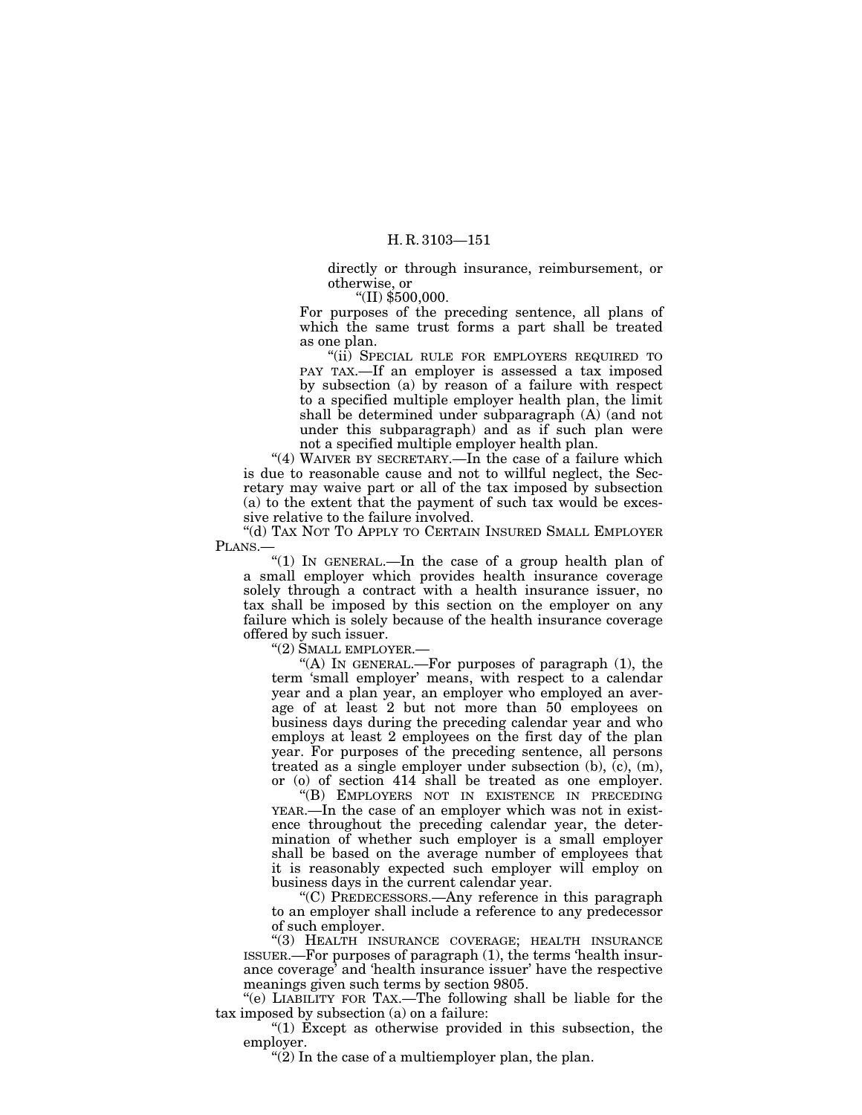directly or through insurance, reimbursement, or otherwise, or

''(II) \$500,000.

For purposes of the preceding sentence, all plans of which the same trust forms a part shall be treated as one plan.

''(ii) SPECIAL RULE FOR EMPLOYERS REQUIRED TO PAY TAX.—If an employer is assessed a tax imposed by subsection (a) by reason of a failure with respect to a specified multiple employer health plan, the limit shall be determined under subparagraph (A) (and not under this subparagraph) and as if such plan were not a specified multiple employer health plan.

"(4) WAIVER BY SECRETARY.—In the case of a failure which is due to reasonable cause and not to willful neglect, the Secretary may waive part or all of the tax imposed by subsection (a) to the extent that the payment of such tax would be excessive relative to the failure involved.

''(d) TAX NOT TO APPLY TO CERTAIN INSURED SMALL EMPLOYER PLANS.

''(1) IN GENERAL.—In the case of a group health plan of a small employer which provides health insurance coverage solely through a contract with a health insurance issuer, no tax shall be imposed by this section on the employer on any failure which is solely because of the health insurance coverage offered by such issuer.

''(2) SMALL EMPLOYER.—

''(A) IN GENERAL.—For purposes of paragraph (1), the term 'small employer' means, with respect to a calendar year and a plan year, an employer who employed an average of at least 2 but not more than 50 employees on business days during the preceding calendar year and who employs at least 2 employees on the first day of the plan year. For purposes of the preceding sentence, all persons treated as a single employer under subsection  $(b)$ ,  $(c)$ ,  $(m)$ , or (o) of section 414 shall be treated as one employer.

''(B) EMPLOYERS NOT IN EXISTENCE IN PRECEDING YEAR.—In the case of an employer which was not in existence throughout the preceding calendar year, the determination of whether such employer is a small employer shall be based on the average number of employees that it is reasonably expected such employer will employ on business days in the current calendar year.

''(C) PREDECESSORS.—Any reference in this paragraph to an employer shall include a reference to any predecessor of such employer.

''(3) HEALTH INSURANCE COVERAGE; HEALTH INSURANCE ISSUER.—For purposes of paragraph (1), the terms 'health insurance coverage' and 'health insurance issuer' have the respective meanings given such terms by section 9805.

''(e) LIABILITY FOR TAX.—The following shall be liable for the tax imposed by subsection (a) on a failure:

''(1) Except as otherwise provided in this subsection, the employer.

 $\mathcal{L}(2)$  In the case of a multiemployer plan, the plan.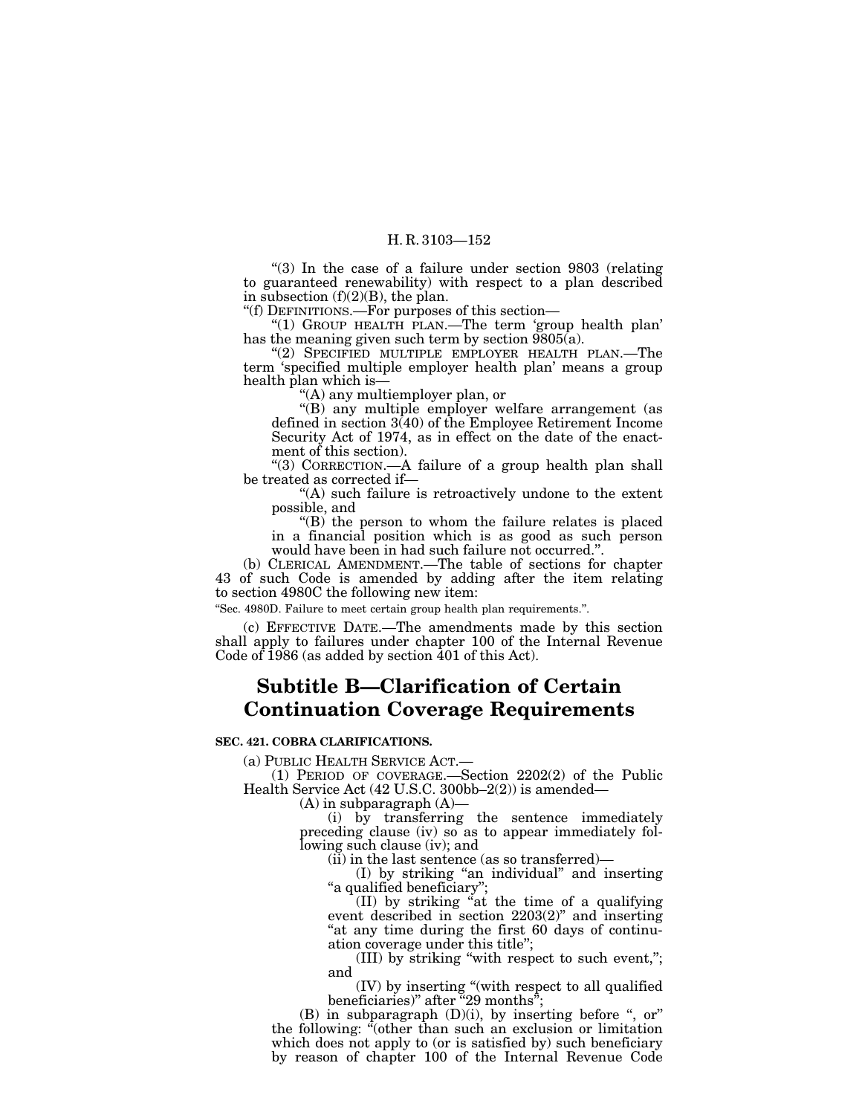''(3) In the case of a failure under section 9803 (relating to guaranteed renewability) with respect to a plan described in subsection  $(f)(2)(B)$ , the plan.

''(f) DEFINITIONS.—For purposes of this section—

"(1) GROUP HEALTH PLAN.—The term 'group health plan' has the meaning given such term by section  $9805(a)$ .

"(2) SPECIFIED MULTIPLE EMPLOYER HEALTH PLAN.—The term 'specified multiple employer health plan' means a group health plan which is—

''(A) any multiemployer plan, or

''(B) any multiple employer welfare arrangement (as defined in section 3(40) of the Employee Retirement Income Security Act of 1974, as in effect on the date of the enactment of this section).

''(3) CORRECTION.—A failure of a group health plan shall be treated as corrected if—

"(A) such failure is retroactively undone to the extent possible, and

''(B) the person to whom the failure relates is placed in a financial position which is as good as such person would have been in had such failure not occurred.''.

(b) CLERICAL AMENDMENT.—The table of sections for chapter 43 of such Code is amended by adding after the item relating to section 4980C the following new item:

''Sec. 4980D. Failure to meet certain group health plan requirements.''.

(c) EFFECTIVE DATE.—The amendments made by this section shall apply to failures under chapter 100 of the Internal Revenue Code of 1986 (as added by section 401 of this Act).

# **Subtitle B—Clarification of Certain Continuation Coverage Requirements**

### **SEC. 421. COBRA CLARIFICATIONS.**

(a) PUBLIC HEALTH SERVICE ACT.— (1) PERIOD OF COVERAGE.—Section 2202(2) of the Public Health Service Act (42 U.S.C. 300bb–2(2)) is amended—

(A) in subparagraph (A)—

(i) by transferring the sentence immediately preceding clause (iv) so as to appear immediately following such clause (iv); and

(ii) in the last sentence (as so transferred)—

(I) by striking ''an individual'' and inserting ''a qualified beneficiary'';

(II) by striking ''at the time of a qualifying event described in section 2203(2)'' and inserting "at any time during the first 60 days of continuation coverage under this title'';

(III) by striking ''with respect to such event,''; and

(IV) by inserting ''(with respect to all qualified beneficiaries)" after "29 months";

(B) in subparagraph  $(D)(i)$ , by inserting before ", or" the following: ''(other than such an exclusion or limitation which does not apply to (or is satisfied by) such beneficiary by reason of chapter 100 of the Internal Revenue Code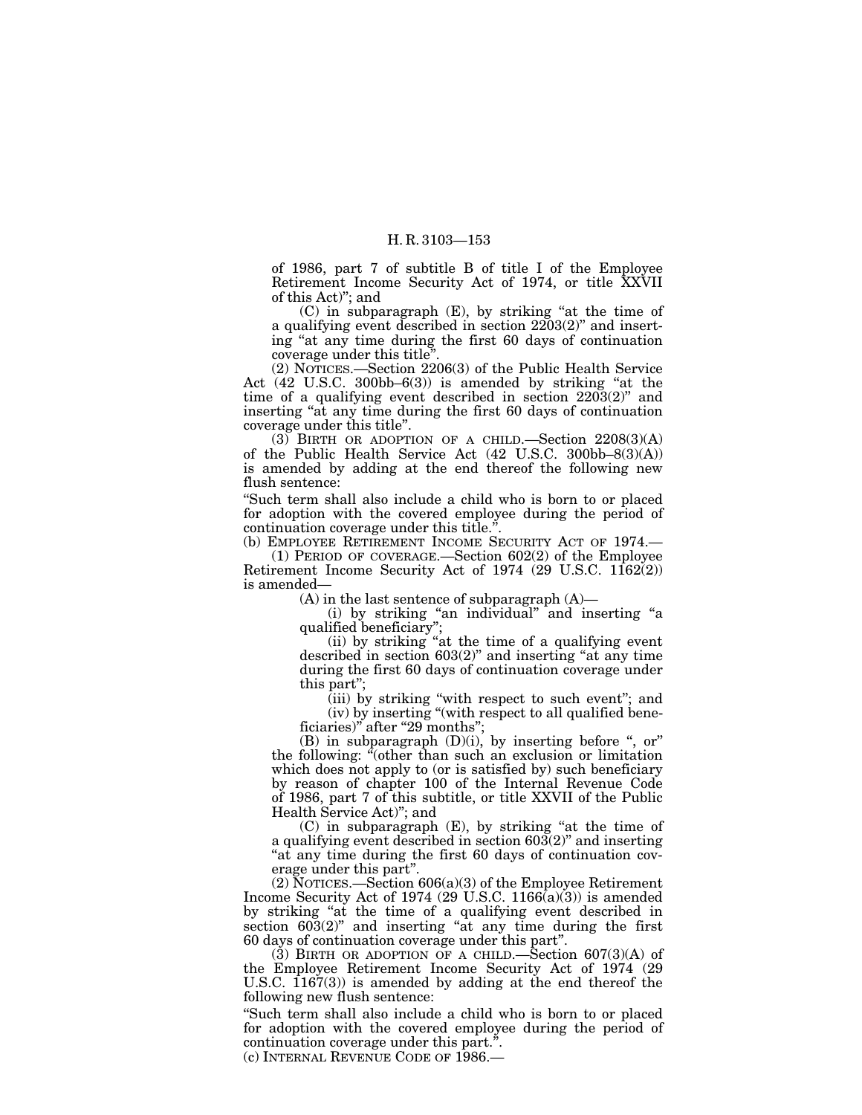of 1986, part 7 of subtitle B of title I of the Employee Retirement Income Security Act of 1974, or title XXVII of this Act)''; and

 $(C)$  in subparagraph  $(E)$ , by striking "at the time of a qualifying event described in section  $2203(2)$ " and inserting ''at any time during the first 60 days of continuation coverage under this title''.

(2) NOTICES.—Section 2206(3) of the Public Health Service Act (42 U.S.C. 300bb–6(3)) is amended by striking ''at the time of a qualifying event described in section  $2203(2)$ " and inserting "at any time during the first 60 days of continuation coverage under this title''.

(3) BIRTH OR ADOPTION OF A CHILD.—Section 2208(3)(A) of the Public Health Service Act (42 U.S.C. 300bb–8(3)(A)) is amended by adding at the end thereof the following new flush sentence:

''Such term shall also include a child who is born to or placed for adoption with the covered employee during the period of continuation coverage under this title.''.

(b) EMPLOYEE RETIREMENT INCOME SECURITY ACT OF 1974.—

(1) PERIOD OF COVERAGE.—Section 602(2) of the Employee Retirement Income Security Act of 1974 (29 U.S.C. 1162(2)) is amended—

(A) in the last sentence of subparagraph (A)—

(i) by striking "an individual" and inserting "a qualified beneficiary'';

(ii) by striking ''at the time of a qualifying event described in section  $603(2)$ " and inserting "at any time during the first 60 days of continuation coverage under this part'';

(iii) by striking ''with respect to such event''; and

(iv) by inserting ''(with respect to all qualified beneficiaries)" after "29 months";

 $(B)$  in subparagraph  $(D)(i)$ , by inserting before ", or" the following: ''(other than such an exclusion or limitation which does not apply to (or is satisfied by) such beneficiary by reason of chapter 100 of the Internal Revenue Code of 1986, part 7 of this subtitle, or title XXVII of the Public Health Service Act)''; and

 $(C)$  in subparagraph  $(E)$ , by striking "at the time of a qualifying event described in section 603(2)'' and inserting "at any time during the first 60 days of continuation coverage under this part''.

(2) NOTICES.—Section 606(a)(3) of the Employee Retirement Income Security Act of 1974 (29 U.S.C. 1166 $(a)(3)$ ) is amended by striking ''at the time of a qualifying event described in section 603(2)" and inserting "at any time during the first 60 days of continuation coverage under this part''.

(3) BIRTH OR ADOPTION OF A CHILD.—Section  $607(3)(A)$  of the Employee Retirement Income Security Act of 1974 (29 U.S.C.  $1167(3)$  is amended by adding at the end thereof the following new flush sentence:

''Such term shall also include a child who is born to or placed for adoption with the covered employee during the period of continuation coverage under this part.''.

(c) INTERNAL REVENUE CODE OF 1986.—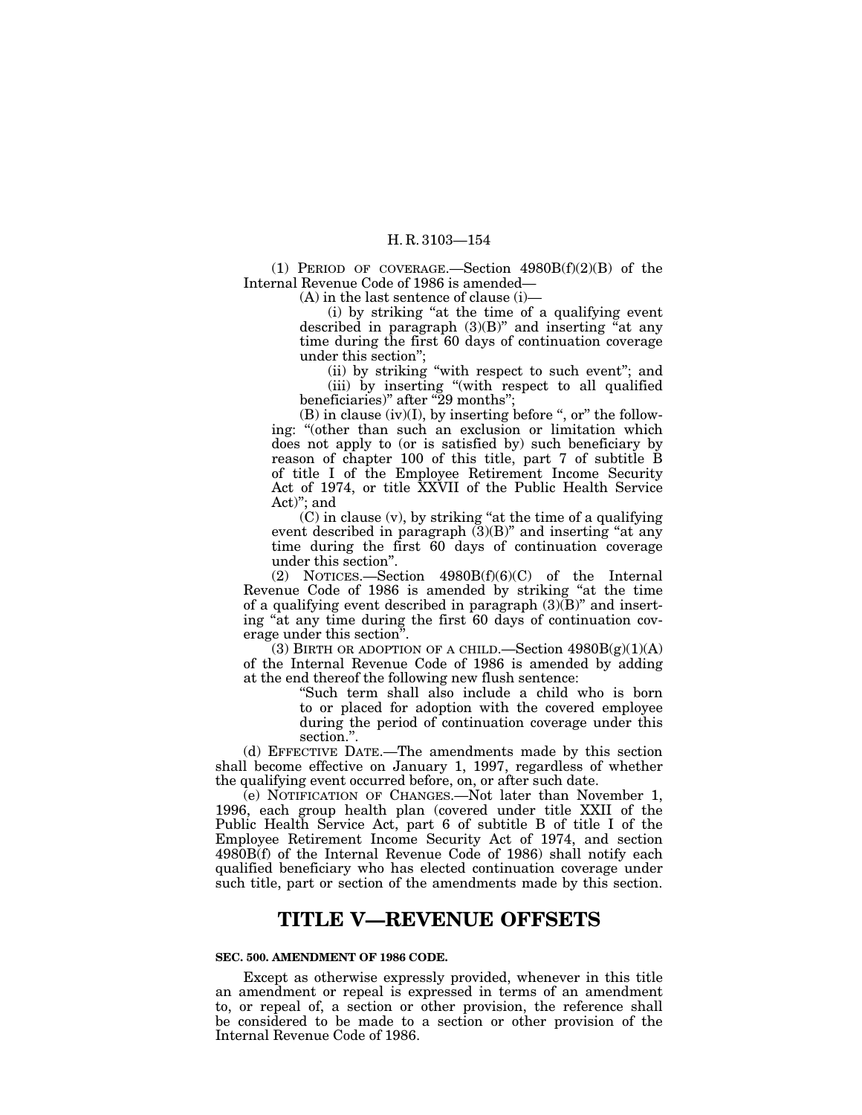(1) PERIOD OF COVERAGE.—Section 4980B(f)(2)(B) of the Internal Revenue Code of 1986 is amended—

(A) in the last sentence of clause (i)—

(i) by striking ''at the time of a qualifying event described in paragraph  $(3)(B)$ " and inserting "at any time during the first 60 days of continuation coverage under this section'';

(ii) by striking ''with respect to such event''; and (iii) by inserting "(with respect to all qualified beneficiaries)" after "29 months";

 $(B)$  in clause  $(iv)(I)$ , by inserting before ", or" the following: "(other than such an exclusion or limitation which does not apply to (or is satisfied by) such beneficiary by reason of chapter 100 of this title, part 7 of subtitle B of title I of the Employee Retirement Income Security Act of 1974, or title XXVII of the Public Health Service Act)''; and

 $(C)$  in clause  $(v)$ , by striking "at the time of a qualifying event described in paragraph  $(3)(B)$ " and inserting "at any time during the first 60 days of continuation coverage under this section''.

(2) NOTICES.—Section 4980B(f)(6)(C) of the Internal Revenue Code of 1986 is amended by striking ''at the time of a qualifying event described in paragraph  $(3)(B)$ " and inserting ''at any time during the first 60 days of continuation coverage under this section''.

(3) BIRTH OR ADOPTION OF A CHILD. Section  $4980B(g)(1)(A)$ of the Internal Revenue Code of 1986 is amended by adding at the end thereof the following new flush sentence:

''Such term shall also include a child who is born to or placed for adoption with the covered employee during the period of continuation coverage under this section.''.

(d) EFFECTIVE DATE.—The amendments made by this section shall become effective on January 1, 1997, regardless of whether the qualifying event occurred before, on, or after such date.

(e) NOTIFICATION OF CHANGES.—Not later than November 1, 1996, each group health plan (covered under title XXII of the Public Health Service Act, part 6 of subtitle B of title I of the Employee Retirement Income Security Act of 1974, and section 4980B(f) of the Internal Revenue Code of 1986) shall notify each qualified beneficiary who has elected continuation coverage under such title, part or section of the amendments made by this section.

# **TITLE V—REVENUE OFFSETS**

### **SEC. 500. AMENDMENT OF 1986 CODE.**

Except as otherwise expressly provided, whenever in this title an amendment or repeal is expressed in terms of an amendment to, or repeal of, a section or other provision, the reference shall be considered to be made to a section or other provision of the Internal Revenue Code of 1986.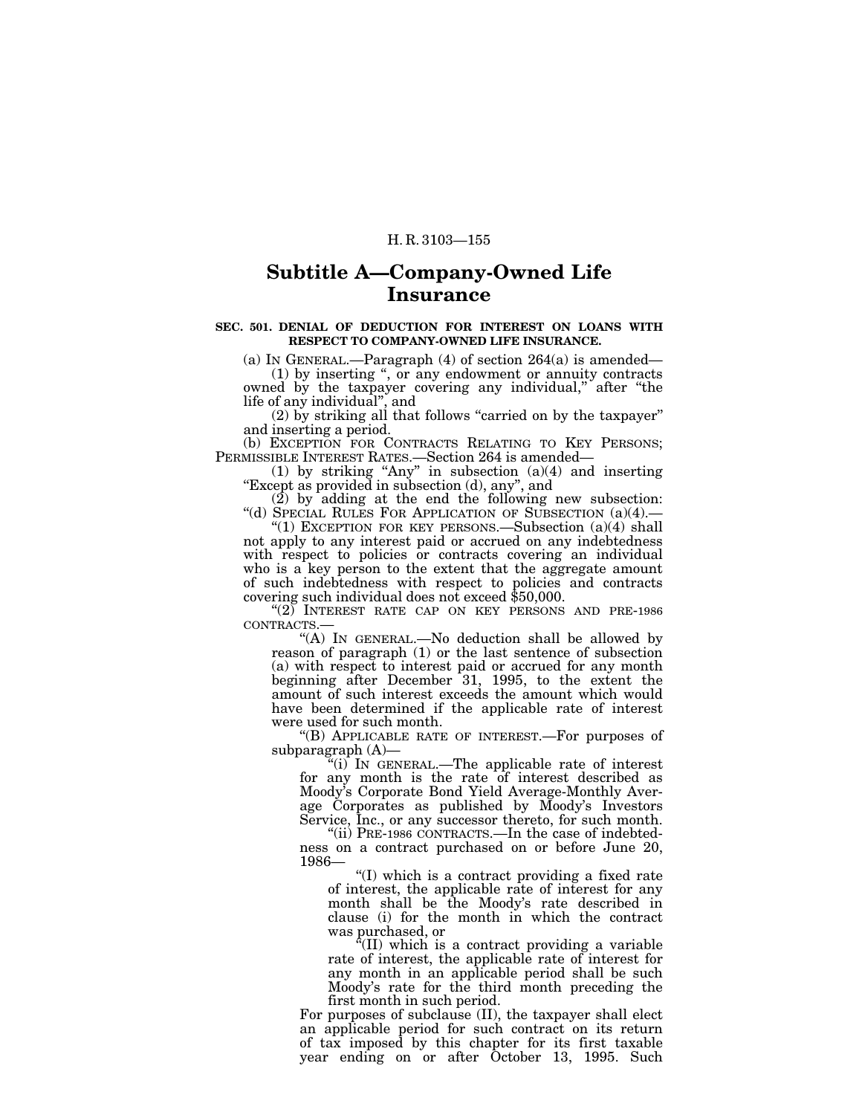# **Subtitle A—Company-Owned Life Insurance**

### **SEC. 501. DENIAL OF DEDUCTION FOR INTEREST ON LOANS WITH RESPECT TO COMPANY-OWNED LIFE INSURANCE.**

(a) IN GENERAL.—Paragraph  $(4)$  of section 264 $(a)$  is amended—

(1) by inserting '', or any endowment or annuity contracts owned by the taxpayer covering any individual,'' after ''the life of any individual'', and

(2) by striking all that follows ''carried on by the taxpayer'' and inserting a period.

(b) EXCEPTION FOR CONTRACTS RELATING TO KEY PERSONS; PERMISSIBLE INTEREST RATES.—Section 264 is amended—

 $(1)$  by striking "Any" in subsection  $(a)(4)$  and inserting ''Except as provided in subsection (d), any'', and

(2) by adding at the end the following new subsection: ''(d) SPECIAL RULES FOR APPLICATION OF SUBSECTION (a)(4).—

"(1) EXCEPTION FOR KEY PERSONS.—Subsection  $(a)(4)$  shall not apply to any interest paid or accrued on any indebtedness with respect to policies or contracts covering an individual who is a key person to the extent that the aggregate amount of such indebtedness with respect to policies and contracts covering such individual does not exceed \$50,000.

''(2) INTEREST RATE CAP ON KEY PERSONS AND PRE-1986

"(A) In GENERAL.—No deduction shall be allowed by reason of paragraph (1) or the last sentence of subsection (a) with respect to interest paid or accrued for any month beginning after December 31, 1995, to the extent the amount of such interest exceeds the amount which would have been determined if the applicable rate of interest were used for such month.

''(B) APPLICABLE RATE OF INTEREST.—For purposes of subparagraph (A)—

"(i) IN GENERAL.—The applicable rate of interest for any month is the rate of interest described as Moody's Corporate Bond Yield Average-Monthly Average Corporates as published by Moody's Investors Service, Inc., or any successor thereto, for such month.

"(ii) PRE-1986 CONTRACTS.—In the case of indebtedness on a contract purchased on or before June 20, 1986—

''(I) which is a contract providing a fixed rate of interest, the applicable rate of interest for any month shall be the Moody's rate described in clause (i) for the month in which the contract was purchased, or

 $\mathcal{E}(II)$  which is a contract providing a variable rate of interest, the applicable rate of interest for any month in an applicable period shall be such Moody's rate for the third month preceding the first month in such period.

For purposes of subclause (II), the taxpayer shall elect an applicable period for such contract on its return of tax imposed by this chapter for its first taxable year ending on or after October 13, 1995. Such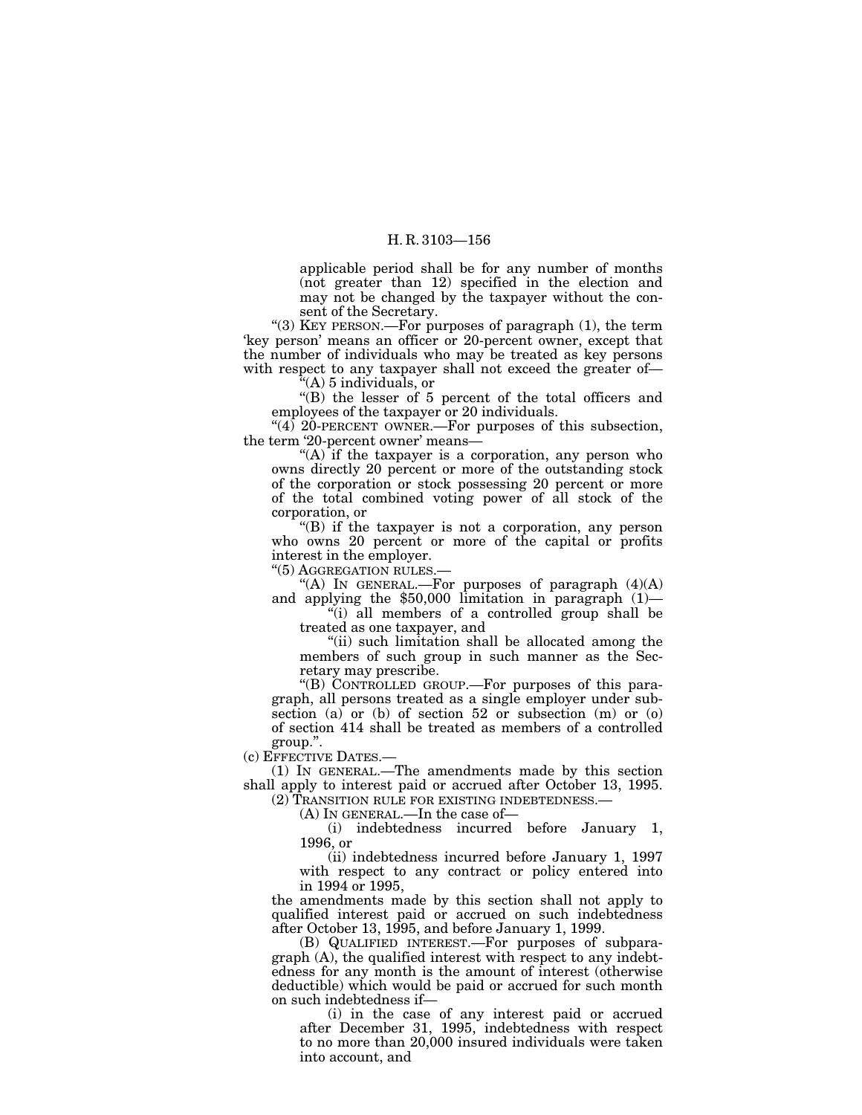applicable period shall be for any number of months (not greater than 12) specified in the election and may not be changed by the taxpayer without the consent of the Secretary.

''(3) KEY PERSON.—For purposes of paragraph (1), the term 'key person' means an officer or 20-percent owner, except that the number of individuals who may be treated as key persons with respect to any taxpayer shall not exceed the greater of-

''(A) 5 individuals, or

''(B) the lesser of 5 percent of the total officers and employees of the taxpayer or 20 individuals.

" $(4)$  20-PERCENT OWNER.—For purposes of this subsection, the term '20-percent owner' means—

" $(A)$  if the taxpayer is a corporation, any person who owns directly 20 percent or more of the outstanding stock of the corporation or stock possessing 20 percent or more of the total combined voting power of all stock of the corporation, or

 $'(B)$  if the taxpayer is not a corporation, any person who owns 20 percent or more of the capital or profits interest in the employer.

''(5) AGGREGATION RULES.—

"(A) IN GENERAL.—For purposes of paragraph  $(4)(A)$ and applying the  $$50,000$  limitation in paragraph  $(1)$ —

"(i) all members of a controlled group shall be treated as one taxpayer, and

"(ii) such limitation shall be allocated among the members of such group in such manner as the Secretary may prescribe.

''(B) CONTROLLED GROUP.—For purposes of this paragraph, all persons treated as a single employer under subsection  $(a)$  or  $(b)$  of section 52 or subsection  $(m)$  or  $(o)$ of section 414 shall be treated as members of a controlled group.''.

(c) EFFECTIVE DATES.—

(1) IN GENERAL.—The amendments made by this section shall apply to interest paid or accrued after October 13, 1995. (2) TRANSITION RULE FOR EXISTING INDEBTEDNESS.—

(A) IN GENERAL.—In the case of—

(i) indebtedness incurred before January 1, 1996, or

(ii) indebtedness incurred before January 1, 1997 with respect to any contract or policy entered into in 1994 or 1995,

the amendments made by this section shall not apply to qualified interest paid or accrued on such indebtedness after October 13, 1995, and before January 1, 1999.

(B) QUALIFIED INTEREST.—For purposes of subparagraph (A), the qualified interest with respect to any indebtedness for any month is the amount of interest (otherwise deductible) which would be paid or accrued for such month on such indebtedness if—

(i) in the case of any interest paid or accrued after December 31, 1995, indebtedness with respect to no more than 20,000 insured individuals were taken into account, and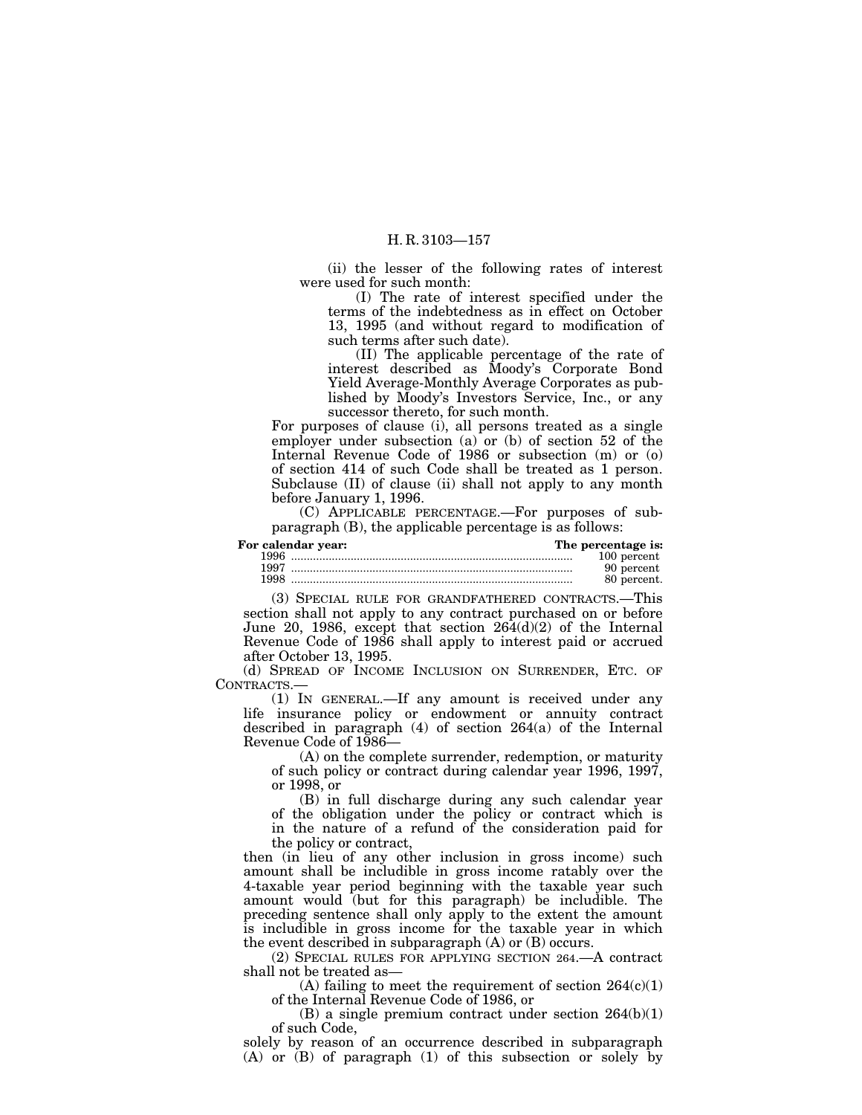(ii) the lesser of the following rates of interest were used for such month:

(I) The rate of interest specified under the terms of the indebtedness as in effect on October 13, 1995 (and without regard to modification of such terms after such date).

(II) The applicable percentage of the rate of interest described as Moody's Corporate Bond Yield Average-Monthly Average Corporates as published by Moody's Investors Service, Inc., or any successor thereto, for such month.

For purposes of clause (i), all persons treated as a single employer under subsection (a) or (b) of section 52 of the Internal Revenue Code of 1986 or subsection (m) or (o) of section 414 of such Code shall be treated as 1 person. Subclause (II) of clause (ii) shall not apply to any month before January 1, 1996.

(C) APPLICABLE PERCENTAGE.—For purposes of subparagraph (B), the applicable percentage is as follows:

#### **For calendar year: The percentage is:** 1996 .......................................................................................... 100 percent 1997 .......................................................................................... 90 percent 1998 .......................................................................................... 80 percent.

(3) SPECIAL RULE FOR GRANDFATHERED CONTRACTS.—This section shall not apply to any contract purchased on or before June 20, 1986, except that section 264(d)(2) of the Internal Revenue Code of 1986 shall apply to interest paid or accrued after October 13, 1995.

(d) SPREAD OF INCOME INCLUSION ON SURRENDER, ETC. OF CONTRACTS.—

(1) IN GENERAL.—If any amount is received under any life insurance policy or endowment or annuity contract described in paragraph (4) of section 264(a) of the Internal Revenue Code of 1986—

(A) on the complete surrender, redemption, or maturity of such policy or contract during calendar year 1996, 1997, or 1998, or

(B) in full discharge during any such calendar year of the obligation under the policy or contract which is in the nature of a refund of the consideration paid for the policy or contract,

then (in lieu of any other inclusion in gross income) such amount shall be includible in gross income ratably over the 4-taxable year period beginning with the taxable year such amount would (but for this paragraph) be includible. The preceding sentence shall only apply to the extent the amount is includible in gross income for the taxable year in which the event described in subparagraph  $(A)$  or  $(B)$  occurs.

(2) SPECIAL RULES FOR APPLYING SECTION 264.—A contract shall not be treated as—

(A) failing to meet the requirement of section  $264(c)(1)$ of the Internal Revenue Code of 1986, or

(B) a single premium contract under section 264(b)(1) of such Code,

solely by reason of an occurrence described in subparagraph (A) or (B) of paragraph (1) of this subsection or solely by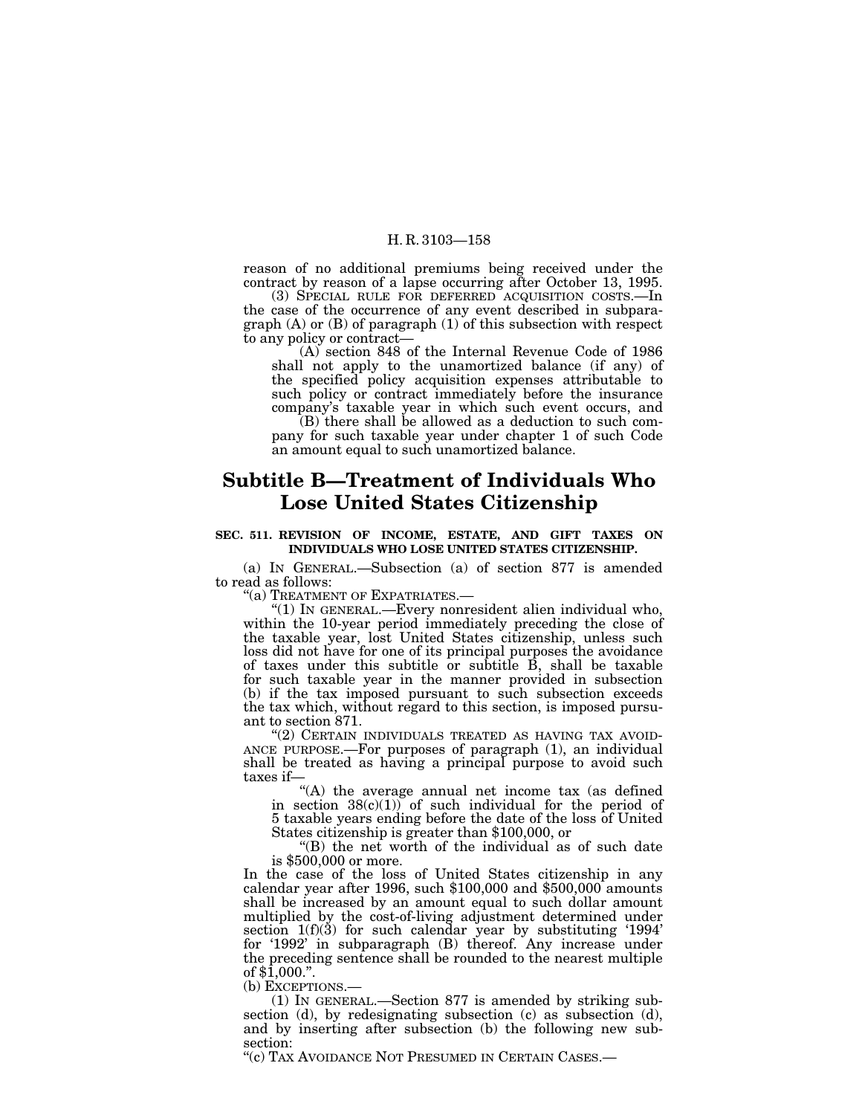reason of no additional premiums being received under the contract by reason of a lapse occurring after October 13, 1995.

(3) SPECIAL RULE FOR DEFERRED ACQUISITION COSTS.—In the case of the occurrence of any event described in subparagraph  $(A)$  or  $(B)$  of paragraph  $(1)$  of this subsection with respect to any policy or contract—

(A) section 848 of the Internal Revenue Code of 1986 shall not apply to the unamortized balance (if any) of the specified policy acquisition expenses attributable to such policy or contract immediately before the insurance company's taxable year in which such event occurs, and

(B) there shall be allowed as a deduction to such company for such taxable year under chapter 1 of such Code an amount equal to such unamortized balance.

# **Subtitle B—Treatment of Individuals Who Lose United States Citizenship**

### **SEC. 511. REVISION OF INCOME, ESTATE, AND GIFT TAXES ON INDIVIDUALS WHO LOSE UNITED STATES CITIZENSHIP.**

(a) IN GENERAL.—Subsection (a) of section 877 is amended to read as follows:<br>"(a) TREATMENT OF EXPATRIATES.—

"(1) IN GENERAL.—Every nonresident alien individual who, within the 10-year period immediately preceding the close of the taxable year, lost United States citizenship, unless such loss did not have for one of its principal purposes the avoidance of taxes under this subtitle or subtitle  $\vec{B}$ , shall be taxable for such taxable year in the manner provided in subsection (b) if the tax imposed pursuant to such subsection exceeds the tax which, without regard to this section, is imposed pursuant to section 871.<br>
"(2) CERTAIN INDIVIDUALS TREATED AS HAVING TAX AVOID-

ANCE PURPOSE.—For purposes of paragraph  $(1)$ , an individual shall be treated as having a principal purpose to avoid such taxes if—

"(A) the average annual net income tax (as defined in section  $38(c)(1)$  of such individual for the period of 5 taxable years ending before the date of the loss of United States citizenship is greater than \$100,000, or

''(B) the net worth of the individual as of such date is \$500,000 or more.

In the case of the loss of United States citizenship in any calendar year after 1996, such \$100,000 and \$500,000 amounts shall be increased by an amount equal to such dollar amount multiplied by the cost-of-living adjustment determined under section 1(f)(3) for such calendar year by substituting '1994' for '1992' in subparagraph (B) thereof. Any increase under the preceding sentence shall be rounded to the nearest multiple of  $$1,000."$ .

(b) EXCEPTIONS.—

(1) IN GENERAL.—Section 877 is amended by striking subsection (d), by redesignating subsection (c) as subsection (d), and by inserting after subsection (b) the following new subsection:

''(c) TAX AVOIDANCE NOT PRESUMED IN CERTAIN CASES.—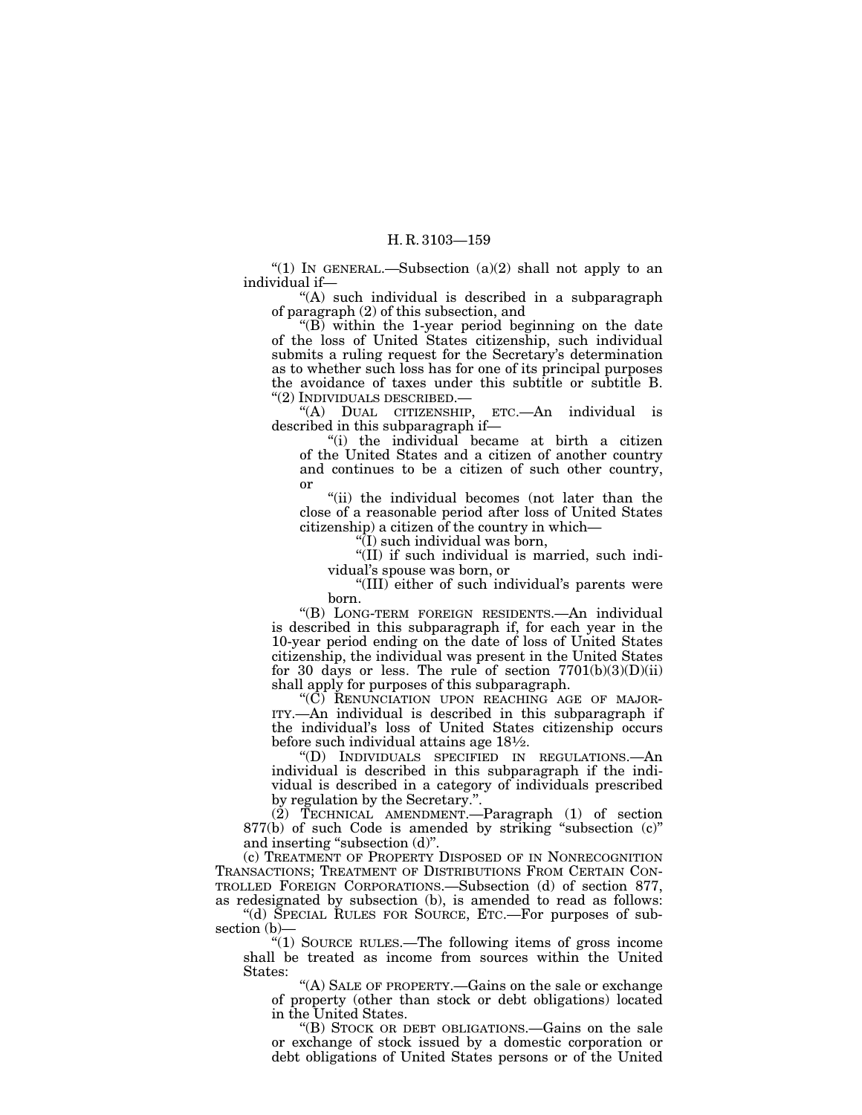"(1) In GENERAL.—Subsection  $(a)(2)$  shall not apply to an individual if—

''(A) such individual is described in a subparagraph of paragraph (2) of this subsection, and

" $(B)$  within the 1-year period beginning on the date of the loss of United States citizenship, such individual submits a ruling request for the Secretary's determination as to whether such loss has for one of its principal purposes the avoidance of taxes under this subtitle or subtitle B. ''(2) INDIVIDUALS DESCRIBED.—

''(A) DUAL CITIZENSHIP, ETC.—An individual is described in this subparagraph if—

''(i) the individual became at birth a citizen of the United States and a citizen of another country and continues to be a citizen of such other country, or

''(ii) the individual becomes (not later than the close of a reasonable period after loss of United States citizenship) a citizen of the country in which—

''(I) such individual was born,

''(II) if such individual is married, such individual's spouse was born, or

''(III) either of such individual's parents were born.

''(B) LONG-TERM FOREIGN RESIDENTS.—An individual is described in this subparagraph if, for each year in the 10-year period ending on the date of loss of United States citizenship, the individual was present in the United States for 30 days or less. The rule of section  $7701(b)(3)(D)(ii)$ shall apply for purposes of this subparagraph.

''(C) RENUNCIATION UPON REACHING AGE OF MAJOR-ITY.—An individual is described in this subparagraph if the individual's loss of United States citizenship occurs before such individual attains age 181⁄2.

''(D) INDIVIDUALS SPECIFIED IN REGULATIONS.—An individual is described in this subparagraph if the individual is described in a category of individuals prescribed by regulation by the Secretary.''.

(2) TECHNICAL AMENDMENT.—Paragraph (1) of section 877(b) of such Code is amended by striking ''subsection (c)'' and inserting "subsection (d)".

(c) TREATMENT OF PROPERTY DISPOSED OF IN NONRECOGNITION TRANSACTIONS; TREATMENT OF DISTRIBUTIONS FROM CERTAIN CON-TROLLED FOREIGN CORPORATIONS.—Subsection (d) of section 877, as redesignated by subsection (b), is amended to read as follows:

''(d) SPECIAL RULES FOR SOURCE, ETC.—For purposes of subsection (b)—

''(1) SOURCE RULES.—The following items of gross income shall be treated as income from sources within the United States:

''(A) SALE OF PROPERTY.—Gains on the sale or exchange of property (other than stock or debt obligations) located in the United States.

''(B) STOCK OR DEBT OBLIGATIONS.—Gains on the sale or exchange of stock issued by a domestic corporation or debt obligations of United States persons or of the United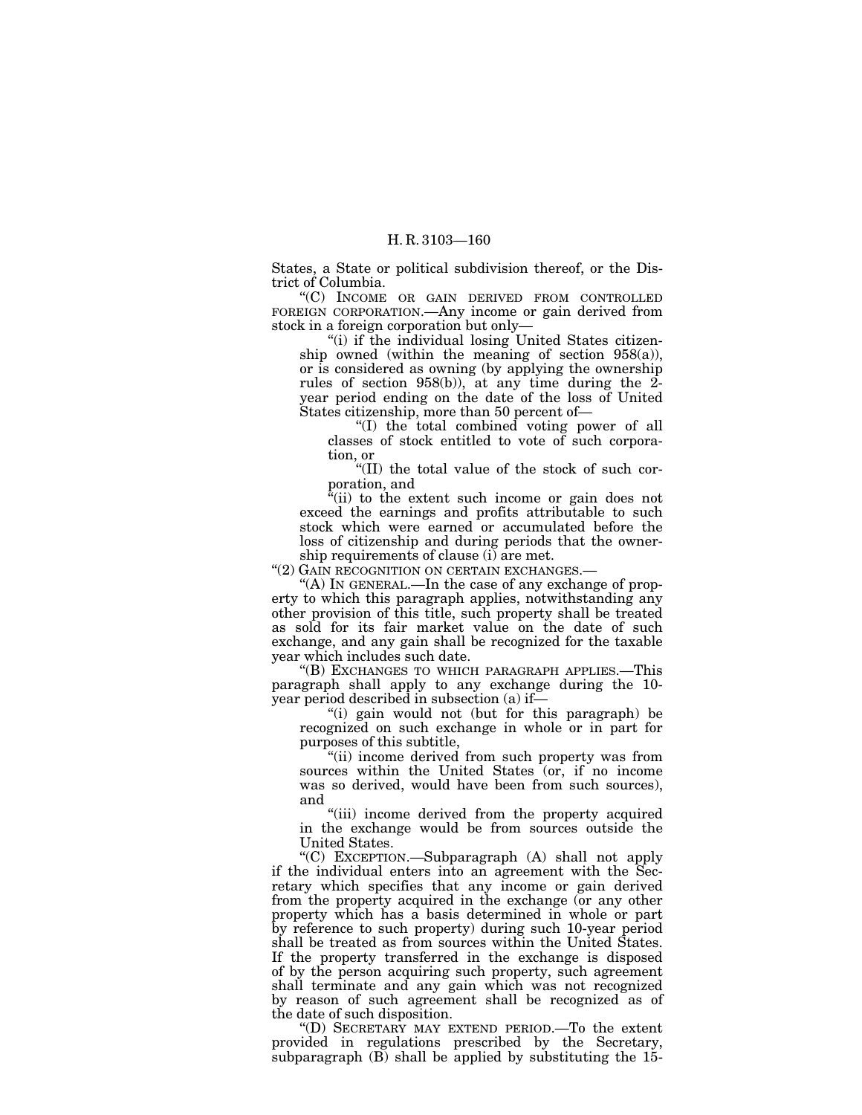States, a State or political subdivision thereof, or the District of Columbia.

''(C) INCOME OR GAIN DERIVED FROM CONTROLLED FOREIGN CORPORATION.—Any income or gain derived from stock in a foreign corporation but only—

"(i) if the individual losing United States citizenship owned (within the meaning of section  $958(a)$ ), or is considered as owning (by applying the ownership rules of section  $958(b)$ , at any time during the 2year period ending on the date of the loss of United States citizenship, more than 50 percent of—

''(I) the total combined voting power of all classes of stock entitled to vote of such corporation, or

''(II) the total value of the stock of such corporation, and

''(ii) to the extent such income or gain does not exceed the earnings and profits attributable to such stock which were earned or accumulated before the loss of citizenship and during periods that the ownership requirements of clause (i) are met.

''(2) GAIN RECOGNITION ON CERTAIN EXCHANGES.—

''(A) IN GENERAL.—In the case of any exchange of property to which this paragraph applies, notwithstanding any other provision of this title, such property shall be treated as sold for its fair market value on the date of such exchange, and any gain shall be recognized for the taxable year which includes such date.

''(B) EXCHANGES TO WHICH PARAGRAPH APPLIES.—This paragraph shall apply to any exchange during the 10 year period described in subsection (a) if—

''(i) gain would not (but for this paragraph) be recognized on such exchange in whole or in part for purposes of this subtitle,

"(ii) income derived from such property was from sources within the United States (or, if no income was so derived, would have been from such sources), and

''(iii) income derived from the property acquired in the exchange would be from sources outside the United States.

''(C) EXCEPTION.—Subparagraph (A) shall not apply if the individual enters into an agreement with the Secretary which specifies that any income or gain derived from the property acquired in the exchange (or any other property which has a basis determined in whole or part by reference to such property) during such 10-year period shall be treated as from sources within the United States. If the property transferred in the exchange is disposed of by the person acquiring such property, such agreement shall terminate and any gain which was not recognized by reason of such agreement shall be recognized as of the date of such disposition.

''(D) SECRETARY MAY EXTEND PERIOD.—To the extent provided in regulations prescribed by the Secretary, subparagraph  $(B)$  shall be applied by substituting the 15-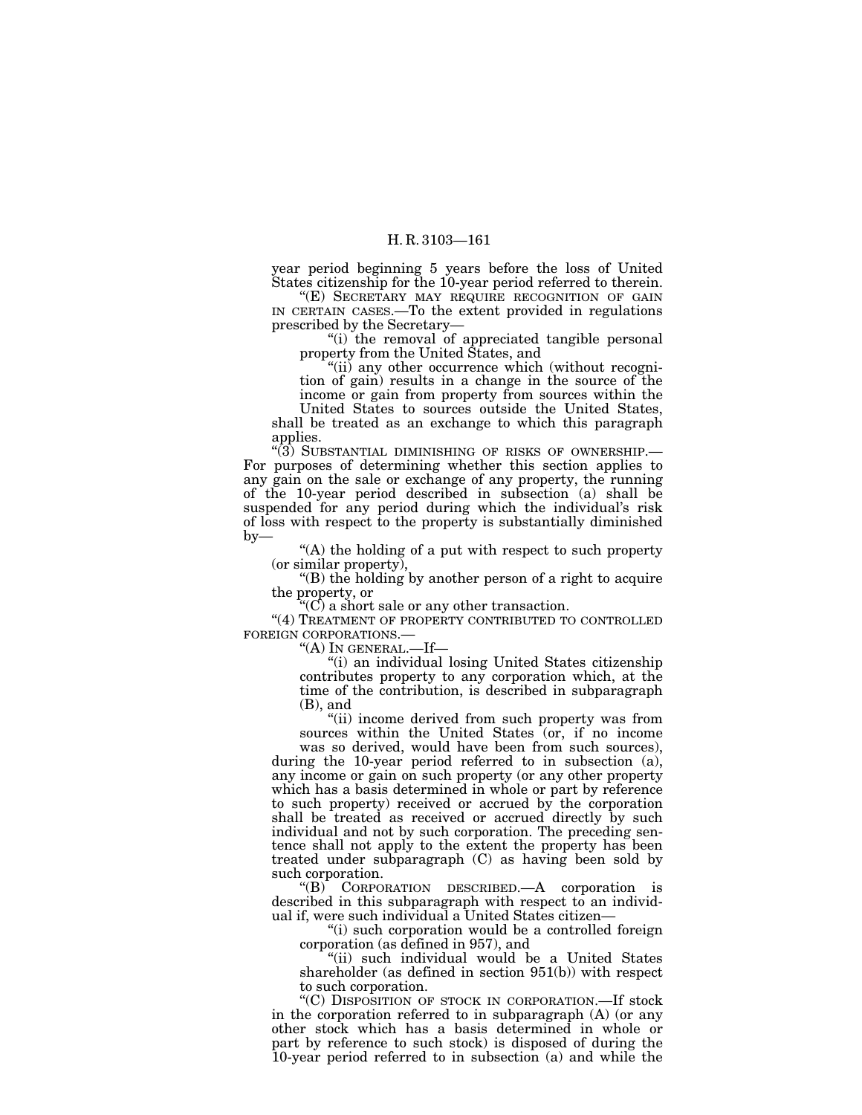year period beginning 5 years before the loss of United States citizenship for the 10-year period referred to therein.

"(E) SECRETARY MAY REQUIRE RECOGNITION OF GAIN IN CERTAIN CASES.—To the extent provided in regulations prescribed by the Secretary—

"(i) the removal of appreciated tangible personal property from the United States, and

"(ii) any other occurrence which (without recognition of gain) results in a change in the source of the

income or gain from property from sources within the United States to sources outside the United States, shall be treated as an exchange to which this paragraph applies.

''(3) SUBSTANTIAL DIMINISHING OF RISKS OF OWNERSHIP.— For purposes of determining whether this section applies to any gain on the sale or exchange of any property, the running of the 10-year period described in subsection (a) shall be suspended for any period during which the individual's risk of loss with respect to the property is substantially diminished  $by-$ 

''(A) the holding of a put with respect to such property (or similar property),

''(B) the holding by another person of a right to acquire the property, or

''(C) a short sale or any other transaction.

"(4) TREATMENT OF PROPERTY CONTRIBUTED TO CONTROLLED FOREIGN CORPORATIONS.—

''(A) IN GENERAL.—If—

''(i) an individual losing United States citizenship contributes property to any corporation which, at the time of the contribution, is described in subparagraph (B), and

''(ii) income derived from such property was from sources within the United States (or, if no income

was so derived, would have been from such sources), during the 10-year period referred to in subsection (a), any income or gain on such property (or any other property which has a basis determined in whole or part by reference to such property) received or accrued by the corporation shall be treated as received or accrued directly by such individual and not by such corporation. The preceding sentence shall not apply to the extent the property has been treated under subparagraph (C) as having been sold by such corporation.

''(B) CORPORATION DESCRIBED.—A corporation is described in this subparagraph with respect to an individual if, were such individual a United States citizen—

''(i) such corporation would be a controlled foreign corporation (as defined in 957), and

''(ii) such individual would be a United States shareholder (as defined in section 951(b)) with respect to such corporation.

"(C) DISPOSITION OF STOCK IN CORPORATION.—If stock in the corporation referred to in subparagraph (A) (or any other stock which has a basis determined in whole or part by reference to such stock) is disposed of during the 10-year period referred to in subsection (a) and while the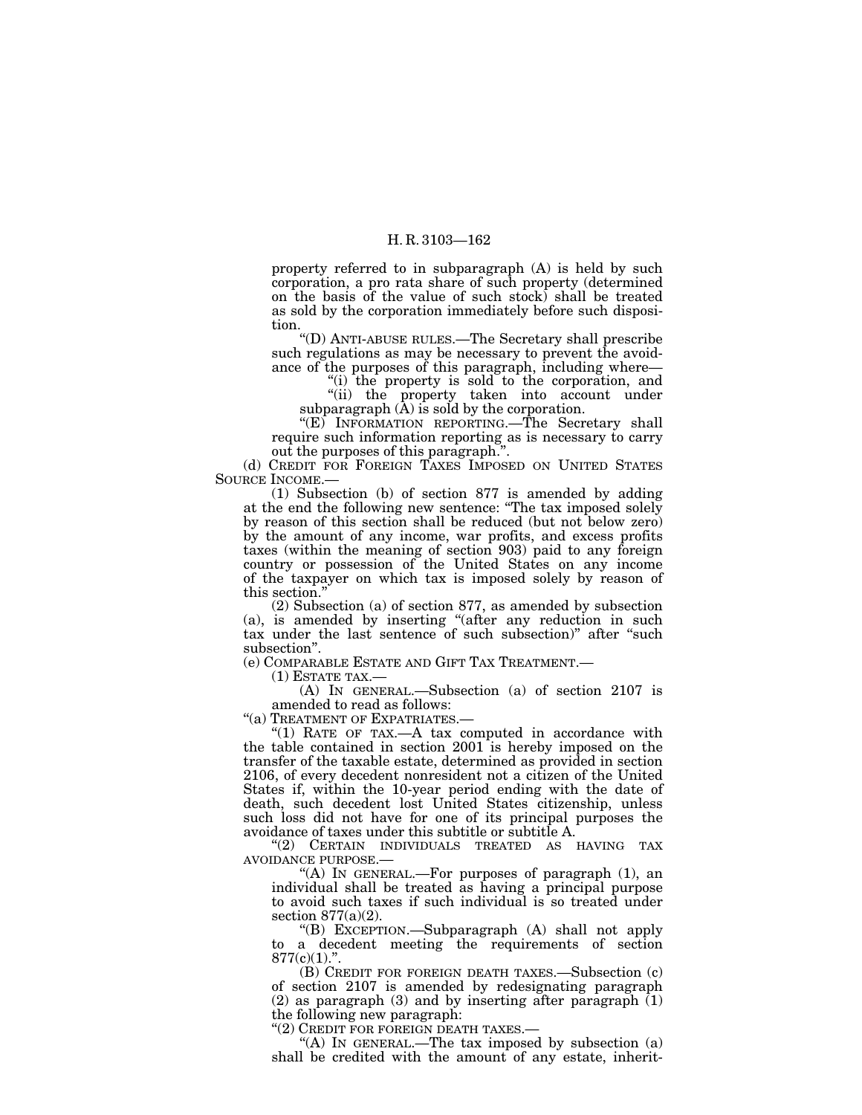property referred to in subparagraph (A) is held by such corporation, a pro rata share of such property (determined on the basis of the value of such stock) shall be treated as sold by the corporation immediately before such disposition.

''(D) ANTI-ABUSE RULES.—The Secretary shall prescribe such regulations as may be necessary to prevent the avoidance of the purposes of this paragraph, including where—

''(i) the property is sold to the corporation, and

''(ii) the property taken into account under subparagraph (A) is sold by the corporation.

"(E) INFORMATION REPORTING.—The Secretary shall require such information reporting as is necessary to carry out the purposes of this paragraph.''.

(d) CREDIT FOR FOREIGN TAXES IMPOSED ON UNITED STATES SOURCE INCOME.—

(1) Subsection (b) of section 877 is amended by adding at the end the following new sentence: ''The tax imposed solely by reason of this section shall be reduced (but not below zero) by the amount of any income, war profits, and excess profits taxes (within the meaning of section 903) paid to any foreign country or possession of the United States on any income of the taxpayer on which tax is imposed solely by reason of this section.''

(2) Subsection (a) of section 877, as amended by subsection (a), is amended by inserting "(after any reduction in such tax under the last sentence of such subsection)" after "such subsection".<br>(e) COMPARABLE ESTATE AND GIFT TAX TREATMENT.—

(1) ESTATE TAX  $-$ <br>(A) IN GENERAL.—Subsection (a) of section 2107 is amended to read as follows:<br>"(a) TREATMENT OF EXPATRIATES.-

"(1) RATE OF TAX.—A tax computed in accordance with the table contained in section 2001 is hereby imposed on the transfer of the taxable estate, determined as provided in section 2106, of every decedent nonresident not a citizen of the United States if, within the 10-year period ending with the date of death, such decedent lost United States citizenship, unless such loss did not have for one of its principal purposes the avoidance of taxes under this subtitle or subtitle A.

''(2) CERTAIN INDIVIDUALS TREATED AS HAVING TAX AVOIDANCE PURPOSE.—<br>"(A) IN GENERAL.—For purposes of paragraph  $(1)$ , an

individual shall be treated as having a principal purpose to avoid such taxes if such individual is so treated under section  $877(a)(2)$ .

''(B) EXCEPTION.—Subparagraph (A) shall not apply to a decedent meeting the requirements of section  $877(c)(1)$ .

(B) CREDIT FOR FOREIGN DEATH TAXES.—Subsection (c) of section 2107 is amended by redesignating paragraph (2) as paragraph (3) and by inserting after paragraph (1) the following new paragraph:

"(2) CREDIT FOR FOREIGN DEATH TAXES.-

"(A) IN GENERAL.—The tax imposed by subsection  $(a)$ shall be credited with the amount of any estate, inherit-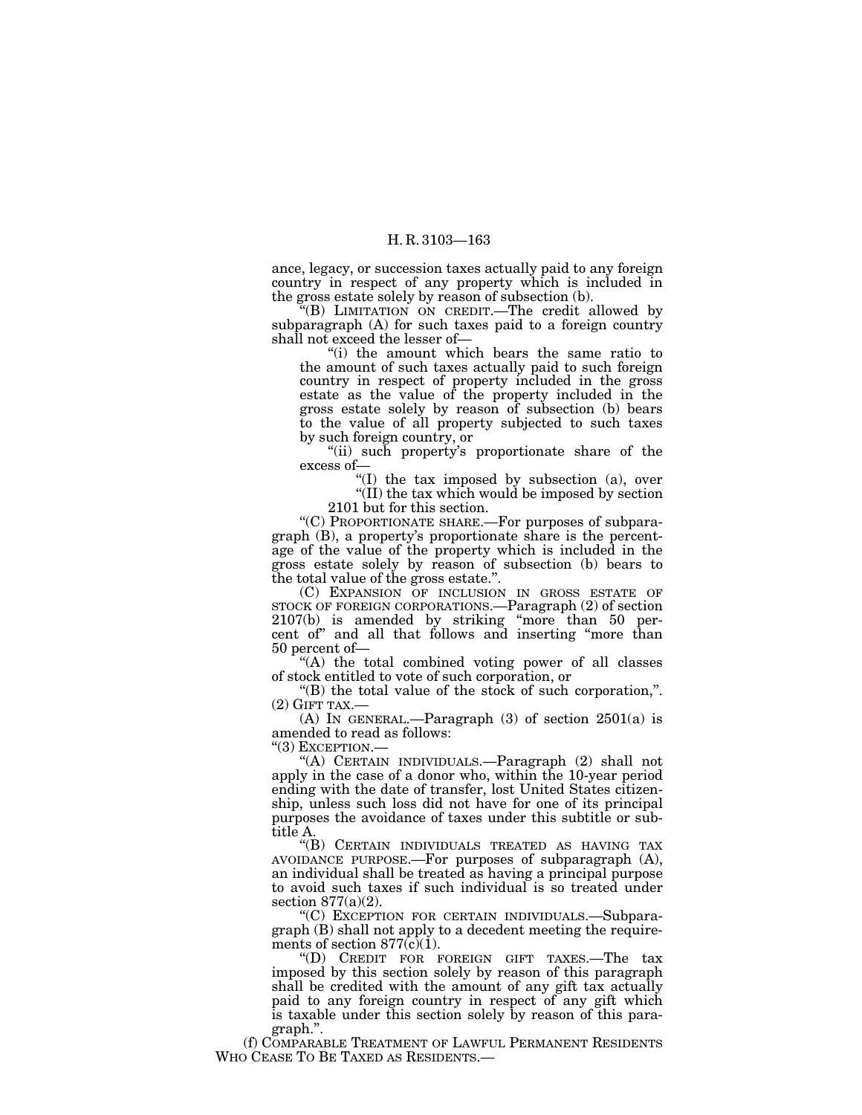ance, legacy, or succession taxes actually paid to any foreign country in respect of any property which is included in the gross estate solely by reason of subsection (b).

 $*(B)$  LIMITATION ON CREDIT.—The credit allowed by subparagraph (A) for such taxes paid to a foreign country shall not exceed the lesser of—

''(i) the amount which bears the same ratio to the amount of such taxes actually paid to such foreign country in respect of property included in the gross estate as the value of the property included in the gross estate solely by reason of subsection (b) bears to the value of all property subjected to such taxes by such foreign country, or

"(ii) such property's proportionate share of the excess of—

''(I) the tax imposed by subsection (a), over

''(II) the tax which would be imposed by section 2101 but for this section.

''(C) PROPORTIONATE SHARE.—For purposes of subparagraph (B), a property's proportionate share is the percentage of the value of the property which is included in the gross estate solely by reason of subsection (b) bears to the total value of the gross estate."

(C) EXPANSION OF INCLUSION IN GROSS ESTATE OF STOCK OF FOREIGN CORPORATIONS.—Paragraph (2) of section 2107(b) is amended by striking ''more than 50 percent of'' and all that follows and inserting ''more than 50 percent of—

''(A) the total combined voting power of all classes of stock entitled to vote of such corporation, or

"(B) the total value of the stock of such corporation,".<br>(2) GIFT TAX.—

(A) IN GENERAL.—Paragraph (3) of section  $2501(a)$  is amended to read as follows:

''(3) EXCEPTION.— ''(A) CERTAIN INDIVIDUALS.—Paragraph (2) shall not apply in the case of a donor who, within the 10-year period ending with the date of transfer, lost United States citizenship, unless such loss did not have for one of its principal purposes the avoidance of taxes under this subtitle or subtitle A.

''(B) CERTAIN INDIVIDUALS TREATED AS HAVING TAX AVOIDANCE PURPOSE.—For purposes of subparagraph (A), an individual shall be treated as having a principal purpose to avoid such taxes if such individual is so treated under section 877(a)(2).

''(C) EXCEPTION FOR CERTAIN INDIVIDUALS.—Subparagraph (B) shall not apply to a decedent meeting the requirements of section  $877(c)(1)$ .

''(D) CREDIT FOR FOREIGN GIFT TAXES.—The tax imposed by this section solely by reason of this paragraph shall be credited with the amount of any gift tax actually paid to any foreign country in respect of any gift which is taxable under this section solely by reason of this paragraph.''.

(f) COMPARABLE TREATMENT OF LAWFUL PERMANENT RESIDENTS WHO CEASE TO BE TAXED AS RESIDENTS.—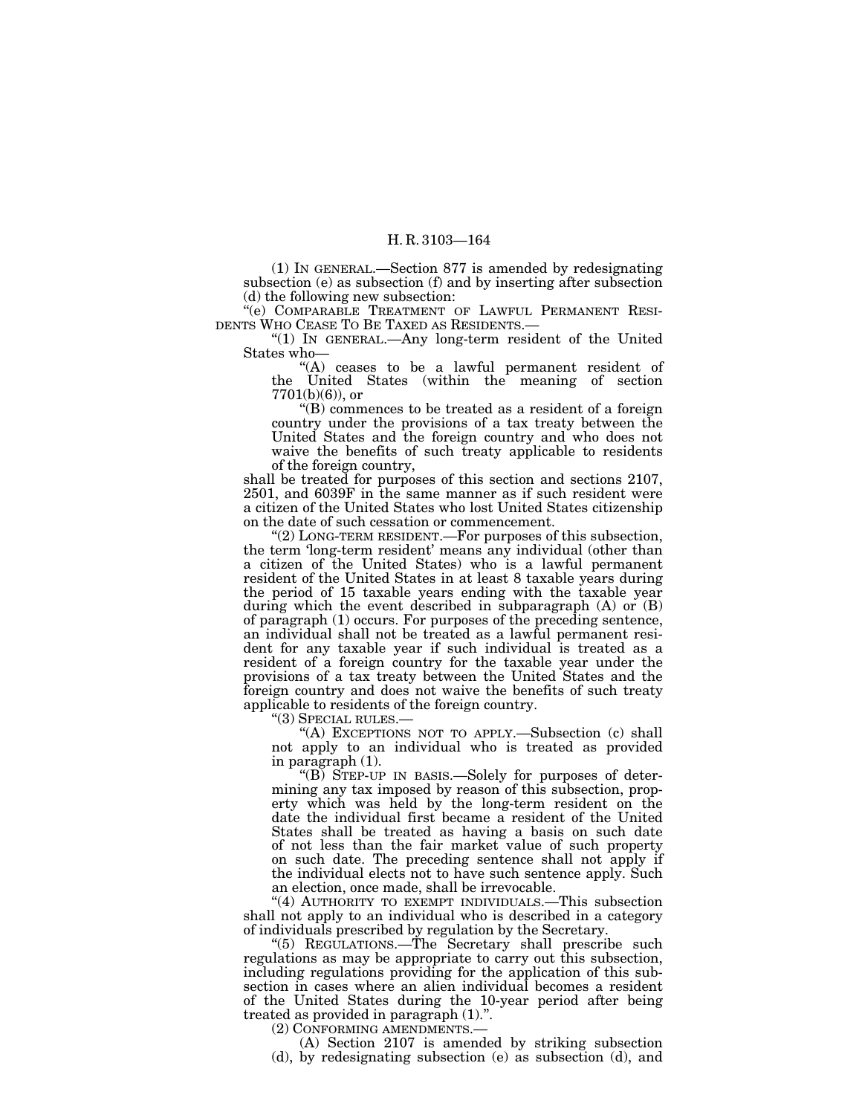(1) IN GENERAL.—Section 877 is amended by redesignating subsection (e) as subsection (f) and by inserting after subsection (d) the following new subsection:

''(e) COMPARABLE TREATMENT OF LAWFUL PERMANENT RESI-DENTS WHO CEASE TO BE TAXED AS RESIDENTS.

''(1) IN GENERAL.—Any long-term resident of the United States who—

''(A) ceases to be a lawful permanent resident of the United States (within the meaning of section  $7701(b)(6)$ , or

''(B) commences to be treated as a resident of a foreign country under the provisions of a tax treaty between the United States and the foreign country and who does not waive the benefits of such treaty applicable to residents of the foreign country,

shall be treated for purposes of this section and sections 2107, 2501, and 6039F in the same manner as if such resident were a citizen of the United States who lost United States citizenship on the date of such cessation or commencement.

''(2) LONG-TERM RESIDENT.—For purposes of this subsection, the term 'long-term resident' means any individual (other than a citizen of the United States) who is a lawful permanent resident of the United States in at least 8 taxable years during the period of 15 taxable years ending with the taxable year during which the event described in subparagraph (A) or (B) of paragraph (1) occurs. For purposes of the preceding sentence, an individual shall not be treated as a lawful permanent resident for any taxable year if such individual is treated as a resident of a foreign country for the taxable year under the provisions of a tax treaty between the United States and the foreign country and does not waive the benefits of such treaty applicable to residents of the foreign country.<br>"(3) SPECIAL RULES.—

"(A) EXCEPTIONS NOT TO APPLY.—Subsection (c) shall not apply to an individual who is treated as provided in paragraph (1).

''(B) STEP-UP IN BASIS.—Solely for purposes of determining any tax imposed by reason of this subsection, property which was held by the long-term resident on the date the individual first became a resident of the United States shall be treated as having a basis on such date of not less than the fair market value of such property on such date. The preceding sentence shall not apply if the individual elects not to have such sentence apply. Such an election, once made, shall be irrevocable.

"(4) AUTHORITY TO EXEMPT INDIVIDUALS.—This subsection shall not apply to an individual who is described in a category of individuals prescribed by regulation by the Secretary.

''(5) REGULATIONS.—The Secretary shall prescribe such regulations as may be appropriate to carry out this subsection, including regulations providing for the application of this subsection in cases where an alien individual becomes a resident of the United States during the 10-year period after being treated as provided in paragraph (1).''.

(2) CONFORMING AMENDMENTS.—

(A) Section 2107 is amended by striking subsection (d), by redesignating subsection (e) as subsection (d), and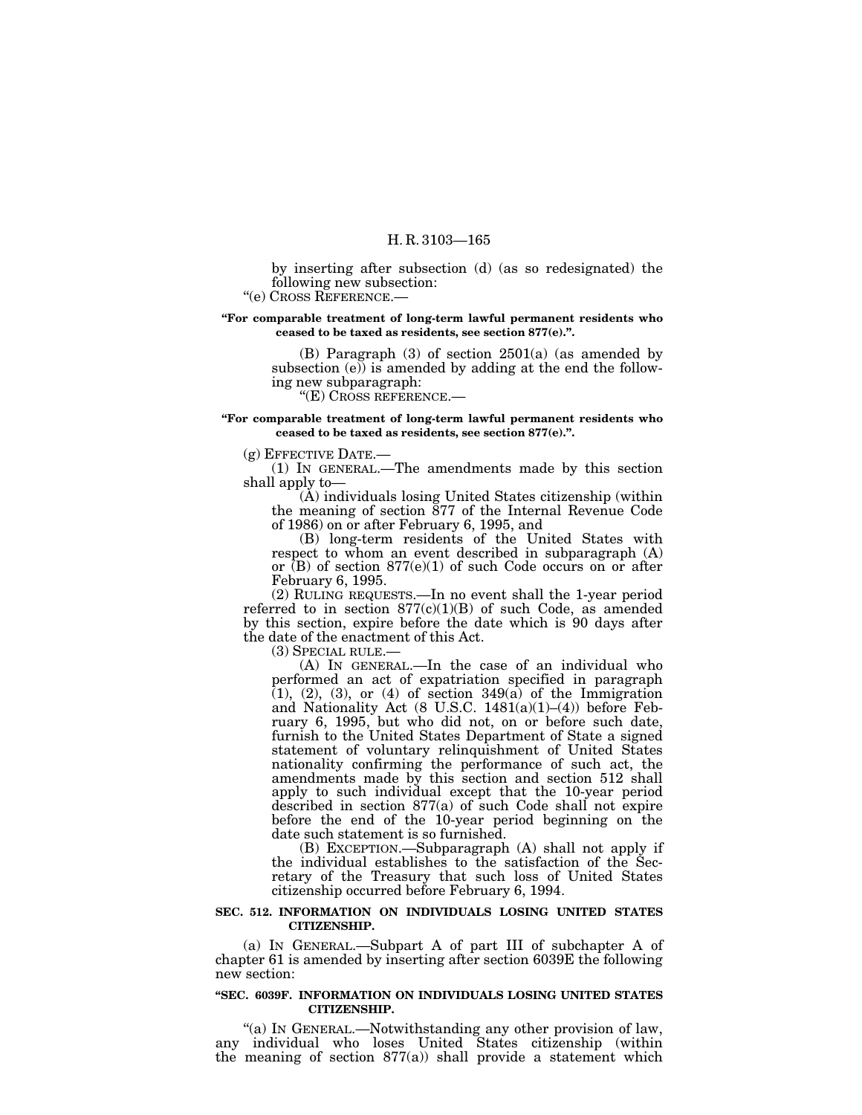by inserting after subsection (d) (as so redesignated) the following new subsection:

"(e) CROSS REFERENCE.

### **''For comparable treatment of long-term lawful permanent residents who ceased to be taxed as residents, see section 877(e).''.**

(B) Paragraph (3) of section 2501(a) (as amended by subsection  $(e)$  is amended by adding at the end the following new subparagraph:

''(E) CROSS REFERENCE.—

#### **''For comparable treatment of long-term lawful permanent residents who ceased to be taxed as residents, see section 877(e).''.**

(g) EFFECTIVE DATE.— (1) IN GENERAL.—The amendments made by this section shall apply to—

(A) individuals losing United States citizenship (within the meaning of section 877 of the Internal Revenue Code of 1986) on or after February 6, 1995, and

(B) long-term residents of the United States with respect to whom an event described in subparagraph (A) or  $(B)$  of section  $877(e)(1)$  of such Code occurs on or after February 6, 1995.

(2) RULING REQUESTS.—In no event shall the 1-year period referred to in section 877(c)(1)(B) of such Code, as amended by this section, expire before the date which is 90 days after the date of the enactment of this Act.<br>(3) SPECIAL RULE.—

 $(A)$  In GENERAL.—In the case of an individual who performed an act of expatriation specified in paragraph  $(1)$ ,  $(2)$ ,  $(3)$ , or  $(4)$  of section  $349(a)$  of the Immigration and Nationality Act (8 U.S.C. 1481(a)(1)–(4)) before February 6, 1995, but who did not, on or before such date, furnish to the United States Department of State a signed statement of voluntary relinquishment of United States nationality confirming the performance of such act, the amendments made by this section and section 512 shall apply to such individual except that the 10-year period described in section 877(a) of such Code shall not expire before the end of the 10-year period beginning on the date such statement is so furnished.

(B) EXCEPTION.—Subparagraph (A) shall not apply if the individual establishes to the satisfaction of the Secretary of the Treasury that such loss of United States citizenship occurred before February 6, 1994.

### **SEC. 512. INFORMATION ON INDIVIDUALS LOSING UNITED STATES CITIZENSHIP.**

(a) IN GENERAL.—Subpart A of part III of subchapter A of chapter 61 is amended by inserting after section 6039E the following new section:

### **''SEC. 6039F. INFORMATION ON INDIVIDUALS LOSING UNITED STATES CITIZENSHIP.**

"(a) IN GENERAL.—Notwithstanding any other provision of law, any individual who loses United States citizenship (within the meaning of section  $877(a)$ ) shall provide a statement which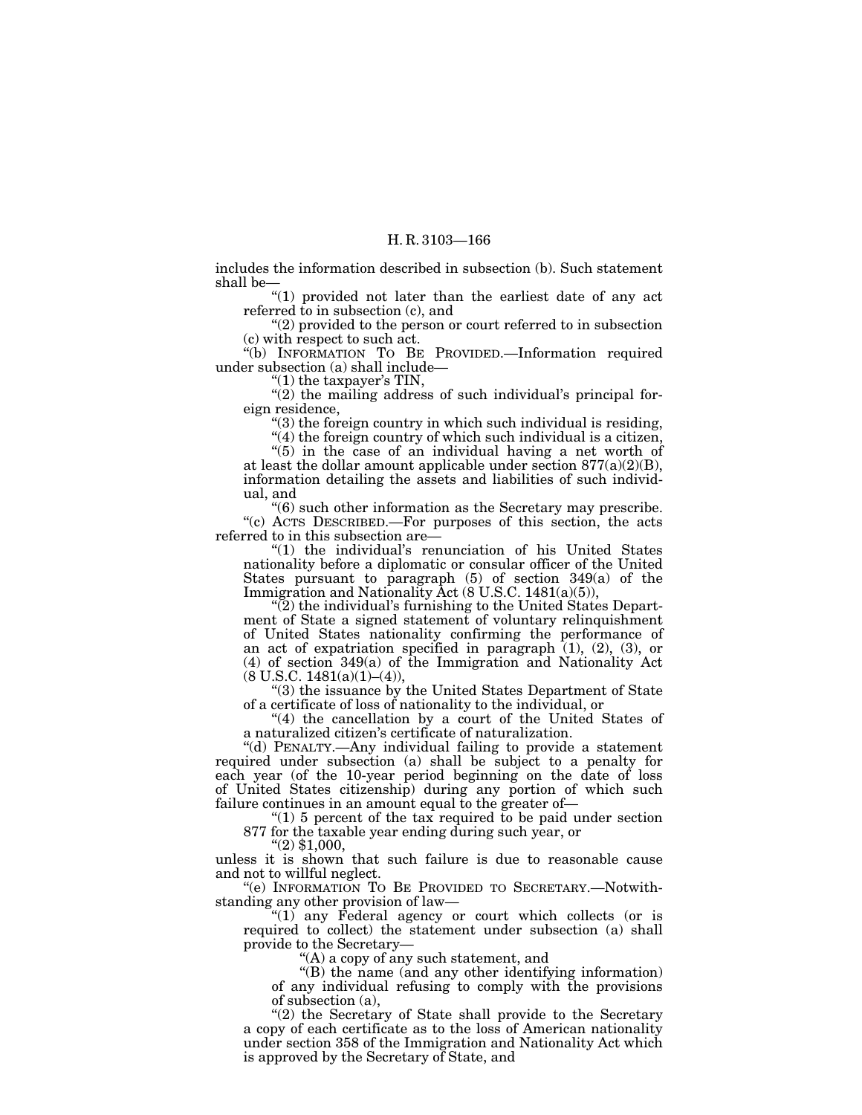includes the information described in subsection (b). Such statement shall be—

''(1) provided not later than the earliest date of any act referred to in subsection (c), and

 $''(2)$  provided to the person or court referred to in subsection (c) with respect to such act.

''(b) INFORMATION TO BE PROVIDED.—Information required under subsection (a) shall include—

" $(1)$  the taxpayer's TIN,

"(2) the mailing address of such individual's principal foreign residence,

 $(3)$  the foreign country in which such individual is residing,

''(4) the foreign country of which such individual is a citizen, "(5) in the case of an individual having a net worth of at least the dollar amount applicable under section 877(a)(2)(B), information detailing the assets and liabilities of such individual, and

''(6) such other information as the Secretary may prescribe. ''(c) ACTS DESCRIBED.—For purposes of this section, the acts referred to in this subsection are—

''(1) the individual's renunciation of his United States nationality before a diplomatic or consular officer of the United States pursuant to paragraph (5) of section 349(a) of the Immigration and Nationality Act (8 U.S.C. 1481(a)(5)),

 $\sqrt{\left(2\right)}$  the individual's furnishing to the United States Department of State a signed statement of voluntary relinquishment of United States nationality confirming the performance of an act of expatriation specified in paragraph (1), (2), (3), or (4) of section 349(a) of the Immigration and Nationality Act  $(8 \text{ U.S.C. } 1481(a)(1)–(4)),$ 

''(3) the issuance by the United States Department of State of a certificate of loss of nationality to the individual, or

''(4) the cancellation by a court of the United States of a naturalized citizen's certificate of naturalization.

''(d) PENALTY.—Any individual failing to provide a statement required under subsection (a) shall be subject to a penalty for each year (of the 10-year period beginning on the date of loss of United States citizenship) during any portion of which such failure continues in an amount equal to the greater of-

"(1) 5 percent of the tax required to be paid under section 877 for the taxable year ending during such year, or  $\degree$ (2) \$1,000,

unless it is shown that such failure is due to reasonable cause and not to willful neglect.

''(e) INFORMATION TO BE PROVIDED TO SECRETARY.—Notwithstanding any other provision of law—

"(1) any Federal agency or court which collects (or is required to collect) the statement under subsection (a) shall provide to the Secretary—

 $(A)$  a copy of any such statement, and

"(B) the name (and any other identifying information) of any individual refusing to comply with the provisions of subsection (a),

''(2) the Secretary of State shall provide to the Secretary a copy of each certificate as to the loss of American nationality under section 358 of the Immigration and Nationality Act which is approved by the Secretary of State, and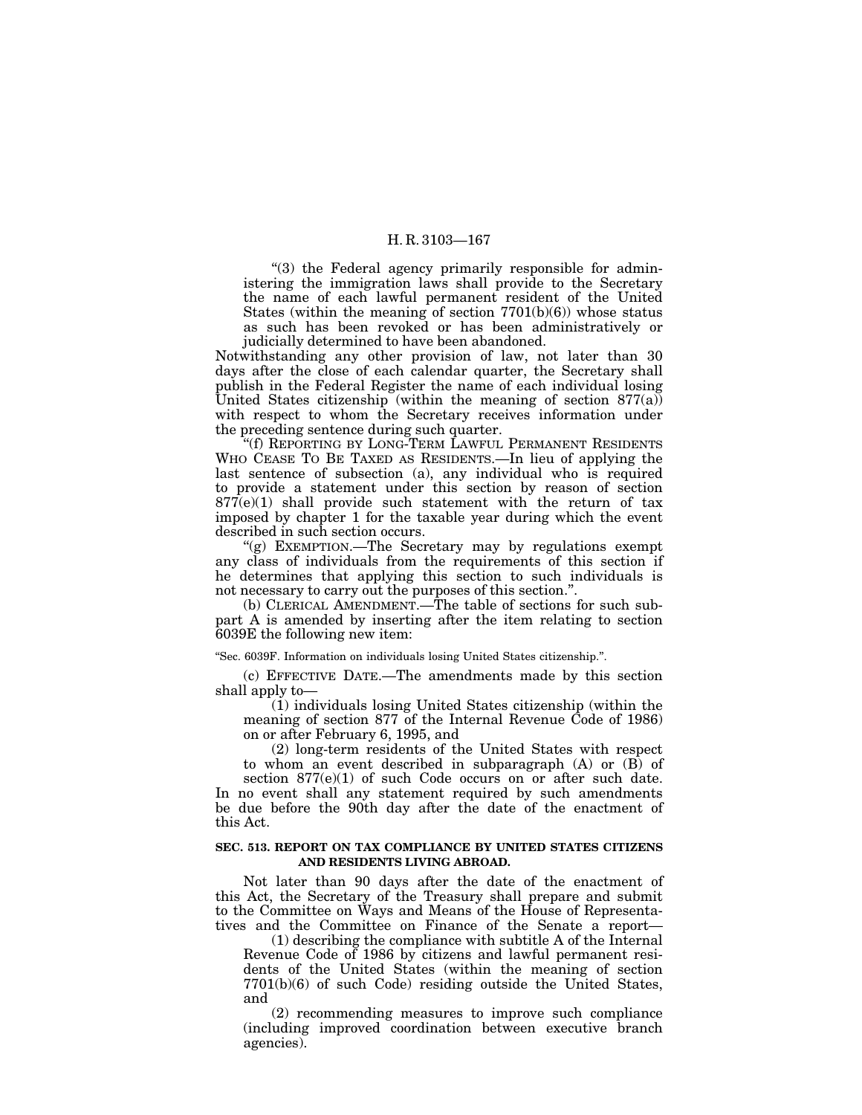"(3) the Federal agency primarily responsible for administering the immigration laws shall provide to the Secretary the name of each lawful permanent resident of the United States (within the meaning of section  $7701(b)(6)$ ) whose status as such has been revoked or has been administratively or judicially determined to have been abandoned.

Notwithstanding any other provision of law, not later than 30 days after the close of each calendar quarter, the Secretary shall publish in the Federal Register the name of each individual losing United States citizenship (within the meaning of section 877(a)) with respect to whom the Secretary receives information under the preceding sentence during such quarter.

'(f) REPORTING BY LONG-TERM LAWFUL PERMANENT RESIDENTS WHO CEASE TO BE TAXED AS RESIDENTS.—In lieu of applying the last sentence of subsection (a), any individual who is required to provide a statement under this section by reason of section  $877(e)(1)$  shall provide such statement with the return of tax imposed by chapter 1 for the taxable year during which the event described in such section occurs.

''(g) EXEMPTION.—The Secretary may by regulations exempt any class of individuals from the requirements of this section if he determines that applying this section to such individuals is not necessary to carry out the purposes of this section.''.

(b) CLERICAL AMENDMENT.—The table of sections for such subpart A is amended by inserting after the item relating to section 6039E the following new item:

''Sec. 6039F. Information on individuals losing United States citizenship.''.

(c) EFFECTIVE DATE.—The amendments made by this section shall apply to—

(1) individuals losing United States citizenship (within the meaning of section 877 of the Internal Revenue Code of 1986) on or after February 6, 1995, and

(2) long-term residents of the United States with respect to whom an event described in subparagraph (A) or (B) of section 877(e)(1) of such Code occurs on or after such date. In no event shall any statement required by such amendments be due before the 90th day after the date of the enactment of this Act.

### **SEC. 513. REPORT ON TAX COMPLIANCE BY UNITED STATES CITIZENS AND RESIDENTS LIVING ABROAD.**

Not later than 90 days after the date of the enactment of this Act, the Secretary of the Treasury shall prepare and submit to the Committee on Ways and Means of the House of Representatives and the Committee on Finance of the Senate a report—

(1) describing the compliance with subtitle A of the Internal Revenue Code of 1986 by citizens and lawful permanent residents of the United States (within the meaning of section 7701(b)(6) of such Code) residing outside the United States, and

(2) recommending measures to improve such compliance (including improved coordination between executive branch agencies).